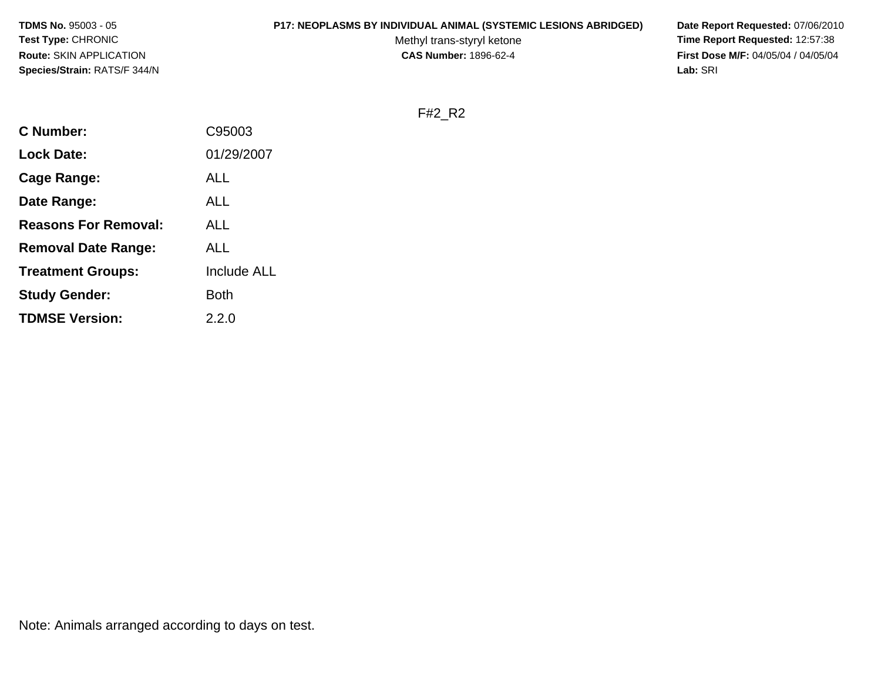#### **P17: NEOPLASMS BY INDIVIDUAL ANIMAL (SYSTEMIC LESIONS ABRIDGED) Date Report Requested:** 07/06/2010

Methyl trans-styryl ketone<br>CAS Number: 1896-62-4

 **Time Report Requested:** 12:57:38 **First Dose M/F:** 04/05/04 / 04/05/04<br>Lab: SRI **Lab:** SRI

F#2\_R2

| C Number:                   | C95003             |
|-----------------------------|--------------------|
| <b>Lock Date:</b>           | 01/29/2007         |
| Cage Range:                 | ALL                |
| Date Range:                 | ALL                |
| <b>Reasons For Removal:</b> | ALL                |
| <b>Removal Date Range:</b>  | ALL                |
| <b>Treatment Groups:</b>    | <b>Include ALL</b> |
| <b>Study Gender:</b>        | Both               |
| <b>TDMSE Version:</b>       | 2.2.0              |
|                             |                    |

Note: Animals arranged according to days on test.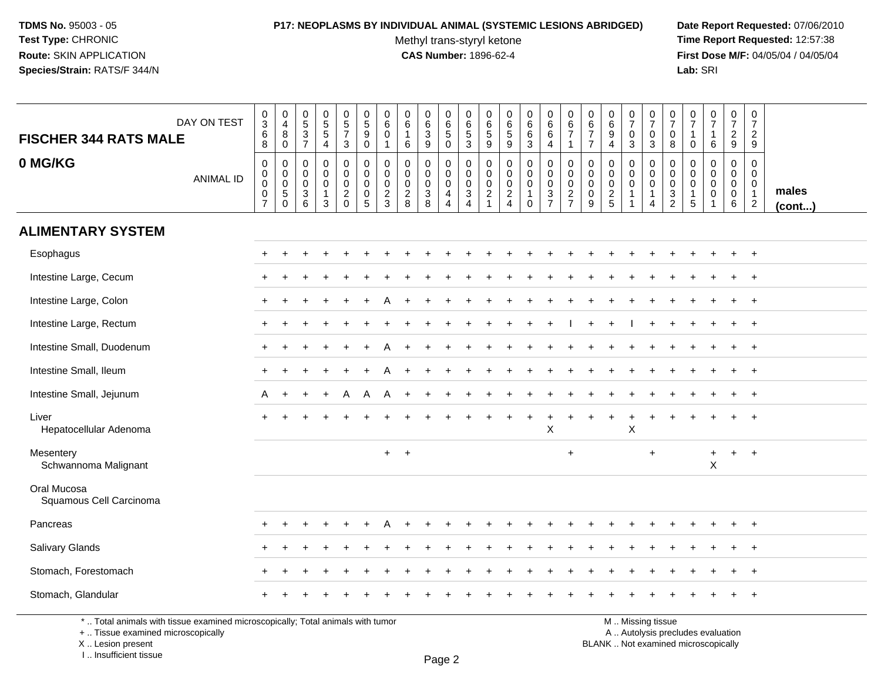# **P17: NEOPLASMS BY INDIVIDUAL ANIMAL (SYSTEMIC LESIONS ABRIDGED) Date Report Requested:** 07/06/2010

Methyl trans-styryl ketone<br>CAS Number: 1896-62-4

 **Time Report Requested:** 12:57:38 **First Dose M/F:** 04/05/04 / 04/05/04<br>Lab: SRI **Lab:** SRI

| <b>FISCHER 344 RATS MALE</b>                                                    | DAY ON TEST      | $_{3}^{\rm 0}$<br>$\,6\,$<br>8                                                         | $\begin{smallmatrix}0\0\4\end{smallmatrix}$<br>$\bf 8$<br>$\mathbf 0$ | $0$<br>5<br>3<br>7                                  | $\begin{array}{c} 0 \\ 5 \\ 5 \\ 4 \end{array}$                 | $\begin{array}{c} 0 \\ 5 \\ 7 \\ 3 \end{array}$               | $\begin{array}{c} 0 \\ 5 \end{array}$<br>9<br>$\mathbf 0$ | 0<br>$\,6\,$<br>$\mathsf{O}\xspace$<br>$\mathbf{1}$        | $\begin{array}{c} 0 \\ 6 \end{array}$<br>$\mathbf{1}$<br>6 | 0<br>$6\phantom{a}$<br>$\ensuremath{\mathsf{3}}$<br>$9\,$ | 0<br>6<br>$\sqrt{5}$<br>$\mathbf 0$                                 | 0<br>$\,6\,$<br>$\,$ 5 $\,$<br>3                                  | 0<br>$\,6\,$<br>$\sqrt{5}$<br>$\mathsf g$                | $\begin{array}{c} 0 \\ 6 \\ 5 \end{array}$<br>$\boldsymbol{9}$ | $066$<br>3                                                               | $\begin{array}{c} 0 \\ 6 \end{array}$<br>$\,6\,$<br>$\overline{4}$ | 0<br>$\,6\,$<br>$\overline{7}$<br>$\mathbf 1$                       | $_{6}^{\rm 0}$<br>$\overline{7}$<br>$\overline{7}$ | $_{6}^{\rm 0}$<br>$\overline{9}$<br>$\overline{4}$ | $\begin{array}{c} 0 \\ 7 \end{array}$<br>$\pmb{0}$<br>$\mathbf{3}$ | $\frac{0}{7}$<br>$\mathbf 0$<br>$\mathbf{3}$                      | 0<br>$\overline{7}$<br>$\mathbf 0$<br>8                                        | $\frac{0}{7}$<br>$\mathbf{1}$<br>$\mathbf 0$                                | $\frac{0}{7}$<br>$\mathbf{1}$<br>6                                                                                                                                                                                             | $\frac{0}{7}$<br>$\frac{2}{9}$                      | $\frac{0}{7}$<br>$\sqrt{2}$<br>9                                              |                       |
|---------------------------------------------------------------------------------|------------------|----------------------------------------------------------------------------------------|-----------------------------------------------------------------------|-----------------------------------------------------|-----------------------------------------------------------------|---------------------------------------------------------------|-----------------------------------------------------------|------------------------------------------------------------|------------------------------------------------------------|-----------------------------------------------------------|---------------------------------------------------------------------|-------------------------------------------------------------------|----------------------------------------------------------|----------------------------------------------------------------|--------------------------------------------------------------------------|--------------------------------------------------------------------|---------------------------------------------------------------------|----------------------------------------------------|----------------------------------------------------|--------------------------------------------------------------------|-------------------------------------------------------------------|--------------------------------------------------------------------------------|-----------------------------------------------------------------------------|--------------------------------------------------------------------------------------------------------------------------------------------------------------------------------------------------------------------------------|-----------------------------------------------------|-------------------------------------------------------------------------------|-----------------------|
| 0 MG/KG                                                                         | <b>ANIMAL ID</b> | $\mathsf{O}\xspace$<br>$\mathsf{O}\xspace$<br>$\pmb{0}$<br>$\pmb{0}$<br>$\overline{7}$ | $\mathbf 0$<br>$\mathbf 0$<br>$\mathsf 0$<br>$\sqrt{5}$<br>$\Omega$   | $\mathbf 0$<br>$\mathbf 0$<br>$\mathbf 0$<br>3<br>6 | 0<br>$\mathbf 0$<br>$\mathbf 0$<br>$\mathbf{1}$<br>$\mathbf{3}$ | $\pmb{0}$<br>$\mathsf{O}\xspace$<br>$\pmb{0}$<br>$^2_{\rm 0}$ | 0<br>$\mathbf 0$<br>$\mathbf 0$<br>0<br>5                 | $\mathbf 0$<br>$\mathbf 0$<br>$\mathbf 0$<br>$\frac{2}{3}$ | $\mathbf 0$<br>$\mathbf 0$<br>$\pmb{0}$<br>$\frac{2}{8}$   | 0<br>$\mathbf 0$<br>$\mathbf 0$<br>$\mathsf 3$<br>8       | 0<br>$\mathbf 0$<br>$\mathbf 0$<br>$\overline{4}$<br>$\overline{4}$ | 0<br>$\mathbf 0$<br>$\mathbf 0$<br>$\ensuremath{\mathsf{3}}$<br>4 | $\mathsf{O}\xspace$<br>$\mathbf 0$<br>0<br>$\frac{2}{1}$ | 0<br>$\mathbf 0$<br>$\pmb{0}$<br>$\frac{2}{4}$                 | $\mathbf 0$<br>$\mathbf 0$<br>$\mathbf 0$<br>$\mathbf{1}$<br>$\mathbf 0$ | $\pmb{0}$<br>$\boldsymbol{0}$<br>$\mathbf 0$<br>$\frac{3}{7}$      | 0<br>$\mathbf 0$<br>$\mathbf 0$<br>$\overline{c}$<br>$\overline{7}$ | 0<br>$\mathbf 0$<br>$\mathbf 0$<br>0<br>9          | 0<br>$\mathbf 0$<br>$\pmb{0}$<br>$\frac{2}{5}$     | 0<br>$\mathbf 0$<br>$\mathbf 0$<br>$\overline{1}$                  | 0<br>$\mathbf 0$<br>$\mathbf 0$<br>$\mathbf{1}$<br>$\overline{4}$ | $\mathbf 0$<br>$\overline{0}$<br>$\mathbf 0$<br>$\mathbf{3}$<br>$\overline{2}$ | $\mathbf 0$<br>$\mathbf 0$<br>$\mathbf 0$<br>$\mathbf{1}$<br>$\overline{5}$ | $\mathbf 0$<br>$\mathbf 0$<br>0<br>$\pmb{0}$                                                                                                                                                                                   | 0<br>$\mathbf 0$<br>$\mathbf 0$<br>$\mathbf 0$<br>6 | $\mathbf 0$<br>$\mathbf 0$<br>$\mathbf 0$<br>$\overline{1}$<br>$\overline{2}$ | males<br>$($ cont $)$ |
| <b>ALIMENTARY SYSTEM</b>                                                        |                  |                                                                                        |                                                                       |                                                     |                                                                 |                                                               |                                                           |                                                            |                                                            |                                                           |                                                                     |                                                                   |                                                          |                                                                |                                                                          |                                                                    |                                                                     |                                                    |                                                    |                                                                    |                                                                   |                                                                                |                                                                             |                                                                                                                                                                                                                                |                                                     |                                                                               |                       |
| Esophagus                                                                       |                  | $\ddot{}$                                                                              |                                                                       |                                                     |                                                                 |                                                               |                                                           |                                                            |                                                            |                                                           |                                                                     |                                                                   |                                                          |                                                                |                                                                          |                                                                    |                                                                     |                                                    |                                                    |                                                                    |                                                                   |                                                                                |                                                                             |                                                                                                                                                                                                                                | $\ddot{}$                                           | $+$                                                                           |                       |
| Intestine Large, Cecum                                                          |                  |                                                                                        |                                                                       |                                                     |                                                                 |                                                               |                                                           |                                                            |                                                            |                                                           |                                                                     |                                                                   |                                                          |                                                                |                                                                          |                                                                    |                                                                     |                                                    |                                                    |                                                                    |                                                                   |                                                                                |                                                                             |                                                                                                                                                                                                                                | $\ddot{}$                                           | $\overline{+}$                                                                |                       |
| Intestine Large, Colon                                                          |                  |                                                                                        |                                                                       |                                                     |                                                                 |                                                               |                                                           |                                                            |                                                            |                                                           |                                                                     |                                                                   |                                                          |                                                                |                                                                          |                                                                    |                                                                     |                                                    |                                                    |                                                                    |                                                                   |                                                                                |                                                                             |                                                                                                                                                                                                                                |                                                     | $\overline{+}$                                                                |                       |
| Intestine Large, Rectum                                                         |                  | ÷                                                                                      |                                                                       |                                                     |                                                                 |                                                               |                                                           |                                                            |                                                            |                                                           |                                                                     |                                                                   |                                                          |                                                                |                                                                          |                                                                    |                                                                     |                                                    |                                                    |                                                                    |                                                                   |                                                                                |                                                                             |                                                                                                                                                                                                                                |                                                     | $\overline{ }$                                                                |                       |
| Intestine Small, Duodenum                                                       |                  | $\ddot{}$                                                                              |                                                                       |                                                     |                                                                 |                                                               |                                                           |                                                            |                                                            |                                                           |                                                                     |                                                                   |                                                          |                                                                |                                                                          |                                                                    |                                                                     |                                                    |                                                    |                                                                    |                                                                   |                                                                                |                                                                             |                                                                                                                                                                                                                                | $\ddot{}$                                           | $+$                                                                           |                       |
| Intestine Small, Ileum                                                          |                  |                                                                                        |                                                                       |                                                     |                                                                 |                                                               |                                                           |                                                            |                                                            |                                                           |                                                                     |                                                                   |                                                          |                                                                |                                                                          |                                                                    |                                                                     |                                                    |                                                    |                                                                    |                                                                   |                                                                                |                                                                             |                                                                                                                                                                                                                                |                                                     | $\overline{+}$                                                                |                       |
| Intestine Small, Jejunum                                                        |                  | A                                                                                      |                                                                       |                                                     |                                                                 |                                                               | Α                                                         |                                                            |                                                            |                                                           |                                                                     |                                                                   |                                                          |                                                                |                                                                          |                                                                    |                                                                     |                                                    |                                                    |                                                                    |                                                                   |                                                                                |                                                                             |                                                                                                                                                                                                                                |                                                     |                                                                               |                       |
| Liver<br>Hepatocellular Adenoma                                                 |                  | $\ddot{}$                                                                              |                                                                       |                                                     |                                                                 |                                                               |                                                           |                                                            |                                                            |                                                           |                                                                     |                                                                   |                                                          |                                                                |                                                                          | ٠<br>$\boldsymbol{\mathsf{X}}$                                     |                                                                     |                                                    |                                                    | $\ddot{}$<br>$\pmb{\times}$                                        |                                                                   |                                                                                |                                                                             |                                                                                                                                                                                                                                | $\ddot{}$                                           | $\overline{+}$                                                                |                       |
| Mesentery<br>Schwannoma Malignant                                               |                  |                                                                                        |                                                                       |                                                     |                                                                 |                                                               |                                                           | $+$ $+$                                                    |                                                            |                                                           |                                                                     |                                                                   |                                                          |                                                                |                                                                          |                                                                    | $\ddot{}$                                                           |                                                    |                                                    |                                                                    | $\ddot{}$                                                         |                                                                                |                                                                             | $\ddot{}$<br>$\mathsf X$                                                                                                                                                                                                       | $+$                                                 | $+$                                                                           |                       |
| Oral Mucosa<br>Squamous Cell Carcinoma                                          |                  |                                                                                        |                                                                       |                                                     |                                                                 |                                                               |                                                           |                                                            |                                                            |                                                           |                                                                     |                                                                   |                                                          |                                                                |                                                                          |                                                                    |                                                                     |                                                    |                                                    |                                                                    |                                                                   |                                                                                |                                                                             |                                                                                                                                                                                                                                |                                                     |                                                                               |                       |
| Pancreas                                                                        |                  | $\div$                                                                                 |                                                                       |                                                     |                                                                 |                                                               |                                                           |                                                            |                                                            |                                                           |                                                                     |                                                                   |                                                          |                                                                |                                                                          |                                                                    |                                                                     |                                                    |                                                    |                                                                    |                                                                   |                                                                                |                                                                             |                                                                                                                                                                                                                                |                                                     | $\overline{+}$                                                                |                       |
| Salivary Glands                                                                 |                  |                                                                                        |                                                                       |                                                     |                                                                 |                                                               |                                                           |                                                            |                                                            |                                                           |                                                                     |                                                                   |                                                          |                                                                |                                                                          |                                                                    |                                                                     |                                                    |                                                    |                                                                    |                                                                   |                                                                                |                                                                             |                                                                                                                                                                                                                                |                                                     |                                                                               |                       |
| Stomach, Forestomach                                                            |                  |                                                                                        |                                                                       |                                                     |                                                                 |                                                               |                                                           |                                                            |                                                            |                                                           |                                                                     |                                                                   |                                                          |                                                                |                                                                          |                                                                    |                                                                     |                                                    |                                                    |                                                                    |                                                                   |                                                                                |                                                                             |                                                                                                                                                                                                                                |                                                     | $\overline{+}$                                                                |                       |
| Stomach, Glandular                                                              |                  |                                                                                        |                                                                       |                                                     |                                                                 |                                                               |                                                           |                                                            |                                                            |                                                           |                                                                     |                                                                   |                                                          |                                                                |                                                                          |                                                                    |                                                                     |                                                    |                                                    |                                                                    |                                                                   |                                                                                |                                                                             |                                                                                                                                                                                                                                |                                                     |                                                                               |                       |
| *  Total animals with tissue examined microscopically; Total animals with tumor |                  |                                                                                        |                                                                       |                                                     |                                                                 |                                                               |                                                           |                                                            |                                                            |                                                           |                                                                     |                                                                   |                                                          |                                                                |                                                                          |                                                                    |                                                                     |                                                    | M  Missing tissue                                  |                                                                    |                                                                   |                                                                                |                                                                             | and the contract of the contract of the contract of the contract of the contract of the contract of the contract of the contract of the contract of the contract of the contract of the contract of the contract of the contra |                                                     |                                                                               |                       |

+ .. Tissue examined microscopically

X .. Lesion present

I .. Insufficient tissue

y the contract of the contract of the contract of the contract of the contract of  $\mathsf A$  . Autolysis precludes evaluation Lesion present BLANK .. Not examined microscopically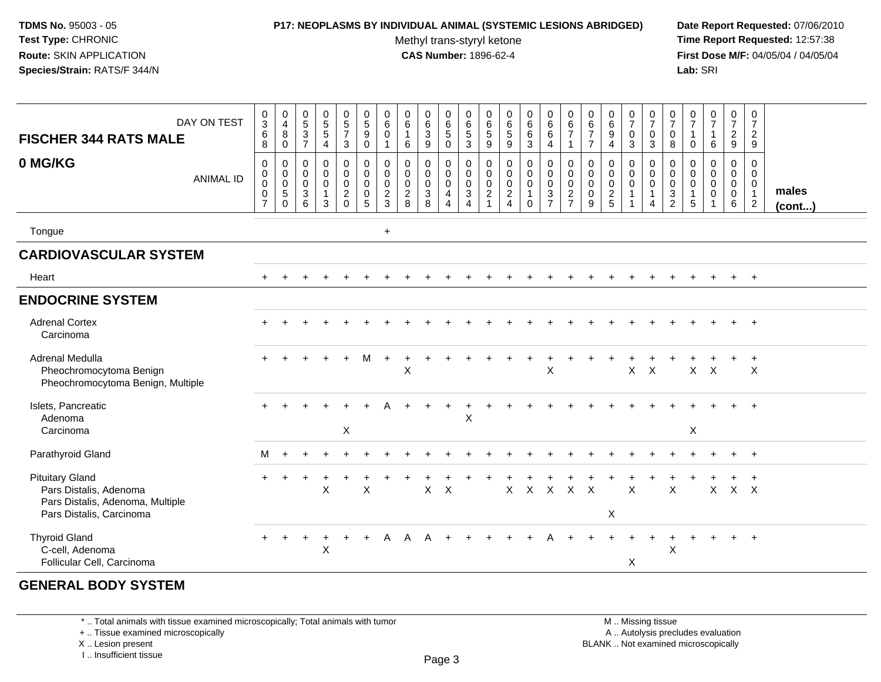### **P17: NEOPLASMS BY INDIVIDUAL ANIMAL (SYSTEMIC LESIONS ABRIDGED) Date Report Requested:** 07/06/2010

Methyl trans-styryl ketone<br>CAS Number: 1896-62-4

 **Time Report Requested:** 12:57:38 **First Dose M/F:** 04/05/04 / 04/05/04<br>**Lab:** SRI **Lab:** SRI

| <b>FISCHER 344 RATS MALE</b><br>0 MG/KG                                                                          | DAY ON TEST<br><b>ANIMAL ID</b> | $_{3}^{\rm 0}$<br>6<br>8<br>$\mathbf 0$<br>$\pmb{0}$<br>$\pmb{0}$<br>$\,0\,$<br>$\overline{7}$ | $\begin{smallmatrix}0\\4\end{smallmatrix}$<br>8<br>$\mathbf 0$<br>$\boldsymbol{0}$<br>$\begin{matrix} 0 \\ 0 \\ 5 \end{matrix}$<br>$\mathbf 0$ | $\begin{array}{c} 0 \\ 5 \end{array}$<br>$\mathbf{3}$<br>$\overline{7}$<br>$\mathbf 0$<br>$\mathbf 0$<br>$\mathbf 0$<br>$\ensuremath{\mathsf{3}}$<br>6 | $\begin{array}{c} 0 \\ 5 \end{array}$<br>5<br>4<br>0<br>$\mathbf 0$<br>$\mathbf 0$<br>$\mathbf{1}$<br>3 | $\begin{array}{c} 0 \\ 5 \end{array}$<br>$\overline{7}$<br>3<br>$\begin{smallmatrix}0\\0\end{smallmatrix}$<br>$\mathbf 0$<br>$\overline{2}$<br>$\Omega$ | $\begin{array}{c} 0 \\ 5 \end{array}$<br>$\boldsymbol{9}$<br>$\mathbf 0$<br>$\pmb{0}$<br>$\pmb{0}$<br>$\mathsf{O}\xspace$<br>$\pmb{0}$<br>5 | $\begin{array}{c} 0 \\ 6 \end{array}$<br>$\mathbf 0$<br>$\overline{1}$<br>$\mathbf 0$<br>$\mathbf 0$<br>$\mathbf 0$<br>$\sqrt{2}$<br>$\mathbf{3}$ | $\begin{array}{c} 0 \\ 6 \end{array}$<br>$\mathbf{1}$<br>6<br>0<br>$\mathbf 0$<br>$\mathbf 0$<br>$\sqrt{2}$<br>8 | $\begin{array}{c} 0 \\ 6 \end{array}$<br>3<br>9<br>0<br>$\mathbf 0$<br>$\mathbf 0$<br>$\mathbf{3}$<br>8 | $_{6}^{\rm 0}$<br>5<br>$\mathbf 0$<br>$\begin{smallmatrix}0\\0\\0\end{smallmatrix}$<br>$\overline{4}$<br>$\overline{4}$ | $\pmb{0}$<br>$\,6\,$<br>$\frac{5}{3}$<br>$\,0\,$<br>$\pmb{0}$<br>$\frac{0}{3}$<br>$\overline{4}$ | $\pmb{0}$<br>$\,6\,$<br>$\,$ 5 $\,$<br>9<br>0<br>$\pmb{0}$<br>$\mathsf{O}\xspace$<br>$\overline{c}$ | $\begin{array}{c} 0 \\ 6 \end{array}$<br>$\,$ 5 $\,$<br>9<br>$\pmb{0}$<br>$\,0\,$<br>$\mathbf 0$<br>$\overline{2}$<br>$\overline{4}$ | $\begin{array}{c} 0 \\ 6 \end{array}$<br>$\,6\,$<br>3<br>$\pmb{0}$<br>$\mathbf 0$<br>$\mathbf 0$<br>$\mathbf{1}$<br>$\mathbf 0$ | $_6^0$<br>$6\phantom{.}6$<br>$\overline{4}$<br>$\begin{smallmatrix} 0\\0 \end{smallmatrix}$<br>$\mathbf 0$<br>$\overline{3}$<br>$\overline{7}$ | $\pmb{0}$<br>$\,6$<br>$\overline{7}$<br>$\mathbf{1}$<br>$\pmb{0}$<br>$\mathsf 0$<br>$\mathsf{O}\xspace$<br>$\sqrt{2}$<br>$\overline{7}$ | $\pmb{0}$<br>$\,6$<br>$\overline{7}$<br>$\overline{7}$<br>0<br>$\mathbf 0$<br>$\mathbf 0$<br>0<br>9 | $\begin{array}{c} 0 \\ 6 \end{array}$<br>9<br>$\boldsymbol{\Lambda}$<br>$\mathbf 0$<br>$\mathbf 0$<br>$\mathbf 0$<br>$\sqrt{2}$<br>5 | $\begin{array}{c} 0 \\ 7 \end{array}$<br>$\mathbf 0$<br>$\mathfrak{Z}$<br>$\pmb{0}$<br>$\mathbf 0$<br>$\mathbf 0$<br>$\mathbf{1}$<br>$\mathbf{1}$ | $\begin{array}{c} 0 \\ 7 \end{array}$<br>$\mathbf 0$<br>3<br>0<br>$\boldsymbol{0}$<br>$\mathbf 0$<br>$\mathbf{1}$<br>4 | $\frac{0}{7}$<br>0<br>8<br>0<br>$\mathbf 0$<br>$\mathbf 0$<br>$\mathbf{3}$<br>$\overline{2}$ | 0<br>$\overline{7}$<br>$\mathbf 1$<br>$\mathbf 0$<br>0<br>0<br>0<br>$\mathbf{1}$<br>$\sqrt{5}$ | $\begin{array}{c} 0 \\ 7 \end{array}$<br>$\mathbf{1}$<br>6<br>$\mathbf 0$<br>$\mathbf 0$<br>$\mathbf 0$<br>$\mathbf 0$<br>$\mathbf 1$ | $\begin{array}{c} 0 \\ 7 \end{array}$<br>$\frac{2}{9}$<br>0<br>$\mathbf 0$<br>$\mathbf 0$<br>$\mathbf 0$<br>6 | $\pmb{0}$<br>$\overline{7}$<br>$\overline{2}$<br>9<br>$\mathbf 0$<br>$\mathbf 0$<br>$\mathbf 0$<br>$\mathbf{1}$<br>$\overline{2}$ | males<br>$($ cont $)$ |
|------------------------------------------------------------------------------------------------------------------|---------------------------------|------------------------------------------------------------------------------------------------|------------------------------------------------------------------------------------------------------------------------------------------------|--------------------------------------------------------------------------------------------------------------------------------------------------------|---------------------------------------------------------------------------------------------------------|---------------------------------------------------------------------------------------------------------------------------------------------------------|---------------------------------------------------------------------------------------------------------------------------------------------|---------------------------------------------------------------------------------------------------------------------------------------------------|------------------------------------------------------------------------------------------------------------------|---------------------------------------------------------------------------------------------------------|-------------------------------------------------------------------------------------------------------------------------|--------------------------------------------------------------------------------------------------|-----------------------------------------------------------------------------------------------------|--------------------------------------------------------------------------------------------------------------------------------------|---------------------------------------------------------------------------------------------------------------------------------|------------------------------------------------------------------------------------------------------------------------------------------------|-----------------------------------------------------------------------------------------------------------------------------------------|-----------------------------------------------------------------------------------------------------|--------------------------------------------------------------------------------------------------------------------------------------|---------------------------------------------------------------------------------------------------------------------------------------------------|------------------------------------------------------------------------------------------------------------------------|----------------------------------------------------------------------------------------------|------------------------------------------------------------------------------------------------|---------------------------------------------------------------------------------------------------------------------------------------|---------------------------------------------------------------------------------------------------------------|-----------------------------------------------------------------------------------------------------------------------------------|-----------------------|
| Tongue                                                                                                           |                                 |                                                                                                |                                                                                                                                                |                                                                                                                                                        |                                                                                                         |                                                                                                                                                         |                                                                                                                                             | $\ddot{}$                                                                                                                                         |                                                                                                                  |                                                                                                         |                                                                                                                         |                                                                                                  |                                                                                                     |                                                                                                                                      |                                                                                                                                 |                                                                                                                                                |                                                                                                                                         |                                                                                                     |                                                                                                                                      |                                                                                                                                                   |                                                                                                                        |                                                                                              |                                                                                                |                                                                                                                                       |                                                                                                               |                                                                                                                                   |                       |
| <b>CARDIOVASCULAR SYSTEM</b>                                                                                     |                                 |                                                                                                |                                                                                                                                                |                                                                                                                                                        |                                                                                                         |                                                                                                                                                         |                                                                                                                                             |                                                                                                                                                   |                                                                                                                  |                                                                                                         |                                                                                                                         |                                                                                                  |                                                                                                     |                                                                                                                                      |                                                                                                                                 |                                                                                                                                                |                                                                                                                                         |                                                                                                     |                                                                                                                                      |                                                                                                                                                   |                                                                                                                        |                                                                                              |                                                                                                |                                                                                                                                       |                                                                                                               |                                                                                                                                   |                       |
| Heart                                                                                                            |                                 | $+$                                                                                            |                                                                                                                                                |                                                                                                                                                        |                                                                                                         |                                                                                                                                                         |                                                                                                                                             |                                                                                                                                                   |                                                                                                                  |                                                                                                         |                                                                                                                         |                                                                                                  |                                                                                                     |                                                                                                                                      |                                                                                                                                 |                                                                                                                                                |                                                                                                                                         |                                                                                                     |                                                                                                                                      |                                                                                                                                                   |                                                                                                                        |                                                                                              |                                                                                                |                                                                                                                                       | $+$                                                                                                           | $+$                                                                                                                               |                       |
| <b>ENDOCRINE SYSTEM</b>                                                                                          |                                 |                                                                                                |                                                                                                                                                |                                                                                                                                                        |                                                                                                         |                                                                                                                                                         |                                                                                                                                             |                                                                                                                                                   |                                                                                                                  |                                                                                                         |                                                                                                                         |                                                                                                  |                                                                                                     |                                                                                                                                      |                                                                                                                                 |                                                                                                                                                |                                                                                                                                         |                                                                                                     |                                                                                                                                      |                                                                                                                                                   |                                                                                                                        |                                                                                              |                                                                                                |                                                                                                                                       |                                                                                                               |                                                                                                                                   |                       |
| <b>Adrenal Cortex</b><br>Carcinoma                                                                               |                                 | $\ddot{}$                                                                                      |                                                                                                                                                |                                                                                                                                                        |                                                                                                         |                                                                                                                                                         |                                                                                                                                             |                                                                                                                                                   |                                                                                                                  |                                                                                                         |                                                                                                                         |                                                                                                  |                                                                                                     |                                                                                                                                      |                                                                                                                                 |                                                                                                                                                |                                                                                                                                         |                                                                                                     |                                                                                                                                      |                                                                                                                                                   |                                                                                                                        |                                                                                              |                                                                                                |                                                                                                                                       | $\ddot{}$                                                                                                     | $+$                                                                                                                               |                       |
| Adrenal Medulla<br>Pheochromocytoma Benign<br>Pheochromocytoma Benign, Multiple                                  |                                 | $\ddot{}$                                                                                      |                                                                                                                                                |                                                                                                                                                        |                                                                                                         | $+$                                                                                                                                                     | м                                                                                                                                           | $\ddot{}$                                                                                                                                         | X                                                                                                                |                                                                                                         |                                                                                                                         |                                                                                                  |                                                                                                     |                                                                                                                                      |                                                                                                                                 | $\boldsymbol{\mathsf{X}}$                                                                                                                      |                                                                                                                                         |                                                                                                     |                                                                                                                                      | $X$ $X$                                                                                                                                           |                                                                                                                        |                                                                                              | $X$ $X$                                                                                        |                                                                                                                                       |                                                                                                               | $\sf X$                                                                                                                           |                       |
| Islets, Pancreatic<br>Adenoma<br>Carcinoma                                                                       |                                 |                                                                                                |                                                                                                                                                |                                                                                                                                                        |                                                                                                         | X                                                                                                                                                       |                                                                                                                                             |                                                                                                                                                   |                                                                                                                  |                                                                                                         |                                                                                                                         | $\pmb{\times}$                                                                                   |                                                                                                     |                                                                                                                                      |                                                                                                                                 |                                                                                                                                                |                                                                                                                                         |                                                                                                     |                                                                                                                                      |                                                                                                                                                   |                                                                                                                        |                                                                                              | X                                                                                              |                                                                                                                                       |                                                                                                               |                                                                                                                                   |                       |
| Parathyroid Gland                                                                                                |                                 | M                                                                                              | $\ddot{}$                                                                                                                                      |                                                                                                                                                        |                                                                                                         |                                                                                                                                                         |                                                                                                                                             |                                                                                                                                                   |                                                                                                                  |                                                                                                         |                                                                                                                         |                                                                                                  |                                                                                                     |                                                                                                                                      |                                                                                                                                 |                                                                                                                                                |                                                                                                                                         |                                                                                                     |                                                                                                                                      |                                                                                                                                                   |                                                                                                                        |                                                                                              |                                                                                                |                                                                                                                                       |                                                                                                               | $+$                                                                                                                               |                       |
| <b>Pituitary Gland</b><br>Pars Distalis, Adenoma<br>Pars Distalis, Adenoma, Multiple<br>Pars Distalis, Carcinoma |                                 | $\pm$                                                                                          | $\pm$                                                                                                                                          |                                                                                                                                                        | $\ddot{}$<br>X                                                                                          |                                                                                                                                                         | $\mathsf{X}$                                                                                                                                |                                                                                                                                                   |                                                                                                                  | X                                                                                                       | $\mathsf{X}$                                                                                                            |                                                                                                  |                                                                                                     | X                                                                                                                                    | $\mathsf{X}$                                                                                                                    | $\mathsf{X}$                                                                                                                                   | $X$ $X$                                                                                                                                 |                                                                                                     | X                                                                                                                                    | $\mathsf{X}$                                                                                                                                      |                                                                                                                        | $\mathsf{X}$                                                                                 |                                                                                                | $\mathsf{X}$                                                                                                                          | $X$ $X$                                                                                                       |                                                                                                                                   |                       |
| <b>Thyroid Gland</b><br>C-cell, Adenoma<br>Follicular Cell, Carcinoma                                            |                                 | $\ddot{}$                                                                                      | $+$                                                                                                                                            | $\ddot{}$                                                                                                                                              | $\ddot{}$<br>X                                                                                          | $+$                                                                                                                                                     | $\ddot{}$                                                                                                                                   | A                                                                                                                                                 | A                                                                                                                | A                                                                                                       |                                                                                                                         |                                                                                                  |                                                                                                     |                                                                                                                                      |                                                                                                                                 |                                                                                                                                                |                                                                                                                                         |                                                                                                     |                                                                                                                                      | X                                                                                                                                                 |                                                                                                                        | $\div$<br>$\mathsf X$                                                                        |                                                                                                |                                                                                                                                       |                                                                                                               | $+$                                                                                                                               |                       |

# **GENERAL BODY SYSTEM**

\* .. Total animals with tissue examined microscopically; Total animals with tumor

+ .. Tissue examined microscopically

X .. Lesion present

I .. Insufficient tissue

 M .. Missing tissuey the contract of the contract of the contract of the contract of the contract of  $\mathsf A$  . Autolysis precludes evaluation Lesion present BLANK .. Not examined microscopically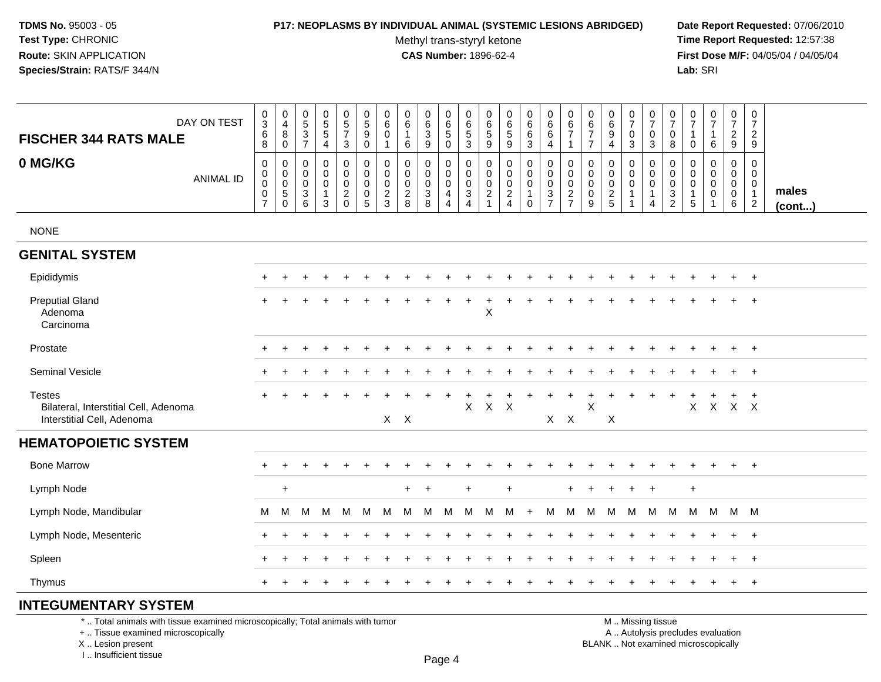### **P17: NEOPLASMS BY INDIVIDUAL ANIMAL (SYSTEMIC LESIONS ABRIDGED) Date Report Requested:** 07/06/2010

Methyl trans-styryl ketone<br>CAS Number: 1896-62-4

 **Time Report Requested:** 12:57:38 **First Dose M/F:** 04/05/04 / 04/05/04<br>**Lab:** SRI **Lab:** SRI

| DAY ON TEST<br><b>FISCHER 344 RATS MALE</b>                                          | $\mathbf 0$<br>$\overline{3}$<br>$\,6$<br>8                      | $\pmb{0}$<br>$\overline{4}$<br>8<br>0                                      | $\begin{smallmatrix}0\0\5\end{smallmatrix}$<br>$\frac{3}{7}$ | $\begin{array}{c} 0 \\ 5 \\ 5 \end{array}$<br>$\overline{4}$  | $\begin{array}{c} 0 \\ 5 \end{array}$<br>$\overline{7}$<br>3 | $\overline{0}$<br>$\overline{5}$<br>9<br>$\mathbf 0$                       | $\mathbf 0$<br>6<br>0<br>$\overline{1}$                      | 0<br>6<br>1<br>6                                           | 0<br>6<br>3<br>9                 | $\begin{array}{c} 0 \\ 6 \\ 5 \end{array}$<br>$\mathbf 0$          | 0<br>$\,6\,$<br>$\frac{5}{3}$                                             | 0<br>6<br>$\,$ 5 $\,$<br>9                                  | $\mathbf 0$<br>6<br>$\sqrt{5}$<br>9                        | $\mathbf 0$<br>6<br>6<br>3                  | 0<br>$6\overline{6}$<br>$\,6\,$<br>$\overline{4}$ | $_{6}^{\rm 0}$<br>$\overline{7}$<br>1        | $\pmb{0}$<br>6<br>$\overline{7}$<br>$\overline{7}$          | $\pmb{0}$<br>$\,6\,$<br>9<br>$\overline{4}$                | $\frac{0}{7}$<br>$\mathbf 0$<br>3                  | $\begin{smallmatrix}0\\7\end{smallmatrix}$<br>$\pmb{0}$<br>3      | 0<br>$\overline{7}$<br>0<br>8                                    | 0<br>$\overline{7}$<br>0                    | $\begin{smallmatrix}0\\7\end{smallmatrix}$<br>$\mathbf{1}$<br>6 | $\begin{smallmatrix}0\\7\end{smallmatrix}$<br>$\overline{c}$<br>9 | $\mathbf 0$<br>$\overline{7}$<br>$\overline{c}$<br>9                                   |                       |
|--------------------------------------------------------------------------------------|------------------------------------------------------------------|----------------------------------------------------------------------------|--------------------------------------------------------------|---------------------------------------------------------------|--------------------------------------------------------------|----------------------------------------------------------------------------|--------------------------------------------------------------|------------------------------------------------------------|----------------------------------|--------------------------------------------------------------------|---------------------------------------------------------------------------|-------------------------------------------------------------|------------------------------------------------------------|---------------------------------------------|---------------------------------------------------|----------------------------------------------|-------------------------------------------------------------|------------------------------------------------------------|----------------------------------------------------|-------------------------------------------------------------------|------------------------------------------------------------------|---------------------------------------------|-----------------------------------------------------------------|-------------------------------------------------------------------|----------------------------------------------------------------------------------------|-----------------------|
| 0 MG/KG<br><b>ANIMAL ID</b>                                                          | $\mathsf 0$<br>$\mathbf 0$<br>$\mathsf 0$<br>0<br>$\overline{7}$ | $\mathbf 0$<br>$\mathbf 0$<br>$\mathbf 0$<br>$\overline{5}$<br>$\mathbf 0$ | 0<br>$\mathbf 0$<br>$\mathbf 0$<br>$\overline{3}$<br>6       | 0<br>$\pmb{0}$<br>$\mathsf 0$<br>$\mathbf{1}$<br>$\mathbf{3}$ | $\mathbf 0$<br>0<br>0<br>$\frac{2}{0}$                       | $\mathbf 0$<br>$\mathbf 0$<br>$\mathbf 0$<br>$\mathbf 0$<br>$\overline{5}$ | $\mathbf 0$<br>$\mathbf 0$<br>$\mathbf 0$<br>$\sqrt{2}$<br>3 | $\mathbf 0$<br>$\mathbf 0$<br>$\mathbf 0$<br>$\frac{2}{8}$ | 0<br>0<br>0<br>$\mathbf{3}$<br>8 | 0<br>$\pmb{0}$<br>$\mathsf{O}$<br>$\overline{4}$<br>$\overline{4}$ | $\pmb{0}$<br>$\mathbf 0$<br>$\pmb{0}$<br>$\overline{3}$<br>$\overline{4}$ | 0<br>$\mathbf 0$<br>0<br>$\boldsymbol{2}$<br>$\overline{1}$ | $\mathbf 0$<br>$\mathbf 0$<br>$\mathbf 0$<br>$\frac{2}{4}$ | 0<br>$\mathbf 0$<br>$\mathbf 0$<br>$\Omega$ | 0<br>$\mathbf 0$<br>$\mathbf 0$<br>$\frac{3}{7}$  | 0<br>$\pmb{0}$<br>$\pmb{0}$<br>$\frac{2}{7}$ | $\mathbf 0$<br>$\pmb{0}$<br>$\pmb{0}$<br>$\pmb{0}$<br>$9\,$ | $\mathbf 0$<br>$\mathbf 0$<br>$\mathbf 0$<br>$\frac{2}{5}$ | 0<br>0<br>$\mathsf{O}\xspace$<br>$\mathbf{1}$<br>1 | 0<br>$\mathbf 0$<br>$\mathsf 0$<br>$\mathbf{1}$<br>$\overline{4}$ | $\mathbf 0$<br>$\mathbf 0$<br>$\mathbf 0$<br>3<br>$\overline{2}$ | 0<br>0<br>0<br>$\overline{1}$<br>$\sqrt{5}$ | $\mathbf 0$<br>0<br>0<br>$\pmb{0}$<br>$\overline{1}$            | 0<br>$\mathbf 0$<br>$\mathbf 0$<br>$\mathbf 0$<br>6               | $\mathbf 0$<br>$\mathbf 0$<br>$\mathbf 0$<br>$\overline{\mathbf{1}}$<br>$\overline{2}$ | males<br>$($ cont $)$ |
| <b>NONE</b>                                                                          |                                                                  |                                                                            |                                                              |                                                               |                                                              |                                                                            |                                                              |                                                            |                                  |                                                                    |                                                                           |                                                             |                                                            |                                             |                                                   |                                              |                                                             |                                                            |                                                    |                                                                   |                                                                  |                                             |                                                                 |                                                                   |                                                                                        |                       |
| <b>GENITAL SYSTEM</b>                                                                |                                                                  |                                                                            |                                                              |                                                               |                                                              |                                                                            |                                                              |                                                            |                                  |                                                                    |                                                                           |                                                             |                                                            |                                             |                                                   |                                              |                                                             |                                                            |                                                    |                                                                   |                                                                  |                                             |                                                                 |                                                                   |                                                                                        |                       |
| Epididymis                                                                           |                                                                  |                                                                            |                                                              |                                                               |                                                              |                                                                            |                                                              |                                                            |                                  |                                                                    |                                                                           |                                                             |                                                            |                                             |                                                   |                                              |                                                             |                                                            |                                                    |                                                                   |                                                                  |                                             |                                                                 |                                                                   | $\div$                                                                                 |                       |
| <b>Preputial Gland</b><br>Adenoma<br>Carcinoma                                       |                                                                  |                                                                            |                                                              |                                                               |                                                              |                                                                            |                                                              |                                                            |                                  |                                                                    | $\ddot{}$                                                                 | +<br>X                                                      |                                                            |                                             |                                                   |                                              |                                                             |                                                            |                                                    |                                                                   |                                                                  |                                             |                                                                 |                                                                   | $\ddot{}$                                                                              |                       |
| Prostate                                                                             |                                                                  |                                                                            |                                                              |                                                               |                                                              |                                                                            |                                                              |                                                            |                                  |                                                                    |                                                                           |                                                             |                                                            |                                             |                                                   |                                              |                                                             |                                                            |                                                    |                                                                   |                                                                  |                                             |                                                                 | $\ddot{}$                                                         | $^{+}$                                                                                 |                       |
| Seminal Vesicle                                                                      |                                                                  |                                                                            |                                                              |                                                               |                                                              |                                                                            |                                                              |                                                            |                                  |                                                                    |                                                                           |                                                             |                                                            |                                             |                                                   |                                              |                                                             |                                                            |                                                    |                                                                   |                                                                  |                                             |                                                                 |                                                                   | $+$                                                                                    |                       |
| <b>Testes</b><br>Bilateral, Interstitial Cell, Adenoma<br>Interstitial Cell, Adenoma |                                                                  |                                                                            |                                                              |                                                               |                                                              |                                                                            | $X$ $X$                                                      |                                                            |                                  |                                                                    | $\mathsf{X}$                                                              | $\mathsf{X}$                                                | $\times$                                                   |                                             | $X$ $X$                                           |                                              | X                                                           | $\sf X$                                                    |                                                    |                                                                   |                                                                  | X                                           | $\mathsf{X}$                                                    | $X$ $X$                                                           | $\ddot{}$                                                                              |                       |
| <b>HEMATOPOIETIC SYSTEM</b>                                                          |                                                                  |                                                                            |                                                              |                                                               |                                                              |                                                                            |                                                              |                                                            |                                  |                                                                    |                                                                           |                                                             |                                                            |                                             |                                                   |                                              |                                                             |                                                            |                                                    |                                                                   |                                                                  |                                             |                                                                 |                                                                   |                                                                                        |                       |
| <b>Bone Marrow</b>                                                                   |                                                                  |                                                                            |                                                              |                                                               |                                                              |                                                                            |                                                              |                                                            |                                  |                                                                    |                                                                           |                                                             |                                                            |                                             |                                                   |                                              |                                                             |                                                            |                                                    |                                                                   |                                                                  |                                             |                                                                 | $\ddot{}$                                                         | $+$                                                                                    |                       |
| Lymph Node                                                                           |                                                                  | $\ddot{}$                                                                  |                                                              |                                                               |                                                              |                                                                            |                                                              |                                                            | $\ddot{}$                        |                                                                    | $\ddot{}$                                                                 |                                                             | $+$                                                        |                                             |                                                   |                                              |                                                             |                                                            |                                                    | $\ddot{}$                                                         |                                                                  | $\ddot{}$                                   |                                                                 |                                                                   |                                                                                        |                       |
| Lymph Node, Mandibular                                                               | M                                                                | M                                                                          | M                                                            | M                                                             | M                                                            | M                                                                          | M                                                            | M                                                          | M                                | M                                                                  | м                                                                         | м                                                           | M                                                          | $+$                                         | M                                                 | M                                            | M                                                           | M                                                          | M                                                  | M                                                                 | M                                                                | M                                           | M                                                               | M M                                                               |                                                                                        |                       |
| Lymph Node, Mesenteric                                                               |                                                                  |                                                                            |                                                              |                                                               |                                                              |                                                                            |                                                              |                                                            |                                  |                                                                    |                                                                           |                                                             |                                                            |                                             |                                                   |                                              |                                                             |                                                            |                                                    |                                                                   |                                                                  |                                             |                                                                 |                                                                   | $^{+}$                                                                                 |                       |
| Spleen                                                                               |                                                                  |                                                                            |                                                              |                                                               |                                                              |                                                                            |                                                              |                                                            |                                  |                                                                    |                                                                           |                                                             |                                                            |                                             |                                                   |                                              |                                                             |                                                            |                                                    |                                                                   |                                                                  |                                             |                                                                 | $\ddot{}$                                                         | $^{+}$                                                                                 |                       |
| Thymus                                                                               |                                                                  |                                                                            |                                                              |                                                               |                                                              |                                                                            |                                                              |                                                            |                                  |                                                                    |                                                                           |                                                             |                                                            |                                             |                                                   |                                              |                                                             |                                                            |                                                    |                                                                   |                                                                  |                                             |                                                                 | $\ddot{}$                                                         | $+$                                                                                    |                       |

# **INTEGUMENTARY SYSTEM**

\* .. Total animals with tissue examined microscopically; Total animals with tumor

+ .. Tissue examined microscopically

X .. Lesion present

I .. Insufficient tissue

 M .. Missing tissuey the contract of the contract of the contract of the contract of the contract of  $\mathsf A$  . Autolysis precludes evaluation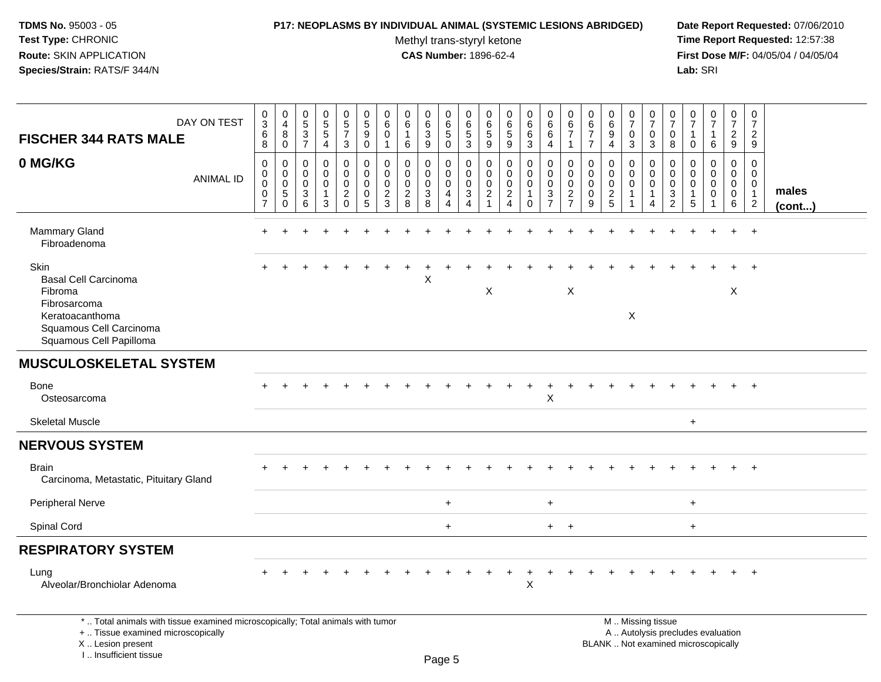#### **P17: NEOPLASMS BY INDIVIDUAL ANIMAL (SYSTEMIC LESIONS ABRIDGED) Date Report Requested:** 07/06/2010

Methyl trans-styryl ketone<br>CAS Number: 1896-62-4

| DAY ON TEST<br><b>FISCHER 344 RATS MALE</b>                                                                                                                         | 0<br>$\ensuremath{\mathsf{3}}$<br>6<br>8                         | $_4^{\rm 0}$<br>8<br>0                                      | $\pmb{0}$<br>$\overline{5}$<br>$\mathsf 3$<br>$\overline{7}$ | $\begin{array}{c} 0 \\ 5 \end{array}$<br>$\overline{5}$<br>4 | $\begin{array}{c} 0 \\ 5 \end{array}$<br>$\overline{7}$<br>3     | $\pmb{0}$<br>$\sqrt{5}$<br>9<br>$\mathbf 0$                         | $\mathbf 0$<br>6<br>$\mathbf 0$<br>$\mathbf{1}$                              | $\mathbf 0$<br>$6\phantom{.}6$<br>$\mathbf{1}$<br>6           | 0<br>$\overline{6}$<br>3<br>9   | $\pmb{0}$<br>$6\overline{6}$<br>5<br>0                                  | $\mathbf 0$<br>6<br>$\mathbf 5$<br>$\mathfrak{S}$                         | $\mathbf 0$<br>6<br>$\sqrt{5}$<br>9                         | $\mathbf 0$<br>$6\phantom{.}6$<br>$\sqrt{5}$<br>9                                  | $\pmb{0}$<br>6<br>$\,6\,$<br>$\mathbf{3}$            | $\pmb{0}$<br>6<br>6<br>4                              | 0<br>$6\overline{6}$<br>$\overline{7}$<br>$\mathbf 1$               | 0<br>6<br>$\overline{7}$<br>$\overline{7}$    | $\mathbf 0$<br>$6\phantom{a}$<br>$9\,$<br>4 | $\frac{0}{7}$<br>$\mathbf 0$<br>3 | $\mathbf 0$<br>$\overline{7}$<br>$\mathbf 0$<br>$\mathbf{3}$   | $\mathbf 0$<br>$\overline{7}$<br>$\mathbf 0$<br>8          | 0<br>$\overline{7}$<br>$\mathbf 1$<br>0 | $\frac{0}{7}$<br>$\mathbf{1}$<br>6 | $\pmb{0}$<br>$\overline{7}$<br>$\overline{2}$<br>9 | $\pmb{0}$<br>$\overline{7}$<br>$\overline{2}$<br>9        |                 |
|---------------------------------------------------------------------------------------------------------------------------------------------------------------------|------------------------------------------------------------------|-------------------------------------------------------------|--------------------------------------------------------------|--------------------------------------------------------------|------------------------------------------------------------------|---------------------------------------------------------------------|------------------------------------------------------------------------------|---------------------------------------------------------------|---------------------------------|-------------------------------------------------------------------------|---------------------------------------------------------------------------|-------------------------------------------------------------|------------------------------------------------------------------------------------|------------------------------------------------------|-------------------------------------------------------|---------------------------------------------------------------------|-----------------------------------------------|---------------------------------------------|-----------------------------------|----------------------------------------------------------------|------------------------------------------------------------|-----------------------------------------|------------------------------------|----------------------------------------------------|-----------------------------------------------------------|-----------------|
| 0 MG/KG<br><b>ANIMAL ID</b>                                                                                                                                         | $\mathbf 0$<br>0<br>$\mathbf 0$<br>$\mathbf 0$<br>$\overline{7}$ | $\mathbf 0$<br>0<br>$\mathsf{O}\xspace$<br>5<br>$\mathbf 0$ | $\Omega$<br>$\Omega$<br>$\mathbf 0$<br>3<br>6                | $\mathbf 0$<br>0<br>$\mathbf 0$<br>-1<br>3                   | $\mathbf 0$<br>0<br>$\mathbf 0$<br>$\overline{a}$<br>$\mathbf 0$ | $\mathbf 0$<br>$\Omega$<br>$\mathbf 0$<br>$\mathbf 0$<br>$\sqrt{5}$ | $\mathbf 0$<br>$\mathbf{0}$<br>$\mathbf 0$<br>$\overline{c}$<br>$\mathbf{3}$ | $\mathbf 0$<br>$\Omega$<br>$\mathbf 0$<br>$\overline{c}$<br>8 | 0<br>0<br>$\mathbf 0$<br>3<br>8 | $\mathbf 0$<br>$\mathbf 0$<br>$\mathbf 0$<br>$\overline{4}$<br>$\Delta$ | $\mathbf 0$<br>0<br>$\mathsf{O}\xspace$<br>$\ensuremath{\mathsf{3}}$<br>4 | $\mathbf 0$<br>$\mathbf 0$<br>$\mathbf 0$<br>$\overline{2}$ | $\mathbf 0$<br>$\Omega$<br>$\mathbf 0$<br>$\overline{a}$<br>$\boldsymbol{\Lambda}$ | 0<br>0<br>$\mathbf 0$<br>$\mathbf{1}$<br>$\mathbf 0$ | $\mathbf 0$<br>0<br>0<br>$\sqrt{3}$<br>$\overline{7}$ | $\mathbf 0$<br>0<br>$\mathbf 0$<br>$\overline{c}$<br>$\overline{7}$ | $\Omega$<br>$\Omega$<br>0<br>$\mathbf 0$<br>9 | $\Omega$<br>0<br>0<br>$\overline{c}$<br>5   | 0<br>0<br>$\mathbf 0$             | $\mathbf 0$<br>$\Omega$<br>$\mathbf 0$<br>-1<br>$\overline{A}$ | $\Omega$<br>$\Omega$<br>$\mathbf 0$<br>3<br>$\overline{c}$ | 0<br>$\Omega$<br>0<br>1<br>5            | 0<br>$\Omega$<br>0<br>$\mathbf 0$  | $\mathbf 0$<br>0<br>0<br>0<br>6                    | $\mathbf 0$<br>0<br>0<br>$\mathbf{1}$<br>$\boldsymbol{2}$ | males<br>(cont) |
| Mammary Gland<br>Fibroadenoma                                                                                                                                       |                                                                  |                                                             |                                                              |                                                              |                                                                  |                                                                     |                                                                              |                                                               |                                 |                                                                         |                                                                           |                                                             |                                                                                    |                                                      |                                                       |                                                                     |                                               |                                             |                                   |                                                                |                                                            |                                         |                                    | $+$                                                | $\ddot{}$                                                 |                 |
| Skin<br><b>Basal Cell Carcinoma</b><br>Fibroma<br>Fibrosarcoma<br>Keratoacanthoma<br>Squamous Cell Carcinoma<br>Squamous Cell Papilloma                             |                                                                  |                                                             |                                                              |                                                              |                                                                  |                                                                     |                                                                              |                                                               | Χ                               |                                                                         |                                                                           | $\boldsymbol{\mathsf{X}}$                                   |                                                                                    |                                                      |                                                       | $\boldsymbol{\mathsf{X}}$                                           |                                               |                                             | Χ                                 |                                                                |                                                            |                                         |                                    | X                                                  |                                                           |                 |
| <b>MUSCULOSKELETAL SYSTEM</b>                                                                                                                                       |                                                                  |                                                             |                                                              |                                                              |                                                                  |                                                                     |                                                                              |                                                               |                                 |                                                                         |                                                                           |                                                             |                                                                                    |                                                      |                                                       |                                                                     |                                               |                                             |                                   |                                                                |                                                            |                                         |                                    |                                                    |                                                           |                 |
| <b>Bone</b><br>Osteosarcoma                                                                                                                                         |                                                                  |                                                             |                                                              |                                                              |                                                                  |                                                                     |                                                                              |                                                               |                                 |                                                                         |                                                                           |                                                             |                                                                                    |                                                      | X                                                     |                                                                     |                                               |                                             |                                   |                                                                |                                                            |                                         |                                    |                                                    |                                                           |                 |
| <b>Skeletal Muscle</b>                                                                                                                                              |                                                                  |                                                             |                                                              |                                                              |                                                                  |                                                                     |                                                                              |                                                               |                                 |                                                                         |                                                                           |                                                             |                                                                                    |                                                      |                                                       |                                                                     |                                               |                                             |                                   |                                                                |                                                            | $\ddot{}$                               |                                    |                                                    |                                                           |                 |
| <b>NERVOUS SYSTEM</b>                                                                                                                                               |                                                                  |                                                             |                                                              |                                                              |                                                                  |                                                                     |                                                                              |                                                               |                                 |                                                                         |                                                                           |                                                             |                                                                                    |                                                      |                                                       |                                                                     |                                               |                                             |                                   |                                                                |                                                            |                                         |                                    |                                                    |                                                           |                 |
| <b>Brain</b><br>Carcinoma, Metastatic, Pituitary Gland                                                                                                              |                                                                  |                                                             |                                                              |                                                              |                                                                  |                                                                     |                                                                              |                                                               |                                 |                                                                         |                                                                           |                                                             |                                                                                    |                                                      |                                                       |                                                                     |                                               |                                             |                                   |                                                                |                                                            |                                         |                                    |                                                    | $\ddot{}$                                                 |                 |
| <b>Peripheral Nerve</b>                                                                                                                                             |                                                                  |                                                             |                                                              |                                                              |                                                                  |                                                                     |                                                                              |                                                               |                                 | $+$                                                                     |                                                                           |                                                             |                                                                                    |                                                      | $\ddot{}$                                             |                                                                     |                                               |                                             |                                   |                                                                |                                                            | $\ddot{}$                               |                                    |                                                    |                                                           |                 |
| Spinal Cord                                                                                                                                                         |                                                                  |                                                             |                                                              |                                                              |                                                                  |                                                                     |                                                                              |                                                               |                                 | $+$                                                                     |                                                                           |                                                             |                                                                                    |                                                      | $+$                                                   | $+$                                                                 |                                               |                                             |                                   |                                                                |                                                            | $+$                                     |                                    |                                                    |                                                           |                 |
| <b>RESPIRATORY SYSTEM</b>                                                                                                                                           |                                                                  |                                                             |                                                              |                                                              |                                                                  |                                                                     |                                                                              |                                                               |                                 |                                                                         |                                                                           |                                                             |                                                                                    |                                                      |                                                       |                                                                     |                                               |                                             |                                   |                                                                |                                                            |                                         |                                    |                                                    |                                                           |                 |
| Lung<br>Alveolar/Bronchiolar Adenoma                                                                                                                                |                                                                  |                                                             |                                                              |                                                              |                                                                  |                                                                     |                                                                              |                                                               |                                 |                                                                         |                                                                           |                                                             |                                                                                    | X                                                    |                                                       |                                                                     |                                               |                                             |                                   |                                                                |                                                            |                                         |                                    |                                                    | $\overline{ }$                                            |                 |
| *  Total animals with tissue examined microscopically; Total animals with tumor<br>+  Tissue examined microscopically<br>X  Lesion present<br>I Insufficient tissue |                                                                  |                                                             |                                                              |                                                              |                                                                  |                                                                     |                                                                              |                                                               |                                 | DaoE                                                                    |                                                                           |                                                             |                                                                                    |                                                      |                                                       |                                                                     |                                               | BLANK  Not examined microscopically         |                                   | M  Missing tissue<br>A  Autolysis precludes evaluation         |                                                            |                                         |                                    |                                                    |                                                           |                 |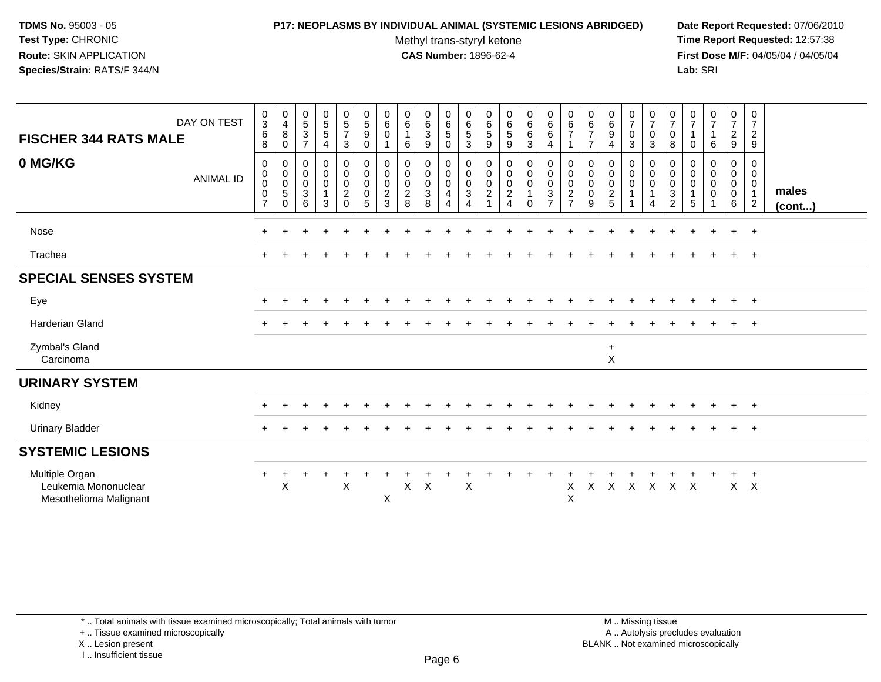### **P17: NEOPLASMS BY INDIVIDUAL ANIMAL (SYSTEMIC LESIONS ABRIDGED) Date Report Requested:** 07/06/2010

Methyl trans-styryl ketone<br>CAS Number: 1896-62-4

 **Time Report Requested:** 12:57:38 **First Dose M/F:** 04/05/04 / 04/05/04<br>Lab: SRI **Lab:** SRI

| DAY ON TEST<br><b>FISCHER 344 RATS MALE</b>                      | $\frac{0}{3}$<br>$\,6\,$<br>8                        | $\begin{smallmatrix}0\0\4\end{smallmatrix}$<br>8<br>0   | $\begin{matrix} 0 \\ 5 \end{matrix}$<br>$\mathbf{3}$<br>$\overline{7}$ | $\begin{array}{c} 0 \\ 5 \\ 5 \end{array}$<br>4                                | $\begin{array}{c} 0 \\ 5 \end{array}$<br>$\overline{7}$<br>3                 | $\begin{array}{c} 0 \\ 5 \end{array}$<br>9<br>0 | $\pmb{0}$<br>$\,6\,$<br>$\mathbf 0$                              | $\begin{array}{c} 0 \\ 6 \end{array}$<br>6 | $\begin{array}{c} 0 \\ 6 \end{array}$<br>$\frac{3}{9}$ | $\begin{array}{c} 0 \\ 6 \end{array}$<br>$\,$ 5 $\,$<br>$\mathbf 0$                        | 0<br>$\,6$<br>5<br>3                           | $\boldsymbol{0}$<br>$\,6\,$<br>5<br>9         | $_6^0$<br>5<br>9                               | $\begin{array}{c} 0 \\ 6 \end{array}$<br>6<br>$\mathbf{3}$                               | $\begin{array}{c} 0 \\ 6 \end{array}$<br>$\,6\,$<br>$\overline{4}$              | 0<br>$\,6\,$<br>$\overline{7}$<br>1                           | $\begin{array}{c} 0 \\ 6 \end{array}$<br>$\overline{7}$<br>$\overline{7}$ | $_6^0$<br>9<br>4                     | $\frac{0}{7}$<br>$\pmb{0}$<br>$\mathfrak{Z}$                             | $\frac{0}{7}$<br>$\pmb{0}$<br>3                      | $\frac{0}{7}$<br>0<br>8                                            | $\frac{0}{7}$<br>$\mathbf 0$                       | $\frac{0}{7}$<br>6                   | $\frac{0}{7}$<br>$\frac{2}{9}$                      | $\mathbf 0$<br>$\overline{7}$<br>$\overline{2}$<br>9              |                       |
|------------------------------------------------------------------|------------------------------------------------------|---------------------------------------------------------|------------------------------------------------------------------------|--------------------------------------------------------------------------------|------------------------------------------------------------------------------|-------------------------------------------------|------------------------------------------------------------------|--------------------------------------------|--------------------------------------------------------|--------------------------------------------------------------------------------------------|------------------------------------------------|-----------------------------------------------|------------------------------------------------|------------------------------------------------------------------------------------------|---------------------------------------------------------------------------------|---------------------------------------------------------------|---------------------------------------------------------------------------|--------------------------------------|--------------------------------------------------------------------------|------------------------------------------------------|--------------------------------------------------------------------|----------------------------------------------------|--------------------------------------|-----------------------------------------------------|-------------------------------------------------------------------|-----------------------|
| 0 MG/KG<br><b>ANIMAL ID</b>                                      | $\mathbf 0$<br>$\pmb{0}$<br>0<br>0<br>$\overline{7}$ | 0<br>$\,0\,$<br>$\pmb{0}$<br>$\overline{5}$<br>$\Omega$ | 0<br>$\mathbf 0$<br>$\mathsf{O}\xspace$<br>$\mathfrak{S}$<br>6         | $\begin{smallmatrix} 0\\0 \end{smallmatrix}$<br>$\pmb{0}$<br>$\mathbf{1}$<br>3 | $\begin{smallmatrix} 0\\0 \end{smallmatrix}$<br>$\frac{0}{2}$<br>$\mathbf 0$ | 0<br>$\pmb{0}$<br>$\mathbf 0$<br>0<br>5         | 0<br>$\boldsymbol{0}$<br>$\boldsymbol{0}$<br>$\overline{c}$<br>3 | 0<br>0<br>$\mathbf 0$<br>$\frac{2}{8}$     | $\pmb{0}$<br>$\mathbf 0$<br>$\frac{0}{3}$              | $\begin{smallmatrix} 0\\0 \end{smallmatrix}$<br>$\mathsf{O}\xspace$<br>4<br>$\overline{4}$ | 0<br>$\pmb{0}$<br>$\pmb{0}$<br>$\sqrt{3}$<br>4 | 0<br>$\pmb{0}$<br>$\pmb{0}$<br>$\overline{c}$ | 0<br>$\mathbf 0$<br>$\pmb{0}$<br>$\frac{2}{4}$ | $\begin{smallmatrix} 0\\0 \end{smallmatrix}$<br>$\pmb{0}$<br>$\mathbf{1}$<br>$\mathbf 0$ | $\begin{smallmatrix} 0\\0 \end{smallmatrix}$<br>$\frac{0}{3}$<br>$\overline{7}$ | 0<br>$\pmb{0}$<br>$\mathsf 0$<br>$\sqrt{2}$<br>$\overline{7}$ | 0<br>$\boldsymbol{0}$<br>$\boldsymbol{0}$<br>$\pmb{0}$<br>9               | 0<br>0<br>$\mathbf 0$<br>$rac{2}{5}$ | $\begin{smallmatrix}0\0\0\end{smallmatrix}$<br>$\pmb{0}$<br>$\mathbf{1}$ | 0<br>$\mathbf 0$<br>$\mathsf 0$<br>$\mathbf{1}$<br>4 | 0<br>0<br>$\pmb{0}$<br>$\ensuremath{\mathsf{3}}$<br>$\overline{2}$ | 0<br>$\pmb{0}$<br>$\pmb{0}$<br>$\overline{1}$<br>5 | 0<br>$\mathbf 0$<br>0<br>$\mathbf 0$ | 0<br>$\mathbf 0$<br>$\mathbf 0$<br>$\mathbf 0$<br>6 | 0<br>$\mathbf 0$<br>$\mathbf 0$<br>$\mathbf{1}$<br>$\overline{2}$ | males<br>$($ cont $)$ |
| Nose                                                             | $\ddot{}$                                            |                                                         |                                                                        |                                                                                |                                                                              |                                                 |                                                                  |                                            |                                                        |                                                                                            |                                                |                                               |                                                |                                                                                          |                                                                                 |                                                               |                                                                           |                                      |                                                                          |                                                      |                                                                    |                                                    |                                      | $+$                                                 | $+$                                                               |                       |
| Trachea                                                          |                                                      |                                                         |                                                                        |                                                                                |                                                                              |                                                 |                                                                  |                                            |                                                        |                                                                                            |                                                |                                               |                                                |                                                                                          |                                                                                 |                                                               |                                                                           |                                      |                                                                          |                                                      |                                                                    |                                                    |                                      |                                                     | $+$                                                               |                       |
| <b>SPECIAL SENSES SYSTEM</b>                                     |                                                      |                                                         |                                                                        |                                                                                |                                                                              |                                                 |                                                                  |                                            |                                                        |                                                                                            |                                                |                                               |                                                |                                                                                          |                                                                                 |                                                               |                                                                           |                                      |                                                                          |                                                      |                                                                    |                                                    |                                      |                                                     |                                                                   |                       |
| Eye                                                              | $\ddot{}$                                            |                                                         |                                                                        |                                                                                |                                                                              |                                                 |                                                                  |                                            |                                                        |                                                                                            |                                                |                                               |                                                |                                                                                          |                                                                                 |                                                               |                                                                           |                                      |                                                                          |                                                      |                                                                    |                                                    |                                      | $+$                                                 | $+$                                                               |                       |
| <b>Harderian Gland</b>                                           |                                                      |                                                         |                                                                        |                                                                                |                                                                              |                                                 |                                                                  |                                            |                                                        |                                                                                            |                                                |                                               |                                                |                                                                                          |                                                                                 |                                                               |                                                                           |                                      |                                                                          |                                                      |                                                                    |                                                    |                                      | $+$                                                 | $^{+}$                                                            |                       |
| Zymbal's Gland<br>Carcinoma                                      |                                                      |                                                         |                                                                        |                                                                                |                                                                              |                                                 |                                                                  |                                            |                                                        |                                                                                            |                                                |                                               |                                                |                                                                                          |                                                                                 |                                                               |                                                                           | $\ddot{}$<br>X                       |                                                                          |                                                      |                                                                    |                                                    |                                      |                                                     |                                                                   |                       |
| <b>URINARY SYSTEM</b>                                            |                                                      |                                                         |                                                                        |                                                                                |                                                                              |                                                 |                                                                  |                                            |                                                        |                                                                                            |                                                |                                               |                                                |                                                                                          |                                                                                 |                                                               |                                                                           |                                      |                                                                          |                                                      |                                                                    |                                                    |                                      |                                                     |                                                                   |                       |
| Kidney                                                           | $\div$                                               |                                                         |                                                                        |                                                                                |                                                                              |                                                 |                                                                  |                                            |                                                        |                                                                                            |                                                |                                               |                                                |                                                                                          |                                                                                 |                                                               |                                                                           |                                      |                                                                          |                                                      |                                                                    |                                                    |                                      | $+$                                                 | $+$                                                               |                       |
| <b>Urinary Bladder</b>                                           |                                                      |                                                         |                                                                        |                                                                                |                                                                              |                                                 |                                                                  |                                            |                                                        |                                                                                            |                                                |                                               |                                                |                                                                                          |                                                                                 |                                                               |                                                                           |                                      |                                                                          |                                                      |                                                                    |                                                    |                                      | $+$                                                 | $+$                                                               |                       |
| <b>SYSTEMIC LESIONS</b>                                          |                                                      |                                                         |                                                                        |                                                                                |                                                                              |                                                 |                                                                  |                                            |                                                        |                                                                                            |                                                |                                               |                                                |                                                                                          |                                                                                 |                                                               |                                                                           |                                      |                                                                          |                                                      |                                                                    |                                                    |                                      |                                                     |                                                                   |                       |
| Multiple Organ<br>Leukemia Mononuclear<br>Mesothelioma Malignant | $\ddot{}$                                            | $\ddot{}$<br>X                                          | $\ddot{}$                                                              | $\ddot{}$                                                                      | $\boldsymbol{\mathsf{X}}$                                                    |                                                 | X                                                                | $\sf X$                                    | $\times$                                               |                                                                                            | $\times$                                       |                                               |                                                |                                                                                          |                                                                                 | X<br>$\sf X$                                                  | X                                                                         | $\times$                             | $\sf X$                                                                  | $\boldsymbol{\mathsf{X}}$                            | $\mathsf{X}$                                                       | $\mathsf{X}$                                       |                                      | $+$<br>X                                            | $^{+}$<br>$\mathsf{X}$                                            |                       |

\* .. Total animals with tissue examined microscopically; Total animals with tumor

+ .. Tissue examined microscopically

X .. Lesion present

I .. Insufficient tissue

 M .. Missing tissuey the contract of the contract of the contract of the contract of the contract of  $\mathsf A$  . Autolysis precludes evaluation Lesion present BLANK .. Not examined microscopically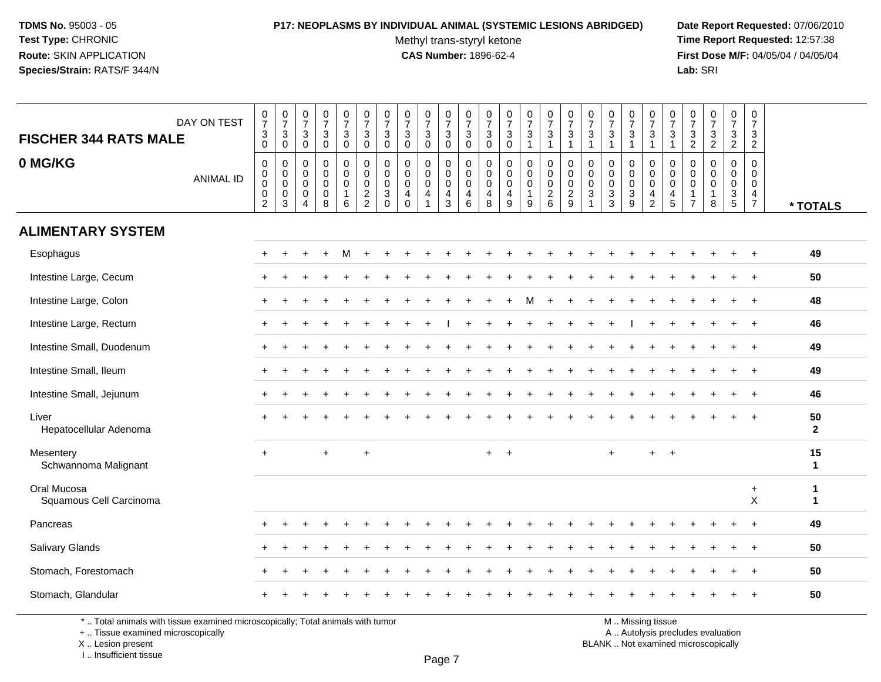# **P17: NEOPLASMS BY INDIVIDUAL ANIMAL (SYSTEMIC LESIONS ABRIDGED) Date Report Requested:** 07/06/2010

Methyl trans-styryl ketone<br>CAS Number: 1896-62-4

 **Time Report Requested:** 12:57:38 **First Dose M/F:** 04/05/04 / 04/05/04<br>**Lab:** SRI **Lab:** SRI

| DAY ON TEST<br><b>FISCHER 344 RATS MALE</b><br>0 MG/KG<br><b>ANIMAL ID</b> | $\begin{array}{c} 0 \\ 7 \end{array}$<br>$_{0}^{3}$<br>$\mathbf 0$<br>$\pmb{0}$ | $\frac{0}{7}$<br>$\mathbf{3}$<br>$\mathbf 0$<br>$\mathbf 0$<br>$\mathbf 0$ | $\frac{0}{7}$<br>$\sqrt{3}$<br>$\mathbf 0$<br>$\Omega$<br>$\mathbf 0$ | $\frac{0}{7}$<br>$\frac{3}{0}$<br>0<br>0 | $\begin{array}{c} 0 \\ 7 \end{array}$<br>$\frac{3}{0}$<br>0<br>$\mathbf 0$ | $\begin{smallmatrix}0\\7\end{smallmatrix}$<br>$_{0}^{3}$<br>$\mathbf 0$<br>$\overline{0}$ | $\frac{0}{7}$<br>$\mathbf{3}$<br>$\mathbf 0$<br>$\mathbf 0$<br>$\Omega$ | $\frac{0}{7}$<br>$\sqrt{3}$<br>$\mathbf 0$<br>$\Omega$<br>$\Omega$ | $\frac{0}{7}$<br>$\mathbf{3}$<br>$\mathbf{0}$<br>$\mathbf 0$<br>0 | $\begin{array}{c} 0 \\ 7 \end{array}$<br>$\mathbf{3}$<br>$\overline{0}$<br>$\mathbf 0$<br>$\mathbf 0$ | $\begin{array}{c} 0 \\ 7 \end{array}$<br>$\ensuremath{\mathsf{3}}$<br>$\overline{0}$<br>0<br>$\mathsf 0$ | $\frac{0}{7}$<br>$_{0}^{3}$<br>0<br>$\mathbf 0$ | $\begin{array}{c} 0 \\ 7 \end{array}$<br>$\sqrt{3}$<br>$\overline{0}$<br>$\mathbf 0$<br>$\mathbf 0$ | $\frac{0}{7}$<br>$\mathbf{3}$<br>$\mathbf{1}$<br>$\mathbf 0$<br>$\mathbf 0$ | $\begin{smallmatrix}0\\7\end{smallmatrix}$<br>$\sqrt{3}$<br>$\mathbf{1}$<br>$\mathbf 0$<br>$\mathbf 0$ | $\frac{0}{7}$<br>$\sqrt{3}$<br>$\overline{1}$<br>0<br>$\pmb{0}$ | $\begin{array}{c} 0 \\ 7 \end{array}$<br>$\mathbf{3}$<br>$\overline{1}$<br>0<br>$\mathbf 0$ | $\frac{0}{7}$<br>$\sqrt{3}$<br>$\overline{1}$<br>$\mathbf 0$<br>$\mathbf 0$ | $\frac{0}{7}$<br>3<br>$\mathbf{1}$<br>0<br>$\mathbf 0$ | $\frac{0}{7}$<br>$\frac{3}{1}$<br>$\mathbf 0$<br>$\mathbf 0$ | $\frac{0}{7}$<br>$\ensuremath{\mathsf{3}}$<br>$\mathbf{1}$<br>0<br>$\mathbf 0$ | $\begin{array}{c} 0 \\ 7 \end{array}$<br>$\frac{3}{2}$<br>$\mathbf 0$<br>$\mathbf 0$ | $\begin{array}{c} 0 \\ 7 \end{array}$<br>$\frac{3}{2}$<br>$\mathbf 0$<br>$\Omega$ | $\frac{0}{7}$<br>3<br>$\overline{2}$<br>0<br>$\mathbf 0$ | $\begin{smallmatrix}0\\7\end{smallmatrix}$<br>$\frac{3}{2}$<br>$\Omega$<br>$\mathbf 0$ |                      |
|----------------------------------------------------------------------------|---------------------------------------------------------------------------------|----------------------------------------------------------------------------|-----------------------------------------------------------------------|------------------------------------------|----------------------------------------------------------------------------|-------------------------------------------------------------------------------------------|-------------------------------------------------------------------------|--------------------------------------------------------------------|-------------------------------------------------------------------|-------------------------------------------------------------------------------------------------------|----------------------------------------------------------------------------------------------------------|-------------------------------------------------|-----------------------------------------------------------------------------------------------------|-----------------------------------------------------------------------------|--------------------------------------------------------------------------------------------------------|-----------------------------------------------------------------|---------------------------------------------------------------------------------------------|-----------------------------------------------------------------------------|--------------------------------------------------------|--------------------------------------------------------------|--------------------------------------------------------------------------------|--------------------------------------------------------------------------------------|-----------------------------------------------------------------------------------|----------------------------------------------------------|----------------------------------------------------------------------------------------|----------------------|
|                                                                            | $\mathbf 0$<br>$\,0\,$<br>$\overline{2}$                                        | $\mathsf 0$<br>0<br>3                                                      | $\mathbf 0$<br>$\mathbf 0$<br>$\overline{4}$                          | $\pmb{0}$<br>$\mathbf 0$<br>8            | $\mathbf 0$<br>$\mathbf{1}$<br>6                                           | $\pmb{0}$<br>$\frac{2}{2}$                                                                | $\mathsf{O}\xspace$<br>$\mathbf{3}$<br>$\mathbf 0$                      | $\mathbf 0$<br>$\overline{4}$<br>$\mathbf 0$                       | $\pmb{0}$<br>4                                                    | $\mathsf{O}\xspace$<br>$\overline{4}$<br>3                                                            | $\mathbf 0$<br>$\overline{4}$<br>$\,6\,$                                                                 | $\pmb{0}$<br>$\overline{4}$<br>$\,8\,$          | $\pmb{0}$<br>$\overline{4}$<br>$\overline{9}$                                                       | $\mathbf 0$<br>1<br>9                                                       | $\mathbf 0$<br>$^2\phantom{1}6$                                                                        | $\pmb{0}$<br>$\frac{2}{9}$                                      | $\pmb{0}$<br>$\mathbf 3$                                                                    | $\pmb{0}$<br>$\sqrt{3}$<br>$\mathbf{3}$                                     | $\pmb{0}$<br>$\mathsf 3$<br>9                          | $\mathsf{O}\xspace$<br>$\overline{4}$<br>$\boldsymbol{2}$    | $\mathbf 0$<br>$\begin{array}{c} 4 \\ 5 \end{array}$                           | $\mathbf 0$<br>$\overline{1}$<br>$\overline{7}$                                      | $\mathbf 0$<br>$\mathbf{1}$<br>8                                                  | $\mathbf 0$<br>$\frac{3}{5}$                             | $\mathbf 0$<br>$\frac{4}{7}$                                                           | * TOTALS             |
| <b>ALIMENTARY SYSTEM</b>                                                   |                                                                                 |                                                                            |                                                                       |                                          |                                                                            |                                                                                           |                                                                         |                                                                    |                                                                   |                                                                                                       |                                                                                                          |                                                 |                                                                                                     |                                                                             |                                                                                                        |                                                                 |                                                                                             |                                                                             |                                                        |                                                              |                                                                                |                                                                                      |                                                                                   |                                                          |                                                                                        |                      |
| Esophagus                                                                  |                                                                                 |                                                                            |                                                                       |                                          | м                                                                          |                                                                                           |                                                                         |                                                                    |                                                                   |                                                                                                       |                                                                                                          |                                                 |                                                                                                     |                                                                             |                                                                                                        |                                                                 |                                                                                             |                                                                             |                                                        |                                                              |                                                                                |                                                                                      |                                                                                   |                                                          |                                                                                        | 49                   |
| Intestine Large, Cecum                                                     |                                                                                 |                                                                            |                                                                       |                                          |                                                                            |                                                                                           |                                                                         |                                                                    |                                                                   |                                                                                                       |                                                                                                          |                                                 |                                                                                                     |                                                                             |                                                                                                        |                                                                 |                                                                                             |                                                                             |                                                        |                                                              |                                                                                |                                                                                      |                                                                                   |                                                          |                                                                                        | 50                   |
| Intestine Large, Colon                                                     |                                                                                 |                                                                            |                                                                       |                                          |                                                                            |                                                                                           |                                                                         |                                                                    |                                                                   |                                                                                                       |                                                                                                          |                                                 |                                                                                                     |                                                                             |                                                                                                        |                                                                 |                                                                                             |                                                                             |                                                        |                                                              |                                                                                |                                                                                      |                                                                                   |                                                          |                                                                                        | 48                   |
| Intestine Large, Rectum                                                    |                                                                                 |                                                                            |                                                                       |                                          |                                                                            |                                                                                           |                                                                         |                                                                    |                                                                   |                                                                                                       |                                                                                                          |                                                 |                                                                                                     |                                                                             |                                                                                                        |                                                                 |                                                                                             |                                                                             |                                                        |                                                              |                                                                                |                                                                                      |                                                                                   |                                                          | $\pm$                                                                                  | 46                   |
| Intestine Small, Duodenum                                                  |                                                                                 |                                                                            |                                                                       |                                          |                                                                            |                                                                                           |                                                                         |                                                                    |                                                                   |                                                                                                       |                                                                                                          |                                                 |                                                                                                     |                                                                             |                                                                                                        |                                                                 |                                                                                             |                                                                             |                                                        |                                                              |                                                                                |                                                                                      |                                                                                   |                                                          |                                                                                        | 49                   |
| Intestine Small, Ileum                                                     |                                                                                 |                                                                            |                                                                       |                                          |                                                                            |                                                                                           |                                                                         |                                                                    |                                                                   |                                                                                                       |                                                                                                          |                                                 |                                                                                                     |                                                                             |                                                                                                        |                                                                 |                                                                                             |                                                                             |                                                        |                                                              |                                                                                |                                                                                      |                                                                                   |                                                          |                                                                                        | 49                   |
| Intestine Small, Jejunum                                                   |                                                                                 |                                                                            |                                                                       |                                          |                                                                            |                                                                                           |                                                                         |                                                                    |                                                                   |                                                                                                       |                                                                                                          |                                                 |                                                                                                     |                                                                             |                                                                                                        |                                                                 |                                                                                             |                                                                             |                                                        |                                                              |                                                                                |                                                                                      |                                                                                   |                                                          | $\ddot{}$                                                                              | 46                   |
| Liver<br>Hepatocellular Adenoma                                            |                                                                                 |                                                                            |                                                                       |                                          |                                                                            |                                                                                           |                                                                         |                                                                    |                                                                   |                                                                                                       |                                                                                                          |                                                 |                                                                                                     |                                                                             |                                                                                                        |                                                                 |                                                                                             |                                                                             |                                                        |                                                              |                                                                                |                                                                                      |                                                                                   |                                                          |                                                                                        | 50<br>$\overline{2}$ |
| Mesentery<br>Schwannoma Malignant                                          | $\ddot{}$                                                                       |                                                                            |                                                                       | $\ddot{}$                                |                                                                            | $\ddot{}$                                                                                 |                                                                         |                                                                    |                                                                   |                                                                                                       |                                                                                                          | $+$                                             | $\ddot{+}$                                                                                          |                                                                             |                                                                                                        |                                                                 |                                                                                             | $\ddot{}$                                                                   |                                                        | $+$                                                          | $\ddot{}$                                                                      |                                                                                      |                                                                                   |                                                          |                                                                                        | 15<br>$\mathbf{1}$   |
| Oral Mucosa<br>Squamous Cell Carcinoma                                     |                                                                                 |                                                                            |                                                                       |                                          |                                                                            |                                                                                           |                                                                         |                                                                    |                                                                   |                                                                                                       |                                                                                                          |                                                 |                                                                                                     |                                                                             |                                                                                                        |                                                                 |                                                                                             |                                                                             |                                                        |                                                              |                                                                                |                                                                                      |                                                                                   |                                                          | $\ddot{}$<br>$\mathsf{X}$                                                              | 1<br>$\mathbf{1}$    |
| Pancreas                                                                   |                                                                                 |                                                                            |                                                                       |                                          |                                                                            |                                                                                           |                                                                         |                                                                    |                                                                   |                                                                                                       |                                                                                                          |                                                 |                                                                                                     |                                                                             |                                                                                                        |                                                                 |                                                                                             |                                                                             |                                                        |                                                              |                                                                                |                                                                                      |                                                                                   |                                                          |                                                                                        | 49                   |
| Salivary Glands                                                            |                                                                                 |                                                                            |                                                                       |                                          |                                                                            |                                                                                           |                                                                         |                                                                    |                                                                   |                                                                                                       |                                                                                                          |                                                 |                                                                                                     |                                                                             |                                                                                                        |                                                                 |                                                                                             |                                                                             |                                                        |                                                              |                                                                                |                                                                                      |                                                                                   |                                                          |                                                                                        | 50                   |
| Stomach, Forestomach                                                       |                                                                                 |                                                                            |                                                                       |                                          |                                                                            |                                                                                           |                                                                         |                                                                    |                                                                   |                                                                                                       |                                                                                                          |                                                 |                                                                                                     |                                                                             |                                                                                                        |                                                                 |                                                                                             |                                                                             |                                                        |                                                              |                                                                                |                                                                                      |                                                                                   |                                                          | $\pm$                                                                                  | 50                   |
| Stomach, Glandular                                                         |                                                                                 |                                                                            |                                                                       |                                          |                                                                            |                                                                                           |                                                                         |                                                                    |                                                                   |                                                                                                       |                                                                                                          |                                                 |                                                                                                     |                                                                             |                                                                                                        |                                                                 |                                                                                             |                                                                             |                                                        |                                                              |                                                                                |                                                                                      |                                                                                   |                                                          |                                                                                        | 50                   |

\* .. Total animals with tissue examined microscopically; Total animals with tumor

+ .. Tissue examined microscopically

X .. Lesion present

I .. Insufficient tissue

M .. Missing tissue

y the contract of the contract of the contract of the contract of the contract of  $\mathsf A$  . Autolysis precludes evaluation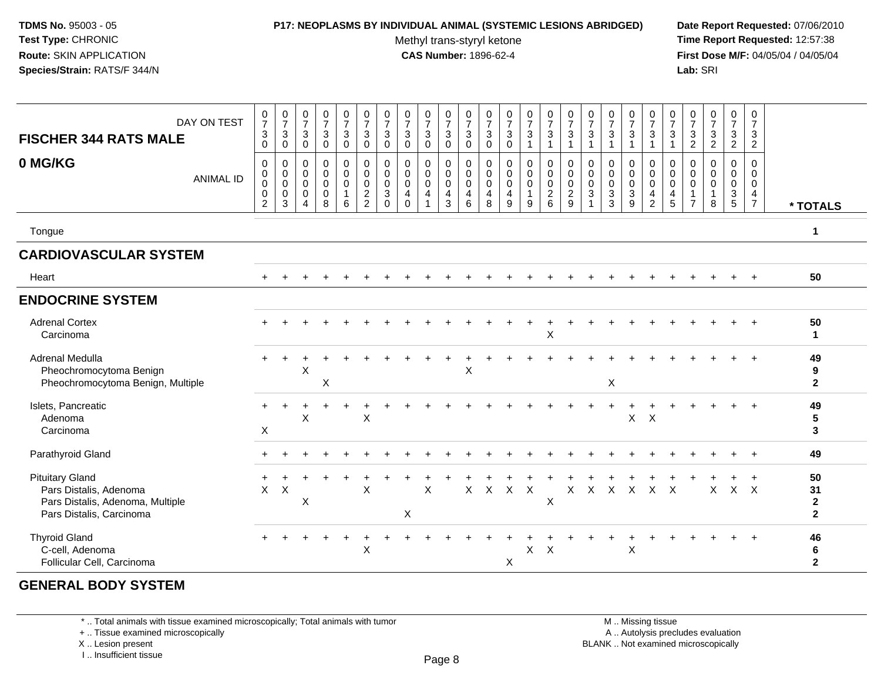# **P17: NEOPLASMS BY INDIVIDUAL ANIMAL (SYSTEMIC LESIONS ABRIDGED) Date Report Requested:** 07/06/2010

Methyl trans-styryl ketone<br>CAS Number: 1896-62-4

 **Time Report Requested:** 12:57:38 **First Dose M/F:** 04/05/04 / 04/05/04<br>**Lab:** SRI **Lab:** SRI

| DAY ON TEST<br><b>FISCHER 344 RATS MALE</b><br>0 MG/KG                                                           | $\frac{0}{7}$<br>$\mathbf{3}$<br>$\mathbf 0$<br>$\mathbf 0$ | $\frac{0}{7}$<br>$\sqrt{3}$<br>0<br>0 | $\frac{0}{7}$<br>$\mathbf{3}$<br>$\mathbf 0$<br>0 | $\frac{0}{7}$<br>$\mathbf{3}$<br>$\mathsf 0$<br>$\pmb{0}$ | $\frac{0}{7}$<br>3<br>0<br>0    | $\frac{0}{7}$<br>$\sqrt{3}$<br>$\mathbf 0$<br>$\mathbf 0$ | $\frac{0}{7}$<br>$\mathbf{3}$<br>0<br>0                   | $\begin{array}{c} 0 \\ 7 \end{array}$<br>$\mathbf{3}$<br>$\mathbf 0$<br>$\mathbf 0$ | $\frac{0}{7}$<br>3<br>0<br>0    | $\begin{array}{c} 0 \\ 7 \end{array}$<br>$\mathbf{3}$<br>$\mathbf 0$<br>0 | $\frac{0}{7}$<br>$\sqrt{3}$<br>$\mathsf 0$<br>0 | $\frac{0}{7}$<br>$\mathbf 3$<br>$\mathbf 0$<br>0  | $\frac{0}{7}$<br>$\sqrt{3}$<br>$\mathbf 0$<br>0 | $\frac{0}{7}$<br>$\mathbf{3}$<br>$\mathbf{1}$<br>0 | $\frac{0}{7}$<br>$\mathbf{3}$<br>$\mathbf{1}$<br>$\pmb{0}$ | $\frac{0}{7}$<br>$\mathbf{3}$<br>$\mathbf 1$<br>$\mathbf 0$ | $\frac{0}{7}$<br>$\sqrt{3}$<br>0        | $\frac{0}{7}$<br>$\sqrt{3}$<br>$\mathbf 0$                              | $\frac{0}{7}$<br>$\sqrt{3}$<br>-1<br>0           | $\frac{0}{7}$<br>$\mathbf{3}$<br>$\mathbf{1}$<br>0 | $\frac{0}{7}$<br>3<br>1<br>0         | $\frac{0}{7}$<br>$\frac{3}{2}$<br>0          | $\frac{0}{7}$<br>$\sqrt{3}$<br>$\overline{2}$<br>0 | $\frac{0}{7}$<br>$\mathbf{3}$<br>$\overline{2}$<br>0 | 0<br>$\overline{7}$<br>$\ensuremath{\mathsf{3}}$<br>$\sqrt{2}$<br>0 |                                            |
|------------------------------------------------------------------------------------------------------------------|-------------------------------------------------------------|---------------------------------------|---------------------------------------------------|-----------------------------------------------------------|---------------------------------|-----------------------------------------------------------|-----------------------------------------------------------|-------------------------------------------------------------------------------------|---------------------------------|---------------------------------------------------------------------------|-------------------------------------------------|---------------------------------------------------|-------------------------------------------------|----------------------------------------------------|------------------------------------------------------------|-------------------------------------------------------------|-----------------------------------------|-------------------------------------------------------------------------|--------------------------------------------------|----------------------------------------------------|--------------------------------------|----------------------------------------------|----------------------------------------------------|------------------------------------------------------|---------------------------------------------------------------------|--------------------------------------------|
| <b>ANIMAL ID</b>                                                                                                 | 0<br>$\boldsymbol{0}$<br>0<br>$\sqrt{2}$                    | 0<br>$\mathsf 0$<br>$\mathbf 0$<br>3  | $\mathbf 0$<br>$\mathbf 0$<br>0<br>4              | 0<br>$\mathsf 0$<br>0<br>8                                | $\mathbf 0$<br>$\mathbf 0$<br>6 | $\mathbf 0$<br>$\mathbf 0$<br>$\frac{2}{2}$               | $\mathbf 0$<br>$\mathbf 0$<br>$\mathbf{3}$<br>$\mathbf 0$ | $\mathbf 0$<br>$\mathbf 0$<br>$\overline{4}$<br>$\mathbf 0$                         | $\mathbf 0$<br>$\mathbf 0$<br>4 | $\mathbf 0$<br>$\mathbf 0$<br>$\overline{4}$<br>3                         | 0<br>$\pmb{0}$<br>$\overline{4}$<br>6           | $\mathbf 0$<br>$\mathsf 0$<br>$\overline{4}$<br>8 | 0<br>$\mathbf 0$<br>4<br>9                      | 0<br>$\mathbf 0$<br>$\mathbf{1}$<br>9              | $\mathbf 0$<br>$\mathbf 0$<br>$\frac{2}{6}$                | 0<br>$\mathsf 0$<br>$\overline{c}$<br>9                     | 0<br>$\mathbf 0$<br>3<br>$\overline{1}$ | $\mathbf 0$<br>$\mathbf 0$<br>$\ensuremath{\mathsf{3}}$<br>$\mathbf{3}$ | 0<br>$\pmb{0}$<br>$\ensuremath{\mathsf{3}}$<br>9 | $\mathbf 0$<br>$\mathsf 0$<br>$\frac{4}{2}$        | $\mathbf 0$<br>$\mathbf 0$<br>4<br>5 | $\mathbf 0$<br>$\mathbf 0$<br>$\overline{7}$ | 0<br>$\mathbf 0$<br>8                              | 0<br>$\mathbf 0$<br>$\frac{3}{5}$                    | $\Omega$<br>$\mathbf 0$<br>$\overline{4}$<br>$\overline{7}$         | * TOTALS                                   |
| Tongue                                                                                                           |                                                             |                                       |                                                   |                                                           |                                 |                                                           |                                                           |                                                                                     |                                 |                                                                           |                                                 |                                                   |                                                 |                                                    |                                                            |                                                             |                                         |                                                                         |                                                  |                                                    |                                      |                                              |                                                    |                                                      |                                                                     | $\mathbf{1}$                               |
| <b>CARDIOVASCULAR SYSTEM</b>                                                                                     |                                                             |                                       |                                                   |                                                           |                                 |                                                           |                                                           |                                                                                     |                                 |                                                                           |                                                 |                                                   |                                                 |                                                    |                                                            |                                                             |                                         |                                                                         |                                                  |                                                    |                                      |                                              |                                                    |                                                      |                                                                     |                                            |
| Heart                                                                                                            |                                                             |                                       |                                                   |                                                           |                                 |                                                           |                                                           |                                                                                     |                                 |                                                                           |                                                 |                                                   |                                                 |                                                    |                                                            |                                                             |                                         |                                                                         |                                                  |                                                    |                                      |                                              |                                                    |                                                      |                                                                     | 50                                         |
| <b>ENDOCRINE SYSTEM</b>                                                                                          |                                                             |                                       |                                                   |                                                           |                                 |                                                           |                                                           |                                                                                     |                                 |                                                                           |                                                 |                                                   |                                                 |                                                    |                                                            |                                                             |                                         |                                                                         |                                                  |                                                    |                                      |                                              |                                                    |                                                      |                                                                     |                                            |
| <b>Adrenal Cortex</b><br>Carcinoma                                                                               |                                                             |                                       |                                                   |                                                           |                                 |                                                           |                                                           |                                                                                     |                                 |                                                                           |                                                 |                                                   |                                                 |                                                    | X                                                          |                                                             |                                         |                                                                         |                                                  |                                                    |                                      |                                              |                                                    |                                                      |                                                                     | 50<br>$\mathbf{1}$                         |
| Adrenal Medulla<br>Pheochromocytoma Benign<br>Pheochromocytoma Benign, Multiple                                  |                                                             |                                       | X                                                 | X                                                         |                                 |                                                           |                                                           |                                                                                     |                                 |                                                                           | X                                               |                                                   |                                                 |                                                    |                                                            |                                                             |                                         | X                                                                       |                                                  |                                                    |                                      |                                              |                                                    |                                                      |                                                                     | 49<br>9<br>$\mathbf{2}$                    |
| Islets, Pancreatic<br>Adenoma<br>Carcinoma                                                                       | X                                                           |                                       | $\sf X$                                           |                                                           |                                 | $\boldsymbol{\mathsf{X}}$                                 |                                                           |                                                                                     |                                 |                                                                           |                                                 |                                                   |                                                 |                                                    |                                                            |                                                             |                                         |                                                                         | $X$ $X$                                          |                                                    |                                      |                                              |                                                    |                                                      |                                                                     | 49<br>5<br>3                               |
| Parathyroid Gland                                                                                                |                                                             |                                       |                                                   |                                                           |                                 |                                                           |                                                           |                                                                                     |                                 |                                                                           |                                                 |                                                   |                                                 |                                                    |                                                            |                                                             |                                         |                                                                         |                                                  |                                                    |                                      |                                              |                                                    |                                                      |                                                                     | 49                                         |
| <b>Pituitary Gland</b><br>Pars Distalis, Adenoma<br>Pars Distalis, Adenoma, Multiple<br>Pars Distalis, Carcinoma | $\times$                                                    | X                                     | X                                                 |                                                           |                                 | X                                                         |                                                           | X                                                                                   | X                               |                                                                           | X                                               | X                                                 | $\mathsf{X}$                                    | $\times$                                           | X                                                          | X                                                           | $\times$                                | $\mathsf{X}$                                                            | $\mathsf{X}$                                     | $\mathsf{X}$                                       | $\sf X$                              |                                              | X                                                  | $X$ $X$                                              |                                                                     | 50<br>31<br>$\mathbf{2}$<br>$\overline{2}$ |
| <b>Thyroid Gland</b><br>C-cell, Adenoma<br>Follicular Cell, Carcinoma                                            |                                                             |                                       |                                                   |                                                           |                                 | $\div$<br>$\pmb{\times}$                                  |                                                           |                                                                                     |                                 |                                                                           |                                                 |                                                   | X                                               | X                                                  | $\times$                                                   |                                                             |                                         |                                                                         | $\sf X$                                          |                                                    |                                      |                                              |                                                    |                                                      |                                                                     | 46<br>6<br>$\mathbf{2}$                    |

# **GENERAL BODY SYSTEM**

\* .. Total animals with tissue examined microscopically; Total animals with tumor

+ .. Tissue examined microscopically

X .. Lesion present

I .. Insufficient tissue

 M .. Missing tissuey the contract of the contract of the contract of the contract of the contract of  $\mathsf A$  . Autolysis precludes evaluation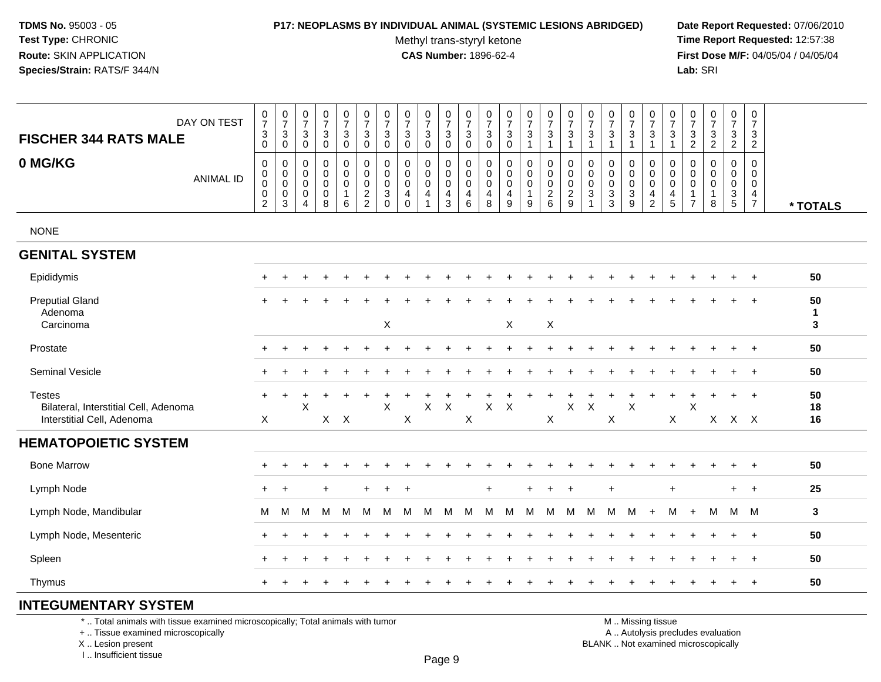#### **P17: NEOPLASMS BY INDIVIDUAL ANIMAL (SYSTEMIC LESIONS ABRIDGED) Date Report Requested:** 07/06/2010

Methyl trans-styryl ketone<br>CAS Number: 1896-62-4

 **Time Report Requested:** 12:57:38 **First Dose M/F:** 04/05/04 / 04/05/04<br>**Lab:** SRI **Lab:** SRI

| DAY ON TEST<br><b>FISCHER 344 RATS MALE</b><br>0 MG/KG<br><b>ANIMAL ID</b>           | $\begin{array}{c} 0 \\ 7 \end{array}$<br>3<br>0<br>0<br>0<br>$\pmb{0}$<br>0<br>$\overline{c}$ | $\frac{0}{7}$<br>$\ensuremath{\mathsf{3}}$<br>$\mathsf{O}\xspace$<br>0<br>0<br>$\pmb{0}$<br>0<br>3 | $\begin{array}{c} 0 \\ 7 \end{array}$<br>3<br>$\mathbf 0$<br>$\mathbf 0$<br>$\mathbf 0$<br>$\boldsymbol{0}$<br>$\mathbf 0$<br>$\overline{4}$ | $\frac{0}{7}$<br>$\mathbf{3}$<br>$\mathbf 0$<br>0<br>$\mathbf 0$<br>$\pmb{0}$<br>$\mathbf 0$<br>$\overline{8}$ | $\pmb{0}$<br>$\overline{7}$<br>3<br>$\mathbf 0$<br>0<br>$\mathbf 0$<br>$\mathbf 0$<br>$\mathbf{1}$<br>6 | $\frac{0}{7}$<br>3<br>$\mathbf 0$<br>0<br>$\mathbf 0$<br>$\mathsf 0$<br>$\frac{2}{2}$ | $\frac{0}{7}$<br>3<br>$\mathsf{O}\xspace$<br>0<br>$\mathbf 0$<br>0<br>$\sqrt{3}$<br>$\mathbf 0$ | $\begin{array}{c} 0 \\ 7 \end{array}$<br>$\sqrt{3}$<br>$\mathbf 0$<br>0<br>$\mathbf 0$<br>$\pmb{0}$<br>$\overline{4}$<br>$\Omega$ | $\frac{0}{7}$<br>3<br>$\mathbf 0$<br>0<br>0<br>$\pmb{0}$<br>$\overline{4}$<br>$\overline{1}$ | $\,0\,$<br>$\overline{7}$<br>3<br>$\mathbf 0$<br>0<br>$\mathsf{O}\xspace$<br>$\mathbf 0$<br>4<br>3 | $\frac{0}{7}$<br>3<br>0<br>0<br>$\mathbf 0$<br>$\mathbf 0$<br>4<br>6 | $\frac{0}{7}$<br>$\ensuremath{\mathsf{3}}$<br>$\pmb{0}$<br>0<br>$\mathbf 0$<br>0<br>$\overline{4}$<br>$\overline{8}$ | $\frac{0}{7}$<br>$\sqrt{3}$<br>$\mathbf 0$<br>0<br>$\mathbf 0$<br>$\pmb{0}$<br>$\overline{4}$<br>$\overline{9}$ | $\frac{0}{7}$<br>3<br>$\mathbf{1}$<br>0<br>0<br>$\mathsf 0$<br>$\mathbf{1}$<br>$\boldsymbol{9}$ | $\begin{smallmatrix}0\\7\end{smallmatrix}$<br>3<br>$\mathbf{1}$<br>0<br>$\mathbf 0$<br>$\mathsf 0$<br>$\frac{2}{6}$ | $\frac{0}{7}$<br>3<br>$\mathbf{1}$<br>0<br>$\pmb{0}$<br>$\begin{smallmatrix} 0\\2\\9 \end{smallmatrix}$ | $\frac{0}{7}$<br>3<br>$\overline{1}$<br>0<br>$\mathbf 0$<br>0<br>$\sqrt{3}$ | $\frac{0}{7}$<br>$\sqrt{3}$<br>$\mathbf{1}$<br>0<br>$\mathbf 0$<br>$\pmb{0}$<br>$\frac{3}{3}$ | $\frac{0}{7}$<br>3<br>$\mathbf{1}$<br>0<br>$\mathbf 0$<br>$\pmb{0}$<br>$_9^3$ | $\mathbf 0$<br>$\overline{7}$<br>3<br>$\mathbf{1}$<br>0<br>$\mathsf{O}\xspace$<br>$\pmb{0}$<br>$\overline{4}$<br>$\overline{2}$ | $\frac{0}{7}$<br>3<br>$\mathbf{1}$<br>0<br>$\mathbf 0$<br>0<br>$\overline{4}$<br>$\overline{5}$ | $\frac{0}{7}$<br>$\ensuremath{\mathsf{3}}$<br>$\overline{c}$<br>0<br>$\mathbf 0$<br>0<br>$\mathbf 1$<br>$\overline{7}$ | $\frac{0}{7}$<br>$\frac{3}{2}$<br>0<br>$\mathbf 0$<br>$\pmb{0}$<br>1<br>8 | $\begin{smallmatrix}0\\7\end{smallmatrix}$<br>$\ensuremath{\mathsf{3}}$<br>$\overline{2}$<br>0<br>$\mathbf 0$<br>$\pmb{0}$<br>$\frac{3}{5}$ | $\mathbf 0$<br>$\overline{7}$<br>3<br>$\overline{2}$<br>$\mathbf 0$<br>$\mathbf 0$<br>$\mathbf 0$<br>$\overline{4}$<br>$\overline{7}$ | * TOTALS                |
|--------------------------------------------------------------------------------------|-----------------------------------------------------------------------------------------------|----------------------------------------------------------------------------------------------------|----------------------------------------------------------------------------------------------------------------------------------------------|----------------------------------------------------------------------------------------------------------------|---------------------------------------------------------------------------------------------------------|---------------------------------------------------------------------------------------|-------------------------------------------------------------------------------------------------|-----------------------------------------------------------------------------------------------------------------------------------|----------------------------------------------------------------------------------------------|----------------------------------------------------------------------------------------------------|----------------------------------------------------------------------|----------------------------------------------------------------------------------------------------------------------|-----------------------------------------------------------------------------------------------------------------|-------------------------------------------------------------------------------------------------|---------------------------------------------------------------------------------------------------------------------|---------------------------------------------------------------------------------------------------------|-----------------------------------------------------------------------------|-----------------------------------------------------------------------------------------------|-------------------------------------------------------------------------------|---------------------------------------------------------------------------------------------------------------------------------|-------------------------------------------------------------------------------------------------|------------------------------------------------------------------------------------------------------------------------|---------------------------------------------------------------------------|---------------------------------------------------------------------------------------------------------------------------------------------|---------------------------------------------------------------------------------------------------------------------------------------|-------------------------|
| <b>NONE</b>                                                                          |                                                                                               |                                                                                                    |                                                                                                                                              |                                                                                                                |                                                                                                         |                                                                                       |                                                                                                 |                                                                                                                                   |                                                                                              |                                                                                                    |                                                                      |                                                                                                                      |                                                                                                                 |                                                                                                 |                                                                                                                     |                                                                                                         |                                                                             |                                                                                               |                                                                               |                                                                                                                                 |                                                                                                 |                                                                                                                        |                                                                           |                                                                                                                                             |                                                                                                                                       |                         |
| <b>GENITAL SYSTEM</b>                                                                |                                                                                               |                                                                                                    |                                                                                                                                              |                                                                                                                |                                                                                                         |                                                                                       |                                                                                                 |                                                                                                                                   |                                                                                              |                                                                                                    |                                                                      |                                                                                                                      |                                                                                                                 |                                                                                                 |                                                                                                                     |                                                                                                         |                                                                             |                                                                                               |                                                                               |                                                                                                                                 |                                                                                                 |                                                                                                                        |                                                                           |                                                                                                                                             |                                                                                                                                       |                         |
| Epididymis                                                                           | ٠                                                                                             |                                                                                                    |                                                                                                                                              |                                                                                                                |                                                                                                         |                                                                                       |                                                                                                 |                                                                                                                                   |                                                                                              |                                                                                                    |                                                                      |                                                                                                                      |                                                                                                                 |                                                                                                 |                                                                                                                     |                                                                                                         |                                                                             |                                                                                               |                                                                               |                                                                                                                                 |                                                                                                 |                                                                                                                        |                                                                           |                                                                                                                                             |                                                                                                                                       | 50                      |
| <b>Preputial Gland</b><br>Adenoma<br>Carcinoma                                       |                                                                                               |                                                                                                    |                                                                                                                                              |                                                                                                                |                                                                                                         |                                                                                       | X                                                                                               |                                                                                                                                   |                                                                                              |                                                                                                    |                                                                      |                                                                                                                      | X                                                                                                               |                                                                                                 | $\boldsymbol{\mathsf{X}}$                                                                                           |                                                                                                         |                                                                             |                                                                                               |                                                                               |                                                                                                                                 |                                                                                                 |                                                                                                                        |                                                                           |                                                                                                                                             |                                                                                                                                       | 50<br>$\mathbf{1}$<br>3 |
| Prostate                                                                             | ÷                                                                                             |                                                                                                    |                                                                                                                                              |                                                                                                                |                                                                                                         |                                                                                       |                                                                                                 |                                                                                                                                   |                                                                                              |                                                                                                    |                                                                      |                                                                                                                      |                                                                                                                 |                                                                                                 |                                                                                                                     |                                                                                                         |                                                                             |                                                                                               |                                                                               |                                                                                                                                 |                                                                                                 |                                                                                                                        |                                                                           |                                                                                                                                             | $\ddot{}$                                                                                                                             | 50                      |
| <b>Seminal Vesicle</b>                                                               | $\ddot{}$                                                                                     |                                                                                                    |                                                                                                                                              |                                                                                                                |                                                                                                         |                                                                                       |                                                                                                 |                                                                                                                                   |                                                                                              |                                                                                                    |                                                                      |                                                                                                                      |                                                                                                                 |                                                                                                 |                                                                                                                     |                                                                                                         |                                                                             |                                                                                               |                                                                               |                                                                                                                                 |                                                                                                 |                                                                                                                        |                                                                           | $\ddot{}$                                                                                                                                   | $+$                                                                                                                                   | 50                      |
| <b>Testes</b><br>Bilateral, Interstitial Cell, Adenoma<br>Interstitial Cell, Adenoma | $\ddot{}$<br>X                                                                                |                                                                                                    | $\times$                                                                                                                                     | $X$ $X$                                                                                                        |                                                                                                         |                                                                                       | X                                                                                               | X                                                                                                                                 | $\mathsf X$                                                                                  | $\times$                                                                                           | X                                                                    | X                                                                                                                    | X                                                                                                               |                                                                                                 | $\mathsf X$                                                                                                         | $\sf X$                                                                                                 | $\mathsf X$                                                                 | X                                                                                             | $\sf X$                                                                       |                                                                                                                                 | X                                                                                               | X                                                                                                                      |                                                                           | $\ddot{}$<br>X X X                                                                                                                          | $+$                                                                                                                                   | 50<br>18<br>16          |
| <b>HEMATOPOIETIC SYSTEM</b>                                                          |                                                                                               |                                                                                                    |                                                                                                                                              |                                                                                                                |                                                                                                         |                                                                                       |                                                                                                 |                                                                                                                                   |                                                                                              |                                                                                                    |                                                                      |                                                                                                                      |                                                                                                                 |                                                                                                 |                                                                                                                     |                                                                                                         |                                                                             |                                                                                               |                                                                               |                                                                                                                                 |                                                                                                 |                                                                                                                        |                                                                           |                                                                                                                                             |                                                                                                                                       |                         |
| <b>Bone Marrow</b>                                                                   | ÷                                                                                             |                                                                                                    |                                                                                                                                              |                                                                                                                |                                                                                                         |                                                                                       |                                                                                                 |                                                                                                                                   |                                                                                              |                                                                                                    |                                                                      |                                                                                                                      |                                                                                                                 |                                                                                                 |                                                                                                                     |                                                                                                         |                                                                             |                                                                                               |                                                                               |                                                                                                                                 |                                                                                                 |                                                                                                                        |                                                                           | $\ddot{}$                                                                                                                                   | $\ddot{}$                                                                                                                             | 50                      |
| Lymph Node                                                                           | $+$                                                                                           | $\ddot{}$                                                                                          |                                                                                                                                              | $\ddot{}$                                                                                                      |                                                                                                         | $+$                                                                                   | ÷.                                                                                              | $\overline{1}$                                                                                                                    |                                                                                              |                                                                                                    |                                                                      | $\ddot{}$                                                                                                            |                                                                                                                 | $+$                                                                                             | $\ddot{}$                                                                                                           | $\ddot{}$                                                                                               |                                                                             | $\ddot{}$                                                                                     |                                                                               |                                                                                                                                 | $\ddot{}$                                                                                       |                                                                                                                        |                                                                           | $+$                                                                                                                                         | $+$                                                                                                                                   | 25                      |
| Lymph Node, Mandibular                                                               | м                                                                                             | M                                                                                                  | м                                                                                                                                            | M                                                                                                              | M                                                                                                       | M                                                                                     | M                                                                                               | M                                                                                                                                 | M                                                                                            | M                                                                                                  | M                                                                    | M                                                                                                                    | M                                                                                                               | M                                                                                               | M                                                                                                                   | M                                                                                                       | M                                                                           | M                                                                                             | M                                                                             | $+$                                                                                                                             | M                                                                                               | $+$                                                                                                                    | M                                                                         | M M                                                                                                                                         |                                                                                                                                       | 3                       |
| Lymph Node, Mesenteric                                                               | $\div$                                                                                        |                                                                                                    |                                                                                                                                              |                                                                                                                |                                                                                                         |                                                                                       |                                                                                                 |                                                                                                                                   |                                                                                              |                                                                                                    |                                                                      |                                                                                                                      |                                                                                                                 |                                                                                                 |                                                                                                                     |                                                                                                         |                                                                             |                                                                                               |                                                                               |                                                                                                                                 |                                                                                                 |                                                                                                                        |                                                                           |                                                                                                                                             | $^{+}$                                                                                                                                | 50                      |
| Spleen                                                                               | $\div$                                                                                        |                                                                                                    |                                                                                                                                              |                                                                                                                |                                                                                                         |                                                                                       |                                                                                                 |                                                                                                                                   |                                                                                              |                                                                                                    |                                                                      |                                                                                                                      |                                                                                                                 |                                                                                                 |                                                                                                                     |                                                                                                         |                                                                             |                                                                                               |                                                                               |                                                                                                                                 |                                                                                                 |                                                                                                                        |                                                                           |                                                                                                                                             | $\ddot{}$                                                                                                                             | 50                      |
| Thymus                                                                               | $\pm$                                                                                         |                                                                                                    |                                                                                                                                              |                                                                                                                |                                                                                                         |                                                                                       |                                                                                                 |                                                                                                                                   |                                                                                              |                                                                                                    |                                                                      |                                                                                                                      |                                                                                                                 |                                                                                                 |                                                                                                                     |                                                                                                         |                                                                             |                                                                                               |                                                                               |                                                                                                                                 |                                                                                                 |                                                                                                                        |                                                                           | $\ddot{}$                                                                                                                                   | $^{+}$                                                                                                                                | 50                      |

# **INTEGUMENTARY SYSTEM**

\* .. Total animals with tissue examined microscopically; Total animals with tumor

+ .. Tissue examined microscopically

 Lesion present BLANK .. Not examined microscopicallyX .. Lesion present

I .. Insufficient tissue

M .. Missing tissue

y the contract of the contract of the contract of the contract of the contract of  $\mathsf A$  . Autolysis precludes evaluation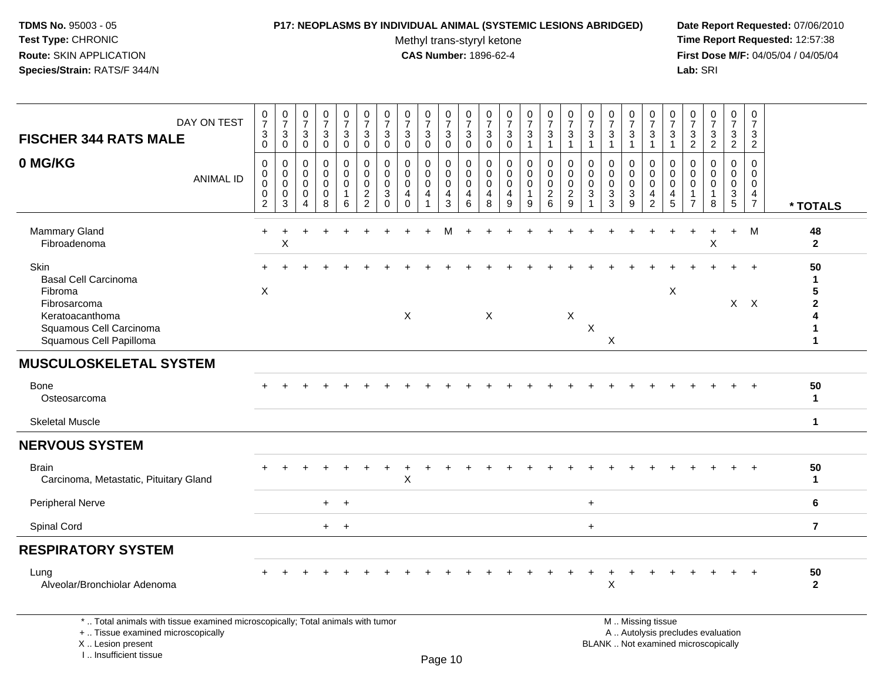#### **P17: NEOPLASMS BY INDIVIDUAL ANIMAL (SYSTEMIC LESIONS ABRIDGED) Date Report Requested:** 07/06/2010

Methyl trans-styryl ketone<br>CAS Number: 1896-62-4

| DAY ON TEST<br><b>FISCHER 344 RATS MALE</b>                                                                                                                         | $\pmb{0}$<br>$\overline{7}$<br>3<br>$\mathbf 0$   | 0<br>$\overline{7}$<br>3<br>$\mathbf 0$             | $\mathbf 0$<br>$\overline{7}$<br>3<br>$\Omega$ | $\pmb{0}$<br>$\overline{7}$<br>3<br>$\mathbf 0$ | $\pmb{0}$<br>$\overline{7}$<br>$\mathbf{3}$<br>$\mathbf 0$ | $\pmb{0}$<br>$\overline{7}$<br>$\mathbf{3}$<br>$\mathbf 0$ | 0<br>$\overline{7}$<br>3<br>$\mathbf 0$                 | 0<br>$\overline{7}$<br>3<br>$\Omega$                    | 0<br>$\overline{7}$<br>3<br>$\mathbf 0$ | 0<br>$\overline{7}$<br>3<br>$\mathbf 0$              | $\pmb{0}$<br>$\overline{7}$<br>$\mathbf{3}$<br>$\mathbf 0$ | 0<br>$\overline{7}$<br>3<br>$\mathbf 0$   | $\pmb{0}$<br>$\overline{7}$<br>3<br>$\mathbf 0$  | 0<br>$\overline{7}$<br>3<br>1   | $\pmb{0}$<br>$\overline{7}$<br>3<br>$\mathbf{1}$                 | 0<br>$\overline{7}$<br>3<br>1                                    | 0<br>$\overline{7}$<br>3<br>$\mathbf{1}$ | $\pmb{0}$<br>$\overline{7}$<br>3<br>$\mathbf{1}$             | 0<br>$\overline{7}$<br>3<br>1 | $\pmb{0}$<br>$\overline{7}$<br>3<br>$\mathbf{1}$       | 0<br>$\overline{7}$<br>3<br>1                       | $\pmb{0}$<br>$\overline{7}$<br>3<br>$\overline{2}$                   | $\pmb{0}$<br>$\overline{7}$<br>$\mathbf{3}$<br>$\overline{2}$            | $\pmb{0}$<br>$\overline{7}$<br>3<br>$\overline{2}$ | $\mathbf 0$<br>$\overline{7}$<br>3<br>$\overline{2}$                          |                                                                              |
|---------------------------------------------------------------------------------------------------------------------------------------------------------------------|---------------------------------------------------|-----------------------------------------------------|------------------------------------------------|-------------------------------------------------|------------------------------------------------------------|------------------------------------------------------------|---------------------------------------------------------|---------------------------------------------------------|-----------------------------------------|------------------------------------------------------|------------------------------------------------------------|-------------------------------------------|--------------------------------------------------|---------------------------------|------------------------------------------------------------------|------------------------------------------------------------------|------------------------------------------|--------------------------------------------------------------|-------------------------------|--------------------------------------------------------|-----------------------------------------------------|----------------------------------------------------------------------|--------------------------------------------------------------------------|----------------------------------------------------|-------------------------------------------------------------------------------|------------------------------------------------------------------------------|
| 0 MG/KG<br><b>ANIMAL ID</b>                                                                                                                                         | $\mathbf 0$<br>0<br>$\pmb{0}$<br>$\mathbf 0$<br>2 | $\mathbf 0$<br>0<br>$\mathbf 0$<br>$\mathbf 0$<br>3 | 0<br>$\Omega$<br>$\mathbf{0}$<br>0<br>Δ        | 0<br>$\mathbf 0$<br>$\mathbf 0$<br>0<br>8       | 0<br>0<br>$\pmb{0}$<br>$\overline{1}$<br>6                 | $\mathbf 0$<br>$\mathbf 0$<br>$\pmb{0}$<br>$\frac{2}{2}$   | $\mathbf 0$<br>$\Omega$<br>$\mathbf 0$<br>3<br>$\Omega$ | $\mathbf 0$<br>$\Omega$<br>$\mathbf 0$<br>4<br>$\Omega$ | 0<br>$\mathbf 0$<br>$\mathbf 0$<br>4    | 0<br>0<br>$\mathsf{O}\xspace$<br>$\overline{4}$<br>3 | 0<br>$\mathbf 0$<br>$\mathbf 0$<br>4<br>6                  | 0<br>$\mathbf 0$<br>$\mathbf 0$<br>4<br>8 | $\mathbf 0$<br>$\mathbf 0$<br>$\Omega$<br>4<br>9 | 0<br>0<br>$\mathbf 0$<br>1<br>9 | $\mathbf 0$<br>$\mathbf 0$<br>$\mathbf 0$<br>$\overline{2}$<br>6 | $\mathbf 0$<br>$\mathbf 0$<br>$\pmb{0}$<br>$\boldsymbol{2}$<br>9 | 0<br>$\mathbf 0$<br>$\mathbf 0$<br>3     | $\mathbf 0$<br>$\mathbf 0$<br>$\mathbf 0$<br>$\sqrt{3}$<br>3 | 0<br>0<br>$\pmb{0}$<br>3<br>9 | 0<br>$\mathbf 0$<br>$\mathbf 0$<br>4<br>$\overline{2}$ | $\mathbf 0$<br>$\mathbf 0$<br>$\mathbf 0$<br>4<br>5 | $\mathbf 0$<br>$\Omega$<br>$\Omega$<br>$\mathbf 1$<br>$\overline{7}$ | $\Omega$<br>$\Omega$<br>$\Omega$<br>$\mathbf{1}$<br>8                    | 0<br>$\mathbf 0$<br>$\mathbf 0$<br>$\frac{3}{5}$   | $\mathbf 0$<br>$\mathbf 0$<br>$\mathbf 0$<br>$\overline{4}$<br>$\overline{7}$ | * TOTALS                                                                     |
| <b>Mammary Gland</b><br>Fibroadenoma                                                                                                                                | $\ddot{}$                                         | +<br>X                                              |                                                |                                                 |                                                            |                                                            |                                                         |                                                         |                                         | M                                                    |                                                            |                                           |                                                  |                                 |                                                                  |                                                                  |                                          |                                                              |                               |                                                        |                                                     | $\ddot{}$                                                            | +<br>X                                                                   | $\ddot{}$                                          | M                                                                             | 48<br>$\mathbf{2}$                                                           |
| <b>Skin</b><br><b>Basal Cell Carcinoma</b><br>Fibroma<br>Fibrosarcoma<br>Keratoacanthoma<br>Squamous Cell Carcinoma<br>Squamous Cell Papilloma                      | $\boldsymbol{\mathsf{X}}$                         |                                                     |                                                |                                                 |                                                            |                                                            |                                                         | $\boldsymbol{\mathsf{X}}$                               |                                         |                                                      |                                                            | $\times$                                  |                                                  |                                 |                                                                  | X                                                                | $\mathsf X$                              | $\boldsymbol{\mathsf{X}}$                                    |                               |                                                        | X                                                   |                                                                      |                                                                          | $X$ $X$                                            |                                                                               | 50<br>-1<br>5<br>$\overline{\mathbf{2}}$<br>4<br>$\mathbf 1$<br>$\mathbf{1}$ |
| <b>MUSCULOSKELETAL SYSTEM</b>                                                                                                                                       |                                                   |                                                     |                                                |                                                 |                                                            |                                                            |                                                         |                                                         |                                         |                                                      |                                                            |                                           |                                                  |                                 |                                                                  |                                                                  |                                          |                                                              |                               |                                                        |                                                     |                                                                      |                                                                          |                                                    |                                                                               |                                                                              |
| <b>Bone</b><br>Osteosarcoma                                                                                                                                         |                                                   |                                                     |                                                |                                                 |                                                            |                                                            |                                                         |                                                         |                                         |                                                      |                                                            |                                           |                                                  |                                 |                                                                  |                                                                  |                                          |                                                              |                               |                                                        |                                                     |                                                                      |                                                                          |                                                    |                                                                               | 50<br>$\mathbf{1}$                                                           |
| <b>Skeletal Muscle</b>                                                                                                                                              |                                                   |                                                     |                                                |                                                 |                                                            |                                                            |                                                         |                                                         |                                         |                                                      |                                                            |                                           |                                                  |                                 |                                                                  |                                                                  |                                          |                                                              |                               |                                                        |                                                     |                                                                      |                                                                          |                                                    |                                                                               | $\mathbf{1}$                                                                 |
| <b>NERVOUS SYSTEM</b>                                                                                                                                               |                                                   |                                                     |                                                |                                                 |                                                            |                                                            |                                                         |                                                         |                                         |                                                      |                                                            |                                           |                                                  |                                 |                                                                  |                                                                  |                                          |                                                              |                               |                                                        |                                                     |                                                                      |                                                                          |                                                    |                                                                               |                                                                              |
| <b>Brain</b><br>Carcinoma, Metastatic, Pituitary Gland                                                                                                              |                                                   |                                                     |                                                |                                                 |                                                            |                                                            |                                                         | X                                                       |                                         |                                                      |                                                            |                                           |                                                  |                                 |                                                                  |                                                                  |                                          |                                                              |                               |                                                        |                                                     |                                                                      |                                                                          |                                                    |                                                                               | 50<br>$\mathbf{1}$                                                           |
| Peripheral Nerve                                                                                                                                                    |                                                   |                                                     |                                                | $+$                                             | $\ddot{}$                                                  |                                                            |                                                         |                                                         |                                         |                                                      |                                                            |                                           |                                                  |                                 |                                                                  |                                                                  | $\ddot{}$                                |                                                              |                               |                                                        |                                                     |                                                                      |                                                                          |                                                    |                                                                               | 6                                                                            |
| Spinal Cord                                                                                                                                                         |                                                   |                                                     |                                                | $+$                                             | $+$                                                        |                                                            |                                                         |                                                         |                                         |                                                      |                                                            |                                           |                                                  |                                 |                                                                  |                                                                  | $+$                                      |                                                              |                               |                                                        |                                                     |                                                                      |                                                                          |                                                    |                                                                               | $\overline{7}$                                                               |
| <b>RESPIRATORY SYSTEM</b>                                                                                                                                           |                                                   |                                                     |                                                |                                                 |                                                            |                                                            |                                                         |                                                         |                                         |                                                      |                                                            |                                           |                                                  |                                 |                                                                  |                                                                  |                                          |                                                              |                               |                                                        |                                                     |                                                                      |                                                                          |                                                    |                                                                               |                                                                              |
| Lung<br>Alveolar/Bronchiolar Adenoma                                                                                                                                |                                                   |                                                     |                                                |                                                 |                                                            |                                                            |                                                         |                                                         |                                         |                                                      |                                                            |                                           |                                                  |                                 |                                                                  |                                                                  |                                          | $\boldsymbol{\mathsf{X}}$                                    |                               |                                                        |                                                     |                                                                      |                                                                          |                                                    |                                                                               | 50<br>$\mathbf{2}$                                                           |
| *  Total animals with tissue examined microscopically; Total animals with tumor<br>+  Tissue examined microscopically<br>X  Lesion present<br>I Insufficient tissue |                                                   |                                                     |                                                |                                                 |                                                            |                                                            |                                                         |                                                         |                                         | $D_{200}$ 10                                         |                                                            |                                           |                                                  |                                 |                                                                  |                                                                  |                                          | M  Missing tissue                                            |                               |                                                        |                                                     |                                                                      | A  Autolysis precludes evaluation<br>BLANK  Not examined microscopically |                                                    |                                                                               |                                                                              |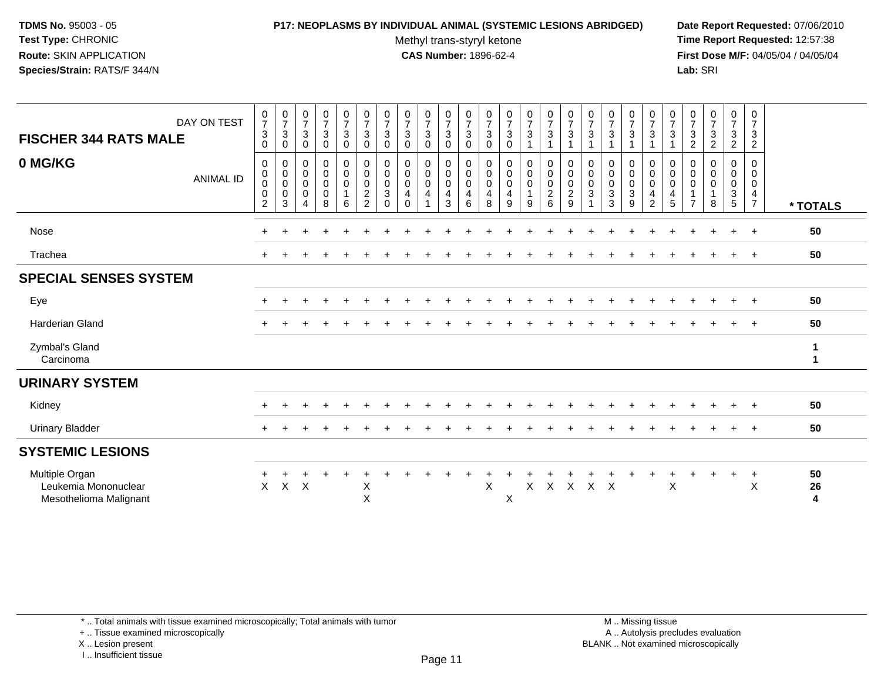# **P17: NEOPLASMS BY INDIVIDUAL ANIMAL (SYSTEMIC LESIONS ABRIDGED) Date Report Requested:** 07/06/2010

Methyl trans-styryl ketone<br>CAS Number: 1896-62-4

 **Time Report Requested:** 12:57:38 **First Dose M/F:** 04/05/04 / 04/05/04<br>Lab: SRI **Lab:** SRI

| DAY ON TEST<br><b>FISCHER 344 RATS MALE</b>                      | $\frac{0}{7}$<br>$\mathbf{3}$<br>$\mathbf 0$                   | $\frac{0}{7}$<br>3<br>0         | $\frac{0}{7}$<br>$\mathbf{3}$<br>$\mathbf 0$                     | $\begin{smallmatrix}0\\7\end{smallmatrix}$<br>$\mathbf{3}$<br>0 | $\frac{0}{7}$<br>$\mathbf{3}$<br>$\mathbf 0$         | $\frac{0}{7}$<br>3<br>0                                                             | $\frac{0}{7}$<br>3<br>0                                   | $\frac{0}{7}$<br>$\sqrt{3}$<br>$\mathbf 0$                            | $\frac{0}{7}$<br>3<br>0                          | $\frac{0}{7}$<br>3<br>0                              | $\frac{0}{7}$<br>3<br>0 | $\frac{0}{7}$<br>3<br>$\mathbf 0$                    | $\frac{0}{7}$<br>$\sqrt{3}$<br>$\mathbf 0$                     | $\frac{0}{7}$<br>$\mathbf{3}$                                 | $\frac{0}{7}$<br>$\mathbf{3}$<br>$\mathbf{1}$                | $\frac{0}{7}$<br>3                                     | $\frac{0}{7}$<br>$\mathbf{3}$<br>$\overline{1}$ | $\frac{0}{7}$<br>$\sqrt{3}$                                                 | $\frac{0}{7}$<br>3                                              | $\frac{0}{7}$<br>$\mathbf{3}$<br>$\mathbf{1}$                           | $\frac{0}{7}$<br>3                                      | $\frac{0}{7}$<br>$\sqrt{3}$<br>$\mathbf{2}$   | $\frac{0}{7}$<br>$\ensuremath{\mathsf{3}}$<br>$\overline{2}$ | $\frac{0}{7}$<br>$\ensuremath{\mathsf{3}}$<br>$\overline{2}$                                         | $\frac{0}{7}$<br>$\mathbf{3}$<br>$\overline{2}$                     |                   |
|------------------------------------------------------------------|----------------------------------------------------------------|---------------------------------|------------------------------------------------------------------|-----------------------------------------------------------------|------------------------------------------------------|-------------------------------------------------------------------------------------|-----------------------------------------------------------|-----------------------------------------------------------------------|--------------------------------------------------|------------------------------------------------------|-------------------------|------------------------------------------------------|----------------------------------------------------------------|---------------------------------------------------------------|--------------------------------------------------------------|--------------------------------------------------------|-------------------------------------------------|-----------------------------------------------------------------------------|-----------------------------------------------------------------|-------------------------------------------------------------------------|---------------------------------------------------------|-----------------------------------------------|--------------------------------------------------------------|------------------------------------------------------------------------------------------------------|---------------------------------------------------------------------|-------------------|
| 0 MG/KG<br><b>ANIMAL ID</b>                                      | 0<br>$\mathbf 0$<br>$\pmb{0}$<br>$\mathbf 0$<br>$\overline{c}$ | 0<br>0<br>$\mathbf 0$<br>0<br>3 | 0<br>$\mathbf 0$<br>$\mathbf 0$<br>$\mathbf 0$<br>$\overline{4}$ | 0<br>$\mathbf 0$<br>$\mathbf 0$<br>$\mathbf 0$<br>8             | 0<br>$\mathbf 0$<br>$\mathbf 0$<br>$\mathbf{1}$<br>6 | 0<br>$\mathsf{O}\xspace$<br>$\mathsf{O}\xspace$<br>$\overline{c}$<br>$\overline{2}$ | 0<br>$\mathbf 0$<br>$\pmb{0}$<br>$\mathbf{3}$<br>$\Omega$ | $\mathbf 0$<br>$\pmb{0}$<br>$\mathbf 0$<br>$\overline{4}$<br>$\Omega$ | 0<br>$\pmb{0}$<br>$\pmb{0}$<br>4<br>$\mathbf{1}$ | $\mathbf 0$<br>$\mathsf{O}$<br>$\mathbf 0$<br>4<br>3 | 0<br>0<br>0<br>4<br>6   | 0<br>$\mathbf 0$<br>$\pmb{0}$<br>$\overline{4}$<br>8 | $\pmb{0}$<br>$\mathbf 0$<br>$\mathsf 0$<br>$\overline{4}$<br>9 | 0<br>$\mathsf{O}\xspace$<br>$\mathsf{O}$<br>$\mathbf{1}$<br>9 | $\mathbf 0$<br>$\mathbf 0$<br>$\mathbf 0$<br>$\sqrt{2}$<br>6 | 0<br>$\mathbf 0$<br>$\mathbf 0$<br>$\overline{a}$<br>9 | 0<br>0<br>$\pmb{0}$<br>3                        | $\mathbf 0$<br>$\mathbf 0$<br>$\mathsf 0$<br>$\ensuremath{\mathsf{3}}$<br>3 | 0<br>$\mathbf 0$<br>$\pmb{0}$<br>$\ensuremath{\mathsf{3}}$<br>9 | $\pmb{0}$<br>$\mathbf 0$<br>$\mathbf 0$<br>$\overline{4}$<br>$\sqrt{2}$ | 0<br>$\mathbf 0$<br>$\mathbf 0$<br>4<br>$5\phantom{.0}$ | 0<br>0<br>0<br>$\mathbf{1}$<br>$\overline{7}$ | 0<br>$\pmb{0}$<br>$\pmb{0}$<br>8                             | $\begin{smallmatrix} 0\\0 \end{smallmatrix}$<br>$\pmb{0}$<br>$\ensuremath{\mathsf{3}}$<br>$\sqrt{5}$ | 0<br>$\mathbf 0$<br>$\mathbf 0$<br>$\overline{4}$<br>$\overline{7}$ | * TOTALS          |
| Nose                                                             | $\ddot{}$                                                      |                                 |                                                                  |                                                                 |                                                      |                                                                                     |                                                           |                                                                       |                                                  |                                                      |                         |                                                      |                                                                |                                                               |                                                              |                                                        |                                                 |                                                                             |                                                                 |                                                                         |                                                         |                                               |                                                              | $\ddot{}$                                                                                            | $+$                                                                 | 50                |
| Trachea                                                          |                                                                |                                 |                                                                  |                                                                 |                                                      |                                                                                     |                                                           |                                                                       |                                                  |                                                      |                         |                                                      |                                                                |                                                               |                                                              |                                                        |                                                 |                                                                             |                                                                 |                                                                         |                                                         |                                               |                                                              |                                                                                                      | $+$                                                                 | 50                |
| <b>SPECIAL SENSES SYSTEM</b>                                     |                                                                |                                 |                                                                  |                                                                 |                                                      |                                                                                     |                                                           |                                                                       |                                                  |                                                      |                         |                                                      |                                                                |                                                               |                                                              |                                                        |                                                 |                                                                             |                                                                 |                                                                         |                                                         |                                               |                                                              |                                                                                                      |                                                                     |                   |
| Eye                                                              | $+$                                                            |                                 |                                                                  |                                                                 |                                                      |                                                                                     |                                                           |                                                                       |                                                  |                                                      |                         |                                                      |                                                                |                                                               |                                                              |                                                        |                                                 |                                                                             |                                                                 |                                                                         |                                                         |                                               |                                                              | $\ddot{}$                                                                                            | $+$                                                                 | 50                |
| <b>Harderian Gland</b>                                           |                                                                |                                 |                                                                  |                                                                 |                                                      |                                                                                     |                                                           |                                                                       |                                                  |                                                      |                         |                                                      |                                                                |                                                               |                                                              |                                                        |                                                 |                                                                             |                                                                 |                                                                         |                                                         |                                               |                                                              |                                                                                                      | $\ddot{}$                                                           | 50                |
| Zymbal's Gland<br>Carcinoma                                      |                                                                |                                 |                                                                  |                                                                 |                                                      |                                                                                     |                                                           |                                                                       |                                                  |                                                      |                         |                                                      |                                                                |                                                               |                                                              |                                                        |                                                 |                                                                             |                                                                 |                                                                         |                                                         |                                               |                                                              |                                                                                                      |                                                                     | $\mathbf{1}$<br>1 |
| <b>URINARY SYSTEM</b>                                            |                                                                |                                 |                                                                  |                                                                 |                                                      |                                                                                     |                                                           |                                                                       |                                                  |                                                      |                         |                                                      |                                                                |                                                               |                                                              |                                                        |                                                 |                                                                             |                                                                 |                                                                         |                                                         |                                               |                                                              |                                                                                                      |                                                                     |                   |
| Kidney                                                           | $\ddot{}$                                                      |                                 |                                                                  |                                                                 |                                                      |                                                                                     |                                                           |                                                                       |                                                  |                                                      |                         |                                                      |                                                                |                                                               |                                                              |                                                        |                                                 |                                                                             |                                                                 |                                                                         |                                                         |                                               |                                                              |                                                                                                      |                                                                     | 50                |
| <b>Urinary Bladder</b>                                           |                                                                |                                 |                                                                  |                                                                 |                                                      |                                                                                     |                                                           |                                                                       |                                                  |                                                      |                         |                                                      |                                                                |                                                               |                                                              |                                                        |                                                 |                                                                             |                                                                 |                                                                         |                                                         |                                               |                                                              | ÷.                                                                                                   | $\overline{+}$                                                      | 50                |
| <b>SYSTEMIC LESIONS</b>                                          |                                                                |                                 |                                                                  |                                                                 |                                                      |                                                                                     |                                                           |                                                                       |                                                  |                                                      |                         |                                                      |                                                                |                                                               |                                                              |                                                        |                                                 |                                                                             |                                                                 |                                                                         |                                                         |                                               |                                                              |                                                                                                      |                                                                     |                   |
| Multiple Organ<br>Leukemia Mononuclear<br>Mesothelioma Malignant | $\mathsf{X}$                                                   | X                               | $\boldsymbol{\mathsf{X}}$                                        |                                                                 |                                                      | Χ<br>$\sf X$                                                                        |                                                           |                                                                       |                                                  |                                                      |                         | X                                                    | X                                                              | $\mathsf{X}$                                                  |                                                              | X X X X                                                |                                                 |                                                                             |                                                                 |                                                                         | X                                                       |                                               |                                                              | $\ddot{}$                                                                                            | $+$<br>X                                                            | 50<br>26<br>4     |

\* .. Total animals with tissue examined microscopically; Total animals with tumor

+ .. Tissue examined microscopically

X .. Lesion present

I .. Insufficient tissue

 M .. Missing tissuey the contract of the contract of the contract of the contract of the contract of  $\mathsf A$  . Autolysis precludes evaluation Lesion present BLANK .. Not examined microscopically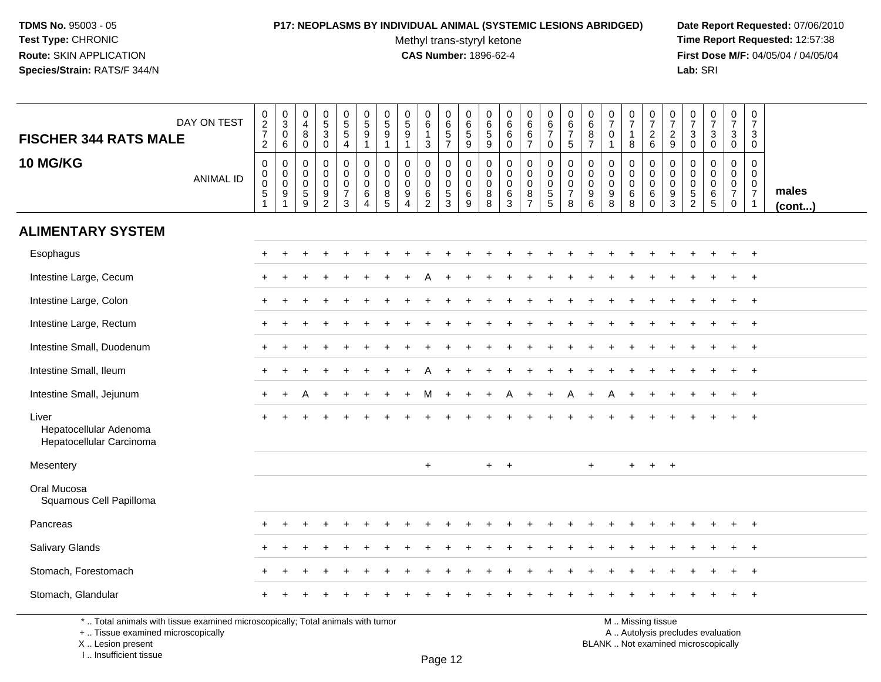# **P17: NEOPLASMS BY INDIVIDUAL ANIMAL (SYSTEMIC LESIONS ABRIDGED) Date Report Requested:** 07/06/2010

Methyl trans-styryl ketone<br>CAS Number: 1896-62-4

 **Time Report Requested:** 12:57:38 **First Dose M/F:** 04/05/04 / 04/05/04<br>Lab: SRI **Lab:** SRI

| <b>FISCHER 344 RATS MALE</b>                                                    | DAY ON TEST      | $\frac{0}{2}$<br>2<br>2                                           | $_{3}^{\rm 0}$<br>$\mathbf 0$<br>$\,6$                            | 0<br>$\overline{4}$<br>8<br>0                                      | $\begin{array}{c} 0 \\ 5 \\ 3 \end{array}$<br>$\mathbf 0$ | $\begin{array}{c} 0 \\ 5 \\ 5 \end{array}$<br>4 | $\begin{array}{c} 0 \\ 5 \\ 9 \end{array}$<br>$\mathbf{1}$                           | $\begin{array}{c} 0 \\ 5 \end{array}$<br>9<br>$\mathbf{1}$ | 0<br>$\sqrt{5}$<br>$9\,$<br>-1                         | $\begin{array}{c} 0 \\ 6 \end{array}$<br>$\mathbf{1}$<br>$\sqrt{3}$  | 0<br>$\begin{array}{c} 6 \\ 5 \\ 7 \end{array}$ | 0<br>$\,6\,$<br>$\overline{5}$<br>$\overline{9}$              | 0<br>6<br>$\sqrt{5}$<br>9       | $\begin{array}{c} 0 \\ 6 \end{array}$<br>$\,6\,$<br>$\ddot{\mathbf{0}}$ | $\begin{matrix}0\\6\\6\end{matrix}$<br>$\overline{7}$     | $\begin{array}{c} 0 \\ 6 \\ 7 \end{array}$<br>0 | $\begin{array}{c} 0 \\ 6 \\ 7 \end{array}$<br>$\sqrt{5}$            | 0<br>$\,6\,$<br>8<br>$\overline{7}$                       | $\frac{0}{7}$<br>$\mathbf 0$<br>$\mathbf{1}$                       | 0<br>$\overline{7}$<br>$\mathbf{1}$<br>8      | $\frac{0}{7}$<br>$\frac{2}{6}$                            | $\frac{0}{7}$<br>$\frac{2}{9}$                                              | $\frac{0}{7}$<br>$\mathbf{3}$<br>$\mathbf 0$                        | $\frac{0}{7}$<br>$\sqrt{3}$<br>$\mathbf 0$                                 | 0<br>$\overline{7}$<br>$\mathbf{3}$<br>$\mathbf 0$               | $\mathbf 0$<br>$\overline{7}$<br>3<br>$\mathbf 0$                           |                       |
|---------------------------------------------------------------------------------|------------------|-------------------------------------------------------------------|-------------------------------------------------------------------|--------------------------------------------------------------------|-----------------------------------------------------------|-------------------------------------------------|--------------------------------------------------------------------------------------|------------------------------------------------------------|--------------------------------------------------------|----------------------------------------------------------------------|-------------------------------------------------|---------------------------------------------------------------|---------------------------------|-------------------------------------------------------------------------|-----------------------------------------------------------|-------------------------------------------------|---------------------------------------------------------------------|-----------------------------------------------------------|--------------------------------------------------------------------|-----------------------------------------------|-----------------------------------------------------------|-----------------------------------------------------------------------------|---------------------------------------------------------------------|----------------------------------------------------------------------------|------------------------------------------------------------------|-----------------------------------------------------------------------------|-----------------------|
| <b>10 MG/KG</b>                                                                 | <b>ANIMAL ID</b> | $\pmb{0}$<br>$_{\rm 0}^{\rm 0}$<br>$\overline{5}$<br>$\mathbf{1}$ | $\pmb{0}$<br>$_{\rm 0}^{\rm 0}$<br>$\overline{9}$<br>$\mathbf{1}$ | 0<br>$\mathbf 0$<br>$\mathbf 0$<br>$\,$ 5 $\,$<br>$\boldsymbol{9}$ | $\pmb{0}$<br>$\mathbf 0$<br>$\mathbf 0$<br>$\frac{9}{2}$  | 0<br>0<br>$\mathbf 0$<br>$\boldsymbol{7}$<br>3  | $\pmb{0}$<br>$\mathsf{O}\xspace$<br>$\ddot{\mathbf{0}}$<br>$\,6\,$<br>$\overline{4}$ | $\mathbf 0$<br>$\mathbf 0$<br>$\mathbf 0$<br>$\bf 8$<br>5  | $\mathbf 0$<br>$\mathbf 0$<br>0<br>9<br>$\overline{4}$ | $\mathbf 0$<br>$\mathbf 0$<br>$\pmb{0}$<br>$\,6\,$<br>$\overline{2}$ | 0<br>0<br>0<br>$\overline{5}$<br>$\mathbf{3}$   | $\mathbf 0$<br>$\mathbf 0$<br>$\mathbf 0$<br>$\,6\,$<br>$9\,$ | 0<br>$\mathbf 0$<br>0<br>8<br>8 | 0<br>$\pmb{0}$<br>$\mathbf 0$<br>$\,6\,$<br>$\mathbf{3}$                | 0<br>0<br>$\mathsf 0$<br>$\overline{8}$<br>$\overline{7}$ | 0<br>0<br>$\mathbf 0$<br>$\overline{5}$<br>5    | $\pmb{0}$<br>$\mathbf 0$<br>$\pmb{0}$<br>$\boldsymbol{7}$<br>$\bf8$ | $\mathbf 0$<br>$\mathbf 0$<br>$\mathbf 0$<br>9<br>$\,6\,$ | $\mathbf 0$<br>$\mathbf 0$<br>$\mathbf 0$<br>$\boldsymbol{9}$<br>8 | 0<br>$\mathbf 0$<br>$\pmb{0}$<br>$\,6\,$<br>8 | 0<br>$\mathbf 0$<br>$\mathbf 0$<br>$\,6\,$<br>$\mathbf 0$ | $\mathbf 0$<br>$\mathbf 0$<br>$\pmb{0}$<br>$\overline{9}$<br>$\mathfrak{S}$ | $\mathbf 0$<br>$\mathbf 0$<br>0<br>$\overline{5}$<br>$\overline{2}$ | $\mathbf 0$<br>$\mathsf{O}\xspace$<br>$\mathbf 0$<br>$\,6\,$<br>$\sqrt{5}$ | 0<br>$\mathbf 0$<br>$\mathbf 0$<br>$\overline{7}$<br>$\mathbf 0$ | $\mathbf 0$<br>$\mathbf 0$<br>$\mathbf 0$<br>$\overline{7}$<br>$\mathbf{1}$ | males<br>$($ cont $)$ |
| <b>ALIMENTARY SYSTEM</b>                                                        |                  |                                                                   |                                                                   |                                                                    |                                                           |                                                 |                                                                                      |                                                            |                                                        |                                                                      |                                                 |                                                               |                                 |                                                                         |                                                           |                                                 |                                                                     |                                                           |                                                                    |                                               |                                                           |                                                                             |                                                                     |                                                                            |                                                                  |                                                                             |                       |
| Esophagus                                                                       |                  |                                                                   |                                                                   |                                                                    |                                                           |                                                 |                                                                                      |                                                            |                                                        |                                                                      |                                                 |                                                               |                                 |                                                                         |                                                           |                                                 |                                                                     |                                                           |                                                                    |                                               |                                                           |                                                                             |                                                                     |                                                                            |                                                                  | $+$                                                                         |                       |
| Intestine Large, Cecum                                                          |                  |                                                                   |                                                                   |                                                                    |                                                           |                                                 |                                                                                      |                                                            |                                                        |                                                                      |                                                 |                                                               |                                 |                                                                         |                                                           |                                                 |                                                                     |                                                           |                                                                    |                                               |                                                           |                                                                             |                                                                     |                                                                            |                                                                  |                                                                             |                       |
| Intestine Large, Colon                                                          |                  | $+$                                                               |                                                                   |                                                                    |                                                           |                                                 |                                                                                      |                                                            |                                                        |                                                                      |                                                 |                                                               |                                 |                                                                         |                                                           |                                                 |                                                                     |                                                           |                                                                    |                                               |                                                           |                                                                             |                                                                     |                                                                            | $\ddot{}$                                                        | $^{+}$                                                                      |                       |
| Intestine Large, Rectum                                                         |                  | $\pm$                                                             |                                                                   |                                                                    |                                                           |                                                 |                                                                                      |                                                            |                                                        |                                                                      |                                                 |                                                               |                                 |                                                                         |                                                           |                                                 |                                                                     |                                                           |                                                                    |                                               |                                                           |                                                                             |                                                                     |                                                                            |                                                                  | $+$                                                                         |                       |
| Intestine Small, Duodenum                                                       |                  |                                                                   |                                                                   |                                                                    |                                                           |                                                 |                                                                                      |                                                            |                                                        |                                                                      |                                                 |                                                               |                                 |                                                                         |                                                           |                                                 |                                                                     |                                                           |                                                                    |                                               |                                                           |                                                                             |                                                                     |                                                                            |                                                                  |                                                                             |                       |
| Intestine Small, Ileum                                                          |                  | $+$                                                               |                                                                   |                                                                    |                                                           |                                                 |                                                                                      |                                                            |                                                        |                                                                      |                                                 |                                                               |                                 |                                                                         |                                                           |                                                 |                                                                     |                                                           |                                                                    |                                               |                                                           |                                                                             |                                                                     |                                                                            | $\ddot{}$                                                        | $+$                                                                         |                       |
| Intestine Small, Jejunum                                                        |                  | $+$                                                               |                                                                   | A                                                                  |                                                           |                                                 |                                                                                      |                                                            |                                                        | м                                                                    | $+$                                             | $+$                                                           | $\ddot{}$                       |                                                                         | $\overline{+}$                                            | $+$                                             | A                                                                   | $\ddot{+}$                                                |                                                                    |                                               |                                                           |                                                                             |                                                                     |                                                                            |                                                                  | $+$                                                                         |                       |
| Liver<br>Hepatocellular Adenoma<br>Hepatocellular Carcinoma                     |                  |                                                                   |                                                                   |                                                                    |                                                           |                                                 |                                                                                      |                                                            |                                                        |                                                                      |                                                 |                                                               |                                 |                                                                         |                                                           |                                                 |                                                                     |                                                           |                                                                    |                                               |                                                           |                                                                             |                                                                     |                                                                            |                                                                  |                                                                             |                       |
| Mesentery                                                                       |                  |                                                                   |                                                                   |                                                                    |                                                           |                                                 |                                                                                      |                                                            |                                                        | $\ddot{}$                                                            |                                                 |                                                               | $\ddot{}$                       | $\ddot{+}$                                                              |                                                           |                                                 |                                                                     | $\ddot{}$                                                 |                                                                    | $\ddot{}$                                     | $+$                                                       | $+$                                                                         |                                                                     |                                                                            |                                                                  |                                                                             |                       |
| Oral Mucosa<br>Squamous Cell Papilloma                                          |                  |                                                                   |                                                                   |                                                                    |                                                           |                                                 |                                                                                      |                                                            |                                                        |                                                                      |                                                 |                                                               |                                 |                                                                         |                                                           |                                                 |                                                                     |                                                           |                                                                    |                                               |                                                           |                                                                             |                                                                     |                                                                            |                                                                  |                                                                             |                       |
| Pancreas                                                                        |                  |                                                                   |                                                                   |                                                                    |                                                           |                                                 |                                                                                      |                                                            |                                                        |                                                                      |                                                 |                                                               |                                 |                                                                         |                                                           |                                                 |                                                                     |                                                           |                                                                    |                                               |                                                           |                                                                             |                                                                     |                                                                            |                                                                  | $\pm$                                                                       |                       |
| <b>Salivary Glands</b>                                                          |                  |                                                                   |                                                                   |                                                                    |                                                           |                                                 |                                                                                      |                                                            |                                                        |                                                                      |                                                 |                                                               |                                 |                                                                         |                                                           |                                                 |                                                                     |                                                           |                                                                    |                                               |                                                           |                                                                             |                                                                     |                                                                            |                                                                  | $\ddot{}$                                                                   |                       |
| Stomach, Forestomach                                                            |                  |                                                                   |                                                                   |                                                                    |                                                           |                                                 |                                                                                      |                                                            |                                                        |                                                                      |                                                 |                                                               |                                 |                                                                         |                                                           |                                                 |                                                                     |                                                           |                                                                    |                                               |                                                           |                                                                             |                                                                     |                                                                            |                                                                  |                                                                             |                       |
| Stomach, Glandular                                                              |                  |                                                                   |                                                                   |                                                                    |                                                           |                                                 |                                                                                      |                                                            |                                                        |                                                                      |                                                 |                                                               |                                 |                                                                         |                                                           |                                                 |                                                                     |                                                           |                                                                    |                                               |                                                           |                                                                             |                                                                     |                                                                            |                                                                  |                                                                             |                       |
| *  Total animals with tissue examined microscopically; Total animals with tumor |                  |                                                                   |                                                                   |                                                                    |                                                           |                                                 |                                                                                      |                                                            |                                                        |                                                                      |                                                 |                                                               |                                 |                                                                         |                                                           |                                                 |                                                                     |                                                           |                                                                    |                                               | M  Missing tissue                                         |                                                                             |                                                                     |                                                                            |                                                                  |                                                                             |                       |

+ .. Tissue examined microscopically

 Lesion present BLANK .. Not examined microscopicallyX .. Lesion present

I .. Insufficient tissue

y the contract of the contract of the contract of the contract of the contract of  $\mathsf A$  . Autolysis precludes evaluation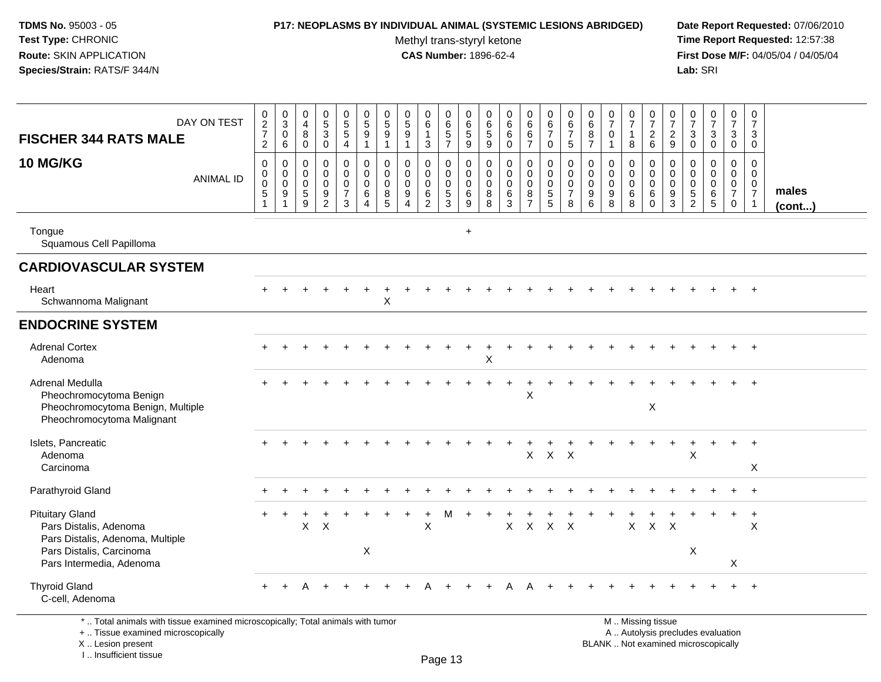# **P17: NEOPLASMS BY INDIVIDUAL ANIMAL (SYSTEMIC LESIONS ABRIDGED) Date Report Requested:** 07/06/2010

Methyl trans-styryl ketone<br>CAS Number: 1896-62-4

 **Time Report Requested:** 12:57:38 **First Dose M/F:** 04/05/04 / 04/05/04<br>Lab: SRI **Lab:** SRI

| <b>FISCHER 344 RATS MALE</b>                                                                                                               | DAY ON TEST      | $\boldsymbol{0}$<br>$\frac{2}{7}$<br>$\overline{2}$                            | 0<br>$\mathbf{3}$<br>$\mathbf 0$<br>6        | $\pmb{0}$<br>$\overline{4}$<br>8<br>$\mathbf 0$                  | $\pmb{0}$<br>$\overline{5}$<br>$\mathbf{3}$<br>0                    | 0<br>$\overline{5}$<br>5<br>4                          | $\begin{array}{c} 0 \\ 5 \end{array}$<br>$\boldsymbol{9}$<br>$\mathbf{1}$ | $\pmb{0}$<br>$\sqrt{5}$<br>9<br>$\overline{1}$      | $\pmb{0}$<br>$\sqrt{5}$<br>9<br>$\mathbf{1}$                          | 0<br>$\,6\,$<br>$\mathbf{1}$<br>3                          | $\mathbf 0$<br>6<br>5<br>$\overline{7}$                        | $\pmb{0}$<br>$\,6$<br>$5\phantom{.0}$<br>9          | 0<br>$\,6\,$<br>$\sqrt{5}$<br>9                     | $\pmb{0}$<br>$6\phantom{a}$<br>$\,6\,$<br>0 | $\pmb{0}$<br>$6\phantom{a}$<br>$6\phantom{1}6$<br>$\overline{7}$       | $\pmb{0}$<br>$\,6\,$<br>$\overline{7}$<br>$\mathbf 0$        | 0<br>$\,6\,$<br>$\overline{7}$<br>5                              | 0<br>$6\phantom{a}$<br>8<br>$\overline{7}$                       | $\frac{0}{7}$<br>$\mathbf 0$<br>$\mathbf{1}$             | $\frac{0}{7}$<br>$\mathbf{1}$<br>8            | $\pmb{0}$<br>$\overline{7}$<br>$\boldsymbol{2}$<br>6              | 0<br>$\overline{7}$<br>$\frac{2}{9}$ | $\pmb{0}$<br>$\overline{7}$<br>3<br>$\mathbf 0$                 | $\frac{0}{7}$<br>3<br>0                                                 | $\pmb{0}$<br>$\overline{7}$<br>3<br>$\mathbf 0$                  | $\pmb{0}$<br>$\overline{7}$<br>3<br>$\mathbf 0$                             |                 |
|--------------------------------------------------------------------------------------------------------------------------------------------|------------------|--------------------------------------------------------------------------------|----------------------------------------------|------------------------------------------------------------------|---------------------------------------------------------------------|--------------------------------------------------------|---------------------------------------------------------------------------|-----------------------------------------------------|-----------------------------------------------------------------------|------------------------------------------------------------|----------------------------------------------------------------|-----------------------------------------------------|-----------------------------------------------------|---------------------------------------------|------------------------------------------------------------------------|--------------------------------------------------------------|------------------------------------------------------------------|------------------------------------------------------------------|----------------------------------------------------------|-----------------------------------------------|-------------------------------------------------------------------|--------------------------------------|-----------------------------------------------------------------|-------------------------------------------------------------------------|------------------------------------------------------------------|-----------------------------------------------------------------------------|-----------------|
| <b>10 MG/KG</b>                                                                                                                            | <b>ANIMAL ID</b> | $\boldsymbol{0}$<br>$\pmb{0}$<br>$\pmb{0}$<br>$\overline{5}$<br>$\overline{1}$ | 0<br>0<br>$\mathbf 0$<br>9<br>$\overline{ }$ | $\Omega$<br>$\mathbf 0$<br>$\overline{0}$<br>$\overline{5}$<br>9 | 0<br>$\mathbf 0$<br>$\pmb{0}$<br>$\boldsymbol{9}$<br>$\overline{2}$ | 0<br>$\mathbf 0$<br>$\mathbf 0$<br>$\overline{7}$<br>3 | $\mathbf 0$<br>$\mathbf 0$<br>$\pmb{0}$<br>$\,6\,$<br>$\overline{4}$      | $\mathbf 0$<br>$\mathbf 0$<br>$\mathbf 0$<br>8<br>5 | $\Omega$<br>$\mathbf 0$<br>$\mathbf 0$<br>9<br>$\boldsymbol{\Lambda}$ | 0<br>$\mathbf 0$<br>$\pmb{0}$<br>$\,6\,$<br>$\overline{2}$ | $\mathbf 0$<br>$\mathsf{O}$<br>$\mathsf{O}$<br>$\sqrt{5}$<br>3 | $\mathbf 0$<br>$\mathbf 0$<br>$\mathbf 0$<br>6<br>9 | $\mathbf 0$<br>$\mathbf 0$<br>$\mathbf 0$<br>8<br>8 | 0<br>$\pmb{0}$<br>$\pmb{0}$<br>$\,6\,$<br>3 | $\mathbf 0$<br>$\mathbf 0$<br>$\mathbf 0$<br>$\bf 8$<br>$\overline{7}$ | $\mathbf 0$<br>$\mathbf 0$<br>$\mathbf 0$<br>$\sqrt{5}$<br>5 | $\mathbf 0$<br>$\mathbf 0$<br>$\mathbf 0$<br>$\overline{7}$<br>8 | $\mathbf 0$<br>$\pmb{0}$<br>$\mathbf 0$<br>$\boldsymbol{9}$<br>6 | $\Omega$<br>$\mathbf 0$<br>$\mathbf 0$<br>9<br>8         | 0<br>$\mathbf 0$<br>$\pmb{0}$<br>$\,6\,$<br>8 | $\mathbf 0$<br>$\mathbf 0$<br>$\mathbf 0$<br>$\,6$<br>$\mathbf 0$ | 0<br>0<br>$\mathbf 0$<br>9<br>3      | $\mathbf 0$<br>$\mathbf 0$<br>$\overline{0}$<br>$\sqrt{5}$<br>2 | $\mathbf 0$<br>$\mathbf 0$<br>$\mathbf 0$<br>$\,6\,$<br>$5\phantom{.0}$ | 0<br>$\mathbf 0$<br>$\mathbf 0$<br>$\overline{7}$<br>$\mathbf 0$ | $\mathbf 0$<br>$\mathbf 0$<br>$\mathbf 0$<br>$\overline{7}$<br>$\mathbf{1}$ | males<br>(cont) |
| Tongue<br>Squamous Cell Papilloma                                                                                                          |                  |                                                                                |                                              |                                                                  |                                                                     |                                                        |                                                                           |                                                     |                                                                       |                                                            |                                                                | $\ddot{}$                                           |                                                     |                                             |                                                                        |                                                              |                                                                  |                                                                  |                                                          |                                               |                                                                   |                                      |                                                                 |                                                                         |                                                                  |                                                                             |                 |
| <b>CARDIOVASCULAR SYSTEM</b>                                                                                                               |                  |                                                                                |                                              |                                                                  |                                                                     |                                                        |                                                                           |                                                     |                                                                       |                                                            |                                                                |                                                     |                                                     |                                             |                                                                        |                                                              |                                                                  |                                                                  |                                                          |                                               |                                                                   |                                      |                                                                 |                                                                         |                                                                  |                                                                             |                 |
| Heart<br>Schwannoma Malignant                                                                                                              |                  |                                                                                |                                              |                                                                  |                                                                     |                                                        |                                                                           | Χ                                                   |                                                                       |                                                            |                                                                |                                                     |                                                     |                                             |                                                                        |                                                              |                                                                  |                                                                  |                                                          |                                               |                                                                   |                                      |                                                                 |                                                                         |                                                                  |                                                                             |                 |
| <b>ENDOCRINE SYSTEM</b>                                                                                                                    |                  |                                                                                |                                              |                                                                  |                                                                     |                                                        |                                                                           |                                                     |                                                                       |                                                            |                                                                |                                                     |                                                     |                                             |                                                                        |                                                              |                                                                  |                                                                  |                                                          |                                               |                                                                   |                                      |                                                                 |                                                                         |                                                                  |                                                                             |                 |
| <b>Adrenal Cortex</b><br>Adenoma                                                                                                           |                  |                                                                                |                                              |                                                                  |                                                                     |                                                        |                                                                           |                                                     |                                                                       |                                                            |                                                                |                                                     | X                                                   |                                             |                                                                        |                                                              |                                                                  |                                                                  |                                                          |                                               |                                                                   |                                      |                                                                 |                                                                         |                                                                  | $^{+}$                                                                      |                 |
| Adrenal Medulla<br>Pheochromocytoma Benign<br>Pheochromocytoma Benign, Multiple<br>Pheochromocytoma Malignant                              |                  |                                                                                |                                              |                                                                  |                                                                     |                                                        |                                                                           |                                                     |                                                                       |                                                            |                                                                |                                                     |                                                     |                                             | X                                                                      |                                                              |                                                                  |                                                                  |                                                          |                                               | $\boldsymbol{\mathsf{X}}$                                         |                                      |                                                                 |                                                                         |                                                                  |                                                                             |                 |
| Islets, Pancreatic<br>Adenoma<br>Carcinoma                                                                                                 |                  |                                                                                |                                              |                                                                  |                                                                     |                                                        |                                                                           |                                                     |                                                                       |                                                            |                                                                |                                                     |                                                     |                                             | $\mathsf{X}$                                                           | $X$ $X$                                                      |                                                                  |                                                                  |                                                          |                                               |                                                                   |                                      | X                                                               |                                                                         |                                                                  | $+$<br>X                                                                    |                 |
| Parathyroid Gland                                                                                                                          |                  |                                                                                |                                              |                                                                  |                                                                     |                                                        |                                                                           |                                                     |                                                                       |                                                            |                                                                |                                                     |                                                     |                                             |                                                                        |                                                              |                                                                  |                                                                  |                                                          |                                               |                                                                   |                                      |                                                                 |                                                                         |                                                                  | $\overline{+}$                                                              |                 |
| <b>Pituitary Gland</b><br>Pars Distalis, Adenoma<br>Pars Distalis, Adenoma, Multiple<br>Pars Distalis, Carcinoma                           |                  |                                                                                |                                              | $\mathsf{X}$                                                     | $\times$                                                            |                                                        | X                                                                         |                                                     |                                                                       | $\ddot{}$<br>$\pmb{\times}$                                | м                                                              |                                                     |                                                     | $\mathsf{X}$                                | $\mathsf X$                                                            | $\mathsf{X}$                                                 | $\boldsymbol{\mathsf{X}}$                                        |                                                                  |                                                          | $\mathsf{X}$                                  | $\mathsf{X}$                                                      | $\boldsymbol{\mathsf{X}}$            | X                                                               |                                                                         | $\ddot{}$                                                        | $+$<br>X                                                                    |                 |
| Pars Intermedia, Adenoma                                                                                                                   |                  |                                                                                |                                              |                                                                  |                                                                     |                                                        |                                                                           |                                                     |                                                                       |                                                            |                                                                |                                                     |                                                     |                                             |                                                                        |                                                              |                                                                  |                                                                  |                                                          |                                               |                                                                   |                                      |                                                                 |                                                                         | X                                                                |                                                                             |                 |
| <b>Thyroid Gland</b><br>C-cell, Adenoma                                                                                                    |                  |                                                                                |                                              |                                                                  |                                                                     |                                                        |                                                                           |                                                     |                                                                       |                                                            |                                                                |                                                     |                                                     |                                             |                                                                        |                                                              |                                                                  |                                                                  |                                                          |                                               |                                                                   |                                      |                                                                 |                                                                         |                                                                  |                                                                             |                 |
| *  Total animals with tissue examined microscopically; Total animals with tumor<br>+  Tissue examined microscopically<br>X  Lesion present |                  |                                                                                |                                              |                                                                  |                                                                     |                                                        |                                                                           |                                                     |                                                                       |                                                            |                                                                |                                                     |                                                     |                                             |                                                                        |                                                              |                                                                  |                                                                  | M  Missing tissue<br>BLANK  Not examined microscopically |                                               | A  Autolysis precludes evaluation                                 |                                      |                                                                 |                                                                         |                                                                  |                                                                             |                 |

X .. Lesion present

I .. Insufficient tissue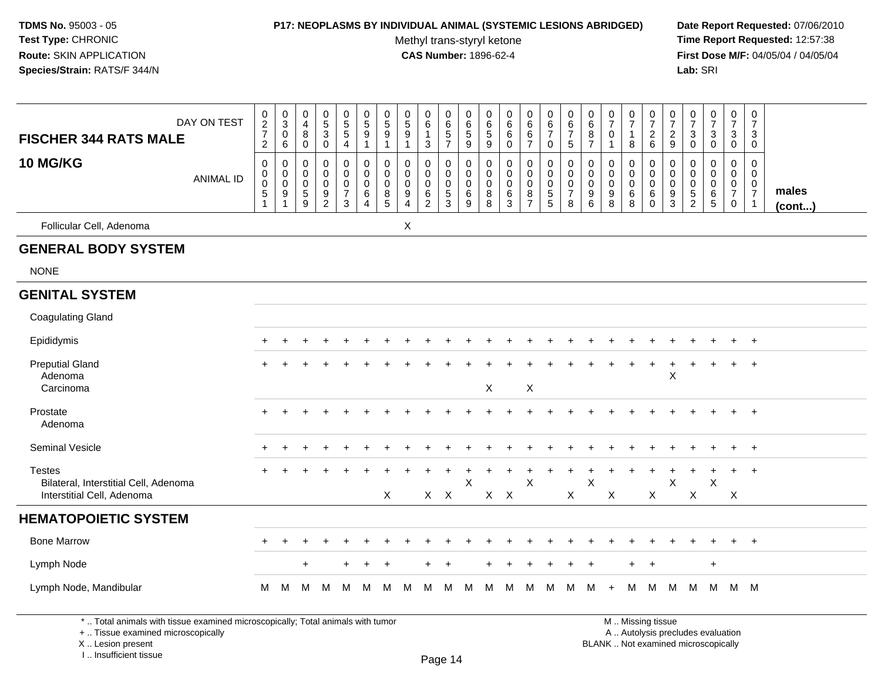#### **P17: NEOPLASMS BY INDIVIDUAL ANIMAL (SYSTEMIC LESIONS ABRIDGED) Date Report Requested:** 07/06/2010

Methyl trans-styryl ketone<br>CAS Number: 1896-62-4

 **Time Report Requested:** 12:57:38 **First Dose M/F:** 04/05/04 / 04/05/04<br>Lab: SRI **Lab:** SRI

| <b>FISCHER 344 RATS MALE</b>                                                         | DAY ON TEST      | 0<br>$\overline{c}$<br>$\overline{7}$<br>$\overline{2}$        | $\pmb{0}$<br>$\mathsf 3$<br>$\pmb{0}$<br>6    | $\boldsymbol{0}$<br>$\overline{4}$<br>$\, 8$<br>$\mathbf 0$     | 0<br>$\sqrt{5}$<br>$\ensuremath{\mathsf{3}}$<br>$\pmb{0}$             | $\pmb{0}$<br>$\overline{5}$<br>$\sqrt{5}$<br>$\overline{a}$                 | 0<br>$\mathbf 5$<br>9<br>1      | 0<br>$\,$ 5 $\,$<br>9<br>$\mathbf 1$                  | $\pmb{0}$<br>$\sqrt{5}$<br>$\boldsymbol{9}$<br>$\mathbf{1}$         | $\pmb{0}$<br>6<br>$\overline{1}$<br>$\mathbf{3}$             | $\,0\,$<br>$\,6\,$<br>$\sqrt{5}$<br>$\overline{7}$         | 0<br>6<br>$\,$ 5 $\,$<br>$9\,$                  | 0<br>6<br>5<br>$\boldsymbol{9}$ | 0<br>6<br>6<br>$\mathbf 0$      | $\pmb{0}$<br>$\,6\,$<br>$\,6\,$<br>$\overline{7}$            | $\pmb{0}$<br>$\,6\,$<br>$\overline{7}$<br>0                | 0<br>6<br>$\overline{7}$<br>$\sqrt{5}$              | 0<br>$\,6$<br>8<br>$\overline{7}$                    | 0<br>$\overline{7}$<br>0<br>$\mathbf{1}$                 | $\frac{0}{7}$<br>$\mathbf{1}$<br>8              | $\pmb{0}$<br>$\overline{7}$<br>$\overline{c}$<br>6      | 0<br>$\overline{7}$<br>$\overline{2}$<br>9                 | $\frac{0}{7}$<br>$\sqrt{3}$<br>$\mathbf 0$                                | 0<br>$\overline{7}$<br>$\sqrt{3}$<br>$\mathbf 0$ | $\pmb{0}$<br>$\overline{7}$<br>3<br>$\overline{0}$        | $\mathbf 0$<br>$\overline{7}$<br>3<br>0                |                 |
|--------------------------------------------------------------------------------------|------------------|----------------------------------------------------------------|-----------------------------------------------|-----------------------------------------------------------------|-----------------------------------------------------------------------|-----------------------------------------------------------------------------|---------------------------------|-------------------------------------------------------|---------------------------------------------------------------------|--------------------------------------------------------------|------------------------------------------------------------|-------------------------------------------------|---------------------------------|---------------------------------|--------------------------------------------------------------|------------------------------------------------------------|-----------------------------------------------------|------------------------------------------------------|----------------------------------------------------------|-------------------------------------------------|---------------------------------------------------------|------------------------------------------------------------|---------------------------------------------------------------------------|--------------------------------------------------|-----------------------------------------------------------|--------------------------------------------------------|-----------------|
| <b>10 MG/KG</b>                                                                      | <b>ANIMAL ID</b> | $\mathbf 0$<br>$\mathbf 0$<br>$\mathbf 0$<br>5<br>$\mathbf{1}$ | 0<br>0<br>$\pmb{0}$<br>$\boldsymbol{9}$<br>-1 | 0<br>$\mathbf 0$<br>$\mathbf 0$<br>$\sqrt{5}$<br>$\overline{9}$ | 0<br>$\mathbf 0$<br>$\mathbf 0$<br>$\boldsymbol{9}$<br>$\overline{c}$ | $\mathbf 0$<br>$\mathbf 0$<br>$\mathbf 0$<br>$\boldsymbol{7}$<br>$\sqrt{3}$ | 0<br>$\mathbf 0$<br>0<br>6<br>4 | $\mathbf 0$<br>$\Omega$<br>$\mathbf 0$<br>$\bf8$<br>5 | 0<br>$\mathbf 0$<br>$\pmb{0}$<br>$\boldsymbol{9}$<br>$\overline{4}$ | 0<br>$\mathbf 0$<br>$\mathbf 0$<br>$\,6\,$<br>$\overline{2}$ | 0<br>$\Omega$<br>$\mathbf 0$<br>$\sqrt{5}$<br>$\mathbf{3}$ | 0<br>$\mathbf 0$<br>$\mathbf 0$<br>$\,6\,$<br>9 | 0<br>0<br>0<br>$\bf 8$<br>8     | 0<br>$\mathbf 0$<br>0<br>6<br>3 | 0<br>$\mathbf 0$<br>$\mathbf 0$<br>$\bf 8$<br>$\overline{7}$ | 0<br>$\mathbf 0$<br>$\pmb{0}$<br>$\,$ 5 $\,$<br>$\sqrt{5}$ | 0<br>$\Omega$<br>$\mathbf 0$<br>$\overline{7}$<br>8 | $\mathbf 0$<br>$\mathbf{0}$<br>$\mathbf 0$<br>9<br>6 | 0<br>$\mathbf 0$<br>$\mathbf 0$<br>$\boldsymbol{9}$<br>8 | 0<br>$\mathbf 0$<br>$\mathbf 0$<br>$\,6\,$<br>8 | 0<br>$\mathbf 0$<br>$\mathbf 0$<br>$\,6$<br>$\mathbf 0$ | 0<br>$\mathbf{0}$<br>0<br>$\boldsymbol{9}$<br>$\mathbf{3}$ | $\mathbf 0$<br>$\mathbf 0$<br>$\mathbf 0$<br>$\sqrt{5}$<br>$\overline{2}$ | 0<br>$\mathbf 0$<br>0<br>$\,6\,$<br>$\sqrt{5}$   | 0<br>$\mathbf 0$<br>$\overline{0}$<br>$\overline{7}$<br>0 | 0<br>$\mathbf 0$<br>0<br>$\overline{7}$<br>$\mathbf 1$ | males<br>(cont) |
| Follicular Cell, Adenoma                                                             |                  |                                                                |                                               |                                                                 |                                                                       |                                                                             |                                 |                                                       | X                                                                   |                                                              |                                                            |                                                 |                                 |                                 |                                                              |                                                            |                                                     |                                                      |                                                          |                                                 |                                                         |                                                            |                                                                           |                                                  |                                                           |                                                        |                 |
| <b>GENERAL BODY SYSTEM</b>                                                           |                  |                                                                |                                               |                                                                 |                                                                       |                                                                             |                                 |                                                       |                                                                     |                                                              |                                                            |                                                 |                                 |                                 |                                                              |                                                            |                                                     |                                                      |                                                          |                                                 |                                                         |                                                            |                                                                           |                                                  |                                                           |                                                        |                 |
| <b>NONE</b>                                                                          |                  |                                                                |                                               |                                                                 |                                                                       |                                                                             |                                 |                                                       |                                                                     |                                                              |                                                            |                                                 |                                 |                                 |                                                              |                                                            |                                                     |                                                      |                                                          |                                                 |                                                         |                                                            |                                                                           |                                                  |                                                           |                                                        |                 |
| <b>GENITAL SYSTEM</b>                                                                |                  |                                                                |                                               |                                                                 |                                                                       |                                                                             |                                 |                                                       |                                                                     |                                                              |                                                            |                                                 |                                 |                                 |                                                              |                                                            |                                                     |                                                      |                                                          |                                                 |                                                         |                                                            |                                                                           |                                                  |                                                           |                                                        |                 |
| <b>Coagulating Gland</b>                                                             |                  |                                                                |                                               |                                                                 |                                                                       |                                                                             |                                 |                                                       |                                                                     |                                                              |                                                            |                                                 |                                 |                                 |                                                              |                                                            |                                                     |                                                      |                                                          |                                                 |                                                         |                                                            |                                                                           |                                                  |                                                           |                                                        |                 |
| Epididymis                                                                           |                  |                                                                |                                               |                                                                 |                                                                       |                                                                             |                                 |                                                       |                                                                     |                                                              |                                                            |                                                 |                                 |                                 |                                                              |                                                            |                                                     |                                                      |                                                          |                                                 |                                                         |                                                            |                                                                           |                                                  |                                                           | $\overline{+}$                                         |                 |
| <b>Preputial Gland</b><br>Adenoma<br>Carcinoma                                       |                  | $\ddot{}$                                                      |                                               |                                                                 |                                                                       |                                                                             |                                 |                                                       |                                                                     |                                                              |                                                            |                                                 | X                               |                                 | X                                                            |                                                            |                                                     |                                                      |                                                          |                                                 | $\ddot{}$                                               | ÷<br>Χ                                                     | $\div$                                                                    | $\overline{+}$                                   | $+$                                                       | $+$                                                    |                 |
| Prostate<br>Adenoma                                                                  |                  |                                                                |                                               |                                                                 |                                                                       |                                                                             |                                 |                                                       |                                                                     |                                                              |                                                            |                                                 |                                 |                                 |                                                              |                                                            |                                                     |                                                      |                                                          |                                                 |                                                         |                                                            |                                                                           |                                                  |                                                           | $\overline{1}$                                         |                 |
| Seminal Vesicle                                                                      |                  | $\ddot{}$                                                      |                                               |                                                                 |                                                                       |                                                                             |                                 |                                                       |                                                                     |                                                              |                                                            |                                                 |                                 |                                 |                                                              |                                                            |                                                     |                                                      |                                                          |                                                 |                                                         |                                                            |                                                                           |                                                  |                                                           | $\div$                                                 |                 |
| <b>Testes</b><br>Bilateral, Interstitial Cell, Adenoma<br>Interstitial Cell, Adenoma |                  | $+$                                                            |                                               |                                                                 | $\ddot{}$                                                             | ÷                                                                           |                                 | X                                                     |                                                                     | $X$ $X$                                                      |                                                            | Χ                                               | $X$ $X$                         |                                 | X                                                            |                                                            | X                                                   | X                                                    | X                                                        |                                                 | X                                                       | X                                                          | X                                                                         | +<br>X                                           | $\ddot{}$<br>$\mathsf{X}$                                 | $+$                                                    |                 |
| <b>HEMATOPOIETIC SYSTEM</b>                                                          |                  |                                                                |                                               |                                                                 |                                                                       |                                                                             |                                 |                                                       |                                                                     |                                                              |                                                            |                                                 |                                 |                                 |                                                              |                                                            |                                                     |                                                      |                                                          |                                                 |                                                         |                                                            |                                                                           |                                                  |                                                           |                                                        |                 |
| <b>Bone Marrow</b>                                                                   |                  | $\ddot{}$                                                      | $\ddot{}$                                     |                                                                 |                                                                       |                                                                             |                                 |                                                       |                                                                     |                                                              |                                                            |                                                 |                                 |                                 |                                                              |                                                            |                                                     |                                                      |                                                          |                                                 |                                                         |                                                            |                                                                           |                                                  | $\ddot{}$                                                 | $^{+}$                                                 |                 |
| Lymph Node                                                                           |                  |                                                                |                                               | $\ddot{}$                                                       |                                                                       | +                                                                           | ÷                               | $\ddot{}$                                             |                                                                     | ÷                                                            | $\ddot{}$                                                  |                                                 | ÷                               | $\div$                          | $\pm$                                                        | $\overline{1}$                                             | $\ddot{}$                                           | $\ddot{}$                                            |                                                          | $+$                                             | $+$                                                     |                                                            |                                                                           | $\ddot{}$                                        |                                                           |                                                        |                 |
| Lymph Node, Mandibular                                                               |                  | М                                                              | M                                             | м                                                               | м                                                                     | м                                                                           | м                               | м                                                     | м                                                                   | м                                                            | м                                                          | м                                               | м                               | м                               | м                                                            | м                                                          | м                                                   | м                                                    | $\ddot{}$                                                | м                                               | M                                                       | м                                                          | М                                                                         | M                                                |                                                           | M M                                                    |                 |

\* .. Total animals with tissue examined microscopically; Total animals with tumor

+ .. Tissue examined microscopically

X .. Lesion present

I .. Insufficient tissue

 M .. Missing tissuey the contract of the contract of the contract of the contract of the contract of  $\mathsf A$  . Autolysis precludes evaluation Lesion present BLANK .. Not examined microscopically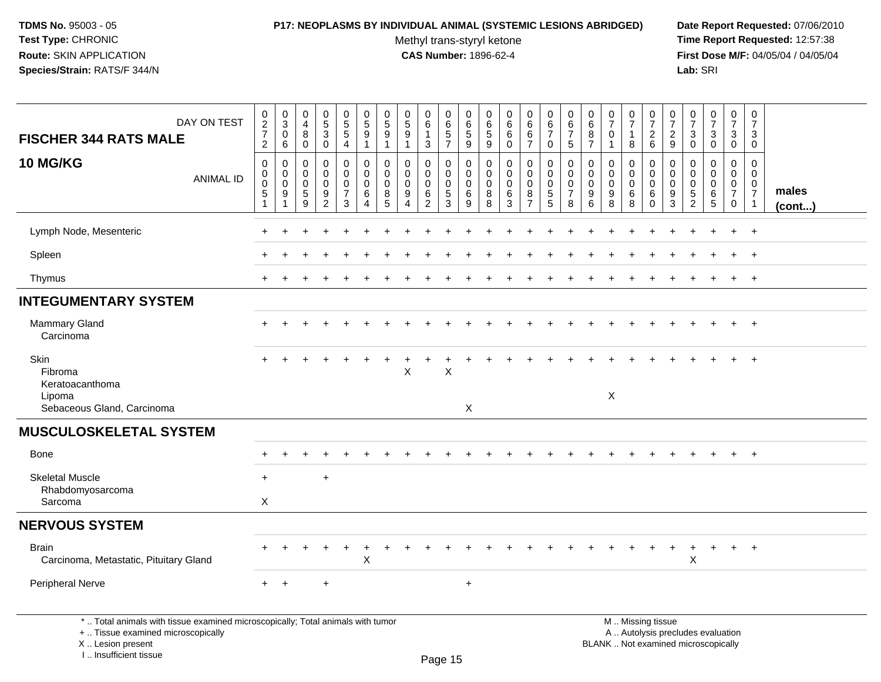### **P17: NEOPLASMS BY INDIVIDUAL ANIMAL (SYSTEMIC LESIONS ABRIDGED) Date Report Requested:** 07/06/2010

Methyl trans-styryl ketone<br>CAS Number: 1896-62-4

| DAY ON TEST<br><b>FISCHER 344 RATS MALE</b>                                                                                                                         | $\begin{array}{c} 0 \\ 2 \\ 7 \end{array}$<br>$\overline{2}$              | $\mathbf 0$<br>$\mathbf{3}$<br>0<br>$\,6$           | $\pmb{0}$<br>$\overline{4}$<br>8<br>$\mathbf 0$ | $\begin{matrix} 0 \\ 5 \end{matrix}$<br>3<br>$\mathbf 0$                        | $\begin{array}{c} 0 \\ 5 \end{array}$<br>$\overline{5}$<br>4 | $\pmb{0}$<br>$\sqrt{5}$<br>$\overline{9}$<br>$\overline{1}$                 | $\mathsf 0$<br>$\sqrt{5}$<br>$9\,$<br>$\mathbf{1}$   | $\mathbf 0$<br>$\sqrt{5}$<br>9<br>$\overline{1}$                      | $\pmb{0}$<br>$\,6\,$<br>$\mathbf{1}$<br>$\mathbf{3}$       | $\pmb{0}$<br>$\,6\,$<br>$\overline{5}$<br>$\overline{7}$      | $\mathbf 0$<br>6<br>$\,$ 5 $\,$<br>$9\,$ | $\pmb{0}$<br>6<br>$\sqrt{5}$<br>9             | $\pmb{0}$<br>6<br>$\,6\,$<br>$\mathbf 0$                  | $\pmb{0}$<br>$\,6\,$<br>$6\overline{6}$<br>$\overline{7}$ | $\pmb{0}$<br>6<br>$\overline{7}$<br>0                                | 0<br>6<br>$\overline{7}$<br>5                                 | 0<br>$\,6\,$<br>$\, 8$<br>$\overline{7}$                 | 0<br>$\overline{7}$<br>$\Omega$<br>$\mathbf{1}$ | $\frac{0}{7}$<br>$\mathbf{1}$<br>8              | $\frac{0}{7}$<br>$^2\phantom{1}6$                                                             | $\pmb{0}$<br>$\overline{7}$<br>$\overline{c}$<br>9 | $\frac{0}{7}$<br>$\sqrt{3}$<br>$\mathbf 0$                              | $\frac{0}{7}$<br>3<br>0                                | $\frac{0}{7}$<br>3<br>$\mathbf 0$                                             | $\pmb{0}$<br>$\overline{7}$<br>3<br>$\mathbf 0$                              |                 |
|---------------------------------------------------------------------------------------------------------------------------------------------------------------------|---------------------------------------------------------------------------|-----------------------------------------------------|-------------------------------------------------|---------------------------------------------------------------------------------|--------------------------------------------------------------|-----------------------------------------------------------------------------|------------------------------------------------------|-----------------------------------------------------------------------|------------------------------------------------------------|---------------------------------------------------------------|------------------------------------------|-----------------------------------------------|-----------------------------------------------------------|-----------------------------------------------------------|----------------------------------------------------------------------|---------------------------------------------------------------|----------------------------------------------------------|-------------------------------------------------|-------------------------------------------------|-----------------------------------------------------------------------------------------------|----------------------------------------------------|-------------------------------------------------------------------------|--------------------------------------------------------|-------------------------------------------------------------------------------|------------------------------------------------------------------------------|-----------------|
| <b>10 MG/KG</b><br><b>ANIMAL ID</b>                                                                                                                                 | $\pmb{0}$<br>$\mathbf 0$<br>$\pmb{0}$<br>$\overline{5}$<br>$\overline{1}$ | $\mathbf 0$<br>$\mathbf 0$<br>$\mathbf 0$<br>9<br>1 | $\Omega$<br>$\mathbf 0$<br>$\Omega$<br>5<br>9   | $\mathbf 0$<br>$\mathbf 0$<br>$\mathbf 0$<br>$\boldsymbol{9}$<br>$\overline{2}$ | 0<br>$\mathbf 0$<br>$\mathbf 0$<br>$\overline{7}$<br>3       | $\mathbf 0$<br>$\pmb{0}$<br>$\pmb{0}$<br>$\,6\,$<br>$\overline{\mathbf{4}}$ | $\mathbf{0}$<br>$\mathbf 0$<br>$\mathbf 0$<br>8<br>5 | $\Omega$<br>$\mathbf 0$<br>$\mathbf 0$<br>9<br>$\boldsymbol{\Lambda}$ | 0<br>$\mathbf 0$<br>$\mathbf 0$<br>$\,6$<br>$\overline{2}$ | $\mathbf{0}$<br>$\mathbf 0$<br>$\mathbf 0$<br>$\sqrt{5}$<br>3 | 0<br>0<br>$\mathbf 0$<br>6<br>9          | $\Omega$<br>$\mathbf 0$<br>$\Omega$<br>8<br>8 | $\mathbf 0$<br>$\mathbf 0$<br>$\mathbf 0$<br>$\,6\,$<br>3 | 0<br>$\mathbf 0$<br>$\mathbf 0$<br>8<br>$\overline{7}$    | $\Omega$<br>$\pmb{0}$<br>$\mathbf 0$<br>$\sqrt{5}$<br>$5\phantom{1}$ | $\Omega$<br>$\mathbf 0$<br>$\mathbf 0$<br>$\overline{7}$<br>8 | $\mathbf 0$<br>0<br>$\mathbf 0$<br>$\boldsymbol{9}$<br>6 | $\Omega$<br>$\mathbf 0$<br>$\Omega$<br>9<br>8   | 0<br>$\mathsf{O}\xspace$<br>$\pmb{0}$<br>6<br>8 | $\mathbf{0}$<br>$\mathbf 0$<br>$\mathbf 0$<br>6<br>$\Omega$                                   | $\Omega$<br>$\mathbf 0$<br>0<br>9<br>3             | $\Omega$<br>$\mathbf 0$<br>$\Omega$<br>$\overline{5}$<br>$\overline{2}$ | $\Omega$<br>$\mathbf 0$<br>$\mathbf 0$<br>$\,6\,$<br>5 | $\mathbf 0$<br>$\mathbf 0$<br>$\overline{0}$<br>$\overline{7}$<br>$\mathbf 0$ | $\mathbf 0$<br>$\mathbf 0$<br>$\mathbf{0}$<br>$\overline{7}$<br>$\mathbf{1}$ | males<br>(cont) |
| Lymph Node, Mesenteric                                                                                                                                              |                                                                           |                                                     |                                                 |                                                                                 |                                                              |                                                                             |                                                      |                                                                       |                                                            |                                                               |                                          |                                               |                                                           |                                                           |                                                                      |                                                               |                                                          |                                                 |                                                 |                                                                                               |                                                    |                                                                         |                                                        |                                                                               | $^{+}$                                                                       |                 |
| Spleen                                                                                                                                                              |                                                                           |                                                     |                                                 |                                                                                 |                                                              |                                                                             |                                                      |                                                                       |                                                            |                                                               |                                          |                                               |                                                           |                                                           |                                                                      |                                                               |                                                          |                                                 |                                                 |                                                                                               |                                                    |                                                                         |                                                        |                                                                               | $+$                                                                          |                 |
| Thymus                                                                                                                                                              |                                                                           |                                                     |                                                 |                                                                                 |                                                              |                                                                             |                                                      |                                                                       |                                                            |                                                               |                                          |                                               |                                                           |                                                           |                                                                      |                                                               |                                                          |                                                 |                                                 |                                                                                               |                                                    |                                                                         |                                                        | $\ddot{}$                                                                     | $+$                                                                          |                 |
| <b>INTEGUMENTARY SYSTEM</b>                                                                                                                                         |                                                                           |                                                     |                                                 |                                                                                 |                                                              |                                                                             |                                                      |                                                                       |                                                            |                                                               |                                          |                                               |                                                           |                                                           |                                                                      |                                                               |                                                          |                                                 |                                                 |                                                                                               |                                                    |                                                                         |                                                        |                                                                               |                                                                              |                 |
| <b>Mammary Gland</b><br>Carcinoma                                                                                                                                   |                                                                           |                                                     |                                                 |                                                                                 |                                                              |                                                                             |                                                      |                                                                       |                                                            |                                                               |                                          |                                               |                                                           |                                                           |                                                                      |                                                               |                                                          |                                                 |                                                 |                                                                                               |                                                    |                                                                         |                                                        |                                                                               | $\ddot{}$                                                                    |                 |
| Skin<br>Fibroma<br>Keratoacanthoma<br>Lipoma                                                                                                                        |                                                                           |                                                     |                                                 |                                                                                 |                                                              |                                                                             |                                                      | X                                                                     |                                                            | Χ                                                             |                                          |                                               |                                                           |                                                           |                                                                      |                                                               |                                                          | X                                               |                                                 |                                                                                               |                                                    |                                                                         |                                                        |                                                                               | $\ddot{+}$                                                                   |                 |
| Sebaceous Gland, Carcinoma                                                                                                                                          |                                                                           |                                                     |                                                 |                                                                                 |                                                              |                                                                             |                                                      |                                                                       |                                                            |                                                               | X                                        |                                               |                                                           |                                                           |                                                                      |                                                               |                                                          |                                                 |                                                 |                                                                                               |                                                    |                                                                         |                                                        |                                                                               |                                                                              |                 |
| <b>MUSCULOSKELETAL SYSTEM</b>                                                                                                                                       |                                                                           |                                                     |                                                 |                                                                                 |                                                              |                                                                             |                                                      |                                                                       |                                                            |                                                               |                                          |                                               |                                                           |                                                           |                                                                      |                                                               |                                                          |                                                 |                                                 |                                                                                               |                                                    |                                                                         |                                                        |                                                                               |                                                                              |                 |
| Bone                                                                                                                                                                |                                                                           |                                                     |                                                 |                                                                                 |                                                              |                                                                             |                                                      |                                                                       |                                                            |                                                               |                                          |                                               |                                                           |                                                           |                                                                      |                                                               |                                                          |                                                 |                                                 |                                                                                               |                                                    |                                                                         |                                                        |                                                                               | $\ddot{}$                                                                    |                 |
| <b>Skeletal Muscle</b><br>Rhabdomyosarcoma<br>Sarcoma                                                                                                               | ÷<br>X                                                                    |                                                     |                                                 | $\ddot{}$                                                                       |                                                              |                                                                             |                                                      |                                                                       |                                                            |                                                               |                                          |                                               |                                                           |                                                           |                                                                      |                                                               |                                                          |                                                 |                                                 |                                                                                               |                                                    |                                                                         |                                                        |                                                                               |                                                                              |                 |
| <b>NERVOUS SYSTEM</b>                                                                                                                                               |                                                                           |                                                     |                                                 |                                                                                 |                                                              |                                                                             |                                                      |                                                                       |                                                            |                                                               |                                          |                                               |                                                           |                                                           |                                                                      |                                                               |                                                          |                                                 |                                                 |                                                                                               |                                                    |                                                                         |                                                        |                                                                               |                                                                              |                 |
| <b>Brain</b><br>Carcinoma, Metastatic, Pituitary Gland                                                                                                              |                                                                           |                                                     |                                                 |                                                                                 |                                                              | X                                                                           |                                                      |                                                                       |                                                            |                                                               |                                          |                                               |                                                           |                                                           |                                                                      |                                                               |                                                          |                                                 |                                                 |                                                                                               |                                                    | X                                                                       |                                                        | $+$                                                                           | $+$                                                                          |                 |
| Peripheral Nerve                                                                                                                                                    | $\ddot{}$                                                                 | $+$                                                 |                                                 | $\ddot{}$                                                                       |                                                              |                                                                             |                                                      |                                                                       |                                                            |                                                               | $\ddot{}$                                |                                               |                                                           |                                                           |                                                                      |                                                               |                                                          |                                                 |                                                 |                                                                                               |                                                    |                                                                         |                                                        |                                                                               |                                                                              |                 |
| *  Total animals with tissue examined microscopically; Total animals with tumor<br>+  Tissue examined microscopically<br>X  Lesion present<br>I Insufficient tissue |                                                                           |                                                     |                                                 |                                                                                 |                                                              |                                                                             |                                                      |                                                                       |                                                            | $D_{200}$ $4F$                                                |                                          |                                               |                                                           |                                                           |                                                                      |                                                               |                                                          |                                                 |                                                 | M  Missing tissue<br>A  Autolysis precludes evaluation<br>BLANK  Not examined microscopically |                                                    |                                                                         |                                                        |                                                                               |                                                                              |                 |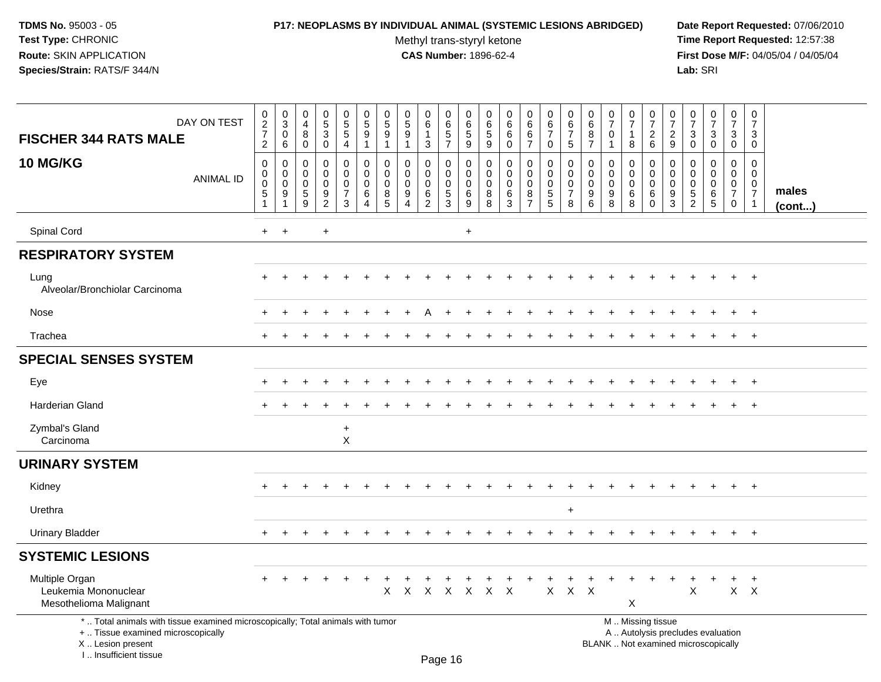### **P17: NEOPLASMS BY INDIVIDUAL ANIMAL (SYSTEMIC LESIONS ABRIDGED) Date Report Requested:** 07/06/2010

Methyl trans-styryl ketone<br>CAS Number: 1896-62-4

| DAY ON TEST<br><b>FISCHER 344 RATS MALE</b>                                                                                                                         | $\pmb{0}$<br>$\frac{2}{7}$<br>$\overline{2}$       | $\mathbf 0$<br>$\overline{3}$<br>$\mathbf 0$<br>6 | $\mathbf 0$<br>$\overline{4}$<br>8<br>$\mathbf 0$            | $\pmb{0}$<br>$\frac{5}{3}$<br>$\mathbf 0$                             | $\pmb{0}$<br>$\overline{5}$<br>5<br>$\overline{4}$ | $\mathbf 0$<br>$\overline{5}$<br>9<br>$\mathbf{1}$ | $\pmb{0}$<br>$\,$ 5 $\,$<br>9<br>1 | $\begin{array}{c} 0 \\ 5 \\ 9 \end{array}$<br>1             | $\pmb{0}$<br>$\,6\,$<br>$\mathbf{1}$<br>3        | $\mathbf 0$<br>6<br>$\sqrt{5}$<br>$\overline{7}$             | 0<br>6<br>5<br>9             | 0<br>6<br>$\sqrt{5}$<br>9              | $\pmb{0}$<br>$6\phantom{a}$<br>6<br>$\mathbf 0$ | $\mathbf 0$<br>$\,6\,$<br>6<br>$\overline{7}$ | $\mathbf 0$<br>$\,6\,$<br>$\overline{7}$<br>$\mathbf 0$          | $\mathbf 0$<br>6<br>$\overline{7}$<br>5                          | $\pmb{0}$<br>$\,6\,$<br>8<br>$\overline{7}$   | 0<br>$\overline{7}$<br>$\mathbf 0$<br>1 | $\frac{0}{7}$<br>$\mathbf{1}$<br>8              | $\pmb{0}$<br>$\overline{7}$<br>$\boldsymbol{2}$<br>6                                          | 0<br>$\overline{7}$<br>$\overline{c}$<br>9 | $\,0\,$<br>$\overline{7}$<br>3<br>$\Omega$                          | $\frac{0}{7}$<br>3<br>$\mathbf 0$                      | $\mathbf 0$<br>$\overline{7}$<br>3<br>$\mathbf 0$      | $\pmb{0}$<br>$\overline{7}$<br>3<br>$\mathbf 0$                     |                 |
|---------------------------------------------------------------------------------------------------------------------------------------------------------------------|----------------------------------------------------|---------------------------------------------------|--------------------------------------------------------------|-----------------------------------------------------------------------|----------------------------------------------------|----------------------------------------------------|------------------------------------|-------------------------------------------------------------|--------------------------------------------------|--------------------------------------------------------------|------------------------------|----------------------------------------|-------------------------------------------------|-----------------------------------------------|------------------------------------------------------------------|------------------------------------------------------------------|-----------------------------------------------|-----------------------------------------|-------------------------------------------------|-----------------------------------------------------------------------------------------------|--------------------------------------------|---------------------------------------------------------------------|--------------------------------------------------------|--------------------------------------------------------|---------------------------------------------------------------------|-----------------|
| <b>10 MG/KG</b><br><b>ANIMAL ID</b>                                                                                                                                 | $\pmb{0}$<br>0<br>$\pmb{0}$<br>$\overline{5}$<br>1 | 0<br>0<br>0<br>9                                  | $\mathbf 0$<br>$\mathbf 0$<br>$\mathbf 0$<br>$\sqrt{5}$<br>9 | 0<br>$\mathbf 0$<br>$\mathbf 0$<br>$\boldsymbol{9}$<br>$\overline{2}$ | 0<br>$\mathbf 0$<br>0<br>$\overline{7}$<br>3       | 0<br>$\Omega$<br>$\mathbf 0$<br>6<br>4             | 0<br>$\Omega$<br>0<br>8<br>5       | $\mathbf 0$<br>$\mathbf{0}$<br>$\mathbf 0$<br>9<br>$\Delta$ | 0<br>$\mathbf 0$<br>0<br>$\,6$<br>$\overline{c}$ | $\mathbf 0$<br>$\mathbf 0$<br>$\mathbf 0$<br>$\sqrt{5}$<br>3 | 0<br>$\Omega$<br>0<br>6<br>9 | 0<br>$\Omega$<br>$\mathbf 0$<br>8<br>8 | $\mathbf 0$<br>$\mathbf 0$<br>0<br>$\,6$<br>3   | 0<br>$\mathbf 0$<br>0<br>8<br>$\overline{7}$  | $\mathbf 0$<br>$\mathbf 0$<br>$\mathbf 0$<br>$\overline{5}$<br>5 | $\mathbf 0$<br>$\mathbf 0$<br>$\mathbf 0$<br>$\overline{7}$<br>8 | 0<br>$\mathbf 0$<br>$\mathbf 0$<br>$9\,$<br>6 | 0<br>$\Omega$<br>0<br>$9\,$<br>8        | 0<br>$\mathbf 0$<br>$\mathbf 0$<br>$\,6\,$<br>8 | $\mathbf 0$<br>$\Omega$<br>0<br>6<br>$\Omega$                                                 | 0<br>$\Omega$<br>0<br>9<br>3               | $\Omega$<br>$\Omega$<br>$\mathbf 0$<br>$\sqrt{5}$<br>$\overline{2}$ | $\mathbf 0$<br>$\Omega$<br>$\mathbf 0$<br>$\,6\,$<br>5 | 0<br>$\mathbf 0$<br>$\mathbf 0$<br>$\overline{7}$<br>0 | 0<br>$\mathbf 0$<br>$\mathbf 0$<br>$\overline{7}$<br>$\overline{1}$ | males<br>(cont) |
| Spinal Cord                                                                                                                                                         | $\ddot{}$                                          | $\ddot{}$                                         |                                                              | $\ddot{}$                                                             |                                                    |                                                    |                                    |                                                             |                                                  |                                                              | $\ddot{}$                    |                                        |                                                 |                                               |                                                                  |                                                                  |                                               |                                         |                                                 |                                                                                               |                                            |                                                                     |                                                        |                                                        |                                                                     |                 |
| <b>RESPIRATORY SYSTEM</b>                                                                                                                                           |                                                    |                                                   |                                                              |                                                                       |                                                    |                                                    |                                    |                                                             |                                                  |                                                              |                              |                                        |                                                 |                                               |                                                                  |                                                                  |                                               |                                         |                                                 |                                                                                               |                                            |                                                                     |                                                        |                                                        |                                                                     |                 |
| Lung<br>Alveolar/Bronchiolar Carcinoma                                                                                                                              |                                                    |                                                   |                                                              |                                                                       |                                                    |                                                    |                                    |                                                             |                                                  |                                                              |                              |                                        |                                                 |                                               |                                                                  |                                                                  |                                               |                                         |                                                 |                                                                                               |                                            |                                                                     |                                                        |                                                        | $+$                                                                 |                 |
| Nose                                                                                                                                                                |                                                    |                                                   |                                                              |                                                                       |                                                    |                                                    |                                    |                                                             |                                                  |                                                              |                              |                                        |                                                 |                                               |                                                                  |                                                                  |                                               |                                         |                                                 |                                                                                               |                                            |                                                                     |                                                        |                                                        | $\overline{+}$                                                      |                 |
| Trachea                                                                                                                                                             |                                                    |                                                   |                                                              |                                                                       |                                                    |                                                    |                                    |                                                             |                                                  |                                                              |                              |                                        |                                                 |                                               |                                                                  |                                                                  |                                               |                                         |                                                 |                                                                                               |                                            |                                                                     |                                                        |                                                        | $\overline{+}$                                                      |                 |
| <b>SPECIAL SENSES SYSTEM</b>                                                                                                                                        |                                                    |                                                   |                                                              |                                                                       |                                                    |                                                    |                                    |                                                             |                                                  |                                                              |                              |                                        |                                                 |                                               |                                                                  |                                                                  |                                               |                                         |                                                 |                                                                                               |                                            |                                                                     |                                                        |                                                        |                                                                     |                 |
| Eye                                                                                                                                                                 |                                                    |                                                   |                                                              |                                                                       |                                                    |                                                    |                                    |                                                             |                                                  |                                                              |                              |                                        |                                                 |                                               |                                                                  |                                                                  |                                               |                                         |                                                 |                                                                                               |                                            |                                                                     |                                                        | $\ddot{}$                                              | $+$                                                                 |                 |
| <b>Harderian Gland</b>                                                                                                                                              |                                                    |                                                   |                                                              |                                                                       |                                                    |                                                    |                                    |                                                             |                                                  |                                                              |                              |                                        |                                                 |                                               |                                                                  |                                                                  |                                               |                                         |                                                 |                                                                                               |                                            |                                                                     |                                                        | $+$                                                    | $+$                                                                 |                 |
| Zymbal's Gland<br>Carcinoma                                                                                                                                         |                                                    |                                                   |                                                              |                                                                       | $\ddot{}$<br>$\mathsf{X}$                          |                                                    |                                    |                                                             |                                                  |                                                              |                              |                                        |                                                 |                                               |                                                                  |                                                                  |                                               |                                         |                                                 |                                                                                               |                                            |                                                                     |                                                        |                                                        |                                                                     |                 |
| <b>URINARY SYSTEM</b>                                                                                                                                               |                                                    |                                                   |                                                              |                                                                       |                                                    |                                                    |                                    |                                                             |                                                  |                                                              |                              |                                        |                                                 |                                               |                                                                  |                                                                  |                                               |                                         |                                                 |                                                                                               |                                            |                                                                     |                                                        |                                                        |                                                                     |                 |
| Kidney                                                                                                                                                              |                                                    |                                                   |                                                              |                                                                       |                                                    |                                                    |                                    |                                                             |                                                  |                                                              |                              |                                        |                                                 |                                               |                                                                  |                                                                  |                                               |                                         |                                                 |                                                                                               |                                            |                                                                     |                                                        | $+$                                                    | $+$                                                                 |                 |
| Urethra                                                                                                                                                             |                                                    |                                                   |                                                              |                                                                       |                                                    |                                                    |                                    |                                                             |                                                  |                                                              |                              |                                        |                                                 |                                               |                                                                  | $\ddot{}$                                                        |                                               |                                         |                                                 |                                                                                               |                                            |                                                                     |                                                        |                                                        |                                                                     |                 |
| <b>Urinary Bladder</b>                                                                                                                                              | $\ddot{}$                                          |                                                   |                                                              |                                                                       |                                                    |                                                    |                                    |                                                             |                                                  |                                                              |                              |                                        |                                                 |                                               |                                                                  |                                                                  |                                               |                                         |                                                 |                                                                                               |                                            |                                                                     |                                                        | $+$                                                    | $+$                                                                 |                 |
| <b>SYSTEMIC LESIONS</b>                                                                                                                                             |                                                    |                                                   |                                                              |                                                                       |                                                    |                                                    |                                    |                                                             |                                                  |                                                              |                              |                                        |                                                 |                                               |                                                                  |                                                                  |                                               |                                         |                                                 |                                                                                               |                                            |                                                                     |                                                        |                                                        |                                                                     |                 |
| Multiple Organ<br>Leukemia Mononuclear<br>Mesothelioma Malignant                                                                                                    |                                                    |                                                   |                                                              |                                                                       |                                                    |                                                    | X                                  |                                                             | x x x x x x                                      |                                                              |                              |                                        |                                                 |                                               | X                                                                | $X$ $X$                                                          |                                               |                                         | X                                               |                                                                                               |                                            | X                                                                   |                                                        | $X$ $X$                                                | $\ddot{}$                                                           |                 |
| *  Total animals with tissue examined microscopically; Total animals with tumor<br>+  Tissue examined microscopically<br>X  Lesion present<br>I Insufficient tissue |                                                    |                                                   |                                                              |                                                                       |                                                    |                                                    |                                    |                                                             |                                                  | Dao 46                                                       |                              |                                        |                                                 |                                               |                                                                  |                                                                  |                                               |                                         |                                                 | M  Missing tissue<br>A  Autolysis precludes evaluation<br>BLANK  Not examined microscopically |                                            |                                                                     |                                                        |                                                        |                                                                     |                 |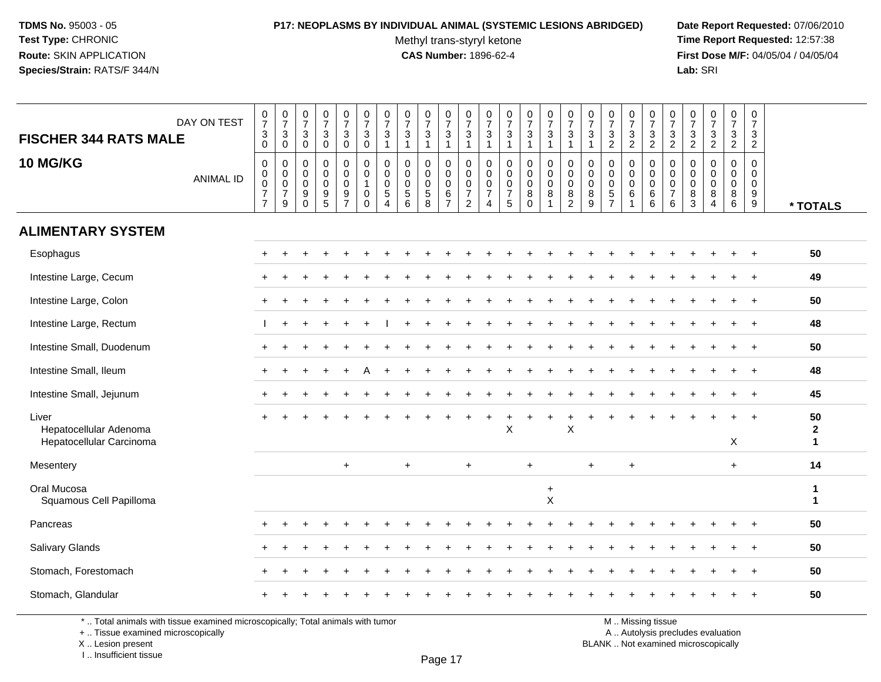# **P17: NEOPLASMS BY INDIVIDUAL ANIMAL (SYSTEMIC LESIONS ABRIDGED) Date Report Requested:** 07/06/2010

Methyl trans-styryl ketone<br>CAS Number: 1896-62-4

 **Time Report Requested:** 12:57:38 **First Dose M/F:** 04/05/04 / 04/05/04<br>Lab: SRI **Lab:** SRI

| <b>FISCHER 344 RATS MALE</b>                                | DAY ON TEST      | $\begin{array}{c} 0 \\ 7 \end{array}$<br>$\frac{3}{0}$                        | $\frac{0}{7}$<br>$\ensuremath{\mathsf{3}}$<br>$\overline{0}$     | $\frac{0}{7}$<br>3<br>$\mathbf 0$                                            | $\frac{0}{7}$<br>$\mathbf 3$<br>$\mathbf 0$                         | $\frac{0}{7}$<br>3<br>$\overline{0}$             | $\frac{0}{7}$<br>$\frac{3}{0}$                             | $\frac{0}{7}$<br>3<br>$\mathbf{1}$                               | $\frac{0}{7}$<br>$\mathbf{3}$<br>$\overline{1}$              | $\begin{array}{c} 0 \\ 7 \end{array}$<br>$\ensuremath{\mathsf{3}}$<br>$\mathbf{1}$ | $\frac{0}{7}$<br>$\sqrt{3}$<br>$\overline{1}$    | $\frac{0}{7}$<br>$\mathbf{3}$<br>$\overline{1}$                           | $\frac{0}{7}$<br>3<br>$\mathbf{1}$           | $\frac{0}{7}$<br>$\ensuremath{\mathsf{3}}$<br>$\overline{1}$                 | $\frac{0}{7}$<br>$\ensuremath{\mathsf{3}}$<br>$\mathbf{1}$ | $\begin{smallmatrix}0\\7\end{smallmatrix}$<br>3<br>$\overline{1}$ | $\begin{array}{c} 0 \\ 7 \end{array}$<br>$\mathbf{3}$<br>$\overline{1}$ | $\frac{0}{7}$<br>$\mathbf{3}$<br>$\mathbf{1}$                            | $\frac{0}{7}$<br>$\frac{3}{2}$                                                 | $\frac{0}{7}$<br>3<br>$\overline{2}$               | $\frac{0}{7}$<br>$\frac{3}{2}$                             | $\frac{0}{7}$<br>$\frac{3}{2}$                             | $\frac{0}{7}$<br>$\frac{3}{2}$                | $\begin{smallmatrix}0\\7\end{smallmatrix}$<br>$\frac{3}{2}$        | $\frac{0}{7}$<br>3<br>$\overline{2}$             | $\frac{0}{7}$<br>$\frac{3}{2}$                                      |                                   |
|-------------------------------------------------------------|------------------|-------------------------------------------------------------------------------|------------------------------------------------------------------|------------------------------------------------------------------------------|---------------------------------------------------------------------|--------------------------------------------------|------------------------------------------------------------|------------------------------------------------------------------|--------------------------------------------------------------|------------------------------------------------------------------------------------|--------------------------------------------------|---------------------------------------------------------------------------|----------------------------------------------|------------------------------------------------------------------------------|------------------------------------------------------------|-------------------------------------------------------------------|-------------------------------------------------------------------------|--------------------------------------------------------------------------|--------------------------------------------------------------------------------|----------------------------------------------------|------------------------------------------------------------|------------------------------------------------------------|-----------------------------------------------|--------------------------------------------------------------------|--------------------------------------------------|---------------------------------------------------------------------|-----------------------------------|
| <b>10 MG/KG</b>                                             | <b>ANIMAL ID</b> | $\mathsf 0$<br>$\mathbf 0$<br>$\bar{0}$<br>$\boldsymbol{7}$<br>$\overline{7}$ | $\pmb{0}$<br>$\overline{0}$<br>$\frac{0}{7}$<br>$\boldsymbol{9}$ | $\mathbf 0$<br>$\mathbf 0$<br>$\mathsf 0$<br>$\boldsymbol{9}$<br>$\mathbf 0$ | $\pmb{0}$<br>$\mathbf 0$<br>$\mathbf 0$<br>$9\,$<br>$5\phantom{.0}$ | 0<br>$\mathbf 0$<br>$\mathbf 0$<br>$\frac{9}{7}$ | 0<br>$\pmb{0}$<br>$\mathbf{1}$<br>$\pmb{0}$<br>$\mathbf 0$ | $\mathbf 0$<br>$\mathbf 0$<br>$\mathbf 0$<br>5<br>$\overline{4}$ | $\mathbf 0$<br>$\Omega$<br>0<br>$\sqrt{5}$<br>$6\phantom{1}$ | $\mathbf 0$<br>$\mathbf 0$<br>$\pmb{0}$<br>$\sqrt{5}$<br>8                         | 0<br>$\mathbf 0$<br>0<br>$\,6$<br>$\overline{7}$ | $\mathbf 0$<br>$\mathbf 0$<br>$\mathbf 0$<br>$\overline{7}$<br>$\sqrt{2}$ | 0<br>$\mathbf 0$<br>0<br>$\overline{7}$<br>4 | $\mathbf 0$<br>$\Omega$<br>$\mathbf 0$<br>$\boldsymbol{7}$<br>$\overline{5}$ | 0<br>$\pmb{0}$<br>$\pmb{0}$<br>$\bf 8$<br>$\mathbf 0$      | 0<br>$\mathbf 0$<br>$\mathbf 0$<br>$\bf8$                         | $\mathbf 0$<br>$\mathbf 0$<br>$\mathbf 0$<br>$\, 8$<br>$\sqrt{2}$       | $\mathbf 0$<br>$\mathbf 0$<br>$\mathbf 0$<br>$\bf 8$<br>$\boldsymbol{9}$ | $\mathbf 0$<br>$\mathbf 0$<br>$\boldsymbol{0}$<br>$\sqrt{5}$<br>$\overline{7}$ | 0<br>$\mathbf 0$<br>0<br>$\,6\,$<br>$\overline{1}$ | 0<br>$\pmb{0}$<br>$\mathsf 0$<br>$\,6\,$<br>$6\phantom{1}$ | 0<br>$\mathbf 0$<br>$\pmb{0}$<br>$\overline{7}$<br>$\,6\,$ | 0<br>$\Omega$<br>0<br>$\,8\,$<br>$\mathbf{3}$ | $\mathbf 0$<br>$\Omega$<br>$\mathbf 0$<br>$\, 8$<br>$\overline{4}$ | $\mathbf 0$<br>$\Omega$<br>$\mathbf 0$<br>8<br>6 | $\mathbf 0$<br>$\Omega$<br>$\mathbf 0$<br>$\boldsymbol{9}$<br>$9\,$ | * TOTALS                          |
| <b>ALIMENTARY SYSTEM</b>                                    |                  |                                                                               |                                                                  |                                                                              |                                                                     |                                                  |                                                            |                                                                  |                                                              |                                                                                    |                                                  |                                                                           |                                              |                                                                              |                                                            |                                                                   |                                                                         |                                                                          |                                                                                |                                                    |                                                            |                                                            |                                               |                                                                    |                                                  |                                                                     |                                   |
| Esophagus                                                   |                  |                                                                               |                                                                  |                                                                              |                                                                     |                                                  |                                                            |                                                                  |                                                              |                                                                                    |                                                  |                                                                           |                                              |                                                                              |                                                            |                                                                   |                                                                         |                                                                          |                                                                                |                                                    |                                                            |                                                            |                                               |                                                                    |                                                  |                                                                     | 50                                |
| Intestine Large, Cecum                                      |                  | $+$                                                                           |                                                                  |                                                                              |                                                                     |                                                  |                                                            |                                                                  |                                                              |                                                                                    |                                                  |                                                                           |                                              |                                                                              |                                                            |                                                                   |                                                                         |                                                                          |                                                                                |                                                    |                                                            |                                                            |                                               |                                                                    |                                                  |                                                                     | 49                                |
| Intestine Large, Colon                                      |                  |                                                                               |                                                                  |                                                                              |                                                                     |                                                  |                                                            |                                                                  |                                                              |                                                                                    |                                                  |                                                                           |                                              |                                                                              |                                                            |                                                                   |                                                                         |                                                                          |                                                                                |                                                    |                                                            |                                                            |                                               |                                                                    |                                                  |                                                                     | 50                                |
| Intestine Large, Rectum                                     |                  |                                                                               |                                                                  |                                                                              |                                                                     |                                                  |                                                            |                                                                  |                                                              |                                                                                    |                                                  |                                                                           |                                              |                                                                              |                                                            |                                                                   |                                                                         |                                                                          |                                                                                |                                                    |                                                            |                                                            |                                               |                                                                    |                                                  | $\ddot{}$                                                           | 48                                |
| Intestine Small, Duodenum                                   |                  |                                                                               |                                                                  |                                                                              |                                                                     |                                                  |                                                            |                                                                  |                                                              |                                                                                    |                                                  |                                                                           |                                              |                                                                              |                                                            |                                                                   |                                                                         |                                                                          |                                                                                |                                                    |                                                            |                                                            |                                               |                                                                    |                                                  |                                                                     | 50                                |
| Intestine Small, Ileum                                      |                  | $\pm$                                                                         |                                                                  |                                                                              |                                                                     |                                                  |                                                            |                                                                  |                                                              |                                                                                    |                                                  |                                                                           |                                              |                                                                              |                                                            |                                                                   |                                                                         |                                                                          |                                                                                |                                                    |                                                            |                                                            |                                               |                                                                    |                                                  |                                                                     | 48                                |
| Intestine Small, Jejunum                                    |                  |                                                                               |                                                                  |                                                                              |                                                                     |                                                  |                                                            |                                                                  |                                                              |                                                                                    |                                                  |                                                                           |                                              |                                                                              |                                                            |                                                                   |                                                                         |                                                                          |                                                                                |                                                    |                                                            |                                                            |                                               |                                                                    |                                                  |                                                                     | 45                                |
| Liver<br>Hepatocellular Adenoma<br>Hepatocellular Carcinoma |                  | $+$                                                                           |                                                                  |                                                                              |                                                                     |                                                  |                                                            |                                                                  |                                                              |                                                                                    |                                                  |                                                                           |                                              | X                                                                            |                                                            |                                                                   | $\times$                                                                |                                                                          |                                                                                |                                                    |                                                            |                                                            |                                               |                                                                    | X                                                | $\ddot{}$                                                           | 50<br>$\mathbf{2}$<br>$\mathbf 1$ |
| Mesentery                                                   |                  |                                                                               |                                                                  |                                                                              |                                                                     | $\ddot{}$                                        |                                                            |                                                                  | $\ddot{}$                                                    |                                                                                    |                                                  | $+$                                                                       |                                              |                                                                              | $\ddot{}$                                                  |                                                                   |                                                                         | $\ddot{}$                                                                |                                                                                | $\ddot{}$                                          |                                                            |                                                            |                                               |                                                                    | $\ddot{}$                                        |                                                                     | 14                                |
| Oral Mucosa<br>Squamous Cell Papilloma                      |                  |                                                                               |                                                                  |                                                                              |                                                                     |                                                  |                                                            |                                                                  |                                                              |                                                                                    |                                                  |                                                                           |                                              |                                                                              |                                                            | $\ddot{}$<br>$\boldsymbol{\mathsf{X}}$                            |                                                                         |                                                                          |                                                                                |                                                    |                                                            |                                                            |                                               |                                                                    |                                                  |                                                                     | $\mathbf{1}$<br>$\mathbf{1}$      |
| Pancreas                                                    |                  |                                                                               |                                                                  |                                                                              |                                                                     |                                                  |                                                            |                                                                  |                                                              |                                                                                    |                                                  |                                                                           |                                              |                                                                              |                                                            |                                                                   |                                                                         |                                                                          |                                                                                |                                                    |                                                            |                                                            |                                               |                                                                    |                                                  |                                                                     | 50                                |
| Salivary Glands                                             |                  |                                                                               |                                                                  |                                                                              |                                                                     |                                                  |                                                            |                                                                  |                                                              |                                                                                    |                                                  |                                                                           |                                              |                                                                              |                                                            |                                                                   |                                                                         |                                                                          |                                                                                |                                                    |                                                            |                                                            |                                               |                                                                    |                                                  |                                                                     | 50                                |
| Stomach, Forestomach                                        |                  |                                                                               |                                                                  |                                                                              |                                                                     |                                                  |                                                            |                                                                  |                                                              |                                                                                    |                                                  |                                                                           |                                              |                                                                              |                                                            |                                                                   |                                                                         |                                                                          |                                                                                |                                                    |                                                            |                                                            |                                               |                                                                    |                                                  |                                                                     | 50                                |
| Stomach, Glandular                                          |                  |                                                                               |                                                                  |                                                                              |                                                                     |                                                  |                                                            |                                                                  |                                                              |                                                                                    |                                                  |                                                                           |                                              |                                                                              |                                                            |                                                                   |                                                                         |                                                                          |                                                                                |                                                    |                                                            |                                                            |                                               |                                                                    |                                                  |                                                                     | 50                                |

\* .. Total animals with tissue examined microscopically; Total animals with tumor

+ .. Tissue examined microscopically

X .. Lesion present

I .. Insufficient tissue

Page 17

M .. Missing tissue

y the contract of the contract of the contract of the contract of the contract of  $\mathsf A$  . Autolysis precludes evaluation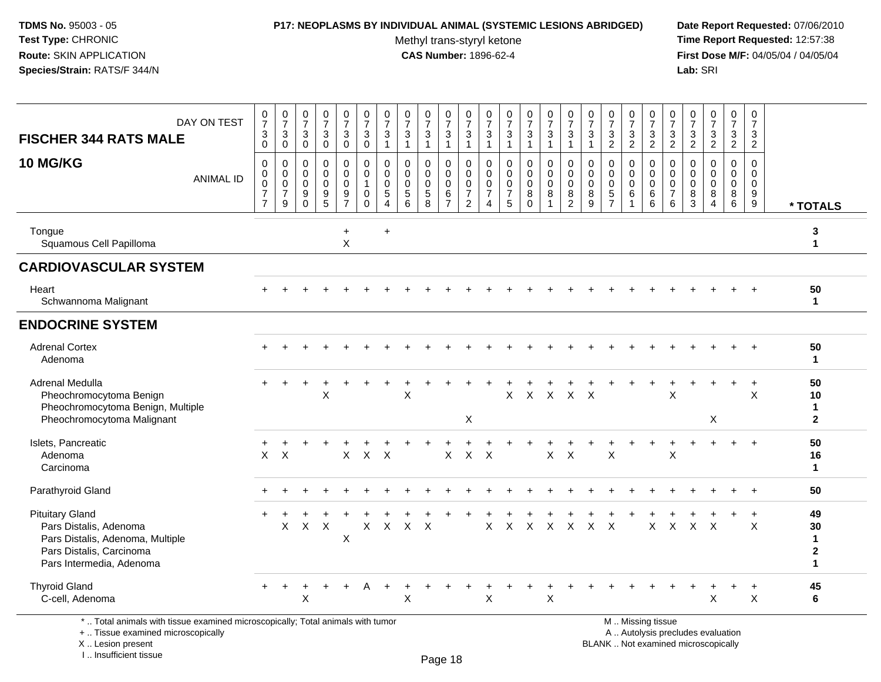#### **P17: NEOPLASMS BY INDIVIDUAL ANIMAL (SYSTEMIC LESIONS ABRIDGED) Date Report Requested:** 07/06/2010

Methyl trans-styryl ketone<br>CAS Number: 1896-62-4

 **Time Report Requested:** 12:57:38 **First Dose M/F:** 04/05/04 / 04/05/04<br>Lab: SRI **Lab:** SRI

| DAY ON TEST<br><b>FISCHER 344 RATS MALE</b><br>10 MG/KG<br><b>ANIMAL ID</b>                                                                  | $\begin{array}{c} 0 \\ 7 \end{array}$<br>3<br>$\mathbf 0$<br>$\mathbf 0$<br>0 | $\frac{0}{7}$<br>$\ensuremath{\mathsf{3}}$<br>$\mathsf{O}$<br>$\mathbf 0$<br>0 | $\frac{0}{7}$<br>$\sqrt{3}$<br>$\overline{0}$<br>$\mathbf 0$<br>$\overline{0}$ | $\frac{0}{7}$<br>$\mathbf{3}$<br>$\mathbf 0$<br>$\mathbf 0$<br>$\mathbf 0$ | $\begin{smallmatrix}0\\7\end{smallmatrix}$<br>3<br>$\mathbf 0$<br>$\mathbf 0$<br>0 | $\frac{0}{7}$<br>$\sqrt{3}$<br>$\mathbf 0$<br>$\mathbf 0$<br>0 | $\begin{array}{c} 0 \\ 7 \end{array}$<br>$\frac{3}{1}$<br>$\mathbf 0$<br>0 | $\frac{0}{7}$<br>$\frac{3}{1}$<br>$\Omega$<br>$\mathbf 0$ | $\frac{0}{7}$<br>$\ensuremath{\mathsf{3}}$<br>$\mathbf{1}$<br>$\Omega$<br>$\mathbf 0$ | $\frac{0}{7}$<br>$\ensuremath{\mathsf{3}}$<br>$\mathbf{1}$<br>$\mathbf 0$<br>0 | $\frac{0}{7}$<br>$\ensuremath{\mathsf{3}}$<br>$\mathbf{1}$<br>$\mathbf 0$<br>$\mathbf 0$ | 0<br>$\overline{7}$<br>$\ensuremath{\mathsf{3}}$<br>$\mathbf{1}$<br>$\mathbf 0$<br>0 | $\begin{smallmatrix} 0\\7 \end{smallmatrix}$<br>$\ensuremath{\mathsf{3}}$<br>$\mathbf{1}$<br>$\mathbf 0$<br>$\mathbf 0$ | $\frac{0}{7}$<br>$\ensuremath{\mathsf{3}}$<br>$\mathbf{1}$<br>$\mathbf 0$<br>$\mathbf 0$ | $\frac{0}{7}$<br>$\ensuremath{\mathsf{3}}$<br>$\mathbf{1}$<br>$\mathbf 0$<br>$\mathbf 0$ | $\frac{0}{7}$<br>$\mathbf{3}$<br>$\mathbf{1}$<br>$\mathbf 0$<br>0 | $\frac{0}{7}$<br>$\sqrt{3}$<br>$\mathbf{1}$<br>$\Omega$<br>0 | $\begin{array}{c} 0 \\ 7 \end{array}$<br>$\frac{3}{2}$<br>$\Omega$<br>$\mathbf 0$ | 0<br>$\overline{7}$<br>$\frac{3}{2}$<br>0<br>$\mathbf 0$ | 0<br>$\overline{7}$<br>$\frac{3}{2}$<br>$\mathbf 0$<br>$\mathbf 0$ | $\frac{0}{7}$<br>$\frac{3}{2}$<br>$\mathbf 0$<br>$\mathbf 0$ | $\frac{0}{7}$<br>$\frac{3}{2}$<br>$\mathbf 0$<br>0 | $\begin{array}{c} 0 \\ 7 \end{array}$<br>$\frac{3}{2}$<br>$\mathbf 0$<br>0 | 0<br>$\overline{7}$<br>$\frac{3}{2}$<br>0<br>$\mathbf 0$ | $\mathbf 0$<br>$\overline{7}$<br>$\sqrt{3}$<br>$\overline{2}$<br>$\Omega$<br>$\mathbf 0$ |                                                          |
|----------------------------------------------------------------------------------------------------------------------------------------------|-------------------------------------------------------------------------------|--------------------------------------------------------------------------------|--------------------------------------------------------------------------------|----------------------------------------------------------------------------|------------------------------------------------------------------------------------|----------------------------------------------------------------|----------------------------------------------------------------------------|-----------------------------------------------------------|---------------------------------------------------------------------------------------|--------------------------------------------------------------------------------|------------------------------------------------------------------------------------------|--------------------------------------------------------------------------------------|-------------------------------------------------------------------------------------------------------------------------|------------------------------------------------------------------------------------------|------------------------------------------------------------------------------------------|-------------------------------------------------------------------|--------------------------------------------------------------|-----------------------------------------------------------------------------------|----------------------------------------------------------|--------------------------------------------------------------------|--------------------------------------------------------------|----------------------------------------------------|----------------------------------------------------------------------------|----------------------------------------------------------|------------------------------------------------------------------------------------------|----------------------------------------------------------|
|                                                                                                                                              | $\mathsf 0$<br>$\overline{7}$<br>$\overline{7}$                               | $\boldsymbol{0}$<br>$\overline{7}$<br>$9\,$                                    | $\mathbf 0$<br>$9\,$<br>$\overline{0}$                                         | $\pmb{0}$<br>$\frac{9}{5}$                                                 | $\mathbf 0$<br>$\frac{9}{7}$                                                       | $\mathbf{1}$<br>$\mathbf 0$<br>$\Omega$                        | $\pmb{0}$<br>$\sqrt{5}$<br>$\overline{4}$                                  | $\mathbf 0$<br>$\begin{array}{c} 5 \\ 6 \end{array}$      | $\mathbf 0$<br>$\begin{array}{c} 5 \\ 8 \end{array}$                                  | $\mathbf 0$<br>$\frac{6}{7}$                                                   | $\pmb{0}$<br>$\overline{7}$<br>$\overline{c}$                                            | $\mathbf 0$<br>$\overline{7}$<br>$\overline{4}$                                      | $\mathbf 0$<br>$\overline{7}$<br>5                                                                                      | $\mathbf 0$<br>$\bf 8$<br>$\overline{0}$                                                 | $\mathsf{O}\xspace$<br>8<br>$\mathbf{1}$                                                 | $\mathbf 0$<br>8<br>$\overline{2}$                                | 0<br>8<br>$\overline{9}$                                     | $\mathbf 0$<br>$\frac{5}{7}$                                                      | $\mathbf 0$<br>$\,6\,$<br>$\mathbf{1}$                   | $\mathsf{O}$<br>6<br>6                                             | 0<br>$\overline{7}$<br>$6\phantom{a}$                        | $\mathsf{O}\xspace$<br>$^8_3$                      | $\mathbf 0$<br>$\bf 8$<br>$\overline{4}$                                   | $\pmb{0}$<br>$^8_6$                                      | $\mathbf 0$<br>9<br>$\overline{9}$                                                       | * TOTALS                                                 |
| Tongue<br>Squamous Cell Papilloma                                                                                                            |                                                                               |                                                                                |                                                                                |                                                                            | $\ddot{}$<br>X                                                                     |                                                                | $\pmb{+}$                                                                  |                                                           |                                                                                       |                                                                                |                                                                                          |                                                                                      |                                                                                                                         |                                                                                          |                                                                                          |                                                                   |                                                              |                                                                                   |                                                          |                                                                    |                                                              |                                                    |                                                                            |                                                          |                                                                                          | 3<br>$\mathbf{1}$                                        |
| <b>CARDIOVASCULAR SYSTEM</b>                                                                                                                 |                                                                               |                                                                                |                                                                                |                                                                            |                                                                                    |                                                                |                                                                            |                                                           |                                                                                       |                                                                                |                                                                                          |                                                                                      |                                                                                                                         |                                                                                          |                                                                                          |                                                                   |                                                              |                                                                                   |                                                          |                                                                    |                                                              |                                                    |                                                                            |                                                          |                                                                                          |                                                          |
| Heart<br>Schwannoma Malignant                                                                                                                |                                                                               |                                                                                |                                                                                |                                                                            |                                                                                    |                                                                |                                                                            |                                                           |                                                                                       |                                                                                |                                                                                          |                                                                                      |                                                                                                                         |                                                                                          |                                                                                          |                                                                   |                                                              |                                                                                   |                                                          |                                                                    |                                                              |                                                    |                                                                            |                                                          |                                                                                          | 50<br>$\mathbf{1}$                                       |
| <b>ENDOCRINE SYSTEM</b>                                                                                                                      |                                                                               |                                                                                |                                                                                |                                                                            |                                                                                    |                                                                |                                                                            |                                                           |                                                                                       |                                                                                |                                                                                          |                                                                                      |                                                                                                                         |                                                                                          |                                                                                          |                                                                   |                                                              |                                                                                   |                                                          |                                                                    |                                                              |                                                    |                                                                            |                                                          |                                                                                          |                                                          |
| <b>Adrenal Cortex</b><br>Adenoma                                                                                                             |                                                                               |                                                                                |                                                                                |                                                                            |                                                                                    |                                                                |                                                                            |                                                           |                                                                                       |                                                                                |                                                                                          |                                                                                      |                                                                                                                         |                                                                                          |                                                                                          |                                                                   |                                                              |                                                                                   |                                                          |                                                                    |                                                              |                                                    |                                                                            |                                                          |                                                                                          | 50<br>$\mathbf{1}$                                       |
| Adrenal Medulla<br>Pheochromocytoma Benign<br>Pheochromocytoma Benign, Multiple<br>Pheochromocytoma Malignant                                |                                                                               |                                                                                |                                                                                | X                                                                          |                                                                                    |                                                                |                                                                            | X                                                         |                                                                                       |                                                                                | $\mathsf X$                                                                              |                                                                                      | $\mathsf{X}$                                                                                                            | $\mathsf X$                                                                              | $\mathsf{X}$                                                                             | $X$ $X$                                                           |                                                              |                                                                                   |                                                          |                                                                    | X                                                            |                                                    | $\boldsymbol{\mathsf{X}}$                                                  |                                                          | $\ddot{}$<br>$\boldsymbol{\mathsf{X}}$                                                   | 50<br>10<br>$\mathbf{1}$<br>$\mathbf{2}$                 |
| Islets, Pancreatic<br>Adenoma<br>Carcinoma                                                                                                   | X                                                                             | $\times$                                                                       |                                                                                |                                                                            | $\mathsf{X}$                                                                       | $\mathsf{X}$                                                   | $\times$                                                                   |                                                           |                                                                                       | X                                                                              | X                                                                                        | X                                                                                    |                                                                                                                         |                                                                                          | $\mathsf X$                                                                              | $\times$                                                          |                                                              | X                                                                                 |                                                          |                                                                    | X                                                            |                                                    |                                                                            |                                                          |                                                                                          | 50<br>16<br>$\mathbf{1}$                                 |
| Parathyroid Gland                                                                                                                            |                                                                               |                                                                                |                                                                                |                                                                            |                                                                                    |                                                                |                                                                            |                                                           |                                                                                       |                                                                                |                                                                                          |                                                                                      |                                                                                                                         |                                                                                          |                                                                                          |                                                                   |                                                              |                                                                                   |                                                          |                                                                    |                                                              |                                                    |                                                                            |                                                          |                                                                                          | 50                                                       |
| <b>Pituitary Gland</b><br>Pars Distalis, Adenoma<br>Pars Distalis, Adenoma, Multiple<br>Pars Distalis, Carcinoma<br>Pars Intermedia, Adenoma | $\ddot{}$                                                                     | X                                                                              | $\times$                                                                       | X                                                                          | X                                                                                  | X                                                              | X                                                                          | X                                                         | X                                                                                     |                                                                                |                                                                                          | X                                                                                    | X                                                                                                                       | X                                                                                        | X                                                                                        | X                                                                 | X                                                            | X                                                                                 |                                                          | X                                                                  | X                                                            | X                                                  | $\times$                                                                   |                                                          | $\ddot{}$<br>$\sf X$                                                                     | 49<br>30<br>$\mathbf{1}$<br>$\mathbf{2}$<br>$\mathbf{1}$ |
| <b>Thyroid Gland</b><br>C-cell, Adenoma                                                                                                      |                                                                               | $\ddot{}$                                                                      | $\ddot{}$<br>$\times$                                                          | $\ddot{}$                                                                  | $+$                                                                                | A                                                              | $\ddot{}$                                                                  | X                                                         |                                                                                       |                                                                                |                                                                                          | X                                                                                    |                                                                                                                         | $+$                                                                                      | $\ddot{}$<br>$\times$                                                                    |                                                                   |                                                              |                                                                                   |                                                          |                                                                    |                                                              |                                                    | X                                                                          | $+$                                                      | $\ddot{}$<br>X                                                                           | 45<br>6                                                  |
| *  Total animals with tissue examined microscopically; Total animals with tumor<br>+  Tissue examined microscopically                        |                                                                               |                                                                                |                                                                                |                                                                            |                                                                                    |                                                                |                                                                            |                                                           |                                                                                       |                                                                                |                                                                                          |                                                                                      |                                                                                                                         |                                                                                          |                                                                                          |                                                                   |                                                              | M  Missing tissue                                                                 |                                                          |                                                                    |                                                              |                                                    | A  Autolysis precludes evaluation                                          |                                                          |                                                                                          |                                                          |

X .. Lesion present

I .. Insufficient tissue

Page 18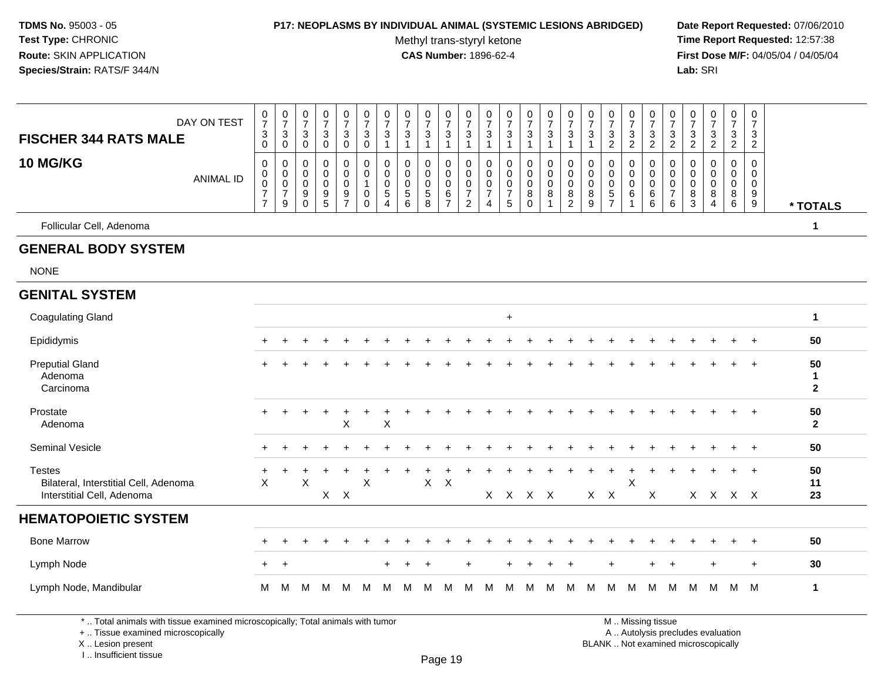#### **P17: NEOPLASMS BY INDIVIDUAL ANIMAL (SYSTEMIC LESIONS ABRIDGED) Date Report Requested:** 07/06/2010

Methyl trans-styryl ketone<br>CAS Number: 1896-62-4

000000000000000000000000

 **Time Report Requested:** 12:57:38 **First Dose M/F:** 04/05/04 / 04/05/04 Lab: SRI **Lab:** SRI

| DAY ON TEST                                                                          | $\overline{7}$<br>$\mathbf{3}$                           | $\overline{7}$                                                       | $\overline{7}$<br>$\sqrt{3}$              | $\overline{7}$                                               | 7                                      | $\begin{bmatrix} 7 \\ 3 \\ 0 \end{bmatrix}$                  | $\overline{7}$                                                  | $\frac{7}{3}$                                                 | $\overline{7}$                                 | 7                                              | $\overline{7}$                                                | $\overline{7}$                                                      | $\boldsymbol{7}$                                                 | $\overline{7}$                         | 7                                                                   | $\begin{array}{c} 7 \\ 3 \\ 1 \end{array}$     | $\overline{7}$                            | $\overline{7}$                                                           | $\overline{7}$                             | 7                             | $\overline{7}$                                                       | $\overline{7}$                              | $\boldsymbol{7}$                                    | $\boldsymbol{7}$                                               | $\overline{7}$                                      |                         |
|--------------------------------------------------------------------------------------|----------------------------------------------------------|----------------------------------------------------------------------|-------------------------------------------|--------------------------------------------------------------|----------------------------------------|--------------------------------------------------------------|-----------------------------------------------------------------|---------------------------------------------------------------|------------------------------------------------|------------------------------------------------|---------------------------------------------------------------|---------------------------------------------------------------------|------------------------------------------------------------------|----------------------------------------|---------------------------------------------------------------------|------------------------------------------------|-------------------------------------------|--------------------------------------------------------------------------|--------------------------------------------|-------------------------------|----------------------------------------------------------------------|---------------------------------------------|-----------------------------------------------------|----------------------------------------------------------------|-----------------------------------------------------|-------------------------|
| <b>FISCHER 344 RATS MALE</b>                                                         | $\mathbf 0$                                              | 3<br>$\boldsymbol{0}$                                                | $\mathsf{O}\xspace$                       | $\frac{3}{0}$                                                | $\frac{3}{0}$                          |                                                              | $\ensuremath{\mathsf{3}}$<br>$\mathbf{1}$                       | $\mathbf{1}$                                                  | $\frac{3}{1}$                                  | $\frac{3}{1}$                                  | $\frac{3}{1}$                                                 | $\sqrt{3}$<br>$\mathbf{1}$                                          | $\ensuremath{\mathsf{3}}$<br>$\mathbf{1}$                        | $\mathbf{3}$<br>$\mathbf{1}$           | $\frac{3}{1}$                                                       |                                                | $\mathbf{3}$<br>$\mathbf{1}$              | $\frac{3}{2}$                                                            | $\frac{3}{2}$                              | $\frac{3}{2}$                 | $\frac{3}{2}$                                                        | $\ensuremath{\mathsf{3}}$<br>$\overline{c}$ | $\frac{3}{2}$                                       | $\frac{3}{2}$                                                  | $\frac{3}{2}$                                       |                         |
| 10 MG/KG<br><b>ANIMAL ID</b>                                                         | $\mathbf 0$<br>$\mathbf 0$<br>$\pmb{0}$<br>$\frac{7}{7}$ | $\mathbf 0$<br>$\mathbf 0$<br>$\mathbf 0$<br>$\overline{7}$<br>$9\,$ | 0<br>0<br>$\mathbf 0$<br>9<br>$\mathbf 0$ | 0<br>0<br>$\pmb{0}$<br>$\begin{array}{c} 9 \\ 5 \end{array}$ | 0<br>0<br>$\mathbf 0$<br>$\frac{9}{7}$ | 0<br>$\mathbf 0$<br>$\mathbf{1}$<br>$\pmb{0}$<br>$\mathbf 0$ | 0<br>$\mathbf 0$<br>$\mathbf 0$<br>$\sqrt{5}$<br>$\overline{4}$ | $\mathbf 0$<br>$\mathbf 0$<br>$\mathbf 0$<br>$\,$ 5 $\,$<br>6 | 0<br>$\mathbf 0$<br>$\pmb{0}$<br>$\frac{5}{8}$ | 0<br>$\mathbf 0$<br>$\pmb{0}$<br>$\frac{6}{7}$ | $\mathbf 0$<br>$\mathbf 0$<br>$\frac{0}{7}$<br>$\overline{2}$ | 0<br>$\mathbf 0$<br>$\mathbf 0$<br>$\overline{7}$<br>$\overline{4}$ | $\mathbf 0$<br>$\mathbf 0$<br>$\mathbf 0$<br>$\overline{7}$<br>5 | 0<br>$\mathbf 0$<br>0<br>8<br>$\Omega$ | 0<br>$\mathbf 0$<br>$\pmb{0}$<br>$\bf 8$<br>$\overline{\mathbf{1}}$ | 0<br>$\mathbf 0$<br>$\pmb{0}$<br>$\frac{8}{2}$ | 0<br>$\mathbf 0$<br>$\mathbf 0$<br>8<br>9 | $\mathbf 0$<br>$\mathbf 0$<br>$\pmb{0}$<br>$\,$ 5 $\,$<br>$\overline{7}$ | 0<br>0<br>$\pmb{0}$<br>6<br>$\overline{1}$ | 0<br>0<br>$\pmb{0}$<br>$^6_6$ | $\mathbf 0$<br>$\mathbf 0$<br>$\pmb{0}$<br>$\overline{7}$<br>$\,6\,$ | 0<br>0<br>$\mathbf 0$<br>8<br>$\mathbf{3}$  | $\mathbf 0$<br>$\Omega$<br>0<br>8<br>$\overline{4}$ | 0<br>$\mathbf 0$<br>$\mathsf{O}\xspace$<br>8<br>$6\phantom{a}$ | $\mathbf 0$<br>$\mathbf 0$<br>$\mathbf 0$<br>$^9_9$ | * TOTALS                |
| Follicular Cell, Adenoma                                                             |                                                          |                                                                      |                                           |                                                              |                                        |                                                              |                                                                 |                                                               |                                                |                                                |                                                               |                                                                     |                                                                  |                                        |                                                                     |                                                |                                           |                                                                          |                                            |                               |                                                                      |                                             |                                                     |                                                                |                                                     | 1                       |
| <b>GENERAL BODY SYSTEM</b>                                                           |                                                          |                                                                      |                                           |                                                              |                                        |                                                              |                                                                 |                                                               |                                                |                                                |                                                               |                                                                     |                                                                  |                                        |                                                                     |                                                |                                           |                                                                          |                                            |                               |                                                                      |                                             |                                                     |                                                                |                                                     |                         |
| <b>NONE</b>                                                                          |                                                          |                                                                      |                                           |                                                              |                                        |                                                              |                                                                 |                                                               |                                                |                                                |                                                               |                                                                     |                                                                  |                                        |                                                                     |                                                |                                           |                                                                          |                                            |                               |                                                                      |                                             |                                                     |                                                                |                                                     |                         |
| <b>GENITAL SYSTEM</b>                                                                |                                                          |                                                                      |                                           |                                                              |                                        |                                                              |                                                                 |                                                               |                                                |                                                |                                                               |                                                                     |                                                                  |                                        |                                                                     |                                                |                                           |                                                                          |                                            |                               |                                                                      |                                             |                                                     |                                                                |                                                     |                         |
| <b>Coagulating Gland</b>                                                             |                                                          |                                                                      |                                           |                                                              |                                        |                                                              |                                                                 |                                                               |                                                |                                                |                                                               |                                                                     | $\ddot{}$                                                        |                                        |                                                                     |                                                |                                           |                                                                          |                                            |                               |                                                                      |                                             |                                                     |                                                                |                                                     | 1                       |
| Epididymis                                                                           |                                                          |                                                                      |                                           |                                                              |                                        |                                                              |                                                                 |                                                               |                                                |                                                |                                                               |                                                                     |                                                                  |                                        |                                                                     |                                                |                                           |                                                                          |                                            |                               |                                                                      |                                             |                                                     |                                                                |                                                     | 50                      |
| <b>Preputial Gland</b><br>Adenoma<br>Carcinoma                                       |                                                          |                                                                      |                                           |                                                              |                                        |                                                              |                                                                 |                                                               |                                                |                                                |                                                               |                                                                     |                                                                  |                                        |                                                                     |                                                |                                           |                                                                          |                                            |                               |                                                                      |                                             |                                                     |                                                                | $\div$                                              | 50<br>1<br>$\mathbf{2}$ |
| Prostate<br>Adenoma                                                                  | $\div$                                                   |                                                                      |                                           | $\div$                                                       | ÷<br>X                                 |                                                              | $\mathsf X$                                                     |                                                               |                                                |                                                |                                                               |                                                                     |                                                                  |                                        |                                                                     |                                                |                                           |                                                                          |                                            |                               |                                                                      |                                             |                                                     | $\div$                                                         | $\overline{+}$                                      | 50<br>$\overline{2}$    |
| Seminal Vesicle                                                                      |                                                          |                                                                      |                                           |                                                              |                                        |                                                              |                                                                 |                                                               |                                                |                                                |                                                               |                                                                     |                                                                  |                                        |                                                                     |                                                |                                           |                                                                          |                                            |                               |                                                                      |                                             |                                                     |                                                                | $\overline{+}$                                      | 50                      |
| <b>Testes</b><br>Bilateral, Interstitial Cell, Adenoma<br>Interstitial Cell, Adenoma | X                                                        |                                                                      | X                                         |                                                              | $X$ $X$                                | $\pmb{\times}$                                               |                                                                 |                                                               | $\mathsf X$                                    | $\mathsf{X}$                                   |                                                               |                                                                     |                                                                  | X X X X                                |                                                                     |                                                |                                           | $X$ $X$                                                                  | $\sf X$                                    | X                             |                                                                      |                                             | X X X X                                             | $\div$                                                         | $\overline{+}$                                      | 50<br>11<br>23          |
| <b>HEMATOPOIETIC SYSTEM</b>                                                          |                                                          |                                                                      |                                           |                                                              |                                        |                                                              |                                                                 |                                                               |                                                |                                                |                                                               |                                                                     |                                                                  |                                        |                                                                     |                                                |                                           |                                                                          |                                            |                               |                                                                      |                                             |                                                     |                                                                |                                                     |                         |
| <b>Bone Marrow</b>                                                                   |                                                          |                                                                      |                                           |                                                              |                                        |                                                              |                                                                 |                                                               |                                                |                                                |                                                               |                                                                     |                                                                  |                                        |                                                                     |                                                |                                           |                                                                          |                                            |                               |                                                                      |                                             |                                                     |                                                                | $\div$                                              | 50                      |
| Lymph Node                                                                           | $+$                                                      | $\ddot{}$                                                            |                                           |                                                              |                                        |                                                              |                                                                 |                                                               | $\overline{ }$                                 |                                                | $\ddot{}$                                                     |                                                                     |                                                                  |                                        | $\ddot{}$                                                           | $\ddot{}$                                      |                                           | ÷                                                                        |                                            | $\ddot{}$                     | $\overline{+}$                                                       |                                             | $\ddot{}$                                           |                                                                | $\ddot{}$                                           | 30                      |
| Lymph Node, Mandibular                                                               | м                                                        | м                                                                    | М                                         | м                                                            | м                                      | м                                                            | м                                                               | м                                                             | м                                              | м                                              | м                                                             | м                                                                   | м                                                                | м                                      | м                                                                   | м                                              | м                                         | м                                                                        | м                                          | м                             | м                                                                    | м                                           | M                                                   | м                                                              | M                                                   | 1                       |

\* .. Total animals with tissue examined microscopically; Total animals with tumor

+ .. Tissue examined microscopically

X .. Lesion present

I .. Insufficient tissue

y the contract of the contract of the contract of the contract of the contract of  $\mathsf A$  . Autolysis precludes evaluation Lesion present BLANK .. Not examined microscopically

M .. Missing tissue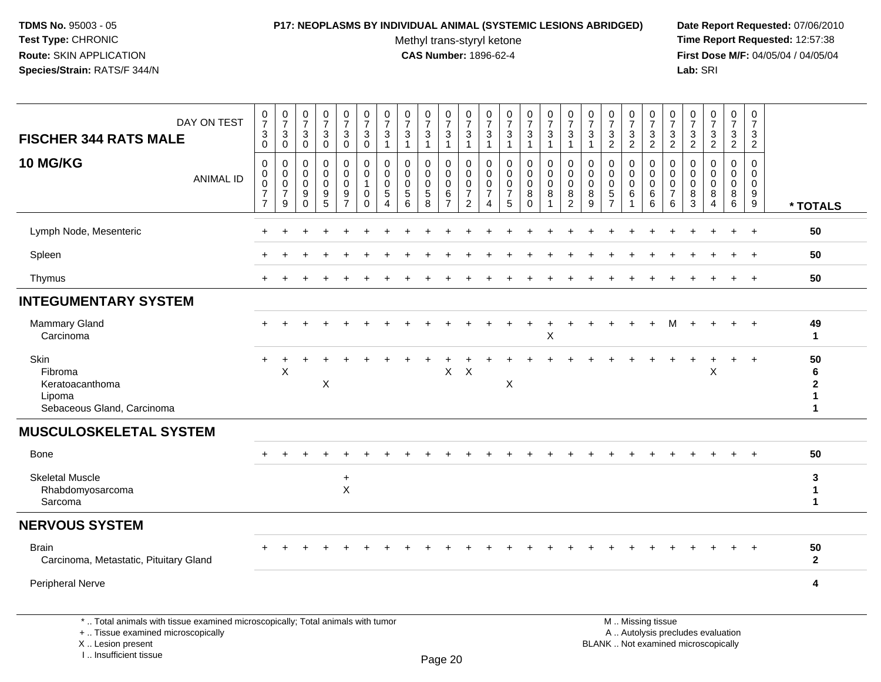#### **P17: NEOPLASMS BY INDIVIDUAL ANIMAL (SYSTEMIC LESIONS ABRIDGED) Date Report Requested:** 07/06/2010

Methyl trans-styryl ketone<br>CAS Number: 1896-62-4

 **Time Report Requested:** 12:57:38 **First Dose M/F:** 04/05/04 / 04/05/04<br>Lab: SRI **Lab:** SRI

| DAY ON TEST<br><b>FISCHER 344 RATS MALE</b>                                                                           | $\begin{array}{c} 0 \\ 7 \end{array}$<br>$\ensuremath{\mathsf{3}}$<br>$\mathbf 0$ | $\begin{array}{c} 0 \\ 7 \end{array}$<br>$\ensuremath{\mathsf{3}}$<br>$\mathbf 0$ | $\frac{0}{7}$<br>$\sqrt{3}$<br>$\mathbf 0$                            | $\frac{0}{7}$<br>$\mathbf{3}$<br>$\pmb{0}$                     | $\begin{smallmatrix}0\\7\end{smallmatrix}$<br>3<br>$\mathbf 0$ | $\frac{0}{7}$<br>$\sqrt{3}$<br>$\pmb{0}$                                   | $\begin{array}{c} 0 \\ 7 \end{array}$<br>$\ensuremath{\mathsf{3}}$<br>$\overline{1}$ | $\begin{array}{c} 0 \\ 7 \end{array}$<br>$\ensuremath{\mathsf{3}}$<br>$\mathbf{1}$ | $\frac{0}{7}$<br>3<br>$\mathbf{1}$                                       | $\begin{array}{c} 0 \\ 7 \end{array}$<br>$\mathbf{3}$<br>$\mathbf{1}$ | $\frac{0}{7}$<br>$\ensuremath{\mathsf{3}}$<br>$\mathbf{1}$          | $\frac{0}{7}$<br>$\sqrt{3}$<br>$\overline{1}$                       | $\begin{array}{c} 0 \\ 7 \end{array}$<br>$\ensuremath{\mathsf{3}}$<br>$\overline{1}$ | $\frac{0}{7}$<br>3<br>$\mathbf{1}$                     | $\frac{0}{7}$<br>$\frac{3}{1}$                                           | $\begin{smallmatrix}0\\7\end{smallmatrix}$<br>$\mathbf{3}$<br>$\mathbf{1}$ | $\frac{0}{7}$<br>3                           | $\begin{array}{c} 0 \\ 7 \end{array}$<br>$\ensuremath{\mathsf{3}}$<br>$\overline{2}$ | $\begin{array}{c} 0 \\ 7 \end{array}$<br>$\ensuremath{\mathsf{3}}$<br>$\overline{2}$ | $\frac{0}{7}$<br>$\frac{3}{2}$                                    | $\frac{0}{7}$<br>$\mathbf{3}$<br>$\overline{2}$     | $\begin{array}{c} 0 \\ 7 \end{array}$<br>$\frac{3}{2}$ | $\frac{0}{7}$<br>$\frac{3}{2}$                         | $\begin{smallmatrix}0\\7\end{smallmatrix}$<br>$\frac{3}{2}$ | $\mathbf 0$<br>$\overline{7}$<br>$\sqrt{3}$<br>$\overline{c}$    |                                              |
|-----------------------------------------------------------------------------------------------------------------------|-----------------------------------------------------------------------------------|-----------------------------------------------------------------------------------|-----------------------------------------------------------------------|----------------------------------------------------------------|----------------------------------------------------------------|----------------------------------------------------------------------------|--------------------------------------------------------------------------------------|------------------------------------------------------------------------------------|--------------------------------------------------------------------------|-----------------------------------------------------------------------|---------------------------------------------------------------------|---------------------------------------------------------------------|--------------------------------------------------------------------------------------|--------------------------------------------------------|--------------------------------------------------------------------------|----------------------------------------------------------------------------|----------------------------------------------|--------------------------------------------------------------------------------------|--------------------------------------------------------------------------------------|-------------------------------------------------------------------|-----------------------------------------------------|--------------------------------------------------------|--------------------------------------------------------|-------------------------------------------------------------|------------------------------------------------------------------|----------------------------------------------|
| 10 MG/KG<br><b>ANIMAL ID</b>                                                                                          | $\mathbf 0$<br>0<br>$\mathbf 0$<br>$\boldsymbol{7}$<br>$\overline{7}$             | 0<br>$\mathbf 0$<br>$\mathbf 0$<br>$\overline{7}$<br>9                            | $\mathbf 0$<br>$\mathbf 0$<br>$\mathbf 0$<br>9<br>$\ddot{\mathbf{0}}$ | 0<br>0<br>$\mathbf 0$<br>$\begin{array}{c} 9 \\ 5 \end{array}$ | 0<br>$\overline{0}$<br>$\mathbf 0$<br>$\frac{9}{7}$            | $\mathbf 0$<br>$\mathbf 0$<br>$\overline{1}$<br>$\mathbf 0$<br>$\mathbf 0$ | $\mathbf 0$<br>$\mathbf 0$<br>$\mathbf 0$<br>5<br>$\overline{4}$                     | 0<br>$\mathbf 0$<br>$\mathbf 0$<br>$\sqrt{5}$<br>6                                 | 0<br>$\mathbf 0$<br>$\mathbf 0$<br>$\begin{array}{c} 5 \\ 8 \end{array}$ | 0<br>$\mathbf 0$<br>$\mathbf 0$<br>$\frac{6}{7}$                      | $\mathbf 0$<br>0<br>$\mathbf 0$<br>$\overline{7}$<br>$\overline{2}$ | $\mathbf 0$<br>0<br>$\mathbf 0$<br>$\overline{7}$<br>$\overline{4}$ | $\mathbf 0$<br>$\mathbf 0$<br>$\mathbf 0$<br>$\overline{7}$<br>$5\phantom{.0}$       | 0<br>$\mathbf 0$<br>$\mathbf 0$<br>8<br>$\overline{0}$ | $\mathbf 0$<br>$\ddot{\mathbf{0}}$<br>$\mathbf 0$<br>8<br>$\overline{1}$ | 0<br>$\mathbf 0$<br>$\mathbf 0$<br>$\frac{8}{2}$                           | 0<br>0<br>$\mathbf 0$<br>8<br>$\overline{9}$ | $\mathbf 0$<br>0<br>$\mathbf 0$<br>$\frac{5}{7}$                                     | 0<br>0<br>$\Omega$<br>$\,6$<br>1                                                     | $\mathbf 0$<br>$\mathbf 0$<br>$\mathbf 0$<br>$6\phantom{1}6$<br>6 | $\mathbf 0$<br>0<br>$\Omega$<br>$\overline{7}$<br>6 | 0<br>$\mathbf 0$<br>$\Omega$<br>8<br>$\overline{3}$    | $\mathbf 0$<br>0<br>$\mathbf 0$<br>8<br>$\overline{4}$ | $\mathbf 0$<br>$\mathbf 0$<br>$\mathbf 0$<br>$^8_6$         | $\mathbf 0$<br>$\mathbf 0$<br>$\mathbf 0$<br>9<br>$\overline{9}$ | * TOTALS                                     |
| Lymph Node, Mesenteric                                                                                                |                                                                                   |                                                                                   |                                                                       |                                                                |                                                                |                                                                            |                                                                                      |                                                                                    |                                                                          |                                                                       |                                                                     |                                                                     |                                                                                      |                                                        |                                                                          |                                                                            |                                              |                                                                                      |                                                                                      |                                                                   |                                                     |                                                        |                                                        |                                                             |                                                                  | 50                                           |
| Spleen                                                                                                                |                                                                                   |                                                                                   |                                                                       |                                                                |                                                                |                                                                            |                                                                                      |                                                                                    |                                                                          |                                                                       |                                                                     |                                                                     |                                                                                      |                                                        |                                                                          |                                                                            |                                              |                                                                                      |                                                                                      |                                                                   |                                                     |                                                        |                                                        |                                                             |                                                                  | 50                                           |
| Thymus                                                                                                                |                                                                                   |                                                                                   |                                                                       |                                                                |                                                                |                                                                            |                                                                                      |                                                                                    |                                                                          |                                                                       |                                                                     |                                                                     |                                                                                      |                                                        |                                                                          |                                                                            |                                              |                                                                                      |                                                                                      |                                                                   |                                                     |                                                        |                                                        |                                                             | $+$                                                              | 50                                           |
| <b>INTEGUMENTARY SYSTEM</b>                                                                                           |                                                                                   |                                                                                   |                                                                       |                                                                |                                                                |                                                                            |                                                                                      |                                                                                    |                                                                          |                                                                       |                                                                     |                                                                     |                                                                                      |                                                        |                                                                          |                                                                            |                                              |                                                                                      |                                                                                      |                                                                   |                                                     |                                                        |                                                        |                                                             |                                                                  |                                              |
| <b>Mammary Gland</b><br>Carcinoma                                                                                     |                                                                                   |                                                                                   |                                                                       |                                                                |                                                                |                                                                            |                                                                                      |                                                                                    |                                                                          |                                                                       |                                                                     |                                                                     |                                                                                      |                                                        | X                                                                        |                                                                            |                                              |                                                                                      |                                                                                      |                                                                   | м                                                   |                                                        |                                                        | $\div$                                                      | $+$                                                              | 49<br>$\mathbf{1}$                           |
| Skin<br>Fibroma<br>Keratoacanthoma<br>Lipoma<br>Sebaceous Gland, Carcinoma                                            |                                                                                   | Χ                                                                                 |                                                                       | X                                                              |                                                                |                                                                            |                                                                                      |                                                                                    |                                                                          | X                                                                     | $\times$                                                            |                                                                     | X                                                                                    |                                                        |                                                                          |                                                                            |                                              |                                                                                      |                                                                                      |                                                                   |                                                     |                                                        | X                                                      |                                                             | $+$                                                              | 50<br>6<br>$\mathbf{2}$<br>1<br>$\mathbf{1}$ |
| <b>MUSCULOSKELETAL SYSTEM</b>                                                                                         |                                                                                   |                                                                                   |                                                                       |                                                                |                                                                |                                                                            |                                                                                      |                                                                                    |                                                                          |                                                                       |                                                                     |                                                                     |                                                                                      |                                                        |                                                                          |                                                                            |                                              |                                                                                      |                                                                                      |                                                                   |                                                     |                                                        |                                                        |                                                             |                                                                  |                                              |
| Bone                                                                                                                  |                                                                                   |                                                                                   |                                                                       |                                                                |                                                                |                                                                            |                                                                                      |                                                                                    |                                                                          |                                                                       |                                                                     |                                                                     |                                                                                      |                                                        |                                                                          |                                                                            |                                              |                                                                                      |                                                                                      |                                                                   |                                                     |                                                        |                                                        |                                                             |                                                                  | 50                                           |
| <b>Skeletal Muscle</b><br>Rhabdomyosarcoma<br>Sarcoma                                                                 |                                                                                   |                                                                                   |                                                                       |                                                                | $\ddot{}$<br>$\sf X$                                           |                                                                            |                                                                                      |                                                                                    |                                                                          |                                                                       |                                                                     |                                                                     |                                                                                      |                                                        |                                                                          |                                                                            |                                              |                                                                                      |                                                                                      |                                                                   |                                                     |                                                        |                                                        |                                                             |                                                                  | 3<br>1<br>$\mathbf{1}$                       |
| <b>NERVOUS SYSTEM</b>                                                                                                 |                                                                                   |                                                                                   |                                                                       |                                                                |                                                                |                                                                            |                                                                                      |                                                                                    |                                                                          |                                                                       |                                                                     |                                                                     |                                                                                      |                                                        |                                                                          |                                                                            |                                              |                                                                                      |                                                                                      |                                                                   |                                                     |                                                        |                                                        |                                                             |                                                                  |                                              |
| <b>Brain</b><br>Carcinoma, Metastatic, Pituitary Gland                                                                |                                                                                   |                                                                                   |                                                                       |                                                                |                                                                |                                                                            |                                                                                      |                                                                                    |                                                                          |                                                                       |                                                                     |                                                                     |                                                                                      |                                                        |                                                                          |                                                                            |                                              |                                                                                      |                                                                                      |                                                                   |                                                     |                                                        |                                                        |                                                             |                                                                  | 50<br>$\mathbf{2}$                           |
| Peripheral Nerve                                                                                                      |                                                                                   |                                                                                   |                                                                       |                                                                |                                                                |                                                                            |                                                                                      |                                                                                    |                                                                          |                                                                       |                                                                     |                                                                     |                                                                                      |                                                        |                                                                          |                                                                            |                                              |                                                                                      |                                                                                      |                                                                   |                                                     |                                                        |                                                        |                                                             |                                                                  | 4                                            |
| *  Total animals with tissue examined microscopically; Total animals with tumor<br>+  Tissue examined microscopically |                                                                                   |                                                                                   |                                                                       |                                                                |                                                                |                                                                            |                                                                                      |                                                                                    |                                                                          |                                                                       |                                                                     |                                                                     |                                                                                      |                                                        |                                                                          |                                                                            |                                              | M  Missing tissue                                                                    |                                                                                      |                                                                   |                                                     |                                                        | A  Autolysis precludes evaluation                      |                                                             |                                                                  |                                              |

X .. Lesion present

I .. Insufficient tissue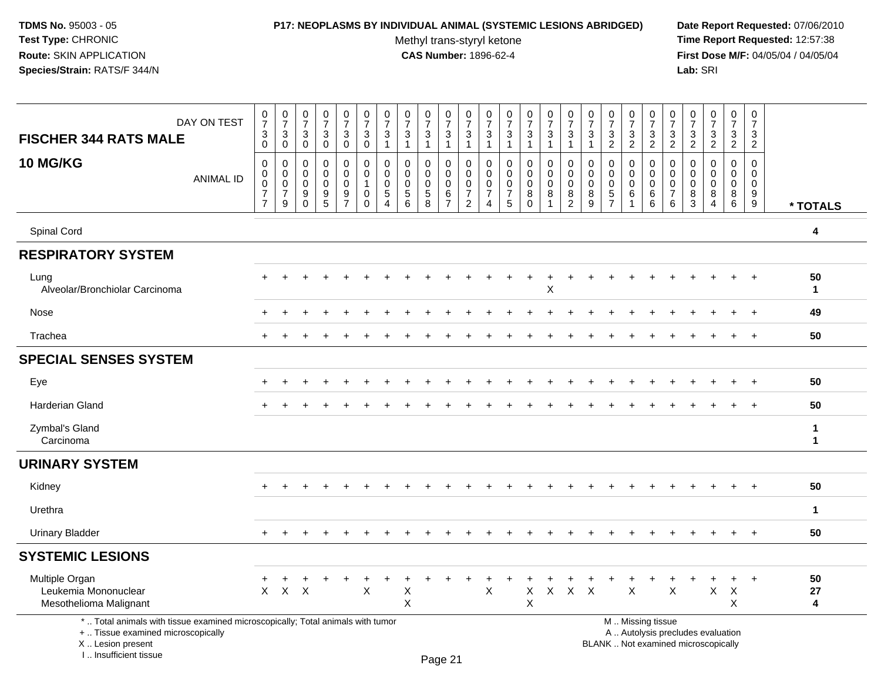### **P17: NEOPLASMS BY INDIVIDUAL ANIMAL (SYSTEMIC LESIONS ABRIDGED) Date Report Requested:** 07/06/2010

Methyl trans-styryl ketone<br>CAS Number: 1896-62-4

| DAY ON TEST<br><b>FISCHER 344 RATS MALE</b>                                                                                                                        | $\frac{0}{7}$<br>$\ensuremath{\mathsf{3}}$<br>$\mathbf 0$       | $\frac{0}{7}$<br>$\sqrt{3}$<br>$\mathbf 0$                   | 0<br>$\overline{7}$<br>3<br>$\mathbf 0$ | $\pmb{0}$<br>$\overline{7}$<br>3<br>$\mathbf 0$  | $\pmb{0}$<br>$\overline{7}$<br>3<br>$\mathbf 0$   | $\pmb{0}$<br>$\overline{7}$<br>$\mathbf{3}$<br>$\mathbf 0$            | $\frac{0}{7}$<br>$\sqrt{3}$<br>$\mathbf{1}$                             | $\begin{array}{c} 0 \\ 7 \end{array}$<br>3<br>$\mathbf{1}$    | $\pmb{0}$<br>$\overline{7}$<br>$\sqrt{3}$<br>$\mathbf{1}$ | $\frac{0}{7}$<br>3<br>1                            | $\pmb{0}$<br>$\overline{7}$<br>3<br>$\mathbf{1}$          | $\pmb{0}$<br>$\overline{7}$<br>$\sqrt{3}$<br>$\mathbf{1}$           | 0<br>$\overline{7}$<br>$\mathbf{3}$<br>-1           | $\begin{array}{c} 0 \\ 7 \end{array}$<br>$\ensuremath{\mathsf{3}}$<br>-1 | $\pmb{0}$<br>$\overline{7}$<br>$\mathbf{3}$<br>$\mathbf{1}$ | $\pmb{0}$<br>$\overline{7}$<br>3<br>$\mathbf{1}$       | $\frac{0}{7}$<br>3<br>$\mathbf{1}$ | $\pmb{0}$<br>$\overline{7}$<br>3<br>$\overline{c}$               | $\frac{0}{7}$<br>$\ensuremath{\mathsf{3}}$<br>$\overline{2}$ | $\frac{0}{7}$<br>$\mathbf{3}$<br>$\overline{2}$ | $\pmb{0}$<br>$\overline{7}$<br>$\mathbf{3}$<br>$\overline{2}$    | $\pmb{0}$<br>$\overline{7}$<br>3<br>$\overline{2}$ | 0<br>$\overline{7}$<br>$\mathbf{3}$<br>$\overline{2}$                    | $\pmb{0}$<br>$\overline{7}$<br>3<br>$\overline{2}$ | $\pmb{0}$<br>$\overline{7}$<br>3<br>$\overline{2}$  |                  |
|--------------------------------------------------------------------------------------------------------------------------------------------------------------------|-----------------------------------------------------------------|--------------------------------------------------------------|-----------------------------------------|--------------------------------------------------|---------------------------------------------------|-----------------------------------------------------------------------|-------------------------------------------------------------------------|---------------------------------------------------------------|-----------------------------------------------------------|----------------------------------------------------|-----------------------------------------------------------|---------------------------------------------------------------------|-----------------------------------------------------|--------------------------------------------------------------------------|-------------------------------------------------------------|--------------------------------------------------------|------------------------------------|------------------------------------------------------------------|--------------------------------------------------------------|-------------------------------------------------|------------------------------------------------------------------|----------------------------------------------------|--------------------------------------------------------------------------|----------------------------------------------------|-----------------------------------------------------|------------------|
| <b>10 MG/KG</b><br><b>ANIMAL ID</b>                                                                                                                                | 0<br>$\pmb{0}$<br>$\pmb{0}$<br>$\overline{7}$<br>$\overline{7}$ | 0<br>$\pmb{0}$<br>$\mathsf{O}\xspace$<br>$\overline{7}$<br>9 | 0<br>$\Omega$<br>0<br>9<br>$\Omega$     | $\mathbf 0$<br>$\Omega$<br>$\mathbf 0$<br>9<br>5 | 0<br>0<br>0<br>$\boldsymbol{9}$<br>$\overline{7}$ | $\mathbf 0$<br>$\mathbf 0$<br>$\mathbf{1}$<br>$\mathbf 0$<br>$\Omega$ | $\mathbf 0$<br>$\mathbf 0$<br>$\pmb{0}$<br>$\sqrt{5}$<br>$\overline{4}$ | $\mathbf 0$<br>$\mathbf 0$<br>$\mathbf 0$<br>$\,$ 5 $\,$<br>6 | $\mathbf 0$<br>$\Omega$<br>$\mathbf 0$<br>$\sqrt{5}$<br>8 | 0<br>$\mathbf 0$<br>0<br>$\,6\,$<br>$\overline{7}$ | 0<br>0<br>$\mathbf 0$<br>$\overline{7}$<br>$\overline{2}$ | 0<br>$\mathbf 0$<br>$\mathbf 0$<br>$\overline{7}$<br>$\overline{4}$ | $\mathbf 0$<br>$\Omega$<br>0<br>$\overline{7}$<br>5 | $\mathbf 0$<br>$\mathbf 0$<br>$\mathbf 0$<br>8<br>$\Omega$               | 0<br>$\mathbf 0$<br>$\mathbf 0$<br>$\bf 8$<br>1             | $\mathbf 0$<br>$\mathbf 0$<br>0<br>8<br>$\overline{2}$ | 0<br>$\mathbf 0$<br>0<br>8<br>9    | $\mathbf 0$<br>$\mathbf 0$<br>0<br>$\,$ 5 $\,$<br>$\overline{7}$ | $\mathbf 0$<br>$\mathbf 0$<br>$\mathbf 0$<br>$\,6\,$         | 0<br>0<br>$\mathbf 0$<br>$\,6\,$<br>6           | $\mathbf 0$<br>$\mathbf 0$<br>$\mathbf 0$<br>$\overline{7}$<br>6 | 0<br>$\Omega$<br>0<br>8<br>3                       | $\Omega$<br>$\Omega$<br>$\mathbf 0$<br>8<br>$\overline{4}$               | $\mathbf 0$<br>$\Omega$<br>$\pmb{0}$<br>8<br>6     | $\mathbf 0$<br>$\mathbf 0$<br>$\mathbf 0$<br>9<br>9 | * TOTALS         |
| Spinal Cord                                                                                                                                                        |                                                                 |                                                              |                                         |                                                  |                                                   |                                                                       |                                                                         |                                                               |                                                           |                                                    |                                                           |                                                                     |                                                     |                                                                          |                                                             |                                                        |                                    |                                                                  |                                                              |                                                 |                                                                  |                                                    |                                                                          |                                                    |                                                     | 4                |
| <b>RESPIRATORY SYSTEM</b>                                                                                                                                          |                                                                 |                                                              |                                         |                                                  |                                                   |                                                                       |                                                                         |                                                               |                                                           |                                                    |                                                           |                                                                     |                                                     |                                                                          |                                                             |                                                        |                                    |                                                                  |                                                              |                                                 |                                                                  |                                                    |                                                                          |                                                    |                                                     |                  |
| Lung<br>Alveolar/Bronchiolar Carcinoma                                                                                                                             |                                                                 |                                                              |                                         |                                                  |                                                   |                                                                       |                                                                         |                                                               |                                                           |                                                    |                                                           |                                                                     |                                                     |                                                                          | $\ddot{}$<br>X                                              |                                                        |                                    |                                                                  |                                                              |                                                 |                                                                  |                                                    |                                                                          |                                                    | $\overline{ }$                                      | 50<br>1          |
| Nose                                                                                                                                                               |                                                                 |                                                              |                                         |                                                  |                                                   |                                                                       |                                                                         |                                                               |                                                           |                                                    |                                                           |                                                                     |                                                     |                                                                          |                                                             |                                                        |                                    |                                                                  |                                                              |                                                 |                                                                  |                                                    |                                                                          |                                                    |                                                     | 49               |
| Trachea                                                                                                                                                            | $+$                                                             |                                                              |                                         |                                                  |                                                   |                                                                       |                                                                         |                                                               |                                                           |                                                    |                                                           |                                                                     |                                                     |                                                                          |                                                             |                                                        |                                    |                                                                  |                                                              |                                                 |                                                                  |                                                    |                                                                          |                                                    | $\overline{+}$                                      | 50               |
| <b>SPECIAL SENSES SYSTEM</b>                                                                                                                                       |                                                                 |                                                              |                                         |                                                  |                                                   |                                                                       |                                                                         |                                                               |                                                           |                                                    |                                                           |                                                                     |                                                     |                                                                          |                                                             |                                                        |                                    |                                                                  |                                                              |                                                 |                                                                  |                                                    |                                                                          |                                                    |                                                     |                  |
| Eye                                                                                                                                                                | ÷                                                               |                                                              |                                         |                                                  |                                                   |                                                                       |                                                                         |                                                               |                                                           |                                                    |                                                           |                                                                     |                                                     |                                                                          |                                                             |                                                        |                                    |                                                                  |                                                              |                                                 |                                                                  |                                                    |                                                                          | $\ddot{}$                                          | $+$                                                 | 50               |
| <b>Harderian Gland</b>                                                                                                                                             |                                                                 |                                                              |                                         |                                                  |                                                   |                                                                       |                                                                         |                                                               |                                                           |                                                    |                                                           |                                                                     |                                                     |                                                                          |                                                             |                                                        |                                    |                                                                  |                                                              |                                                 |                                                                  |                                                    |                                                                          |                                                    | $\ddot{\phantom{1}}$                                | 50               |
| Zymbal's Gland<br>Carcinoma                                                                                                                                        |                                                                 |                                                              |                                         |                                                  |                                                   |                                                                       |                                                                         |                                                               |                                                           |                                                    |                                                           |                                                                     |                                                     |                                                                          |                                                             |                                                        |                                    |                                                                  |                                                              |                                                 |                                                                  |                                                    |                                                                          |                                                    |                                                     | 1<br>$\mathbf 1$ |
| <b>URINARY SYSTEM</b>                                                                                                                                              |                                                                 |                                                              |                                         |                                                  |                                                   |                                                                       |                                                                         |                                                               |                                                           |                                                    |                                                           |                                                                     |                                                     |                                                                          |                                                             |                                                        |                                    |                                                                  |                                                              |                                                 |                                                                  |                                                    |                                                                          |                                                    |                                                     |                  |
| Kidney                                                                                                                                                             |                                                                 |                                                              |                                         |                                                  |                                                   |                                                                       |                                                                         |                                                               |                                                           |                                                    |                                                           |                                                                     |                                                     |                                                                          |                                                             |                                                        |                                    |                                                                  |                                                              |                                                 |                                                                  |                                                    |                                                                          |                                                    | $\overline{+}$                                      | 50               |
| Urethra                                                                                                                                                            |                                                                 |                                                              |                                         |                                                  |                                                   |                                                                       |                                                                         |                                                               |                                                           |                                                    |                                                           |                                                                     |                                                     |                                                                          |                                                             |                                                        |                                    |                                                                  |                                                              |                                                 |                                                                  |                                                    |                                                                          |                                                    |                                                     | $\mathbf 1$      |
| <b>Urinary Bladder</b>                                                                                                                                             | $+$                                                             |                                                              |                                         |                                                  |                                                   |                                                                       |                                                                         |                                                               |                                                           |                                                    |                                                           |                                                                     |                                                     |                                                                          |                                                             |                                                        |                                    |                                                                  |                                                              |                                                 |                                                                  |                                                    |                                                                          | $\ddot{}$                                          | $+$                                                 | 50               |
| <b>SYSTEMIC LESIONS</b>                                                                                                                                            |                                                                 |                                                              |                                         |                                                  |                                                   |                                                                       |                                                                         |                                                               |                                                           |                                                    |                                                           |                                                                     |                                                     |                                                                          |                                                             |                                                        |                                    |                                                                  |                                                              |                                                 |                                                                  |                                                    |                                                                          |                                                    |                                                     |                  |
| Multiple Organ<br>Leukemia Mononuclear<br>Mesothelioma Malignant                                                                                                   | X                                                               | $\mathsf{X}$                                                 | $\times$                                |                                                  |                                                   | X                                                                     |                                                                         | X<br>X                                                        |                                                           |                                                    |                                                           | X                                                                   |                                                     | X<br>X                                                                   | $\sf X$                                                     | $\mathsf{X}$                                           | $\mathsf{X}$                       |                                                                  | X                                                            |                                                 | X                                                                |                                                    | X                                                                        | X<br>X                                             |                                                     | 50<br>27<br>4    |
| *  Total animals with tissue examined microscopically; Total animals with tumor<br>+  Tissue examined microscopically<br>X Lesion present<br>I Insufficient tissue |                                                                 |                                                              |                                         |                                                  |                                                   |                                                                       |                                                                         |                                                               |                                                           | $D_{200}$ 21                                       |                                                           |                                                                     |                                                     |                                                                          |                                                             |                                                        |                                    |                                                                  |                                                              | M  Missing tissue                               |                                                                  |                                                    | A  Autolysis precludes evaluation<br>BLANK  Not examined microscopically |                                                    |                                                     |                  |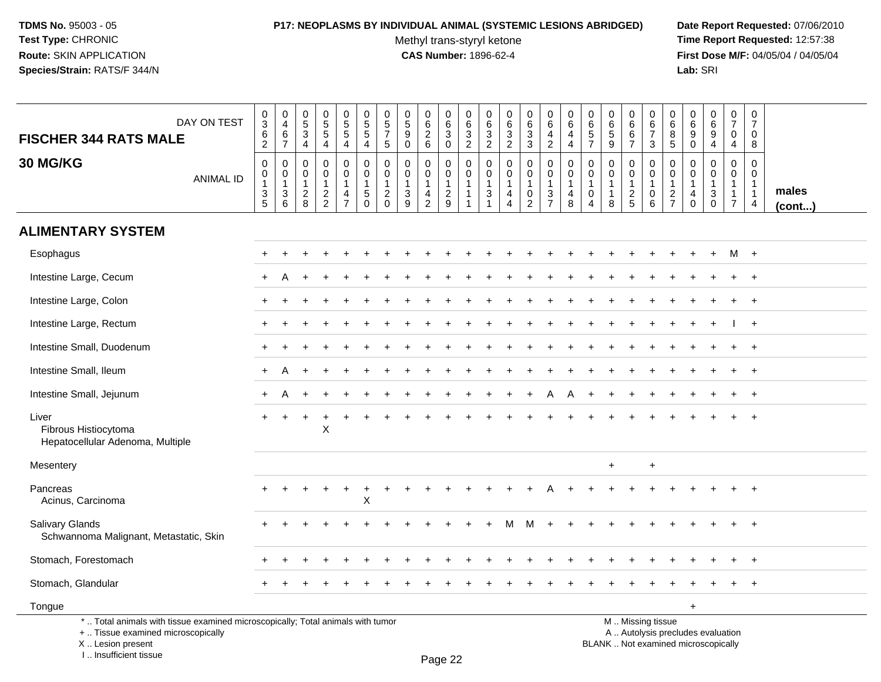# **P17: NEOPLASMS BY INDIVIDUAL ANIMAL (SYSTEMIC LESIONS ABRIDGED) Date Report Requested:** 07/06/2010

Methyl trans-styryl ketone<br>CAS Number: 1896-62-4

 **Time Report Requested:** 12:57:38 **First Dose M/F:** 04/05/04 / 04/05/04<br>Lab: SRI **Lab:** SRI

| DAY ON TEST<br><b>FISCHER 344 RATS MALE</b>                                                                                                | $\pmb{0}$<br>$\ensuremath{\mathsf{3}}$<br>6<br>$\overline{2}$                       | $\pmb{0}$<br>$\overline{4}$<br>6<br>$\overline{7}$                               | $\begin{array}{c} 0 \\ 5 \end{array}$<br>$\mathbf{3}$<br>$\overline{4}$ | $\begin{array}{c} 0 \\ 5 \\ 5 \end{array}$<br>4   | $\begin{array}{c} 0 \\ 5 \end{array}$<br>5<br>$\overline{4}$ | $\pmb{0}$<br>$\overline{5}$<br>$\overline{4}$                         | 0<br>$\,$ 5 $\,$<br>$\overline{7}$<br>$\sqrt{5}$             | $\pmb{0}$<br>$\overline{5}$<br>9<br>$\mathbf 0$               | 0<br>$6\overline{6}$<br>$\overline{2}$<br>$\,6\,$ | 0<br>$6\phantom{a}$<br>3<br>$\mathbf 0$                     | $\pmb{0}$<br>$\,6\,$<br>$\mathbf{3}$<br>$\overline{2}$ | $\boldsymbol{0}$<br>$\frac{6}{3}$<br>$\overline{2}$                               | $\pmb{0}$<br>$\,6\,$<br>3<br>$\overline{2}$                                  | 0<br>6<br>3<br>3                                     | $\pmb{0}$<br>$6\overline{6}$<br>4<br>$\overline{a}$          | $\pmb{0}$<br>$\,6\,$<br>$\overline{4}$<br>4                     | $\pmb{0}$<br>6<br>$\sqrt{5}$<br>$\overline{7}$                              | $\boldsymbol{0}$<br>$\,6\,$<br>$\sqrt{5}$<br>9                         | $\pmb{0}$<br>$\,6\,$<br>6<br>$\overline{7}$                 | $\mathbf 0$<br>6<br>$\overline{7}$<br>3                                                       | 0<br>$\,6$<br>8<br>5                    | 0<br>6<br>9<br>0                                                              | $\pmb{0}$<br>$6\phantom{a}$<br>9<br>$\overline{4}$                      | $\pmb{0}$<br>$\overline{7}$<br>$\mathbf 0$<br>$\overline{4}$                           | $\pmb{0}$<br>$\overline{7}$<br>$\mathbf 0$<br>8                   |                 |
|--------------------------------------------------------------------------------------------------------------------------------------------|-------------------------------------------------------------------------------------|----------------------------------------------------------------------------------|-------------------------------------------------------------------------|---------------------------------------------------|--------------------------------------------------------------|-----------------------------------------------------------------------|--------------------------------------------------------------|---------------------------------------------------------------|---------------------------------------------------|-------------------------------------------------------------|--------------------------------------------------------|-----------------------------------------------------------------------------------|------------------------------------------------------------------------------|------------------------------------------------------|--------------------------------------------------------------|-----------------------------------------------------------------|-----------------------------------------------------------------------------|------------------------------------------------------------------------|-------------------------------------------------------------|-----------------------------------------------------------------------------------------------|-----------------------------------------|-------------------------------------------------------------------------------|-------------------------------------------------------------------------|----------------------------------------------------------------------------------------|-------------------------------------------------------------------|-----------------|
| <b>30 MG/KG</b><br><b>ANIMAL ID</b>                                                                                                        | $\mathsf 0$<br>$\pmb{0}$<br>$\mathbf{1}$<br>$\ensuremath{\mathsf{3}}$<br>$\sqrt{5}$ | $\mathbf 0$<br>$\pmb{0}$<br>$\mathbf{1}$<br>$\ensuremath{\mathsf{3}}$<br>$\,6\,$ | $\mathbf 0$<br>$\boldsymbol{0}$<br>$\overline{1}$<br>$\sqrt{2}$<br>8    | 0<br>$\mathbf 0$<br>$\mathbf{1}$<br>$\frac{2}{2}$ | 0<br>$\mathbf 0$<br>$\mathbf{1}$<br>4<br>$\overline{7}$      | $\pmb{0}$<br>$\pmb{0}$<br>$\overline{1}$<br>$\sqrt{5}$<br>$\mathbf 0$ | $\mathbf 0$<br>0<br>$\overline{1}$<br>$\sqrt{2}$<br>$\Omega$ | $\mathbf 0$<br>$\mathbf 0$<br>$\mathbf{1}$<br>$\sqrt{3}$<br>9 | 0<br>0<br>$\mathbf{1}$<br>4<br>$\overline{2}$     | 0<br>$\mathsf{O}\xspace$<br>$\mathbf{1}$<br>$\sqrt{2}$<br>9 | $\mathbf 0$<br>$\pmb{0}$<br>$\mathbf{1}$               | $\mathbf 0$<br>$\boldsymbol{0}$<br>$\overline{1}$<br>$\sqrt{3}$<br>$\overline{1}$ | $\mathbf 0$<br>$\pmb{0}$<br>$\mathbf{1}$<br>$\overline{4}$<br>$\overline{4}$ | 0<br>$\mathbf 0$<br>1<br>$\pmb{0}$<br>$\overline{c}$ | $\pmb{0}$<br>$\overline{0}$<br>$\mathbf{1}$<br>$\frac{3}{7}$ | $\mathbf 0$<br>$\pmb{0}$<br>$\mathbf{1}$<br>$\overline{4}$<br>8 | $\mathbf 0$<br>$\mathbf 0$<br>$\mathbf{1}$<br>$\mathbf 0$<br>$\overline{4}$ | $\mathbf 0$<br>$\boldsymbol{0}$<br>$\mathbf{1}$<br>$\overline{1}$<br>8 | $\mathbf 0$<br>$\mathbf 0$<br>$\mathbf{1}$<br>$\frac{2}{5}$ | $\mathbf 0$<br>$\mathsf{O}\xspace$<br>$\mathbf{1}$<br>$\mathsf 0$<br>$\,6\,$                  | 0<br>0<br>$\mathbf{1}$<br>$\frac{2}{7}$ | $\mathbf 0$<br>$\mathbf 0$<br>$\overline{1}$<br>$\overline{4}$<br>$\mathbf 0$ | $\mathbf 0$<br>$\mathbf 0$<br>$\mathbf{1}$<br>$\sqrt{3}$<br>$\mathbf 0$ | $\mathbf 0$<br>$\mathsf{O}\xspace$<br>$\overline{1}$<br>$\mathbf{1}$<br>$\overline{7}$ | $\mathbf 0$<br>$\mathbf 0$<br>$\overline{1}$<br>$\mathbf{1}$<br>4 | males<br>(cont) |
| <b>ALIMENTARY SYSTEM</b>                                                                                                                   |                                                                                     |                                                                                  |                                                                         |                                                   |                                                              |                                                                       |                                                              |                                                               |                                                   |                                                             |                                                        |                                                                                   |                                                                              |                                                      |                                                              |                                                                 |                                                                             |                                                                        |                                                             |                                                                                               |                                         |                                                                               |                                                                         |                                                                                        |                                                                   |                 |
| Esophagus                                                                                                                                  |                                                                                     |                                                                                  |                                                                         |                                                   |                                                              |                                                                       |                                                              |                                                               |                                                   |                                                             |                                                        |                                                                                   |                                                                              |                                                      |                                                              |                                                                 |                                                                             |                                                                        |                                                             |                                                                                               |                                         |                                                                               |                                                                         | M                                                                                      | $+$                                                               |                 |
| Intestine Large, Cecum                                                                                                                     |                                                                                     |                                                                                  |                                                                         |                                                   |                                                              |                                                                       |                                                              |                                                               |                                                   |                                                             |                                                        |                                                                                   |                                                                              |                                                      |                                                              |                                                                 |                                                                             |                                                                        |                                                             |                                                                                               |                                         |                                                                               |                                                                         |                                                                                        |                                                                   |                 |
| Intestine Large, Colon                                                                                                                     |                                                                                     |                                                                                  |                                                                         |                                                   |                                                              |                                                                       |                                                              |                                                               |                                                   |                                                             |                                                        |                                                                                   |                                                                              |                                                      |                                                              |                                                                 |                                                                             |                                                                        |                                                             |                                                                                               |                                         |                                                                               |                                                                         |                                                                                        |                                                                   |                 |
| Intestine Large, Rectum                                                                                                                    |                                                                                     |                                                                                  |                                                                         |                                                   |                                                              |                                                                       |                                                              |                                                               |                                                   |                                                             |                                                        |                                                                                   |                                                                              |                                                      |                                                              |                                                                 |                                                                             |                                                                        |                                                             |                                                                                               |                                         |                                                                               |                                                                         |                                                                                        | $\overline{+}$                                                    |                 |
| Intestine Small, Duodenum                                                                                                                  |                                                                                     |                                                                                  |                                                                         |                                                   |                                                              |                                                                       |                                                              |                                                               |                                                   |                                                             |                                                        |                                                                                   |                                                                              |                                                      |                                                              |                                                                 |                                                                             |                                                                        |                                                             |                                                                                               |                                         |                                                                               |                                                                         |                                                                                        | $\overline{+}$                                                    |                 |
| Intestine Small, Ileum                                                                                                                     | $\ddot{}$                                                                           | A                                                                                |                                                                         |                                                   |                                                              |                                                                       |                                                              |                                                               |                                                   |                                                             |                                                        |                                                                                   |                                                                              |                                                      |                                                              |                                                                 |                                                                             |                                                                        |                                                             |                                                                                               |                                         |                                                                               |                                                                         | $\div$                                                                                 | $+$                                                               |                 |
| Intestine Small, Jejunum                                                                                                                   |                                                                                     |                                                                                  |                                                                         |                                                   |                                                              |                                                                       |                                                              |                                                               |                                                   |                                                             |                                                        |                                                                                   |                                                                              |                                                      |                                                              | А                                                               |                                                                             |                                                                        |                                                             |                                                                                               |                                         |                                                                               |                                                                         |                                                                                        | $+$                                                               |                 |
| Liver<br>Fibrous Histiocytoma<br>Hepatocellular Adenoma, Multiple                                                                          |                                                                                     |                                                                                  |                                                                         | X                                                 |                                                              |                                                                       |                                                              |                                                               |                                                   |                                                             |                                                        |                                                                                   |                                                                              |                                                      |                                                              |                                                                 |                                                                             |                                                                        |                                                             |                                                                                               |                                         |                                                                               |                                                                         |                                                                                        |                                                                   |                 |
| Mesentery                                                                                                                                  |                                                                                     |                                                                                  |                                                                         |                                                   |                                                              |                                                                       |                                                              |                                                               |                                                   |                                                             |                                                        |                                                                                   |                                                                              |                                                      |                                                              |                                                                 |                                                                             | $\ddot{}$                                                              |                                                             | $\ddot{}$                                                                                     |                                         |                                                                               |                                                                         |                                                                                        |                                                                   |                 |
| Pancreas<br>Acinus, Carcinoma                                                                                                              |                                                                                     |                                                                                  |                                                                         |                                                   | $\ddot{}$                                                    | $\ddot{}$<br>X                                                        |                                                              |                                                               |                                                   |                                                             |                                                        |                                                                                   |                                                                              |                                                      |                                                              |                                                                 |                                                                             |                                                                        |                                                             |                                                                                               |                                         |                                                                               |                                                                         |                                                                                        | $\overline{+}$                                                    |                 |
| Salivary Glands<br>Schwannoma Malignant, Metastatic, Skin                                                                                  |                                                                                     |                                                                                  |                                                                         |                                                   |                                                              |                                                                       |                                                              |                                                               |                                                   |                                                             |                                                        |                                                                                   |                                                                              |                                                      |                                                              |                                                                 |                                                                             |                                                                        |                                                             |                                                                                               |                                         |                                                                               |                                                                         |                                                                                        |                                                                   |                 |
| Stomach, Forestomach                                                                                                                       |                                                                                     |                                                                                  |                                                                         |                                                   |                                                              |                                                                       |                                                              |                                                               |                                                   |                                                             |                                                        |                                                                                   |                                                                              |                                                      |                                                              |                                                                 |                                                                             |                                                                        |                                                             |                                                                                               |                                         |                                                                               |                                                                         |                                                                                        | $\ddot{}$                                                         |                 |
| Stomach, Glandular                                                                                                                         |                                                                                     |                                                                                  |                                                                         |                                                   |                                                              |                                                                       |                                                              |                                                               |                                                   |                                                             |                                                        |                                                                                   |                                                                              |                                                      |                                                              |                                                                 |                                                                             |                                                                        |                                                             |                                                                                               |                                         |                                                                               |                                                                         |                                                                                        |                                                                   |                 |
| Tongue                                                                                                                                     |                                                                                     |                                                                                  |                                                                         |                                                   |                                                              |                                                                       |                                                              |                                                               |                                                   |                                                             |                                                        |                                                                                   |                                                                              |                                                      |                                                              |                                                                 |                                                                             |                                                                        |                                                             |                                                                                               |                                         | $+$                                                                           |                                                                         |                                                                                        |                                                                   |                 |
| *  Total animals with tissue examined microscopically; Total animals with tumor<br>+  Tissue examined microscopically<br>X  Lesion present |                                                                                     |                                                                                  |                                                                         |                                                   |                                                              |                                                                       |                                                              |                                                               |                                                   |                                                             |                                                        |                                                                                   |                                                                              |                                                      |                                                              |                                                                 |                                                                             |                                                                        |                                                             | M  Missing tissue<br>A  Autolysis precludes evaluation<br>BLANK  Not examined microscopically |                                         |                                                                               |                                                                         |                                                                                        |                                                                   |                 |

I .. Insufficient tissue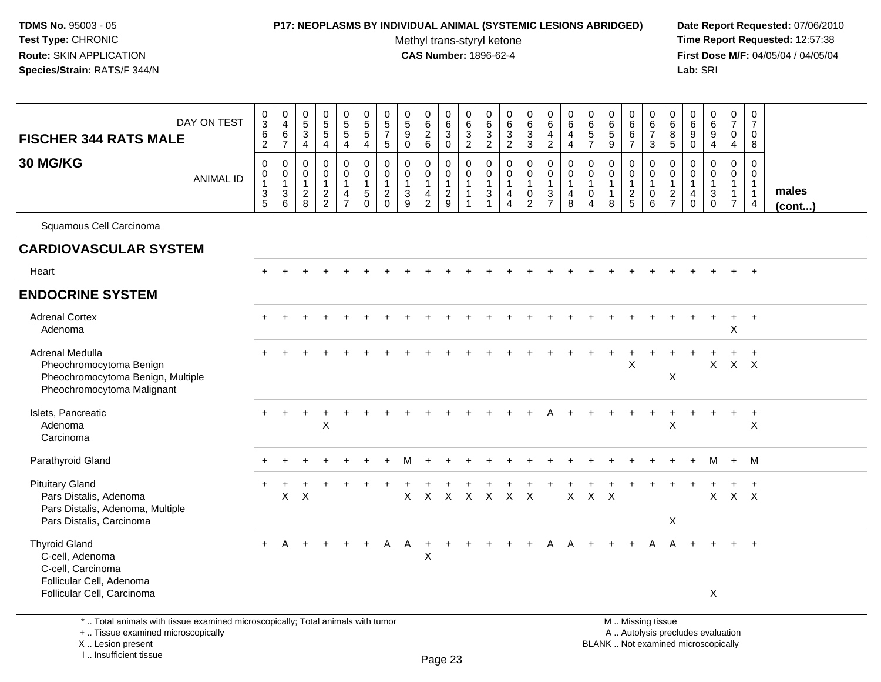#### **P17: NEOPLASMS BY INDIVIDUAL ANIMAL (SYSTEMIC LESIONS ABRIDGED) Date Report Requested:** 07/06/2010

Methyl trans-styryl ketone<br>CAS Number: 1896-62-4

 **Time Report Requested:** 12:57:38 **First Dose M/F:** 04/05/04 / 04/05/04<br>Lab: SRI **Lab:** SRI

| <b>FISCHER 344 RATS MALE</b>                                                                                                                                                                                                                                 | DAY ON TEST      | $\pmb{0}$<br>$\overline{3}$<br>$\,6\,$<br>$\sqrt{2}$ | $\pmb{0}$<br>$\overline{4}$<br>$\,6\,$<br>$\overline{7}$           | $\begin{array}{c} 0 \\ 5 \end{array}$<br>$\ensuremath{\mathsf{3}}$<br>$\overline{4}$ | $\begin{array}{c} 0 \\ 5 \\ 5 \end{array}$<br>4           | $\begin{array}{c} 0 \\ 5 \\ 5 \end{array}$<br>4                                  | $\begin{array}{c} 0 \\ 5 \end{array}$<br>$\sqrt{5}$<br>$\overline{4}$     | $\mathbf 0$<br>$\sqrt{5}$<br>$\overline{7}$<br>$\overline{5}$     | $\begin{array}{c} 0 \\ 5 \\ 9 \end{array}$<br>$\mathbf 0$   | $\mathbf 0$<br>$\overline{6}$<br>$\overline{2}$<br>$6\phantom{a}$              | $\begin{matrix} 0 \\ 6 \\ 3 \end{matrix}$<br>$\overline{0}$ | $\pmb{0}$<br>$6\phantom{a}$<br>$\frac{3}{2}$                               | 0<br>$\frac{6}{3}$                                                 | $\pmb{0}$<br>$6\phantom{a}$<br>$\frac{3}{2}$                         | 0<br>$\overline{6}$<br>$\sqrt{3}$<br>3                           | $_{6}^{\rm 0}$<br>$\overline{4}$<br>$\overline{2}$             | $\pmb{0}$<br>$6\overline{6}$<br>$\overline{4}$<br>$\overline{4}$ | 0<br>$\,6\,$<br>$\sqrt{5}$<br>$\overline{7}$         | $\boldsymbol{0}$<br>$\overline{6}$<br>$\overline{5}$<br>$9$         | 0<br>$\,6\,$<br>6<br>$\overline{7}$             | $\mathbf 0$<br>6<br>$\overline{7}$<br>$\mathbf{3}$                           | $\mathbf 0$<br>$\,6$<br>$\bf 8$<br>$5\phantom{.0}$                 | 0<br>$\,6\,$<br>$\boldsymbol{9}$<br>$\mathbf 0$      | $\begin{array}{c} 0 \\ 6 \end{array}$<br>$\boldsymbol{9}$<br>$\overline{4}$ | $\begin{array}{c} 0 \\ 7 \end{array}$<br>$\mathbf 0$<br>4                    | 0<br>$\overline{7}$<br>$\mathbf 0$<br>8                                           |                       |
|--------------------------------------------------------------------------------------------------------------------------------------------------------------------------------------------------------------------------------------------------------------|------------------|------------------------------------------------------|--------------------------------------------------------------------|--------------------------------------------------------------------------------------|-----------------------------------------------------------|----------------------------------------------------------------------------------|---------------------------------------------------------------------------|-------------------------------------------------------------------|-------------------------------------------------------------|--------------------------------------------------------------------------------|-------------------------------------------------------------|----------------------------------------------------------------------------|--------------------------------------------------------------------|----------------------------------------------------------------------|------------------------------------------------------------------|----------------------------------------------------------------|------------------------------------------------------------------|------------------------------------------------------|---------------------------------------------------------------------|-------------------------------------------------|------------------------------------------------------------------------------|--------------------------------------------------------------------|------------------------------------------------------|-----------------------------------------------------------------------------|------------------------------------------------------------------------------|-----------------------------------------------------------------------------------|-----------------------|
| 30 MG/KG                                                                                                                                                                                                                                                     | <b>ANIMAL ID</b> | $\mathbf 0$<br>0<br>$\mathbf{1}$<br>$\frac{3}{5}$    | $\mathbf 0$<br>0<br>$\mathbf{1}$<br>$\ensuremath{\mathsf{3}}$<br>6 | $\mathbf 0$<br>$\mathbf 0$<br>$\mathbf{1}$<br>$\overline{2}$<br>8                    | $\mathbf 0$<br>$\pmb{0}$<br>$\mathbf{1}$<br>$\frac{2}{2}$ | $\mathbf 0$<br>$\mathbf 0$<br>$\overline{1}$<br>$\overline{4}$<br>$\overline{7}$ | $\mathbf 0$<br>$\mathbf 0$<br>$\overline{1}$<br>$\sqrt{5}$<br>$\mathbf 0$ | $\mathbf 0$<br>0<br>$\mathbf{1}$<br>$\overline{2}$<br>$\mathbf 0$ | $\mathbf 0$<br>$\mathbf 0$<br>$\mathbf{1}$<br>$\frac{3}{9}$ | $\mathbf 0$<br>$\mathbf 0$<br>$\mathbf{1}$<br>$\overline{4}$<br>$\overline{2}$ | $\mathbf 0$<br>$\mathbf 0$<br>$\mathbf{1}$<br>$\frac{2}{9}$ | $\mathbf 0$<br>$\mathbf 0$<br>$\mathbf{1}$<br>$\mathbf{1}$<br>$\mathbf{1}$ | $\mathbf 0$<br>0<br>$\mathbf{1}$<br>$\mathbf{3}$<br>$\overline{1}$ | $\mathbf 0$<br>0<br>$\mathbf{1}$<br>$\overline{a}$<br>$\overline{4}$ | $\mathbf 0$<br>$\mathbf 0$<br>1<br>$\mathbf 0$<br>$\overline{2}$ | $\mathbf 0$<br>$\overline{0}$<br>$\mathbf{1}$<br>$\frac{3}{7}$ | $\mathbf 0$<br>$\mathbf 0$<br>$\mathbf{1}$<br>4<br>$\,8\,$       | $\Omega$<br>0<br>$\mathbf{1}$<br>0<br>$\overline{4}$ | $\mathbf 0$<br>$\mathbf 0$<br>$\overline{1}$<br>$\overline{1}$<br>8 | 0<br>$\mathbf 0$<br>$\mathbf{1}$<br>$rac{2}{5}$ | $\mathbf 0$<br>$\mathsf{O}\xspace$<br>$\mathbf{1}$<br>$\mathbf 0$<br>$\,6\,$ | $\mathbf 0$<br>0<br>$\mathbf{1}$<br>$\mathbf{2}$<br>$\overline{7}$ | 0<br>$\mathbf 0$<br>$\mathbf{1}$<br>4<br>$\mathbf 0$ | $\mathbf 0$<br>0<br>$\mathbf{1}$<br>$\mathbf{3}$<br>$\mathbf 0$             | $\mathbf 0$<br>$\mathbf 0$<br>$\mathbf{1}$<br>$\mathbf{1}$<br>$\overline{7}$ | $\mathbf 0$<br>$\overline{0}$<br>$\overline{1}$<br>$\mathbf{1}$<br>$\overline{4}$ | males<br>$($ cont $)$ |
| Squamous Cell Carcinoma                                                                                                                                                                                                                                      |                  |                                                      |                                                                    |                                                                                      |                                                           |                                                                                  |                                                                           |                                                                   |                                                             |                                                                                |                                                             |                                                                            |                                                                    |                                                                      |                                                                  |                                                                |                                                                  |                                                      |                                                                     |                                                 |                                                                              |                                                                    |                                                      |                                                                             |                                                                              |                                                                                   |                       |
| <b>CARDIOVASCULAR SYSTEM</b>                                                                                                                                                                                                                                 |                  |                                                      |                                                                    |                                                                                      |                                                           |                                                                                  |                                                                           |                                                                   |                                                             |                                                                                |                                                             |                                                                            |                                                                    |                                                                      |                                                                  |                                                                |                                                                  |                                                      |                                                                     |                                                 |                                                                              |                                                                    |                                                      |                                                                             |                                                                              |                                                                                   |                       |
| Heart                                                                                                                                                                                                                                                        |                  |                                                      |                                                                    |                                                                                      |                                                           |                                                                                  |                                                                           |                                                                   |                                                             |                                                                                |                                                             |                                                                            |                                                                    |                                                                      |                                                                  |                                                                |                                                                  |                                                      |                                                                     |                                                 |                                                                              |                                                                    |                                                      |                                                                             | $+$                                                                          | $+$                                                                               |                       |
| <b>ENDOCRINE SYSTEM</b>                                                                                                                                                                                                                                      |                  |                                                      |                                                                    |                                                                                      |                                                           |                                                                                  |                                                                           |                                                                   |                                                             |                                                                                |                                                             |                                                                            |                                                                    |                                                                      |                                                                  |                                                                |                                                                  |                                                      |                                                                     |                                                 |                                                                              |                                                                    |                                                      |                                                                             |                                                                              |                                                                                   |                       |
| <b>Adrenal Cortex</b><br>Adenoma                                                                                                                                                                                                                             |                  |                                                      |                                                                    |                                                                                      |                                                           |                                                                                  |                                                                           |                                                                   |                                                             |                                                                                |                                                             |                                                                            |                                                                    |                                                                      |                                                                  |                                                                |                                                                  |                                                      |                                                                     |                                                 |                                                                              |                                                                    |                                                      |                                                                             | $\ddot{}$<br>X                                                               | $+$                                                                               |                       |
| Adrenal Medulla<br>Pheochromocytoma Benign<br>Pheochromocytoma Benign, Multiple<br>Pheochromocytoma Malignant                                                                                                                                                |                  |                                                      |                                                                    |                                                                                      |                                                           |                                                                                  |                                                                           |                                                                   |                                                             |                                                                                |                                                             |                                                                            |                                                                    |                                                                      |                                                                  |                                                                |                                                                  |                                                      |                                                                     | $\mathsf X$                                     |                                                                              | X                                                                  |                                                      |                                                                             | $X$ $X$ $X$                                                                  | $\ddot{}$                                                                         |                       |
| Islets, Pancreatic<br>Adenoma<br>Carcinoma                                                                                                                                                                                                                   |                  |                                                      |                                                                    | +                                                                                    | $\ddot{}$<br>X                                            |                                                                                  |                                                                           |                                                                   |                                                             |                                                                                |                                                             |                                                                            |                                                                    |                                                                      |                                                                  |                                                                |                                                                  |                                                      |                                                                     |                                                 | $\ddot{}$                                                                    | X                                                                  |                                                      | $\div$                                                                      | $+$                                                                          | $\ddot{}$<br>X                                                                    |                       |
| Parathyroid Gland                                                                                                                                                                                                                                            |                  |                                                      |                                                                    |                                                                                      |                                                           |                                                                                  |                                                                           |                                                                   |                                                             |                                                                                |                                                             |                                                                            |                                                                    |                                                                      |                                                                  |                                                                |                                                                  |                                                      |                                                                     |                                                 |                                                                              |                                                                    |                                                      | M                                                                           | $+$                                                                          | M                                                                                 |                       |
| <b>Pituitary Gland</b><br>Pars Distalis, Adenoma<br>Pars Distalis, Carcinoma                                                                                                                                                                                 |                  |                                                      | X                                                                  | $\times$                                                                             |                                                           |                                                                                  |                                                                           |                                                                   | X                                                           | $\boldsymbol{\mathsf{X}}$                                                      | $\boldsymbol{X}$                                            | $\mathsf{X}$                                                               | $\mathsf{X}$                                                       | $\mathsf{X}$                                                         | $\mathsf{X}$                                                     |                                                                | $\mathsf{X}$                                                     | $\mathsf{X}$                                         | $\times$                                                            |                                                 |                                                                              | $\boldsymbol{\mathsf{X}}$                                          |                                                      | $\ddot{}$<br>$\mathsf{X}$                                                   | $\ddot{}$                                                                    | $+$                                                                               |                       |
| <b>Thyroid Gland</b><br>C-cell, Adenoma<br>C-cell, Carcinoma<br>Follicular Cell, Adenoma<br>Follicular Cell, Carcinoma                                                                                                                                       |                  | $+$                                                  |                                                                    | $+$                                                                                  |                                                           |                                                                                  |                                                                           |                                                                   |                                                             | $+$<br>X                                                                       | $+$                                                         | $+$                                                                        | $+$                                                                | $+$                                                                  | $+$                                                              | $\mathsf{A}$                                                   | $\mathsf{A}$                                                     | $+$                                                  | $+$                                                                 | $+$                                             | $\mathsf{A}$                                                                 | $\mathsf{A}$                                                       |                                                      | X                                                                           |                                                                              | $+$                                                                               |                       |
| $X$ $X$<br>Pars Distalis, Adenoma, Multiple<br>A<br>$+$ A A<br>$+$<br>$+$<br>*  Total animals with tissue examined microscopically; Total animals with tumor<br>M  Missing tissue<br>+  Tissue examined microscopically<br>A  Autolysis precludes evaluation |                  |                                                      |                                                                    |                                                                                      |                                                           |                                                                                  |                                                                           |                                                                   |                                                             |                                                                                |                                                             |                                                                            |                                                                    |                                                                      |                                                                  |                                                                |                                                                  |                                                      |                                                                     |                                                 |                                                                              |                                                                    |                                                      |                                                                             |                                                                              |                                                                                   |                       |

X .. Lesion present

I .. Insufficient tissue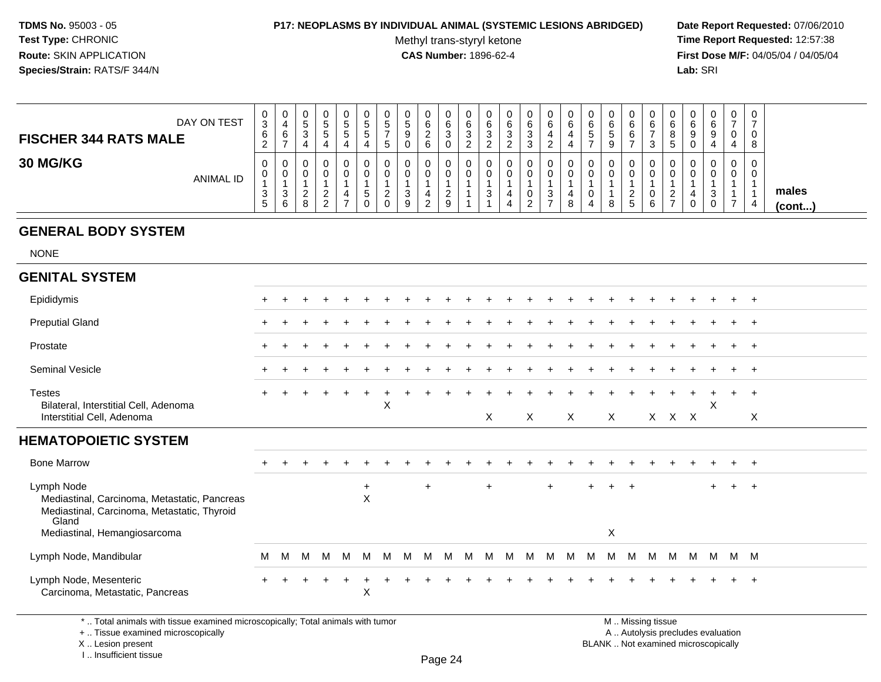#### **P17: NEOPLASMS BY INDIVIDUAL ANIMAL (SYSTEMIC LESIONS ABRIDGED) Date Report Requested:** 07/06/2010

Methyl trans-styryl ketone<br>CAS Number: 1896-62-4

 **Time Report Requested:** 12:57:38 **First Dose M/F:** 04/05/04 / 04/05/04<br>Lab: SRI **Lab:** SRI

| DAY ON TEST<br><b>FISCHER 344 RATS MALE</b> | v<br>3<br>6<br>▵ | 0<br>$\sim$<br>b | 0<br>J.<br>J.<br>4 | 0<br>ົວ<br>ົວ<br>4    | 0<br>C.<br>ັ<br>4 | ◡<br>C<br>Đ | ν<br>G<br>э | J.<br>ο<br>≂ | 0<br>6<br>ົ<br><u>_</u><br>6 | 0<br>6<br>◠<br>◡<br>0                   | ັ | v<br>⌒<br>ь<br>د | v<br>6<br><u>_</u> | 0<br>6<br>3<br>3 | 0<br>6<br>4<br>$\sim$ | 6<br>C | v<br>6<br>$\overline{\phantom{a}}$<br>Ο<br>≂ | 0<br>6<br>6              | ◡<br>$\sim$<br>b | ν<br>8<br>C | ~<br>U | ν<br>6<br>9 | 0<br>-<br>0<br>4 | U<br>-<br>U<br>8 |                       |
|---------------------------------------------|------------------|------------------|--------------------|-----------------------|-------------------|-------------|-------------|--------------|------------------------------|-----------------------------------------|---|------------------|--------------------|------------------|-----------------------|--------|----------------------------------------------|--------------------------|------------------|-------------|--------|-------------|------------------|------------------|-----------------------|
| 30 MG/KG<br><b>ANIMAL ID</b>                | U<br>3           | 0<br>0<br>د<br>6 | 0<br>0<br>_<br>o   | 0<br>ົ<br>-<br>ົ<br>- | 0<br>0            | Ω           | υ           | ◠<br>w<br>9  | ົ<br><u>.</u>                | 0<br>0<br><sup>o</sup><br><u>_</u><br>9 |   | υ<br>د           | v<br>4             | 0<br>0<br>ົ<br>- | 0<br>0<br>ົ<br>◡      |        | v<br>$\circ$<br>o                            | 0<br>0<br><u>_</u><br>.5 | ◡<br>υ<br>⌒<br>6 | -           |        | υ<br>- 0    | 0<br>0           | 0<br>U<br>4      | males<br>$($ cont $)$ |

# **GENERAL BODY SYSTEM**

NONE

| <b>GENITAL SYSTEM</b>                                                                                                                              |           |   |        |     |        |                       |   |   |     |   |   |              |   |              |     |              |     |                |     |   |       |   |     |     |                |  |
|----------------------------------------------------------------------------------------------------------------------------------------------------|-----------|---|--------|-----|--------|-----------------------|---|---|-----|---|---|--------------|---|--------------|-----|--------------|-----|----------------|-----|---|-------|---|-----|-----|----------------|--|
| Epididymis                                                                                                                                         | $\ddot{}$ |   |        |     |        |                       |   |   |     |   |   |              |   |              |     |              |     |                |     |   |       |   |     |     | $+$            |  |
| <b>Preputial Gland</b>                                                                                                                             |           |   |        |     |        |                       |   |   |     |   |   |              |   |              |     |              |     |                |     |   |       |   |     |     | $+$            |  |
| Prostate                                                                                                                                           |           |   |        |     |        |                       |   |   |     |   |   |              |   |              |     |              |     |                |     |   |       |   |     |     | $+$            |  |
| Seminal Vesicle                                                                                                                                    |           |   |        |     |        |                       |   |   |     |   |   |              |   |              |     |              |     |                |     |   |       |   |     |     | $+$ $+$        |  |
| <b>Testes</b><br>Bilateral, Interstitial Cell, Adenoma                                                                                             | $\ddot{}$ |   |        |     |        |                       | X |   |     |   |   |              |   |              |     |              |     |                |     |   |       |   | X   |     | $+$            |  |
| Interstitial Cell, Adenoma                                                                                                                         |           |   |        |     |        |                       |   |   |     |   |   | $\mathsf{X}$ |   | $\mathsf{X}$ |     | $\mathsf{X}$ |     | $\mathsf{X}$   |     |   | X X X |   |     |     | X              |  |
| <b>HEMATOPOIETIC SYSTEM</b>                                                                                                                        |           |   |        |     |        |                       |   |   |     |   |   |              |   |              |     |              |     |                |     |   |       |   |     |     |                |  |
| <b>Bone Marrow</b>                                                                                                                                 |           |   |        |     |        |                       |   |   |     |   |   |              |   |              |     |              |     |                |     |   |       |   |     |     | $+$            |  |
| Lymph Node<br>Mediastinal, Carcinoma, Metastatic, Pancreas<br>Mediastinal, Carcinoma, Metastatic, Thyroid<br>Gland<br>Mediastinal, Hemangiosarcoma |           |   |        |     |        | $+$<br>$\pmb{\times}$ |   |   | $+$ |   |   | $\ddot{}$    |   |              | $+$ |              | $+$ | $\ddot{}$<br>X | $+$ |   |       |   | $+$ | $+$ | $+$            |  |
| Lymph Node, Mandibular                                                                                                                             | м         | M | M      | M   | M      | M                     | M | M | M   | M | M | M            | M | M            | M   | м            | M   | M              | M   | M | M     | M | M   | M M |                |  |
| Lymph Node, Mesenteric<br>Carcinoma, Metastatic, Pancreas                                                                                          | $+$       |   | $\div$ | $+$ | $\div$ | X                     |   |   |     |   |   |              |   |              |     |              |     |                |     |   |       |   |     |     | $\overline{ }$ |  |

\* .. Total animals with tissue examined microscopically; Total animals with tumor

+ .. Tissue examined microscopically

X .. Lesion present

I .. Insufficient tissue

 M .. Missing tissuey the contract of the contract of the contract of the contract of the contract of  $\mathsf A$  . Autolysis precludes evaluation Lesion present BLANK .. Not examined microscopically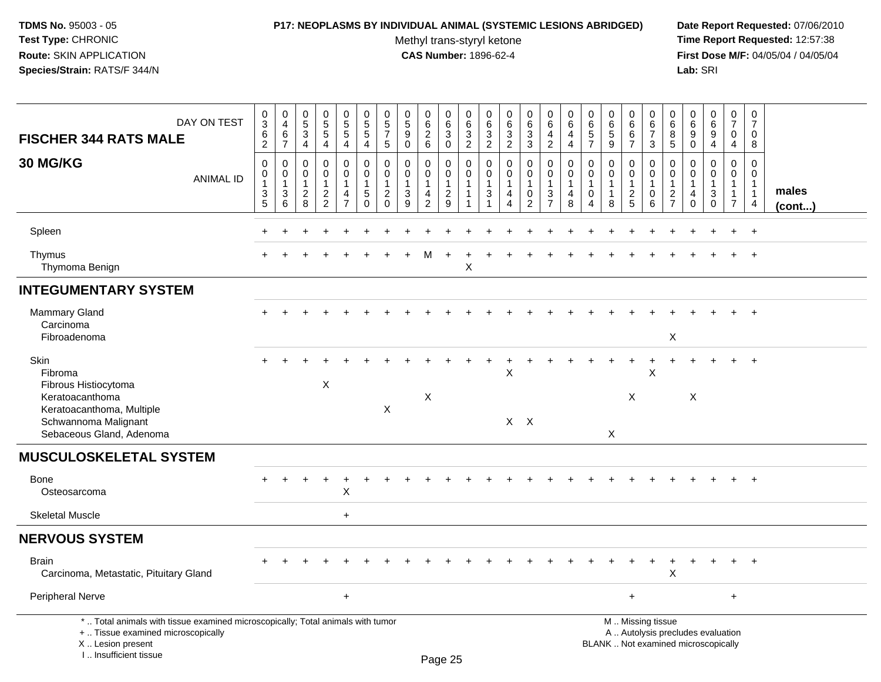### **P17: NEOPLASMS BY INDIVIDUAL ANIMAL (SYSTEMIC LESIONS ABRIDGED) Date Report Requested:** 07/06/2010

Methyl trans-styryl ketone<br>CAS Number: 1896-62-4

| DAY ON TEST<br><b>FISCHER 344 RATS MALE</b>                                                                                                                           | $\begin{array}{c} 0 \\ 3 \\ 6 \end{array}$<br>2                        | $\pmb{0}$<br>$\overline{4}$<br>$\,6\,$<br>$\overline{7}$ | $\begin{array}{c} 0 \\ 5 \end{array}$<br>$\mathbf{3}$<br>$\overline{4}$ | $\begin{array}{c} 0 \\ 5 \end{array}$<br>$\overline{5}$<br>$\overline{4}$ | $\begin{array}{c} 0 \\ 5 \end{array}$<br>$\overline{5}$<br>$\overline{4}$      | $\begin{array}{c} 0 \\ 5 \\ 5 \end{array}$<br>$\overline{4}$            | $\mathbf 0$<br>$\,$ 5 $\,$<br>$\overline{7}$<br>$\sqrt{5}$                      | $\boldsymbol{0}$<br>$\overline{5}$<br>9<br>$\mathbf 0$ | 0<br>$\,6\,$<br>$\overline{2}$<br>$6\phantom{1}6$                              | 0<br>$\,6\,$<br>$\mathbf{3}$<br>$\mathbf 0$                   | $\pmb{0}$<br>$\,6\,$<br>$\overline{3}$<br>$\overline{2}$ | $\pmb{0}$<br>$\,6\,$<br>$\overline{3}$<br>$\overline{2}$         | $_{6}^{\rm 0}$<br>$\overline{3}$<br>$\overline{2}$      | $\begin{array}{c} 0 \\ 6 \end{array}$<br>$\overline{3}$<br>$\mathbf{3}$   | $\pmb{0}$<br>$\,6\,$<br>$\overline{4}$<br>$\overline{2}$                   | 0<br>6<br>$\overline{4}$<br>$\overline{4}$ | $\begin{array}{c} 0 \\ 6 \end{array}$<br>$\overline{5}$<br>$\overline{7}$   | 0<br>$6\overline{6}$<br>$\overline{5}$<br>9 | $\mathbf 0$<br>$\,6\,$<br>$6\phantom{a}$<br>$\overline{7}$ | $\pmb{0}$<br>$6\overline{6}$<br>$\overline{7}$<br>$\mathbf{3}$                                | 0<br>$\,6$<br>8<br>$\sqrt{5}$                                               | $\pmb{0}$<br>$\,6\,$<br>9<br>$\mathbf 0$                             | 0<br>6<br>$\overline{9}$<br>$\overline{4}$ | $\mathbf 0$<br>$\overline{7}$<br>$\mathbf 0$<br>$\overline{4}$     | $\pmb{0}$<br>$\overline{7}$<br>$\mathbf 0$<br>8    |                 |
|-----------------------------------------------------------------------------------------------------------------------------------------------------------------------|------------------------------------------------------------------------|----------------------------------------------------------|-------------------------------------------------------------------------|---------------------------------------------------------------------------|--------------------------------------------------------------------------------|-------------------------------------------------------------------------|---------------------------------------------------------------------------------|--------------------------------------------------------|--------------------------------------------------------------------------------|---------------------------------------------------------------|----------------------------------------------------------|------------------------------------------------------------------|---------------------------------------------------------|---------------------------------------------------------------------------|----------------------------------------------------------------------------|--------------------------------------------|-----------------------------------------------------------------------------|---------------------------------------------|------------------------------------------------------------|-----------------------------------------------------------------------------------------------|-----------------------------------------------------------------------------|----------------------------------------------------------------------|--------------------------------------------|--------------------------------------------------------------------|----------------------------------------------------|-----------------|
| <b>30 MG/KG</b><br><b>ANIMAL ID</b>                                                                                                                                   | $\mathsf 0$<br>$\pmb{0}$<br>$\mathbf{1}$<br>$\mathbf{3}$<br>$\sqrt{5}$ | $\mathbf 0$<br>$\mathbf 0$<br>$\mathbf{1}$<br>3<br>6     | $\Omega$<br>$\mathbf 0$<br>$\overline{1}$<br>$\overline{2}$<br>8        | $\mathbf 0$<br>0<br>1<br>$\sqrt{2}$<br>$\overline{2}$                     | $\mathbf 0$<br>$\mathbf 0$<br>$\mathbf{1}$<br>$\overline{4}$<br>$\overline{7}$ | $\mathbf 0$<br>$\mathbf 0$<br>$\mathbf{1}$<br>$\sqrt{5}$<br>$\mathbf 0$ | $\mathbf{0}$<br>$\mathbf 0$<br>$\overline{1}$<br>$\overline{2}$<br>$\mathbf{0}$ | $\mathbf 0$<br>$\mathbf 0$<br>$\mathbf{1}$<br>3<br>9   | $\mathbf 0$<br>$\mathbf 0$<br>$\mathbf{1}$<br>$\overline{4}$<br>$\overline{2}$ | $\mathbf 0$<br>$\mathbf 0$<br>$\mathbf{1}$<br>$\sqrt{2}$<br>9 | $\mathbf 0$<br>0<br>$\mathbf{1}$<br>$\mathbf 1$          | $\mathbf 0$<br>0<br>$\mathbf{1}$<br>$\mathbf{3}$<br>$\mathbf{1}$ | $\mathbf 0$<br>0<br>$\mathbf{1}$<br>$\overline{4}$<br>4 | $\mathbf 0$<br>$\pmb{0}$<br>$\mathbf{1}$<br>$\mathbf 0$<br>$\overline{2}$ | $\mathbf 0$<br>$\mathbf 0$<br>$\mathbf{1}$<br>$\sqrt{3}$<br>$\overline{7}$ | $\Omega$<br>$\mathbf 0$<br>1<br>4<br>8     | $\mathbf 0$<br>$\mathbf 0$<br>$\mathbf{1}$<br>$\mathbf 0$<br>$\overline{4}$ | $\Omega$<br>0<br>$\mathbf{1}$<br>1<br>8     | $\mathbf 0$<br>0<br>1<br>$\overline{c}$<br>$\sqrt{5}$      | $\mathbf 0$<br>$\boldsymbol{0}$<br>$\mathbf{1}$<br>$\mathbf 0$<br>6                           | $\Omega$<br>$\mathbf 0$<br>$\mathbf{1}$<br>$\overline{2}$<br>$\overline{7}$ | $\Omega$<br>$\Omega$<br>$\overline{1}$<br>$\overline{4}$<br>$\Omega$ | 0<br>$\mathbf 0$<br>1<br>3<br>$\mathbf 0$  | $\mathbf 0$<br>0<br>$\mathbf{1}$<br>$\mathbf{1}$<br>$\overline{7}$ | $\Omega$<br>0<br>$\mathbf{1}$<br>$\mathbf{1}$<br>4 | males<br>(cont) |
| Spleen                                                                                                                                                                |                                                                        |                                                          |                                                                         |                                                                           |                                                                                |                                                                         |                                                                                 |                                                        |                                                                                |                                                               |                                                          |                                                                  |                                                         |                                                                           |                                                                            |                                            |                                                                             |                                             |                                                            |                                                                                               |                                                                             |                                                                      |                                            |                                                                    | $\ddot{}$                                          |                 |
| Thymus<br>Thymoma Benign                                                                                                                                              |                                                                        |                                                          |                                                                         |                                                                           |                                                                                |                                                                         |                                                                                 |                                                        | м                                                                              |                                                               | X                                                        |                                                                  |                                                         |                                                                           |                                                                            |                                            |                                                                             |                                             |                                                            |                                                                                               |                                                                             |                                                                      |                                            |                                                                    | $\ddot{}$                                          |                 |
| <b>INTEGUMENTARY SYSTEM</b>                                                                                                                                           |                                                                        |                                                          |                                                                         |                                                                           |                                                                                |                                                                         |                                                                                 |                                                        |                                                                                |                                                               |                                                          |                                                                  |                                                         |                                                                           |                                                                            |                                            |                                                                             |                                             |                                                            |                                                                                               |                                                                             |                                                                      |                                            |                                                                    |                                                    |                 |
| Mammary Gland<br>Carcinoma<br>Fibroadenoma                                                                                                                            |                                                                        |                                                          |                                                                         |                                                                           |                                                                                |                                                                         |                                                                                 |                                                        |                                                                                |                                                               |                                                          |                                                                  |                                                         |                                                                           |                                                                            |                                            |                                                                             |                                             |                                                            |                                                                                               | X                                                                           |                                                                      |                                            |                                                                    |                                                    |                 |
| <b>Skin</b><br>Fibroma<br>Fibrous Histiocytoma<br>Keratoacanthoma<br>Keratoacanthoma, Multiple<br>Schwannoma Malignant<br>Sebaceous Gland, Adenoma                    |                                                                        |                                                          |                                                                         | X                                                                         |                                                                                |                                                                         | $\boldsymbol{\mathsf{X}}$                                                       |                                                        | Χ                                                                              |                                                               |                                                          |                                                                  | $\sf X$                                                 | $X$ $X$                                                                   |                                                                            |                                            |                                                                             | X                                           | X                                                          | $\mathsf X$                                                                                   |                                                                             | $\boldsymbol{\mathsf{X}}$                                            |                                            |                                                                    | $\ddot{}$                                          |                 |
| <b>MUSCULOSKELETAL SYSTEM</b>                                                                                                                                         |                                                                        |                                                          |                                                                         |                                                                           |                                                                                |                                                                         |                                                                                 |                                                        |                                                                                |                                                               |                                                          |                                                                  |                                                         |                                                                           |                                                                            |                                            |                                                                             |                                             |                                                            |                                                                                               |                                                                             |                                                                      |                                            |                                                                    |                                                    |                 |
| <b>Bone</b><br>Osteosarcoma                                                                                                                                           |                                                                        |                                                          |                                                                         |                                                                           | $\pmb{\times}$                                                                 |                                                                         |                                                                                 |                                                        |                                                                                |                                                               |                                                          |                                                                  |                                                         |                                                                           |                                                                            |                                            |                                                                             |                                             |                                                            |                                                                                               |                                                                             |                                                                      |                                            |                                                                    |                                                    |                 |
| <b>Skeletal Muscle</b>                                                                                                                                                |                                                                        |                                                          |                                                                         |                                                                           | $+$                                                                            |                                                                         |                                                                                 |                                                        |                                                                                |                                                               |                                                          |                                                                  |                                                         |                                                                           |                                                                            |                                            |                                                                             |                                             |                                                            |                                                                                               |                                                                             |                                                                      |                                            |                                                                    |                                                    |                 |
| <b>NERVOUS SYSTEM</b>                                                                                                                                                 |                                                                        |                                                          |                                                                         |                                                                           |                                                                                |                                                                         |                                                                                 |                                                        |                                                                                |                                                               |                                                          |                                                                  |                                                         |                                                                           |                                                                            |                                            |                                                                             |                                             |                                                            |                                                                                               |                                                                             |                                                                      |                                            |                                                                    |                                                    |                 |
| <b>Brain</b><br>Carcinoma, Metastatic, Pituitary Gland                                                                                                                |                                                                        |                                                          |                                                                         |                                                                           |                                                                                |                                                                         |                                                                                 |                                                        |                                                                                |                                                               |                                                          |                                                                  |                                                         |                                                                           |                                                                            |                                            |                                                                             |                                             |                                                            |                                                                                               | $\boldsymbol{\mathsf{X}}$                                                   |                                                                      |                                            |                                                                    | $+$                                                |                 |
| Peripheral Nerve                                                                                                                                                      |                                                                        |                                                          |                                                                         |                                                                           | $\ddot{}$                                                                      |                                                                         |                                                                                 |                                                        |                                                                                |                                                               |                                                          |                                                                  |                                                         |                                                                           |                                                                            |                                            |                                                                             |                                             | $\ddot{}$                                                  |                                                                                               |                                                                             |                                                                      |                                            | $+$                                                                |                                                    |                 |
| *  Total animals with tissue examined microscopically; Total animals with tumor<br>+  Tissue examined microscopically<br>X  Lesion present<br>I., Insufficient tissue |                                                                        |                                                          |                                                                         |                                                                           |                                                                                |                                                                         |                                                                                 |                                                        |                                                                                | Page 25                                                       |                                                          |                                                                  |                                                         |                                                                           |                                                                            |                                            |                                                                             |                                             |                                                            | M  Missing tissue<br>A  Autolysis precludes evaluation<br>BLANK  Not examined microscopically |                                                                             |                                                                      |                                            |                                                                    |                                                    |                 |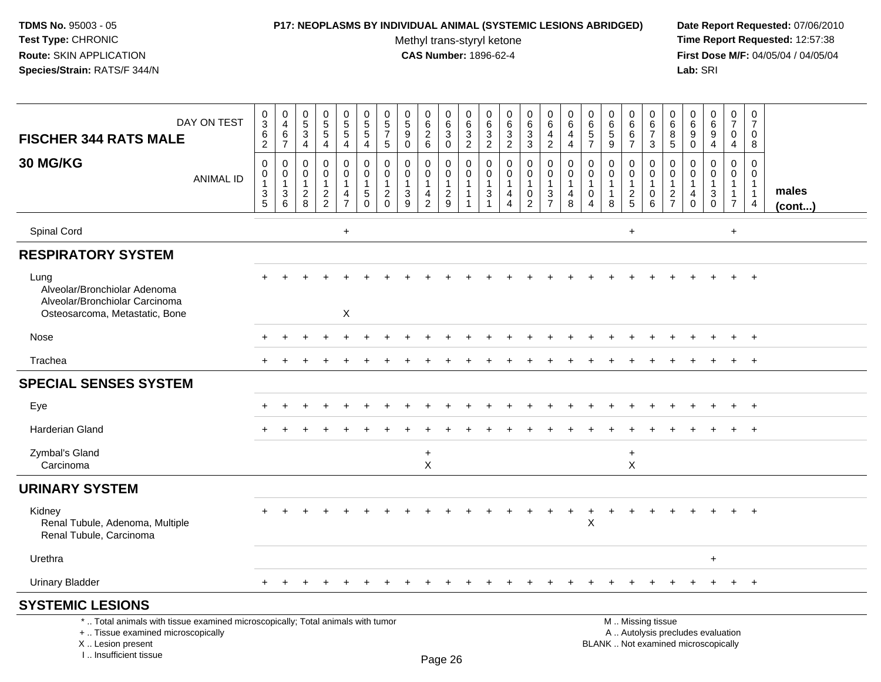# **P17: NEOPLASMS BY INDIVIDUAL ANIMAL (SYSTEMIC LESIONS ABRIDGED) Date Report Requested:** 07/06/2010

Methyl trans-styryl ketone<br>CAS Number: 1896-62-4

| DAY ON TEST<br><b>FISCHER 344 RATS MALE</b>                                                                                                                         | 0<br>$\overline{3}$<br>$\,6$<br>$\overline{2}$        | $\mathbf 0$<br>$\overline{4}$<br>6<br>$\overline{7}$          | $\pmb{0}$<br>$\overline{5}$<br>$\mathsf 3$<br>4 | $\begin{array}{c} 0 \\ 5 \\ 5 \end{array}$<br>4                      | $\begin{array}{c} 0 \\ 5 \\ 5 \end{array}$<br>$\overline{4}$                  | $\begin{array}{c} 0 \\ 5 \\ 5 \end{array}$<br>$\overline{4}$           | $\pmb{0}$<br>$\,$ 5 $\,$<br>$\overline{7}$<br>5                       | $\pmb{0}$<br>$\overline{5}$<br>9<br>$\mathbf{0}$                          | 0<br>$6\phantom{a}$<br>$\overline{c}$<br>6                           | $\,0\,$<br>$6\overline{6}$<br>$\mathbf{3}$<br>$\mathbf 0$ | $\pmb{0}$<br>$\,6\,$<br>$\mathbf{3}$<br>$\overline{2}$ | 0<br>6<br>3<br>$\overline{2}$                    | $\pmb{0}$<br>$\frac{6}{3}$<br>$\overline{2}$                                           | 0<br>$6\overline{6}$<br>$\mathbf{3}$<br>3               | $\mathbf 0$<br>$\,6$<br>4<br>$\overline{2}$                                | $\mathbf 0$<br>6<br>4<br>4                    | 0<br>6<br>$\sqrt{5}$<br>$\overline{7}$                                          | $\pmb{0}$<br>$\frac{6}{5}$<br>9                                 | $\mathbf 0$<br>$\,6\,$<br>6<br>$\overline{7}$                | $\mathbf 0$<br>$\,6\,$<br>$\overline{7}$<br>3                    | $\mathbf 0$<br>6<br>8<br>5                                                     | 0<br>6<br>9<br>0                                                         | 0<br>$\overline{6}$<br>9<br>4                     | $\mathbf 0$<br>$\overline{7}$<br>$\mathbf 0$<br>$\overline{4}$      | $\pmb{0}$<br>$\overline{7}$<br>$\mathbf 0$<br>8                 |                 |
|---------------------------------------------------------------------------------------------------------------------------------------------------------------------|-------------------------------------------------------|---------------------------------------------------------------|-------------------------------------------------|----------------------------------------------------------------------|-------------------------------------------------------------------------------|------------------------------------------------------------------------|-----------------------------------------------------------------------|---------------------------------------------------------------------------|----------------------------------------------------------------------|-----------------------------------------------------------|--------------------------------------------------------|--------------------------------------------------|----------------------------------------------------------------------------------------|---------------------------------------------------------|----------------------------------------------------------------------------|-----------------------------------------------|---------------------------------------------------------------------------------|-----------------------------------------------------------------|--------------------------------------------------------------|------------------------------------------------------------------|--------------------------------------------------------------------------------|--------------------------------------------------------------------------|---------------------------------------------------|---------------------------------------------------------------------|-----------------------------------------------------------------|-----------------|
| 30 MG/KG<br><b>ANIMAL ID</b>                                                                                                                                        | $\mathsf 0$<br>0<br>$\mathbf{1}$<br>$\mathbf{3}$<br>5 | $\mathbf 0$<br>$\mathbf 0$<br>$\mathbf{1}$<br>$\sqrt{3}$<br>6 | 0<br>0<br>$\mathbf{1}$<br>$\overline{2}$<br>8   | 0<br>$\mathbf 0$<br>$\mathbf{1}$<br>$\overline{a}$<br>$\overline{c}$ | 0<br>$\mathbf 0$<br>$\mathbf{1}$<br>$\overline{\mathbf{4}}$<br>$\overline{7}$ | $\mathbf 0$<br>$\mathbf 0$<br>$\overline{1}$<br>$\sqrt{5}$<br>$\Omega$ | $\mathbf 0$<br>$\Omega$<br>$\mathbf{1}$<br>$\overline{2}$<br>$\Omega$ | $\mathbf 0$<br>$\Omega$<br>$\mathbf{1}$<br>$\ensuremath{\mathsf{3}}$<br>9 | 0<br>$\mathbf 0$<br>$\mathbf{1}$<br>$\overline{4}$<br>$\overline{c}$ | 0<br>$\mathbf 0$<br>$\mathbf{1}$<br>$\sqrt{2}$<br>9       | 0<br>$\mathbf 0$<br>$\mathbf{1}$<br>$\mathbf{1}$<br>1  | $\mathbf 0$<br>$\mathbf{0}$<br>$\mathbf{1}$<br>3 | $\mathbf 0$<br>$\mathbf 0$<br>$\mathbf{1}$<br>$\overline{4}$<br>$\boldsymbol{\Lambda}$ | 0<br>$\mathbf 0$<br>$\mathbf{1}$<br>0<br>$\overline{2}$ | $\mathbf 0$<br>$\mathbf 0$<br>$\mathbf{1}$<br>$\sqrt{3}$<br>$\overline{7}$ | 0<br>0<br>$\mathbf{1}$<br>$\overline{4}$<br>8 | $\mathbf 0$<br>$\Omega$<br>$\mathbf 1$<br>$\mathbf 0$<br>$\boldsymbol{\Lambda}$ | $\mathbf 0$<br>$\mathbf 0$<br>$\mathbf{1}$<br>$\mathbf{1}$<br>8 | 0<br>$\mathbf 0$<br>$\mathbf{1}$<br>$\sqrt{2}$<br>$\sqrt{5}$ | $\mathbf 0$<br>$\mathbf 0$<br>$\overline{1}$<br>$\mathbf 0$<br>6 | $\mathbf 0$<br>$\mathbf 0$<br>$\mathbf{1}$<br>$\overline{c}$<br>$\overline{7}$ | 0<br>$\Omega$<br>$\mathbf{1}$<br>4<br>$\Omega$                           | 0<br>$\mathbf 0$<br>$\mathbf{1}$<br>3<br>$\Omega$ | 0<br>$\mathbf{0}$<br>$\mathbf{1}$<br>$\mathbf{1}$<br>$\overline{7}$ | $\mathbf 0$<br>$\mathbf 0$<br>$\mathbf{1}$<br>$\mathbf{1}$<br>4 | males<br>(cont) |
| Spinal Cord                                                                                                                                                         |                                                       |                                                               |                                                 |                                                                      | $+$                                                                           |                                                                        |                                                                       |                                                                           |                                                                      |                                                           |                                                        |                                                  |                                                                                        |                                                         |                                                                            |                                               |                                                                                 |                                                                 | $\ddot{}$                                                    |                                                                  |                                                                                |                                                                          |                                                   | $+$                                                                 |                                                                 |                 |
| <b>RESPIRATORY SYSTEM</b>                                                                                                                                           |                                                       |                                                               |                                                 |                                                                      |                                                                               |                                                                        |                                                                       |                                                                           |                                                                      |                                                           |                                                        |                                                  |                                                                                        |                                                         |                                                                            |                                               |                                                                                 |                                                                 |                                                              |                                                                  |                                                                                |                                                                          |                                                   |                                                                     |                                                                 |                 |
| Lung<br>Alveolar/Bronchiolar Adenoma<br>Alveolar/Bronchiolar Carcinoma<br>Osteosarcoma, Metastatic, Bone                                                            |                                                       |                                                               |                                                 |                                                                      | X                                                                             |                                                                        |                                                                       |                                                                           |                                                                      |                                                           |                                                        |                                                  |                                                                                        |                                                         |                                                                            |                                               |                                                                                 |                                                                 |                                                              |                                                                  |                                                                                |                                                                          |                                                   |                                                                     |                                                                 |                 |
| Nose                                                                                                                                                                |                                                       |                                                               |                                                 |                                                                      |                                                                               |                                                                        |                                                                       |                                                                           |                                                                      |                                                           |                                                        |                                                  |                                                                                        |                                                         |                                                                            |                                               |                                                                                 |                                                                 |                                                              |                                                                  |                                                                                |                                                                          |                                                   | $+$                                                                 | $+$                                                             |                 |
| Trachea                                                                                                                                                             |                                                       |                                                               |                                                 |                                                                      |                                                                               |                                                                        |                                                                       |                                                                           |                                                                      |                                                           |                                                        |                                                  |                                                                                        |                                                         |                                                                            |                                               |                                                                                 |                                                                 |                                                              |                                                                  |                                                                                |                                                                          |                                                   | $+$                                                                 | $+$                                                             |                 |
| <b>SPECIAL SENSES SYSTEM</b>                                                                                                                                        |                                                       |                                                               |                                                 |                                                                      |                                                                               |                                                                        |                                                                       |                                                                           |                                                                      |                                                           |                                                        |                                                  |                                                                                        |                                                         |                                                                            |                                               |                                                                                 |                                                                 |                                                              |                                                                  |                                                                                |                                                                          |                                                   |                                                                     |                                                                 |                 |
| Eye                                                                                                                                                                 |                                                       |                                                               |                                                 |                                                                      |                                                                               |                                                                        |                                                                       |                                                                           |                                                                      |                                                           |                                                        |                                                  |                                                                                        |                                                         |                                                                            |                                               |                                                                                 |                                                                 |                                                              |                                                                  |                                                                                |                                                                          |                                                   | $+$                                                                 | $+$                                                             |                 |
| <b>Harderian Gland</b>                                                                                                                                              |                                                       |                                                               |                                                 |                                                                      |                                                                               |                                                                        |                                                                       |                                                                           |                                                                      |                                                           |                                                        |                                                  |                                                                                        |                                                         |                                                                            |                                               |                                                                                 |                                                                 |                                                              |                                                                  |                                                                                |                                                                          |                                                   |                                                                     | $\overline{+}$                                                  |                 |
| Zymbal's Gland<br>Carcinoma                                                                                                                                         |                                                       |                                                               |                                                 |                                                                      |                                                                               |                                                                        |                                                                       |                                                                           | $\ddot{}$<br>X                                                       |                                                           |                                                        |                                                  |                                                                                        |                                                         |                                                                            |                                               |                                                                                 |                                                                 | $\ddot{}$<br>X                                               |                                                                  |                                                                                |                                                                          |                                                   |                                                                     |                                                                 |                 |
| <b>URINARY SYSTEM</b>                                                                                                                                               |                                                       |                                                               |                                                 |                                                                      |                                                                               |                                                                        |                                                                       |                                                                           |                                                                      |                                                           |                                                        |                                                  |                                                                                        |                                                         |                                                                            |                                               |                                                                                 |                                                                 |                                                              |                                                                  |                                                                                |                                                                          |                                                   |                                                                     |                                                                 |                 |
| Kidney<br>Renal Tubule, Adenoma, Multiple<br>Renal Tubule, Carcinoma                                                                                                |                                                       |                                                               |                                                 |                                                                      |                                                                               |                                                                        |                                                                       |                                                                           |                                                                      |                                                           |                                                        |                                                  |                                                                                        |                                                         |                                                                            |                                               | X                                                                               |                                                                 |                                                              |                                                                  |                                                                                |                                                                          |                                                   |                                                                     | $+$                                                             |                 |
| Urethra                                                                                                                                                             |                                                       |                                                               |                                                 |                                                                      |                                                                               |                                                                        |                                                                       |                                                                           |                                                                      |                                                           |                                                        |                                                  |                                                                                        |                                                         |                                                                            |                                               |                                                                                 |                                                                 |                                                              |                                                                  |                                                                                |                                                                          | $\ddot{}$                                         |                                                                     |                                                                 |                 |
| <b>Urinary Bladder</b>                                                                                                                                              |                                                       |                                                               |                                                 |                                                                      |                                                                               |                                                                        |                                                                       |                                                                           |                                                                      |                                                           | $\div$                                                 | ÷                                                | $\div$                                                                                 | $+$                                                     | $\ddot{}$                                                                  |                                               |                                                                                 | <b>+</b>                                                        |                                                              |                                                                  |                                                                                |                                                                          | $\div$                                            | $+$                                                                 | $+$                                                             |                 |
| <b>SYSTEMIC LESIONS</b>                                                                                                                                             |                                                       |                                                               |                                                 |                                                                      |                                                                               |                                                                        |                                                                       |                                                                           |                                                                      |                                                           |                                                        |                                                  |                                                                                        |                                                         |                                                                            |                                               |                                                                                 |                                                                 |                                                              |                                                                  |                                                                                |                                                                          |                                                   |                                                                     |                                                                 |                 |
| *  Total animals with tissue examined microscopically; Total animals with tumor<br>+  Tissue examined microscopically<br>X  Lesion present<br>I Insufficient tissue |                                                       |                                                               |                                                 |                                                                      |                                                                               |                                                                        |                                                                       |                                                                           | $D_{200}$ 26                                                         |                                                           |                                                        |                                                  |                                                                                        |                                                         |                                                                            |                                               |                                                                                 |                                                                 |                                                              | M  Missing tissue                                                |                                                                                | A  Autolysis precludes evaluation<br>BLANK  Not examined microscopically |                                                   |                                                                     |                                                                 |                 |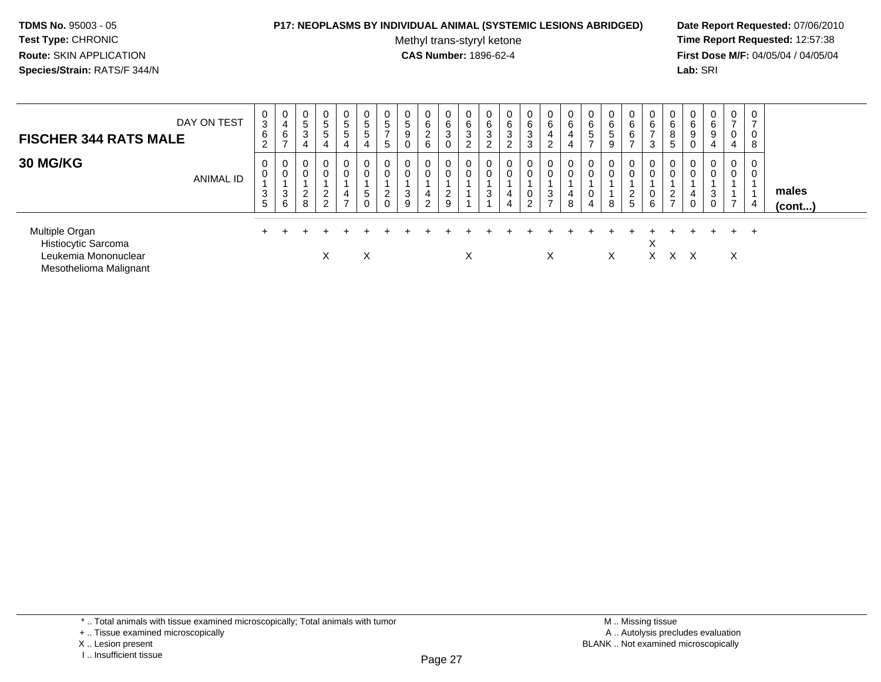#### **P17: NEOPLASMS BY INDIVIDUAL ANIMAL (SYSTEMIC LESIONS ABRIDGED) Date Report Requested:** 07/06/2010

Methyl trans-styryl ketone<br>CAS Number: 1896-62-4

| <b>FISCHER 344 RATS MALE</b>                                                            | DAY ON TEST      | 0<br>3<br>$\,6\,$<br>2 | 0<br>4<br>6      | $\mathbf 0$<br>$5\phantom{.0}$<br>3  | 0<br>5<br>5<br>4                               | $\overline{0}$<br>$5\overline{)}$<br>$5\phantom{.0}$<br>4 | $\mathbf 0$<br>$\overline{5}$<br>$\overline{5}$<br>$\overline{4}$ | 0<br>5<br>$\rightarrow$<br>5 | 0<br>$\sqrt{5}$<br>$9\,$<br>0           | 0<br>6<br>$\overline{2}$<br>6 | 0<br>6<br>3<br>0              | 0<br>6<br>$\mathbf{3}$<br>$\overline{2}$ | 0<br>6<br>$\sqrt{3}$<br>2 | 0<br>$\,6$<br>$\mathbf{3}$<br>2 | $\mathbf{0}$<br>6<br>3<br>3                 | 0<br>6<br>4<br>$\overline{2}$ | 0<br>6<br>4<br>4           | 0<br>6<br>$5\phantom{.0}$<br>$\rightarrow$ | 0<br>$\,6\,$<br><sub>5</sub><br>9 | 6<br>6          | 0<br>6<br>3      | 0<br>6<br>8<br>5     | 0<br>6<br>9<br>0      | 0<br>$\,6\,$<br>9<br>4 | $\overline{0}$<br>$\overline{ }$<br>0<br>4   | $\overline{ }$<br>8 |                       |
|-----------------------------------------------------------------------------------------|------------------|------------------------|------------------|--------------------------------------|------------------------------------------------|-----------------------------------------------------------|-------------------------------------------------------------------|------------------------------|-----------------------------------------|-------------------------------|-------------------------------|------------------------------------------|---------------------------|---------------------------------|---------------------------------------------|-------------------------------|----------------------------|--------------------------------------------|-----------------------------------|-----------------|------------------|----------------------|-----------------------|------------------------|----------------------------------------------|---------------------|-----------------------|
| <b>30 MG/KG</b>                                                                         | <b>ANIMAL ID</b> | 0<br>0<br>3<br>5       | 0<br>0<br>3<br>6 | $\mathbf 0$<br>$\mathbf 0$<br>2<br>8 | 0<br>0<br>$\overline{2}$<br>$\mathcal{L}$<br>∠ | 0<br>0<br>4<br>$\rightarrow$                              | 0<br>0<br>$\overline{5}$<br>0                                     | 0<br>0<br>$\mathbf{2}$<br>0  | $\mathbf 0$<br>$\overline{0}$<br>3<br>9 | 0<br>0<br>4<br>$\overline{2}$ | 0<br>0<br>$\overline{2}$<br>9 | 0<br>0                                   | 0<br>0<br>3               | 0<br>4<br>4                     | $\overline{0}$<br>0<br>0<br>ົ<br>$\epsilon$ | 0<br>0<br>3<br>$\rightarrow$  | 0<br>$\mathbf 0$<br>4<br>8 | 0<br>0<br>4                                | 0<br>$\mathbf 0$<br>8             | $\epsilon$<br>5 | 0<br>0<br>0<br>6 | 0<br>$\epsilon$<br>- | $\mathbf 0$<br>4<br>0 | 0<br>0<br>3<br>0       | $\mathbf 0$<br>0<br>$\overline{\phantom{0}}$ | $\overline{4}$      | males<br>$($ cont $)$ |
| Multiple Organ<br>Histiocytic Sarcoma<br>Leukemia Mononuclear<br>Mesothelioma Malignant |                  |                        |                  |                                      | $\lambda$                                      |                                                           | Χ                                                                 |                              |                                         |                               |                               | Χ                                        |                           |                                 |                                             | X                             |                            |                                            | X                                 |                 | ∧<br>X.          | X.                   | $\times$              |                        | X                                            | $\pm$               |                       |

<sup>\* ..</sup> Total animals with tissue examined microscopically; Total animals with tumor

<sup>+ ..</sup> Tissue examined microscopically

X .. Lesion present

I .. Insufficient tissue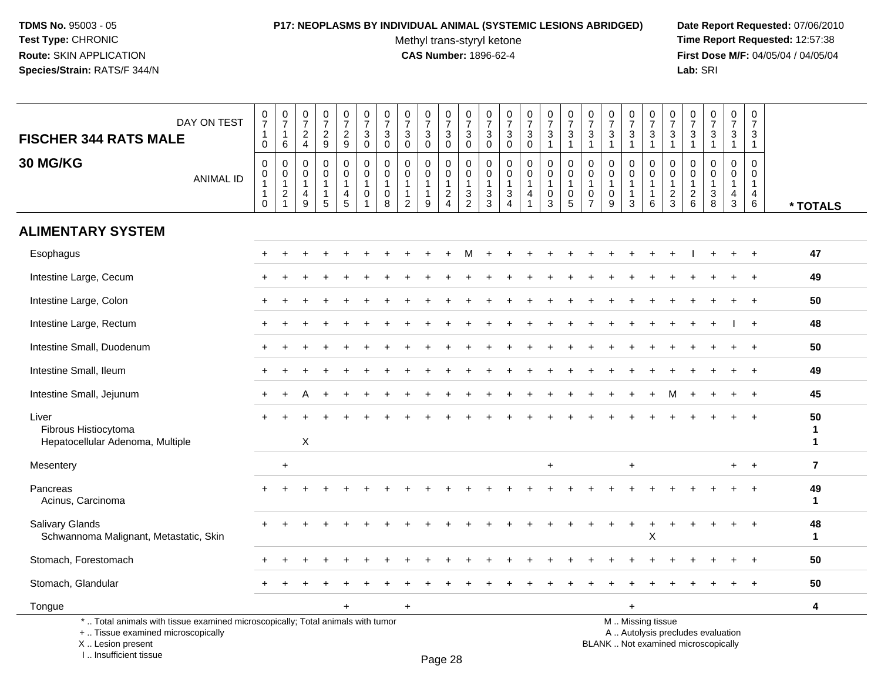# **P17: NEOPLASMS BY INDIVIDUAL ANIMAL (SYSTEMIC LESIONS ABRIDGED) Date Report Requested:** 07/06/2010

Methyl trans-styryl ketone<br>CAS Number: 1896-62-4

 **Time Report Requested:** 12:57:38 **First Dose M/F:** 04/05/04 / 04/05/04<br>Lab: SRI **Lab:** SRI

| DAY ON TEST<br><b>FISCHER 344 RATS MALE</b>                                                                           | $\frac{0}{7}$<br>$\mathbf{1}$<br>$\mathbf 0$                    | $\frac{0}{7}$<br>$\mathbf{1}$<br>6                | $\frac{0}{7}$<br>$_4^2$                                                               | $\frac{0}{7}$<br>$\frac{2}{9}$                        | $\begin{smallmatrix}0\\7\end{smallmatrix}$<br>$\frac{2}{9}$ | $\frac{0}{7}$<br>$\mathbf 3$<br>$\mathbf 0$                                   | $\frac{0}{7}$<br>$\ensuremath{\mathsf{3}}$<br>$\mathbf 0$ | $\begin{array}{c} 0 \\ 7 \end{array}$<br>$\sqrt{3}$<br>$\mathbf 0$           | $\frac{0}{7}$<br>3<br>$\mathbf 0$                               | $\frac{0}{7}$<br>$\mathbf{3}$<br>$\mathsf{O}\xspace$ | $\frac{0}{7}$<br>$_{0}^{3}$                         | $\frac{0}{7}$<br>$\ensuremath{\mathsf{3}}$<br>$\pmb{0}$                         | $\begin{array}{c} 0 \\ 7 \end{array}$<br>3<br>$\mathbf 0$         | $\frac{0}{7}$<br>3<br>$\mathbf 0$                       | $\frac{0}{7}$<br>$\sqrt{3}$<br>$\mathbf{1}$        | $\frac{0}{7}$<br>$\frac{3}{1}$                                              | $\frac{0}{7}$<br>$\sqrt{3}$<br>$\overline{1}$             | $\frac{0}{7}$<br>$\ensuremath{\mathsf{3}}$<br>$\mathbf{1}$  | $\frac{0}{7}$<br>3<br>$\mathbf{1}$          | $\begin{smallmatrix} 0\\7 \end{smallmatrix}$<br>$\ensuremath{\mathsf{3}}$<br>$\mathbf{1}$ | $\begin{array}{c} 0 \\ 7 \end{array}$<br>$\frac{3}{1}$        | $\frac{0}{7}$<br>$\mathbf{3}$<br>$\overline{1}$         | $\begin{array}{c} 0 \\ 7 \end{array}$<br>$\sqrt{3}$<br>$\mathbf{1}$ | $\frac{0}{7}$<br>$\mathbf{3}$<br>$\mathbf{1}$ | $\begin{smallmatrix} 0\\7 \end{smallmatrix}$<br>$\mathbf{3}$<br>$\mathbf{1}$ |                         |
|-----------------------------------------------------------------------------------------------------------------------|-----------------------------------------------------------------|---------------------------------------------------|---------------------------------------------------------------------------------------|-------------------------------------------------------|-------------------------------------------------------------|-------------------------------------------------------------------------------|-----------------------------------------------------------|------------------------------------------------------------------------------|-----------------------------------------------------------------|------------------------------------------------------|-----------------------------------------------------|---------------------------------------------------------------------------------|-------------------------------------------------------------------|---------------------------------------------------------|----------------------------------------------------|-----------------------------------------------------------------------------|-----------------------------------------------------------|-------------------------------------------------------------|---------------------------------------------|-------------------------------------------------------------------------------------------|---------------------------------------------------------------|---------------------------------------------------------|---------------------------------------------------------------------|-----------------------------------------------|------------------------------------------------------------------------------|-------------------------|
| 30 MG/KG<br><b>ANIMAL ID</b>                                                                                          | $\mathbf 0$<br>0<br>$\mathbf{1}$<br>$\mathbf{1}$<br>$\mathbf 0$ | $\mathbf 0$<br>0<br>$\mathbf{1}$<br>$\frac{2}{1}$ | $\mathbf 0$<br>$\mathbf 0$<br>$\overline{1}$<br>$\begin{array}{c} 4 \\ 9 \end{array}$ | 0<br>$\mathsf 0$<br>$\mathbf{1}$<br>$\mathbf{1}$<br>5 | 0<br>$\mathbf 0$<br>1<br>$\frac{4}{5}$                      | $\mathbf 0$<br>$\mathbf 0$<br>$\overline{1}$<br>$\mathbf 0$<br>$\overline{1}$ | $\mathbf 0$<br>0<br>$\overline{1}$<br>0<br>8              | $\mathbf 0$<br>$\mathbf 0$<br>$\mathbf{1}$<br>$\mathbf{1}$<br>$\overline{2}$ | $\mathbf 0$<br>$\mathbf 0$<br>$\mathbf{1}$<br>$\mathbf{1}$<br>9 | 0<br>0<br>$\mathbf{1}$<br>$\frac{2}{4}$              | $\mathbf 0$<br>0<br>$\overline{1}$<br>$\frac{3}{2}$ | $\mathbf 0$<br>0<br>$\mathbf{1}$<br>$\ensuremath{\mathsf{3}}$<br>$\overline{3}$ | $\mathbf 0$<br>$\mathbf 0$<br>$\mathbf{1}$<br>3<br>$\overline{4}$ | 0<br>$\mathbf 0$<br>$\mathbf{1}$<br>4<br>$\overline{1}$ | 0<br>$\mathbf 0$<br>$\mathbf{1}$<br>$_{3}^{\rm 0}$ | $\mathbf 0$<br>0<br>$\overline{1}$<br>$\begin{array}{c} 0 \\ 5 \end{array}$ | 0<br>$\mathbf 0$<br>$\overline{1}$<br>0<br>$\overline{7}$ | $\Omega$<br>$\mathbf 0$<br>$\mathbf{1}$<br>$\mathbf 0$<br>9 | 0<br>0<br>$\mathbf{1}$<br>$\mathbf{1}$<br>3 | 0<br>$\mathbf 0$<br>$\mathbf{1}$<br>$\mathbf{1}$<br>$6\phantom{a}$                        | $\mathbf 0$<br>$\mathbf 0$<br>$\overline{1}$<br>$\frac{2}{3}$ | $\Omega$<br>$\Omega$<br>$\overline{1}$<br>$\frac{2}{6}$ | $\Omega$<br>$\Omega$<br>$\mathbf{1}$<br>3<br>$\overline{8}$         | $\Omega$<br>0<br>$\mathbf{1}$<br>$rac{4}{3}$  | $\mathbf 0$<br>$\mathbf 0$<br>$\mathbf{1}$<br>$\overline{4}$<br>$\,6\,$      | * TOTALS                |
| <b>ALIMENTARY SYSTEM</b>                                                                                              |                                                                 |                                                   |                                                                                       |                                                       |                                                             |                                                                               |                                                           |                                                                              |                                                                 |                                                      |                                                     |                                                                                 |                                                                   |                                                         |                                                    |                                                                             |                                                           |                                                             |                                             |                                                                                           |                                                               |                                                         |                                                                     |                                               |                                                                              |                         |
| Esophagus                                                                                                             |                                                                 |                                                   |                                                                                       |                                                       |                                                             |                                                                               |                                                           |                                                                              |                                                                 |                                                      |                                                     |                                                                                 |                                                                   |                                                         |                                                    |                                                                             |                                                           |                                                             |                                             |                                                                                           |                                                               |                                                         |                                                                     |                                               |                                                                              | 47                      |
| Intestine Large, Cecum                                                                                                |                                                                 |                                                   |                                                                                       |                                                       |                                                             |                                                                               |                                                           |                                                                              |                                                                 |                                                      |                                                     |                                                                                 |                                                                   |                                                         |                                                    |                                                                             |                                                           |                                                             |                                             |                                                                                           |                                                               |                                                         |                                                                     |                                               |                                                                              | 49                      |
| Intestine Large, Colon                                                                                                |                                                                 |                                                   |                                                                                       |                                                       |                                                             |                                                                               |                                                           |                                                                              |                                                                 |                                                      |                                                     |                                                                                 |                                                                   |                                                         |                                                    |                                                                             |                                                           |                                                             |                                             |                                                                                           |                                                               |                                                         |                                                                     |                                               |                                                                              | 50                      |
| Intestine Large, Rectum                                                                                               |                                                                 |                                                   |                                                                                       |                                                       |                                                             |                                                                               |                                                           |                                                                              |                                                                 |                                                      |                                                     |                                                                                 |                                                                   |                                                         |                                                    |                                                                             |                                                           |                                                             |                                             |                                                                                           |                                                               |                                                         |                                                                     |                                               |                                                                              | 48                      |
| Intestine Small, Duodenum                                                                                             |                                                                 |                                                   |                                                                                       |                                                       |                                                             |                                                                               |                                                           |                                                                              |                                                                 |                                                      |                                                     |                                                                                 |                                                                   |                                                         |                                                    |                                                                             |                                                           |                                                             |                                             |                                                                                           |                                                               |                                                         |                                                                     |                                               |                                                                              | 50                      |
| Intestine Small, Ileum                                                                                                |                                                                 |                                                   |                                                                                       |                                                       |                                                             |                                                                               |                                                           |                                                                              |                                                                 |                                                      |                                                     |                                                                                 |                                                                   |                                                         |                                                    |                                                                             |                                                           |                                                             |                                             |                                                                                           |                                                               |                                                         |                                                                     |                                               |                                                                              | 49                      |
| Intestine Small, Jejunum                                                                                              |                                                                 |                                                   |                                                                                       |                                                       |                                                             |                                                                               |                                                           |                                                                              |                                                                 |                                                      |                                                     |                                                                                 |                                                                   |                                                         |                                                    |                                                                             |                                                           |                                                             |                                             |                                                                                           | м                                                             |                                                         |                                                                     |                                               | $\ddot{}$                                                                    | 45                      |
| Liver<br>Fibrous Histiocytoma<br>Hepatocellular Adenoma, Multiple                                                     |                                                                 |                                                   | $\mathsf X$                                                                           |                                                       |                                                             |                                                                               |                                                           |                                                                              |                                                                 |                                                      |                                                     |                                                                                 |                                                                   |                                                         |                                                    |                                                                             |                                                           |                                                             |                                             |                                                                                           |                                                               |                                                         |                                                                     |                                               |                                                                              | 50<br>1<br>$\mathbf{1}$ |
| Mesentery                                                                                                             |                                                                 | $+$                                               |                                                                                       |                                                       |                                                             |                                                                               |                                                           |                                                                              |                                                                 |                                                      |                                                     |                                                                                 |                                                                   |                                                         | $+$                                                |                                                                             |                                                           |                                                             | +                                           |                                                                                           |                                                               |                                                         |                                                                     | $+$                                           | $+$                                                                          | $\overline{7}$          |
| Pancreas<br>Acinus, Carcinoma                                                                                         |                                                                 |                                                   |                                                                                       |                                                       |                                                             |                                                                               |                                                           |                                                                              |                                                                 |                                                      |                                                     |                                                                                 |                                                                   |                                                         |                                                    |                                                                             |                                                           |                                                             |                                             |                                                                                           |                                                               |                                                         |                                                                     |                                               |                                                                              | 49<br>$\mathbf{1}$      |
| <b>Salivary Glands</b><br>Schwannoma Malignant, Metastatic, Skin                                                      |                                                                 |                                                   |                                                                                       |                                                       |                                                             |                                                                               |                                                           |                                                                              |                                                                 |                                                      |                                                     |                                                                                 |                                                                   |                                                         |                                                    |                                                                             |                                                           |                                                             |                                             | X                                                                                         |                                                               |                                                         |                                                                     |                                               |                                                                              | 48<br>$\mathbf{1}$      |
| Stomach, Forestomach                                                                                                  |                                                                 |                                                   |                                                                                       |                                                       |                                                             |                                                                               |                                                           |                                                                              |                                                                 |                                                      |                                                     |                                                                                 |                                                                   |                                                         |                                                    |                                                                             |                                                           |                                                             |                                             |                                                                                           |                                                               |                                                         |                                                                     |                                               |                                                                              | 50                      |
| Stomach, Glandular                                                                                                    |                                                                 |                                                   |                                                                                       |                                                       |                                                             |                                                                               |                                                           |                                                                              |                                                                 |                                                      |                                                     |                                                                                 |                                                                   |                                                         |                                                    |                                                                             |                                                           |                                                             |                                             |                                                                                           |                                                               |                                                         |                                                                     |                                               |                                                                              | 50                      |
| Tongue                                                                                                                |                                                                 |                                                   |                                                                                       |                                                       |                                                             |                                                                               |                                                           | $\ddot{}$                                                                    |                                                                 |                                                      |                                                     |                                                                                 |                                                                   |                                                         |                                                    |                                                                             |                                                           |                                                             | $\ddot{}$                                   |                                                                                           |                                                               |                                                         |                                                                     |                                               |                                                                              | 4                       |
| *  Total animals with tissue examined microscopically; Total animals with tumor<br>+  Tissue examined microscopically |                                                                 |                                                   |                                                                                       |                                                       |                                                             |                                                                               |                                                           |                                                                              |                                                                 |                                                      |                                                     |                                                                                 |                                                                   |                                                         |                                                    |                                                                             |                                                           |                                                             |                                             | M  Missing tissue                                                                         |                                                               |                                                         | A  Autolysis precludes evaluation                                   |                                               |                                                                              |                         |

X .. Lesion present

I .. Insufficient tissue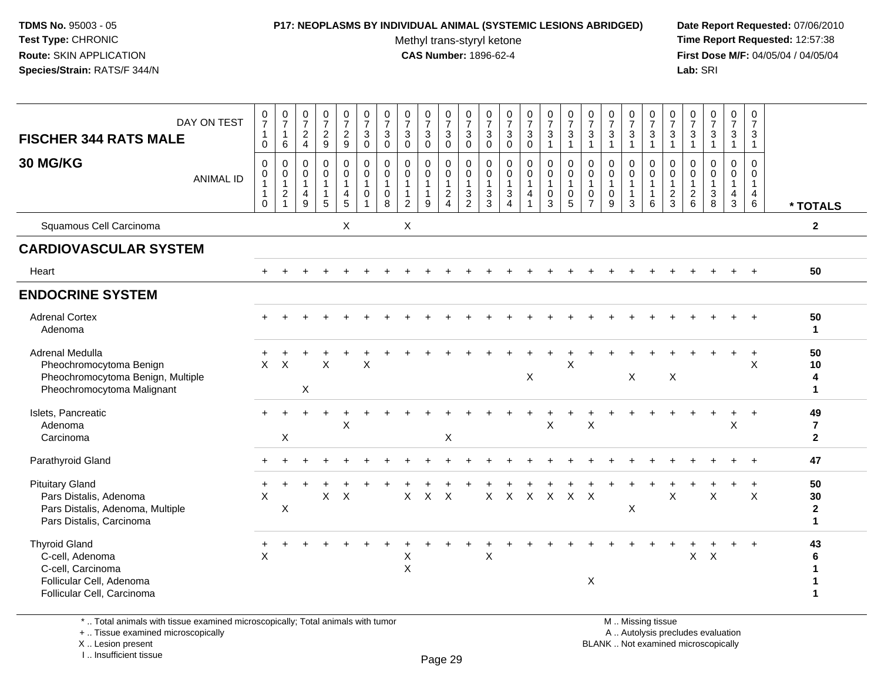### **P17: NEOPLASMS BY INDIVIDUAL ANIMAL (SYSTEMIC LESIONS ABRIDGED) Date Report Requested:** 07/06/2010

Methyl trans-styryl ketone<br>CAS Number: 1896-62-4

 **Time Report Requested:** 12:57:38 **First Dose M/F:** 04/05/04 / 04/05/04<br>Lab: SRI **Lab:** SRI

| DAY ON TEST<br><b>FISCHER 344 RATS MALE</b><br>30 MG/KG<br><b>ANIMAL ID</b>                                            | $\frac{0}{7}$<br>$\mathbf{1}$<br>$\mathbf 0$<br>$\mathbf 0$<br>$\mathbf 0$<br>1<br>1<br>$\Omega$ | $\frac{0}{7}$<br>$\overline{1}$<br>$\,6\,$<br>$\mathbf 0$<br>$\begin{smallmatrix}0\\1\end{smallmatrix}$<br>$\sqrt{2}$<br>$\overline{1}$ | $\frac{0}{7}$<br>$\frac{2}{4}$<br>$\mathbf 0$<br>$\mathbf 0$<br>$\overline{1}$<br>$\overline{4}$<br>9 | $\frac{0}{7}$<br>$\frac{2}{9}$<br>$\mathbf 0$<br>$\mathbf 0$<br>$\mathbf{1}$<br>$\mathbf{1}$<br>5 | $\frac{0}{7}$<br>$\frac{2}{9}$<br>0<br>$\mathbf 0$<br>$\mathbf{1}$<br>4<br>$\overline{5}$ | $\begin{array}{c} 0 \\ 7 \end{array}$<br>$\sqrt{3}$<br>$\mathbf 0$<br>$\mathbf 0$<br>$\pmb{0}$<br>$\mathbf{1}$<br>$\mathbf 0$ | $\frac{0}{7}$<br>$\mathbf{3}$<br>$\mathbf 0$<br>$\mathbf 0$<br>0<br>$\mathbf{1}$<br>$\mathbf 0$<br>$\overline{8}$ | $\frac{0}{7}$<br>$\sqrt{3}$<br>$\mathbf{0}$<br>$\mathbf 0$<br>$\mathbf 0$<br>$\mathbf{1}$<br>$\mathbf{1}$<br>$\overline{2}$ | $\frac{0}{7}$<br>$\mathbf{3}$<br>$\mathbf{0}$<br>$\mathbf 0$<br>$\mathbf 0$<br>$\mathbf{1}$<br>$\mathbf{1}$<br>9 | $\frac{0}{7}$<br>$\ensuremath{\mathsf{3}}$<br>$\mathbf 0$<br>0<br>$\ddot{\mathbf{0}}$<br>$\overline{1}$<br>$\boldsymbol{2}$<br>$\overline{4}$ | $\begin{array}{c} 0 \\ 7 \end{array}$<br>$\mathbf{3}$<br>$\mathbf 0$<br>0<br>$\mathsf{O}\xspace$<br>$\mathbf{1}$<br>$\mathbf{3}$<br>$\overline{2}$ | $\frac{0}{7}$<br>$\mathsf 3$<br>$\mathbf 0$<br>$\mathbf 0$<br>0<br>$\mathbf{1}$<br>$\sqrt{3}$<br>$\overline{3}$ | $\begin{smallmatrix}0\\7\end{smallmatrix}$<br>$\ensuremath{\mathsf{3}}$<br>$\mathbf 0$<br>$\mathbf 0$<br>$\boldsymbol{0}$<br>$\mathbf{1}$<br>$\sqrt{3}$<br>$\boldsymbol{\Lambda}$ | $\begin{smallmatrix}0\\7\end{smallmatrix}$<br>$\sqrt{3}$<br>$\mathbf 0$<br>$\mathbf 0$<br>$\overline{0}$<br>$\mathbf{1}$<br>4<br>$\mathbf{1}$ | $\frac{0}{7}$<br>$\sqrt{3}$<br>$\mathbf{1}$<br>$\mathbf 0$<br>$\overline{0}$<br>$\mathbf{1}$<br>$\mathbf 0$<br>$\overline{3}$ | $\frac{0}{7}$<br>$\mathbf{3}$<br>$\mathbf{1}$<br>$\mathbf 0$<br>$\mathbf 0$<br>$\mathbf{1}$<br>$\pmb{0}$<br>$\overline{5}$ | $\frac{0}{7}$<br>$\sqrt{3}$<br>$\mathbf 0$<br>0<br>$\mathbf{1}$<br>0<br>$\overline{7}$ | $\frac{0}{7}$<br>$\sqrt{3}$<br>$\overline{1}$<br>$\mathbf 0$<br>$\pmb{0}$<br>$\mathbf{1}$<br>$\mathbf 0$<br>9 | $\frac{0}{7}$<br>$\sqrt{3}$<br>$\mathbf{1}$<br>0<br>$\mathbf 0$<br>$\mathbf{1}$<br>$\mathbf{1}$<br>3 | 0<br>$\overline{7}$<br>$\sqrt{3}$<br>$\mathbf{1}$<br>$\mathbf 0$<br>$\mathbf 0$<br>$\mathbf{1}$<br>$\mathbf{1}$<br>6 | $\frac{0}{7}$<br>$\mathbf{3}$<br>$\mathbf{1}$<br>0<br>0<br>$\mathbf{1}$<br>$\overline{c}$<br>$\mathbf{3}$ | $\frac{0}{7}$<br>$\mathsf 3$<br>$\overline{1}$<br>0<br>0<br>$\mathbf{1}$<br>$\begin{array}{c} 2 \\ 6 \end{array}$ | $\frac{0}{7}$<br>$\ensuremath{\mathsf{3}}$<br>$\mathbf{1}$<br>$\mathbf 0$<br>$\mathsf{O}\xspace$<br>$\mathbf{1}$<br>$_8^3$ | $\frac{0}{7}$<br>$\sqrt{3}$<br>$\overline{1}$<br>0<br>0<br>$\overline{1}$<br>$\overline{\mathbf{4}}$<br>$\mathbf 3$ | 0<br>$\overline{7}$<br>$\ensuremath{\mathsf{3}}$<br>$\overline{1}$<br>$\mathbf 0$<br>0<br>$\mathbf{1}$<br>$\overline{4}$<br>$\,6\,$ | * TOTALS                                 |
|------------------------------------------------------------------------------------------------------------------------|--------------------------------------------------------------------------------------------------|-----------------------------------------------------------------------------------------------------------------------------------------|-------------------------------------------------------------------------------------------------------|---------------------------------------------------------------------------------------------------|-------------------------------------------------------------------------------------------|-------------------------------------------------------------------------------------------------------------------------------|-------------------------------------------------------------------------------------------------------------------|-----------------------------------------------------------------------------------------------------------------------------|------------------------------------------------------------------------------------------------------------------|-----------------------------------------------------------------------------------------------------------------------------------------------|----------------------------------------------------------------------------------------------------------------------------------------------------|-----------------------------------------------------------------------------------------------------------------|-----------------------------------------------------------------------------------------------------------------------------------------------------------------------------------|-----------------------------------------------------------------------------------------------------------------------------------------------|-------------------------------------------------------------------------------------------------------------------------------|----------------------------------------------------------------------------------------------------------------------------|----------------------------------------------------------------------------------------|---------------------------------------------------------------------------------------------------------------|------------------------------------------------------------------------------------------------------|----------------------------------------------------------------------------------------------------------------------|-----------------------------------------------------------------------------------------------------------|-------------------------------------------------------------------------------------------------------------------|----------------------------------------------------------------------------------------------------------------------------|---------------------------------------------------------------------------------------------------------------------|-------------------------------------------------------------------------------------------------------------------------------------|------------------------------------------|
| Squamous Cell Carcinoma                                                                                                |                                                                                                  |                                                                                                                                         |                                                                                                       |                                                                                                   | X                                                                                         |                                                                                                                               |                                                                                                                   | X                                                                                                                           |                                                                                                                  |                                                                                                                                               |                                                                                                                                                    |                                                                                                                 |                                                                                                                                                                                   |                                                                                                                                               |                                                                                                                               |                                                                                                                            |                                                                                        |                                                                                                               |                                                                                                      |                                                                                                                      |                                                                                                           |                                                                                                                   |                                                                                                                            |                                                                                                                     |                                                                                                                                     | $\mathbf{2}$                             |
| <b>CARDIOVASCULAR SYSTEM</b>                                                                                           |                                                                                                  |                                                                                                                                         |                                                                                                       |                                                                                                   |                                                                                           |                                                                                                                               |                                                                                                                   |                                                                                                                             |                                                                                                                  |                                                                                                                                               |                                                                                                                                                    |                                                                                                                 |                                                                                                                                                                                   |                                                                                                                                               |                                                                                                                               |                                                                                                                            |                                                                                        |                                                                                                               |                                                                                                      |                                                                                                                      |                                                                                                           |                                                                                                                   |                                                                                                                            |                                                                                                                     |                                                                                                                                     |                                          |
| Heart                                                                                                                  |                                                                                                  |                                                                                                                                         |                                                                                                       |                                                                                                   |                                                                                           |                                                                                                                               |                                                                                                                   |                                                                                                                             |                                                                                                                  |                                                                                                                                               |                                                                                                                                                    |                                                                                                                 |                                                                                                                                                                                   |                                                                                                                                               |                                                                                                                               |                                                                                                                            |                                                                                        |                                                                                                               |                                                                                                      |                                                                                                                      |                                                                                                           |                                                                                                                   |                                                                                                                            |                                                                                                                     |                                                                                                                                     | 50                                       |
| <b>ENDOCRINE SYSTEM</b>                                                                                                |                                                                                                  |                                                                                                                                         |                                                                                                       |                                                                                                   |                                                                                           |                                                                                                                               |                                                                                                                   |                                                                                                                             |                                                                                                                  |                                                                                                                                               |                                                                                                                                                    |                                                                                                                 |                                                                                                                                                                                   |                                                                                                                                               |                                                                                                                               |                                                                                                                            |                                                                                        |                                                                                                               |                                                                                                      |                                                                                                                      |                                                                                                           |                                                                                                                   |                                                                                                                            |                                                                                                                     |                                                                                                                                     |                                          |
| <b>Adrenal Cortex</b><br>Adenoma                                                                                       |                                                                                                  |                                                                                                                                         |                                                                                                       |                                                                                                   |                                                                                           |                                                                                                                               |                                                                                                                   |                                                                                                                             |                                                                                                                  |                                                                                                                                               |                                                                                                                                                    |                                                                                                                 |                                                                                                                                                                                   |                                                                                                                                               |                                                                                                                               |                                                                                                                            |                                                                                        |                                                                                                               |                                                                                                      |                                                                                                                      |                                                                                                           |                                                                                                                   |                                                                                                                            |                                                                                                                     |                                                                                                                                     | 50<br>$\mathbf{1}$                       |
| Adrenal Medulla<br>Pheochromocytoma Benign<br>Pheochromocytoma Benign, Multiple<br>Pheochromocytoma Malignant          | $\mathsf{x}$                                                                                     | $\times$                                                                                                                                | $\boldsymbol{\mathsf{X}}$                                                                             | X                                                                                                 |                                                                                           | $\mathsf{X}$                                                                                                                  |                                                                                                                   |                                                                                                                             |                                                                                                                  |                                                                                                                                               |                                                                                                                                                    |                                                                                                                 |                                                                                                                                                                                   | X                                                                                                                                             |                                                                                                                               | X                                                                                                                          |                                                                                        |                                                                                                               | $\boldsymbol{\mathsf{X}}$                                                                            |                                                                                                                      | $\boldsymbol{\mathsf{X}}$                                                                                 |                                                                                                                   |                                                                                                                            |                                                                                                                     | $\ddot{}$<br>X                                                                                                                      | 50<br>10<br>4<br>1                       |
| Islets, Pancreatic<br>Adenoma<br>Carcinoma                                                                             |                                                                                                  | $\mathsf X$                                                                                                                             |                                                                                                       |                                                                                                   | $\boldsymbol{\mathsf{X}}$                                                                 |                                                                                                                               |                                                                                                                   |                                                                                                                             |                                                                                                                  | Χ                                                                                                                                             |                                                                                                                                                    |                                                                                                                 |                                                                                                                                                                                   |                                                                                                                                               | X                                                                                                                             |                                                                                                                            | $\boldsymbol{\mathsf{X}}$                                                              |                                                                                                               |                                                                                                      |                                                                                                                      |                                                                                                           |                                                                                                                   |                                                                                                                            | $\boldsymbol{\mathsf{X}}$                                                                                           |                                                                                                                                     | 49<br>$\overline{7}$<br>$\mathbf{2}$     |
| Parathyroid Gland                                                                                                      |                                                                                                  |                                                                                                                                         |                                                                                                       |                                                                                                   |                                                                                           |                                                                                                                               |                                                                                                                   |                                                                                                                             |                                                                                                                  |                                                                                                                                               |                                                                                                                                                    |                                                                                                                 |                                                                                                                                                                                   |                                                                                                                                               |                                                                                                                               |                                                                                                                            |                                                                                        |                                                                                                               |                                                                                                      |                                                                                                                      |                                                                                                           |                                                                                                                   |                                                                                                                            |                                                                                                                     |                                                                                                                                     | 47                                       |
| <b>Pituitary Gland</b><br>Pars Distalis, Adenoma<br>Pars Distalis, Adenoma, Multiple<br>Pars Distalis, Carcinoma       | X                                                                                                | $\boldsymbol{\mathsf{X}}$                                                                                                               |                                                                                                       | X                                                                                                 | $\boldsymbol{\mathsf{X}}$                                                                 |                                                                                                                               |                                                                                                                   | $\mathsf{X}$                                                                                                                | $\mathsf{X}$                                                                                                     | $\mathsf{X}$                                                                                                                                  |                                                                                                                                                    | $\mathsf{X}$                                                                                                    |                                                                                                                                                                                   |                                                                                                                                               |                                                                                                                               | X X X X X                                                                                                                  |                                                                                        |                                                                                                               | X                                                                                                    |                                                                                                                      | X                                                                                                         |                                                                                                                   | X                                                                                                                          |                                                                                                                     | $\ddot{}$<br>X                                                                                                                      | 50<br>30<br>$\mathbf{2}$<br>$\mathbf{1}$ |
| <b>Thyroid Gland</b><br>C-cell, Adenoma<br>C-cell, Carcinoma<br>Follicular Cell, Adenoma<br>Follicular Cell, Carcinoma | +<br>X                                                                                           |                                                                                                                                         |                                                                                                       |                                                                                                   |                                                                                           |                                                                                                                               |                                                                                                                   | Χ<br>$\mathsf X$                                                                                                            |                                                                                                                  |                                                                                                                                               |                                                                                                                                                    | X                                                                                                               |                                                                                                                                                                                   |                                                                                                                                               |                                                                                                                               |                                                                                                                            | X                                                                                      |                                                                                                               |                                                                                                      |                                                                                                                      |                                                                                                           | X                                                                                                                 | $\mathsf{X}$                                                                                                               |                                                                                                                     | $\ddot{}$                                                                                                                           | 43<br>6<br>1                             |

\* .. Total animals with tissue examined microscopically; Total animals with tumor

+ .. Tissue examined microscopically

X .. Lesion present

I .. Insufficient tissue

M .. Missing tissue

y the contract of the contract of the contract of the contract of the contract of  $\mathsf A$  . Autolysis precludes evaluation Lesion present BLANK .. Not examined microscopically

Page 29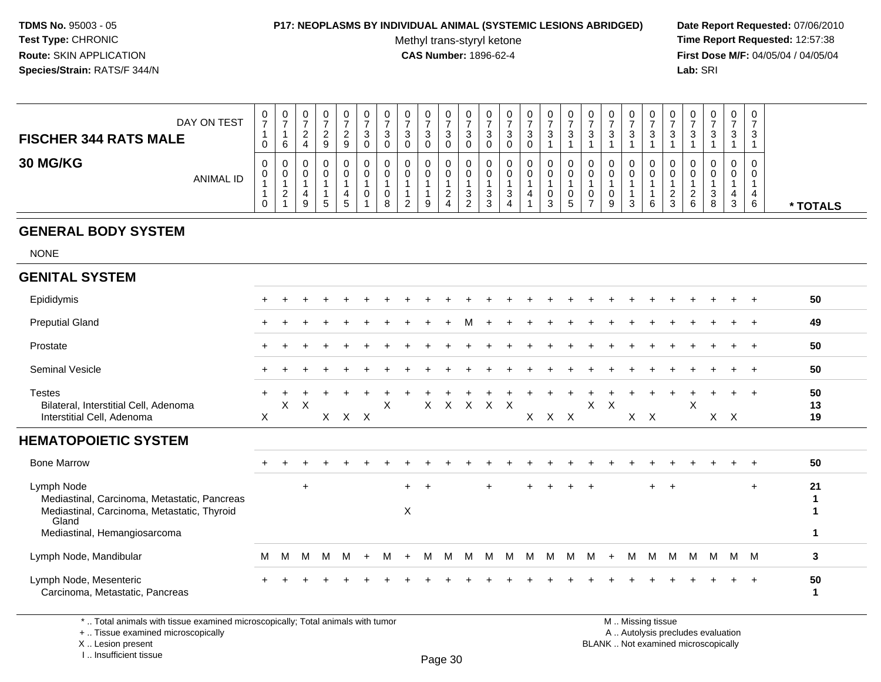#### **P17: NEOPLASMS BY INDIVIDUAL ANIMAL (SYSTEMIC LESIONS ABRIDGED) Date Report Requested:** 07/06/2010

Methyl trans-styryl ketone<br>CAS Number: 1896-62-4

 **Time Report Requested:** 12:57:38 **First Dose M/F:** 04/05/04 / 04/05/04 **Lab:** SRI **Lab:** SRI

| DAY ON TEST<br><b>FISCHER 344 RATS MALE</b> | U<br>-<br>U | U<br>6        | 0<br>$\sim$<br>-<br>4 | 0<br>9 | 0<br>$\sqrt{2}$<br><u>_</u><br>9 | 0<br>ົ<br>J.<br>0 | U<br>3<br>ν      |   | v<br>З<br>U | 0<br>3<br>0 | 0<br>ົ<br>◡<br>U                      | د             | U<br>د<br>υ | υ<br>◠<br>J | 0<br>-<br>3 | v<br>$\sim$<br>J | U<br>3 | U<br>3           | 0<br>3 | $\overline{0}$<br>3 | ັ                 | v<br>3                  | U<br>-3       | 0<br>ີ<br>ັ | -0<br>3                    |          |
|---------------------------------------------|-------------|---------------|-----------------------|--------|----------------------------------|-------------------|------------------|---|-------------|-------------|---------------------------------------|---------------|-------------|-------------|-------------|------------------|--------|------------------|--------|---------------------|-------------------|-------------------------|---------------|-------------|----------------------------|----------|
| <b>30 MG/KG</b><br>ANIMAL ID                | 0<br>U<br>U | U<br><u>_</u> | 0<br>0<br>9           | .5     | 0<br>0<br><sub>5</sub>           | 0<br>0<br>U       | U<br>υ<br>v<br>8 | ∸ | v<br>g      | 0<br>0<br>4 | U<br>υ<br><sup>o</sup><br>ັ<br>ົ<br>∼ | - 0<br>ີ<br>J | υ<br>ত      | O           | 0<br>U<br>3 | v<br>υ<br>ັ      |        | υ<br>υ<br>υ<br>9 | 0<br>3 | 0<br>0<br>6         | $\sim$<br>ົ<br>C. | v<br>u<br><u>_</u><br>6 | 0<br>- J<br>O | 0<br>0<br>3 | $\overline{0}$<br>-0<br>-6 | * TOTALS |

# **GENERAL BODY SYSTEM**

NONE

#### **GENITAL SYSTEM**Epididymis <sup>+</sup> <sup>+</sup> <sup>+</sup> <sup>+</sup> <sup>+</sup> <sup>+</sup> <sup>+</sup> <sup>+</sup> <sup>+</sup> <sup>+</sup> <sup>+</sup> <sup>+</sup> <sup>+</sup> <sup>+</sup> <sup>+</sup> <sup>+</sup> <sup>+</sup> <sup>+</sup> <sup>+</sup> <sup>+</sup> <sup>+</sup> <sup>+</sup> <sup>+</sup> <sup>+</sup> <sup>+</sup> **<sup>50</sup>** Preputial Gland $\alpha$  <sup>+</sup> <sup>+</sup> <sup>+</sup> <sup>+</sup> <sup>+</sup> <sup>+</sup> <sup>+</sup> <sup>+</sup> <sup>+</sup> <sup>M</sup> <sup>+</sup> <sup>+</sup> <sup>+</sup> <sup>+</sup> <sup>+</sup> <sup>+</sup> <sup>+</sup> <sup>+</sup> <sup>+</sup> <sup>+</sup> <sup>+</sup> <sup>+</sup> <sup>+</sup> <sup>+</sup> **<sup>49</sup>** Prostate $e$  + <sup>+</sup> <sup>+</sup> <sup>+</sup> <sup>+</sup> <sup>+</sup> <sup>+</sup> <sup>+</sup> <sup>+</sup> <sup>+</sup> <sup>+</sup> <sup>+</sup> <sup>+</sup> <sup>+</sup> <sup>+</sup> <sup>+</sup> <sup>+</sup> <sup>+</sup> <sup>+</sup> <sup>+</sup> <sup>+</sup> <sup>+</sup> <sup>+</sup> <sup>+</sup> <sup>+</sup> **<sup>50</sup>** Seminal Vesicle $e$  + <sup>+</sup> <sup>+</sup> <sup>+</sup> <sup>+</sup> <sup>+</sup> <sup>+</sup> <sup>+</sup> <sup>+</sup> <sup>+</sup> <sup>+</sup> <sup>+</sup> <sup>+</sup> <sup>+</sup> <sup>+</sup> <sup>+</sup> <sup>+</sup> <sup>+</sup> <sup>+</sup> <sup>+</sup> <sup>+</sup> <sup>+</sup> <sup>+</sup> <sup>+</sup> <sup>+</sup> **<sup>50</sup>** Testesstes<br>Bilateral, Interstitial Cell, Adenoma <sup>+</sup> <sup>+</sup> <sup>+</sup> <sup>+</sup> <sup>+</sup> <sup>+</sup> <sup>+</sup> <sup>+</sup> <sup>+</sup> <sup>+</sup> <sup>+</sup> <sup>+</sup> <sup>+</sup> <sup>+</sup> <sup>+</sup> <sup>+</sup> <sup>+</sup> <sup>+</sup> <sup>+</sup> <sup>+</sup> <sup>+</sup> <sup>+</sup> <sup>+</sup> <sup>+</sup> **<sup>50</sup>** a X <sup>X</sup> <sup>X</sup> <sup>X</sup> <sup>X</sup> <sup>X</sup> <sup>X</sup> <sup>X</sup> <sup>X</sup> <sup>X</sup> <sup>X</sup> **<sup>13</sup>** Interstitial Cell, Adenomaa X <sup>X</sup> <sup>X</sup> <sup>X</sup> <sup>X</sup> <sup>X</sup> <sup>X</sup> <sup>X</sup> <sup>X</sup> <sup>X</sup> <sup>X</sup> **<sup>19</sup> HEMATOPOIETIC SYSTEM**Bone Marrow <sup>+</sup> <sup>+</sup> <sup>+</sup> <sup>+</sup> <sup>+</sup> <sup>+</sup> <sup>+</sup> <sup>+</sup> <sup>+</sup> <sup>+</sup> <sup>+</sup> <sup>+</sup> <sup>+</sup> <sup>+</sup> <sup>+</sup> <sup>+</sup> <sup>+</sup> <sup>+</sup> <sup>+</sup> <sup>+</sup> <sup>+</sup> <sup>+</sup> <sup>+</sup> <sup>+</sup> <sup>+</sup> **<sup>50</sup>** Lymph Node+<br>Mediastinal, Carcinoma, Metastatic, Pancreas <sup>+</sup> <sup>+</sup> <sup>+</sup> <sup>+</sup> <sup>+</sup> <sup>+</sup> <sup>+</sup> <sup>+</sup> <sup>+</sup> <sup>+</sup> **<sup>21</sup> <sup>1</sup>** $\mathbf{1}$ Mediastinal, Carcinoma, Metastatic, ThyroidGland Mediastinal, HemangiosarcomaX **<sup>1</sup> <sup>1</sup>** Lymph Node, Mandibularr M <sup>M</sup> <sup>M</sup> <sup>M</sup> <sup>M</sup> <sup>+</sup> <sup>M</sup> <sup>+</sup> <sup>M</sup> <sup>M</sup> <sup>M</sup> <sup>M</sup> <sup>M</sup> <sup>M</sup> <sup>M</sup> <sup>M</sup> <sup>M</sup> <sup>+</sup> <sup>M</sup> <sup>M</sup> <sup>M</sup> <sup>M</sup> <sup>M</sup> <sup>M</sup> <sup>M</sup> **<sup>3</sup>** Lymph Node, Mesenteric $\circ$  + <sup>+</sup> <sup>+</sup> <sup>+</sup> <sup>+</sup> <sup>+</sup> <sup>+</sup> <sup>+</sup> <sup>+</sup> <sup>+</sup> <sup>+</sup> <sup>+</sup> <sup>+</sup> <sup>+</sup> <sup>+</sup> <sup>+</sup> <sup>+</sup> <sup>+</sup> <sup>+</sup> <sup>+</sup> <sup>+</sup> <sup>+</sup> <sup>+</sup> <sup>+</sup> <sup>+</sup> **<sup>50</sup>** Carcinoma, Metastatic, Pancreas**<sup>1</sup>**

\* .. Total animals with tissue examined microscopically; Total animals with tumor

+ .. Tissue examined microscopically

X .. Lesion present

I .. Insufficient tissue

 M .. Missing tissuey the contract of the contract of the contract of the contract of the contract of  $\mathsf A$  . Autolysis precludes evaluation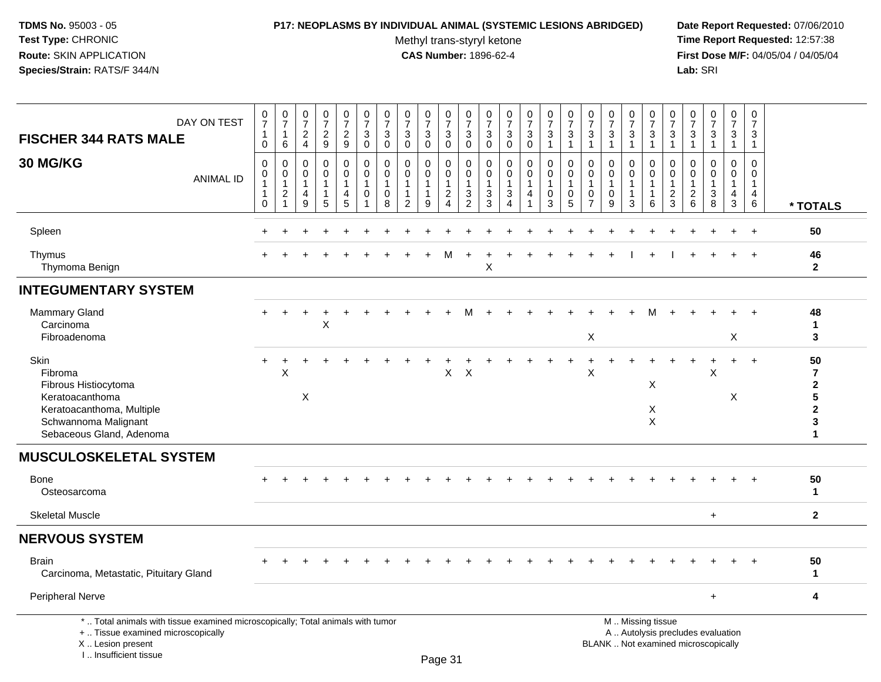#### **P17: NEOPLASMS BY INDIVIDUAL ANIMAL (SYSTEMIC LESIONS ABRIDGED) Date Report Requested:** 07/06/2010

Methyl trans-styryl ketone<br>CAS Number: 1896-62-4

| DAY ON TEST<br><b>FISCHER 344 RATS MALE</b>                                                                                                                         | $\frac{0}{7}$<br>$\mathbf{1}$<br>$\mathbf{0}$               | $\frac{0}{7}$<br>$\mathbf{1}$<br>6                                                  | $\frac{0}{7}$<br>$\frac{2}{4}$                       | $\frac{0}{7}$<br>$\frac{2}{9}$                     | 0<br>$\boldsymbol{7}$<br>$\frac{2}{9}$                              | $\frac{0}{7}$<br>$\sqrt{3}$<br>$\pmb{0}$                            | $\frac{0}{7}$<br>$\sqrt{3}$<br>$\mathbf 0$ | $\frac{0}{7}$<br>$\mathbf{3}$<br>$\mathbf 0$                              | $\frac{0}{7}$<br>3<br>$\pmb{0}$ | $\frac{0}{7}$<br>$_{\rm 0}^3$                                                  | $\frac{0}{7}$<br>$\sqrt{3}$<br>$\mathsf{O}\xspace$                           | 0<br>$\overline{7}$<br>$\mathbf{3}$<br>$\mathbf 0$ | $\frac{0}{7}$<br>$\sqrt{3}$<br>$\pmb{0}$                                             | $\frac{0}{7}$<br>$\sqrt{3}$<br>$\pmb{0}$             | $\frac{0}{7}$<br>$\sqrt{3}$<br>$\mathbf{1}$                 | $\frac{0}{7}$<br>$\mathbf{3}$<br>$\mathbf{1}$ | 0<br>$\overline{7}$<br>$\sqrt{3}$<br>$\mathbf{1}$                        | $\frac{0}{7}$<br>$\sqrt{3}$<br>1 | 0<br>$\overline{7}$<br>$\sqrt{3}$<br>$\overline{1}$                       | $\frac{0}{7}$<br>$\frac{3}{1}$                                                                | 0<br>$\overline{7}$<br>3<br>$\overline{1}$                                  | $\frac{0}{7}$<br>3<br>$\mathbf{1}$                             | $\frac{0}{7}$<br>3<br>$\mathbf{1}$      | $\pmb{0}$<br>$\boldsymbol{7}$<br>$\mathbf{3}$<br>$\mathbf{1}$  | $\mathbf 0$<br>$\overline{7}$<br>3<br>$\mathbf 1$    |                                                                                                        |
|---------------------------------------------------------------------------------------------------------------------------------------------------------------------|-------------------------------------------------------------|-------------------------------------------------------------------------------------|------------------------------------------------------|----------------------------------------------------|---------------------------------------------------------------------|---------------------------------------------------------------------|--------------------------------------------|---------------------------------------------------------------------------|---------------------------------|--------------------------------------------------------------------------------|------------------------------------------------------------------------------|----------------------------------------------------|--------------------------------------------------------------------------------------|------------------------------------------------------|-------------------------------------------------------------|-----------------------------------------------|--------------------------------------------------------------------------|----------------------------------|---------------------------------------------------------------------------|-----------------------------------------------------------------------------------------------|-----------------------------------------------------------------------------|----------------------------------------------------------------|-----------------------------------------|----------------------------------------------------------------|------------------------------------------------------|--------------------------------------------------------------------------------------------------------|
| 30 MG/KG<br><b>ANIMAL ID</b>                                                                                                                                        | $\Omega$<br>0<br>$\overline{1}$<br>$\mathbf{1}$<br>$\Omega$ | $\mathbf 0$<br>$\boldsymbol{0}$<br>$\overline{1}$<br>$\overline{c}$<br>$\mathbf{1}$ | $\mathbf 0$<br>$\mathbf 0$<br>$\mathbf{1}$<br>4<br>9 | $\Omega$<br>0<br>$\mathbf{1}$<br>$\mathbf{1}$<br>5 | $\mathbf 0$<br>$\mathbf 0$<br>$\overline{1}$<br>$\overline{4}$<br>5 | $\mathbf 0$<br>$\mathbf 0$<br>$\overline{1}$<br>0<br>$\overline{1}$ | $\Omega$<br>0<br>-1<br>$\mathbf 0$<br>8    | $\Omega$<br>$\mathbf 0$<br>$\mathbf{1}$<br>$\mathbf{1}$<br>$\overline{2}$ | 0<br>$\mathbf 0$<br>1<br>9      | $\mathbf 0$<br>$\mathbf 0$<br>$\mathbf{1}$<br>$\overline{a}$<br>$\overline{4}$ | $\Omega$<br>0<br>$\mathbf{1}$<br>$\ensuremath{\mathsf{3}}$<br>$\overline{2}$ | $\mathbf 0$<br>0<br>-1<br>$\sqrt{3}$<br>3          | $\mathbf 0$<br>$\mathbf 0$<br>$\overline{1}$<br>$\sqrt{3}$<br>$\boldsymbol{\Lambda}$ | $\Omega$<br>0<br>$\mathbf{1}$<br>$\overline{4}$<br>1 | $\Omega$<br>$\mathbf 0$<br>$\mathbf{1}$<br>$\mathbf 0$<br>3 | $\Omega$<br>0<br>1<br>$\mathbf 0$<br>5        | $\Omega$<br>$\mathbf 0$<br>$\mathbf{1}$<br>$\mathbf 0$<br>$\overline{7}$ | $\Omega$<br>0<br>1<br>0<br>9     | $\Omega$<br>$\mathbf 0$<br>$\overline{1}$<br>$\mathbf{1}$<br>$\mathbf{3}$ | $\Omega$<br>$\mathbf 0$<br>$\overline{1}$<br>$\overline{1}$<br>6                              | $\Omega$<br>$\mathbf 0$<br>$\overline{1}$<br>$\overline{c}$<br>$\mathbf{3}$ | $\Omega$<br>$\mathbf 0$<br>$\mathbf{1}$<br>$\overline{c}$<br>6 | $\Omega$<br>0<br>$\mathbf{1}$<br>3<br>8 | $\Omega$<br>$\mathbf 0$<br>$\overline{1}$<br>4<br>$\mathbf{3}$ | $\Omega$<br>0<br>$\mathbf{1}$<br>$\overline{4}$<br>6 | * TOTALS                                                                                               |
| Spleen                                                                                                                                                              |                                                             |                                                                                     |                                                      |                                                    |                                                                     |                                                                     |                                            |                                                                           |                                 |                                                                                |                                                                              |                                                    |                                                                                      |                                                      |                                                             |                                               |                                                                          |                                  |                                                                           |                                                                                               |                                                                             |                                                                |                                         |                                                                | $\ddot{}$                                            | 50                                                                                                     |
| Thymus<br>Thymoma Benign                                                                                                                                            |                                                             |                                                                                     |                                                      |                                                    |                                                                     |                                                                     |                                            |                                                                           |                                 | м                                                                              |                                                                              | X                                                  |                                                                                      |                                                      |                                                             |                                               |                                                                          |                                  |                                                                           |                                                                                               |                                                                             |                                                                |                                         |                                                                | $+$                                                  | 46<br>$\mathbf{2}$                                                                                     |
| <b>INTEGUMENTARY SYSTEM</b>                                                                                                                                         |                                                             |                                                                                     |                                                      |                                                    |                                                                     |                                                                     |                                            |                                                                           |                                 |                                                                                |                                                                              |                                                    |                                                                                      |                                                      |                                                             |                                               |                                                                          |                                  |                                                                           |                                                                                               |                                                                             |                                                                |                                         |                                                                |                                                      |                                                                                                        |
| <b>Mammary Gland</b><br>Carcinoma<br>Fibroadenoma                                                                                                                   |                                                             |                                                                                     |                                                      | X                                                  |                                                                     |                                                                     |                                            |                                                                           |                                 |                                                                                |                                                                              |                                                    |                                                                                      |                                                      |                                                             |                                               | X                                                                        |                                  |                                                                           |                                                                                               |                                                                             |                                                                |                                         | Χ                                                              |                                                      | 48<br>1<br>3                                                                                           |
| Skin<br>Fibroma<br>Fibrous Histiocytoma<br>Keratoacanthoma<br>Keratoacanthoma, Multiple<br>Schwannoma Malignant<br>Sebaceous Gland, Adenoma                         |                                                             | X                                                                                   | $\boldsymbol{\mathsf{X}}$                            |                                                    |                                                                     |                                                                     |                                            |                                                                           |                                 | X                                                                              | $\times$                                                                     |                                                    |                                                                                      |                                                      |                                                             |                                               | X                                                                        |                                  |                                                                           | Χ<br>Χ<br>$\times$                                                                            |                                                                             |                                                                | X                                       | $\ddot{}$<br>X                                                 | $\ddot{}$                                            | 50<br>$\overline{7}$<br>$\mathbf{2}$<br>$5\phantom{.0}$<br>$\overline{\mathbf{2}}$<br>$\mathbf 3$<br>1 |
| <b>MUSCULOSKELETAL SYSTEM</b>                                                                                                                                       |                                                             |                                                                                     |                                                      |                                                    |                                                                     |                                                                     |                                            |                                                                           |                                 |                                                                                |                                                                              |                                                    |                                                                                      |                                                      |                                                             |                                               |                                                                          |                                  |                                                                           |                                                                                               |                                                                             |                                                                |                                         |                                                                |                                                      |                                                                                                        |
| <b>Bone</b><br>Osteosarcoma                                                                                                                                         |                                                             |                                                                                     |                                                      |                                                    |                                                                     |                                                                     |                                            |                                                                           |                                 |                                                                                |                                                                              |                                                    |                                                                                      |                                                      |                                                             |                                               |                                                                          |                                  |                                                                           |                                                                                               |                                                                             |                                                                |                                         |                                                                |                                                      | 50<br>$\mathbf 1$                                                                                      |
| <b>Skeletal Muscle</b>                                                                                                                                              |                                                             |                                                                                     |                                                      |                                                    |                                                                     |                                                                     |                                            |                                                                           |                                 |                                                                                |                                                                              |                                                    |                                                                                      |                                                      |                                                             |                                               |                                                                          |                                  |                                                                           |                                                                                               |                                                                             |                                                                | $+$                                     |                                                                |                                                      | $\mathbf{2}$                                                                                           |
| <b>NERVOUS SYSTEM</b>                                                                                                                                               |                                                             |                                                                                     |                                                      |                                                    |                                                                     |                                                                     |                                            |                                                                           |                                 |                                                                                |                                                                              |                                                    |                                                                                      |                                                      |                                                             |                                               |                                                                          |                                  |                                                                           |                                                                                               |                                                                             |                                                                |                                         |                                                                |                                                      |                                                                                                        |
| <b>Brain</b><br>Carcinoma, Metastatic, Pituitary Gland                                                                                                              |                                                             |                                                                                     |                                                      |                                                    |                                                                     |                                                                     |                                            |                                                                           |                                 |                                                                                |                                                                              |                                                    |                                                                                      |                                                      |                                                             |                                               |                                                                          |                                  |                                                                           |                                                                                               |                                                                             |                                                                |                                         |                                                                |                                                      | 50<br>1                                                                                                |
| <b>Peripheral Nerve</b>                                                                                                                                             |                                                             |                                                                                     |                                                      |                                                    |                                                                     |                                                                     |                                            |                                                                           |                                 |                                                                                |                                                                              |                                                    |                                                                                      |                                                      |                                                             |                                               |                                                                          |                                  |                                                                           |                                                                                               |                                                                             |                                                                | $\ddot{}$                               |                                                                |                                                      | 4                                                                                                      |
| *  Total animals with tissue examined microscopically; Total animals with tumor<br>+  Tissue examined microscopically<br>X  Lesion present<br>I Insufficient tissue |                                                             |                                                                                     |                                                      |                                                    |                                                                     |                                                                     |                                            |                                                                           |                                 | $D_{200}$ 21                                                                   |                                                                              |                                                    |                                                                                      |                                                      |                                                             |                                               |                                                                          |                                  |                                                                           | M  Missing tissue<br>A  Autolysis precludes evaluation<br>BLANK  Not examined microscopically |                                                                             |                                                                |                                         |                                                                |                                                      |                                                                                                        |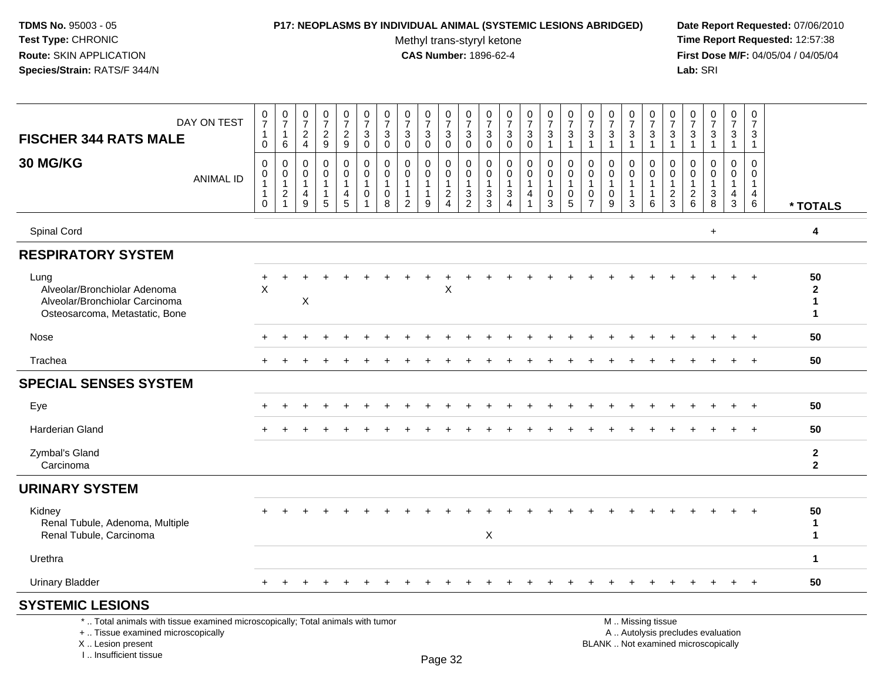#### **P17: NEOPLASMS BY INDIVIDUAL ANIMAL (SYSTEMIC LESIONS ABRIDGED) Date Report Requested:** 07/06/2010

Methyl trans-styryl ketone<br>CAS Number: 1896-62-4

 **Time Report Requested:** 12:57:38 **First Dose M/F:** 04/05/04 / 04/05/04<br>**Lab:** SRI **Lab:** SRI

| DAY ON TEST<br><b>FISCHER 344 RATS MALE</b>                                                              | $\frac{0}{7}$<br>$\mathbf{1}$<br>$\pmb{0}$                            | $\begin{array}{c} 0 \\ 7 \end{array}$<br>$\mathbf{1}$<br>6           | $\frac{0}{7}$<br>$\frac{2}{4}$                            | $\begin{smallmatrix}0\\7\end{smallmatrix}$<br>$\frac{2}{9}$ | $\frac{0}{7}$<br>$\frac{2}{9}$                        | $\frac{0}{7}$<br>$\sqrt{3}$<br>$\mathbf 0$                              | $\frac{0}{7}$<br>$\mathbf{3}$<br>$\mathbf 0$       | 0<br>$\overline{7}$<br>$\mathbf{3}$<br>$\mathbf 0$           | $\frac{0}{7}$<br>$\mathbf{3}$<br>$\mathbf{0}$                     | $\frac{0}{7}$<br>$\mathsf 3$<br>$\mathbf 0$            | $\frac{0}{7}$<br>$\mathbf{3}$<br>$\mathbf 0$                      | $\frac{0}{7}$<br>$\mathbf{3}$<br>$\mathbf 0$                       | $\frac{0}{7}$<br>$\mathbf{3}$<br>$\mathbf 0$                                    | $\frac{0}{7}$<br>3<br>$\Omega$                   | $\frac{0}{7}$<br>$\ensuremath{\mathsf{3}}$<br>$\overline{1}$   | $\frac{0}{7}$<br>$\mathsf 3$<br>$\mathbf{1}$                 | $\frac{0}{7}$<br>$\mathbf{3}$<br>1                  | $\frac{0}{7}$<br>$\sqrt{3}$<br>$\overline{1}$               | $\frac{0}{7}$<br>$\mathbf{3}$<br>$\mathbf{1}$ | 0<br>$\overline{7}$<br>$\mathbf{3}$<br>$\overline{1}$ | $\frac{0}{7}$<br>$\mathsf 3$<br>$\overline{1}$              | $\frac{0}{7}$<br>3<br>$\mathbf{1}$                                      | $\frac{0}{7}$<br>3<br>$\mathbf{1}$                          | $\frac{0}{7}$<br>$\mathbf{3}$<br>$\mathbf{1}$ | $\mathbf 0$<br>$\overline{7}$<br>$\mathbf{3}$<br>$\mathbf{1}$     |                                                    |
|----------------------------------------------------------------------------------------------------------|-----------------------------------------------------------------------|----------------------------------------------------------------------|-----------------------------------------------------------|-------------------------------------------------------------|-------------------------------------------------------|-------------------------------------------------------------------------|----------------------------------------------------|--------------------------------------------------------------|-------------------------------------------------------------------|--------------------------------------------------------|-------------------------------------------------------------------|--------------------------------------------------------------------|---------------------------------------------------------------------------------|--------------------------------------------------|----------------------------------------------------------------|--------------------------------------------------------------|-----------------------------------------------------|-------------------------------------------------------------|-----------------------------------------------|-------------------------------------------------------|-------------------------------------------------------------|-------------------------------------------------------------------------|-------------------------------------------------------------|-----------------------------------------------|-------------------------------------------------------------------|----------------------------------------------------|
| 30 MG/KG<br><b>ANIMAL ID</b>                                                                             | $\pmb{0}$<br>$\pmb{0}$<br>$\mathbf{1}$<br>$\mathbf{1}$<br>$\mathbf 0$ | $\pmb{0}$<br>$\pmb{0}$<br>$\mathbf{1}$<br>$\sqrt{2}$<br>$\mathbf{1}$ | $\mathbf 0$<br>0<br>$\overline{1}$<br>$\overline{4}$<br>9 | $\pmb{0}$<br>0<br>$\mathbf{1}$<br>$\mathbf{1}$<br>5         | 0<br>$\mathbf 0$<br>1<br>$\overline{\mathbf{4}}$<br>5 | 0<br>$\mathsf{O}\xspace$<br>$\mathbf{1}$<br>$\pmb{0}$<br>$\overline{1}$ | $\mathbf 0$<br>0<br>$\mathbf{1}$<br>$\pmb{0}$<br>8 | $\mathbf 0$<br>$\mathbf{0}$<br>$\mathbf 1$<br>$\overline{2}$ | $\mathbf 0$<br>$\mathbf 0$<br>$\overline{1}$<br>$\mathbf{1}$<br>9 | 0<br>0<br>$\mathbf{1}$<br>$\sqrt{2}$<br>$\overline{4}$ | $\mathbf 0$<br>$\mathbf 0$<br>$\overline{1}$<br>$\mathbf{3}$<br>2 | 0<br>$\mathbf 0$<br>$\mathbf{1}$<br>$\ensuremath{\mathsf{3}}$<br>3 | $\mathbf 0$<br>0<br>$\mathbf{1}$<br>$\ensuremath{\mathsf{3}}$<br>$\overline{4}$ | 0<br>$\mathbf 0$<br>1<br>$\overline{\mathbf{4}}$ | $\mathbf 0$<br>$\mathbf 0$<br>$\overline{1}$<br>$\pmb{0}$<br>3 | $\mathbf 0$<br>$\mathbf 0$<br>$\mathbf{1}$<br>$\pmb{0}$<br>5 | 0<br>$\Omega$<br>1<br>$\mathbf 0$<br>$\overline{7}$ | $\mathbf 0$<br>$\Omega$<br>$\mathbf{1}$<br>$\mathbf 0$<br>9 | 0<br>0<br>$\mathbf{1}$<br>$\mathbf{1}$<br>3   | 0<br>$\mathbf 0$<br>1<br>$\mathbf 1$<br>6             | $\mathbf 0$<br>$\mathbf 0$<br>$\mathbf{1}$<br>$\frac{2}{3}$ | $\mathbf 0$<br>$\Omega$<br>$\mathbf{1}$<br>$\sqrt{2}$<br>$6\phantom{1}$ | $\Omega$<br>$\Omega$<br>1<br>$\ensuremath{\mathsf{3}}$<br>8 | 0<br>0<br>$\mathbf{1}$<br>$\overline{4}$<br>3 | $\mathbf 0$<br>$\mathbf 0$<br>$\mathbf{1}$<br>$\overline{4}$<br>6 | * TOTALS                                           |
| Spinal Cord                                                                                              |                                                                       |                                                                      |                                                           |                                                             |                                                       |                                                                         |                                                    |                                                              |                                                                   |                                                        |                                                                   |                                                                    |                                                                                 |                                                  |                                                                |                                                              |                                                     |                                                             |                                               |                                                       |                                                             |                                                                         | $\ddot{}$                                                   |                                               |                                                                   | 4                                                  |
| <b>RESPIRATORY SYSTEM</b>                                                                                |                                                                       |                                                                      |                                                           |                                                             |                                                       |                                                                         |                                                    |                                                              |                                                                   |                                                        |                                                                   |                                                                    |                                                                                 |                                                  |                                                                |                                                              |                                                     |                                                             |                                               |                                                       |                                                             |                                                                         |                                                             |                                               |                                                                   |                                                    |
| Lung<br>Alveolar/Bronchiolar Adenoma<br>Alveolar/Bronchiolar Carcinoma<br>Osteosarcoma, Metastatic, Bone | $\ddot{}$<br>$\times$                                                 |                                                                      | X                                                         |                                                             |                                                       |                                                                         |                                                    |                                                              |                                                                   | $\mathsf X$                                            |                                                                   |                                                                    |                                                                                 |                                                  |                                                                |                                                              |                                                     |                                                             |                                               |                                                       |                                                             |                                                                         |                                                             |                                               |                                                                   | 50<br>$\mathbf{2}$<br>$\mathbf{1}$<br>$\mathbf{1}$ |
| Nose                                                                                                     |                                                                       |                                                                      |                                                           |                                                             |                                                       |                                                                         |                                                    |                                                              |                                                                   |                                                        |                                                                   |                                                                    |                                                                                 |                                                  |                                                                |                                                              |                                                     |                                                             |                                               |                                                       |                                                             |                                                                         |                                                             |                                               | $\ddot{}$                                                         | 50                                                 |
| Trachea                                                                                                  | $+$                                                                   |                                                                      |                                                           |                                                             |                                                       |                                                                         |                                                    |                                                              |                                                                   |                                                        |                                                                   |                                                                    |                                                                                 |                                                  |                                                                |                                                              |                                                     |                                                             |                                               |                                                       |                                                             |                                                                         |                                                             |                                               | $+$                                                               | 50                                                 |
| <b>SPECIAL SENSES SYSTEM</b>                                                                             |                                                                       |                                                                      |                                                           |                                                             |                                                       |                                                                         |                                                    |                                                              |                                                                   |                                                        |                                                                   |                                                                    |                                                                                 |                                                  |                                                                |                                                              |                                                     |                                                             |                                               |                                                       |                                                             |                                                                         |                                                             |                                               |                                                                   |                                                    |
| Eye                                                                                                      |                                                                       |                                                                      |                                                           |                                                             |                                                       |                                                                         |                                                    |                                                              |                                                                   |                                                        |                                                                   |                                                                    |                                                                                 |                                                  |                                                                |                                                              |                                                     |                                                             |                                               |                                                       |                                                             |                                                                         |                                                             |                                               | $\overline{+}$                                                    | 50                                                 |
| <b>Harderian Gland</b>                                                                                   |                                                                       |                                                                      |                                                           |                                                             |                                                       |                                                                         |                                                    |                                                              |                                                                   |                                                        |                                                                   |                                                                    |                                                                                 |                                                  |                                                                |                                                              |                                                     |                                                             |                                               |                                                       |                                                             |                                                                         |                                                             |                                               | $\ddot{}$                                                         | 50                                                 |
| Zymbal's Gland<br>Carcinoma                                                                              |                                                                       |                                                                      |                                                           |                                                             |                                                       |                                                                         |                                                    |                                                              |                                                                   |                                                        |                                                                   |                                                                    |                                                                                 |                                                  |                                                                |                                                              |                                                     |                                                             |                                               |                                                       |                                                             |                                                                         |                                                             |                                               |                                                                   | $\mathbf{2}$<br>$\overline{\mathbf{2}}$            |
| <b>URINARY SYSTEM</b>                                                                                    |                                                                       |                                                                      |                                                           |                                                             |                                                       |                                                                         |                                                    |                                                              |                                                                   |                                                        |                                                                   |                                                                    |                                                                                 |                                                  |                                                                |                                                              |                                                     |                                                             |                                               |                                                       |                                                             |                                                                         |                                                             |                                               |                                                                   |                                                    |
| Kidney<br>Renal Tubule, Adenoma, Multiple<br>Renal Tubule, Carcinoma                                     |                                                                       |                                                                      |                                                           |                                                             |                                                       |                                                                         |                                                    |                                                              |                                                                   |                                                        |                                                                   | $\boldsymbol{\mathsf{X}}$                                          |                                                                                 |                                                  |                                                                |                                                              |                                                     |                                                             |                                               |                                                       |                                                             |                                                                         |                                                             |                                               |                                                                   | 50<br>$\mathbf{1}$<br>$\blacktriangleleft$         |
| Urethra                                                                                                  |                                                                       |                                                                      |                                                           |                                                             |                                                       |                                                                         |                                                    |                                                              |                                                                   |                                                        |                                                                   |                                                                    |                                                                                 |                                                  |                                                                |                                                              |                                                     |                                                             |                                               |                                                       |                                                             |                                                                         |                                                             |                                               |                                                                   | $\mathbf{1}$                                       |
| <b>Urinary Bladder</b>                                                                                   |                                                                       |                                                                      |                                                           |                                                             |                                                       |                                                                         |                                                    |                                                              |                                                                   |                                                        |                                                                   |                                                                    |                                                                                 |                                                  |                                                                |                                                              |                                                     |                                                             |                                               |                                                       |                                                             |                                                                         |                                                             | $\ddot{}$                                     | $+$                                                               | 50                                                 |
| <b>SYSTEMIC LESIONS</b>                                                                                  |                                                                       |                                                                      |                                                           |                                                             |                                                       |                                                                         |                                                    |                                                              |                                                                   |                                                        |                                                                   |                                                                    |                                                                                 |                                                  |                                                                |                                                              |                                                     |                                                             |                                               |                                                       |                                                             |                                                                         |                                                             |                                               |                                                                   |                                                    |

\* .. Total animals with tissue examined microscopically; Total animals with tumor

+ .. Tissue examined microscopically

X .. Lesion present

I .. Insufficient tissue

M .. Missing tissue

y the contract of the contract of the contract of the contract of the contract of  $\mathsf A$  . Autolysis precludes evaluation Lesion present BLANK .. Not examined microscopically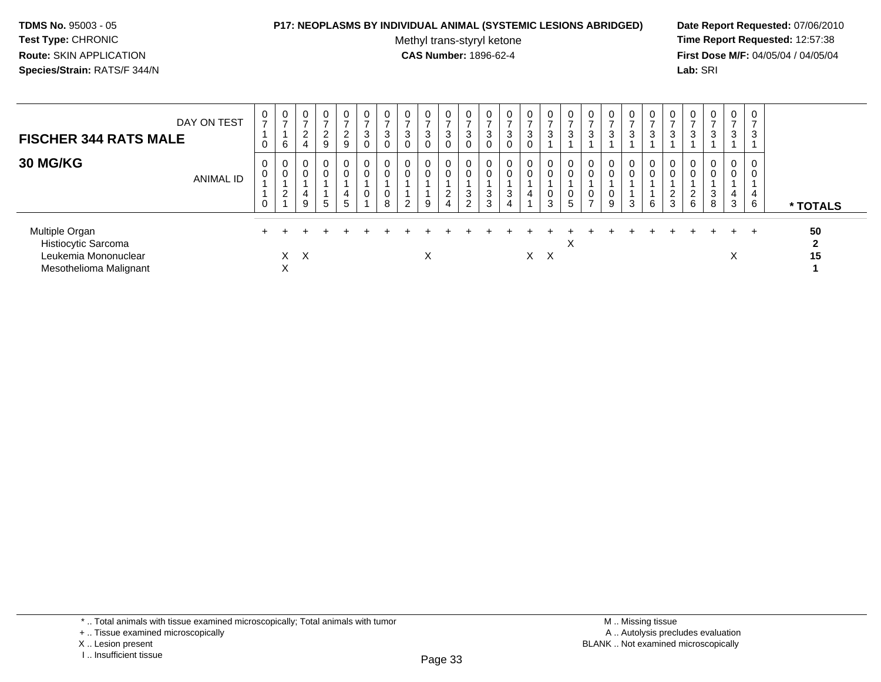#### **P17: NEOPLASMS BY INDIVIDUAL ANIMAL (SYSTEMIC LESIONS ABRIDGED) Date Report Requested:** 07/06/2010

Methyl trans-styryl ketone<br>CAS Number: 1896-62-4

| DAY ON TEST<br><b>FISCHER 344 RATS MALE</b>                                             | 0<br>$\overline{ }$<br>0 | $\frac{0}{7}$<br>6               | $\mathbf 0$<br>2<br>4                      | 0<br>⇁<br>$2^{\circ}$<br>9 | $\frac{0}{7}$<br>$\overline{a}$<br>9 | $\mathbf 0$<br>-<br>3<br>$\mathbf 0$ | $\mathbf 0$<br>$\rightarrow$<br>3<br>$\mathbf 0$ | 0<br>$\overline{ }$<br>3<br>$\mathbf 0$ | $\mathbf 0$<br>3<br>$\Omega$    | 0<br>$\overline{ }$<br>3<br>$\Omega$           | 0<br>3<br>0                | 0<br>3<br>0      | 0<br>$\overline{z}$<br>$\mathbf{3}$<br>$\mathbf 0$ | 0<br>$\rightarrow$<br>3<br>0 | $\overline{0}$<br>3                                 | 0<br>$\rightarrow$<br>3    | 0<br>3      | 0<br>3           | 0<br>$\rightarrow$<br>3 | 0<br>3                | $\cup$<br>ົ<br>3 | 0<br>3                                      | 0<br>3                      | $\frac{0}{7}$<br>3                   | $\mathbf 0$<br>$\overline{ }$<br>3 |                          |
|-----------------------------------------------------------------------------------------|--------------------------|----------------------------------|--------------------------------------------|----------------------------|--------------------------------------|--------------------------------------|--------------------------------------------------|-----------------------------------------|---------------------------------|------------------------------------------------|----------------------------|------------------|----------------------------------------------------|------------------------------|-----------------------------------------------------|----------------------------|-------------|------------------|-------------------------|-----------------------|------------------|---------------------------------------------|-----------------------------|--------------------------------------|------------------------------------|--------------------------|
| <b>30 MG/KG</b><br><b>ANIMAL ID</b>                                                     | 0<br>0<br>0              | 0<br>$\pmb{0}$<br>$\overline{2}$ | $\overline{0}$<br>$\overline{0}$<br>4<br>9 | 0<br>0<br>5                | 0<br>0<br>4<br>$5\phantom{.0}$       | 0<br>$\mathbf 0$<br>0                | $\mathbf 0$<br>$\mathbf 0$<br>0<br>8             | 0<br>$\Omega$<br>$\overline{2}$         | $\overline{0}$<br>$\Omega$<br>9 | $\mathbf 0$<br>$\Omega$<br>$\overline{c}$<br>4 | 0<br>0<br>3<br>$\sim$<br>∠ | 0<br>0<br>3<br>3 | 0<br>$\mathbf 0$<br>$\sqrt{3}$<br>$\overline{4}$   | 0<br>0<br>4                  | $\mathbf 0$<br>$\mathbf 0$<br>$\boldsymbol{0}$<br>3 | $\mathbf 0$<br>0<br>0<br>5 | 0<br>0<br>0 | 0<br>0<br>0<br>9 | 0<br>0<br>3             | 0<br>$\mathbf 0$<br>6 | $\epsilon$<br>3  | 0<br>$\mathbf 0$<br>$\overline{2}$<br>$\,6$ | $\mathbf{0}$<br>0<br>3<br>8 | $\mathbf 0$<br>$\mathbf 0$<br>4<br>3 | 0<br>0<br>4<br>6                   | * TOTALS                 |
| Multiple Organ<br>Histiocytic Sarcoma<br>Leukemia Mononuclear<br>Mesothelioma Malignant |                          | X.<br>X                          | $\times$                                   |                            |                                      |                                      |                                                  |                                         | X                               |                                                |                            |                  |                                                    |                              | $X \times$                                          | ⋏                          |             |                  |                         |                       |                  |                                             |                             | ÷.<br>X                              | $^{+}$                             | 50<br>$\mathbf{2}$<br>15 |

<sup>\* ..</sup> Total animals with tissue examined microscopically; Total animals with tumor

<sup>+ ..</sup> Tissue examined microscopically

X .. Lesion present

I .. Insufficient tissue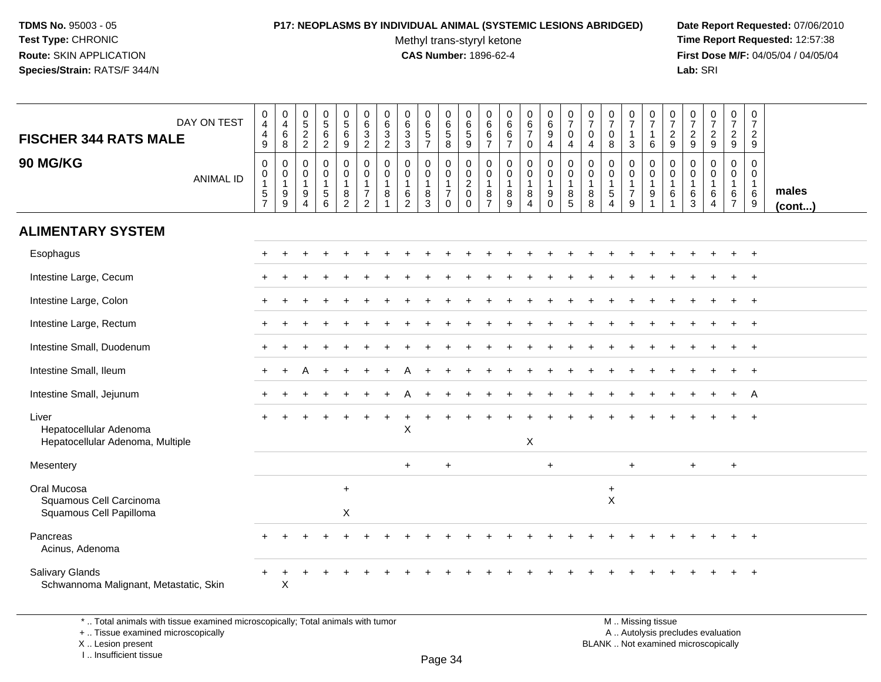# **P17: NEOPLASMS BY INDIVIDUAL ANIMAL (SYSTEMIC LESIONS ABRIDGED) Date Report Requested:** 07/06/2010

Methyl trans-styryl ketone<br>CAS Number: 1896-62-4

 **Time Report Requested:** 12:57:38 **First Dose M/F:** 04/05/04 / 04/05/04<br>Lab: SRI **Lab:** SRI

| <b>FISCHER 344 RATS MALE</b>                                                                                          | DAY ON TEST      | 0<br>$\overline{4}$<br>$\overline{4}$<br>$\boldsymbol{9}$   | 0<br>4<br>6<br>8                             | 0<br>$\overline{5}$<br>$\overline{2}$<br>$\overline{2}$        | $0$<br>5<br>6<br>$\overline{a}$                                           | $\begin{array}{c} 0 \\ 5 \end{array}$<br>6<br>9                                              | $\pmb{0}$<br>$\,6\,$<br>$\mathbf{3}$<br>$\overline{2}$                         | 0<br>6<br>$\mathbf{3}$<br>$\overline{2}$       | 0<br>$\,6\,$<br>3<br>$\sqrt{3}$                                | 0<br>$\overline{6}$<br>5<br>$\overline{7}$              | $\pmb{0}$<br>$6\phantom{a}$<br>5<br>8                             | 0<br>$\,6\,$<br>$\overline{5}$<br>9                                        | 0<br>$\,6\,$<br>6<br>$\overline{7}$                     | $\pmb{0}$<br>$\,6\,$<br>6<br>$\overline{7}$          | 0<br>$6\overline{6}$<br>$\overline{7}$<br>0 | $\pmb{0}$<br>$6\overline{6}$<br>9<br>4                    | $\begin{array}{c} 0 \\ 7 \end{array}$<br>$\mathbf 0$<br>$\overline{4}$ | $\frac{0}{7}$<br>$\mathbf 0$<br>4                                 | 0<br>$\overline{7}$<br>$\mathbf 0$<br>8                                    | $\frac{0}{7}$<br>3                            | 0<br>$\overline{7}$<br>$\mathbf{1}$<br>6   | $\frac{0}{7}$<br>$\overline{c}$<br>9  | 0<br>$\overline{7}$<br>$\frac{2}{9}$                             | $\pmb{0}$<br>$\overline{7}$<br>$\frac{2}{9}$                   | $\mathbf 0$<br>$\overline{7}$<br>$\overline{2}$<br>9              | $\pmb{0}$<br>$\overline{7}$<br>$\overline{2}$<br>9   |                 |
|-----------------------------------------------------------------------------------------------------------------------|------------------|-------------------------------------------------------------|----------------------------------------------|----------------------------------------------------------------|---------------------------------------------------------------------------|----------------------------------------------------------------------------------------------|--------------------------------------------------------------------------------|------------------------------------------------|----------------------------------------------------------------|---------------------------------------------------------|-------------------------------------------------------------------|----------------------------------------------------------------------------|---------------------------------------------------------|------------------------------------------------------|---------------------------------------------|-----------------------------------------------------------|------------------------------------------------------------------------|-------------------------------------------------------------------|----------------------------------------------------------------------------|-----------------------------------------------|--------------------------------------------|---------------------------------------|------------------------------------------------------------------|----------------------------------------------------------------|-------------------------------------------------------------------|------------------------------------------------------|-----------------|
| <b>90 MG/KG</b>                                                                                                       | <b>ANIMAL ID</b> | $\mathbf 0$<br>$\pmb{0}$<br>$\overline{1}$<br>$\frac{5}{7}$ | $\mathbf 0$<br>0<br>$\overline{1}$<br>9<br>9 | $\Omega$<br>$\mathbf 0$<br>$\mathbf{1}$<br>9<br>$\overline{4}$ | $\mathbf 0$<br>0<br>$\mathbf{1}$<br>$\begin{array}{c} 5 \\ 6 \end{array}$ | $\mathbf 0$<br>$\mathbf 0$<br>$\mathbf{1}$<br>$\begin{smallmatrix} 8 \\ 2 \end{smallmatrix}$ | $\mathbf 0$<br>$\mathbf 0$<br>$\mathbf{1}$<br>$\overline{7}$<br>$\overline{2}$ | $\Omega$<br>$\mathbf 0$<br>$\overline{1}$<br>8 | $\Omega$<br>$\mathbf 0$<br>$\mathbf{1}$<br>6<br>$\overline{2}$ | 0<br>$\mathbf 0$<br>$\mathbf{1}$<br>8<br>$\overline{3}$ | $\mathbf 0$<br>0<br>$\mathbf{1}$<br>$\overline{7}$<br>$\mathbf 0$ | $\mathbf 0$<br>$\mathbf 0$<br>$\overline{2}$<br>$\mathsf 0$<br>$\mathbf 0$ | $\mathbf 0$<br>0<br>$\mathbf{1}$<br>8<br>$\overline{7}$ | $\mathbf 0$<br>$\mathbf 0$<br>$\mathbf{1}$<br>8<br>9 | $\mathbf 0$<br>0<br>$\mathbf{1}$<br>8<br>4  | $\mathbf 0$<br>0<br>$\overline{1}$<br>9<br>$\overline{0}$ | $\mathbf 0$<br>0<br>$\mathbf{1}$<br>8<br>$\overline{5}$                | $\mathbf 0$<br>$\mathbf 0$<br>$\mathbf{1}$<br>8<br>$\overline{8}$ | $\mathbf 0$<br>$\mathbf 0$<br>$\mathbf{1}$<br>$\sqrt{5}$<br>$\overline{4}$ | 0<br>0<br>$\mathbf{1}$<br>$\overline{7}$<br>9 | 0<br>0<br>$\mathbf{1}$<br>$\boldsymbol{9}$ | $\mathbf 0$<br>0<br>$\mathbf{1}$<br>6 | $\Omega$<br>$\mathbf 0$<br>$\overline{1}$<br>6<br>$\overline{3}$ | $\Omega$<br>$\mathbf 0$<br>$\mathbf{1}$<br>6<br>$\overline{4}$ | $\mathbf 0$<br>$\mathbf 0$<br>$\mathbf{1}$<br>6<br>$\overline{7}$ | $\mathbf 0$<br>$\mathbf 0$<br>$\mathbf{1}$<br>$^6_9$ | males<br>(cont) |
| <b>ALIMENTARY SYSTEM</b>                                                                                              |                  |                                                             |                                              |                                                                |                                                                           |                                                                                              |                                                                                |                                                |                                                                |                                                         |                                                                   |                                                                            |                                                         |                                                      |                                             |                                                           |                                                                        |                                                                   |                                                                            |                                               |                                            |                                       |                                                                  |                                                                |                                                                   |                                                      |                 |
| Esophagus                                                                                                             |                  |                                                             |                                              |                                                                |                                                                           |                                                                                              |                                                                                |                                                |                                                                |                                                         |                                                                   |                                                                            |                                                         |                                                      |                                             |                                                           |                                                                        |                                                                   |                                                                            |                                               |                                            |                                       |                                                                  |                                                                |                                                                   | $\ddot{}$                                            |                 |
| Intestine Large, Cecum                                                                                                |                  |                                                             |                                              |                                                                |                                                                           |                                                                                              |                                                                                |                                                |                                                                |                                                         |                                                                   |                                                                            |                                                         |                                                      |                                             |                                                           |                                                                        |                                                                   |                                                                            |                                               |                                            |                                       |                                                                  |                                                                |                                                                   |                                                      |                 |
| Intestine Large, Colon                                                                                                |                  |                                                             |                                              |                                                                |                                                                           |                                                                                              |                                                                                |                                                |                                                                |                                                         |                                                                   |                                                                            |                                                         |                                                      |                                             |                                                           |                                                                        |                                                                   |                                                                            |                                               |                                            |                                       |                                                                  |                                                                |                                                                   | $\ddot{}$                                            |                 |
| Intestine Large, Rectum                                                                                               |                  |                                                             |                                              |                                                                |                                                                           |                                                                                              |                                                                                |                                                |                                                                |                                                         |                                                                   |                                                                            |                                                         |                                                      |                                             |                                                           |                                                                        |                                                                   |                                                                            |                                               |                                            |                                       |                                                                  |                                                                | $\div$                                                            | $\ddot{}$                                            |                 |
| Intestine Small, Duodenum                                                                                             |                  |                                                             |                                              |                                                                |                                                                           |                                                                                              |                                                                                |                                                |                                                                |                                                         |                                                                   |                                                                            |                                                         |                                                      |                                             |                                                           |                                                                        |                                                                   |                                                                            |                                               |                                            |                                       |                                                                  |                                                                |                                                                   |                                                      |                 |
| Intestine Small, Ileum                                                                                                |                  |                                                             |                                              |                                                                |                                                                           |                                                                                              |                                                                                |                                                |                                                                |                                                         |                                                                   |                                                                            |                                                         |                                                      |                                             |                                                           |                                                                        |                                                                   |                                                                            |                                               |                                            |                                       |                                                                  |                                                                |                                                                   |                                                      |                 |
| Intestine Small, Jejunum                                                                                              |                  |                                                             |                                              |                                                                |                                                                           |                                                                                              |                                                                                |                                                |                                                                |                                                         |                                                                   |                                                                            |                                                         |                                                      |                                             |                                                           |                                                                        |                                                                   |                                                                            |                                               |                                            |                                       |                                                                  |                                                                | $\ddot{}$                                                         | A                                                    |                 |
| Liver<br>Hepatocellular Adenoma<br>Hepatocellular Adenoma, Multiple                                                   |                  |                                                             |                                              |                                                                |                                                                           |                                                                                              |                                                                                |                                                | X                                                              |                                                         |                                                                   |                                                                            |                                                         |                                                      | X                                           |                                                           |                                                                        |                                                                   |                                                                            |                                               |                                            |                                       |                                                                  |                                                                |                                                                   |                                                      |                 |
| Mesentery                                                                                                             |                  |                                                             |                                              |                                                                |                                                                           |                                                                                              |                                                                                |                                                | $\ddot{}$                                                      |                                                         | $+$                                                               |                                                                            |                                                         |                                                      |                                             | $+$                                                       |                                                                        |                                                                   |                                                                            | $\ddot{}$                                     |                                            |                                       | $\ddot{}$                                                        |                                                                | $\ddot{}$                                                         |                                                      |                 |
| Oral Mucosa<br>Squamous Cell Carcinoma<br>Squamous Cell Papilloma                                                     |                  |                                                             |                                              |                                                                |                                                                           | $+$<br>X                                                                                     |                                                                                |                                                |                                                                |                                                         |                                                                   |                                                                            |                                                         |                                                      |                                             |                                                           |                                                                        |                                                                   | $\ddot{}$<br>X                                                             |                                               |                                            |                                       |                                                                  |                                                                |                                                                   |                                                      |                 |
| Pancreas<br>Acinus, Adenoma                                                                                           |                  |                                                             |                                              |                                                                |                                                                           |                                                                                              |                                                                                |                                                |                                                                |                                                         |                                                                   |                                                                            |                                                         |                                                      |                                             |                                                           |                                                                        |                                                                   |                                                                            |                                               |                                            |                                       |                                                                  |                                                                |                                                                   |                                                      |                 |
| Salivary Glands<br>Schwannoma Malignant, Metastatic, Skin                                                             |                  |                                                             | X                                            |                                                                |                                                                           |                                                                                              |                                                                                |                                                |                                                                |                                                         |                                                                   |                                                                            |                                                         |                                                      |                                             |                                                           |                                                                        |                                                                   |                                                                            |                                               |                                            |                                       |                                                                  |                                                                |                                                                   |                                                      |                 |
| *  Total animals with tissue examined microscopically; Total animals with tumor<br>+  Tissue examined microscopically |                  |                                                             |                                              |                                                                |                                                                           |                                                                                              |                                                                                |                                                |                                                                |                                                         |                                                                   |                                                                            |                                                         |                                                      |                                             |                                                           |                                                                        |                                                                   | M  Missing tissue                                                          |                                               |                                            |                                       |                                                                  | A  Autolysis precludes evaluation                              |                                                                   |                                                      |                 |

X .. Lesion present

I .. Insufficient tissue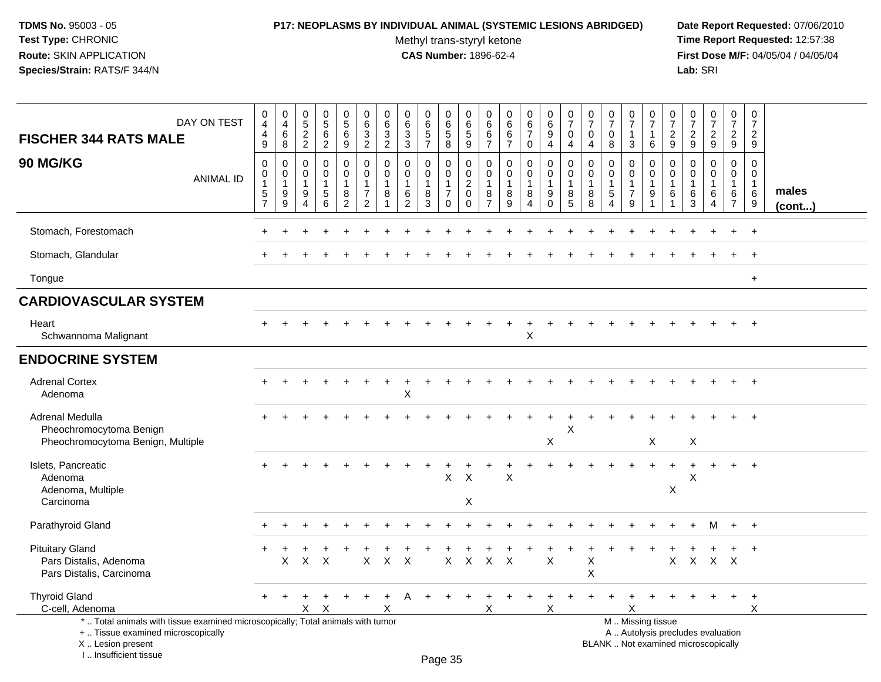### **P17: NEOPLASMS BY INDIVIDUAL ANIMAL (SYSTEMIC LESIONS ABRIDGED) Date Report Requested:** 07/06/2010

Methyl trans-styryl ketone<br>CAS Number: 1896-62-4

| DAY ON TEST<br><b>FISCHER 344 RATS MALE</b>                                                                                                                         | 0<br>$\overline{4}$<br>$\begin{array}{c} 4 \\ 9 \end{array}$ | $\pmb{0}$<br>$\overline{4}$<br>$^6_8$                             | $\mathbf 0$<br>$\frac{5}{2}$                              | $\begin{matrix} 0 \\ 5 \end{matrix}$<br>$\,6\,$<br>$\overline{2}$ | $\begin{array}{c} 0 \\ 5 \end{array}$<br>$\,6$<br>$\boldsymbol{9}$      | 0<br>6<br>$\frac{3}{2}$                                   | 0<br>$\,6\,$<br>3<br>$\overline{2}$  | 0<br>6<br>$\frac{3}{3}$                                                 | $\pmb{0}$<br>$\,6\,$<br>$\frac{5}{7}$ | 0<br>$\,6\,$<br>$\sqrt{5}$<br>$\bf 8$                                       | 0<br>6<br>$\frac{5}{9}$                                              | 0<br>6<br>6<br>$\overline{7}$                                       | 0<br>$6\phantom{1}6$<br>6<br>$\overline{7}$          | 0<br>$\,6$<br>$\overline{7}$<br>0            | 0<br>$\,6\,$<br>$\boldsymbol{9}$<br>$\overline{4}$            | $\frac{0}{7}$<br>$\mathsf 0$<br>$\overline{4}$       | 0<br>$\overline{7}$<br>0<br>4     | $\frac{0}{7}$<br>$\mathbf 0$<br>$\bf8$                                              | $\frac{0}{7}$<br>$\overline{1}$<br>3                                     | 0<br>$\overline{7}$<br>$\mathbf{1}$<br>$\,6\,$                                   | 0<br>$\overline{7}$<br>$\frac{2}{9}$ | $\frac{0}{7}$<br>$\frac{2}{9}$                                  | $\frac{0}{7}$<br>$\frac{2}{9}$                                           | 0<br>$\overline{7}$<br>$\frac{2}{9}$                              | 0<br>$\overline{7}$<br>$\overline{2}$<br>9 |                       |
|---------------------------------------------------------------------------------------------------------------------------------------------------------------------|--------------------------------------------------------------|-------------------------------------------------------------------|-----------------------------------------------------------|-------------------------------------------------------------------|-------------------------------------------------------------------------|-----------------------------------------------------------|--------------------------------------|-------------------------------------------------------------------------|---------------------------------------|-----------------------------------------------------------------------------|----------------------------------------------------------------------|---------------------------------------------------------------------|------------------------------------------------------|----------------------------------------------|---------------------------------------------------------------|------------------------------------------------------|-----------------------------------|-------------------------------------------------------------------------------------|--------------------------------------------------------------------------|----------------------------------------------------------------------------------|--------------------------------------|-----------------------------------------------------------------|--------------------------------------------------------------------------|-------------------------------------------------------------------|--------------------------------------------|-----------------------|
| <b>90 MG/KG</b><br><b>ANIMAL ID</b>                                                                                                                                 | $\mathbf 0$<br>$\pmb{0}$<br>$\mathbf{1}$<br>$\frac{5}{7}$    | $\pmb{0}$<br>$\pmb{0}$<br>$\overline{1}$<br>9<br>$\boldsymbol{9}$ | $\mathbf 0$<br>0<br>$\overline{1}$<br>9<br>$\overline{4}$ | $\mathbf 0$<br>$\mathbf 0$<br>$\mathbf{1}$<br>$\sqrt{5}$<br>6     | $\mathbf 0$<br>$\mathbf 0$<br>$\mathbf{1}$<br>$\bf 8$<br>$\overline{c}$ | $\pmb{0}$<br>$\mathbf 0$<br>$\mathbf{1}$<br>$\frac{7}{2}$ | $\mathbf 0$<br>$\mathbf 0$<br>1<br>8 | $\mathbf 0$<br>$\mathbf 0$<br>$\mathbf{1}$<br>$\,6\,$<br>$\overline{2}$ | $\mathbf 0$<br>0<br>8<br>3            | $\mathbf 0$<br>$\mathbf 0$<br>$\mathbf{1}$<br>$\overline{7}$<br>$\mathbf 0$ | $\mathbf 0$<br>$\pmb{0}$<br>$\sqrt{2}$<br>$\mathbf 0$<br>$\mathbf 0$ | $\mathbf 0$<br>$\mathbf 0$<br>$\overline{1}$<br>8<br>$\overline{7}$ | $\mathbf 0$<br>$\mathbf 0$<br>$\mathbf{1}$<br>8<br>9 | 0<br>$\mathbf 0$<br>1<br>8<br>$\overline{4}$ | $\mathbf 0$<br>$\mathbf 0$<br>$\mathbf 1$<br>9<br>$\mathbf 0$ | $\mathbf 0$<br>$\pmb{0}$<br>1<br>8<br>$\overline{5}$ | $\Omega$<br>$\mathbf 0$<br>8<br>8 | $\mathbf 0$<br>$\pmb{0}$<br>$\overline{1}$<br>$\,$ 5 $\,$<br>$\boldsymbol{\Lambda}$ | 0<br>$\mathbf 0$<br>$\overline{1}$<br>$\overline{7}$<br>$\boldsymbol{9}$ | $\mathbf 0$<br>$\mathsf 0$<br>$\mathbf{1}$<br>$\boldsymbol{9}$<br>$\overline{1}$ | $\mathbf 0$<br>$\mathbf 0$<br>6      | $\mathbf 0$<br>$\mathbf 0$<br>$\mathbf{1}$<br>6<br>$\mathbf{3}$ | $\mathbf 0$<br>$\mathbf 0$<br>1<br>6<br>4                                | $\mathbf 0$<br>$\mathbf 0$<br>$\mathbf{1}$<br>6<br>$\overline{7}$ | $\Omega$<br>0<br>$\mathbf{1}$<br>6<br>9    | males<br>$($ cont $)$ |
| Stomach, Forestomach                                                                                                                                                |                                                              |                                                                   |                                                           |                                                                   |                                                                         |                                                           |                                      |                                                                         |                                       |                                                                             |                                                                      |                                                                     |                                                      |                                              |                                                               |                                                      |                                   |                                                                                     |                                                                          |                                                                                  |                                      |                                                                 |                                                                          |                                                                   | $\ddot{}$                                  |                       |
| Stomach, Glandular                                                                                                                                                  |                                                              |                                                                   |                                                           |                                                                   |                                                                         |                                                           |                                      |                                                                         |                                       |                                                                             |                                                                      |                                                                     |                                                      |                                              |                                                               |                                                      |                                   |                                                                                     |                                                                          |                                                                                  |                                      |                                                                 |                                                                          |                                                                   | $\ddot{}$                                  |                       |
| Tongue                                                                                                                                                              |                                                              |                                                                   |                                                           |                                                                   |                                                                         |                                                           |                                      |                                                                         |                                       |                                                                             |                                                                      |                                                                     |                                                      |                                              |                                                               |                                                      |                                   |                                                                                     |                                                                          |                                                                                  |                                      |                                                                 |                                                                          |                                                                   | $\ddot{}$                                  |                       |
| <b>CARDIOVASCULAR SYSTEM</b>                                                                                                                                        |                                                              |                                                                   |                                                           |                                                                   |                                                                         |                                                           |                                      |                                                                         |                                       |                                                                             |                                                                      |                                                                     |                                                      |                                              |                                                               |                                                      |                                   |                                                                                     |                                                                          |                                                                                  |                                      |                                                                 |                                                                          |                                                                   |                                            |                       |
| Heart<br>Schwannoma Malignant                                                                                                                                       |                                                              |                                                                   |                                                           |                                                                   |                                                                         |                                                           |                                      |                                                                         |                                       |                                                                             |                                                                      |                                                                     |                                                      | X                                            |                                                               |                                                      |                                   |                                                                                     |                                                                          |                                                                                  |                                      |                                                                 |                                                                          |                                                                   |                                            |                       |
| <b>ENDOCRINE SYSTEM</b>                                                                                                                                             |                                                              |                                                                   |                                                           |                                                                   |                                                                         |                                                           |                                      |                                                                         |                                       |                                                                             |                                                                      |                                                                     |                                                      |                                              |                                                               |                                                      |                                   |                                                                                     |                                                                          |                                                                                  |                                      |                                                                 |                                                                          |                                                                   |                                            |                       |
| <b>Adrenal Cortex</b><br>Adenoma                                                                                                                                    |                                                              |                                                                   |                                                           |                                                                   |                                                                         |                                                           |                                      | х                                                                       |                                       |                                                                             |                                                                      |                                                                     |                                                      |                                              |                                                               |                                                      |                                   |                                                                                     |                                                                          |                                                                                  |                                      |                                                                 |                                                                          |                                                                   |                                            |                       |
| Adrenal Medulla<br>Pheochromocytoma Benign<br>Pheochromocytoma Benign, Multiple                                                                                     |                                                              |                                                                   |                                                           |                                                                   |                                                                         |                                                           |                                      |                                                                         |                                       |                                                                             |                                                                      |                                                                     |                                                      |                                              | $\sf X$                                                       | X                                                    |                                   |                                                                                     |                                                                          | X                                                                                |                                      | $\mathsf X$                                                     |                                                                          |                                                                   | $\div$                                     |                       |
| Islets, Pancreatic<br>Adenoma<br>Adenoma, Multiple<br>Carcinoma                                                                                                     |                                                              |                                                                   |                                                           |                                                                   |                                                                         |                                                           |                                      |                                                                         |                                       | X                                                                           | $\times$<br>X                                                        |                                                                     | X                                                    |                                              |                                                               |                                                      |                                   |                                                                                     |                                                                          |                                                                                  | X                                    | X                                                               |                                                                          | $+$                                                               | $+$                                        |                       |
| Parathyroid Gland                                                                                                                                                   |                                                              |                                                                   |                                                           |                                                                   |                                                                         |                                                           |                                      |                                                                         |                                       |                                                                             |                                                                      |                                                                     |                                                      |                                              |                                                               |                                                      |                                   |                                                                                     |                                                                          |                                                                                  |                                      |                                                                 |                                                                          | $+$                                                               | $+$                                        |                       |
| <b>Pituitary Gland</b><br>Pars Distalis, Adenoma<br>Pars Distalis, Carcinoma                                                                                        |                                                              | X                                                                 | $\mathsf{X}$                                              | $\times$                                                          |                                                                         | $\mathsf{X}$                                              | $\mathsf{X}$                         | $\boldsymbol{\mathsf{X}}$                                               |                                       | $\boldsymbol{\mathsf{X}}$                                                   | $\boldsymbol{\mathsf{X}}$                                            | $\boldsymbol{\mathsf{X}}$                                           | $\times$                                             |                                              | $\boldsymbol{\mathsf{X}}$                                     |                                                      | X<br>X                            |                                                                                     |                                                                          |                                                                                  | X                                    |                                                                 | X X X                                                                    |                                                                   | $\ddot{}$                                  |                       |
| <b>Thyroid Gland</b><br>C-cell, Adenoma                                                                                                                             |                                                              |                                                                   | $\times$                                                  | X                                                                 |                                                                         |                                                           | X                                    |                                                                         |                                       |                                                                             |                                                                      | X                                                                   |                                                      |                                              | $\times$                                                      |                                                      |                                   |                                                                                     | X                                                                        |                                                                                  |                                      |                                                                 |                                                                          |                                                                   | $+$<br>X                                   |                       |
| *  Total animals with tissue examined microscopically; Total animals with tumor<br>+  Tissue examined microscopically<br>X  Lesion present<br>I Insufficient tissue |                                                              |                                                                   |                                                           |                                                                   |                                                                         |                                                           |                                      |                                                                         |                                       | Dao 2E                                                                      |                                                                      |                                                                     |                                                      |                                              |                                                               |                                                      |                                   |                                                                                     |                                                                          | M  Missing tissue                                                                |                                      |                                                                 | A  Autolysis precludes evaluation<br>BLANK  Not examined microscopically |                                                                   |                                            |                       |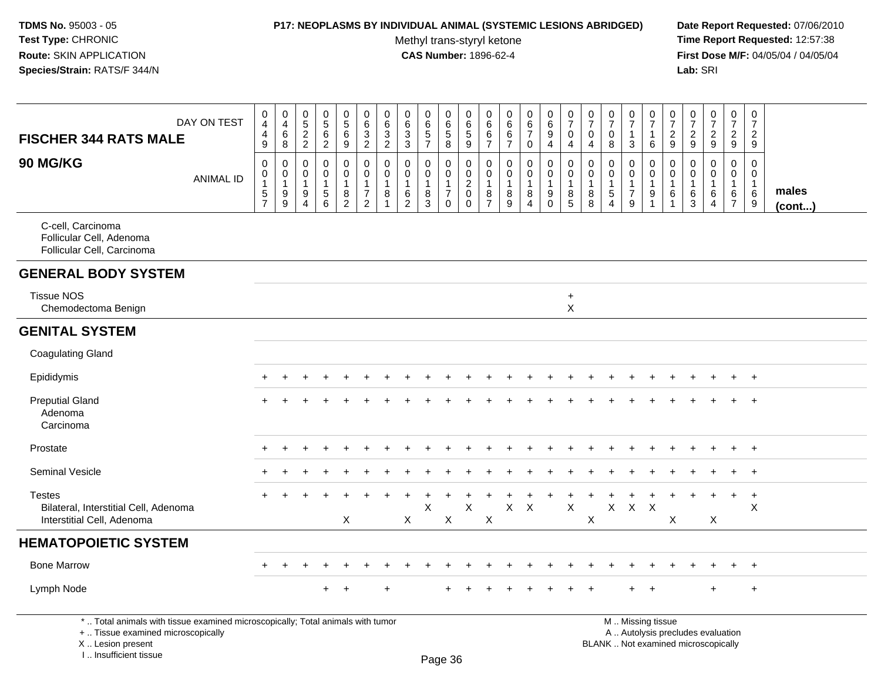#### **P17: NEOPLASMS BY INDIVIDUAL ANIMAL (SYSTEMIC LESIONS ABRIDGED) Date Report Requested:** 07/06/2010

Methyl trans-styryl ketone<br>CAS Number: 1896-62-4

 **Time Report Requested:** 12:57:38 **First Dose M/F:** 04/05/04 / 04/05/04<br>Lab: SRI **Lab:** SRI

| <b>FISCHER 344 RATS MALE</b>                                                                                          | DAY ON TEST      | $\pmb{0}$<br>$\overline{4}$<br>$\begin{array}{c} 4 \\ 9 \end{array}$ | $\pmb{0}$<br>$\overline{4}$<br>$\,6\,$<br>8            | $\mathbf 0$<br>$\frac{5}{2}$                              | $\pmb{0}$<br>$\overline{5}$<br>6<br>$\overline{2}$               | $\begin{array}{c} 0 \\ 5 \end{array}$<br>$\,6\,$<br>$\overline{9}$                | $\pmb{0}$<br>$\,6\,$<br>3<br>$\overline{2}$                                      | 0<br>$6\phantom{a}$<br>$\sqrt{3}$<br>$\overline{2}$ | 0<br>$\,6\,$<br>$\mathbf{3}$<br>$\mathbf{3}$        | $_{6}^{\rm 0}$<br>$\sqrt{5}$<br>$\overline{7}$    | $\pmb{0}$<br>$6\overline{6}$<br>$\sqrt{5}$<br>8                          | $\pmb{0}$<br>$\begin{array}{c} 6 \\ 5 \end{array}$<br>$\boldsymbol{9}$          | 0<br>6<br>6<br>$\overline{7}$                                    | $\pmb{0}$<br>6<br>$\,6\,$<br>$\overline{7}$                       | 0<br>$6\phantom{a}$<br>$\overline{7}$<br>0              | 0<br>$\overline{6}$<br>9<br>$\overline{4}$                            | $\begin{array}{c} 0 \\ 7 \end{array}$<br>0<br>4                 | $\pmb{0}$<br>$\overline{7}$<br>0<br>$\overline{4}$ | $\begin{array}{c} 0 \\ 7 \end{array}$<br>$\mathbf 0$<br>8    | $\begin{array}{c} 0 \\ 7 \end{array}$<br>$\overline{\mathbf{1}}$<br>3 | 0<br>$\overline{7}$<br>$\mathbf{1}$<br>6                           | 0<br>$\overline{7}$<br>$\frac{2}{9}$                            | 0<br>$\overline{7}$<br>$\overline{c}$<br>9 | $\frac{0}{7}$<br>$\frac{2}{9}$                | $\pmb{0}$<br>$\overline{7}$<br>$\overline{2}$<br>9      | 0<br>$\overline{7}$<br>$\overline{2}$<br>9                        |                 |
|-----------------------------------------------------------------------------------------------------------------------|------------------|----------------------------------------------------------------------|--------------------------------------------------------|-----------------------------------------------------------|------------------------------------------------------------------|-----------------------------------------------------------------------------------|----------------------------------------------------------------------------------|-----------------------------------------------------|-----------------------------------------------------|---------------------------------------------------|--------------------------------------------------------------------------|---------------------------------------------------------------------------------|------------------------------------------------------------------|-------------------------------------------------------------------|---------------------------------------------------------|-----------------------------------------------------------------------|-----------------------------------------------------------------|----------------------------------------------------|--------------------------------------------------------------|-----------------------------------------------------------------------|--------------------------------------------------------------------|-----------------------------------------------------------------|--------------------------------------------|-----------------------------------------------|---------------------------------------------------------|-------------------------------------------------------------------|-----------------|
| <b>90 MG/KG</b>                                                                                                       | <b>ANIMAL ID</b> | $\pmb{0}$<br>$\pmb{0}$<br>$\overline{1}$<br>$\frac{5}{7}$            | $\mathbf 0$<br>$\mathbf 0$<br>$\overline{1}$<br>$^9_9$ | $\mathbf 0$<br>0<br>$\overline{1}$<br>9<br>$\overline{4}$ | $\mathbf 0$<br>0<br>$\mathbf{1}$<br>$\sqrt{5}$<br>$\overline{6}$ | $\pmb{0}$<br>$\mathbf 0$<br>$\mathbf{1}$<br>$\begin{array}{c} 8 \\ 2 \end{array}$ | $\mathbf 0$<br>$\mathbf 0$<br>$\mathbf{1}$<br>$\boldsymbol{7}$<br>$\overline{2}$ | $\mathbf 0$<br>0<br>$\mathbf{1}$<br>8<br>1          | 0<br>0<br>$\overline{1}$<br>$\,6$<br>$\overline{2}$ | $\mathbf 0$<br>0<br>$\mathbf{1}$<br>$\frac{8}{3}$ | $\Omega$<br>$\mathbf 0$<br>$\mathbf{1}$<br>$\overline{7}$<br>$\mathbf 0$ | $\mathbf 0$<br>$\mathbf 0$<br>$\overline{2}$<br>$\mathbf 0$<br>$\boldsymbol{0}$ | $\Omega$<br>$\mathbf 0$<br>$\overline{1}$<br>8<br>$\overline{7}$ | $\mathbf 0$<br>$\mathbf 0$<br>$\mathbf{1}$<br>8<br>$\overline{9}$ | $\mathbf 0$<br>0<br>$\mathbf{1}$<br>8<br>$\overline{4}$ | $\boldsymbol{0}$<br>$\mathbf 0$<br>$\mathbf{1}$<br>$_{\rm 0}^{\rm 9}$ | $\mathbf 0$<br>$\pmb{0}$<br>$\mathbf{1}$<br>8<br>$\overline{5}$ | $\mathbf 0$<br>0<br>$\mathbf{1}$<br>$_{8}^8$       | $\mathbf{0}$<br>$\mathbf 0$<br>$\mathbf{1}$<br>$\frac{5}{4}$ | $\mathbf 0$<br>$\mathbf 0$<br>$\mathbf{1}$<br>$\overline{7}$<br>$9\,$ | $\mathbf{0}$<br>$\mathbf 0$<br>$\overline{1}$<br>9<br>$\mathbf{1}$ | $\mathbf 0$<br>$\mathbf 0$<br>$\mathbf{1}$<br>6<br>$\mathbf{1}$ | $\Omega$<br>0<br>$\mathbf{1}$<br>6<br>3    | 0<br>0<br>$\mathbf{1}$<br>6<br>$\overline{4}$ | $\mathbf 0$<br>0<br>$\mathbf{1}$<br>6<br>$\overline{7}$ | $\mathbf 0$<br>$\mathbf 0$<br>$\mathbf{1}$<br>6<br>$\overline{9}$ | males<br>(cont) |
| C-cell, Carcinoma<br>Follicular Cell, Adenoma<br>Follicular Cell, Carcinoma                                           |                  |                                                                      |                                                        |                                                           |                                                                  |                                                                                   |                                                                                  |                                                     |                                                     |                                                   |                                                                          |                                                                                 |                                                                  |                                                                   |                                                         |                                                                       |                                                                 |                                                    |                                                              |                                                                       |                                                                    |                                                                 |                                            |                                               |                                                         |                                                                   |                 |
| <b>GENERAL BODY SYSTEM</b>                                                                                            |                  |                                                                      |                                                        |                                                           |                                                                  |                                                                                   |                                                                                  |                                                     |                                                     |                                                   |                                                                          |                                                                                 |                                                                  |                                                                   |                                                         |                                                                       |                                                                 |                                                    |                                                              |                                                                       |                                                                    |                                                                 |                                            |                                               |                                                         |                                                                   |                 |
| <b>Tissue NOS</b><br>Chemodectoma Benign                                                                              |                  |                                                                      |                                                        |                                                           |                                                                  |                                                                                   |                                                                                  |                                                     |                                                     |                                                   |                                                                          |                                                                                 |                                                                  |                                                                   |                                                         |                                                                       | $\ddot{}$<br>X                                                  |                                                    |                                                              |                                                                       |                                                                    |                                                                 |                                            |                                               |                                                         |                                                                   |                 |
| <b>GENITAL SYSTEM</b>                                                                                                 |                  |                                                                      |                                                        |                                                           |                                                                  |                                                                                   |                                                                                  |                                                     |                                                     |                                                   |                                                                          |                                                                                 |                                                                  |                                                                   |                                                         |                                                                       |                                                                 |                                                    |                                                              |                                                                       |                                                                    |                                                                 |                                            |                                               |                                                         |                                                                   |                 |
| <b>Coagulating Gland</b>                                                                                              |                  |                                                                      |                                                        |                                                           |                                                                  |                                                                                   |                                                                                  |                                                     |                                                     |                                                   |                                                                          |                                                                                 |                                                                  |                                                                   |                                                         |                                                                       |                                                                 |                                                    |                                                              |                                                                       |                                                                    |                                                                 |                                            |                                               |                                                         |                                                                   |                 |
| Epididymis                                                                                                            |                  |                                                                      |                                                        |                                                           |                                                                  |                                                                                   |                                                                                  |                                                     |                                                     |                                                   |                                                                          |                                                                                 |                                                                  |                                                                   |                                                         |                                                                       |                                                                 |                                                    |                                                              |                                                                       |                                                                    |                                                                 |                                            |                                               |                                                         | $\overline{1}$                                                    |                 |
| <b>Preputial Gland</b><br>Adenoma<br>Carcinoma                                                                        |                  |                                                                      |                                                        |                                                           |                                                                  |                                                                                   |                                                                                  |                                                     |                                                     |                                                   |                                                                          |                                                                                 |                                                                  |                                                                   |                                                         |                                                                       |                                                                 |                                                    |                                                              |                                                                       |                                                                    |                                                                 |                                            |                                               |                                                         | $\overline{1}$                                                    |                 |
| Prostate                                                                                                              |                  |                                                                      |                                                        |                                                           |                                                                  |                                                                                   |                                                                                  |                                                     |                                                     |                                                   |                                                                          |                                                                                 |                                                                  |                                                                   |                                                         |                                                                       |                                                                 |                                                    |                                                              |                                                                       |                                                                    |                                                                 |                                            |                                               |                                                         | $\overline{+}$                                                    |                 |
| <b>Seminal Vesicle</b>                                                                                                |                  |                                                                      |                                                        |                                                           |                                                                  |                                                                                   |                                                                                  |                                                     |                                                     |                                                   |                                                                          |                                                                                 |                                                                  |                                                                   |                                                         |                                                                       |                                                                 |                                                    |                                                              |                                                                       |                                                                    |                                                                 |                                            |                                               |                                                         | $+$                                                               |                 |
| <b>Testes</b><br>Bilateral, Interstitial Cell, Adenoma<br>Interstitial Cell, Adenoma                                  |                  |                                                                      |                                                        |                                                           |                                                                  | X                                                                                 |                                                                                  |                                                     | X                                                   | X                                                 | X                                                                        | X                                                                               | $\times$                                                         | $X$ $X$                                                           |                                                         |                                                                       | $\pmb{\times}$                                                  | X                                                  |                                                              | $X$ $X$ $X$                                                           |                                                                    | X                                                               |                                            | X                                             | $+$                                                     | $+$<br>X                                                          |                 |
| <b>HEMATOPOIETIC SYSTEM</b>                                                                                           |                  |                                                                      |                                                        |                                                           |                                                                  |                                                                                   |                                                                                  |                                                     |                                                     |                                                   |                                                                          |                                                                                 |                                                                  |                                                                   |                                                         |                                                                       |                                                                 |                                                    |                                                              |                                                                       |                                                                    |                                                                 |                                            |                                               |                                                         |                                                                   |                 |
| <b>Bone Marrow</b>                                                                                                    |                  |                                                                      |                                                        |                                                           |                                                                  |                                                                                   |                                                                                  |                                                     |                                                     |                                                   |                                                                          |                                                                                 |                                                                  |                                                                   |                                                         |                                                                       |                                                                 |                                                    |                                                              |                                                                       |                                                                    |                                                                 |                                            |                                               | $\pm$                                                   | $+$                                                               |                 |
| Lymph Node                                                                                                            |                  |                                                                      |                                                        |                                                           | $\ddot{}$                                                        | $\ddot{}$                                                                         |                                                                                  |                                                     |                                                     |                                                   |                                                                          |                                                                                 |                                                                  |                                                                   |                                                         |                                                                       |                                                                 |                                                    |                                                              |                                                                       |                                                                    |                                                                 |                                            |                                               |                                                         | $\ddot{}$                                                         |                 |
| *  Total animals with tissue examined microscopically; Total animals with tumor<br>+  Tissue examined microscopically |                  |                                                                      |                                                        |                                                           |                                                                  |                                                                                   |                                                                                  |                                                     |                                                     |                                                   |                                                                          |                                                                                 | M  Missing tissue<br>A  Autolysis precludes evaluation           |                                                                   |                                                         |                                                                       |                                                                 |                                                    |                                                              |                                                                       |                                                                    |                                                                 |                                            |                                               |                                                         |                                                                   |                 |

X .. Lesion present

I .. Insufficient tissue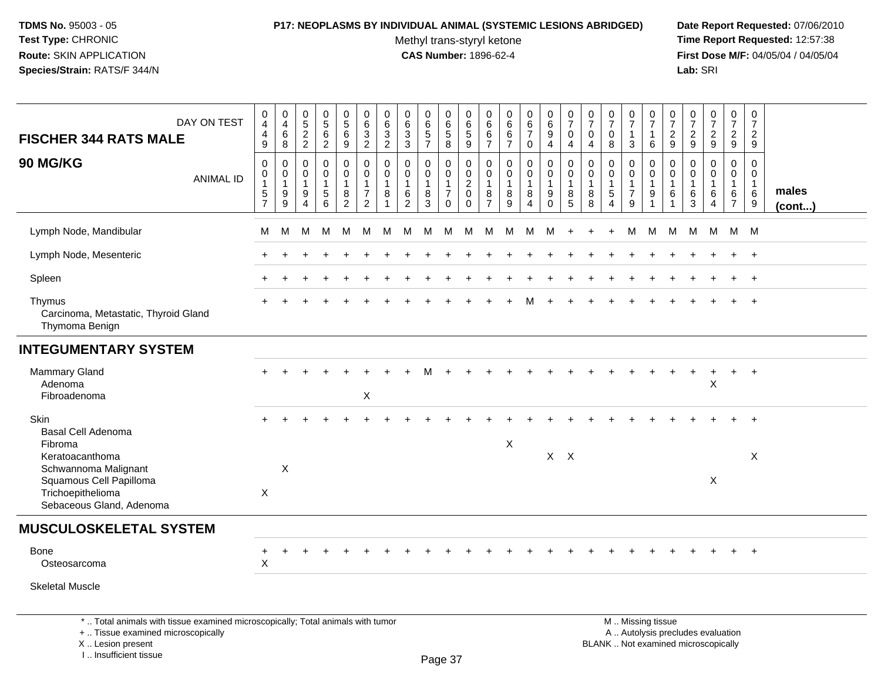I .. Insufficient tissue

### **P17: NEOPLASMS BY INDIVIDUAL ANIMAL (SYSTEMIC LESIONS ABRIDGED) Date Report Requested:** 07/06/2010

Methyl trans-styryl ketone<br>CAS Number: 1896-62-4

| DAY ON TEST<br><b>FISCHER 344 RATS MALE</b>                                                                                                | $\pmb{0}$<br>$\overline{4}$<br>$\overline{4}$<br>9                | $\begin{smallmatrix}0\0\4\end{smallmatrix}$<br>$\,6\,$<br>8 | $\begin{array}{c} 0 \\ 5 \end{array}$<br>$\frac{2}{2}$            | $\begin{array}{c} 0 \\ 5 \end{array}$<br>$\,6\,$<br>$\overline{2}$ | 0<br>$\overline{5}$<br>$\,6\,$<br>9          | $\begin{array}{c} 0 \\ 6 \end{array}$<br>$\mathbf{3}$<br>$\overline{2}$ | $\pmb{0}$<br>$^6_3$<br>$\overline{2}$       | $_{6}^{\rm 0}$<br>$\sqrt{3}$<br>3                       | 0657                                                    | $\pmb{0}$<br>$\,6$<br>$\,$ 5 $\,$<br>8                                   | 0<br>$\,6\,$<br>$\mathbf 5$<br>$\boldsymbol{9}$     | $\begin{array}{c} 0 \\ 6 \end{array}$<br>$\,6\,$<br>$\overline{7}$ | $0$<br>6<br>6<br>$\overline{7}$  | $\begin{array}{c} 0 \\ 6 \\ 7 \end{array}$<br>$\mathbf 0$ | $\begin{array}{c} 0 \\ 6 \end{array}$<br>$9\,$<br>$\overline{4}$ | $\frac{0}{7}$<br>0<br>4                   | $\frac{0}{7}$<br>$\mathbf{0}$<br>4                  | $\frac{0}{7}$<br>$\Omega$<br>8   | $\frac{0}{7}$<br>$\mathbf{1}$<br>3            | $\frac{0}{7}$<br>$\mathbf{1}$<br>6                                                            | $\begin{smallmatrix}0\\7\end{smallmatrix}$<br>$\overline{c}$<br>$\boldsymbol{9}$ | $\frac{0}{7}$<br>$\sqrt{2}$<br>9                        | $\frac{0}{7}$<br>$\frac{2}{9}$                          | $\pmb{0}$<br>$\overline{7}$<br>$\overline{2}$<br>9      | $\frac{0}{7}$<br>$\overline{2}$<br>9      |                 |
|--------------------------------------------------------------------------------------------------------------------------------------------|-------------------------------------------------------------------|-------------------------------------------------------------|-------------------------------------------------------------------|--------------------------------------------------------------------|----------------------------------------------|-------------------------------------------------------------------------|---------------------------------------------|---------------------------------------------------------|---------------------------------------------------------|--------------------------------------------------------------------------|-----------------------------------------------------|--------------------------------------------------------------------|----------------------------------|-----------------------------------------------------------|------------------------------------------------------------------|-------------------------------------------|-----------------------------------------------------|----------------------------------|-----------------------------------------------|-----------------------------------------------------------------------------------------------|----------------------------------------------------------------------------------|---------------------------------------------------------|---------------------------------------------------------|---------------------------------------------------------|-------------------------------------------|-----------------|
| 90 MG/KG<br><b>ANIMAL ID</b>                                                                                                               | $\mathbf 0$<br>0<br>$\mathbf{1}$<br>$\,$ 5 $\,$<br>$\overline{7}$ | $\mathbf 0$<br>0<br>$\mathbf{1}$<br>9<br>9                  | $\mathbf 0$<br>0<br>$\overline{1}$<br>9<br>$\boldsymbol{\Lambda}$ | $\mathbf 0$<br>0<br>$\mathbf{1}$<br>$\sqrt{5}$<br>$6\phantom{1}6$  | $\mathbf 0$<br>0<br>1<br>8<br>$\overline{a}$ | $\mathbf 0$<br>0<br>$\mathbf 1$<br>$\overline{7}$<br>$\overline{2}$     | 0<br>0<br>$\mathbf{1}$<br>8<br>$\mathbf{1}$ | $\mathbf 0$<br>0<br>$\mathbf{1}$<br>6<br>$\overline{2}$ | $\mathbf 0$<br>0<br>$\overline{1}$<br>8<br>$\mathbf{3}$ | $\mathbf 0$<br>$\mathbf 0$<br>$\mathbf{1}$<br>$\overline{7}$<br>$\Omega$ | 0<br>0<br>$\overline{c}$<br>$\mathbf 0$<br>$\Omega$ | 0<br>$\mathbf 0$<br>$\overline{1}$<br>8<br>$\overline{7}$          | 0<br>0<br>$\mathbf{1}$<br>8<br>9 | 0<br>0<br>$\mathbf{1}$<br>8<br>$\overline{4}$             | $\mathbf 0$<br>$\pmb{0}$<br>$\mathbf{1}$<br>9<br>$\Omega$        | $\Omega$<br>0<br>$\overline{1}$<br>8<br>5 | $\Omega$<br>$\mathbf 0$<br>$\overline{1}$<br>8<br>8 | 0<br>0<br>$\mathbf{1}$<br>5<br>4 | 0<br>0<br>$\mathbf{1}$<br>$\overline{7}$<br>9 | 0<br>0<br>$\mathbf{1}$<br>9<br>1                                                              | $\Omega$<br>0<br>$\mathbf{1}$<br>6                                               | $\mathbf{0}$<br>$\mathbf 0$<br>$\overline{1}$<br>6<br>3 | $\mathbf 0$<br>0<br>$\mathbf{1}$<br>6<br>$\overline{4}$ | $\mathbf 0$<br>0<br>$\mathbf{1}$<br>6<br>$\overline{7}$ | $\mathbf 0$<br>$\mathbf 0$<br>1<br>6<br>9 | males<br>(cont) |
| Lymph Node, Mandibular                                                                                                                     | м                                                                 | М                                                           | м                                                                 | M                                                                  | M                                            | м                                                                       | м                                           | м                                                       | м                                                       | M                                                                        | M                                                   | м                                                                  | м                                | M                                                         | м                                                                |                                           |                                                     |                                  | M                                             | M                                                                                             | M                                                                                | M                                                       | М                                                       | M M                                                     |                                           |                 |
| Lymph Node, Mesenteric                                                                                                                     |                                                                   |                                                             |                                                                   |                                                                    |                                              |                                                                         |                                             |                                                         |                                                         |                                                                          |                                                     |                                                                    |                                  |                                                           |                                                                  |                                           |                                                     |                                  |                                               |                                                                                               |                                                                                  |                                                         |                                                         |                                                         | $\ddot{+}$                                |                 |
| Spleen                                                                                                                                     |                                                                   |                                                             |                                                                   |                                                                    |                                              |                                                                         |                                             |                                                         |                                                         |                                                                          |                                                     |                                                                    |                                  |                                                           |                                                                  |                                           |                                                     |                                  |                                               |                                                                                               |                                                                                  |                                                         |                                                         |                                                         |                                           |                 |
| Thymus<br>Carcinoma, Metastatic, Thyroid Gland<br>Thymoma Benign                                                                           |                                                                   |                                                             |                                                                   |                                                                    |                                              |                                                                         |                                             |                                                         |                                                         |                                                                          |                                                     |                                                                    |                                  |                                                           |                                                                  |                                           |                                                     |                                  |                                               |                                                                                               |                                                                                  |                                                         |                                                         |                                                         |                                           |                 |
| <b>INTEGUMENTARY SYSTEM</b>                                                                                                                |                                                                   |                                                             |                                                                   |                                                                    |                                              |                                                                         |                                             |                                                         |                                                         |                                                                          |                                                     |                                                                    |                                  |                                                           |                                                                  |                                           |                                                     |                                  |                                               |                                                                                               |                                                                                  |                                                         |                                                         |                                                         |                                           |                 |
| <b>Mammary Gland</b><br>Adenoma<br>Fibroadenoma                                                                                            |                                                                   |                                                             |                                                                   |                                                                    |                                              | $\mathsf X$                                                             |                                             |                                                         |                                                         |                                                                          |                                                     |                                                                    |                                  |                                                           |                                                                  |                                           |                                                     |                                  |                                               |                                                                                               |                                                                                  |                                                         | X                                                       |                                                         | $\overline{+}$                            |                 |
| Skin<br><b>Basal Cell Adenoma</b><br>Fibroma                                                                                               |                                                                   |                                                             |                                                                   |                                                                    |                                              |                                                                         |                                             |                                                         |                                                         |                                                                          |                                                     |                                                                    | $\mathsf X$                      |                                                           |                                                                  |                                           |                                                     |                                  |                                               |                                                                                               |                                                                                  |                                                         |                                                         |                                                         | $\ddot{}$                                 |                 |
| Keratoacanthoma<br>Schwannoma Malignant<br>Squamous Cell Papilloma<br>Trichoepithelioma<br>Sebaceous Gland, Adenoma                        | X                                                                 | X                                                           |                                                                   |                                                                    |                                              |                                                                         |                                             |                                                         |                                                         |                                                                          |                                                     |                                                                    |                                  |                                                           | $X$ $X$                                                          |                                           |                                                     |                                  |                                               |                                                                                               |                                                                                  |                                                         | $\boldsymbol{\mathsf{X}}$                               |                                                         | X                                         |                 |
| <b>MUSCULOSKELETAL SYSTEM</b>                                                                                                              |                                                                   |                                                             |                                                                   |                                                                    |                                              |                                                                         |                                             |                                                         |                                                         |                                                                          |                                                     |                                                                    |                                  |                                                           |                                                                  |                                           |                                                     |                                  |                                               |                                                                                               |                                                                                  |                                                         |                                                         |                                                         |                                           |                 |
| <b>Bone</b><br>Osteosarcoma                                                                                                                | $\ddot{}$<br>X                                                    |                                                             |                                                                   |                                                                    |                                              |                                                                         |                                             |                                                         |                                                         |                                                                          |                                                     |                                                                    |                                  |                                                           |                                                                  |                                           |                                                     |                                  |                                               |                                                                                               |                                                                                  |                                                         |                                                         |                                                         |                                           |                 |
| <b>Skeletal Muscle</b>                                                                                                                     |                                                                   |                                                             |                                                                   |                                                                    |                                              |                                                                         |                                             |                                                         |                                                         |                                                                          |                                                     |                                                                    |                                  |                                                           |                                                                  |                                           |                                                     |                                  |                                               |                                                                                               |                                                                                  |                                                         |                                                         |                                                         |                                           |                 |
| *  Total animals with tissue examined microscopically; Total animals with tumor<br>+  Tissue examined microscopically<br>X  Lesion present |                                                                   |                                                             |                                                                   |                                                                    |                                              |                                                                         |                                             |                                                         |                                                         |                                                                          |                                                     |                                                                    |                                  |                                                           |                                                                  |                                           |                                                     |                                  |                                               | M  Missing tissue<br>A  Autolysis precludes evaluation<br>BLANK  Not examined microscopically |                                                                                  |                                                         |                                                         |                                                         |                                           |                 |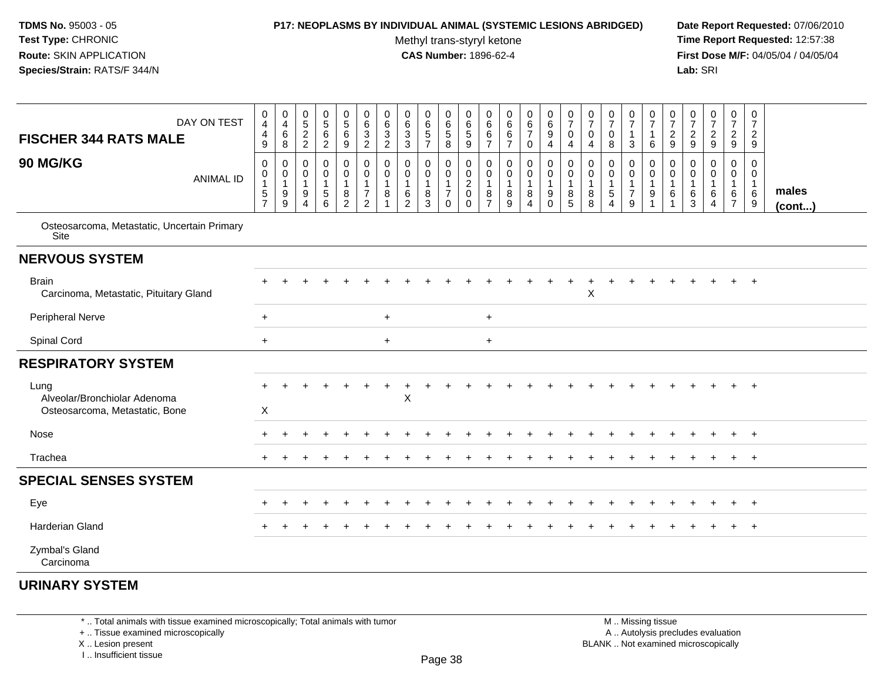### **P17: NEOPLASMS BY INDIVIDUAL ANIMAL (SYSTEMIC LESIONS ABRIDGED) Date Report Requested:** 07/06/2010

Methyl trans-styryl ketone<br>CAS Number: 1896-62-4

 **Time Report Requested:** 12:57:38 **First Dose M/F:** 04/05/04 / 04/05/04<br>**Lab:** SRI **Lab:** SRI

| DAY ON TEST<br><b>FISCHER 344 RATS MALE</b>                            | $\mathbf 0$<br>$\overline{4}$<br>$\overline{4}$<br>9                       | 0<br>$\overline{a}$<br>$\,6\,$<br>8        | 0<br>$\overline{5}$<br>$\boldsymbol{2}$<br>$\overline{2}$    | 0<br>$\overline{5}$<br>6<br>$\overline{c}$ | $\pmb{0}$<br>$\overline{5}$<br>$\,6\,$<br>9                   | $\begin{array}{c} 0 \\ 6 \end{array}$<br>$\sqrt{3}$<br>$\overline{c}$        | 0<br>6<br>$\mathbf{3}$<br>$\overline{2}$ | 0<br>$\,6\,$<br>$\mathbf{3}$<br>$\mathbf{3}$                            | 0<br>$\,6\,$<br>$\,$ 5 $\,$<br>$\overline{7}$               | $\mathbf 0$<br>$\,6\,$<br>5<br>8                                  | 0<br>6<br>$\sqrt{5}$<br>$\boldsymbol{9}$                  | 0<br>6<br>6<br>$\overline{7}$                           | $\mathbf 0$<br>$6\overline{6}$<br>$\,6\,$<br>$\overline{7}$ | $\begin{array}{c} 0 \\ 6 \end{array}$<br>$\overline{7}$<br>$\mathbf 0$ | $\begin{array}{c} 0 \\ 6 \end{array}$<br>$\boldsymbol{9}$<br>$\overline{4}$   | $\frac{0}{7}$<br>$\mathbf 0$<br>4          | $\frac{0}{7}$<br>$\mathbf 0$<br>$\overline{4}$ | $\frac{0}{7}$<br>$\mathbf 0$<br>8 | $\frac{0}{7}$<br>$\mathbf{1}$<br>$\mathbf{3}$             | $\frac{0}{7}$<br>$\mathbf{1}$<br>6    | $\frac{0}{7}$<br>$\frac{2}{9}$      | $\frac{0}{7}$<br>$\overline{2}$<br>9                                  | $\frac{0}{7}$<br>$\overline{a}$<br>9 | $\frac{0}{7}$<br>$\overline{2}$<br>9                                    | $\boldsymbol{0}$<br>$\overline{7}$<br>$\overline{2}$<br>9 |                       |
|------------------------------------------------------------------------|----------------------------------------------------------------------------|--------------------------------------------|--------------------------------------------------------------|--------------------------------------------|---------------------------------------------------------------|------------------------------------------------------------------------------|------------------------------------------|-------------------------------------------------------------------------|-------------------------------------------------------------|-------------------------------------------------------------------|-----------------------------------------------------------|---------------------------------------------------------|-------------------------------------------------------------|------------------------------------------------------------------------|-------------------------------------------------------------------------------|--------------------------------------------|------------------------------------------------|-----------------------------------|-----------------------------------------------------------|---------------------------------------|-------------------------------------|-----------------------------------------------------------------------|--------------------------------------|-------------------------------------------------------------------------|-----------------------------------------------------------|-----------------------|
| <b>90 MG/KG</b><br><b>ANIMAL ID</b>                                    | $\mathbf 0$<br>$\mathbf 0$<br>$\mathbf{1}$<br>$\sqrt{5}$<br>$\overline{7}$ | $\mathbf 0$<br>0<br>$\mathbf{1}$<br>9<br>9 | $\Omega$<br>$\mathbf 0$<br>$\mathbf{1}$<br>$9\,$<br>$\Delta$ | 0<br>0<br>$\sqrt{5}$<br>6                  | $\mathbf 0$<br>0<br>$\mathbf{1}$<br>$\bf 8$<br>$\overline{2}$ | $\mathbf 0$<br>$\pmb{0}$<br>$\mathbf{1}$<br>$\overline{7}$<br>$\overline{2}$ | $\mathbf 0$<br>0<br>8                    | $\mathbf 0$<br>$\mathbf 0$<br>$\mathbf{1}$<br>$\,6\,$<br>$\overline{2}$ | 0<br>$\mathbf 0$<br>$\mathbf{1}$<br>$\,8\,$<br>$\mathbf{3}$ | $\mathbf 0$<br>$\mathbf 0$<br>$\mathbf{1}$<br>$\overline{7}$<br>0 | 0<br>$\pmb{0}$<br>$\overline{2}$<br>$\pmb{0}$<br>$\Omega$ | $\mathbf 0$<br>0<br>$\mathbf{1}$<br>8<br>$\overline{7}$ | $\pmb{0}$<br>$\pmb{0}$<br>$\bf 8$<br>9                      | $\mathbf 0$<br>$\mathbf 0$<br>$\mathbf{1}$<br>8<br>$\overline{4}$      | $\mathbf 0$<br>$\mathbf 0$<br>$\mathbf{1}$<br>$\boldsymbol{9}$<br>$\mathbf 0$ | $\mathbf 0$<br>$\mathbf 0$<br>-1<br>8<br>5 | $\mathbf 0$<br>0<br>$\mathbf{1}$<br>8<br>8     | 0<br>$\mathbf 0$<br>5<br>$\Delta$ | 0<br>$\mathbf 0$<br>$\mathbf{1}$<br>$\boldsymbol{7}$<br>9 | $\mathbf 0$<br>0<br>$\mathbf{1}$<br>9 | 0<br>0<br>$\overline{1}$<br>6<br>-1 | $\mathbf 0$<br>$\mathbf 0$<br>$\mathbf{1}$<br>$\,6\,$<br>$\mathbf{3}$ | 0<br>0<br>6<br>4                     | $\mathbf 0$<br>$\mathbf 0$<br>$\mathbf{1}$<br>$\,6\,$<br>$\overline{7}$ | $\mathbf 0$<br>0<br>$\mathbf{1}$<br>6<br>9                | males<br>$($ cont $)$ |
| Osteosarcoma, Metastatic, Uncertain Primary<br>Site                    |                                                                            |                                            |                                                              |                                            |                                                               |                                                                              |                                          |                                                                         |                                                             |                                                                   |                                                           |                                                         |                                                             |                                                                        |                                                                               |                                            |                                                |                                   |                                                           |                                       |                                     |                                                                       |                                      |                                                                         |                                                           |                       |
| <b>NERVOUS SYSTEM</b>                                                  |                                                                            |                                            |                                                              |                                            |                                                               |                                                                              |                                          |                                                                         |                                                             |                                                                   |                                                           |                                                         |                                                             |                                                                        |                                                                               |                                            |                                                |                                   |                                                           |                                       |                                     |                                                                       |                                      |                                                                         |                                                           |                       |
| <b>Brain</b><br>Carcinoma, Metastatic, Pituitary Gland                 |                                                                            |                                            |                                                              |                                            |                                                               |                                                                              |                                          |                                                                         |                                                             |                                                                   |                                                           |                                                         |                                                             |                                                                        |                                                                               |                                            | X                                              |                                   |                                                           |                                       |                                     |                                                                       |                                      |                                                                         | $\overline{+}$                                            |                       |
| Peripheral Nerve                                                       | $+$                                                                        |                                            |                                                              |                                            |                                                               |                                                                              | $\ddot{}$                                |                                                                         |                                                             |                                                                   |                                                           | $+$                                                     |                                                             |                                                                        |                                                                               |                                            |                                                |                                   |                                                           |                                       |                                     |                                                                       |                                      |                                                                         |                                                           |                       |
| Spinal Cord                                                            | $+$                                                                        |                                            |                                                              |                                            |                                                               |                                                                              | $+$                                      |                                                                         |                                                             |                                                                   |                                                           | $+$                                                     |                                                             |                                                                        |                                                                               |                                            |                                                |                                   |                                                           |                                       |                                     |                                                                       |                                      |                                                                         |                                                           |                       |
| <b>RESPIRATORY SYSTEM</b>                                              |                                                                            |                                            |                                                              |                                            |                                                               |                                                                              |                                          |                                                                         |                                                             |                                                                   |                                                           |                                                         |                                                             |                                                                        |                                                                               |                                            |                                                |                                   |                                                           |                                       |                                     |                                                                       |                                      |                                                                         |                                                           |                       |
| Lung<br>Alveolar/Bronchiolar Adenoma<br>Osteosarcoma, Metastatic, Bone | X                                                                          |                                            |                                                              |                                            |                                                               |                                                                              |                                          | $\boldsymbol{\mathsf{X}}$                                               |                                                             |                                                                   |                                                           |                                                         |                                                             |                                                                        |                                                                               |                                            |                                                |                                   |                                                           |                                       |                                     |                                                                       |                                      |                                                                         | $\overline{+}$                                            |                       |
| Nose                                                                   |                                                                            |                                            |                                                              |                                            |                                                               |                                                                              |                                          |                                                                         |                                                             |                                                                   |                                                           |                                                         |                                                             |                                                                        |                                                                               |                                            |                                                |                                   |                                                           |                                       |                                     |                                                                       |                                      |                                                                         | $^{+}$                                                    |                       |
| Trachea                                                                |                                                                            |                                            |                                                              |                                            |                                                               |                                                                              |                                          |                                                                         |                                                             |                                                                   |                                                           |                                                         |                                                             |                                                                        |                                                                               |                                            |                                                |                                   |                                                           |                                       |                                     |                                                                       |                                      |                                                                         | $+$                                                       |                       |
| <b>SPECIAL SENSES SYSTEM</b>                                           |                                                                            |                                            |                                                              |                                            |                                                               |                                                                              |                                          |                                                                         |                                                             |                                                                   |                                                           |                                                         |                                                             |                                                                        |                                                                               |                                            |                                                |                                   |                                                           |                                       |                                     |                                                                       |                                      |                                                                         |                                                           |                       |
| Eye                                                                    |                                                                            |                                            |                                                              |                                            |                                                               |                                                                              |                                          |                                                                         |                                                             |                                                                   |                                                           |                                                         |                                                             |                                                                        |                                                                               |                                            |                                                |                                   |                                                           |                                       |                                     |                                                                       |                                      |                                                                         | $\overline{+}$                                            |                       |
| Harderian Gland                                                        |                                                                            |                                            |                                                              |                                            |                                                               |                                                                              |                                          |                                                                         |                                                             |                                                                   |                                                           |                                                         |                                                             |                                                                        |                                                                               |                                            |                                                |                                   |                                                           |                                       |                                     |                                                                       |                                      | $+$                                                                     | $+$                                                       |                       |
| Zymbal's Gland<br>Carcinoma                                            |                                                                            |                                            |                                                              |                                            |                                                               |                                                                              |                                          |                                                                         |                                                             |                                                                   |                                                           |                                                         |                                                             |                                                                        |                                                                               |                                            |                                                |                                   |                                                           |                                       |                                     |                                                                       |                                      |                                                                         |                                                           |                       |
|                                                                        |                                                                            |                                            |                                                              |                                            |                                                               |                                                                              |                                          |                                                                         |                                                             |                                                                   |                                                           |                                                         |                                                             |                                                                        |                                                                               |                                            |                                                |                                   |                                                           |                                       |                                     |                                                                       |                                      |                                                                         |                                                           |                       |

# **URINARY SYSTEM**

\* .. Total animals with tissue examined microscopically; Total animals with tumor

+ .. Tissue examined microscopically

X .. Lesion present

I .. Insufficient tissue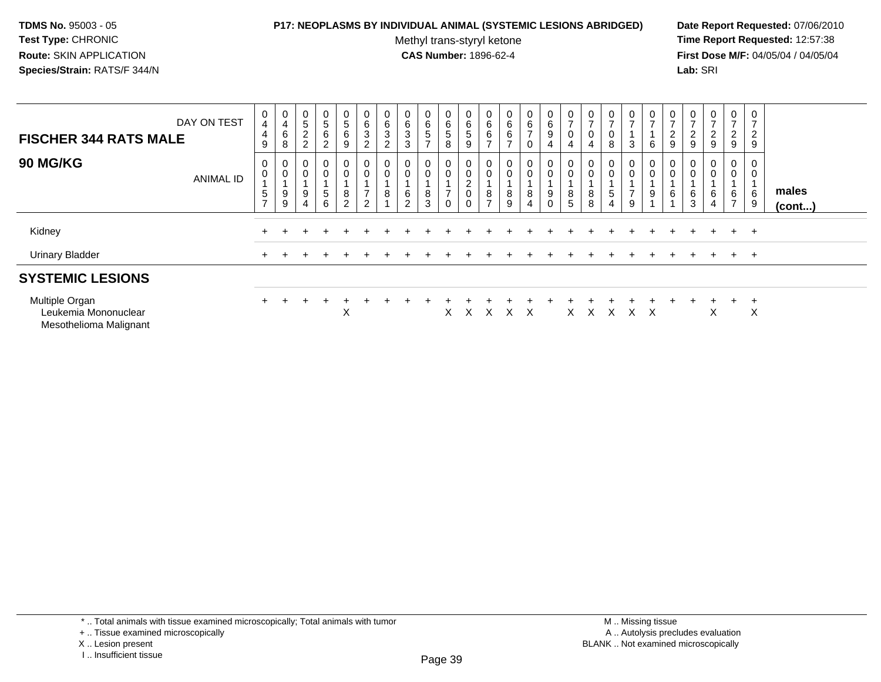### **P17: NEOPLASMS BY INDIVIDUAL ANIMAL (SYSTEMIC LESIONS ABRIDGED) Date Report Requested:** 07/06/2010

Methyl trans-styryl ketone<br>CAS Number: 1896-62-4

 **Time Report Requested:** 12:57:38 **First Dose M/F:** 04/05/04 / 04/05/04<br>**Lab:** SRI **Lab:** SRI

| DAY ON TEST<br><b>FISCHER 344 RATS MALE</b>                      |                  | 0<br>$\overline{\mathbf{4}}$<br>4<br>9 | $\mathbf 0$<br>$\overline{\mathbf{4}}$<br>6<br>8 | $\begin{array}{c} 0 \\ 5 \end{array}$<br>$\frac{2}{2}$ | 0<br>$\sqrt{5}$<br>$\,6\,$<br>$\overline{2}$ | 0<br>$5\phantom{.0}$<br>6<br>9      | 0<br>6<br>3<br>$\overline{c}$              | $\mathbf 0$<br>$\,6\,$<br>3<br>$\overline{c}$ | 0<br>$\,6\,$<br>$\ensuremath{\mathsf{3}}$<br>$\mathbf{3}$ | 0<br>$\frac{6}{5}$<br>$\overline{ }$ | $\begin{array}{c} 0 \\ 6 \end{array}$<br>$\sqrt{5}$<br>$\,8\,$ | 0<br>6<br>5<br>9                                          | $\begin{matrix} 0 \\ 6 \end{matrix}$<br>6<br>$\overline{ }$ | $\mathbf{0}$<br>6<br>$\,6\,$<br>$\rightarrow$ | 0<br>$6\phantom{.}$<br>$\rightarrow$<br>0 | $\begin{matrix} 0 \\ 6 \end{matrix}$<br>$\boldsymbol{9}$<br>$\overline{4}$ | 0<br>$\overline{ }$<br>$\boldsymbol{0}$<br>4 | $\overline{7}$<br>$\pmb{0}$<br>4 | 0<br>$\overline{ }$<br>8 | $\frac{0}{7}$<br>3                      | 0<br>$\overline{ }$<br>6 | $\frac{0}{7}$<br>$\frac{2}{9}$ | 0<br>$\overline{ }$<br>$\frac{2}{9}$ | $\mathbf{0}$<br>$\overline{ }$<br>$\frac{2}{9}$ | 0<br>$\overline{7}$<br>$\frac{2}{9}$  | 0<br>$\rightarrow$<br>$\overline{2}$<br>9 |                       |  |
|------------------------------------------------------------------|------------------|----------------------------------------|--------------------------------------------------|--------------------------------------------------------|----------------------------------------------|-------------------------------------|--------------------------------------------|-----------------------------------------------|-----------------------------------------------------------|--------------------------------------|----------------------------------------------------------------|-----------------------------------------------------------|-------------------------------------------------------------|-----------------------------------------------|-------------------------------------------|----------------------------------------------------------------------------|----------------------------------------------|----------------------------------|--------------------------|-----------------------------------------|--------------------------|--------------------------------|--------------------------------------|-------------------------------------------------|---------------------------------------|-------------------------------------------|-----------------------|--|
| <b>90 MG/KG</b>                                                  | <b>ANIMAL ID</b> | 0<br>0<br>5<br>$\rightarrow$           | 0<br>$\,0\,$<br>$9\,$<br>9                       | 0<br>$\pmb{0}$<br>$\boldsymbol{9}$<br>$\overline{4}$   | 0<br>0<br>$\sqrt{5}$<br>6                    | 0<br>$\,0\,$<br>8<br>$\overline{c}$ | 0<br>0<br>$\overline{ }$<br>$\overline{2}$ | $\mathbf 0$<br>8                              | $\mathbf{0}$<br>$\pmb{0}$<br>6<br>$\overline{2}$          | 0<br>$\pmb{0}$<br>8<br>3             | 0<br>$\pmb{0}$<br>$\overline{7}$<br>$\mathbf 0$                | 0<br>0<br>$\sim$<br>$\epsilon$<br>$\mathbf 0$<br>$\Omega$ | 0<br>8<br>$\overline{ }$                                    | $\mathbf{0}$<br>0<br>8<br>$\boldsymbol{9}$    | 0<br>0<br>8<br>$\overline{4}$             | 0<br>$\pmb{0}$<br>$\boldsymbol{9}$<br>$\mathbf 0$                          | 0<br>$\pmb{0}$<br>8<br>5                     | $\pmb{0}$<br>8<br>8              | 0<br>0<br>5              | 0<br>$\pmb{0}$<br>⇁<br>$\boldsymbol{9}$ | 0<br>$\,0\,$<br>9        | 0<br>0<br>6                    | 0<br>$\pmb{0}$<br>6<br>$\mathbf{3}$  | 0<br>$\pmb{0}$<br>6<br>4                        | 0<br>$\pmb{0}$<br>6<br>$\overline{7}$ | 0<br>$\mathbf 0$<br>$\,6$<br>9            | males<br>$($ cont $)$ |  |
| Kidney                                                           |                  |                                        |                                                  |                                                        |                                              |                                     |                                            |                                               |                                                           |                                      |                                                                |                                                           |                                                             |                                               |                                           |                                                                            |                                              |                                  |                          |                                         |                          |                                |                                      |                                                 | $+$                                   | $+$                                       |                       |  |
| <b>Urinary Bladder</b>                                           |                  | $+$                                    |                                                  |                                                        |                                              |                                     |                                            |                                               |                                                           |                                      |                                                                |                                                           |                                                             |                                               |                                           |                                                                            |                                              |                                  |                          |                                         |                          |                                |                                      |                                                 | $+$                                   | $+$                                       |                       |  |
| <b>SYSTEMIC LESIONS</b>                                          |                  |                                        |                                                  |                                                        |                                              |                                     |                                            |                                               |                                                           |                                      |                                                                |                                                           |                                                             |                                               |                                           |                                                                            |                                              |                                  |                          |                                         |                          |                                |                                      |                                                 |                                       |                                           |                       |  |
| Multiple Organ<br>Leukemia Mononuclear<br>Mesothelioma Malignant |                  | $+$                                    |                                                  |                                                        |                                              | Χ                                   |                                            |                                               |                                                           |                                      | X                                                              | X                                                         | X                                                           | X                                             | X                                         |                                                                            | X                                            | $\mathsf{X}$                     | X                        | X                                       | $\mathsf{X}$             |                                |                                      | X                                               | $+$                                   | $\pm$<br>Χ                                |                       |  |

\* .. Total animals with tissue examined microscopically; Total animals with tumor

X .. Lesion present

I .. Insufficient tissue

<sup>+ ..</sup> Tissue examined microscopically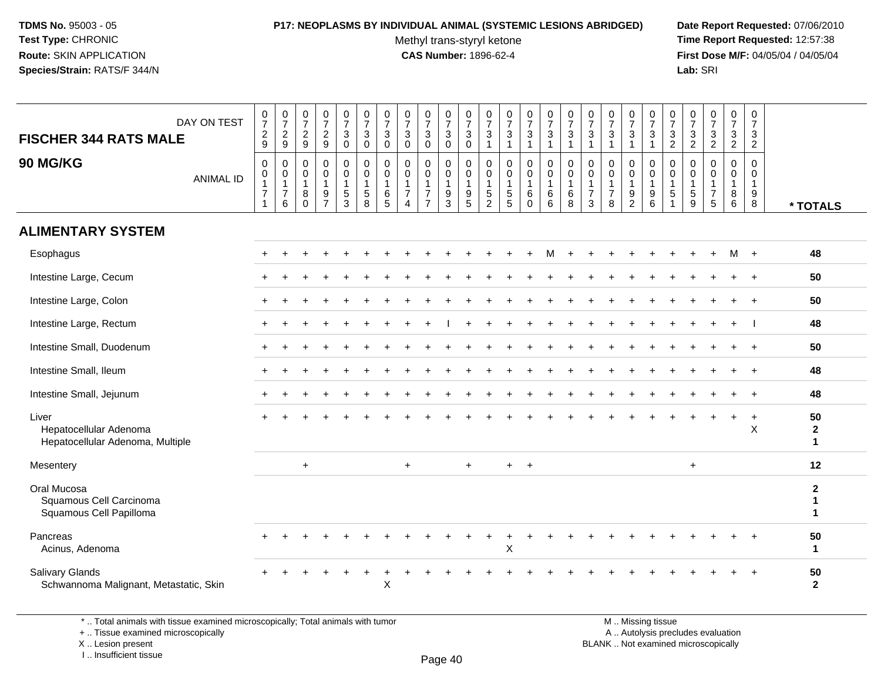## **P17: NEOPLASMS BY INDIVIDUAL ANIMAL (SYSTEMIC LESIONS ABRIDGED) Date Report Requested:** 07/06/2010

Methyl trans-styryl ketone<br>CAS Number: 1896-62-4

 **Time Report Requested:** 12:57:38 **First Dose M/F:** 04/05/04 / 04/05/04<br>Lab: SRI **Lab:** SRI

| DAY ON TEST<br><b>FISCHER 344 RATS MALE</b>                                     | $\begin{smallmatrix}0\\7\end{smallmatrix}$<br>$\frac{2}{9}$                  | $\frac{0}{7}$<br>$\sqrt{2}$<br>9                        | $\begin{array}{c} 0 \\ 7 \end{array}$<br>$\overline{c}$<br>9 | $\frac{0}{7}$<br>$\sqrt{2}$<br>9                                  | $\begin{smallmatrix}0\\7\end{smallmatrix}$<br>$\ensuremath{\mathsf{3}}$<br>$\boldsymbol{0}$ | $\frac{0}{7}$<br>$\ensuremath{\mathsf{3}}$<br>$\mathbf 0$ | $\frac{0}{7}$<br>3<br>$\mathsf{O}\xspace$ | $\begin{array}{c} 0 \\ 7 \end{array}$<br>$\ensuremath{\mathsf{3}}$<br>$\mathbf 0$ | $\begin{array}{c} 0 \\ 7 \end{array}$<br>$\ensuremath{\mathsf{3}}$<br>$\Omega$ | $\begin{array}{c} 0 \\ 7 \end{array}$<br>$\ensuremath{\mathsf{3}}$<br>$\mathbf 0$ | $\begin{array}{c} 0 \\ 7 \end{array}$<br>$\ensuremath{\mathsf{3}}$<br>$\Omega$ | 0<br>$\overline{7}$<br>$\ensuremath{\mathsf{3}}$<br>$\overline{1}$ | $\frac{0}{7}$<br>$\ensuremath{\mathsf{3}}$<br>$\mathbf{1}$    | $\frac{0}{7}$<br>$\ensuremath{\mathsf{3}}$<br>$\mathbf{1}$ | $\begin{array}{c} 0 \\ 7 \end{array}$<br>$\frac{3}{1}$               | $\frac{0}{7}$<br>$\ensuremath{\mathsf{3}}$<br>$\mathbf{1}$ | $\begin{array}{c} 0 \\ 7 \end{array}$<br>$\ensuremath{\mathsf{3}}$<br>$\overline{1}$ | $\frac{0}{7}$<br>$\ensuremath{\mathsf{3}}$<br>$\overline{1}$ | $\frac{0}{7}$<br>3<br>$\mathbf{1}$            | $\begin{array}{c} 0 \\ 7 \end{array}$<br>$\ensuremath{\mathsf{3}}$<br>$\mathbf{1}$ | $\frac{0}{7}$<br>$\mathbf{3}$<br>$\overline{2}$            | $\begin{smallmatrix}0\\7\end{smallmatrix}$<br>$\frac{3}{2}$ | $\begin{smallmatrix}0\\7\end{smallmatrix}$<br>$\frac{3}{2}$ | $\begin{smallmatrix} 0\\7 \end{smallmatrix}$<br>$\frac{3}{2}$ | $\frac{0}{7}$<br>$\sqrt{3}$<br>$\overline{2}$ |                                    |
|---------------------------------------------------------------------------------|------------------------------------------------------------------------------|---------------------------------------------------------|--------------------------------------------------------------|-------------------------------------------------------------------|---------------------------------------------------------------------------------------------|-----------------------------------------------------------|-------------------------------------------|-----------------------------------------------------------------------------------|--------------------------------------------------------------------------------|-----------------------------------------------------------------------------------|--------------------------------------------------------------------------------|--------------------------------------------------------------------|---------------------------------------------------------------|------------------------------------------------------------|----------------------------------------------------------------------|------------------------------------------------------------|--------------------------------------------------------------------------------------|--------------------------------------------------------------|-----------------------------------------------|------------------------------------------------------------------------------------|------------------------------------------------------------|-------------------------------------------------------------|-------------------------------------------------------------|---------------------------------------------------------------|-----------------------------------------------|------------------------------------|
| 90 MG/KG<br><b>ANIMAL ID</b>                                                    | $\pmb{0}$<br>$\mathbf 0$<br>$\mathbf{1}$<br>$\overline{7}$<br>$\overline{1}$ | 0<br>$\mathbf 0$<br>$\mathbf{1}$<br>$\overline{7}$<br>6 | 0<br>0<br>$\overline{1}$<br>8<br>$\mathbf{0}$                | $\mathbf 0$<br>$\mathbf 0$<br>$\mathbf{1}$<br>9<br>$\overline{7}$ | 0<br>$\mathbf 0$<br>$\mathbf{1}$<br>$\frac{5}{3}$                                           | 0<br>$\mathbf 0$<br>$\mathbf{1}$<br>$\sqrt{5}$<br>8       | 0<br>0<br>$\mathbf{1}$<br>6<br>5          | 0<br>0<br>$\mathbf{1}$<br>$\overline{7}$<br>$\overline{4}$                        | 0<br>$\mathbf 0$<br>$\overline{7}$<br>$\overline{7}$                           | 0<br>$\mathbf 0$<br>$\overline{1}$<br>$\frac{9}{3}$                               | 0<br>$\mathbf 0$<br>$\mathbf{1}$<br>$\begin{array}{c} 9 \\ 5 \end{array}$      | $\mathbf 0$<br>0<br>$\mathbf{1}$<br>$\sqrt{5}$<br>$\overline{c}$   | $\mathbf 0$<br>$\mathbf 0$<br>$\mathbf{1}$<br>$\sqrt{5}$<br>5 | 0<br>$\mathbf 0$<br>$\mathbf 1$<br>6<br>$\Omega$           | 0<br>$\mathsf{O}\xspace$<br>$\mathbf{1}$<br>$\,6$<br>$6\phantom{1}6$ | 0<br>$\pmb{0}$<br>$\mathbf{1}$<br>$\,6\,$<br>8             | 0<br>0<br>$\mathbf{1}$<br>$\overline{7}$<br>3                                        | 0<br>$\mathbf 0$<br>$\overline{1}$<br>$\overline{7}$<br>8    | 0<br>0<br>$\mathbf{1}$<br>9<br>$\overline{c}$ | 0<br>$\boldsymbol{0}$<br>$\mathbf{1}$<br>$\boldsymbol{9}$<br>6                     | 0<br>0<br>$\mathbf{1}$<br>$\overline{5}$<br>$\overline{1}$ | 0<br>$\mathbf 0$<br>$\mathbf 1$<br>5<br>$9\,$               | 0<br>$\mathbf 0$<br>$\mathbf{1}$<br>$\overline{7}$<br>5     | 0<br>$\mathbf 0$<br>$\mathbf{1}$<br>$^8_6$                    | 0<br>$\mathbf 0$<br>$\mathbf{1}$<br>9<br>8    | * TOTALS                           |
| <b>ALIMENTARY SYSTEM</b>                                                        |                                                                              |                                                         |                                                              |                                                                   |                                                                                             |                                                           |                                           |                                                                                   |                                                                                |                                                                                   |                                                                                |                                                                    |                                                               |                                                            |                                                                      |                                                            |                                                                                      |                                                              |                                               |                                                                                    |                                                            |                                                             |                                                             |                                                               |                                               |                                    |
| Esophagus                                                                       |                                                                              |                                                         |                                                              |                                                                   |                                                                                             |                                                           |                                           |                                                                                   |                                                                                |                                                                                   |                                                                                |                                                                    |                                                               |                                                            | м                                                                    |                                                            |                                                                                      |                                                              |                                               |                                                                                    |                                                            |                                                             |                                                             | м                                                             | $+$                                           | 48                                 |
| Intestine Large, Cecum                                                          |                                                                              |                                                         |                                                              |                                                                   |                                                                                             |                                                           |                                           |                                                                                   |                                                                                |                                                                                   |                                                                                |                                                                    |                                                               |                                                            |                                                                      |                                                            |                                                                                      |                                                              |                                               |                                                                                    |                                                            |                                                             |                                                             |                                                               |                                               | 50                                 |
| Intestine Large, Colon                                                          |                                                                              |                                                         |                                                              |                                                                   |                                                                                             |                                                           |                                           |                                                                                   |                                                                                |                                                                                   |                                                                                |                                                                    |                                                               |                                                            |                                                                      |                                                            |                                                                                      |                                                              |                                               |                                                                                    |                                                            |                                                             |                                                             |                                                               | $+$                                           | 50                                 |
| Intestine Large, Rectum                                                         |                                                                              |                                                         |                                                              |                                                                   |                                                                                             |                                                           |                                           |                                                                                   |                                                                                |                                                                                   |                                                                                |                                                                    |                                                               |                                                            |                                                                      |                                                            |                                                                                      |                                                              |                                               |                                                                                    |                                                            |                                                             |                                                             |                                                               |                                               | 48                                 |
| Intestine Small, Duodenum                                                       |                                                                              |                                                         |                                                              |                                                                   |                                                                                             |                                                           |                                           |                                                                                   |                                                                                |                                                                                   |                                                                                |                                                                    |                                                               |                                                            |                                                                      |                                                            |                                                                                      |                                                              |                                               |                                                                                    |                                                            |                                                             |                                                             |                                                               |                                               | 50                                 |
| Intestine Small, Ileum                                                          |                                                                              |                                                         |                                                              |                                                                   |                                                                                             |                                                           |                                           |                                                                                   |                                                                                |                                                                                   |                                                                                |                                                                    |                                                               |                                                            |                                                                      |                                                            |                                                                                      |                                                              |                                               |                                                                                    |                                                            |                                                             |                                                             |                                                               | $+$                                           | 48                                 |
| Intestine Small, Jejunum                                                        | ÷                                                                            |                                                         |                                                              |                                                                   |                                                                                             |                                                           |                                           |                                                                                   |                                                                                |                                                                                   |                                                                                |                                                                    |                                                               |                                                            |                                                                      |                                                            |                                                                                      |                                                              |                                               |                                                                                    |                                                            |                                                             |                                                             |                                                               | $^{+}$                                        | 48                                 |
| Liver<br>Hepatocellular Adenoma<br>Hepatocellular Adenoma, Multiple             |                                                                              |                                                         |                                                              |                                                                   |                                                                                             |                                                           |                                           |                                                                                   |                                                                                |                                                                                   |                                                                                |                                                                    |                                                               |                                                            |                                                                      |                                                            |                                                                                      |                                                              |                                               |                                                                                    |                                                            |                                                             |                                                             | $+$                                                           | $\ddot{}$<br>X                                | 50<br>$\mathbf{2}$<br>$\mathbf{1}$ |
| Mesentery                                                                       |                                                                              |                                                         | $+$                                                          |                                                                   |                                                                                             |                                                           |                                           | $+$                                                                               |                                                                                |                                                                                   | $\ddot{}$                                                                      |                                                                    | $+$                                                           | $+$                                                        |                                                                      |                                                            |                                                                                      |                                                              |                                               |                                                                                    |                                                            | $+$                                                         |                                                             |                                                               |                                               | 12                                 |
| Oral Mucosa<br>Squamous Cell Carcinoma<br>Squamous Cell Papilloma               |                                                                              |                                                         |                                                              |                                                                   |                                                                                             |                                                           |                                           |                                                                                   |                                                                                |                                                                                   |                                                                                |                                                                    |                                                               |                                                            |                                                                      |                                                            |                                                                                      |                                                              |                                               |                                                                                    |                                                            |                                                             |                                                             |                                                               |                                               | $\mathbf{2}$<br>1<br>$\mathbf 1$   |
| Pancreas<br>Acinus, Adenoma                                                     |                                                                              |                                                         |                                                              |                                                                   |                                                                                             |                                                           |                                           |                                                                                   |                                                                                |                                                                                   |                                                                                |                                                                    | X                                                             |                                                            |                                                                      |                                                            |                                                                                      |                                                              |                                               |                                                                                    |                                                            |                                                             |                                                             |                                                               |                                               | 50<br>$\mathbf 1$                  |
| <b>Salivary Glands</b><br>Schwannoma Malignant, Metastatic, Skin                |                                                                              |                                                         |                                                              |                                                                   |                                                                                             |                                                           | X                                         |                                                                                   |                                                                                |                                                                                   |                                                                                |                                                                    |                                                               |                                                            |                                                                      |                                                            |                                                                                      |                                                              |                                               |                                                                                    |                                                            |                                                             |                                                             |                                                               |                                               | 50<br>$\overline{2}$               |
| *  Total animals with tissue examined microscopically; Total animals with tumor |                                                                              |                                                         |                                                              |                                                                   |                                                                                             |                                                           |                                           |                                                                                   |                                                                                |                                                                                   |                                                                                |                                                                    |                                                               |                                                            |                                                                      |                                                            |                                                                                      |                                                              |                                               | M  Missing tissue                                                                  |                                                            |                                                             |                                                             |                                                               |                                               |                                    |

+ .. Tissue examined microscopically

 Lesion present BLANK .. Not examined microscopicallyX .. Lesion present

I .. Insufficient tissue

Page 40

y the contract of the contract of the contract of the contract of the contract of  $\mathsf A$  . Autolysis precludes evaluation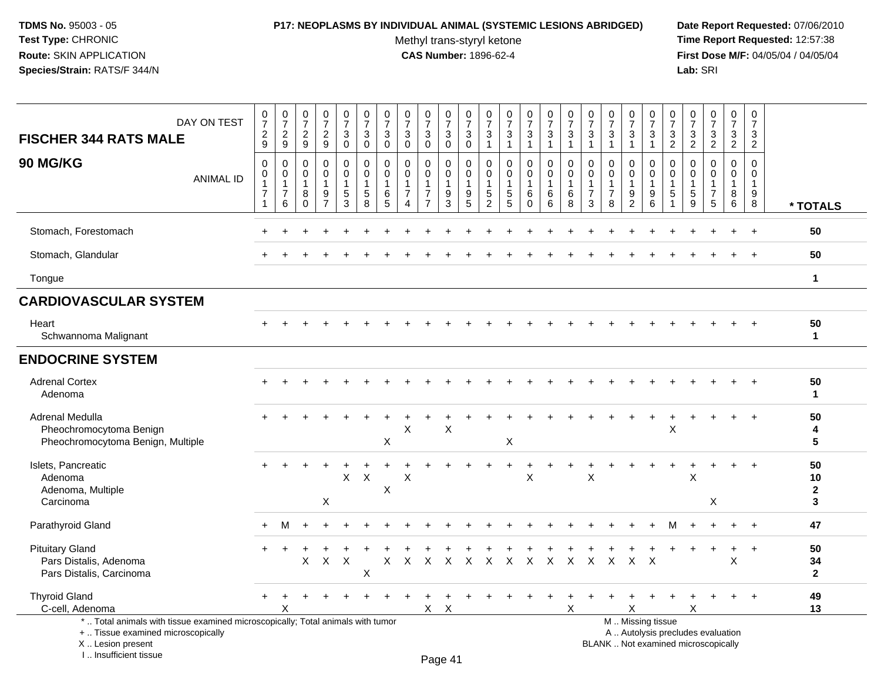I .. Insufficient tissue

### **P17: NEOPLASMS BY INDIVIDUAL ANIMAL (SYSTEMIC LESIONS ABRIDGED) Date Report Requested:** 07/06/2010

Methyl trans-styryl ketone<br>CAS Number: 1896-62-4

| DAY ON TEST<br><b>FISCHER 344 RATS MALE</b>                                                                                | $\frac{0}{7}$<br>$\overline{c}$<br>9                               | $\begin{smallmatrix}0\\7\end{smallmatrix}$<br>$\boldsymbol{2}$<br>$9\,$ | $\frac{0}{7}$<br>$\boldsymbol{2}$<br>$9\,$       | $\frac{0}{7}$<br>$\boldsymbol{2}$<br>$\boldsymbol{9}$                 | $\frac{0}{7}$<br>$\mathbf{3}$<br>$\mathbf 0$                    | $\frac{0}{7}$<br>3<br>$\mathbf 0$          | $\begin{array}{c} 0 \\ 7 \end{array}$<br>$\sqrt{3}$<br>$\mathsf{O}\xspace$ | $\begin{array}{c} 0 \\ 7 \end{array}$<br>$\sqrt{3}$<br>$\mathbf 0$       | $\begin{array}{c} 0 \\ 7 \end{array}$<br>3<br>$\mathbf 0$               | $\begin{array}{c} 0 \\ 7 \end{array}$<br>$\mathbf{3}$<br>$\mathbf 0$ | 0<br>$\overline{7}$<br>$\sqrt{3}$<br>$\mathbf 0$ | $\begin{array}{c} 0 \\ 7 \end{array}$<br>$\mathfrak{Z}$<br>$\mathbf{1}$ | $\frac{0}{7}$<br>$\mathfrak{Z}$<br>$\mathbf{1}$                            | $\begin{smallmatrix} 0\\7 \end{smallmatrix}$<br>$\ensuremath{\mathsf{3}}$<br>$\overline{1}$ | $\frac{0}{7}$<br>$\sqrt{3}$<br>$\overline{1}$        | $\frac{0}{7}$<br>$\mathbf{3}$<br>$\mathbf 1$ | $\begin{array}{c} 0 \\ 7 \end{array}$<br>$\mathbf{3}$<br>$\mathbf{1}$ | $\begin{array}{c} 0 \\ 7 \end{array}$<br>$\sqrt{3}$<br>1     | $\begin{array}{c} 0 \\ 7 \end{array}$<br>$\sqrt{3}$<br>$\overline{1}$ | $\frac{0}{7}$<br>$\sqrt{3}$<br>$\overline{1}$             | $\frac{0}{7}$<br>$\sqrt{3}$<br>$\overline{2}$                   | $\begin{array}{c} 0 \\ 7 \end{array}$<br>$\overline{3}$<br>$\overline{2}$ | $\frac{0}{7}$<br>$\sqrt{3}$<br>$\overline{2}$                      | $\frac{0}{7}$<br>$\mathbf{3}$<br>$\overline{2}$             | $\mathbf 0$<br>$\overline{7}$<br>$\mathbf{3}$<br>$\overline{2}$ |                               |
|----------------------------------------------------------------------------------------------------------------------------|--------------------------------------------------------------------|-------------------------------------------------------------------------|--------------------------------------------------|-----------------------------------------------------------------------|-----------------------------------------------------------------|--------------------------------------------|----------------------------------------------------------------------------|--------------------------------------------------------------------------|-------------------------------------------------------------------------|----------------------------------------------------------------------|--------------------------------------------------|-------------------------------------------------------------------------|----------------------------------------------------------------------------|---------------------------------------------------------------------------------------------|------------------------------------------------------|----------------------------------------------|-----------------------------------------------------------------------|--------------------------------------------------------------|-----------------------------------------------------------------------|-----------------------------------------------------------|-----------------------------------------------------------------|---------------------------------------------------------------------------|--------------------------------------------------------------------|-------------------------------------------------------------|-----------------------------------------------------------------|-------------------------------|
| <b>90 MG/KG</b><br><b>ANIMAL ID</b>                                                                                        | $\mathbf 0$<br>0<br>$\mathbf{1}$<br>$\overline{7}$<br>$\mathbf{1}$ | $\mathbf 0$<br>0<br>$\mathbf{1}$<br>$\overline{7}$<br>$\,6\,$           | $\Omega$<br>0<br>$\overline{1}$<br>8<br>$\Omega$ | $\mathbf 0$<br>$\mathbf 0$<br>$\mathbf{1}$<br>$9\,$<br>$\overline{7}$ | $\mathbf 0$<br>$\mathbf 0$<br>$\mathbf{1}$<br>5<br>$\mathbf{3}$ | $\mathbf 0$<br>0<br>$\mathbf{1}$<br>5<br>8 | $\mathbf 0$<br>0<br>$\mathbf{1}$<br>6<br>5                                 | $\mathbf 0$<br>$\pmb{0}$<br>$\overline{1}$<br>$\overline{7}$<br>$\Delta$ | 0<br>$\mathsf{O}$<br>$\overline{1}$<br>$\overline{7}$<br>$\overline{7}$ | $\mathbf 0$<br>$\mathbf 0$<br>$\overline{1}$<br>$9\,$<br>3           | 0<br>0<br>$\mathbf{1}$<br>9<br>5                 | $\mathbf 0$<br>0<br>$\mathbf{1}$<br>5<br>2                              | $\mathbf 0$<br>$\mathbf 0$<br>$\mathbf{1}$<br>$\sqrt{5}$<br>$\overline{5}$ | $\mathbf 0$<br>$\mathbf 0$<br>$\overline{1}$<br>$\,6\,$<br>$\mathbf 0$                      | $\mathbf 0$<br>$\mathbf 0$<br>$\mathbf{1}$<br>6<br>6 | 0<br>$\mathsf 0$<br>$\mathbf{1}$<br>6<br>8   | $\Omega$<br>$\mathbf 0$<br>$\mathbf{1}$<br>$\overline{7}$<br>3        | $\Omega$<br>$\pmb{0}$<br>$\mathbf{1}$<br>$\overline{7}$<br>8 | 0<br>$\mathbf 0$<br>$\overline{1}$<br>9<br>$\overline{c}$             | $\Omega$<br>$\mathbf 0$<br>$\overline{1}$<br>9<br>$\,6\,$ | $\mathbf 0$<br>0<br>$\mathbf{1}$<br>$\mathbf 5$<br>$\mathbf{1}$ | $\mathbf 0$<br>$\mathbf 0$<br>$\mathbf{1}$<br>$\,$ 5 $\,$<br>9            | $\mathbf 0$<br>$\mathsf{O}$<br>$\mathbf{1}$<br>$\overline{7}$<br>5 | $\mathbf 0$<br>$\overline{0}$<br>$\mathbf{1}$<br>$_{6}^{8}$ | $\Omega$<br>$\mathbf 0$<br>$\mathbf 1$<br>9<br>$\,8\,$          | * TOTALS                      |
| Stomach, Forestomach                                                                                                       |                                                                    |                                                                         |                                                  |                                                                       |                                                                 |                                            |                                                                            |                                                                          |                                                                         |                                                                      |                                                  |                                                                         |                                                                            |                                                                                             |                                                      |                                              |                                                                       |                                                              |                                                                       |                                                           |                                                                 |                                                                           |                                                                    |                                                             |                                                                 | 50                            |
| Stomach, Glandular                                                                                                         |                                                                    |                                                                         |                                                  |                                                                       |                                                                 |                                            |                                                                            |                                                                          |                                                                         |                                                                      |                                                  |                                                                         |                                                                            |                                                                                             |                                                      |                                              |                                                                       |                                                              |                                                                       |                                                           |                                                                 |                                                                           |                                                                    |                                                             |                                                                 | 50                            |
| Tongue                                                                                                                     |                                                                    |                                                                         |                                                  |                                                                       |                                                                 |                                            |                                                                            |                                                                          |                                                                         |                                                                      |                                                  |                                                                         |                                                                            |                                                                                             |                                                      |                                              |                                                                       |                                                              |                                                                       |                                                           |                                                                 |                                                                           |                                                                    |                                                             |                                                                 | $\mathbf{1}$                  |
| <b>CARDIOVASCULAR SYSTEM</b>                                                                                               |                                                                    |                                                                         |                                                  |                                                                       |                                                                 |                                            |                                                                            |                                                                          |                                                                         |                                                                      |                                                  |                                                                         |                                                                            |                                                                                             |                                                      |                                              |                                                                       |                                                              |                                                                       |                                                           |                                                                 |                                                                           |                                                                    |                                                             |                                                                 |                               |
| Heart<br>Schwannoma Malignant                                                                                              |                                                                    |                                                                         |                                                  |                                                                       |                                                                 |                                            |                                                                            |                                                                          |                                                                         |                                                                      |                                                  |                                                                         |                                                                            |                                                                                             |                                                      |                                              |                                                                       |                                                              |                                                                       |                                                           |                                                                 |                                                                           |                                                                    |                                                             |                                                                 | 50<br>$\mathbf{1}$            |
| <b>ENDOCRINE SYSTEM</b>                                                                                                    |                                                                    |                                                                         |                                                  |                                                                       |                                                                 |                                            |                                                                            |                                                                          |                                                                         |                                                                      |                                                  |                                                                         |                                                                            |                                                                                             |                                                      |                                              |                                                                       |                                                              |                                                                       |                                                           |                                                                 |                                                                           |                                                                    |                                                             |                                                                 |                               |
| <b>Adrenal Cortex</b><br>Adenoma                                                                                           |                                                                    |                                                                         |                                                  |                                                                       |                                                                 |                                            |                                                                            |                                                                          |                                                                         |                                                                      |                                                  |                                                                         |                                                                            |                                                                                             |                                                      |                                              |                                                                       |                                                              |                                                                       |                                                           |                                                                 |                                                                           |                                                                    |                                                             |                                                                 | 50<br>$\mathbf{1}$            |
| Adrenal Medulla<br>Pheochromocytoma Benign<br>Pheochromocytoma Benign, Multiple                                            |                                                                    |                                                                         |                                                  |                                                                       |                                                                 |                                            | X                                                                          | X                                                                        |                                                                         | X                                                                    |                                                  |                                                                         | X                                                                          |                                                                                             |                                                      |                                              |                                                                       |                                                              |                                                                       |                                                           | X                                                               |                                                                           |                                                                    |                                                             |                                                                 | 50<br>4<br>5                  |
| Islets, Pancreatic<br>Adenoma<br>Adenoma, Multiple<br>Carcinoma                                                            |                                                                    |                                                                         |                                                  | $\ddot{}$<br>X                                                        | $\mathsf X$                                                     | X                                          | X                                                                          | X                                                                        |                                                                         |                                                                      |                                                  |                                                                         | $\ddot{}$                                                                  | $\ddot{}$<br>X                                                                              |                                                      |                                              | X                                                                     |                                                              |                                                                       |                                                           |                                                                 | X                                                                         | X                                                                  | $\div$                                                      | $+$                                                             | 50<br>10<br>$\mathbf{2}$<br>3 |
| Parathyroid Gland                                                                                                          | $\ddot{}$                                                          | м                                                                       |                                                  |                                                                       |                                                                 |                                            |                                                                            |                                                                          |                                                                         |                                                                      |                                                  |                                                                         |                                                                            |                                                                                             |                                                      |                                              |                                                                       |                                                              |                                                                       |                                                           | м                                                               |                                                                           |                                                                    |                                                             | $\overline{+}$                                                  | 47                            |
| <b>Pituitary Gland</b><br>Pars Distalis, Adenoma<br>Pars Distalis, Carcinoma                                               |                                                                    |                                                                         | $\mathsf{X}$                                     | $\boldsymbol{\mathsf{X}}$                                             | $\boldsymbol{\mathsf{X}}$                                       | $\boldsymbol{\mathsf{X}}$                  | X                                                                          | $\mathsf{X}$                                                             |                                                                         |                                                                      |                                                  |                                                                         |                                                                            |                                                                                             |                                                      |                                              |                                                                       | X X X X X X X X X X X                                        |                                                                       | $\mathsf{X}$                                              |                                                                 |                                                                           |                                                                    | X                                                           |                                                                 | 50<br>34<br>$\mathbf{2}$      |
| <b>Thyroid Gland</b><br>C-cell, Adenoma<br>*  Total animals with tissue examined microscopically; Total animals with tumor |                                                                    | x                                                                       |                                                  |                                                                       |                                                                 |                                            |                                                                            |                                                                          | X                                                                       | $\times$                                                             |                                                  |                                                                         |                                                                            |                                                                                             |                                                      | X                                            |                                                                       | M  Missing tissue                                            | X                                                                     |                                                           |                                                                 | х                                                                         |                                                                    |                                                             |                                                                 | 49<br>13                      |
| +  Tissue examined microscopically<br>X  Lesion present                                                                    |                                                                    |                                                                         |                                                  |                                                                       |                                                                 |                                            |                                                                            |                                                                          |                                                                         |                                                                      |                                                  |                                                                         |                                                                            |                                                                                             |                                                      |                                              |                                                                       | BLANK  Not examined microscopically                          |                                                                       | A  Autolysis precludes evaluation                         |                                                                 |                                                                           |                                                                    |                                                             |                                                                 |                               |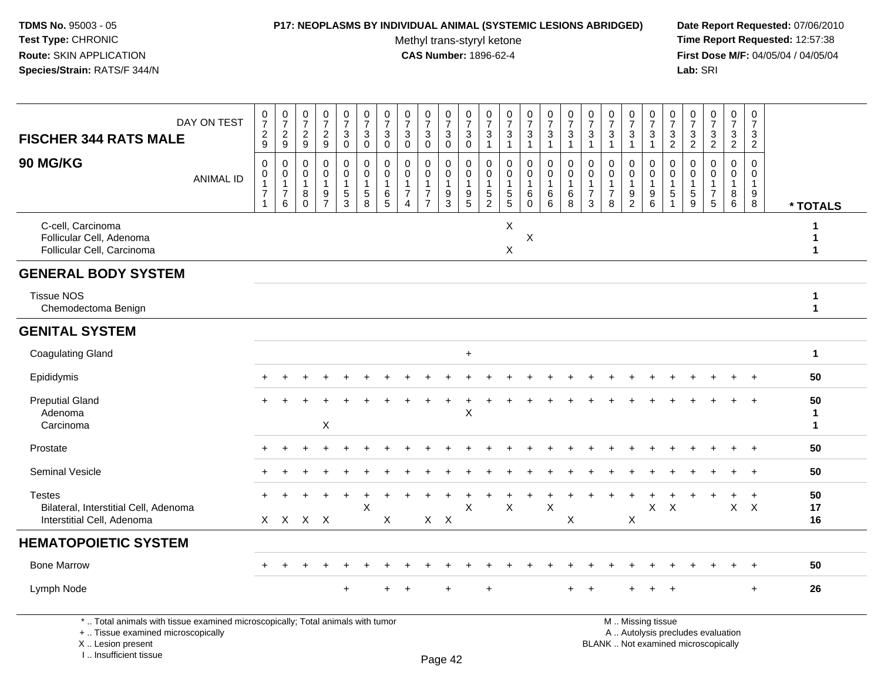### **P17: NEOPLASMS BY INDIVIDUAL ANIMAL (SYSTEMIC LESIONS ABRIDGED) Date Report Requested:** 07/06/2010

Methyl trans-styryl ketone<br>CAS Number: 1896-62-4

 **Time Report Requested:** 12:57:38 **First Dose M/F:** 04/05/04 / 04/05/04<br>Lab: SRI **Lab:** SRI

| <b>FISCHER 344 RATS MALE</b>                                                         | DAY ON TEST      | $\frac{0}{7}$<br>$\frac{2}{9}$                                               | $\frac{0}{7}$<br>$\boldsymbol{2}$<br>$\mathsf g$                   | $\frac{0}{7}$<br>$\overline{2}$<br>9            | $\begin{array}{c} 0 \\ 7 \end{array}$<br>$\overline{c}$<br>9 | $\begin{smallmatrix}0\\7\end{smallmatrix}$<br>$\mathbf{3}$<br>$\mathbf 0$ | $\frac{0}{7}$<br>3<br>$\mathbf 0$                    | $\frac{0}{7}$<br>$\sqrt{3}$<br>$\mathbf 0$       | $\frac{0}{7}$<br>$\mathbf{3}$<br>$\Omega$                            | $\frac{0}{7}$<br>$\sqrt{3}$<br>$\Omega$              | $\begin{array}{c} 0 \\ 7 \end{array}$<br>$\mathsf 3$<br>$\mathbf 0$ | $\frac{0}{7}$<br>$\mathbf 3$<br>$\mathbf 0$                                                   | 0<br>$\overline{7}$<br>3<br>$\mathbf{1}$                                    | $\frac{0}{7}$<br>$\sqrt{3}$<br>$\mathbf{1}$       | $\frac{0}{7}$<br>$\mathbf{3}$<br>$\mathbf{1}$ | $\begin{array}{c} 0 \\ 7 \end{array}$<br>$\mathbf{3}$<br>$\mathbf{1}$ | $\begin{array}{c} 0 \\ 7 \end{array}$<br>$\sqrt{3}$<br>$\mathbf{1}$ | $\frac{0}{7}$<br>$\mathbf{3}$<br>$\overline{1}$                    | $\begin{array}{c} 0 \\ 7 \end{array}$<br>$\mathbf{3}$<br>$\overline{1}$ | $\begin{array}{c} 0 \\ 7 \end{array}$<br>$\mathbf 3$<br>$\mathbf{1}$   | 0<br>$\overline{7}$<br>$\sqrt{3}$<br>$\mathbf{1}$                   | $\frac{0}{7}$<br>$\ensuremath{\mathsf{3}}$<br>$\overline{2}$ | 0<br>$\overline{7}$<br>$\frac{3}{2}$                       | $\frac{0}{7}$<br>$\frac{3}{2}$               | $\begin{smallmatrix}0\\7\end{smallmatrix}$<br>$\frac{3}{2}$ | 0<br>$\overline{7}$<br>3<br>$\overline{2}$             |                                    |
|--------------------------------------------------------------------------------------|------------------|------------------------------------------------------------------------------|--------------------------------------------------------------------|-------------------------------------------------|--------------------------------------------------------------|---------------------------------------------------------------------------|------------------------------------------------------|--------------------------------------------------|----------------------------------------------------------------------|------------------------------------------------------|---------------------------------------------------------------------|-----------------------------------------------------------------------------------------------|-----------------------------------------------------------------------------|---------------------------------------------------|-----------------------------------------------|-----------------------------------------------------------------------|---------------------------------------------------------------------|--------------------------------------------------------------------|-------------------------------------------------------------------------|------------------------------------------------------------------------|---------------------------------------------------------------------|--------------------------------------------------------------|------------------------------------------------------------|----------------------------------------------|-------------------------------------------------------------|--------------------------------------------------------|------------------------------------|
| 90 MG/KG                                                                             | <b>ANIMAL ID</b> | $\pmb{0}$<br>$\pmb{0}$<br>$\overline{1}$<br>$\boldsymbol{7}$<br>$\mathbf{1}$ | 0<br>$\pmb{0}$<br>$\mathbf{1}$<br>$\overline{7}$<br>$6\phantom{1}$ | 0<br>0<br>$\overline{1}$<br>$\,8\,$<br>$\Omega$ | $\mathbf 0$<br>0<br>$\overline{1}$<br>$\frac{9}{7}$          | 0<br>$\mathbf 0$<br>$\mathbf{1}$<br>$\frac{5}{3}$                         | 0<br>$\mathbf 0$<br>$\mathbf{1}$<br>$\,$ 5 $\,$<br>8 | 0<br>$\mathbf 0$<br>$\mathbf{1}$<br>$\,6\,$<br>5 | 0<br>$\mathbf 0$<br>$\mathbf{1}$<br>$\overline{7}$<br>$\overline{4}$ | $\mathbf 0$<br>0<br>$\overline{7}$<br>$\overline{7}$ | 0<br>$\mathbf 0$<br>$\mathbf{1}$<br>$\boldsymbol{9}$<br>3           | $\mathbf 0$<br>$\mathsf{O}\xspace$<br>$\overline{1}$<br>$\begin{array}{c} 9 \\ 5 \end{array}$ | $\mathbf 0$<br>$\mathbf 0$<br>$\mathbf{1}$<br>$\mathbf 5$<br>$\overline{2}$ | 0<br>$\mathbf 0$<br>$\mathbf{1}$<br>$\frac{5}{5}$ | 0<br>0<br>$\mathbf{1}$<br>$\,6\,$<br>$\Omega$ | 0<br>$\mathbf 0$<br>$\overline{1}$<br>$\,6\,$<br>$6^{\circ}$          | 0<br>$\pmb{0}$<br>1<br>$\,6$<br>8                                   | 0<br>$\mathbf 0$<br>$\mathbf{1}$<br>$\overline{7}$<br>$\mathbf{3}$ | $\mathbf 0$<br>0<br>$\mathbf{1}$<br>$\overline{7}$<br>8                 | 0<br>$\mathbf 0$<br>$\mathbf{1}$<br>$\boldsymbol{9}$<br>$\overline{2}$ | $\mathbf 0$<br>$\mathbf 0$<br>$\mathbf{1}$<br>$\boldsymbol{9}$<br>6 | $\mathbf 0$<br>$\mathbf 0$<br>1<br>$\,$ 5 $\,$               | $\mathbf 0$<br>$\Omega$<br>$\mathbf 1$<br>$\,$ 5 $\,$<br>9 | 0<br>$\mathbf 0$<br>1<br>$\overline{7}$<br>5 | $\mathbf 0$<br>$\mathbf 0$<br>$\mathbf 1$<br>$^8_6$         | $\mathbf 0$<br>$\mathbf 0$<br>$\overline{1}$<br>9<br>8 | * TOTALS                           |
| C-cell, Carcinoma<br>Follicular Cell, Adenoma<br>Follicular Cell, Carcinoma          |                  |                                                                              |                                                                    |                                                 |                                                              |                                                                           |                                                      |                                                  |                                                                      |                                                      |                                                                     |                                                                                               |                                                                             | X<br>X                                            | X                                             |                                                                       |                                                                     |                                                                    |                                                                         |                                                                        |                                                                     |                                                              |                                                            |                                              |                                                             |                                                        | 1<br>$\mathbf{1}$<br>$\mathbf{1}$  |
| <b>GENERAL BODY SYSTEM</b>                                                           |                  |                                                                              |                                                                    |                                                 |                                                              |                                                                           |                                                      |                                                  |                                                                      |                                                      |                                                                     |                                                                                               |                                                                             |                                                   |                                               |                                                                       |                                                                     |                                                                    |                                                                         |                                                                        |                                                                     |                                                              |                                                            |                                              |                                                             |                                                        |                                    |
| <b>Tissue NOS</b><br>Chemodectoma Benign                                             |                  |                                                                              |                                                                    |                                                 |                                                              |                                                                           |                                                      |                                                  |                                                                      |                                                      |                                                                     |                                                                                               |                                                                             |                                                   |                                               |                                                                       |                                                                     |                                                                    |                                                                         |                                                                        |                                                                     |                                                              |                                                            |                                              |                                                             |                                                        | 1<br>$\mathbf{1}$                  |
| <b>GENITAL SYSTEM</b>                                                                |                  |                                                                              |                                                                    |                                                 |                                                              |                                                                           |                                                      |                                                  |                                                                      |                                                      |                                                                     |                                                                                               |                                                                             |                                                   |                                               |                                                                       |                                                                     |                                                                    |                                                                         |                                                                        |                                                                     |                                                              |                                                            |                                              |                                                             |                                                        |                                    |
| <b>Coagulating Gland</b>                                                             |                  |                                                                              |                                                                    |                                                 |                                                              |                                                                           |                                                      |                                                  |                                                                      |                                                      |                                                                     | $\ddot{}$                                                                                     |                                                                             |                                                   |                                               |                                                                       |                                                                     |                                                                    |                                                                         |                                                                        |                                                                     |                                                              |                                                            |                                              |                                                             |                                                        | $\mathbf{1}$                       |
| Epididymis                                                                           |                  |                                                                              | ٠                                                                  |                                                 |                                                              |                                                                           |                                                      |                                                  |                                                                      |                                                      |                                                                     |                                                                                               |                                                                             |                                                   |                                               |                                                                       |                                                                     |                                                                    |                                                                         |                                                                        |                                                                     |                                                              |                                                            |                                              | $\ddot{}$                                                   | $+$                                                    | 50                                 |
| <b>Preputial Gland</b><br>Adenoma<br>Carcinoma                                       |                  |                                                                              |                                                                    |                                                 | $\mathsf X$                                                  |                                                                           |                                                      |                                                  |                                                                      |                                                      |                                                                     | $\times$                                                                                      |                                                                             |                                                   |                                               |                                                                       |                                                                     |                                                                    |                                                                         |                                                                        |                                                                     |                                                              |                                                            |                                              |                                                             |                                                        | 50<br>$\mathbf{1}$<br>$\mathbf{1}$ |
| Prostate                                                                             |                  |                                                                              |                                                                    |                                                 |                                                              |                                                                           |                                                      |                                                  |                                                                      |                                                      |                                                                     |                                                                                               |                                                                             |                                                   |                                               |                                                                       |                                                                     |                                                                    |                                                                         |                                                                        |                                                                     |                                                              |                                                            |                                              |                                                             |                                                        | 50                                 |
| <b>Seminal Vesicle</b>                                                               |                  |                                                                              |                                                                    |                                                 |                                                              |                                                                           |                                                      |                                                  |                                                                      |                                                      |                                                                     |                                                                                               |                                                                             |                                                   |                                               |                                                                       |                                                                     |                                                                    |                                                                         |                                                                        |                                                                     |                                                              |                                                            |                                              |                                                             | $+$                                                    | 50                                 |
| <b>Testes</b><br>Bilateral, Interstitial Cell, Adenoma<br>Interstitial Cell, Adenoma |                  |                                                                              | X X X X                                                            |                                                 |                                                              |                                                                           | $\mathsf{X}$                                         | X                                                |                                                                      | $X$ $X$                                              |                                                                     | $\times$                                                                                      |                                                                             | $\pmb{\times}$                                    |                                               | $\boldsymbol{\mathsf{X}}$                                             | X                                                                   |                                                                    |                                                                         | X                                                                      | X                                                                   | $\boldsymbol{\mathsf{X}}$                                    |                                                            |                                              | $\mathsf X$                                                 | $\ddot{}$<br>$\mathsf{X}$                              | 50<br>17<br>16                     |
| <b>HEMATOPOIETIC SYSTEM</b>                                                          |                  |                                                                              |                                                                    |                                                 |                                                              |                                                                           |                                                      |                                                  |                                                                      |                                                      |                                                                     |                                                                                               |                                                                             |                                                   |                                               |                                                                       |                                                                     |                                                                    |                                                                         |                                                                        |                                                                     |                                                              |                                                            |                                              |                                                             |                                                        |                                    |
| <b>Bone Marrow</b>                                                                   |                  | $+$                                                                          | $\div$                                                             |                                                 |                                                              |                                                                           |                                                      |                                                  |                                                                      |                                                      |                                                                     |                                                                                               |                                                                             |                                                   |                                               |                                                                       |                                                                     |                                                                    |                                                                         |                                                                        |                                                                     |                                                              |                                                            |                                              | $\pm$                                                       | $+$                                                    | 50                                 |
| Lymph Node                                                                           |                  |                                                                              |                                                                    |                                                 |                                                              |                                                                           |                                                      |                                                  |                                                                      |                                                      |                                                                     |                                                                                               | $\ddot{}$                                                                   |                                                   |                                               |                                                                       |                                                                     |                                                                    |                                                                         |                                                                        |                                                                     |                                                              |                                                            |                                              |                                                             | $\ddot{}$                                              | 26                                 |

\* .. Total animals with tissue examined microscopically; Total animals with tumor

+ .. Tissue examined microscopically

X .. Lesion present

I .. Insufficient tissue

M .. Missing tissue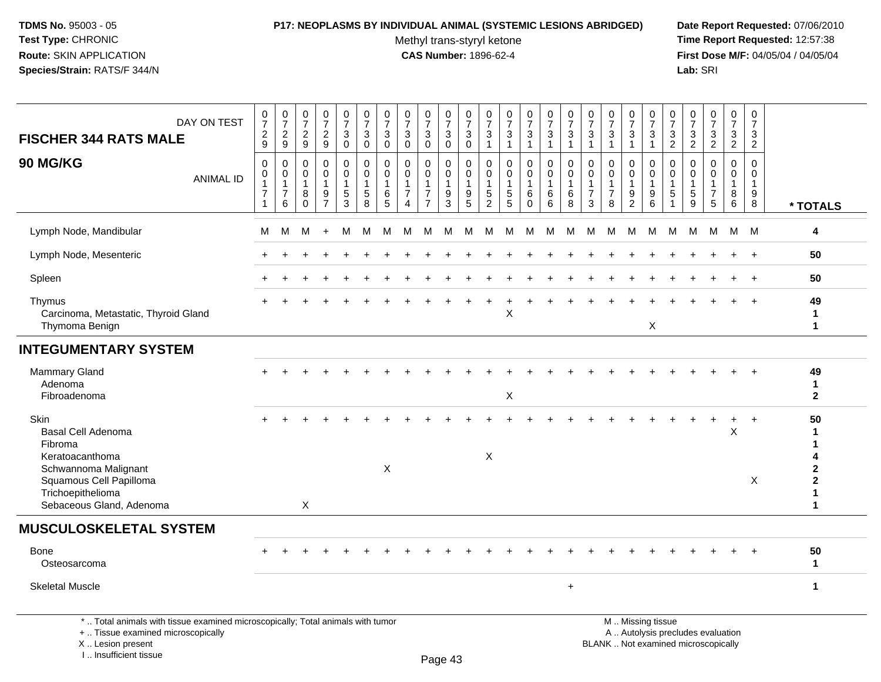### **P17: NEOPLASMS BY INDIVIDUAL ANIMAL (SYSTEMIC LESIONS ABRIDGED) Date Report Requested:** 07/06/2010

Methyl trans-styryl ketone<br>CAS Number: 1896-62-4

| DAY ON TEST<br><b>FISCHER 344 RATS MALE</b>                                                                                                                                | 0<br>$\overline{7}$<br>$\overline{a}$<br>9                        | $\begin{array}{c} 0 \\ 7 \\ 2 \end{array}$<br>9                   | $\begin{smallmatrix} 0\\7 \end{smallmatrix}$<br>$\overline{c}$<br>$\boldsymbol{9}$ | $\begin{array}{c} 0 \\ 7 \end{array}$<br>$\overline{c}$<br>$\boldsymbol{9}$ | $\begin{smallmatrix}0\\7\end{smallmatrix}$<br>$\mathbf{3}$<br>$\mathbf 0$ | $\pmb{0}$<br>$\overline{7}$<br>$\sqrt{3}$<br>$\mathsf 0$      | $\pmb{0}$<br>$\overline{7}$<br>3<br>$\mathbf 0$ | $\frac{0}{7}$<br>$\mathbf{3}$<br>$\Omega$                                   | $\begin{array}{c} 0 \\ 7 \end{array}$<br>$\mathbf{3}$<br>$\Omega$                      | $\begin{array}{c} 0 \\ 7 \end{array}$<br>$\mathbf{3}$<br>$\mathbf 0$ | $\pmb{0}$<br>$\overline{7}$<br>$\mathbf 3$<br>$\mathbf 0$ | $\pmb{0}$<br>$\overline{7}$<br>3<br>$\overline{1}$                     | $\mathbf 0$<br>$\overline{7}$<br>3<br>1            | $\frac{0}{7}$<br>3<br>1                                            | $\begin{smallmatrix}0\\7\end{smallmatrix}$<br>$\ensuremath{\mathsf{3}}$<br>$\mathbf{1}$ | $\frac{0}{7}$<br>$\sqrt{3}$<br>$\mathbf{1}$              | $\begin{array}{c} 0 \\ 7 \end{array}$<br>3<br>$\overline{1}$     | $\pmb{0}$<br>$\overline{7}$<br>$\mathbf{3}$<br>$\overline{1}$      | $\frac{0}{7}$<br>3<br>1                                 | $\frac{0}{7}$<br>$\mathbf{3}$<br>$\mathbf{1}$                                                 | $\begin{array}{c} 0 \\ 7 \end{array}$<br>$\mathbf{3}$<br>$\overline{2}$ | $\begin{smallmatrix}0\\7\end{smallmatrix}$<br>3<br>$\overline{2}$ | $\frac{0}{7}$<br>$\sqrt{3}$<br>$\overline{2}$                     | $\pmb{0}$<br>$\overline{7}$<br>3<br>$\overline{2}$   | $\pmb{0}$<br>$\overline{7}$<br>3<br>$\overline{2}$       |                                                                                   |
|----------------------------------------------------------------------------------------------------------------------------------------------------------------------------|-------------------------------------------------------------------|-------------------------------------------------------------------|------------------------------------------------------------------------------------|-----------------------------------------------------------------------------|---------------------------------------------------------------------------|---------------------------------------------------------------|-------------------------------------------------|-----------------------------------------------------------------------------|----------------------------------------------------------------------------------------|----------------------------------------------------------------------|-----------------------------------------------------------|------------------------------------------------------------------------|----------------------------------------------------|--------------------------------------------------------------------|-----------------------------------------------------------------------------------------|----------------------------------------------------------|------------------------------------------------------------------|--------------------------------------------------------------------|---------------------------------------------------------|-----------------------------------------------------------------------------------------------|-------------------------------------------------------------------------|-------------------------------------------------------------------|-------------------------------------------------------------------|------------------------------------------------------|----------------------------------------------------------|-----------------------------------------------------------------------------------|
| 90 MG/KG<br><b>ANIMAL ID</b>                                                                                                                                               | $\mathbf 0$<br>$\mathbf 0$<br>1<br>$\overline{7}$<br>$\mathbf{1}$ | $\mathsf 0$<br>$\mathbf 0$<br>$\mathbf{1}$<br>$\overline{7}$<br>6 | $\pmb{0}$<br>$\mathbf 0$<br>$\overline{1}$<br>$\, 8$<br>$\Omega$                   | $\pmb{0}$<br>$\mathbf 0$<br>$\mathbf{1}$<br>$9\,$<br>$\overline{7}$         | $\pmb{0}$<br>$\mathbf 0$<br>$\overline{1}$<br>$\,$ 5 $\,$<br>3            | $\mathbf 0$<br>$\mathbf 0$<br>$\mathbf{1}$<br>$\sqrt{5}$<br>8 | 0<br>0<br>1<br>6<br>5                           | $\Omega$<br>$\mathbf 0$<br>$\mathbf{1}$<br>$\overline{7}$<br>$\overline{4}$ | $\mathsf{O}\xspace$<br>$\mathbf 0$<br>$\mathbf{1}$<br>$\overline{7}$<br>$\overline{7}$ | 0<br>$\mathbf 0$<br>$\mathbf{1}$<br>9<br>3                           | $\boldsymbol{0}$<br>$\mathbf 0$<br>$\mathbf{1}$<br>9<br>5 | $\boldsymbol{0}$<br>$\mathbf 0$<br>$\mathbf{1}$<br>$\overline{5}$<br>2 | $\mathbf 0$<br>$\mathbf 0$<br>1<br>$\sqrt{5}$<br>5 | $\mathsf{O}$<br>$\mathbf 0$<br>$\mathbf{1}$<br>$\,6\,$<br>$\Omega$ | $\mathsf 0$<br>$\mathbf 0$<br>$\mathbf{1}$<br>6<br>6                                    | $\pmb{0}$<br>$\mathbf 0$<br>$\mathbf{1}$<br>$\,6\,$<br>8 | $\mathbf 0$<br>$\Omega$<br>$\overline{1}$<br>$\overline{7}$<br>3 | $\mathbf{0}$<br>$\mathbf 0$<br>$\mathbf{1}$<br>$\overline{7}$<br>8 | 0<br>$\mathbf 0$<br>$\mathbf{1}$<br>9<br>$\overline{2}$ | $\mathbf 0$<br>$\mathbf 0$<br>$\mathbf{1}$<br>$\boldsymbol{9}$<br>6                           | $\pmb{0}$<br>$\mathbf 0$<br>$\mathbf{1}$<br>$\mathbf 5$<br>1            | $\Omega$<br>$\Omega$<br>$\mathbf{1}$<br>$\sqrt{5}$<br>9           | $\mathbf 0$<br>$\mathbf 0$<br>$\mathbf{1}$<br>$\overline{7}$<br>5 | $\mathsf 0$<br>$\mathbf 0$<br>$\mathbf{1}$<br>8<br>6 | $\mathsf 0$<br>$\mathbf 0$<br>$\mathbf{1}$<br>$9\,$<br>8 | * TOTALS                                                                          |
| Lymph Node, Mandibular                                                                                                                                                     | м                                                                 | М                                                                 | М                                                                                  | $+$                                                                         | M                                                                         | M                                                             | м                                               | M                                                                           | M                                                                                      | M                                                                    | м                                                         | М                                                                      | M                                                  | M                                                                  | M                                                                                       | M                                                        | M                                                                | м                                                                  | M                                                       | М                                                                                             | M                                                                       | М                                                                 | м                                                                 | M                                                    | M                                                        | 4                                                                                 |
| Lymph Node, Mesenteric                                                                                                                                                     |                                                                   |                                                                   |                                                                                    |                                                                             |                                                                           |                                                               |                                                 |                                                                             |                                                                                        |                                                                      |                                                           |                                                                        |                                                    |                                                                    |                                                                                         |                                                          |                                                                  |                                                                    |                                                         |                                                                                               |                                                                         |                                                                   |                                                                   |                                                      | $\overline{1}$                                           | 50                                                                                |
| Spleen                                                                                                                                                                     |                                                                   |                                                                   |                                                                                    |                                                                             |                                                                           |                                                               |                                                 |                                                                             |                                                                                        |                                                                      |                                                           |                                                                        |                                                    |                                                                    |                                                                                         |                                                          |                                                                  |                                                                    |                                                         |                                                                                               |                                                                         |                                                                   |                                                                   |                                                      |                                                          | 50                                                                                |
| Thymus<br>Carcinoma, Metastatic, Thyroid Gland<br>Thymoma Benign                                                                                                           |                                                                   |                                                                   |                                                                                    |                                                                             |                                                                           |                                                               |                                                 |                                                                             |                                                                                        |                                                                      |                                                           |                                                                        | X                                                  |                                                                    |                                                                                         |                                                          |                                                                  |                                                                    |                                                         | X                                                                                             |                                                                         |                                                                   |                                                                   |                                                      | $\overline{+}$                                           | 49<br>$\mathbf{1}$<br>$\mathbf{1}$                                                |
| <b>INTEGUMENTARY SYSTEM</b>                                                                                                                                                |                                                                   |                                                                   |                                                                                    |                                                                             |                                                                           |                                                               |                                                 |                                                                             |                                                                                        |                                                                      |                                                           |                                                                        |                                                    |                                                                    |                                                                                         |                                                          |                                                                  |                                                                    |                                                         |                                                                                               |                                                                         |                                                                   |                                                                   |                                                      |                                                          |                                                                                   |
| <b>Mammary Gland</b><br>Adenoma<br>Fibroadenoma                                                                                                                            |                                                                   |                                                                   |                                                                                    |                                                                             |                                                                           |                                                               |                                                 |                                                                             |                                                                                        |                                                                      |                                                           |                                                                        | $\boldsymbol{\mathsf{X}}$                          |                                                                    |                                                                                         |                                                          |                                                                  |                                                                    |                                                         |                                                                                               |                                                                         |                                                                   |                                                                   |                                                      |                                                          | 49<br>$\mathbf{1}$<br>$\mathbf{2}$                                                |
| <b>Skin</b><br><b>Basal Cell Adenoma</b><br>Fibroma<br>Keratoacanthoma<br>Schwannoma Malignant<br>Squamous Cell Papilloma<br>Trichoepithelioma<br>Sebaceous Gland, Adenoma |                                                                   |                                                                   | X                                                                                  |                                                                             |                                                                           |                                                               | X                                               |                                                                             |                                                                                        |                                                                      |                                                           | $\times$                                                               |                                                    |                                                                    |                                                                                         |                                                          |                                                                  |                                                                    |                                                         |                                                                                               |                                                                         |                                                                   |                                                                   | X                                                    | $\sf X$                                                  | 50<br>1<br>1<br>Δ<br>$\mathbf{2}$<br>$\mathbf{2}$<br>$\mathbf{1}$<br>$\mathbf{1}$ |
| <b>MUSCULOSKELETAL SYSTEM</b>                                                                                                                                              |                                                                   |                                                                   |                                                                                    |                                                                             |                                                                           |                                                               |                                                 |                                                                             |                                                                                        |                                                                      |                                                           |                                                                        |                                                    |                                                                    |                                                                                         |                                                          |                                                                  |                                                                    |                                                         |                                                                                               |                                                                         |                                                                   |                                                                   |                                                      |                                                          |                                                                                   |
| <b>Bone</b><br>Osteosarcoma                                                                                                                                                |                                                                   |                                                                   |                                                                                    |                                                                             |                                                                           |                                                               |                                                 |                                                                             |                                                                                        |                                                                      |                                                           |                                                                        |                                                    |                                                                    |                                                                                         |                                                          |                                                                  |                                                                    |                                                         |                                                                                               |                                                                         |                                                                   |                                                                   |                                                      |                                                          | 50<br>$\mathbf{1}$                                                                |
| <b>Skeletal Muscle</b>                                                                                                                                                     |                                                                   |                                                                   |                                                                                    |                                                                             |                                                                           |                                                               |                                                 |                                                                             |                                                                                        |                                                                      |                                                           |                                                                        |                                                    |                                                                    |                                                                                         | $\ddot{}$                                                |                                                                  |                                                                    |                                                         |                                                                                               |                                                                         |                                                                   |                                                                   |                                                      |                                                          | $\mathbf{1}$                                                                      |
| *  Total animals with tissue examined microscopically; Total animals with tumor<br>+  Tissue examined microscopically<br>X  Lesion present<br>L., Insufficient tissue      |                                                                   |                                                                   |                                                                                    |                                                                             |                                                                           |                                                               |                                                 |                                                                             |                                                                                        | Page 43                                                              |                                                           |                                                                        |                                                    |                                                                    |                                                                                         |                                                          |                                                                  |                                                                    |                                                         | M  Missing tissue<br>A  Autolysis precludes evaluation<br>BLANK  Not examined microscopically |                                                                         |                                                                   |                                                                   |                                                      |                                                          |                                                                                   |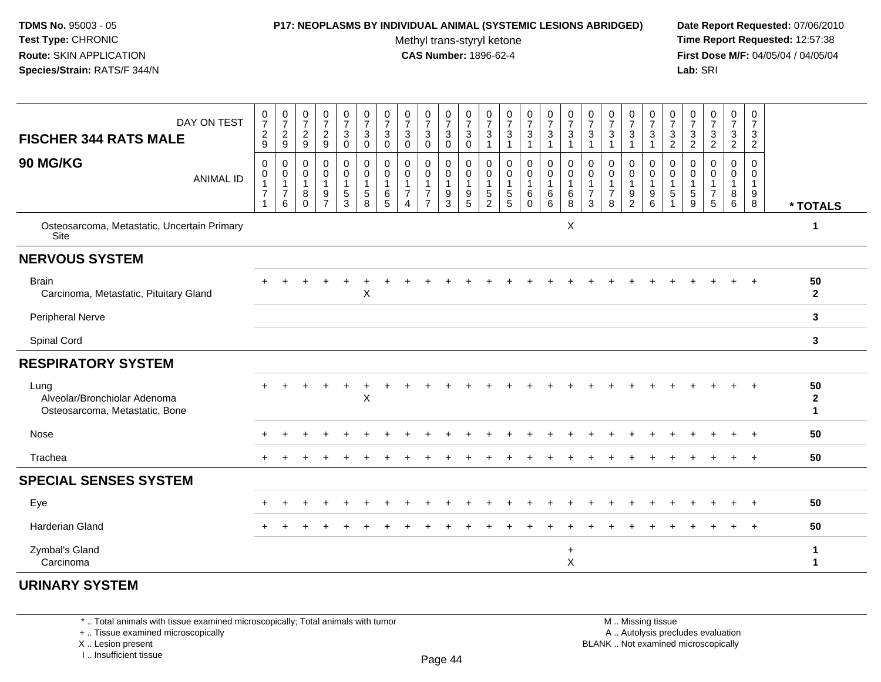### **P17: NEOPLASMS BY INDIVIDUAL ANIMAL (SYSTEMIC LESIONS ABRIDGED) Date Report Requested:** 07/06/2010

Methyl trans-styryl ketone<br>CAS Number: 1896-62-4

 **Time Report Requested:** 12:57:38 **First Dose M/F:** 04/05/04 / 04/05/04<br>**Lab:** SRI **Lab:** SRI

| DAY ON TEST<br><b>FISCHER 344 RATS MALE</b>                            | $\begin{smallmatrix}0\\7\end{smallmatrix}$<br>$\sqrt{2}$<br>$\overline{9}$ | $\frac{0}{7}$<br>$\frac{2}{9}$                          | $\frac{0}{7}$<br>$\frac{2}{9}$          | $\frac{0}{7}$<br>$\frac{2}{9}$                         | $\frac{0}{7}$<br>$\mathbf{3}$<br>$\mathbf 0$ | $\frac{0}{7}$<br>$\mathbf{3}$<br>$\mathbf 0$            | $\begin{array}{c} 0 \\ 7 \end{array}$<br>3<br>$\mathbf 0$ | $\frac{0}{7}$<br>$\mathbf{3}$<br>$\mathbf 0$                           | $\frac{0}{7}$<br>3<br>$\mathbf 0$                          | $\frac{0}{7}$<br>$\ensuremath{\mathsf{3}}$<br>$\mathsf{O}\xspace$ | $\pmb{0}$<br>$\boldsymbol{7}$<br>$_{0}^{3}$                                                | $\pmb{0}$<br>$\overline{7}$<br>3<br>$\mathbf{1}$ | $\frac{0}{7}$<br>3<br>1                    | $\frac{0}{7}$<br>3                                | $\frac{0}{7}$<br>$\sqrt{3}$<br>$\mathbf{1}$        | $\frac{0}{7}$<br>$\sqrt{3}$<br>$\overline{1}$  | 0<br>$\overline{7}$<br>3<br>$\overline{\mathbf{1}}$       | $\pmb{0}$<br>$\overline{7}$<br>$\sqrt{3}$<br>1          | $\frac{0}{7}$<br>3                            | $\begin{smallmatrix}0\\7\end{smallmatrix}$<br>3<br>$\mathbf{1}$ | $\boldsymbol{0}$<br>$\overline{7}$<br>$\frac{3}{2}$ | $\begin{smallmatrix}0\\7\end{smallmatrix}$<br>$\frac{3}{2}$ | $\frac{0}{7}$<br>$\frac{3}{2}$                             | 0<br>$\overline{7}$<br>3<br>$\overline{c}$ | 0<br>$\overline{7}$<br>3<br>$\overline{2}$        |                                    |
|------------------------------------------------------------------------|----------------------------------------------------------------------------|---------------------------------------------------------|-----------------------------------------|--------------------------------------------------------|----------------------------------------------|---------------------------------------------------------|-----------------------------------------------------------|------------------------------------------------------------------------|------------------------------------------------------------|-------------------------------------------------------------------|--------------------------------------------------------------------------------------------|--------------------------------------------------|--------------------------------------------|---------------------------------------------------|----------------------------------------------------|------------------------------------------------|-----------------------------------------------------------|---------------------------------------------------------|-----------------------------------------------|-----------------------------------------------------------------|-----------------------------------------------------|-------------------------------------------------------------|------------------------------------------------------------|--------------------------------------------|---------------------------------------------------|------------------------------------|
| 90 MG/KG<br><b>ANIMAL ID</b>                                           | 0<br>0<br>$\mathbf{1}$<br>$\boldsymbol{7}$<br>$\mathbf{1}$                 | 0<br>$\mathbf 0$<br>$\mathbf{1}$<br>$\overline{7}$<br>6 | 0<br>0<br>$\mathbf{1}$<br>8<br>$\Omega$ | $\boldsymbol{0}$<br>0<br>$\mathbf{1}$<br>$\frac{9}{7}$ | 0<br>0<br>$\mathbf{1}$<br>$\frac{5}{3}$      | 0<br>$\mathbf 0$<br>$\mathbf{1}$<br>$\overline{5}$<br>8 | 0<br>$\mathbf 0$<br>$\mathbf{1}$<br>6<br>5                | 0<br>$\mathbf 0$<br>$\mathbf{1}$<br>$\boldsymbol{7}$<br>$\overline{4}$ | 0<br>0<br>$\mathbf{1}$<br>$\overline{7}$<br>$\overline{7}$ | 0<br>0<br>$\mathbf{1}$<br>$\frac{9}{3}$                           | $\mathbf 0$<br>$\boldsymbol{0}$<br>$\overline{1}$<br>$\begin{array}{c} 9 \\ 5 \end{array}$ | 0<br>0<br>$\mathbf{1}$<br>$\mathbf 5$<br>2       | 0<br>$\mathbf 0$<br>$\mathbf{1}$<br>5<br>5 | 0<br>$\mathbf 0$<br>$\mathbf{1}$<br>6<br>$\Omega$ | 0<br>$\mathsf{O}\xspace$<br>$\mathbf{1}$<br>$^6_6$ | 0<br>$\pmb{0}$<br>$\mathbf{1}$<br>$\,6\,$<br>8 | 0<br>$\mathbf 0$<br>$\overline{1}$<br>$\overline{7}$<br>3 | 0<br>$\mathbf 0$<br>$\mathbf{1}$<br>$\overline{7}$<br>8 | 0<br>0<br>$\mathbf{1}$<br>9<br>$\overline{2}$ | 0<br>0<br>$\mathbf{1}$<br>$\begin{array}{c} 9 \\ 6 \end{array}$ | 0<br>$\mathbf 0$<br>$\mathbf{1}$<br>5               | 0<br>$\mathbf 0$<br>$\overline{1}$<br>$\sqrt{5}$<br>9       | 0<br>0<br>$\mathbf{1}$<br>$\overline{7}$<br>$5\phantom{1}$ | 0<br>$\mathbf 0$<br>$\mathbf{1}$<br>$^8_6$ | 0<br>$\mathbf 0$<br>$\mathbf{1}$<br>$\frac{9}{8}$ | * TOTALS                           |
| Osteosarcoma, Metastatic, Uncertain Primary<br>Site                    |                                                                            |                                                         |                                         |                                                        |                                              |                                                         |                                                           |                                                                        |                                                            |                                                                   |                                                                                            |                                                  |                                            |                                                   |                                                    | X                                              |                                                           |                                                         |                                               |                                                                 |                                                     |                                                             |                                                            |                                            |                                                   | 1                                  |
| <b>NERVOUS SYSTEM</b>                                                  |                                                                            |                                                         |                                         |                                                        |                                              |                                                         |                                                           |                                                                        |                                                            |                                                                   |                                                                                            |                                                  |                                            |                                                   |                                                    |                                                |                                                           |                                                         |                                               |                                                                 |                                                     |                                                             |                                                            |                                            |                                                   |                                    |
| <b>Brain</b><br>Carcinoma, Metastatic, Pituitary Gland                 |                                                                            |                                                         |                                         |                                                        |                                              | $\boldsymbol{\mathsf{X}}$                               |                                                           |                                                                        |                                                            |                                                                   |                                                                                            |                                                  |                                            |                                                   |                                                    |                                                |                                                           |                                                         |                                               |                                                                 |                                                     |                                                             |                                                            |                                            |                                                   | 50<br>$\overline{2}$               |
| <b>Peripheral Nerve</b>                                                |                                                                            |                                                         |                                         |                                                        |                                              |                                                         |                                                           |                                                                        |                                                            |                                                                   |                                                                                            |                                                  |                                            |                                                   |                                                    |                                                |                                                           |                                                         |                                               |                                                                 |                                                     |                                                             |                                                            |                                            |                                                   | $\mathbf{3}$                       |
| Spinal Cord                                                            |                                                                            |                                                         |                                         |                                                        |                                              |                                                         |                                                           |                                                                        |                                                            |                                                                   |                                                                                            |                                                  |                                            |                                                   |                                                    |                                                |                                                           |                                                         |                                               |                                                                 |                                                     |                                                             |                                                            |                                            |                                                   | 3                                  |
| <b>RESPIRATORY SYSTEM</b>                                              |                                                                            |                                                         |                                         |                                                        |                                              |                                                         |                                                           |                                                                        |                                                            |                                                                   |                                                                                            |                                                  |                                            |                                                   |                                                    |                                                |                                                           |                                                         |                                               |                                                                 |                                                     |                                                             |                                                            |                                            |                                                   |                                    |
| Lung<br>Alveolar/Bronchiolar Adenoma<br>Osteosarcoma, Metastatic, Bone |                                                                            |                                                         |                                         |                                                        |                                              | $\boldsymbol{\mathsf{X}}$                               |                                                           |                                                                        |                                                            |                                                                   |                                                                                            |                                                  |                                            |                                                   |                                                    |                                                |                                                           |                                                         |                                               |                                                                 |                                                     |                                                             |                                                            |                                            |                                                   | 50<br>$\mathbf{2}$<br>$\mathbf{1}$ |
| Nose                                                                   |                                                                            |                                                         |                                         |                                                        |                                              |                                                         |                                                           |                                                                        |                                                            |                                                                   |                                                                                            |                                                  |                                            |                                                   |                                                    |                                                |                                                           |                                                         |                                               |                                                                 |                                                     |                                                             |                                                            |                                            |                                                   | 50                                 |
| Trachea                                                                |                                                                            |                                                         |                                         |                                                        |                                              |                                                         |                                                           |                                                                        |                                                            |                                                                   |                                                                                            |                                                  |                                            |                                                   |                                                    |                                                |                                                           |                                                         |                                               |                                                                 |                                                     |                                                             |                                                            |                                            | $\ddot{}$                                         | 50                                 |
| <b>SPECIAL SENSES SYSTEM</b>                                           |                                                                            |                                                         |                                         |                                                        |                                              |                                                         |                                                           |                                                                        |                                                            |                                                                   |                                                                                            |                                                  |                                            |                                                   |                                                    |                                                |                                                           |                                                         |                                               |                                                                 |                                                     |                                                             |                                                            |                                            |                                                   |                                    |
| Eye                                                                    |                                                                            |                                                         |                                         |                                                        |                                              |                                                         |                                                           |                                                                        |                                                            |                                                                   |                                                                                            |                                                  |                                            |                                                   |                                                    |                                                |                                                           |                                                         |                                               |                                                                 |                                                     |                                                             |                                                            |                                            |                                                   | 50                                 |
| <b>Harderian Gland</b>                                                 |                                                                            |                                                         |                                         |                                                        |                                              |                                                         |                                                           |                                                                        |                                                            |                                                                   |                                                                                            |                                                  |                                            |                                                   |                                                    |                                                |                                                           |                                                         |                                               |                                                                 |                                                     |                                                             |                                                            |                                            |                                                   | 50                                 |
| Zymbal's Gland<br>Carcinoma                                            |                                                                            |                                                         |                                         |                                                        |                                              |                                                         |                                                           |                                                                        |                                                            |                                                                   |                                                                                            |                                                  |                                            |                                                   |                                                    | $\ddot{}$<br>X                                 |                                                           |                                                         |                                               |                                                                 |                                                     |                                                             |                                                            |                                            |                                                   | 1<br>1                             |

# **URINARY SYSTEM**

\* .. Total animals with tissue examined microscopically; Total animals with tumor

+ .. Tissue examined microscopically

X .. Lesion present

I .. Insufficient tissue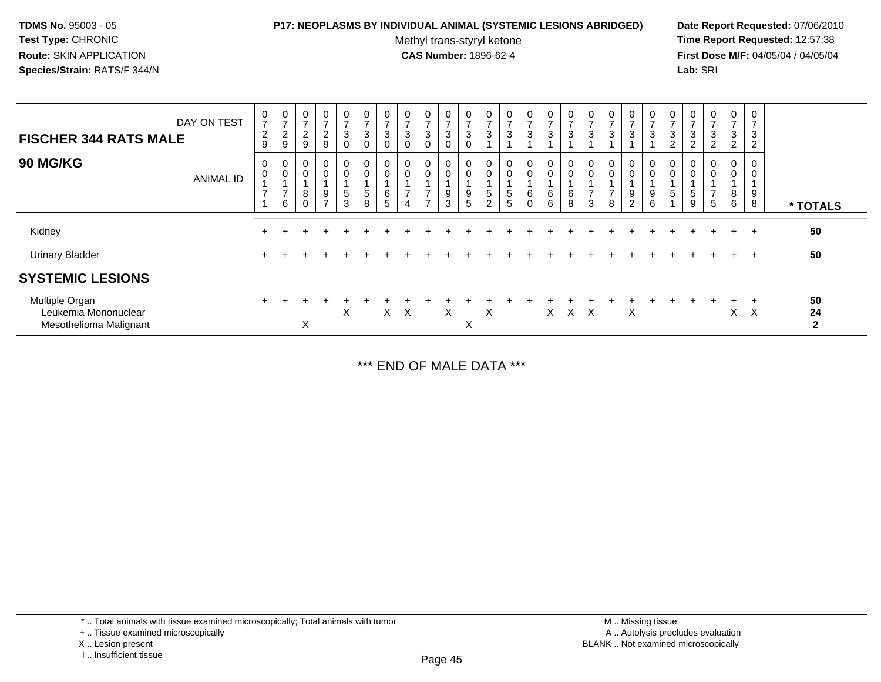### **P17: NEOPLASMS BY INDIVIDUAL ANIMAL (SYSTEMIC LESIONS ABRIDGED) Date Report Requested:** 07/06/2010

Methyl trans-styryl ketone<br>CAS Number: 1896-62-4

 **Time Report Requested:** 12:57:38 **First Dose M/F:** 04/05/04 / 04/05/04<br>**Lab:** SRI **Lab:** SRI

| DAY ON TEST<br><b>FISCHER 344 RATS MALE</b>                      | $\frac{0}{7}$<br>$\frac{2}{9}$   | $\frac{0}{7}$<br>$\frac{2}{9}$          | 0<br>$\overline{7}$<br>$\overline{c}$<br>9     | 0<br>$\overline{ }$<br>$\overline{a}$<br>9 | 0<br>$\overline{ }$<br>$\mathbf{3}$<br>$\overline{0}$ | 0<br>$\rightarrow$<br>3<br>$\mathbf 0$ | $\frac{0}{7}$<br>$\mathbf{3}$<br>$\mathbf 0$ | 0<br>$\overline{7}$<br>$\mathbf{3}$<br>$\mathbf 0$ | $\mathbf 0$<br>$\overline{ }$<br>3<br>$\Omega$ | $\frac{0}{7}$<br>3<br>$\Omega$ | $\frac{0}{7}$<br>3<br>0    | 0<br>$\rightarrow$<br>3  | 0<br>$\rightarrow$<br>$\sqrt{3}$              | $\frac{0}{7}$<br>3         | 0<br>7<br>3                | $\frac{0}{7}$<br>3 | $\frac{0}{7}$<br>3 | 0<br>$\overline{ }$<br>3                | 0<br>$\overline{ }$<br>3      | $\frac{0}{7}$<br>3                        | 0<br>$\overline{ }$<br>3<br>$\overline{c}$ | 0<br>$\overline{z}$<br>3<br>$\overline{c}$ | 0<br>$\overline{ }$<br>3<br>$\overline{2}$ | $\frac{0}{7}$<br>$\mathbf{3}$<br>$\overline{2}$ | 0<br>$\overline{7}$<br>3<br>$\overline{2}$ |                          |
|------------------------------------------------------------------|----------------------------------|-----------------------------------------|------------------------------------------------|--------------------------------------------|-------------------------------------------------------|----------------------------------------|----------------------------------------------|----------------------------------------------------|------------------------------------------------|--------------------------------|----------------------------|--------------------------|-----------------------------------------------|----------------------------|----------------------------|--------------------|--------------------|-----------------------------------------|-------------------------------|-------------------------------------------|--------------------------------------------|--------------------------------------------|--------------------------------------------|-------------------------------------------------|--------------------------------------------|--------------------------|
| <b>90 MG/KG</b><br><b>ANIMAL ID</b>                              | 0<br>$\pmb{0}$<br>$\overline{ }$ | 0<br>$\mathbf 0$<br>$\overline{ }$<br>6 | $\mathbf 0$<br>$\mathbf 0$<br>8<br>$\mathbf 0$ | 0<br>$\mathbf 0$<br>9<br>$\rightarrow$     | $\mathbf 0$<br>0<br>$\sqrt{5}$<br>3                   | 0<br>0<br>$\sqrt{5}$<br>8              | $\pmb{0}$<br>$\pmb{0}$<br>$\,6\,$<br>5       | 0<br>$\pmb{0}$<br>$\overline{7}$<br>$\overline{4}$ | 0<br>0<br>$\overline{ }$<br>$\overline{ }$     | 0<br>$\mathbf 0$<br>9<br>3     | 0<br>$\mathbf 0$<br>9<br>5 | 0<br>5<br>$\overline{2}$ | 0<br>$\mathbf 0$<br>$\,$ 5 $\,$<br>$\sqrt{5}$ | 0<br>0<br>6<br>$\mathbf 0$ | 0<br>$\mathbf 0$<br>6<br>6 | 0<br>0<br>6<br>8   | O<br>0<br>⇁<br>3   | 0<br>$\mathbf 0$<br>$\overline{ }$<br>8 | 0<br>0<br>9<br>$\overline{2}$ | $\mathbf 0$<br>$\boldsymbol{0}$<br>9<br>6 | 0<br>5                                     | 0<br>$\pmb{0}$<br>$\,$ 5 $\,$<br>$9\,$     | 0<br>0<br>5                                | 0<br>0<br>8<br>6                                | 0<br>0<br>9<br>8                           | * TOTALS                 |
| Kidney                                                           |                                  |                                         |                                                |                                            |                                                       |                                        |                                              |                                                    |                                                |                                |                            |                          |                                               |                            |                            |                    |                    |                                         |                               |                                           |                                            |                                            |                                            | $+$                                             | $+$                                        | 50                       |
| <b>Urinary Bladder</b>                                           |                                  |                                         |                                                |                                            |                                                       |                                        |                                              |                                                    |                                                |                                |                            |                          |                                               |                            |                            |                    |                    |                                         |                               |                                           |                                            |                                            |                                            | $\pm$                                           | $+$                                        | 50                       |
| <b>SYSTEMIC LESIONS</b>                                          |                                  |                                         |                                                |                                            |                                                       |                                        |                                              |                                                    |                                                |                                |                            |                          |                                               |                            |                            |                    |                    |                                         |                               |                                           |                                            |                                            |                                            |                                                 |                                            |                          |
| Multiple Organ<br>Leukemia Mononuclear<br>Mesothelioma Malignant |                                  |                                         | X                                              |                                            | X                                                     |                                        | X.                                           | $\times$                                           |                                                | X                              | X                          | X                        |                                               |                            | $\times$                   | $X$ $X$            |                    |                                         | X                             |                                           |                                            |                                            |                                            | $\times$                                        | $\times$                                   | 50<br>24<br>$\mathbf{2}$ |

\*\*\* END OF MALE DATA \*\*\*

\* .. Total animals with tissue examined microscopically; Total animals with tumor

+ .. Tissue examined microscopically

X .. Lesion present

I .. Insufficient tissue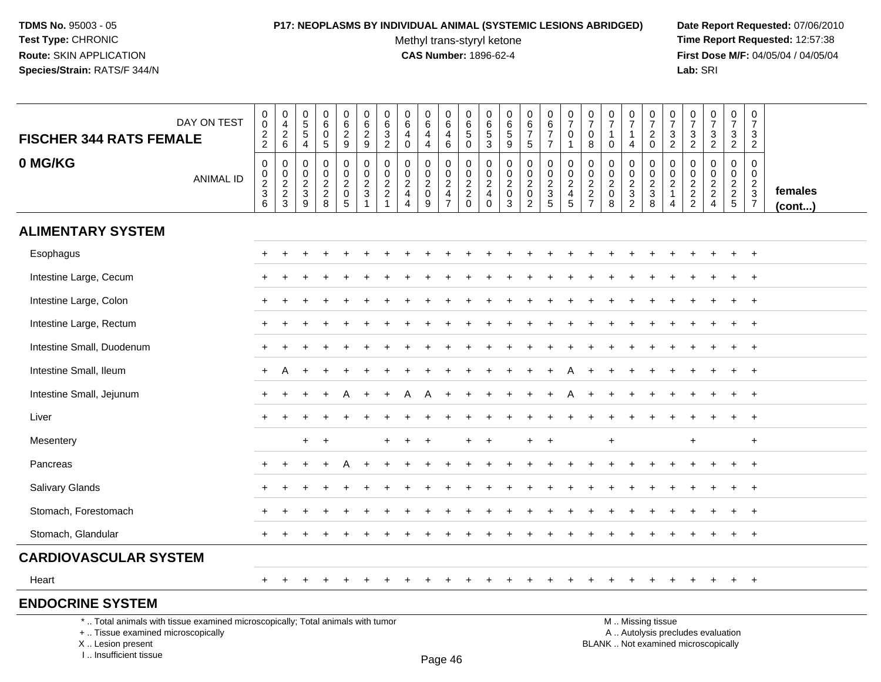# **P17: NEOPLASMS BY INDIVIDUAL ANIMAL (SYSTEMIC LESIONS ABRIDGED) Date Report Requested:** 07/06/2010

Methyl trans-styryl ketone<br>CAS Number: 1896-62-4

 **Time Report Requested:** 12:57:38 **First Dose M/F:** 04/05/04 / 04/05/04<br>Lab: SRI **Lab:** SRI

| <b>FISCHER 344 RATS FEMALE</b>                                                                                                            | DAY ON TEST      | $\pmb{0}$<br>$\pmb{0}$<br>$\sqrt{2}$<br>$\boldsymbol{2}$ | 0<br>$\overline{4}$<br>$\sqrt{2}$<br>6 | 0<br>5<br>$\sqrt{5}$<br>4                | $\pmb{0}$<br>$\,6\,$<br>$\mathbf 0$<br>$\sqrt{5}$ | $\pmb{0}$<br>$\,6\,$<br>$\overline{2}$<br>9                      | $\pmb{0}$<br>6<br>$\boldsymbol{2}$<br>9                                                       | 0<br>6<br>3<br>$\overline{2}$                                                           | $\pmb{0}$<br>6<br>4<br>$\mathbf 0$                            | 0<br>6<br>$\overline{4}$<br>$\overline{4}$              | 0<br>6<br>4<br>6                                    | 0<br>$\,6\,$<br>$\sqrt{5}$<br>$\mathbf 0$ | 0<br>6<br>$\,$ 5 $\,$<br>$\mathbf{3}$         | 0<br>6<br>$\overline{5}$<br>$9\,$                                       | 0<br>6<br>$\overline{7}$<br>$5\phantom{.0}$                     | $\mathbf 0$<br>$\,6\,$<br>$\overline{7}$<br>$\overline{7}$ | $\pmb{0}$<br>$\overline{7}$<br>$\mathbf 0$<br>$\mathbf{1}$                   | 0<br>$\overline{7}$<br>0<br>8               | $\boldsymbol{0}$<br>$\overline{7}$<br>$\mathbf{1}$<br>$\mathbf 0$ | 0<br>$\overline{7}$<br>$\mathbf{1}$<br>4  | $\pmb{0}$<br>$\boldsymbol{7}$<br>$\boldsymbol{2}$<br>$\mathbf 0$                              | 0<br>$\overline{7}$<br>$\ensuremath{\mathsf{3}}$<br>$\overline{2}$ | 0<br>$\overline{7}$<br>3<br>$\overline{2}$ | $\frac{0}{7}$<br>$\ensuremath{\mathsf{3}}$<br>$\overline{2}$  | $\mathbf 0$<br>$\overline{7}$<br>$\mathsf 3$<br>$\overline{2}$ | $\pmb{0}$<br>$\overline{7}$<br>$\mathbf{3}$<br>$\overline{2}$                     |                   |
|-------------------------------------------------------------------------------------------------------------------------------------------|------------------|----------------------------------------------------------|----------------------------------------|------------------------------------------|---------------------------------------------------|------------------------------------------------------------------|-----------------------------------------------------------------------------------------------|-----------------------------------------------------------------------------------------|---------------------------------------------------------------|---------------------------------------------------------|-----------------------------------------------------|-------------------------------------------|-----------------------------------------------|-------------------------------------------------------------------------|-----------------------------------------------------------------|------------------------------------------------------------|------------------------------------------------------------------------------|---------------------------------------------|-------------------------------------------------------------------|-------------------------------------------|-----------------------------------------------------------------------------------------------|--------------------------------------------------------------------|--------------------------------------------|---------------------------------------------------------------|----------------------------------------------------------------|-----------------------------------------------------------------------------------|-------------------|
| 0 MG/KG                                                                                                                                   | <b>ANIMAL ID</b> | $\mathbf 0$<br>$\mathbf 0$<br>$\frac{2}{3}$<br>6         | 0<br>$\boldsymbol{0}$<br>$\frac{2}{3}$ | 0<br>$\mathbf 0$<br>$\sqrt{2}$<br>3<br>9 | $\mathbf 0$<br>$\mathbf 0$<br>$\frac{2}{8}$       | $\mathbf 0$<br>$\mathbf 0$<br>$\overline{c}$<br>$\mathbf 0$<br>5 | $\mathbf 0$<br>$\mathbf 0$<br>$\boldsymbol{2}$<br>$\ensuremath{\mathsf{3}}$<br>$\overline{1}$ | $\mathbf 0$<br>$\mathbf 0$<br>$\overline{\mathbf{c}}$<br>$\overline{c}$<br>$\mathbf{1}$ | $\mathbf 0$<br>$\mathbf 0$<br>$\frac{2}{4}$<br>$\overline{4}$ | $\mathbf{0}$<br>0<br>$\overline{c}$<br>$\mathbf 0$<br>9 | 0<br>$\mathbf 0$<br>$\frac{2}{4}$<br>$\overline{7}$ | $\mathbf 0$<br>0<br>$\frac{2}{2}$<br>0    | $\mathbf 0$<br>0<br>$\frac{2}{4}$<br>$\Omega$ | $\mathbf 0$<br>$\mathbf 0$<br>$\sqrt{2}$<br>$\mathbf 0$<br>$\mathbf{3}$ | $\mathbf 0$<br>0<br>$\sqrt{2}$<br>$\mathbf 0$<br>$\overline{2}$ | $\mathbf 0$<br>$\mathbf 0$<br>$\frac{2}{3}$                | $\mathbf 0$<br>$\mathbf 0$<br>$\overline{\mathbf{c}}$<br>$\overline{4}$<br>5 | $\mathbf 0$<br>$\mathbf 0$<br>$\frac{2}{7}$ | $\mathbf 0$<br>$\mathbf 0$<br>$\sqrt{2}$<br>$\mathbf 0$<br>8      | 0<br>0<br>$\frac{2}{3}$<br>$\overline{2}$ | $\Omega$<br>$\mathbf 0$<br>$\frac{2}{3}$<br>8                                                 | $\Omega$<br>$\mathbf 0$<br>$\overline{c}$<br>$\mathbf{1}$<br>4     | 0<br>$\mathbf 0$<br>$\frac{2}{2}$          | $\mathbf 0$<br>$\mathbf 0$<br>$\frac{2}{2}$<br>$\overline{4}$ | $\mathbf 0$<br>$\mathbf 0$<br>$\frac{2}{2}$                    | $\mathbf 0$<br>$\overline{0}$<br>$\boldsymbol{2}$<br>$\sqrt{3}$<br>$\overline{7}$ | females<br>(cont) |
| <b>ALIMENTARY SYSTEM</b>                                                                                                                  |                  |                                                          |                                        |                                          |                                                   |                                                                  |                                                                                               |                                                                                         |                                                               |                                                         |                                                     |                                           |                                               |                                                                         |                                                                 |                                                            |                                                                              |                                             |                                                                   |                                           |                                                                                               |                                                                    |                                            |                                                               |                                                                |                                                                                   |                   |
| Esophagus                                                                                                                                 |                  |                                                          |                                        |                                          |                                                   |                                                                  |                                                                                               |                                                                                         |                                                               |                                                         |                                                     |                                           |                                               |                                                                         |                                                                 |                                                            |                                                                              |                                             |                                                                   |                                           |                                                                                               |                                                                    |                                            |                                                               | $+$                                                            | $+$                                                                               |                   |
| Intestine Large, Cecum                                                                                                                    |                  |                                                          |                                        |                                          |                                                   |                                                                  |                                                                                               |                                                                                         |                                                               |                                                         |                                                     |                                           |                                               |                                                                         |                                                                 |                                                            |                                                                              |                                             |                                                                   |                                           |                                                                                               |                                                                    |                                            |                                                               |                                                                |                                                                                   |                   |
| Intestine Large, Colon                                                                                                                    |                  |                                                          |                                        |                                          |                                                   |                                                                  |                                                                                               |                                                                                         |                                                               |                                                         |                                                     |                                           |                                               |                                                                         |                                                                 |                                                            |                                                                              |                                             |                                                                   |                                           |                                                                                               |                                                                    |                                            |                                                               |                                                                | $\ddot{}$                                                                         |                   |
| Intestine Large, Rectum                                                                                                                   |                  |                                                          |                                        |                                          |                                                   |                                                                  |                                                                                               |                                                                                         |                                                               |                                                         |                                                     |                                           |                                               |                                                                         |                                                                 |                                                            |                                                                              |                                             |                                                                   |                                           |                                                                                               |                                                                    |                                            |                                                               |                                                                | $\overline{ }$                                                                    |                   |
| Intestine Small, Duodenum                                                                                                                 |                  |                                                          |                                        |                                          |                                                   |                                                                  |                                                                                               |                                                                                         |                                                               |                                                         |                                                     |                                           |                                               |                                                                         |                                                                 |                                                            |                                                                              |                                             |                                                                   |                                           |                                                                                               |                                                                    |                                            |                                                               |                                                                | $^{+}$                                                                            |                   |
| Intestine Small, Ileum                                                                                                                    |                  | $\ddot{}$                                                | A                                      |                                          |                                                   |                                                                  |                                                                                               |                                                                                         |                                                               |                                                         |                                                     |                                           |                                               |                                                                         |                                                                 |                                                            |                                                                              |                                             |                                                                   |                                           |                                                                                               |                                                                    |                                            |                                                               | $\ddot{}$                                                      | $+$                                                                               |                   |
| Intestine Small, Jejunum                                                                                                                  |                  |                                                          |                                        |                                          |                                                   |                                                                  |                                                                                               |                                                                                         |                                                               |                                                         |                                                     |                                           |                                               |                                                                         |                                                                 |                                                            |                                                                              |                                             |                                                                   |                                           |                                                                                               |                                                                    |                                            |                                                               |                                                                | $+$                                                                               |                   |
| Liver                                                                                                                                     |                  |                                                          |                                        |                                          |                                                   |                                                                  |                                                                                               |                                                                                         |                                                               |                                                         |                                                     |                                           |                                               |                                                                         |                                                                 |                                                            |                                                                              |                                             |                                                                   |                                           |                                                                                               |                                                                    |                                            |                                                               |                                                                | $^{+}$                                                                            |                   |
| Mesentery                                                                                                                                 |                  |                                                          |                                        | $+$                                      | $\overline{ }$                                    |                                                                  |                                                                                               |                                                                                         |                                                               | +                                                       |                                                     |                                           | $\div$                                        |                                                                         | $\pm$                                                           | $\overline{ }$                                             |                                                                              |                                             | $\ddot{}$                                                         |                                           |                                                                                               |                                                                    | $\ddot{}$                                  |                                                               |                                                                | $\ddot{}$                                                                         |                   |
| Pancreas                                                                                                                                  |                  |                                                          |                                        |                                          |                                                   |                                                                  |                                                                                               |                                                                                         |                                                               |                                                         |                                                     |                                           |                                               |                                                                         |                                                                 |                                                            |                                                                              |                                             |                                                                   |                                           |                                                                                               |                                                                    |                                            |                                                               |                                                                | $+$                                                                               |                   |
| <b>Salivary Glands</b>                                                                                                                    |                  |                                                          |                                        |                                          |                                                   |                                                                  |                                                                                               |                                                                                         |                                                               |                                                         |                                                     |                                           |                                               |                                                                         |                                                                 |                                                            |                                                                              |                                             |                                                                   |                                           |                                                                                               |                                                                    |                                            |                                                               |                                                                | $^{+}$                                                                            |                   |
| Stomach, Forestomach                                                                                                                      |                  |                                                          |                                        |                                          |                                                   |                                                                  |                                                                                               |                                                                                         |                                                               |                                                         |                                                     |                                           |                                               |                                                                         |                                                                 |                                                            |                                                                              |                                             |                                                                   |                                           |                                                                                               |                                                                    |                                            |                                                               |                                                                |                                                                                   |                   |
| Stomach, Glandular                                                                                                                        |                  |                                                          |                                        |                                          |                                                   |                                                                  |                                                                                               |                                                                                         |                                                               |                                                         |                                                     |                                           |                                               |                                                                         |                                                                 |                                                            |                                                                              |                                             |                                                                   |                                           |                                                                                               |                                                                    |                                            |                                                               | $+$                                                            | $+$                                                                               |                   |
| <b>CARDIOVASCULAR SYSTEM</b>                                                                                                              |                  |                                                          |                                        |                                          |                                                   |                                                                  |                                                                                               |                                                                                         |                                                               |                                                         |                                                     |                                           |                                               |                                                                         |                                                                 |                                                            |                                                                              |                                             |                                                                   |                                           |                                                                                               |                                                                    |                                            |                                                               |                                                                |                                                                                   |                   |
| Heart                                                                                                                                     |                  | $+$                                                      | $\pm$                                  | $\pm$                                    | $\pm$                                             | $\pm$                                                            | $\pm$                                                                                         |                                                                                         |                                                               | <b>+</b>                                                | $\div$                                              | $\div$                                    |                                               | <b>+</b>                                                                | $\ddot{}$                                                       | $\ddot{}$                                                  | $\ddot{}$                                                                    | $\div$                                      |                                                                   | $\overline{+}$                            |                                                                                               |                                                                    | $\pm$                                      | $+$                                                           | $+$                                                            | $+$                                                                               |                   |
| <b>ENDOCRINE SYSTEM</b>                                                                                                                   |                  |                                                          |                                        |                                          |                                                   |                                                                  |                                                                                               |                                                                                         |                                                               |                                                         |                                                     |                                           |                                               |                                                                         |                                                                 |                                                            |                                                                              |                                             |                                                                   |                                           |                                                                                               |                                                                    |                                            |                                                               |                                                                |                                                                                   |                   |
| *  Total animals with tissue examined microscopically; Total animals with tumor<br>+  Tissue examined microscopically<br>X Lesion present |                  |                                                          |                                        |                                          |                                                   |                                                                  |                                                                                               |                                                                                         |                                                               |                                                         |                                                     |                                           |                                               |                                                                         |                                                                 |                                                            |                                                                              |                                             |                                                                   |                                           | M  Missing tissue<br>A  Autolysis precludes evaluation<br>BLANK  Not examined microscopically |                                                                    |                                            |                                                               |                                                                |                                                                                   |                   |

I .. Insufficient tissue

Page 46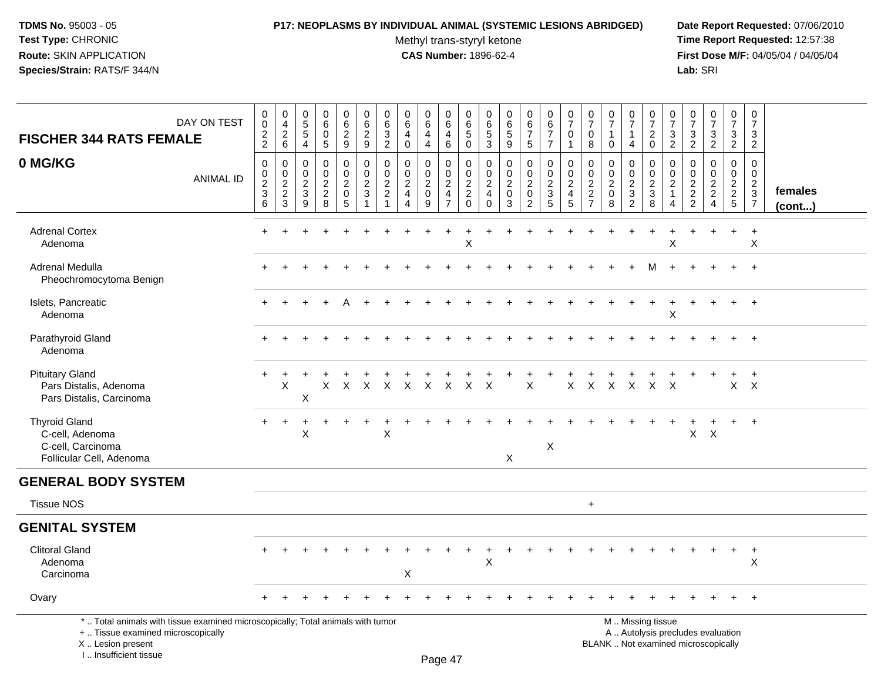I .. Insufficient tissue

# **P17: NEOPLASMS BY INDIVIDUAL ANIMAL (SYSTEMIC LESIONS ABRIDGED) Date Report Requested:** 07/06/2010

Methyl trans-styryl ketone<br>CAS Number: 1896-62-4

| <b>FISCHER 344 RATS FEMALE</b>                                                                                                             | DAY ON TEST      | 0<br>$\boldsymbol{0}$<br>$\frac{2}{2}$               | $\begin{smallmatrix}0\0\4\end{smallmatrix}$<br>$\frac{2}{6}$ | $\begin{array}{c} 0 \\ 5 \\ 5 \end{array}$<br>$\overline{4}$ | $\begin{array}{c} 0 \\ 6 \end{array}$<br>$\mathbf 0$<br>$\sqrt{5}$ | 0629                                                    |                                            | $\begin{array}{c} 0 \\ 6 \end{array}$<br>3<br>$\overline{2}$   | $\begin{array}{c} 0 \\ 6 \end{array}$<br>$\overline{4}$<br>$\pmb{0}$ | $\begin{array}{c} 0 \\ 6 \end{array}$<br>$\overline{4}$<br>$\overline{4}$ | $_{6}^{\rm 0}$<br>$\overline{4}$<br>6 | $\begin{array}{c} 0 \\ 6 \end{array}$<br>$\overline{5}$<br>$\mathbf 0$ | 0<br>$\,6\,$<br>$\overline{5}$<br>3                              | $\pmb{0}$<br>$6\phantom{1}6$<br>$\sqrt{5}$<br>9                | $\begin{array}{c} 0 \\ 6 \\ 7 \end{array}$<br>$5\phantom{.0}$ | $_{6}^{\rm 0}$<br>$\overline{7}$<br>$\overline{7}$ | $\frac{0}{7}$<br>$\pmb{0}$<br>$\mathbf{1}$   | $\frac{0}{7}$<br>$\mathbf 0$<br>8                             | $\begin{array}{c} 0 \\ 7 \end{array}$<br>$\mathbf{1}$<br>$\mathbf 0$            | $\begin{array}{c} 0 \\ 7 \end{array}$<br>$\mathbf{1}$<br>$\overline{4}$ | $\begin{array}{c} 0 \\ 7 \end{array}$<br>$\overline{c}$<br>$\mathbf 0$                        | $\frac{0}{7}$<br>3<br>$\overline{2}$                                                   | $\begin{array}{c} 0 \\ 7 \end{array}$<br>$\mathsf 3$<br>$\overline{2}$ | $\frac{0}{7}$<br>$\mathbf{3}$<br>$\overline{2}$ | $\begin{array}{c} 0 \\ 7 \end{array}$<br>$\mathsf 3$<br>$\overline{2}$ | $\pmb{0}$<br>$\overline{7}$<br>$\sqrt{3}$<br>$\overline{2}$ |                         |
|--------------------------------------------------------------------------------------------------------------------------------------------|------------------|------------------------------------------------------|--------------------------------------------------------------|--------------------------------------------------------------|--------------------------------------------------------------------|---------------------------------------------------------|--------------------------------------------|----------------------------------------------------------------|----------------------------------------------------------------------|---------------------------------------------------------------------------|---------------------------------------|------------------------------------------------------------------------|------------------------------------------------------------------|----------------------------------------------------------------|---------------------------------------------------------------|----------------------------------------------------|----------------------------------------------|---------------------------------------------------------------|---------------------------------------------------------------------------------|-------------------------------------------------------------------------|-----------------------------------------------------------------------------------------------|----------------------------------------------------------------------------------------|------------------------------------------------------------------------|-------------------------------------------------|------------------------------------------------------------------------|-------------------------------------------------------------|-------------------------|
| 0 MG/KG                                                                                                                                    | <b>ANIMAL ID</b> | $\mathsf 0$<br>$\pmb{0}$<br>$\overline{c}$<br>3<br>6 | $\pmb{0}$<br>$\pmb{0}$<br>$\frac{2}{2}$<br>3                 | $\mathbf 0$<br>$\mathbf 0$<br>$\frac{2}{3}$<br>9             | $\pmb{0}$<br>$\begin{array}{c} 0 \\ 2 \\ 2 \\ 8 \end{array}$       | $\mathbf 0$<br>$\frac{0}{2}$<br>$\pmb{0}$<br>$\sqrt{5}$ | $\pmb{0}$<br>$\frac{0}{2}$<br>$\mathbf{1}$ | $\mathbf 0$<br>$\mathsf{O}\xspace$<br>2<br>$\overline{2}$<br>1 | $\mathbf 0$<br>$\frac{0}{2}$<br>$\overline{4}$                       | 0<br>$\pmb{0}$<br>$\overline{c}$<br>$\mathbf 0$<br>9                      | 0<br>$\frac{0}{2}$<br>$\overline{7}$  | $\mathbf 0$<br>$\frac{0}{2}$<br>$\mathbf{0}$                           | 0<br>$\mathbf 0$<br>$\overline{2}$<br>$\overline{4}$<br>$\Omega$ | $\mathbf 0$<br>$\pmb{0}$<br>$\overline{2}$<br>$\mathsf 0$<br>3 | 0<br>$\pmb{0}$<br>$\overline{2}$<br>$\mathsf 0$<br>2          | 0<br>$\frac{0}{2}$<br>5                            | $\pmb{0}$<br>$\pmb{0}$<br>$\frac{2}{4}$<br>5 | $\mathbf 0$<br>$\mathbf 0$<br>$\frac{2}{2}$<br>$\overline{7}$ | $\mathbf 0$<br>$\begin{smallmatrix} 0\\2 \end{smallmatrix}$<br>$\mathbf 0$<br>8 | $\mathbf 0$<br>$\pmb{0}$<br>$\frac{2}{3}$<br>$\overline{2}$             | $\mathbf 0$<br>$\pmb{0}$<br>$\frac{2}{3}$<br>8                                                | $\mathbf 0$<br>$\mathsf{O}\xspace$<br>$\overline{c}$<br>$\mathbf{1}$<br>$\overline{4}$ | $\mathbf 0$<br>$\mathbf 0$<br>$\frac{2}{2}$                            | $\pmb{0}$<br>$\frac{0}{2}$<br>$\overline{4}$    | $\mathbf 0$<br>$\begin{array}{c} 0 \\ 2 \\ 5 \end{array}$              | $\mathbf 0$<br>$\mathbf 0$<br>$\frac{2}{3}$                 | females<br>$($ cont $)$ |
| <b>Adrenal Cortex</b><br>Adenoma                                                                                                           |                  |                                                      |                                                              |                                                              |                                                                    |                                                         |                                            |                                                                |                                                                      |                                                                           |                                       | $\sf X$                                                                |                                                                  |                                                                |                                                               |                                                    |                                              |                                                               |                                                                                 |                                                                         |                                                                                               | X                                                                                      |                                                                        |                                                 | $\ddot{}$                                                              | $\ddot{}$<br>X                                              |                         |
| <b>Adrenal Medulla</b><br>Pheochromocytoma Benign                                                                                          |                  |                                                      |                                                              |                                                              |                                                                    |                                                         |                                            |                                                                |                                                                      |                                                                           |                                       |                                                                        |                                                                  |                                                                |                                                               |                                                    |                                              |                                                               |                                                                                 |                                                                         |                                                                                               |                                                                                        |                                                                        |                                                 |                                                                        | $\ddot{}$                                                   |                         |
| Islets, Pancreatic<br>Adenoma                                                                                                              |                  |                                                      |                                                              |                                                              |                                                                    |                                                         |                                            |                                                                |                                                                      |                                                                           |                                       |                                                                        |                                                                  |                                                                |                                                               |                                                    |                                              |                                                               |                                                                                 |                                                                         |                                                                                               | X                                                                                      |                                                                        | $\div$                                          | $+$                                                                    | $+$                                                         |                         |
| Parathyroid Gland<br>Adenoma                                                                                                               |                  |                                                      |                                                              |                                                              |                                                                    |                                                         |                                            |                                                                |                                                                      |                                                                           |                                       |                                                                        |                                                                  |                                                                |                                                               |                                                    |                                              |                                                               |                                                                                 |                                                                         |                                                                                               |                                                                                        |                                                                        |                                                 |                                                                        |                                                             |                         |
| <b>Pituitary Gland</b><br>Pars Distalis, Adenoma<br>Pars Distalis, Carcinoma                                                               |                  |                                                      | X                                                            | X                                                            |                                                                    |                                                         |                                            |                                                                |                                                                      | X X X X X X X X X                                                         |                                       |                                                                        |                                                                  |                                                                | $\mathsf{X}$                                                  |                                                    |                                              |                                                               |                                                                                 |                                                                         | X X X X X X                                                                                   |                                                                                        |                                                                        |                                                 | $X$ $X$                                                                | $+$                                                         |                         |
| <b>Thyroid Gland</b><br>C-cell, Adenoma<br>C-cell, Carcinoma<br>Follicular Cell, Adenoma                                                   |                  | $+$                                                  | $\ddot{}$                                                    | X                                                            |                                                                    |                                                         |                                            | X                                                              |                                                                      |                                                                           |                                       |                                                                        |                                                                  | $\sf X$                                                        |                                                               | $\mathsf X$                                        |                                              |                                                               |                                                                                 |                                                                         |                                                                                               |                                                                                        | X                                                                      | +<br>$\mathsf{X}$                               | $+$                                                                    | $+$                                                         |                         |
| <b>GENERAL BODY SYSTEM</b>                                                                                                                 |                  |                                                      |                                                              |                                                              |                                                                    |                                                         |                                            |                                                                |                                                                      |                                                                           |                                       |                                                                        |                                                                  |                                                                |                                                               |                                                    |                                              |                                                               |                                                                                 |                                                                         |                                                                                               |                                                                                        |                                                                        |                                                 |                                                                        |                                                             |                         |
| <b>Tissue NOS</b>                                                                                                                          |                  |                                                      |                                                              |                                                              |                                                                    |                                                         |                                            |                                                                |                                                                      |                                                                           |                                       |                                                                        |                                                                  |                                                                |                                                               |                                                    |                                              | $+$                                                           |                                                                                 |                                                                         |                                                                                               |                                                                                        |                                                                        |                                                 |                                                                        |                                                             |                         |
| <b>GENITAL SYSTEM</b>                                                                                                                      |                  |                                                      |                                                              |                                                              |                                                                    |                                                         |                                            |                                                                |                                                                      |                                                                           |                                       |                                                                        |                                                                  |                                                                |                                                               |                                                    |                                              |                                                               |                                                                                 |                                                                         |                                                                                               |                                                                                        |                                                                        |                                                 |                                                                        |                                                             |                         |
| <b>Clitoral Gland</b><br>Adenoma<br>Carcinoma                                                                                              |                  |                                                      |                                                              |                                                              |                                                                    |                                                         |                                            |                                                                | X                                                                    |                                                                           |                                       |                                                                        | X                                                                |                                                                |                                                               |                                                    |                                              |                                                               |                                                                                 |                                                                         |                                                                                               |                                                                                        |                                                                        |                                                 | $\ddot{}$                                                              | $\ddot{}$<br>X                                              |                         |
| Ovary                                                                                                                                      |                  |                                                      |                                                              |                                                              |                                                                    |                                                         |                                            |                                                                |                                                                      |                                                                           |                                       |                                                                        |                                                                  |                                                                |                                                               |                                                    |                                              |                                                               |                                                                                 |                                                                         |                                                                                               |                                                                                        |                                                                        |                                                 | $+$                                                                    | $+$                                                         |                         |
| *  Total animals with tissue examined microscopically; Total animals with tumor<br>+  Tissue examined microscopically<br>X  Lesion present |                  |                                                      |                                                              |                                                              |                                                                    |                                                         |                                            |                                                                |                                                                      |                                                                           |                                       |                                                                        |                                                                  |                                                                |                                                               |                                                    |                                              |                                                               |                                                                                 |                                                                         | M  Missing tissue<br>A  Autolysis precludes evaluation<br>BLANK  Not examined microscopically |                                                                                        |                                                                        |                                                 |                                                                        |                                                             |                         |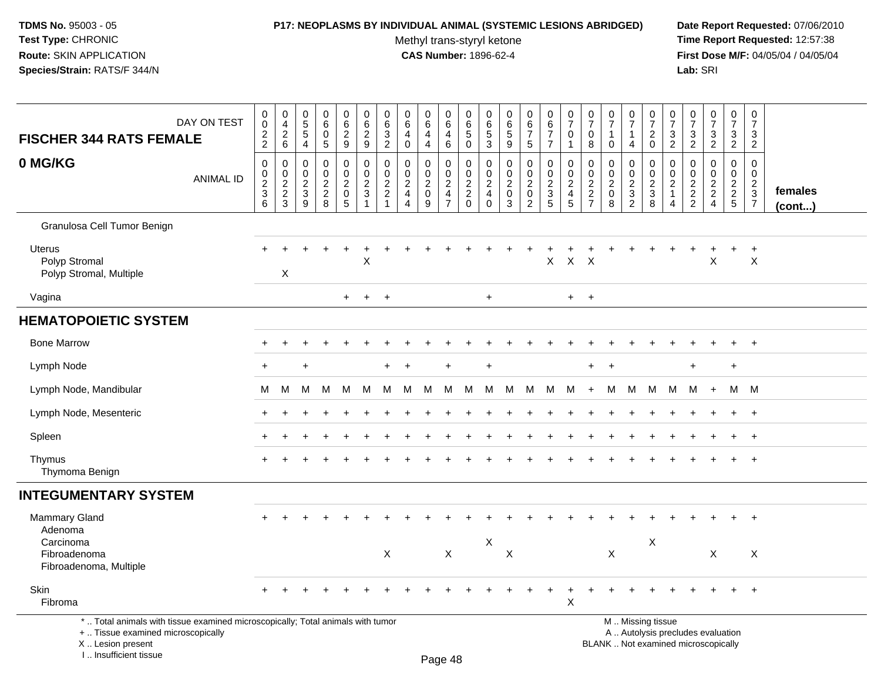# **P17: NEOPLASMS BY INDIVIDUAL ANIMAL (SYSTEMIC LESIONS ABRIDGED) Date Report Requested:** 07/06/2010

Methyl trans-styryl ketone<br>CAS Number: 1896-62-4

| DAY ON TEST<br><b>FISCHER 344 RATS FEMALE</b>                                                                                                                      | $\mathbf 0$<br>$\pmb{0}$<br>$\overline{c}$<br>$\overline{2}$ | $\pmb{0}$<br>$\overline{4}$<br>$\overline{2}$<br>6    | $\pmb{0}$<br>$\overline{5}$<br>$\overline{4}$            | $\pmb{0}$<br>$6\overline{6}$<br>0<br>5                              | 0<br>$6\overline{6}$<br>$\overline{2}$<br>9          | $\pmb{0}$<br>$\frac{6}{2}$<br>9                                        | $\mathbf 0$<br>6<br>$\mathbf{3}$<br>$\overline{2}$                  | 0<br>6<br>$\overline{4}$<br>$\mathbf 0$                                          | 0<br>$6\overline{6}$<br>$\overline{4}$<br>4            | 0<br>$6\overline{6}$<br>4<br>$6\phantom{1}$ | $\mathbf 0$<br>$\,6\,$<br>$\sqrt{5}$<br>$\mathbf 0$            | $\pmb{0}$<br>$\,6\,$<br>$\sqrt{5}$<br>3                 | 0<br>$\,6\,$<br>$\,$ 5 $\,$<br>9                                   | 0<br>$\frac{6}{7}$<br>$\sqrt{5}$                          | $\pmb{0}$<br>$6\phantom{a}$<br>$\boldsymbol{7}$<br>$\overline{7}$ | $\frac{0}{7}$<br>$\mathbf 0$<br>$\mathbf{1}$                      | 0<br>$\overline{7}$<br>0<br>8                                                 | $\frac{0}{7}$<br>$\mathbf{1}$<br>$\mathbf 0$                   | $\pmb{0}$<br>$\overline{7}$<br>$\mathbf{1}$<br>4                   | $\pmb{0}$<br>$\overline{7}$<br>$\boldsymbol{2}$<br>$\mathbf 0$ | $\pmb{0}$<br>$\overline{7}$<br>$\mathbf{3}$<br>$\overline{2}$ | 0<br>$\overline{7}$<br>$\sqrt{3}$<br>$\overline{2}$ | $\frac{0}{7}$<br>$\ensuremath{\mathsf{3}}$<br>$\overline{2}$             | $\pmb{0}$<br>$\overline{7}$<br>3<br>$\overline{2}$ | $\mathbf 0$<br>$\overline{7}$<br>$\mathbf{3}$<br>$\overline{2}$     |                   |
|--------------------------------------------------------------------------------------------------------------------------------------------------------------------|--------------------------------------------------------------|-------------------------------------------------------|----------------------------------------------------------|---------------------------------------------------------------------|------------------------------------------------------|------------------------------------------------------------------------|---------------------------------------------------------------------|----------------------------------------------------------------------------------|--------------------------------------------------------|---------------------------------------------|----------------------------------------------------------------|---------------------------------------------------------|--------------------------------------------------------------------|-----------------------------------------------------------|-------------------------------------------------------------------|-------------------------------------------------------------------|-------------------------------------------------------------------------------|----------------------------------------------------------------|--------------------------------------------------------------------|----------------------------------------------------------------|---------------------------------------------------------------|-----------------------------------------------------|--------------------------------------------------------------------------|----------------------------------------------------|---------------------------------------------------------------------|-------------------|
| 0 MG/KG<br><b>ANIMAL ID</b>                                                                                                                                        | $\pmb{0}$<br>$\mathbf 0$<br>$\frac{2}{3}$<br>6               | 0<br>$\mathbf 0$<br>$\overline{c}$<br>$\sqrt{2}$<br>3 | 0<br>$\mathbf 0$<br>$\boldsymbol{2}$<br>$\mathsf 3$<br>9 | $\mathbf 0$<br>$\mathbf 0$<br>$\overline{c}$<br>$\overline{c}$<br>8 | 0<br>0<br>$\overline{2}$<br>$\mathsf{O}\xspace$<br>5 | $\mathbf 0$<br>$\pmb{0}$<br>$\sqrt{2}$<br>$\sqrt{3}$<br>$\overline{1}$ | $\mathbf 0$<br>$\mathbf 0$<br>$\overline{c}$<br>$\overline{c}$<br>1 | $\mathbf 0$<br>$\mathbf 0$<br>$\overline{c}$<br>$\overline{4}$<br>$\overline{4}$ | 0<br>$\mathbf 0$<br>$\overline{2}$<br>$\mathbf 0$<br>9 | 0<br>0<br>$_4^2$<br>$\overline{7}$          | $\mathbf 0$<br>0<br>$\boldsymbol{2}$<br>$\sqrt{2}$<br>$\Omega$ | $\mathbf 0$<br>$\mathbf 0$<br>$\frac{2}{4}$<br>$\Omega$ | $\mathbf 0$<br>$\mathbf 0$<br>$\boldsymbol{2}$<br>$\mathbf 0$<br>3 | 0<br>0<br>$\overline{a}$<br>$\mathbf 0$<br>$\overline{c}$ | $\mathbf 0$<br>$\pmb{0}$<br>$rac{2}{3}$                           | $\pmb{0}$<br>$\mathbf 0$<br>$\overline{c}$<br>$\overline{4}$<br>5 | $\mathbf 0$<br>$\mathbf 0$<br>$\overline{2}$<br>$\mathbf 2$<br>$\overline{7}$ | $\mathbf 0$<br>$\pmb{0}$<br>$\boldsymbol{2}$<br>$\pmb{0}$<br>8 | 0<br>$\mathbf 0$<br>$\overline{2}$<br>$\sqrt{3}$<br>$\overline{2}$ | $\mathbf 0$<br>$\mathbf 0$<br>$\frac{2}{3}$<br>8               | $\mathbf 0$<br>0<br>$\mathbf{2}$<br>$\mathbf{1}$<br>4         | $\mathbf 0$<br>0<br>$\frac{2}{2}$                   | $\pmb{0}$<br>0<br>$\frac{2}{2}$<br>$\overline{4}$                        | $\mathbf 0$<br>$\mathbf 0$<br>$\frac{2}{2}$<br>5   | $\mathbf 0$<br>$\mathbf 0$<br>$\overline{2}$<br>$\overline{3}$<br>7 | females<br>(cont) |
| Granulosa Cell Tumor Benign                                                                                                                                        |                                                              |                                                       |                                                          |                                                                     |                                                      |                                                                        |                                                                     |                                                                                  |                                                        |                                             |                                                                |                                                         |                                                                    |                                                           |                                                                   |                                                                   |                                                                               |                                                                |                                                                    |                                                                |                                                               |                                                     |                                                                          |                                                    |                                                                     |                   |
| Uterus<br>Polyp Stromal<br>Polyp Stromal, Multiple                                                                                                                 |                                                              | $\times$                                              |                                                          | $\ddot{}$                                                           | $\ddot{}$                                            | $\ddot{}$<br>X                                                         |                                                                     |                                                                                  |                                                        |                                             |                                                                |                                                         |                                                                    | $\ddot{}$                                                 | $\mathsf X$                                                       | $X$ $X$                                                           |                                                                               |                                                                |                                                                    |                                                                |                                                               | $\ddot{}$                                           | $\ddot{}$<br>X                                                           | $\ddot{}$                                          | $\ddot{}$<br>$\times$                                               |                   |
| Vagina                                                                                                                                                             |                                                              |                                                       |                                                          |                                                                     | $+$                                                  | $+$                                                                    | $+$                                                                 |                                                                                  |                                                        |                                             |                                                                | $+$                                                     |                                                                    |                                                           |                                                                   | $+$                                                               | $+$                                                                           |                                                                |                                                                    |                                                                |                                                               |                                                     |                                                                          |                                                    |                                                                     |                   |
| <b>HEMATOPOIETIC SYSTEM</b>                                                                                                                                        |                                                              |                                                       |                                                          |                                                                     |                                                      |                                                                        |                                                                     |                                                                                  |                                                        |                                             |                                                                |                                                         |                                                                    |                                                           |                                                                   |                                                                   |                                                                               |                                                                |                                                                    |                                                                |                                                               |                                                     |                                                                          |                                                    |                                                                     |                   |
| <b>Bone Marrow</b>                                                                                                                                                 |                                                              |                                                       |                                                          |                                                                     |                                                      |                                                                        |                                                                     |                                                                                  |                                                        |                                             |                                                                |                                                         |                                                                    |                                                           |                                                                   |                                                                   |                                                                               |                                                                |                                                                    |                                                                |                                                               |                                                     |                                                                          | +                                                  | $\overline{+}$                                                      |                   |
| Lymph Node                                                                                                                                                         | $\ddot{}$                                                    |                                                       |                                                          |                                                                     |                                                      |                                                                        | +                                                                   |                                                                                  |                                                        |                                             |                                                                | $\ddot{}$                                               |                                                                    |                                                           |                                                                   |                                                                   | $\ddot{}$                                                                     |                                                                |                                                                    |                                                                |                                                               | $\ddot{}$                                           |                                                                          | $\ddot{}$                                          |                                                                     |                   |
| Lymph Node, Mandibular                                                                                                                                             | M                                                            | M                                                     | M                                                        | M                                                                   | M                                                    | M                                                                      | M                                                                   | M                                                                                | M                                                      | M                                           | M                                                              | M                                                       | M                                                                  | M                                                         | M                                                                 | M                                                                 | $+$                                                                           | M                                                              | M                                                                  | M                                                              | M                                                             | M                                                   | $+$                                                                      | M M                                                |                                                                     |                   |
| Lymph Node, Mesenteric                                                                                                                                             |                                                              |                                                       |                                                          |                                                                     |                                                      |                                                                        |                                                                     |                                                                                  |                                                        |                                             |                                                                |                                                         |                                                                    |                                                           |                                                                   |                                                                   |                                                                               |                                                                |                                                                    |                                                                |                                                               |                                                     |                                                                          |                                                    | $+$                                                                 |                   |
| Spleen                                                                                                                                                             |                                                              |                                                       |                                                          |                                                                     |                                                      |                                                                        |                                                                     |                                                                                  |                                                        |                                             |                                                                |                                                         |                                                                    |                                                           |                                                                   |                                                                   |                                                                               |                                                                |                                                                    |                                                                |                                                               |                                                     |                                                                          |                                                    | $+$                                                                 |                   |
| Thymus<br>Thymoma Benign                                                                                                                                           |                                                              |                                                       |                                                          |                                                                     |                                                      |                                                                        |                                                                     |                                                                                  |                                                        |                                             |                                                                |                                                         |                                                                    |                                                           |                                                                   |                                                                   |                                                                               |                                                                |                                                                    |                                                                |                                                               |                                                     |                                                                          |                                                    | $+$                                                                 |                   |
| <b>INTEGUMENTARY SYSTEM</b>                                                                                                                                        |                                                              |                                                       |                                                          |                                                                     |                                                      |                                                                        |                                                                     |                                                                                  |                                                        |                                             |                                                                |                                                         |                                                                    |                                                           |                                                                   |                                                                   |                                                                               |                                                                |                                                                    |                                                                |                                                               |                                                     |                                                                          |                                                    |                                                                     |                   |
| Mammary Gland<br>Adenoma                                                                                                                                           |                                                              |                                                       |                                                          |                                                                     |                                                      |                                                                        |                                                                     |                                                                                  |                                                        |                                             |                                                                |                                                         |                                                                    |                                                           |                                                                   |                                                                   |                                                                               |                                                                |                                                                    |                                                                |                                                               |                                                     |                                                                          |                                                    | $\ddot{}$                                                           |                   |
| Carcinoma<br>Fibroadenoma<br>Fibroadenoma, Multiple                                                                                                                |                                                              |                                                       |                                                          |                                                                     |                                                      |                                                                        | $\pmb{\times}$                                                      |                                                                                  |                                                        | $\mathsf X$                                 |                                                                | $\mathsf X$                                             | $\boldsymbol{\mathsf{X}}$                                          |                                                           |                                                                   |                                                                   |                                                                               | X                                                              |                                                                    | X                                                              |                                                               |                                                     | X                                                                        |                                                    | X                                                                   |                   |
| Skin<br>Fibroma                                                                                                                                                    |                                                              |                                                       |                                                          |                                                                     |                                                      |                                                                        |                                                                     |                                                                                  |                                                        |                                             |                                                                |                                                         |                                                                    |                                                           | $\ddot{}$                                                         | $\ddot{}$<br>X                                                    |                                                                               |                                                                |                                                                    |                                                                |                                                               |                                                     |                                                                          | $\ddot{}$                                          | $+$                                                                 |                   |
| *  Total animals with tissue examined microscopically; Total animals with tumor<br>+  Tissue examined microscopically<br>X Lesion present<br>I Insufficient tissue |                                                              |                                                       |                                                          |                                                                     |                                                      |                                                                        |                                                                     |                                                                                  |                                                        |                                             |                                                                |                                                         |                                                                    |                                                           |                                                                   |                                                                   |                                                                               |                                                                |                                                                    | M  Missing tissue                                              |                                                               |                                                     | A  Autolysis precludes evaluation<br>BLANK  Not examined microscopically |                                                    |                                                                     |                   |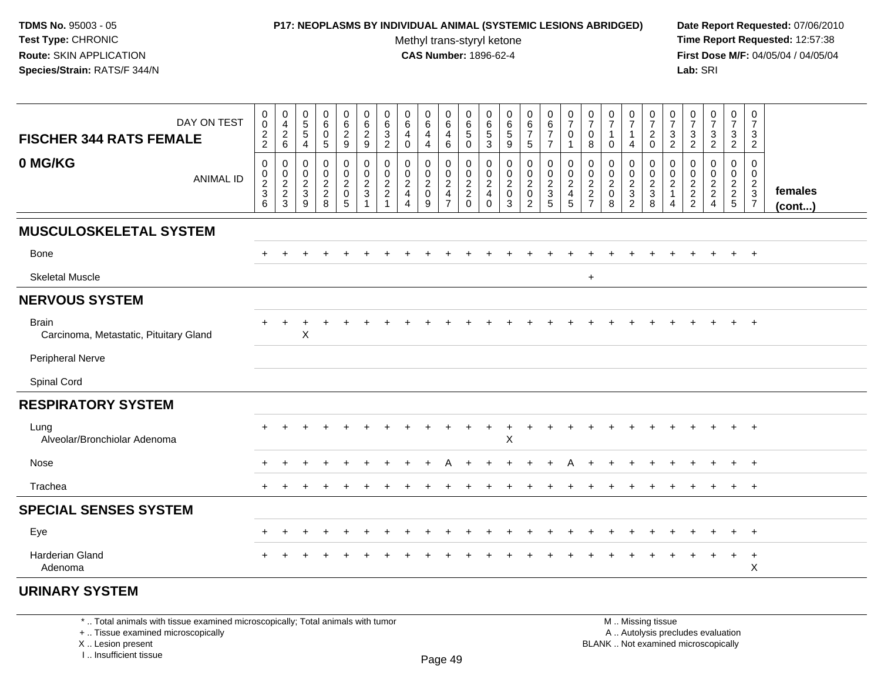## **P17: NEOPLASMS BY INDIVIDUAL ANIMAL (SYSTEMIC LESIONS ABRIDGED) Date Report Requested:** 07/06/2010

Methyl trans-styryl ketone<br>CAS Number: 1896-62-4

 **Time Report Requested:** 12:57:38 **First Dose M/F:** 04/05/04 / 04/05/04<br>**Lab:** SRI **Lab:** SRI

| DAY ON TEST<br><b>FISCHER 344 RATS FEMALE</b>          | $\mathbf 0$<br>$\mathbf 0$<br>$\frac{2}{2}$ | $\mathbf 0$<br>$\overline{4}$<br>$\begin{array}{c} 2 \\ 6 \end{array}$ | $\begin{array}{c} 0 \\ 5 \end{array}$<br>$\sqrt{5}$<br>$\overline{4}$       | $\begin{array}{c} 0 \\ 6 \end{array}$<br>$\mathbf 0$<br>5 | 0<br>6<br>$\overline{2}$<br>9                     | $_{6}^{\rm 0}$<br>$\frac{2}{9}$                | $\pmb{0}$<br>6<br>$\mathbf{3}$<br>$\boldsymbol{2}$                     | $\begin{array}{c} 0 \\ 6 \end{array}$<br>$\overline{4}$<br>$\mathbf 0$ | $\begin{array}{c} 0 \\ 6 \end{array}$<br>$\overline{\mathbf{4}}$<br>$\overline{4}$ | $\pmb{0}$<br>6<br>$\overline{\mathbf{4}}$<br>6                             | 0<br>$6\phantom{1}6$<br>$\,$ 5 $\,$<br>$\Omega$ | 0<br>$\,6\,$<br>$\sqrt{5}$<br>$\mathbf{3}$                             | $_{6}^{\rm 0}$<br>$\sqrt{5}$<br>$\boldsymbol{9}$ | $_{\rm 6}^{\rm 0}$<br>$\overline{7}$<br>$\sqrt{5}$ | $\begin{array}{c} 0 \\ 6 \end{array}$<br>$\overline{7}$<br>$\overline{7}$ | $\frac{0}{7}$<br>$\mathbf 0$<br>1                                          | $\frac{0}{7}$<br>$\mathbf 0$<br>8                                   | $\frac{0}{7}$<br>$\mathbf{1}$<br>$\mathbf 0$  | $\begin{array}{c} 0 \\ 7 \end{array}$<br>$\mathbf{1}$<br>$\overline{4}$ | $\begin{array}{c} 0 \\ 7 \end{array}$<br>$\frac{2}{0}$ | $\frac{0}{7}$<br>$\mathbf{3}$<br>$\overline{2}$                 | $\frac{0}{7}$<br>$\frac{3}{2}$       | $\frac{0}{7}$<br>$\frac{3}{2}$                               | $\frac{0}{7}$<br>$\mathbf{3}$<br>$\overline{2}$ | $\begin{smallmatrix}0\\7\end{smallmatrix}$<br>$\mathbf{3}$<br>$\sqrt{2}$ |                         |
|--------------------------------------------------------|---------------------------------------------|------------------------------------------------------------------------|-----------------------------------------------------------------------------|-----------------------------------------------------------|---------------------------------------------------|------------------------------------------------|------------------------------------------------------------------------|------------------------------------------------------------------------|------------------------------------------------------------------------------------|----------------------------------------------------------------------------|-------------------------------------------------|------------------------------------------------------------------------|--------------------------------------------------|----------------------------------------------------|---------------------------------------------------------------------------|----------------------------------------------------------------------------|---------------------------------------------------------------------|-----------------------------------------------|-------------------------------------------------------------------------|--------------------------------------------------------|-----------------------------------------------------------------|--------------------------------------|--------------------------------------------------------------|-------------------------------------------------|--------------------------------------------------------------------------|-------------------------|
| 0 MG/KG<br><b>ANIMAL ID</b>                            | $\mathsf{O}\xspace$<br>$\frac{0}{2}$<br>6   | $\mathbf 0$<br>$\frac{0}{2}$<br>3                                      | $\mathsf{O}\xspace$<br>$\begin{smallmatrix} 0\\2\\3 \end{smallmatrix}$<br>9 | $\mathbf 0$<br>$\mathbf 0$<br>$\frac{2}{2}$<br>8          | $\pmb{0}$<br>$^{\rm 0}_{\rm 2}$<br>$\pmb{0}$<br>5 | $\mathsf 0$<br>$\frac{0}{2}$<br>$\overline{1}$ | $\mathsf{O}\xspace$<br>$\begin{smallmatrix} 0\\2\\2 \end{smallmatrix}$ | $\pmb{0}$<br>$\frac{0}{2}$<br>4                                        | 0<br>$\mathbf 0$<br>$\frac{2}{0}$<br>9                                             | $\mathbf 0$<br>$\begin{matrix} 0 \\ 2 \\ 4 \end{matrix}$<br>$\overline{7}$ | $\mathbf 0$<br>$\pmb{0}$<br>$_2^2$<br>$\Omega$  | $\pmb{0}$<br>$\pmb{0}$<br>$\overline{2}$<br>$\overline{4}$<br>$\Omega$ | $\pmb{0}$<br>$\frac{0}{2}$<br>$\pmb{0}$<br>3     | $\pmb{0}$<br>$\frac{0}{2}$<br>$\overline{2}$       | $\pmb{0}$<br>$\frac{0}{2}$<br>$5\phantom{1}$                              | $\mathbf 0$<br>$\pmb{0}$<br>$\overline{c}$<br>$\overline{\mathbf{4}}$<br>5 | $\mathsf{O}\xspace$<br>$\pmb{0}$<br>$\frac{2}{2}$<br>$\overline{7}$ | $\pmb{0}$<br>$_{2}^{\rm 0}$<br>$\pmb{0}$<br>8 | 0<br>$\frac{0}{2}$<br>$\overline{2}$                                    | $\mathbf 0$<br>$\pmb{0}$<br>$\frac{2}{3}$<br>8         | $\mathbf 0$<br>$\pmb{0}$<br>$\overline{c}$<br>$\mathbf{1}$<br>4 | $\pmb{0}$<br>$\frac{0}{2}$<br>2<br>2 | $\pmb{0}$<br>$\begin{array}{c} 0 \\ 2 \\ 2 \\ 4 \end{array}$ | 0<br>$\frac{0}{2}$<br>5                         | $\mathbf 0$<br>$\mathbf 0$<br>$rac{2}{3}$                                | females<br>$($ cont $)$ |
| <b>MUSCULOSKELETAL SYSTEM</b>                          |                                             |                                                                        |                                                                             |                                                           |                                                   |                                                |                                                                        |                                                                        |                                                                                    |                                                                            |                                                 |                                                                        |                                                  |                                                    |                                                                           |                                                                            |                                                                     |                                               |                                                                         |                                                        |                                                                 |                                      |                                                              |                                                 |                                                                          |                         |
| <b>Bone</b>                                            | $\ddot{}$                                   |                                                                        |                                                                             |                                                           |                                                   |                                                |                                                                        |                                                                        |                                                                                    |                                                                            |                                                 |                                                                        |                                                  |                                                    |                                                                           |                                                                            |                                                                     |                                               |                                                                         |                                                        |                                                                 |                                      |                                                              | $\ddot{}$                                       | $+$                                                                      |                         |
| <b>Skeletal Muscle</b>                                 |                                             |                                                                        |                                                                             |                                                           |                                                   |                                                |                                                                        |                                                                        |                                                                                    |                                                                            |                                                 |                                                                        |                                                  |                                                    |                                                                           |                                                                            | $+$                                                                 |                                               |                                                                         |                                                        |                                                                 |                                      |                                                              |                                                 |                                                                          |                         |
| <b>NERVOUS SYSTEM</b>                                  |                                             |                                                                        |                                                                             |                                                           |                                                   |                                                |                                                                        |                                                                        |                                                                                    |                                                                            |                                                 |                                                                        |                                                  |                                                    |                                                                           |                                                                            |                                                                     |                                               |                                                                         |                                                        |                                                                 |                                      |                                                              |                                                 |                                                                          |                         |
| <b>Brain</b><br>Carcinoma, Metastatic, Pituitary Gland |                                             |                                                                        | $\boldsymbol{\mathsf{X}}$                                                   |                                                           |                                                   |                                                |                                                                        |                                                                        |                                                                                    |                                                                            |                                                 |                                                                        |                                                  |                                                    |                                                                           |                                                                            |                                                                     |                                               |                                                                         |                                                        |                                                                 |                                      |                                                              |                                                 | $\overline{+}$                                                           |                         |
| Peripheral Nerve                                       |                                             |                                                                        |                                                                             |                                                           |                                                   |                                                |                                                                        |                                                                        |                                                                                    |                                                                            |                                                 |                                                                        |                                                  |                                                    |                                                                           |                                                                            |                                                                     |                                               |                                                                         |                                                        |                                                                 |                                      |                                                              |                                                 |                                                                          |                         |
| Spinal Cord                                            |                                             |                                                                        |                                                                             |                                                           |                                                   |                                                |                                                                        |                                                                        |                                                                                    |                                                                            |                                                 |                                                                        |                                                  |                                                    |                                                                           |                                                                            |                                                                     |                                               |                                                                         |                                                        |                                                                 |                                      |                                                              |                                                 |                                                                          |                         |
| <b>RESPIRATORY SYSTEM</b>                              |                                             |                                                                        |                                                                             |                                                           |                                                   |                                                |                                                                        |                                                                        |                                                                                    |                                                                            |                                                 |                                                                        |                                                  |                                                    |                                                                           |                                                                            |                                                                     |                                               |                                                                         |                                                        |                                                                 |                                      |                                                              |                                                 |                                                                          |                         |
| Lung<br>Alveolar/Bronchiolar Adenoma                   | $+$                                         |                                                                        |                                                                             |                                                           |                                                   |                                                |                                                                        |                                                                        |                                                                                    |                                                                            |                                                 |                                                                        | $\ddot{}$<br>X                                   | ٠                                                  |                                                                           |                                                                            |                                                                     |                                               |                                                                         |                                                        |                                                                 |                                      | $\pm$                                                        | $+$                                             | $+$                                                                      |                         |
| Nose                                                   | ÷                                           |                                                                        |                                                                             |                                                           |                                                   |                                                |                                                                        |                                                                        |                                                                                    |                                                                            |                                                 |                                                                        |                                                  |                                                    |                                                                           |                                                                            |                                                                     |                                               |                                                                         |                                                        |                                                                 |                                      |                                                              | $\ddot{}$                                       | $^{+}$                                                                   |                         |
| Trachea                                                |                                             |                                                                        |                                                                             |                                                           |                                                   |                                                |                                                                        |                                                                        |                                                                                    |                                                                            |                                                 |                                                                        |                                                  |                                                    |                                                                           |                                                                            |                                                                     |                                               |                                                                         |                                                        |                                                                 |                                      |                                                              | $\ddot{}$                                       | $^{+}$                                                                   |                         |
| <b>SPECIAL SENSES SYSTEM</b>                           |                                             |                                                                        |                                                                             |                                                           |                                                   |                                                |                                                                        |                                                                        |                                                                                    |                                                                            |                                                 |                                                                        |                                                  |                                                    |                                                                           |                                                                            |                                                                     |                                               |                                                                         |                                                        |                                                                 |                                      |                                                              |                                                 |                                                                          |                         |
| Eye                                                    |                                             |                                                                        |                                                                             |                                                           |                                                   |                                                |                                                                        |                                                                        |                                                                                    |                                                                            |                                                 |                                                                        |                                                  |                                                    |                                                                           |                                                                            |                                                                     |                                               |                                                                         |                                                        |                                                                 |                                      |                                                              |                                                 | $\overline{+}$                                                           |                         |
| <b>Harderian Gland</b><br>Adenoma                      | $\pm$                                       |                                                                        |                                                                             |                                                           |                                                   |                                                |                                                                        |                                                                        |                                                                                    |                                                                            |                                                 |                                                                        |                                                  |                                                    |                                                                           |                                                                            |                                                                     |                                               |                                                                         |                                                        |                                                                 |                                      | $\ddot{}$                                                    | $\ddot{}$                                       | $+$<br>Χ                                                                 |                         |

# **URINARY SYSTEM**

\* .. Total animals with tissue examined microscopically; Total animals with tumor

+ .. Tissue examined microscopically

X .. Lesion present

I .. Insufficient tissue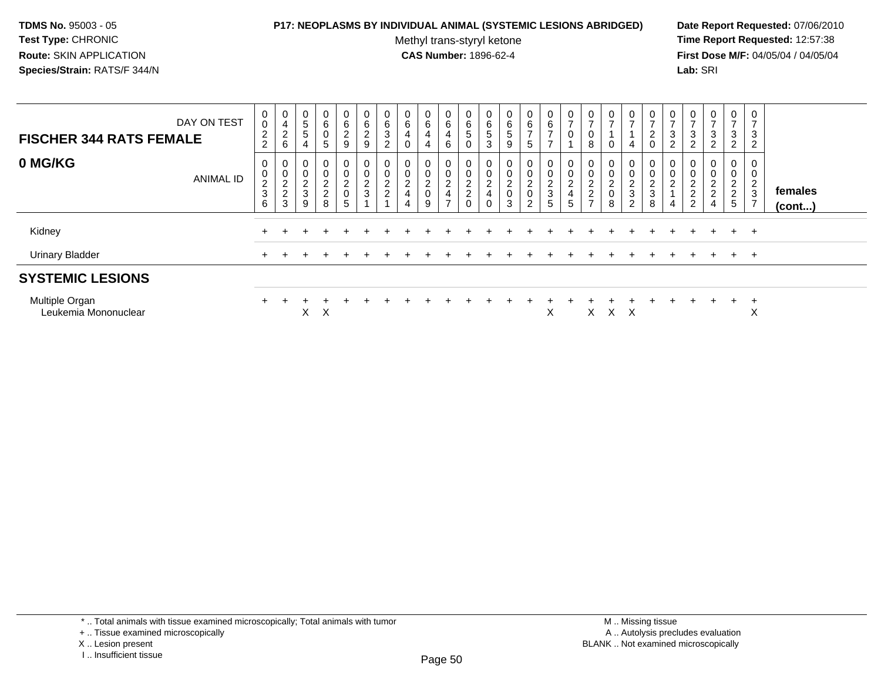### **P17: NEOPLASMS BY INDIVIDUAL ANIMAL (SYSTEMIC LESIONS ABRIDGED) Date Report Requested:** 07/06/2010

Methyl trans-styryl ketone<br>CAS Number: 1896-62-4

| DAY ON TEST<br><b>FISCHER 344 RATS FEMALE</b> |                  | 0<br>0<br>$\overline{c}$<br>$\overline{2}$                         | 0<br>$\overline{\mathbf{4}}$<br>$^2\phantom{1}6$    | 0<br>$\mathbf 5$<br>$\sqrt{5}$<br>$\overline{4}$ | 0<br>6<br>0<br>$5\overline{)}$ | 0<br>6<br>$\overline{c}$<br>9                | 0<br>6<br>$\frac{2}{9}$           | $\mathbf{0}$<br>6<br>3<br>$\overline{c}$               | 0<br>6<br>4<br>0                   | 0<br>$\,6\,$<br>4<br>$\overline{4}$                    | 0<br>$\,6\,$<br>4<br>6                                               | 0<br>$\,6$<br>5<br>0                                | $\overline{0}$<br>6<br>$\sqrt{5}$<br>3                          | 0<br>6<br>$5\phantom{.0}$<br>9     | 0<br>6<br>$\rightarrow$<br>5                    | 0<br>$\,6$<br>$\overline{ }$<br>$\overline{ }$  | U<br>$\overline{ }$<br>0             | 0<br>$\overline{ }$<br>0<br>8                                                  | 0<br>$\overline{ }$<br>0                               | $\frac{0}{7}$<br>$\overline{4}$                 | $\mathbf{0}$<br>$\rightarrow$<br>$^2_{\rm 0}$     | 0<br>$\rightarrow$<br>3<br>ົ<br>∠ | 0<br>$\overline{ }$<br>$\sqrt{3}$<br>$\overline{2}$ | $\mathbf 0$<br>$\overline{\phantom{a}}$<br>3<br>$\overline{2}$          | 0<br>$\overline{ }$<br>3<br>2                                 | 0<br>3<br>$\overline{2}$                                         |                         |
|-----------------------------------------------|------------------|--------------------------------------------------------------------|-----------------------------------------------------|--------------------------------------------------|--------------------------------|----------------------------------------------|-----------------------------------|--------------------------------------------------------|------------------------------------|--------------------------------------------------------|----------------------------------------------------------------------|-----------------------------------------------------|-----------------------------------------------------------------|------------------------------------|-------------------------------------------------|-------------------------------------------------|--------------------------------------|--------------------------------------------------------------------------------|--------------------------------------------------------|-------------------------------------------------|---------------------------------------------------|-----------------------------------|-----------------------------------------------------|-------------------------------------------------------------------------|---------------------------------------------------------------|------------------------------------------------------------------|-------------------------|
| 0 MG/KG                                       | <b>ANIMAL ID</b> | 0<br>$\pmb{0}$<br>$\overline{c}$<br>$\ensuremath{\mathsf{3}}$<br>6 | 0<br>$\mathbf 0$<br>$\overline{c}$<br>$\frac{2}{3}$ | 0<br>$\pmb{0}$<br>$\frac{2}{3}$<br>9             | 0<br>0<br>$\frac{2}{2}$<br>8   | 0<br>$\mathbf 0$<br>$\overline{c}$<br>0<br>5 | 0<br>$\mathsf 0$<br>$\frac{2}{3}$ | 0<br>$\mathbf 0$<br>$\boldsymbol{2}$<br>$\overline{c}$ | 0<br>0<br>$\overline{2}$<br>4<br>4 | 0<br>$\mathbf 0$<br>$\overline{c}$<br>$\mathsf 0$<br>9 | 0<br>$\pmb{0}$<br>$\overline{c}$<br>$\overline{4}$<br>$\overline{ }$ | 0<br>0<br>$\boldsymbol{2}$<br>$\boldsymbol{2}$<br>0 | $\mathbf 0$<br>$\mathbf 0$<br>$\sqrt{2}$<br>4<br>$\overline{0}$ | 0<br>0<br>$\overline{a}$<br>0<br>3 | 0<br>0<br>$\overline{c}$<br>0<br>$\overline{2}$ | 0<br>$\pmb{0}$<br>$\sqrt{2}$<br>$\sqrt{3}$<br>5 | 0<br>0<br>$\boldsymbol{2}$<br>4<br>5 | $\mathbf 0$<br>$\pmb{0}$<br>$\overline{c}$<br>$\overline{c}$<br>$\overline{ }$ | $\mathbf 0$<br>0<br>$\overline{c}$<br>$\mathbf 0$<br>8 | 0<br>0<br>$\overline{c}$<br>3<br>$\overline{c}$ | 0<br>$\mathbf 0$<br>$\sqrt{2}$<br>$\sqrt{3}$<br>8 | 0<br>0<br>$\overline{c}$<br>4     | 0<br>$\pmb{0}$<br>$\boldsymbol{2}$<br>$\frac{2}{2}$ | 0<br>0<br>$\boldsymbol{2}$<br>$\overline{\mathbf{c}}$<br>$\overline{4}$ | 0<br>0<br>$\overline{c}$<br>$\overline{c}$<br>$5\phantom{.0}$ | 0<br>ົ<br>$\epsilon$<br>$\mathbf{3}$<br>$\overline{\phantom{a}}$ | females<br>$($ cont $)$ |
| Kidney                                        |                  |                                                                    |                                                     |                                                  |                                |                                              |                                   |                                                        |                                    |                                                        |                                                                      |                                                     |                                                                 |                                    |                                                 |                                                 |                                      |                                                                                |                                                        |                                                 |                                                   |                                   |                                                     |                                                                         | $+$                                                           | $+$                                                              |                         |
| Urinary Bladder                               |                  | $+$                                                                |                                                     |                                                  |                                |                                              |                                   |                                                        |                                    |                                                        |                                                                      |                                                     |                                                                 |                                    |                                                 |                                                 |                                      |                                                                                |                                                        |                                                 |                                                   |                                   |                                                     | $\div$                                                                  | $+$                                                           | $^{+}$                                                           |                         |
| <b>SYSTEMIC LESIONS</b>                       |                  |                                                                    |                                                     |                                                  |                                |                                              |                                   |                                                        |                                    |                                                        |                                                                      |                                                     |                                                                 |                                    |                                                 |                                                 |                                      |                                                                                |                                                        |                                                 |                                                   |                                   |                                                     |                                                                         |                                                               |                                                                  |                         |
| Multiple Organ<br>Leukemia Mononuclear        |                  | $\pm$                                                              |                                                     | X.                                               | Χ                              |                                              |                                   |                                                        |                                    |                                                        |                                                                      |                                                     |                                                                 |                                    |                                                 | Χ                                               |                                      | X                                                                              | л                                                      | - X                                             |                                                   |                                   |                                                     |                                                                         | $\div$                                                        | $\div$<br>X                                                      |                         |

<sup>+ ..</sup> Tissue examined microscopically

X .. Lesion present

I .. Insufficient tissue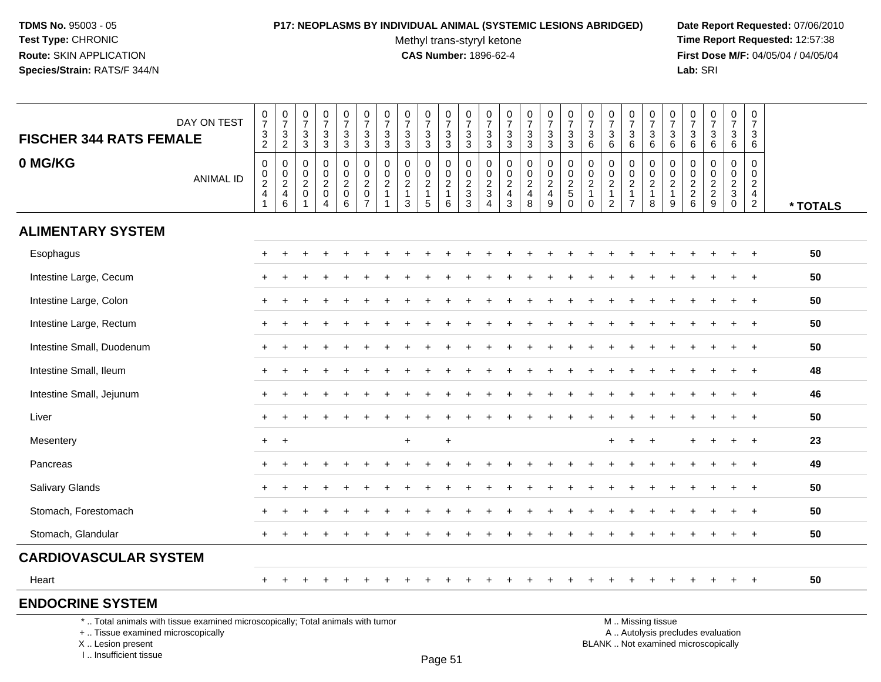# **P17: NEOPLASMS BY INDIVIDUAL ANIMAL (SYSTEMIC LESIONS ABRIDGED) Date Report Requested:** 07/06/2010

Methyl trans-styryl ketone<br>CAS Number: 1896-62-4

 **Time Report Requested:** 12:57:38 **First Dose M/F:** 04/05/04 / 04/05/04<br>Lab: SRI **Lab:** SRI

| <b>FISCHER 344 RATS FEMALE</b>                                                                                        | DAY ON TEST      | $\begin{array}{c} 0 \\ 7 \\ 3 \\ 2 \end{array}$ | $\begin{array}{c} 0 \\ 7 \end{array}$<br>$\frac{3}{2}$ | $\begin{array}{c} 0 \\ 7 \end{array}$<br>$\sqrt{3}$<br>$\overline{3}$ | $\begin{array}{c} 0 \\ 7 \end{array}$<br>$_3^3$                      | $\begin{smallmatrix}0\\7\end{smallmatrix}$<br>$_3^3$         | $\frac{0}{7}$<br>3<br>$\overline{3}$                                                  | $\frac{0}{7}$<br>$\frac{3}{3}$                        | $\frac{0}{7}$<br>$\sqrt{3}$<br>$\overline{3}$ | $\begin{array}{c} 0 \\ 7 \end{array}$<br>$\frac{3}{3}$      | $\frac{0}{7}$<br>$_3^3$                                             | $\frac{0}{7}$<br>$\frac{3}{3}$                                 | $\frac{0}{7}$<br>3<br>3                   | $\frac{0}{7}$<br>$\frac{3}{3}$  | $\frac{0}{7}$<br>$\frac{3}{3}$                                                               | $\begin{array}{c} 0 \\ 7 \end{array}$<br>$\frac{3}{3}$ | $\begin{array}{c} 0 \\ 7 \end{array}$<br>$\frac{3}{3}$ | $\frac{0}{7}$<br>3<br>$\,6\,$                                       | $\begin{smallmatrix}0\\7\end{smallmatrix}$<br>$\sqrt{3}$<br>$6\phantom{1}$ | $\frac{0}{7}$<br>3<br>$6\phantom{1}$                                 | $\frac{0}{7}$<br>$\frac{3}{6}$                                 | $\frac{0}{7}$<br>$^3$ 6                                         | 0<br>$\overline{7}$<br>$\sqrt{3}$<br>$\,6\,$                  | $\begin{smallmatrix}0\\7\end{smallmatrix}$<br>$\sqrt{3}$<br>$\,6\,$ | $\frac{0}{7}$<br>$\mathbf{3}$<br>6     | $\begin{smallmatrix}0\\7\end{smallmatrix}$<br>$\mathbf{3}$<br>$6\phantom{a}$ |          |
|-----------------------------------------------------------------------------------------------------------------------|------------------|-------------------------------------------------|--------------------------------------------------------|-----------------------------------------------------------------------|----------------------------------------------------------------------|--------------------------------------------------------------|---------------------------------------------------------------------------------------|-------------------------------------------------------|-----------------------------------------------|-------------------------------------------------------------|---------------------------------------------------------------------|----------------------------------------------------------------|-------------------------------------------|---------------------------------|----------------------------------------------------------------------------------------------|--------------------------------------------------------|--------------------------------------------------------|---------------------------------------------------------------------|----------------------------------------------------------------------------|----------------------------------------------------------------------|----------------------------------------------------------------|-----------------------------------------------------------------|---------------------------------------------------------------|---------------------------------------------------------------------|----------------------------------------|------------------------------------------------------------------------------|----------|
| 0 MG/KG                                                                                                               | <b>ANIMAL ID</b> | $\mathbf 0$<br>$\frac{0}{2}$<br>$\frac{2}{1}$   | 0<br>$_{2}^{\rm 0}$<br>4<br>6                          | $\mathbf 0$<br>0<br>$\sqrt{2}$<br>0                                   | $\mathbf 0$<br>$\mathbf 0$<br>$\frac{2}{0}$<br>$\boldsymbol{\Delta}$ | 0<br>$\mathsf 0$<br>$\sqrt{2}$<br>$\mathbf 0$<br>$6^{\circ}$ | $\mathbf 0$<br>$\mathbf 0$<br>$\overline{c}$<br>$\begin{array}{c} 0 \\ 7 \end{array}$ | 0<br>$\pmb{0}$<br>$\overline{c}$<br>$\mathbf{1}$<br>1 | 0<br>0<br>$\overline{c}$<br>$\mathbf{1}$<br>3 | $\mathbf 0$<br>$\pmb{0}$<br>$\sqrt{2}$<br>$\mathbf{1}$<br>5 | 0<br>$\pmb{0}$<br>$\overline{2}$<br>$\mathbf{1}$<br>$6\phantom{1}6$ | $\mathbf 0$<br>$\begin{array}{c} 0 \\ 2 \\ 3 \\ 3 \end{array}$ | 0<br>0<br>$\frac{2}{3}$<br>$\overline{4}$ | 0<br>$\pmb{0}$<br>$\frac{2}{4}$ | $\mathbf 0$<br>$\pmb{0}$<br>$\overline{\mathbf{c}}$<br>$\begin{array}{c} 4 \\ 8 \end{array}$ | $\mathbf 0$<br>$\mathbf 0$<br>$\sqrt{2}$<br>4<br>9     | $\mathbf 0$<br>$\mathbf 0$<br>$\frac{2}{5}$            | $\mathbf 0$<br>0<br>$\boldsymbol{2}$<br>$\mathbf{1}$<br>$\mathbf 0$ | $\mathbf 0$<br>$\mathbf 0$<br>$\sqrt{2}$<br>$\mathbf{1}$<br>$\overline{2}$ | 0<br>$\mathbf 0$<br>$\overline{2}$<br>$\mathbf{1}$<br>$\overline{7}$ | 0<br>$\pmb{0}$<br>$\overline{\mathbf{c}}$<br>$\mathbf{1}$<br>8 | $\mathbf 0$<br>$\pmb{0}$<br>$\sqrt{2}$<br>$\mathbf{1}$<br>$9\,$ | 0<br>0<br>$\sqrt{2}$<br>$\begin{array}{c} 2 \\ 6 \end{array}$ | $\mathbf 0$<br>$\mathbf 0$<br>$\frac{2}{9}$                         | $\mathbf 0$<br>0<br>$\frac{2}{3}$<br>0 | $\mathbf 0$<br>$\mathbf 0$<br>$\sqrt{2}$<br>$\frac{4}{2}$                    | * TOTALS |
| <b>ALIMENTARY SYSTEM</b>                                                                                              |                  |                                                 |                                                        |                                                                       |                                                                      |                                                              |                                                                                       |                                                       |                                               |                                                             |                                                                     |                                                                |                                           |                                 |                                                                                              |                                                        |                                                        |                                                                     |                                                                            |                                                                      |                                                                |                                                                 |                                                               |                                                                     |                                        |                                                                              |          |
| Esophagus                                                                                                             |                  |                                                 |                                                        |                                                                       |                                                                      |                                                              |                                                                                       |                                                       |                                               |                                                             |                                                                     |                                                                |                                           |                                 |                                                                                              |                                                        |                                                        |                                                                     |                                                                            |                                                                      |                                                                |                                                                 |                                                               |                                                                     |                                        |                                                                              | 50       |
| Intestine Large, Cecum                                                                                                |                  |                                                 |                                                        |                                                                       |                                                                      |                                                              |                                                                                       |                                                       |                                               |                                                             |                                                                     |                                                                |                                           |                                 |                                                                                              |                                                        |                                                        |                                                                     |                                                                            |                                                                      |                                                                |                                                                 |                                                               |                                                                     |                                        | $\ddot{}$                                                                    | 50       |
| Intestine Large, Colon                                                                                                |                  |                                                 |                                                        |                                                                       |                                                                      |                                                              |                                                                                       |                                                       |                                               |                                                             |                                                                     |                                                                |                                           |                                 |                                                                                              |                                                        |                                                        |                                                                     |                                                                            |                                                                      |                                                                |                                                                 |                                                               |                                                                     |                                        |                                                                              | 50       |
| Intestine Large, Rectum                                                                                               |                  |                                                 |                                                        |                                                                       |                                                                      |                                                              |                                                                                       |                                                       |                                               |                                                             |                                                                     |                                                                |                                           |                                 |                                                                                              |                                                        |                                                        |                                                                     |                                                                            |                                                                      |                                                                |                                                                 |                                                               |                                                                     |                                        |                                                                              | 50       |
| Intestine Small, Duodenum                                                                                             |                  |                                                 |                                                        |                                                                       |                                                                      |                                                              |                                                                                       |                                                       |                                               |                                                             |                                                                     |                                                                |                                           |                                 |                                                                                              |                                                        |                                                        |                                                                     |                                                                            |                                                                      |                                                                |                                                                 |                                                               |                                                                     |                                        |                                                                              | 50       |
| Intestine Small, Ileum                                                                                                |                  |                                                 |                                                        |                                                                       |                                                                      |                                                              |                                                                                       |                                                       |                                               |                                                             |                                                                     |                                                                |                                           |                                 |                                                                                              |                                                        |                                                        |                                                                     |                                                                            |                                                                      |                                                                |                                                                 |                                                               |                                                                     |                                        |                                                                              | 48       |
| Intestine Small, Jejunum                                                                                              |                  |                                                 |                                                        |                                                                       |                                                                      |                                                              |                                                                                       |                                                       |                                               |                                                             |                                                                     |                                                                |                                           |                                 |                                                                                              |                                                        |                                                        |                                                                     |                                                                            |                                                                      |                                                                |                                                                 |                                                               |                                                                     |                                        | $\ddot{}$                                                                    | 46       |
| Liver                                                                                                                 |                  |                                                 |                                                        |                                                                       |                                                                      |                                                              |                                                                                       |                                                       |                                               |                                                             |                                                                     |                                                                |                                           |                                 |                                                                                              |                                                        |                                                        |                                                                     |                                                                            |                                                                      |                                                                |                                                                 |                                                               |                                                                     |                                        |                                                                              | 50       |
| Mesentery                                                                                                             |                  | +                                               | $\ddot{}$                                              |                                                                       |                                                                      |                                                              |                                                                                       |                                                       | $\ddot{}$                                     |                                                             | +                                                                   |                                                                |                                           |                                 |                                                                                              |                                                        |                                                        |                                                                     |                                                                            |                                                                      |                                                                |                                                                 |                                                               |                                                                     |                                        | $\overline{1}$                                                               | 23       |
| Pancreas                                                                                                              |                  |                                                 |                                                        |                                                                       |                                                                      |                                                              |                                                                                       |                                                       |                                               |                                                             |                                                                     |                                                                |                                           |                                 |                                                                                              |                                                        |                                                        |                                                                     |                                                                            |                                                                      |                                                                |                                                                 |                                                               |                                                                     |                                        | $\ddot{}$                                                                    | 49       |
| <b>Salivary Glands</b>                                                                                                |                  |                                                 |                                                        |                                                                       |                                                                      |                                                              |                                                                                       |                                                       |                                               |                                                             |                                                                     |                                                                |                                           |                                 |                                                                                              |                                                        |                                                        |                                                                     |                                                                            |                                                                      |                                                                |                                                                 |                                                               |                                                                     |                                        | $\ddot{}$                                                                    | 50       |
| Stomach, Forestomach                                                                                                  |                  |                                                 |                                                        |                                                                       |                                                                      |                                                              |                                                                                       |                                                       |                                               |                                                             |                                                                     |                                                                |                                           |                                 |                                                                                              |                                                        |                                                        |                                                                     |                                                                            |                                                                      |                                                                |                                                                 |                                                               |                                                                     |                                        |                                                                              | 50       |
| Stomach, Glandular                                                                                                    |                  |                                                 |                                                        |                                                                       |                                                                      |                                                              |                                                                                       |                                                       |                                               |                                                             |                                                                     |                                                                |                                           |                                 |                                                                                              |                                                        |                                                        |                                                                     |                                                                            |                                                                      |                                                                |                                                                 |                                                               |                                                                     |                                        |                                                                              | 50       |
| <b>CARDIOVASCULAR SYSTEM</b>                                                                                          |                  |                                                 |                                                        |                                                                       |                                                                      |                                                              |                                                                                       |                                                       |                                               |                                                             |                                                                     |                                                                |                                           |                                 |                                                                                              |                                                        |                                                        |                                                                     |                                                                            |                                                                      |                                                                |                                                                 |                                                               |                                                                     |                                        |                                                                              |          |
| Heart                                                                                                                 |                  | $+$                                             |                                                        |                                                                       |                                                                      |                                                              |                                                                                       |                                                       |                                               |                                                             |                                                                     |                                                                |                                           |                                 |                                                                                              |                                                        |                                                        |                                                                     |                                                                            |                                                                      |                                                                |                                                                 |                                                               |                                                                     | $+$                                    | $+$                                                                          | 50       |
| <b>ENDOCRINE SYSTEM</b>                                                                                               |                  |                                                 |                                                        |                                                                       |                                                                      |                                                              |                                                                                       |                                                       |                                               |                                                             |                                                                     |                                                                |                                           |                                 |                                                                                              |                                                        |                                                        |                                                                     |                                                                            |                                                                      |                                                                |                                                                 |                                                               |                                                                     |                                        |                                                                              |          |
| *  Total animals with tissue examined microscopically; Total animals with tumor<br>+  Tissue examined microscopically |                  |                                                 |                                                        |                                                                       |                                                                      |                                                              |                                                                                       |                                                       |                                               |                                                             |                                                                     |                                                                |                                           |                                 |                                                                                              |                                                        |                                                        |                                                                     |                                                                            |                                                                      | M  Missing tissue                                              |                                                                 |                                                               | A  Autolysis precludes evaluation                                   |                                        |                                                                              |          |

X .. Lesion present

I .. Insufficient tissue

Page 51

Lesion present BLANK .. Not examined microscopically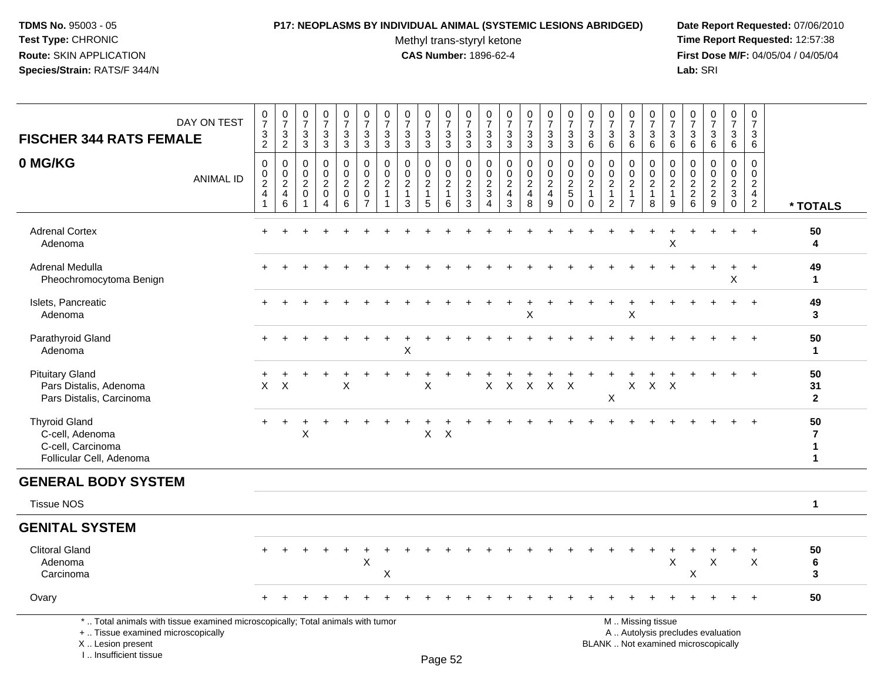# **P17: NEOPLASMS BY INDIVIDUAL ANIMAL (SYSTEMIC LESIONS ABRIDGED) Date Report Requested:** 07/06/2010

Methyl trans-styryl ketone<br>CAS Number: 1896-62-4

 **Time Report Requested:** 12:57:38 **First Dose M/F:** 04/05/04 / 04/05/04<br>Lab: SRI **Lab:** SRI

| <b>FISCHER 344 RATS FEMALE</b>                                                                                                             | DAY ON TEST      | $\pmb{0}$<br>$\overline{7}$<br>$\frac{3}{2}$       | $\frac{0}{7}$<br>$\frac{3}{2}$                            | 0<br>$\overline{7}$<br>3<br>3                      | 0<br>$\overline{7}$<br>$\mathbf{3}$<br>3                                | $\pmb{0}$<br>$\overline{7}$<br>$\mathbf{3}$<br>$\mathbf{3}$ | 0<br>$\overline{7}$<br>$\sqrt{3}$<br>3                                      | $\frac{0}{7}$<br>$\ensuremath{\mathsf{3}}$<br>3               | 0<br>$\overline{7}$<br>3<br>$\mathbf{3}$                      | $\frac{0}{7}$<br>$\mathbf{3}$<br>3                                  | 0<br>$\overline{7}$<br>3<br>3                       | 0<br>$\overline{7}$<br>$\sqrt{3}$<br>$\mathbf{3}$               | 0<br>$\overline{7}$<br>3<br>$\mathbf{3}$           | 0<br>$\overline{7}$<br>3<br>$\mathbf{3}$                        | $\begin{array}{c} 0 \\ 7 \end{array}$<br>$\sqrt{3}$<br>$\mathfrak{Z}$ | 0<br>$\overline{7}$<br>$\mathbf{3}$<br>$\mathbf{3}$                 | 0<br>$\overline{7}$<br>$\sqrt{3}$<br>$\mathbf{3}$         | 0<br>$\overline{7}$<br>3<br>$\,6\,$                                  | 0<br>$\overline{7}$<br>$\mathbf{3}$<br>6                                 | 0<br>$\overline{7}$<br>3<br>6                                                                 | $\pmb{0}$<br>$\overline{7}$<br>$\mathbf{3}$<br>$6\phantom{1}$   | 0<br>$\overline{7}$<br>$\mathbf{3}$<br>6                          | 0<br>$\overline{7}$<br>3<br>6     | $\begin{array}{c} 0 \\ 7 \end{array}$<br>$\mathbf{3}$<br>6 | $\pmb{0}$<br>$\overline{7}$<br>3<br>$6\phantom{1}$                         | 0<br>$\overline{7}$<br>$\mathbf{3}$<br>$6\phantom{1}6$                      |                                                      |
|--------------------------------------------------------------------------------------------------------------------------------------------|------------------|----------------------------------------------------|-----------------------------------------------------------|----------------------------------------------------|-------------------------------------------------------------------------|-------------------------------------------------------------|-----------------------------------------------------------------------------|---------------------------------------------------------------|---------------------------------------------------------------|---------------------------------------------------------------------|-----------------------------------------------------|-----------------------------------------------------------------|----------------------------------------------------|-----------------------------------------------------------------|-----------------------------------------------------------------------|---------------------------------------------------------------------|-----------------------------------------------------------|----------------------------------------------------------------------|--------------------------------------------------------------------------|-----------------------------------------------------------------------------------------------|-----------------------------------------------------------------|-------------------------------------------------------------------|-----------------------------------|------------------------------------------------------------|----------------------------------------------------------------------------|-----------------------------------------------------------------------------|------------------------------------------------------|
| 0 MG/KG                                                                                                                                    | <b>ANIMAL ID</b> | 0<br>$\pmb{0}$<br>$\overline{2}$<br>$\overline{4}$ | 0<br>$\mathbf 0$<br>$\overline{2}$<br>$\overline{4}$<br>6 | 0<br>$\mathbf 0$<br>$\overline{2}$<br>$\mathbf{0}$ | $\mathbf 0$<br>$\mathbf 0$<br>$\overline{c}$<br>$\mathbf 0$<br>$\Delta$ | 0<br>$\pmb{0}$<br>$\overline{c}$<br>$\mathbf 0$<br>6        | 0<br>$\mathsf{O}\xspace$<br>$\overline{a}$<br>$\mathbf 0$<br>$\overline{7}$ | $\pmb{0}$<br>$\pmb{0}$<br>$\overline{2}$<br>$\mathbf{1}$<br>1 | $\mathbf 0$<br>$\mathbf 0$<br>$\sqrt{2}$<br>$\mathbf{1}$<br>3 | $\mathbf 0$<br>$\mathbf 0$<br>$\overline{2}$<br>$\overline{1}$<br>5 | 0<br>$\mathbf 0$<br>$\sqrt{2}$<br>$\mathbf{1}$<br>6 | $\mathbf 0$<br>$\mathbf 0$<br>$\overline{2}$<br>$\sqrt{3}$<br>3 | $\mathbf 0$<br>$\mathbf 0$<br>$\sqrt{2}$<br>3<br>4 | $\mathbf 0$<br>$\mathbf 0$<br>$\sqrt{2}$<br>$\overline{4}$<br>3 | $\mathbf 0$<br>$\pmb{0}$<br>$\overline{2}$<br>$\overline{4}$<br>8     | $\mathbf 0$<br>$\mathbf 0$<br>$\overline{2}$<br>$\overline{4}$<br>9 | 0<br>$\mathbf 0$<br>$\sqrt{2}$<br>$\,$ 5 $\,$<br>$\Omega$ | $\mathbf 0$<br>$\mathbf 0$<br>$\sqrt{2}$<br>$\mathbf{1}$<br>$\Omega$ | $\mathbf 0$<br>$\pmb{0}$<br>$\sqrt{2}$<br>$\mathbf{1}$<br>$\overline{2}$ | 0<br>0<br>$\overline{2}$<br>$\mathbf{1}$<br>$\overline{7}$                                    | 0<br>$\mathsf{O}\xspace$<br>$\overline{2}$<br>$\mathbf{1}$<br>8 | $\mathbf 0$<br>$\pmb{0}$<br>$\boldsymbol{2}$<br>$\mathbf{1}$<br>9 | 0<br>$\pmb{0}$<br>$\frac{2}{2}$ 6 | $\mathbf 0$<br>0<br>$\frac{2}{2}$<br>9                     | $\mathbf 0$<br>$\mathbf 0$<br>$\sqrt{2}$<br>$\mathbf{3}$<br>$\overline{0}$ | 0<br>$\mathbf 0$<br>$\overline{2}$<br>$\begin{array}{c} 4 \\ 2 \end{array}$ | * TOTALS                                             |
| <b>Adrenal Cortex</b><br>Adenoma                                                                                                           |                  | $+$                                                |                                                           |                                                    |                                                                         |                                                             |                                                                             |                                                               |                                                               |                                                                     |                                                     |                                                                 |                                                    |                                                                 |                                                                       |                                                                     |                                                           |                                                                      |                                                                          |                                                                                               | $\ddot{}$                                                       | $\overline{ }$<br>X                                               |                                   |                                                            | ÷                                                                          |                                                                             | 50<br>4                                              |
| Adrenal Medulla<br>Pheochromocytoma Benign                                                                                                 |                  |                                                    |                                                           |                                                    |                                                                         |                                                             |                                                                             |                                                               |                                                               |                                                                     |                                                     |                                                                 |                                                    |                                                                 |                                                                       |                                                                     |                                                           |                                                                      |                                                                          |                                                                                               |                                                                 |                                                                   |                                   |                                                            | X                                                                          |                                                                             | 49<br>$\mathbf{1}$                                   |
| Islets, Pancreatic<br>Adenoma                                                                                                              |                  |                                                    |                                                           |                                                    |                                                                         |                                                             |                                                                             |                                                               |                                                               |                                                                     |                                                     |                                                                 |                                                    |                                                                 | X                                                                     |                                                                     |                                                           |                                                                      |                                                                          | X                                                                                             |                                                                 |                                                                   |                                   |                                                            |                                                                            |                                                                             | 49<br>3                                              |
| Parathyroid Gland<br>Adenoma                                                                                                               |                  |                                                    |                                                           |                                                    |                                                                         |                                                             |                                                                             |                                                               | $\mathsf X$                                                   |                                                                     |                                                     |                                                                 |                                                    |                                                                 |                                                                       |                                                                     |                                                           |                                                                      |                                                                          |                                                                                               |                                                                 |                                                                   |                                   |                                                            |                                                                            |                                                                             | 50<br>$\mathbf{1}$                                   |
| <b>Pituitary Gland</b><br>Pars Distalis, Adenoma<br>Pars Distalis, Carcinoma                                                               |                  | X                                                  | $\times$                                                  |                                                    |                                                                         | $\sf X$                                                     |                                                                             |                                                               |                                                               | X                                                                   |                                                     |                                                                 | X                                                  | $\mathsf{X}$                                                    | $\mathsf{X}$                                                          | $X$ $X$                                                             |                                                           |                                                                      | X                                                                        | X                                                                                             | $\mathsf{X}$                                                    | $\mathsf{X}$                                                      |                                   |                                                            |                                                                            |                                                                             | 50<br>31<br>$\mathbf{2}$                             |
| <b>Thyroid Gland</b><br>C-cell, Adenoma<br>C-cell, Carcinoma<br>Follicular Cell, Adenoma                                                   |                  | $+$                                                | $+$                                                       | $\ddot{}$<br>X                                     |                                                                         |                                                             |                                                                             |                                                               |                                                               | $\mathsf{X}$                                                        | $\boldsymbol{\mathsf{X}}$                           |                                                                 |                                                    |                                                                 |                                                                       |                                                                     |                                                           |                                                                      |                                                                          |                                                                                               |                                                                 |                                                                   |                                   |                                                            |                                                                            | $+$                                                                         | 50<br>$\overline{7}$<br>$\mathbf{1}$<br>$\mathbf{1}$ |
| <b>GENERAL BODY SYSTEM</b>                                                                                                                 |                  |                                                    |                                                           |                                                    |                                                                         |                                                             |                                                                             |                                                               |                                                               |                                                                     |                                                     |                                                                 |                                                    |                                                                 |                                                                       |                                                                     |                                                           |                                                                      |                                                                          |                                                                                               |                                                                 |                                                                   |                                   |                                                            |                                                                            |                                                                             |                                                      |
| <b>Tissue NOS</b>                                                                                                                          |                  |                                                    |                                                           |                                                    |                                                                         |                                                             |                                                                             |                                                               |                                                               |                                                                     |                                                     |                                                                 |                                                    |                                                                 |                                                                       |                                                                     |                                                           |                                                                      |                                                                          |                                                                                               |                                                                 |                                                                   |                                   |                                                            |                                                                            |                                                                             | $\mathbf{1}$                                         |
| <b>GENITAL SYSTEM</b>                                                                                                                      |                  |                                                    |                                                           |                                                    |                                                                         |                                                             |                                                                             |                                                               |                                                               |                                                                     |                                                     |                                                                 |                                                    |                                                                 |                                                                       |                                                                     |                                                           |                                                                      |                                                                          |                                                                                               |                                                                 |                                                                   |                                   |                                                            |                                                                            |                                                                             |                                                      |
| <b>Clitoral Gland</b><br>Adenoma<br>Carcinoma                                                                                              |                  |                                                    |                                                           |                                                    |                                                                         |                                                             | $\sf X$                                                                     | X                                                             |                                                               |                                                                     |                                                     |                                                                 |                                                    |                                                                 |                                                                       |                                                                     |                                                           |                                                                      |                                                                          |                                                                                               | $\ddot{}$                                                       | $\ddot{}$<br>$\boldsymbol{\mathsf{X}}$                            | X                                 | X                                                          | $\ddot{}$                                                                  | $\ddot{}$<br>$\boldsymbol{\mathsf{X}}$                                      | 50<br>$\bf 6$<br>3                                   |
| Ovary                                                                                                                                      |                  |                                                    |                                                           |                                                    |                                                                         |                                                             |                                                                             |                                                               |                                                               |                                                                     |                                                     |                                                                 |                                                    |                                                                 |                                                                       |                                                                     |                                                           |                                                                      |                                                                          |                                                                                               |                                                                 |                                                                   |                                   |                                                            |                                                                            | $\overline{+}$                                                              | 50                                                   |
| *  Total animals with tissue examined microscopically; Total animals with tumor<br>+  Tissue examined microscopically<br>X  Lesion present |                  |                                                    |                                                           |                                                    |                                                                         |                                                             |                                                                             |                                                               |                                                               |                                                                     |                                                     |                                                                 |                                                    |                                                                 |                                                                       |                                                                     |                                                           |                                                                      |                                                                          | M  Missing tissue<br>A  Autolysis precludes evaluation<br>BLANK  Not examined microscopically |                                                                 |                                                                   |                                   |                                                            |                                                                            |                                                                             |                                                      |

I .. Insufficient tissue

Page 52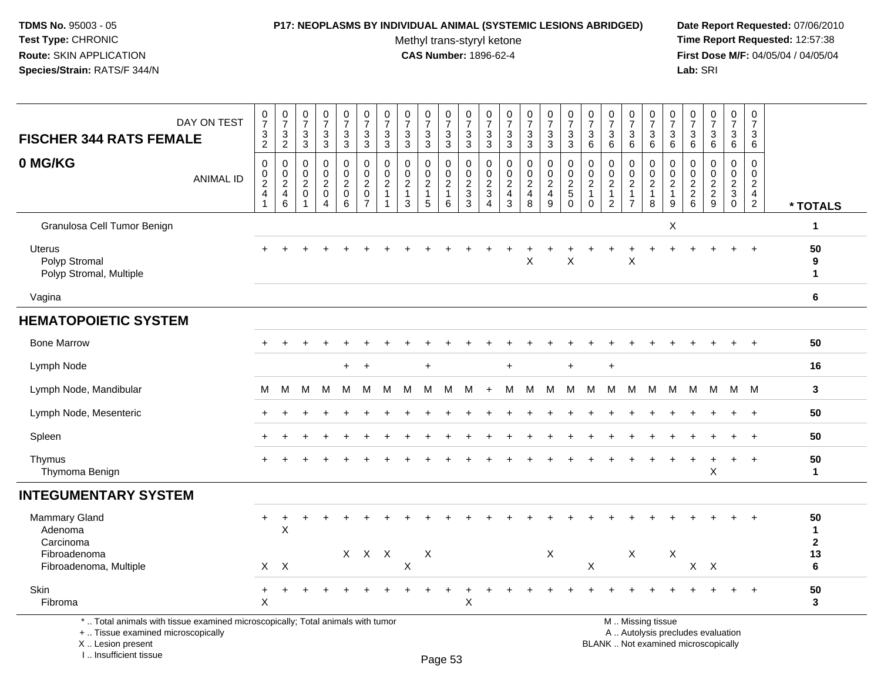### **P17: NEOPLASMS BY INDIVIDUAL ANIMAL (SYSTEMIC LESIONS ABRIDGED) Date Report Requested:** 07/06/2010

Methyl trans-styryl ketone<br>CAS Number: 1896-62-4

 **Time Report Requested:** 12:57:38 **First Dose M/F:** 04/05/04 / 04/05/04<br>Lab: SRI **Lab:** SRI

| DAY ON TEST<br><b>FISCHER 344 RATS FEMALE</b>                                   | $\begin{array}{c} 0 \\ 7 \end{array}$<br>$\frac{3}{2}$    | $\frac{0}{7}$<br>$\mathbf{3}$<br>$\overline{2}$                 | $\frac{0}{7}$<br>$_3^3$                                          | $\frac{0}{7}$<br>$\ensuremath{\mathsf{3}}$<br>$\overline{3}$      | 0<br>$\boldsymbol{7}$<br>3<br>$\overline{3}$              | $\frac{0}{7}$<br>$_3^3$                                                         | $\frac{0}{7}$<br>$\mathbf{3}$<br>$\mathbf{3}$                  | 0<br>$\overline{7}$<br>3<br>$\mathbf{3}$                            | $\frac{0}{7}$<br>3<br>$\overline{3}$                    | 0<br>$\overline{7}$<br>3<br>$\overline{3}$          | $\frac{0}{7}$<br>$\ensuremath{\mathsf{3}}$<br>$\overline{3}$ | $\frac{0}{7}$<br>$\frac{3}{3}$                                | $\begin{smallmatrix}0\\7\end{smallmatrix}$<br>$\ensuremath{\mathsf{3}}$<br>$\overline{3}$ | $\frac{0}{7}$<br>3<br>3                                            | $\frac{0}{7}$<br>$\frac{3}{3}$                            | $\frac{0}{7}$<br>$\ensuremath{\mathsf{3}}$<br>3                          | 0<br>$\overline{7}$<br>3<br>$\,6$                                          | $\frac{0}{7}$<br>3<br>$6\phantom{1}6$                                          | $\frac{0}{7}$<br>3<br>$\,6\,$                                    | 0<br>$\overline{7}$<br>3<br>$\,6\,$                             | 0<br>$\overline{7}$<br>3<br>6                         | 0<br>$\overline{7}$<br>$\ensuremath{\mathsf{3}}$<br>$6\overline{6}$ | $\frac{0}{7}$<br>$\ensuremath{\mathsf{3}}$<br>$6\overline{6}$ | $\boldsymbol{0}$<br>$\boldsymbol{7}$<br>$\mathbf{3}$<br>$6\phantom{a}$ | $\pmb{0}$<br>$\overline{7}$<br>3<br>6                                            |                                    |
|---------------------------------------------------------------------------------|-----------------------------------------------------------|-----------------------------------------------------------------|------------------------------------------------------------------|-------------------------------------------------------------------|-----------------------------------------------------------|---------------------------------------------------------------------------------|----------------------------------------------------------------|---------------------------------------------------------------------|---------------------------------------------------------|-----------------------------------------------------|--------------------------------------------------------------|---------------------------------------------------------------|-------------------------------------------------------------------------------------------|--------------------------------------------------------------------|-----------------------------------------------------------|--------------------------------------------------------------------------|----------------------------------------------------------------------------|--------------------------------------------------------------------------------|------------------------------------------------------------------|-----------------------------------------------------------------|-------------------------------------------------------|---------------------------------------------------------------------|---------------------------------------------------------------|------------------------------------------------------------------------|----------------------------------------------------------------------------------|------------------------------------|
| 0 MG/KG<br><b>ANIMAL ID</b>                                                     | $\mathbf 0$<br>0<br>$\overline{2}$<br>$\overline{4}$<br>1 | $\mathbf 0$<br>$\mathbf 0$<br>$\sqrt{2}$<br>$\overline{a}$<br>6 | $\mathbf 0$<br>$\mathsf 0$<br>$\overline{2}$<br>$\mathbf 0$<br>1 | $\mathsf 0$<br>$\mathsf{O}$<br>$\overline{c}$<br>$\mathbf 0$<br>4 | 0<br>0<br>$\overline{2}$<br>$\mathbf 0$<br>$6\phantom{1}$ | $\mathbf 0$<br>$\mathsf{O}\xspace$<br>$\sqrt{2}$<br>$\pmb{0}$<br>$\overline{7}$ | $\mathbf 0$<br>$\mathbf 0$<br>$\overline{2}$<br>$\overline{1}$ | $\mathbf 0$<br>$\mathbf 0$<br>$\overline{c}$<br>$\overline{1}$<br>3 | 0<br>$\mathbf 0$<br>$\overline{2}$<br>$\mathbf{1}$<br>5 | 0<br>$\mathbf 0$<br>$\sqrt{2}$<br>$\mathbf{1}$<br>6 | 0<br>$\mathsf 0$<br>$\sqrt{2}$<br>$\sqrt{3}$<br>$\mathbf{3}$ | $\mathbf 0$<br>$\mathbf 0$<br>$\frac{2}{3}$<br>$\overline{4}$ | $\pmb{0}$<br>$\mathbf 0$<br>$\sqrt{2}$<br>$\overline{\mathbf{4}}$<br>3                    | 0<br>$\mathbf 0$<br>$\overline{a}$<br>$\overline{\mathbf{4}}$<br>8 | 0<br>$\mathbf 0$<br>$\overline{2}$<br>$\overline{4}$<br>9 | $\mathbf 0$<br>$\mathbf 0$<br>$\boldsymbol{2}$<br>$\sqrt{5}$<br>$\Omega$ | $\mathbf 0$<br>$\mathbf 0$<br>$\overline{c}$<br>$\overline{1}$<br>$\Omega$ | $\mathbf 0$<br>$\mathbf 0$<br>$\overline{2}$<br>$\mathbf{1}$<br>$\overline{2}$ | 0<br>$\mathbf 0$<br>$\sqrt{2}$<br>$\mathbf{1}$<br>$\overline{7}$ | 0<br>$\mathsf{O}\xspace$<br>$\overline{c}$<br>$\mathbf{1}$<br>8 | 0<br>$\mathbf 0$<br>$\mathbf{2}$<br>$\mathbf{1}$<br>9 | 0<br>$\mathbf 0$<br>$\begin{array}{c} 2 \\ 2 \\ 6 \end{array}$      | $\mathbf 0$<br>$\mathbf 0$<br>$\frac{2}{2}$<br>$\overline{9}$ | $\mathbf 0$<br>$\mathsf{O}\xspace$<br>$\frac{2}{3}$                    | $\mathbf 0$<br>$\mathbf 0$<br>$\overline{2}$<br>$\overline{4}$<br>$\overline{2}$ | * TOTALS                           |
| Granulosa Cell Tumor Benign                                                     |                                                           |                                                                 |                                                                  |                                                                   |                                                           |                                                                                 |                                                                |                                                                     |                                                         |                                                     |                                                              |                                                               |                                                                                           |                                                                    |                                                           |                                                                          |                                                                            |                                                                                |                                                                  |                                                                 | Χ                                                     |                                                                     |                                                               |                                                                        |                                                                                  | $\mathbf 1$                        |
| Uterus<br>Polyp Stromal<br>Polyp Stromal, Multiple                              |                                                           |                                                                 |                                                                  |                                                                   |                                                           |                                                                                 |                                                                |                                                                     |                                                         |                                                     |                                                              |                                                               |                                                                                           | $\sf X$                                                            |                                                           | $\pmb{\times}$                                                           |                                                                            |                                                                                | $\mathsf X$                                                      |                                                                 |                                                       |                                                                     |                                                               |                                                                        | $\ddot{}$                                                                        | 50<br>9<br>$\mathbf{1}$            |
| Vagina                                                                          |                                                           |                                                                 |                                                                  |                                                                   |                                                           |                                                                                 |                                                                |                                                                     |                                                         |                                                     |                                                              |                                                               |                                                                                           |                                                                    |                                                           |                                                                          |                                                                            |                                                                                |                                                                  |                                                                 |                                                       |                                                                     |                                                               |                                                                        |                                                                                  | 6                                  |
| <b>HEMATOPOIETIC SYSTEM</b>                                                     |                                                           |                                                                 |                                                                  |                                                                   |                                                           |                                                                                 |                                                                |                                                                     |                                                         |                                                     |                                                              |                                                               |                                                                                           |                                                                    |                                                           |                                                                          |                                                                            |                                                                                |                                                                  |                                                                 |                                                       |                                                                     |                                                               |                                                                        |                                                                                  |                                    |
| <b>Bone Marrow</b>                                                              |                                                           |                                                                 |                                                                  |                                                                   |                                                           |                                                                                 |                                                                |                                                                     |                                                         |                                                     |                                                              |                                                               |                                                                                           |                                                                    |                                                           |                                                                          |                                                                            |                                                                                |                                                                  |                                                                 |                                                       |                                                                     |                                                               |                                                                        |                                                                                  | 50                                 |
| Lymph Node                                                                      |                                                           |                                                                 |                                                                  |                                                                   | $+$                                                       | $\overline{+}$                                                                  |                                                                |                                                                     | $\ddot{}$                                               |                                                     |                                                              |                                                               | +                                                                                         |                                                                    |                                                           | $\ddot{}$                                                                |                                                                            | $\ddot{}$                                                                      |                                                                  |                                                                 |                                                       |                                                                     |                                                               |                                                                        |                                                                                  | 16                                 |
| Lymph Node, Mandibular                                                          | м                                                         | м                                                               | м                                                                | м                                                                 | M                                                         | M                                                                               | м                                                              | м                                                                   | м                                                       | M                                                   | м                                                            |                                                               | M                                                                                         | м                                                                  | M                                                         | м                                                                        | M                                                                          | м                                                                              | M                                                                | М                                                               | М                                                     | M                                                                   | M                                                             | M                                                                      | M                                                                                | 3                                  |
| Lymph Node, Mesenteric                                                          |                                                           |                                                                 |                                                                  |                                                                   |                                                           |                                                                                 |                                                                |                                                                     |                                                         |                                                     |                                                              |                                                               |                                                                                           |                                                                    |                                                           |                                                                          |                                                                            |                                                                                |                                                                  |                                                                 |                                                       |                                                                     |                                                               |                                                                        | $\overline{+}$                                                                   | 50                                 |
| Spleen                                                                          |                                                           |                                                                 |                                                                  |                                                                   |                                                           |                                                                                 |                                                                |                                                                     |                                                         |                                                     |                                                              |                                                               |                                                                                           |                                                                    |                                                           |                                                                          |                                                                            |                                                                                |                                                                  |                                                                 |                                                       |                                                                     |                                                               |                                                                        | $\overline{+}$                                                                   | 50                                 |
| Thymus<br>Thymoma Benign                                                        |                                                           |                                                                 |                                                                  |                                                                   |                                                           |                                                                                 |                                                                |                                                                     |                                                         |                                                     |                                                              |                                                               |                                                                                           |                                                                    |                                                           |                                                                          |                                                                            |                                                                                |                                                                  |                                                                 |                                                       |                                                                     | $\mathsf X$                                                   | $\ddot{}$                                                              | $+$                                                                              | 50<br>$\mathbf 1$                  |
| <b>INTEGUMENTARY SYSTEM</b>                                                     |                                                           |                                                                 |                                                                  |                                                                   |                                                           |                                                                                 |                                                                |                                                                     |                                                         |                                                     |                                                              |                                                               |                                                                                           |                                                                    |                                                           |                                                                          |                                                                            |                                                                                |                                                                  |                                                                 |                                                       |                                                                     |                                                               |                                                                        |                                                                                  |                                    |
| Mammary Gland<br>Adenoma<br>Carcinoma                                           | $\ddot{}$                                                 | $\ddot{}$<br>$\mathsf{X}$                                       |                                                                  |                                                                   |                                                           |                                                                                 |                                                                |                                                                     |                                                         |                                                     |                                                              |                                                               |                                                                                           |                                                                    |                                                           |                                                                          |                                                                            |                                                                                |                                                                  |                                                                 |                                                       |                                                                     |                                                               |                                                                        |                                                                                  | 50<br>$\mathbf{1}$<br>$\mathbf{2}$ |
| Fibroadenoma<br>Fibroadenoma, Multiple                                          |                                                           | $X$ $X$                                                         |                                                                  |                                                                   |                                                           | X X X                                                                           |                                                                | $\pmb{\times}$                                                      | Χ                                                       |                                                     |                                                              |                                                               |                                                                                           |                                                                    | X                                                         |                                                                          | X                                                                          |                                                                                | $\mathsf{X}$                                                     |                                                                 | $\pmb{\times}$                                        |                                                                     | $X$ $X$                                                       |                                                                        |                                                                                  | 13<br>6                            |
| Skin<br>Fibroma                                                                 | $\ddot{}$<br>X                                            | ÷                                                               |                                                                  | $\overline{1}$                                                    |                                                           |                                                                                 |                                                                |                                                                     |                                                         |                                                     | ٠<br>$\boldsymbol{\mathsf{X}}$                               |                                                               |                                                                                           |                                                                    |                                                           |                                                                          |                                                                            |                                                                                |                                                                  |                                                                 |                                                       |                                                                     |                                                               | $\ddot{}$                                                              | $+$                                                                              | 50<br>3                            |
| *  Total animals with tissue examined microscopically; Total animals with tumor |                                                           |                                                                 |                                                                  |                                                                   |                                                           |                                                                                 |                                                                |                                                                     |                                                         |                                                     |                                                              |                                                               |                                                                                           |                                                                    |                                                           |                                                                          |                                                                            |                                                                                |                                                                  | M  Missing tissue                                               |                                                       |                                                                     |                                                               |                                                                        |                                                                                  |                                    |

+ .. Tissue examined microscopically

 Lesion present BLANK .. Not examined microscopicallyX .. Lesion present

I .. Insufficient tissue

M .. Missing tissue

y the contract of the contract of the contract of the contract of the contract of  $\mathsf A$  . Autolysis precludes evaluation

Page 53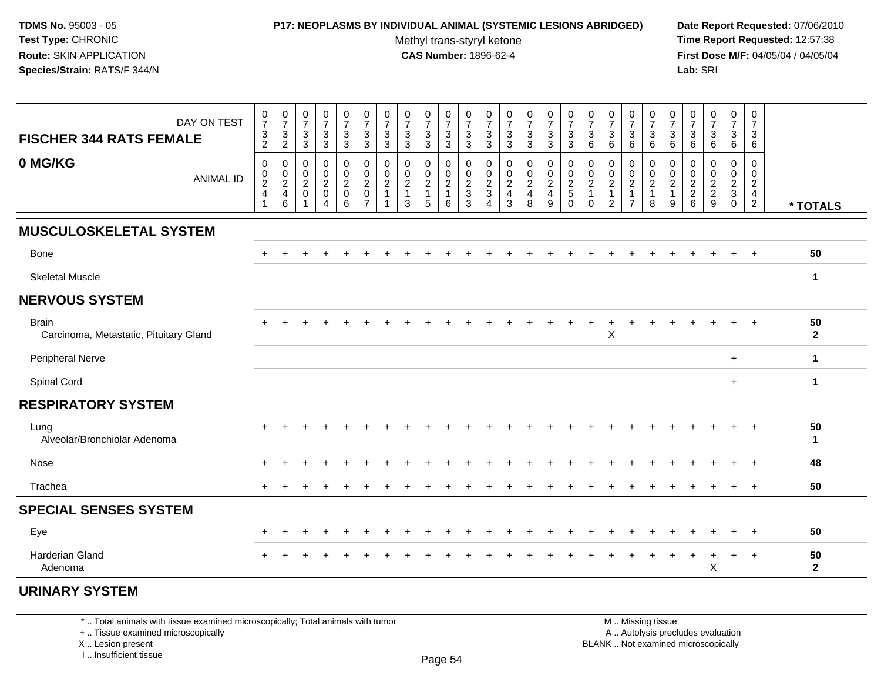### **P17: NEOPLASMS BY INDIVIDUAL ANIMAL (SYSTEMIC LESIONS ABRIDGED) Date Report Requested:** 07/06/2010

Methyl trans-styryl ketone<br>CAS Number: 1896-62-4

 **Time Report Requested:** 12:57:38 **First Dose M/F:** 04/05/04 / 04/05/04<br>**Lab:** SRI **Lab:** SRI

| DAY ON TEST<br><b>FISCHER 344 RATS FEMALE</b>          | $\frac{0}{7}$<br>$\frac{3}{2}$                                      | $\frac{0}{7}$<br>$\frac{3}{2}$                                       | $\frac{0}{7}$<br>$\sqrt{3}$<br>$\mathbf{3}$                 | $\frac{0}{7}$<br>$\mathbf{3}$<br>3                                      | $\frac{0}{7}$<br>$\mathbf{3}$<br>3             | $\frac{0}{7}$<br>$\frac{3}{3}$                                              | $\frac{0}{7}$<br>$\frac{3}{3}$                                                | $\frac{0}{7}$<br>$\frac{3}{3}$                            | $\frac{0}{7}$<br>3<br>$\mathfrak{S}$          | $\frac{0}{7}$<br>$\frac{3}{3}$                    | $\begin{array}{c} 0 \\ 7 \end{array}$<br>$\frac{3}{3}$      | $\begin{array}{c} 0 \\ 7 \end{array}$<br>$\frac{3}{3}$                 | $\frac{0}{7}$<br>$\frac{3}{3}$                                                              | $\frac{0}{7}$<br>$\ensuremath{\mathsf{3}}$<br>$\mathfrak{S}$ | $\frac{0}{7}$<br>$_3^3$           | $\frac{0}{7}$<br>$\ensuremath{\mathsf{3}}$<br>3 | 0<br>$\boldsymbol{7}$<br>$\ensuremath{\mathsf{3}}$<br>6 | $\frac{0}{7}$<br>$\frac{3}{6}$                                                                | $\frac{0}{7}$<br>$\mathbf 3$<br>6                                    | $\frac{0}{7}$<br>$\mathsf 3$<br>6                                 | $\frac{0}{7}$<br>$\frac{3}{6}$                        | $\frac{0}{7}$<br>$^3$ 6          | $\begin{array}{c} 0 \\ 7 \end{array}$<br>$\ensuremath{\mathsf{3}}$<br>$\,6\,$ | $\frac{0}{7}$<br>$\mathbf{3}$<br>$\,6\,$ | $\begin{smallmatrix}0\\7\end{smallmatrix}$<br>$\mathbf{3}$<br>6 |                    |
|--------------------------------------------------------|---------------------------------------------------------------------|----------------------------------------------------------------------|-------------------------------------------------------------|-------------------------------------------------------------------------|------------------------------------------------|-----------------------------------------------------------------------------|-------------------------------------------------------------------------------|-----------------------------------------------------------|-----------------------------------------------|---------------------------------------------------|-------------------------------------------------------------|------------------------------------------------------------------------|---------------------------------------------------------------------------------------------|--------------------------------------------------------------|-----------------------------------|-------------------------------------------------|---------------------------------------------------------|-----------------------------------------------------------------------------------------------|----------------------------------------------------------------------|-------------------------------------------------------------------|-------------------------------------------------------|----------------------------------|-------------------------------------------------------------------------------|------------------------------------------|-----------------------------------------------------------------|--------------------|
| 0 MG/KG<br><b>ANIMAL ID</b>                            | 0<br>$\begin{smallmatrix} 0\\2 \end{smallmatrix}$<br>$\overline{4}$ | $\mathbf 0$<br>$\begin{array}{c} 0 \\ 2 \\ 4 \end{array}$<br>$\,6\,$ | $\pmb{0}$<br>$\frac{0}{2}$<br>$\mathbf 0$<br>$\overline{ }$ | $\mathbf 0$<br>$\boldsymbol{0}$<br>$\boldsymbol{2}$<br>$\mathsf 0$<br>4 | 0<br>$\frac{0}{2}$<br>$\mathsf{O}\xspace$<br>6 | $\mathbf 0$<br>$\pmb{0}$<br>$\boldsymbol{2}$<br>$\pmb{0}$<br>$\overline{7}$ | $\mathbf 0$<br>$\begin{smallmatrix} 0\\2 \end{smallmatrix}$<br>$\overline{1}$ | $\pmb{0}$<br>$\pmb{0}$<br>$\sqrt{2}$<br>$\mathbf{1}$<br>3 | 0<br>0<br>$\overline{c}$<br>$\mathbf{1}$<br>5 | $\mathbf 0$<br>$\frac{0}{2}$<br>$\mathbf{1}$<br>6 | $\mathbf 0$<br>$\pmb{0}$<br>$\frac{2}{3}$<br>$\overline{3}$ | 0<br>$\begin{smallmatrix} 0\\2\\3 \end{smallmatrix}$<br>$\overline{4}$ | $\pmb{0}$<br>$\begin{smallmatrix} 0\\2 \end{smallmatrix}$<br>$\overline{4}$<br>$\mathbf{3}$ | $\mathbf 0$<br>$\frac{0}{2}$<br>8                            | $\mathbf 0$<br>$\frac{0}{2}$<br>9 | 0<br>$\pmb{0}$<br>$\frac{2}{5}$<br>$\Omega$     | 0<br>0<br>$\overline{c}$<br>$\mathbf{1}$<br>$\Omega$    | $\mathbf 0$<br>$\begin{smallmatrix} 0\\2 \end{smallmatrix}$<br>$\mathbf{1}$<br>$\overline{2}$ | 0<br>$\pmb{0}$<br>$\boldsymbol{2}$<br>$\mathbf{1}$<br>$\overline{7}$ | $\mathbf 0$<br>$\pmb{0}$<br>$\boldsymbol{2}$<br>$\mathbf{1}$<br>8 | 0<br>$\pmb{0}$<br>$\overline{2}$<br>$\mathbf{1}$<br>9 | $\mathbf 0$<br>$0$<br>$2$<br>$6$ | $\mathbf 0$<br>$0$<br>$2$<br>$9$                                              | 0<br>$\frac{0}{2}$<br>$\mathbf 0$        | $\mathbf 0$<br>$\mathbf 0$<br>$\overline{c}$<br>$\frac{4}{2}$   | * TOTALS           |
| <b>MUSCULOSKELETAL SYSTEM</b>                          |                                                                     |                                                                      |                                                             |                                                                         |                                                |                                                                             |                                                                               |                                                           |                                               |                                                   |                                                             |                                                                        |                                                                                             |                                                              |                                   |                                                 |                                                         |                                                                                               |                                                                      |                                                                   |                                                       |                                  |                                                                               |                                          |                                                                 |                    |
| Bone                                                   | $\ddot{}$                                                           |                                                                      |                                                             |                                                                         |                                                |                                                                             |                                                                               |                                                           |                                               |                                                   |                                                             |                                                                        |                                                                                             |                                                              |                                   |                                                 |                                                         |                                                                                               |                                                                      |                                                                   |                                                       |                                  |                                                                               |                                          |                                                                 | 50                 |
| <b>Skeletal Muscle</b>                                 |                                                                     |                                                                      |                                                             |                                                                         |                                                |                                                                             |                                                                               |                                                           |                                               |                                                   |                                                             |                                                                        |                                                                                             |                                                              |                                   |                                                 |                                                         |                                                                                               |                                                                      |                                                                   |                                                       |                                  |                                                                               |                                          |                                                                 | $\mathbf 1$        |
| <b>NERVOUS SYSTEM</b>                                  |                                                                     |                                                                      |                                                             |                                                                         |                                                |                                                                             |                                                                               |                                                           |                                               |                                                   |                                                             |                                                                        |                                                                                             |                                                              |                                   |                                                 |                                                         |                                                                                               |                                                                      |                                                                   |                                                       |                                  |                                                                               |                                          |                                                                 |                    |
| <b>Brain</b><br>Carcinoma, Metastatic, Pituitary Gland |                                                                     |                                                                      |                                                             |                                                                         |                                                |                                                                             |                                                                               |                                                           |                                               |                                                   |                                                             |                                                                        |                                                                                             |                                                              |                                   |                                                 |                                                         | X                                                                                             |                                                                      |                                                                   |                                                       |                                  |                                                                               |                                          | $\div$                                                          | 50<br>$\mathbf{2}$ |
| Peripheral Nerve                                       |                                                                     |                                                                      |                                                             |                                                                         |                                                |                                                                             |                                                                               |                                                           |                                               |                                                   |                                                             |                                                                        |                                                                                             |                                                              |                                   |                                                 |                                                         |                                                                                               |                                                                      |                                                                   |                                                       |                                  |                                                                               | $+$                                      |                                                                 | $\mathbf{1}$       |
| Spinal Cord                                            |                                                                     |                                                                      |                                                             |                                                                         |                                                |                                                                             |                                                                               |                                                           |                                               |                                                   |                                                             |                                                                        |                                                                                             |                                                              |                                   |                                                 |                                                         |                                                                                               |                                                                      |                                                                   |                                                       |                                  |                                                                               | $+$                                      |                                                                 | $\mathbf{1}$       |
| <b>RESPIRATORY SYSTEM</b>                              |                                                                     |                                                                      |                                                             |                                                                         |                                                |                                                                             |                                                                               |                                                           |                                               |                                                   |                                                             |                                                                        |                                                                                             |                                                              |                                   |                                                 |                                                         |                                                                                               |                                                                      |                                                                   |                                                       |                                  |                                                                               |                                          |                                                                 |                    |
| Lung<br>Alveolar/Bronchiolar Adenoma                   |                                                                     |                                                                      |                                                             |                                                                         |                                                |                                                                             |                                                                               |                                                           |                                               |                                                   |                                                             |                                                                        |                                                                                             |                                                              |                                   |                                                 |                                                         |                                                                                               |                                                                      |                                                                   |                                                       |                                  |                                                                               | $\ddot{}$                                | $\overline{+}$                                                  | 50<br>$\mathbf{1}$ |
| Nose                                                   |                                                                     |                                                                      |                                                             |                                                                         |                                                |                                                                             |                                                                               |                                                           |                                               |                                                   |                                                             |                                                                        |                                                                                             |                                                              |                                   |                                                 |                                                         |                                                                                               |                                                                      |                                                                   |                                                       |                                  |                                                                               | $\ddot{}$                                | $\overline{ }$                                                  | 48                 |
| Trachea                                                |                                                                     |                                                                      |                                                             |                                                                         |                                                |                                                                             |                                                                               |                                                           |                                               |                                                   |                                                             |                                                                        |                                                                                             |                                                              |                                   |                                                 |                                                         |                                                                                               |                                                                      |                                                                   |                                                       |                                  |                                                                               |                                          | $\ddot{}$                                                       | 50                 |
| <b>SPECIAL SENSES SYSTEM</b>                           |                                                                     |                                                                      |                                                             |                                                                         |                                                |                                                                             |                                                                               |                                                           |                                               |                                                   |                                                             |                                                                        |                                                                                             |                                                              |                                   |                                                 |                                                         |                                                                                               |                                                                      |                                                                   |                                                       |                                  |                                                                               |                                          |                                                                 |                    |
| Eye                                                    |                                                                     |                                                                      |                                                             |                                                                         |                                                |                                                                             |                                                                               |                                                           |                                               |                                                   |                                                             |                                                                        |                                                                                             |                                                              |                                   |                                                 |                                                         |                                                                                               |                                                                      |                                                                   |                                                       |                                  |                                                                               |                                          |                                                                 | 50                 |
| <b>Harderian Gland</b><br>Adenoma                      |                                                                     |                                                                      |                                                             |                                                                         |                                                |                                                                             |                                                                               |                                                           |                                               |                                                   |                                                             |                                                                        |                                                                                             |                                                              |                                   |                                                 |                                                         |                                                                                               |                                                                      |                                                                   |                                                       |                                  | Χ                                                                             | $\ddot{}$                                | $\overline{+}$                                                  | 50<br>$\mathbf{2}$ |

# **URINARY SYSTEM**

\* .. Total animals with tissue examined microscopically; Total animals with tumor

+ .. Tissue examined microscopically

 Lesion present BLANK .. Not examined microscopicallyX .. Lesion present

I .. Insufficient tissue

 M .. Missing tissuey the contract of the contract of the contract of the contract of the contract of  $\mathsf A$  . Autolysis precludes evaluation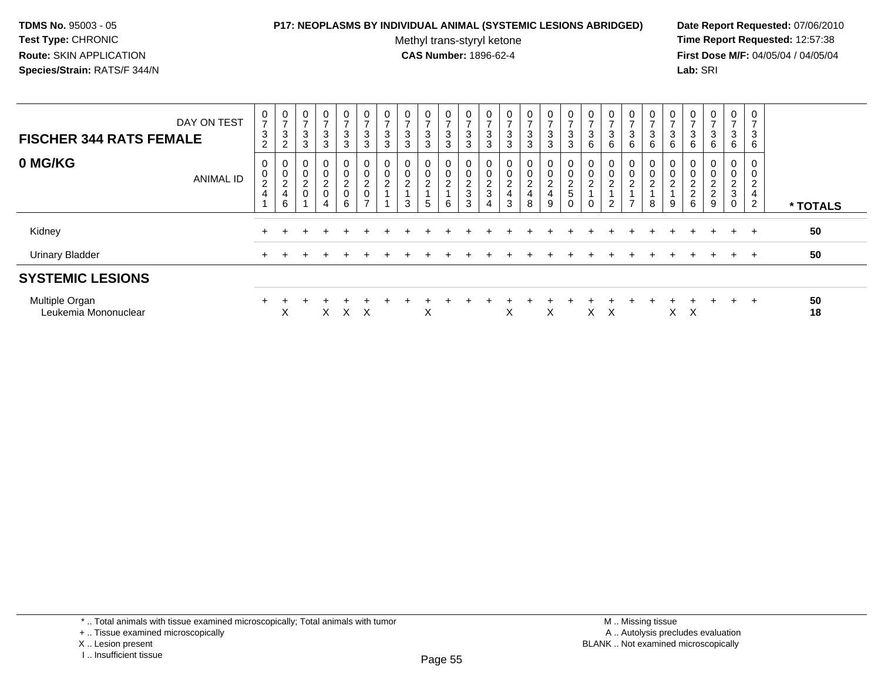## **P17: NEOPLASMS BY INDIVIDUAL ANIMAL (SYSTEMIC LESIONS ABRIDGED) Date Report Requested:** 07/06/2010

Methyl trans-styryl ketone<br>CAS Number: 1896-62-4

 **Time Report Requested:** 12:57:38 **First Dose M/F:** 04/05/04 / 04/05/04<br>Lab: SRI **Lab:** SRI

| DAY ON TEST<br><b>FISCHER 344 RATS FEMALE</b> | 0<br>$\overline{ }$<br>$\sqrt{3}$<br>$\overline{2}$  | 0<br>$\overline{ }$<br>$\mathbf{3}$<br>2     | 0<br>$\overline{ }$<br>3<br>3                             | 0<br>$\rightarrow$<br>3<br>3 | 0<br>$\rightarrow$<br>$\frac{3}{3}$                                   | 0<br>$\overline{ }$<br>$\mathbf{3}$<br>$\mathbf{3}$            | 0<br>$\overline{ }$<br>3<br>3 | 0<br>$\overline{ }$<br>3<br>$\overline{3}$             | $\overline{ }$<br>3<br>3 | $\mathbf 0$<br>$\overline{ }$<br>$\ensuremath{\mathsf{3}}$<br>3 | 0<br>$\rightarrow$<br>$\mathbf{3}$<br>$\mathbf{3}$         | 0<br>$\overline{ }$<br>$_3^3$        | 0<br>$\overline{ }$<br>$\frac{3}{3}$                               | $\mathbf{0}$<br>$\overline{ }$<br>3<br>3      | 0<br>$\overline{ }$<br>$\ensuremath{\mathsf{3}}$<br>3 | 0<br>$\rightarrow$<br>$\sqrt{3}$<br>$\overline{3}$ | 0<br>$\overline{ }$<br>$^3$ 6                     | 0<br>$\overline{ }$<br>$^3$ 6                        | 0<br>3<br>6                                             | 0<br>$\overline{ }$<br>3<br>6             | 0<br>$\rightarrow$<br>$^3$ 6          | 0<br>$\overline{ }$<br>$\mathbf{3}$<br>$6\phantom{1}6$            | 0<br>$\overline{z}$<br>$\frac{3}{6}$                | 0<br>$\overline{ }$<br>3<br>6 | 0<br>$\overline{ }$<br>3<br>6         |          |
|-----------------------------------------------|------------------------------------------------------|----------------------------------------------|-----------------------------------------------------------|------------------------------|-----------------------------------------------------------------------|----------------------------------------------------------------|-------------------------------|--------------------------------------------------------|--------------------------|-----------------------------------------------------------------|------------------------------------------------------------|--------------------------------------|--------------------------------------------------------------------|-----------------------------------------------|-------------------------------------------------------|----------------------------------------------------|---------------------------------------------------|------------------------------------------------------|---------------------------------------------------------|-------------------------------------------|---------------------------------------|-------------------------------------------------------------------|-----------------------------------------------------|-------------------------------|---------------------------------------|----------|
| 0 MG/KG<br><b>ANIMAL ID</b>                   | 0<br>$\pmb{0}$<br>$\boldsymbol{2}$<br>$\overline{4}$ | 0<br>$\pmb{0}$<br>$\boldsymbol{2}$<br>4<br>6 | $\mathbf 0$<br>$\pmb{0}$<br>$\overline{c}$<br>$\mathbf 0$ | 0<br>0<br>$\frac{2}{0}$<br>4 | $\mathbf 0$<br>$\boldsymbol{0}$<br>$\overline{c}$<br>$\mathbf 0$<br>6 | 0<br>$\pmb{0}$<br>$\overline{c}$<br>$\pmb{0}$<br>$\rightarrow$ | 0<br>0<br>$\overline{c}$      | $\mathbf 0$<br>$\boldsymbol{0}$<br>$\overline{c}$<br>3 | $\Omega$<br>∠<br>5       | 0<br>$\mathsf{O}\xspace$<br>$\boldsymbol{2}$<br>6               | 0<br>0<br>$\overline{c}$<br>$\ensuremath{\mathsf{3}}$<br>3 | 0<br>$\pmb{0}$<br>$\frac{2}{3}$<br>4 | 0<br>$\pmb{0}$<br>$\overline{c}$<br>$\overline{4}$<br>$\mathbf{3}$ | $\mathbf{0}$<br>0<br>$\overline{a}$<br>4<br>8 | 0<br>0<br>$\Omega$<br>∠<br>$\overline{4}$<br>9        | 0<br>$\mathbf 0$<br>$\frac{2}{5}$<br>0             | 0<br>$\pmb{0}$<br>$\boldsymbol{2}$<br>$\mathbf 0$ | 0<br>$\pmb{0}$<br>$\boldsymbol{2}$<br>$\overline{c}$ | 0<br>$\mathbf 0$<br><sup>o</sup><br>∠<br>$\overline{ }$ | 0<br>$\mathbf 0$<br>$\boldsymbol{2}$<br>8 | 0<br>$\pmb{0}$<br>$\overline{c}$<br>9 | 0<br>0<br>$\overline{c}$<br>$\begin{array}{c} 2 \\ 6 \end{array}$ | 0<br>$\pmb{0}$<br>$\boldsymbol{2}$<br>$\frac{2}{9}$ | 0<br>0<br>$\frac{2}{3}$<br>0  | $\overline{c}$<br>4<br>$\overline{2}$ | * TOTALS |
| Kidney                                        |                                                      |                                              |                                                           |                              | ÷                                                                     |                                                                |                               |                                                        |                          |                                                                 |                                                            |                                      |                                                                    |                                               |                                                       |                                                    |                                                   |                                                      |                                                         |                                           |                                       |                                                                   |                                                     | $\ddot{}$                     | $\ddot{}$                             | 50       |
| <b>Urinary Bladder</b>                        | $+$                                                  |                                              |                                                           |                              |                                                                       |                                                                |                               |                                                        |                          |                                                                 |                                                            |                                      |                                                                    |                                               |                                                       |                                                    |                                                   |                                                      |                                                         |                                           |                                       |                                                                   |                                                     | $\ddot{}$                     | $\pm$                                 | 50       |
| <b>SYSTEMIC LESIONS</b>                       |                                                      |                                              |                                                           |                              |                                                                       |                                                                |                               |                                                        |                          |                                                                 |                                                            |                                      |                                                                    |                                               |                                                       |                                                    |                                                   |                                                      |                                                         |                                           |                                       |                                                                   |                                                     |                               |                                       |          |
| Multiple Organ<br>Leukemia Mononuclear        |                                                      | X                                            |                                                           | X.                           | X                                                                     | $\mathsf{X}$                                                   |                               |                                                        | X                        |                                                                 |                                                            |                                      | Χ                                                                  |                                               | X                                                     |                                                    | X                                                 | X                                                    |                                                         |                                           | X                                     | X                                                                 |                                                     | ÷                             | $\div$                                | 50<br>18 |

\* .. Total animals with tissue examined microscopically; Total animals with tumor

+ .. Tissue examined microscopically

X .. Lesion present

I .. Insufficient tissue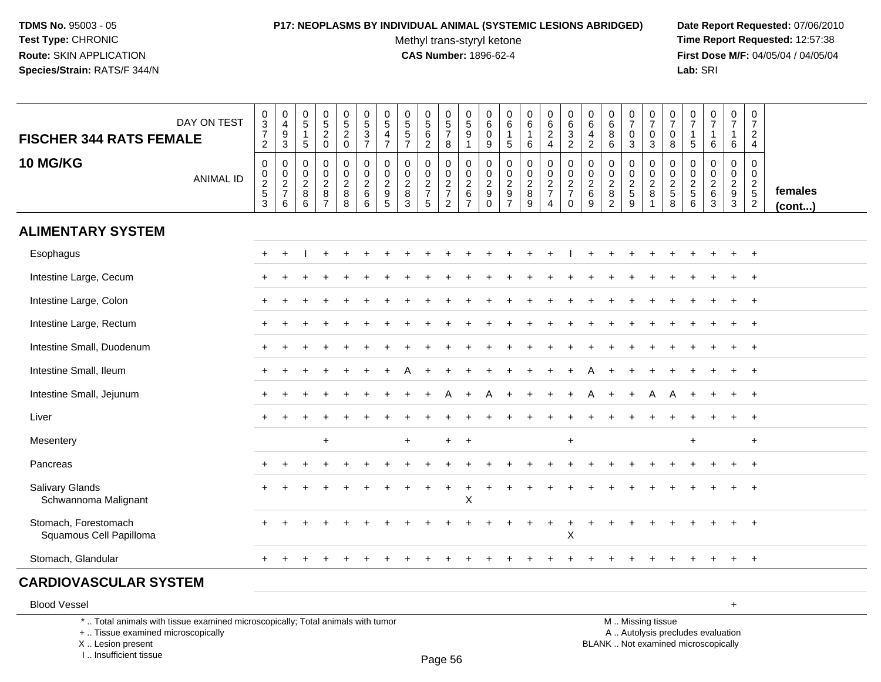# **P17: NEOPLASMS BY INDIVIDUAL ANIMAL (SYSTEMIC LESIONS ABRIDGED) Date Report Requested:** 07/06/2010

Methyl trans-styryl ketone<br>CAS Number: 1896-62-4

 **Time Report Requested:** 12:57:38 **First Dose M/F:** 04/05/04 / 04/05/04<br>Lab: SRI **Lab:** SRI

| <b>FISCHER 344 RATS FEMALE</b>                                                                                        | DAY ON TEST      | $_{3}^{\rm 0}$<br>$\boldsymbol{7}$<br>$\sqrt{2}$ | 0<br>$\overline{4}$<br>$\boldsymbol{9}$<br>3     | $\begin{smallmatrix}0\0\5\end{smallmatrix}$<br>$\mathbf{1}$<br>$5\phantom{.0}$ | $\begin{array}{c} 0 \\ 5 \\ 2 \\ 0 \end{array}$ | $\begin{array}{c} 0 \\ 5 \\ 2 \\ 0 \end{array}$                | $0$<br>$5$<br>$3$<br>$7$                  | 0<br>$\overline{5}$<br>$\overline{4}$<br>$\overline{7}$                      | $0$<br>5<br>5<br>5<br>7         | $\begin{smallmatrix}0\0\5\end{smallmatrix}$<br>$\frac{6}{2}$ | $\begin{array}{c} 0 \\ 5 \\ 7 \end{array}$<br>8     | $\begin{array}{c} 0 \\ 5 \\ 9 \end{array}$<br>$\overline{1}$ | 0<br>$\,6\,$<br>$\mathbf 0$<br>9                 | 0<br>$\,6\,$<br>$\sqrt{5}$                                      | $_{6}^{\rm 0}$<br>$\mathbf{1}$<br>6       | $\begin{array}{c} 0 \\ 6 \\ 2 \\ 4 \end{array}$             | $\begin{array}{c} 0 \\ 6 \\ 2 \end{array}$                    | 0<br>$\,6\,$<br>$\overline{4}$<br>$\overline{c}$ | $\pmb{0}$<br>6<br>$\bf 8$<br>$6\phantom{1}6$                         | $\frac{0}{7}$<br>$\pmb{0}$<br>3 | $\begin{array}{c} 0 \\ 7 \end{array}$<br>$\mathbf 0$<br>$\mathbf{3}$ | $\frac{0}{7}$<br>$\pmb{0}$<br>$\,8\,$   | $\begin{array}{c} 0 \\ 7 \end{array}$<br>$\overline{1}$<br>$5\phantom{.0}$ | $\begin{array}{c} 0 \\ 7 \end{array}$<br>$\mathbf{1}$<br>6    | $\frac{0}{7}$<br>6                          | $\begin{smallmatrix}0\\7\end{smallmatrix}$<br>$\frac{2}{4}$ |                   |
|-----------------------------------------------------------------------------------------------------------------------|------------------|--------------------------------------------------|--------------------------------------------------|--------------------------------------------------------------------------------|-------------------------------------------------|----------------------------------------------------------------|-------------------------------------------|------------------------------------------------------------------------------|---------------------------------|--------------------------------------------------------------|-----------------------------------------------------|--------------------------------------------------------------|--------------------------------------------------|-----------------------------------------------------------------|-------------------------------------------|-------------------------------------------------------------|---------------------------------------------------------------|--------------------------------------------------|----------------------------------------------------------------------|---------------------------------|----------------------------------------------------------------------|-----------------------------------------|----------------------------------------------------------------------------|---------------------------------------------------------------|---------------------------------------------|-------------------------------------------------------------|-------------------|
| <b>10 MG/KG</b>                                                                                                       | <b>ANIMAL ID</b> | $\mathsf 0$<br>0<br>$rac{2}{3}$                  | $\mathbf 0$<br>$\mathbf 0$<br>$\frac{2}{7}$<br>6 | 0<br>$\pmb{0}$<br>$\sqrt{2}$<br>$^8_6$                                         | $\mathbf 0$<br>$\pmb{0}$<br>$rac{2}{7}$         | 0<br>$\mathbf 0$<br>$\begin{array}{c} 2 \\ 8 \\ 8 \end{array}$ | 0<br>$\overline{0}$<br>$\frac{2}{6}$<br>6 | $\mathbf 0$<br>$\pmb{0}$<br>$\sqrt{2}$<br>$\boldsymbol{9}$<br>$\overline{5}$ | 0<br>$\pmb{0}$<br>$\frac{2}{3}$ | 0<br>$\pmb{0}$<br>$\frac{2}{7}$<br>5                         | 0<br>$\mathbf 0$<br>$\frac{2}{7}$<br>$\overline{2}$ | $\mathbf 0$<br>$0$<br>$2$<br>$6$<br>$7$                      | $\mathbf 0$<br>0<br>$\frac{2}{9}$<br>$\mathbf 0$ | $\mathbf 0$<br>$\mathbf 0$<br>$\boldsymbol{2}$<br>$\frac{9}{7}$ | 0<br>$\mathsf{O}\xspace$<br>$\frac{2}{9}$ | 0<br>$\ddot{\mathbf{0}}$<br>$\frac{2}{7}$<br>$\overline{4}$ | $\mathbf 0$<br>$\overline{0}$<br>$\frac{2}{7}$<br>$\mathbf 0$ | $\mathbf 0$<br>0<br>$\boldsymbol{2}$<br>6<br>9   | $\mathbf 0$<br>$\mathbf 0$<br>$\sqrt{2}$<br>$\, 8$<br>$\overline{2}$ | 0<br>0<br>$rac{2}{9}$           | $\mathbf 0$<br>$\mathbf 0$<br>$\frac{2}{8}$                          | $\mathbf 0$<br>$\pmb{0}$<br>$rac{2}{8}$ | $\mathbf 0$<br>$0$<br>$2$<br>$5$<br>$6$                                    | $\mathbf 0$<br>$\mathbf 0$<br>$\frac{2}{6}$<br>$\overline{3}$ | $\mathbf 0$<br>$\mathbf 0$<br>$\frac{2}{9}$ | 0<br>$\mathbf 0$<br>$\frac{2}{5}$                           | females<br>(cont) |
| <b>ALIMENTARY SYSTEM</b>                                                                                              |                  |                                                  |                                                  |                                                                                |                                                 |                                                                |                                           |                                                                              |                                 |                                                              |                                                     |                                                              |                                                  |                                                                 |                                           |                                                             |                                                               |                                                  |                                                                      |                                 |                                                                      |                                         |                                                                            |                                                               |                                             |                                                             |                   |
| Esophagus                                                                                                             |                  |                                                  |                                                  |                                                                                |                                                 |                                                                |                                           |                                                                              |                                 |                                                              |                                                     |                                                              |                                                  |                                                                 |                                           |                                                             |                                                               |                                                  |                                                                      |                                 |                                                                      |                                         |                                                                            |                                                               |                                             |                                                             |                   |
| Intestine Large, Cecum                                                                                                |                  |                                                  |                                                  |                                                                                |                                                 |                                                                |                                           |                                                                              |                                 |                                                              |                                                     |                                                              |                                                  |                                                                 |                                           |                                                             |                                                               |                                                  |                                                                      |                                 |                                                                      |                                         |                                                                            |                                                               |                                             |                                                             |                   |
| Intestine Large, Colon                                                                                                |                  |                                                  |                                                  |                                                                                |                                                 |                                                                |                                           |                                                                              |                                 |                                                              |                                                     |                                                              |                                                  |                                                                 |                                           |                                                             |                                                               |                                                  |                                                                      |                                 |                                                                      |                                         |                                                                            |                                                               |                                             |                                                             |                   |
| Intestine Large, Rectum                                                                                               |                  |                                                  |                                                  |                                                                                |                                                 |                                                                |                                           |                                                                              |                                 |                                                              |                                                     |                                                              |                                                  |                                                                 |                                           |                                                             |                                                               |                                                  |                                                                      |                                 |                                                                      |                                         |                                                                            |                                                               |                                             |                                                             |                   |
| Intestine Small, Duodenum                                                                                             |                  |                                                  |                                                  |                                                                                |                                                 |                                                                |                                           |                                                                              |                                 |                                                              |                                                     |                                                              |                                                  |                                                                 |                                           |                                                             |                                                               |                                                  |                                                                      |                                 |                                                                      |                                         |                                                                            |                                                               |                                             |                                                             |                   |
| Intestine Small, Ileum                                                                                                |                  |                                                  |                                                  |                                                                                |                                                 |                                                                |                                           |                                                                              |                                 |                                                              |                                                     |                                                              |                                                  |                                                                 |                                           |                                                             |                                                               |                                                  |                                                                      |                                 |                                                                      |                                         |                                                                            |                                                               |                                             | $^+$                                                        |                   |
| Intestine Small, Jejunum                                                                                              |                  |                                                  |                                                  |                                                                                |                                                 |                                                                |                                           |                                                                              |                                 |                                                              | A                                                   | $\ddot{}$                                                    | Α                                                |                                                                 |                                           |                                                             | $\ddot{}$                                                     | A                                                |                                                                      |                                 | A                                                                    | A                                       |                                                                            |                                                               | $\ddot{}$                                   | $+$                                                         |                   |
| Liver                                                                                                                 |                  |                                                  |                                                  |                                                                                |                                                 |                                                                |                                           |                                                                              |                                 |                                                              |                                                     |                                                              |                                                  |                                                                 |                                           |                                                             |                                                               |                                                  |                                                                      |                                 |                                                                      |                                         |                                                                            |                                                               |                                             | $^{+}$                                                      |                   |
| Mesentery                                                                                                             |                  |                                                  |                                                  |                                                                                | $\ddot{}$                                       |                                                                |                                           |                                                                              | $\div$                          |                                                              | +                                                   | $\overline{+}$                                               |                                                  |                                                                 |                                           |                                                             | $\ddot{}$                                                     |                                                  |                                                                      |                                 |                                                                      |                                         | +                                                                          |                                                               |                                             | $\ddot{}$                                                   |                   |
| Pancreas                                                                                                              |                  |                                                  |                                                  |                                                                                |                                                 |                                                                |                                           |                                                                              |                                 |                                                              |                                                     |                                                              |                                                  |                                                                 |                                           |                                                             |                                                               |                                                  |                                                                      |                                 |                                                                      |                                         |                                                                            |                                                               |                                             | $+$                                                         |                   |
| <b>Salivary Glands</b><br>Schwannoma Malignant                                                                        |                  |                                                  |                                                  |                                                                                |                                                 |                                                                |                                           |                                                                              |                                 |                                                              | $\ddot{}$                                           | $\ddot{}$<br>X                                               |                                                  |                                                                 |                                           |                                                             |                                                               |                                                  |                                                                      |                                 |                                                                      |                                         |                                                                            |                                                               |                                             |                                                             |                   |
| Stomach, Forestomach<br>Squamous Cell Papilloma                                                                       |                  |                                                  |                                                  |                                                                                |                                                 |                                                                |                                           |                                                                              |                                 |                                                              |                                                     |                                                              |                                                  |                                                                 |                                           |                                                             | $\overline{ }$<br>X                                           |                                                  |                                                                      |                                 |                                                                      |                                         |                                                                            |                                                               |                                             |                                                             |                   |
| Stomach, Glandular                                                                                                    |                  | $+$                                              |                                                  |                                                                                |                                                 |                                                                |                                           |                                                                              |                                 |                                                              |                                                     |                                                              |                                                  |                                                                 |                                           |                                                             |                                                               |                                                  |                                                                      |                                 |                                                                      |                                         |                                                                            |                                                               | $\ddot{}$                                   | $+$                                                         |                   |
| <b>CARDIOVASCULAR SYSTEM</b>                                                                                          |                  |                                                  |                                                  |                                                                                |                                                 |                                                                |                                           |                                                                              |                                 |                                                              |                                                     |                                                              |                                                  |                                                                 |                                           |                                                             |                                                               |                                                  |                                                                      |                                 |                                                                      |                                         |                                                                            |                                                               |                                             |                                                             |                   |
| <b>Blood Vessel</b>                                                                                                   |                  |                                                  |                                                  |                                                                                |                                                 |                                                                |                                           |                                                                              |                                 |                                                              |                                                     |                                                              |                                                  |                                                                 |                                           |                                                             |                                                               |                                                  |                                                                      |                                 |                                                                      |                                         |                                                                            |                                                               | $\ddot{}$                                   |                                                             |                   |
| *  Total animals with tissue examined microscopically; Total animals with tumor<br>+  Tissue examined microscopically |                  |                                                  |                                                  |                                                                                |                                                 |                                                                |                                           |                                                                              |                                 |                                                              |                                                     |                                                              |                                                  |                                                                 |                                           |                                                             |                                                               |                                                  |                                                                      |                                 | M  Missing tissue<br>A  Autolysis precludes evaluation               |                                         |                                                                            |                                                               |                                             |                                                             |                   |

X .. Lesion present

I .. Insufficient tissue

Page 56

Lesion present BLANK .. Not examined microscopically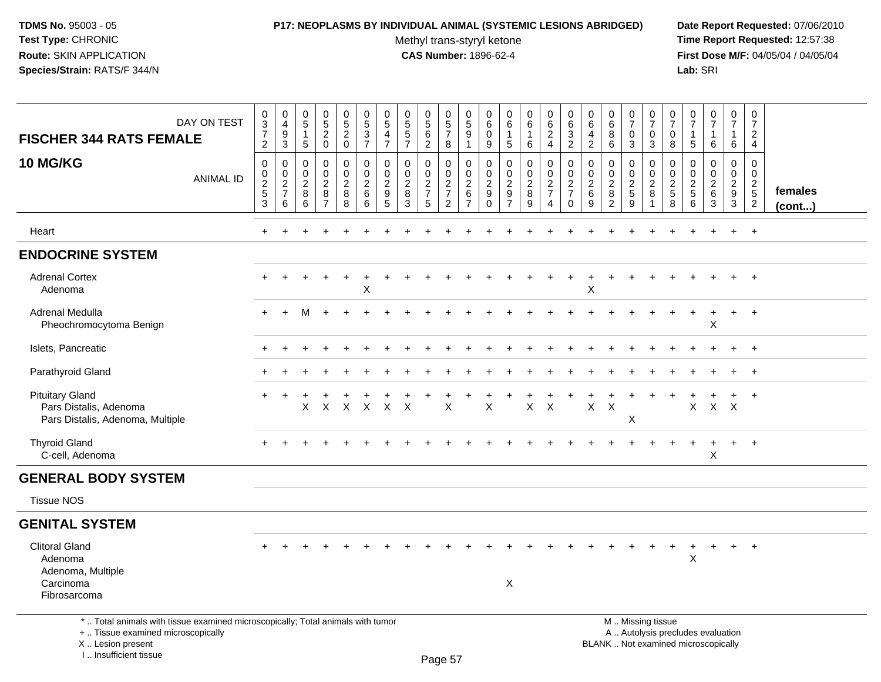# **P17: NEOPLASMS BY INDIVIDUAL ANIMAL (SYSTEMIC LESIONS ABRIDGED) Date Report Requested:** 07/06/2010

Methyl trans-styryl ketone<br>CAS Number: 1896-62-4

| DAY ON TEST<br><b>FISCHER 344 RATS FEMALE</b>                                                                                                                       | $_3^0$<br>$\overline{7}$<br>$\overline{c}$                | $\boldsymbol{0}$<br>$\overline{4}$<br>$\boldsymbol{9}$<br>$\mathbf{3}$ | $\pmb{0}$<br>$5\phantom{.0}$<br>$\overline{1}$<br>5 | $\begin{array}{c} 0 \\ 5 \end{array}$<br>$\overline{c}$<br>$\mathbf 0$ | 0<br>$5\phantom{.0}$<br>$\overline{c}$<br>0        | $\begin{array}{c} 0 \\ 5 \end{array}$<br>$\overline{3}$<br>$\overline{7}$ | $\pmb{0}$<br>$\sqrt{5}$<br>$\overline{4}$<br>$\overline{7}$ | $\pmb{0}$<br>$\sqrt{5}$<br>$\sqrt{5}$<br>$\overline{7}$ | 0<br>$\sqrt{5}$<br>$6\phantom{1}6$<br>$\overline{2}$ | $\pmb{0}$<br>$5\,$<br>$\overline{7}$<br>8           | 0<br>5<br>9<br>$\mathbf{1}$                                      | $\mathbf 0$<br>6<br>$\mathbf 0$<br>9               | $\pmb{0}$<br>6<br>$\mathbf{1}$<br>$\sqrt{5}$ | 0<br>$\,6\,$<br>$\mathbf{1}$<br>$\,6\,$                                   | 0<br>$6\phantom{.}6$<br>$\boldsymbol{2}$<br>4                       | 0<br>6<br>$\sqrt{3}$<br>$\overline{2}$                         | 0<br>6<br>$\overline{4}$<br>$\overline{2}$                | $\pmb{0}$<br>$\,6\,$<br>8<br>6                               | $\frac{0}{7}$<br>$\mathbf 0$<br>$\mathbf{3}$                  | 0<br>$\overline{7}$<br>$\mathbf 0$<br>$\mathbf{3}$                        | 0<br>$\overline{7}$<br>$\mathbf 0$<br>8 | 0<br>$\overline{7}$<br>$\mathbf{1}$<br>$\sqrt{5}$ | $\pmb{0}$<br>$\overline{7}$<br>1<br>6                                    | $\pmb{0}$<br>$\overline{7}$<br>6                                  | $\mathbf 0$<br>$\overline{7}$<br>$\overline{2}$<br>$\overline{4}$     |                         |
|---------------------------------------------------------------------------------------------------------------------------------------------------------------------|-----------------------------------------------------------|------------------------------------------------------------------------|-----------------------------------------------------|------------------------------------------------------------------------|----------------------------------------------------|---------------------------------------------------------------------------|-------------------------------------------------------------|---------------------------------------------------------|------------------------------------------------------|-----------------------------------------------------|------------------------------------------------------------------|----------------------------------------------------|----------------------------------------------|---------------------------------------------------------------------------|---------------------------------------------------------------------|----------------------------------------------------------------|-----------------------------------------------------------|--------------------------------------------------------------|---------------------------------------------------------------|---------------------------------------------------------------------------|-----------------------------------------|---------------------------------------------------|--------------------------------------------------------------------------|-------------------------------------------------------------------|-----------------------------------------------------------------------|-------------------------|
| <b>10 MG/KG</b><br><b>ANIMAL ID</b>                                                                                                                                 | $\pmb{0}$<br>$\mathsf 0$<br>$\frac{2}{5}$<br>$\mathbf{3}$ | 0<br>$\pmb{0}$<br>$\overline{2}$<br>$\overline{7}$<br>6                | $\Omega$<br>$\mathbf 0$<br>$\overline{2}$<br>8<br>6 | $\mathbf 0$<br>0<br>$\overline{c}$<br>8<br>7                           | 0<br>$\mathbf 0$<br>$\overline{2}$<br>$\bf 8$<br>8 | $\mathbf 0$<br>$\pmb{0}$<br>$\overline{c}$<br>$\,6\,$<br>6                | $\mathbf{0}$<br>$\pmb{0}$<br>$\sqrt{2}$<br>$9\,$<br>5       | $\mathbf{0}$<br>$\mathbf 0$<br>$\overline{2}$<br>8<br>3 | 0<br>0<br>$\overline{2}$<br>$\overline{7}$<br>5      | 0<br>$\mathbf 0$<br>$\frac{2}{7}$<br>$\overline{2}$ | $\Omega$<br>$\mathbf 0$<br>$\overline{a}$<br>6<br>$\overline{7}$ | $\Omega$<br>0<br>$\boldsymbol{2}$<br>9<br>$\Omega$ | $\mathbf 0$<br>$\mathbf 0$<br>$\frac{2}{9}$  | $\mathbf 0$<br>$\mathbf 0$<br>$\overline{2}$<br>$\bf 8$<br>$\overline{9}$ | $\mathbf 0$<br>$\mathbf 0$<br>$\overline{2}$<br>$\overline{7}$<br>4 | 0<br>$\pmb{0}$<br>$\overline{2}$<br>$\overline{7}$<br>$\Omega$ | 0<br>$\mathbf 0$<br>$\overline{2}$<br>$6\phantom{1}$<br>9 | $\Omega$<br>0<br>$\overline{2}$<br>$\bf 8$<br>$\overline{2}$ | $\mathbf 0$<br>$\mathbf 0$<br>$\frac{2}{5}$<br>$\overline{9}$ | $\mathbf 0$<br>$\mathsf 0$<br>$\overline{c}$<br>8<br>$\blacktriangleleft$ | 0<br>0<br>$\sqrt{2}$<br>5<br>8          | $\Omega$<br>0<br>$\frac{2}{5}$<br>6               | $\Omega$<br>$\mathsf 0$<br>$\overline{2}$<br>6<br>3                      | $\mathbf 0$<br>$\mathbf 0$<br>$\overline{2}$<br>9<br>$\mathbf{3}$ | $\Omega$<br>$\mathbf 0$<br>$\begin{array}{c} 2 \\ 5 \\ 2 \end{array}$ | females<br>$($ cont $)$ |
| Heart                                                                                                                                                               | $\ddot{}$                                                 |                                                                        |                                                     |                                                                        |                                                    |                                                                           |                                                             |                                                         |                                                      |                                                     |                                                                  |                                                    |                                              |                                                                           |                                                                     |                                                                |                                                           |                                                              |                                                               |                                                                           |                                         |                                                   |                                                                          | $\ddot{}$                                                         | $+$                                                                   |                         |
| <b>ENDOCRINE SYSTEM</b>                                                                                                                                             |                                                           |                                                                        |                                                     |                                                                        |                                                    |                                                                           |                                                             |                                                         |                                                      |                                                     |                                                                  |                                                    |                                              |                                                                           |                                                                     |                                                                |                                                           |                                                              |                                                               |                                                                           |                                         |                                                   |                                                                          |                                                                   |                                                                       |                         |
| <b>Adrenal Cortex</b><br>Adenoma                                                                                                                                    |                                                           |                                                                        |                                                     |                                                                        | $\ddot{}$                                          | $\ddot{}$<br>X                                                            |                                                             |                                                         |                                                      |                                                     |                                                                  |                                                    |                                              |                                                                           |                                                                     | $\ddot{}$                                                      | $\ddot{}$<br>X                                            | $\ddot{}$                                                    |                                                               |                                                                           |                                         |                                                   |                                                                          | $\ddot{}$                                                         | $+$                                                                   |                         |
| <b>Adrenal Medulla</b><br>Pheochromocytoma Benign                                                                                                                   |                                                           |                                                                        | М                                                   |                                                                        |                                                    |                                                                           |                                                             |                                                         |                                                      |                                                     |                                                                  |                                                    |                                              |                                                                           |                                                                     |                                                                |                                                           |                                                              |                                                               |                                                                           |                                         |                                                   | Χ                                                                        |                                                                   | $+$                                                                   |                         |
| Islets, Pancreatic                                                                                                                                                  |                                                           |                                                                        |                                                     |                                                                        |                                                    |                                                                           |                                                             |                                                         |                                                      |                                                     |                                                                  |                                                    |                                              |                                                                           |                                                                     |                                                                |                                                           |                                                              |                                                               |                                                                           |                                         |                                                   |                                                                          |                                                                   | $+$                                                                   |                         |
| Parathyroid Gland                                                                                                                                                   |                                                           |                                                                        |                                                     |                                                                        |                                                    |                                                                           |                                                             |                                                         |                                                      |                                                     |                                                                  |                                                    |                                              |                                                                           |                                                                     |                                                                |                                                           |                                                              |                                                               |                                                                           |                                         |                                                   |                                                                          |                                                                   | $\div$                                                                |                         |
| <b>Pituitary Gland</b><br>Pars Distalis, Adenoma<br>Pars Distalis, Adenoma, Multiple                                                                                |                                                           |                                                                        | X                                                   | $\times$                                                               | $\boldsymbol{\mathsf{X}}$                          | $\mathsf{X}$                                                              | $\pmb{\times}$                                              | $\times$                                                |                                                      | X                                                   |                                                                  | X                                                  |                                              | $\mathsf{X}$                                                              | $\times$                                                            |                                                                | $\mathsf{X}$                                              | $\boldsymbol{\mathsf{X}}$                                    | X                                                             |                                                                           |                                         | X                                                 | $X$ $X$                                                                  | $\ddot{}$                                                         | $+$                                                                   |                         |
| <b>Thyroid Gland</b><br>C-cell, Adenoma                                                                                                                             |                                                           |                                                                        |                                                     |                                                                        |                                                    |                                                                           |                                                             |                                                         |                                                      |                                                     |                                                                  |                                                    |                                              |                                                                           |                                                                     |                                                                |                                                           |                                                              |                                                               |                                                                           |                                         |                                                   | $\ddot{}$<br>X                                                           | $+$                                                               | $+$                                                                   |                         |
| <b>GENERAL BODY SYSTEM</b>                                                                                                                                          |                                                           |                                                                        |                                                     |                                                                        |                                                    |                                                                           |                                                             |                                                         |                                                      |                                                     |                                                                  |                                                    |                                              |                                                                           |                                                                     |                                                                |                                                           |                                                              |                                                               |                                                                           |                                         |                                                   |                                                                          |                                                                   |                                                                       |                         |
| <b>Tissue NOS</b>                                                                                                                                                   |                                                           |                                                                        |                                                     |                                                                        |                                                    |                                                                           |                                                             |                                                         |                                                      |                                                     |                                                                  |                                                    |                                              |                                                                           |                                                                     |                                                                |                                                           |                                                              |                                                               |                                                                           |                                         |                                                   |                                                                          |                                                                   |                                                                       |                         |
| <b>GENITAL SYSTEM</b>                                                                                                                                               |                                                           |                                                                        |                                                     |                                                                        |                                                    |                                                                           |                                                             |                                                         |                                                      |                                                     |                                                                  |                                                    |                                              |                                                                           |                                                                     |                                                                |                                                           |                                                              |                                                               |                                                                           |                                         |                                                   |                                                                          |                                                                   |                                                                       |                         |
| <b>Clitoral Gland</b><br>Adenoma<br>Adenoma, Multiple<br>Carcinoma<br>Fibrosarcoma                                                                                  |                                                           |                                                                        |                                                     |                                                                        |                                                    |                                                                           |                                                             |                                                         |                                                      |                                                     |                                                                  |                                                    | X                                            |                                                                           |                                                                     |                                                                |                                                           |                                                              |                                                               |                                                                           |                                         | X                                                 | $\ddot{}$                                                                | $+$                                                               | $+$                                                                   |                         |
| *  Total animals with tissue examined microscopically; Total animals with tumor<br>+  Tissue examined microscopically<br>X  Lesion present<br>I Insufficient tissue |                                                           |                                                                        |                                                     |                                                                        |                                                    |                                                                           |                                                             |                                                         |                                                      | $D2 \cap R$                                         |                                                                  |                                                    |                                              |                                                                           |                                                                     |                                                                |                                                           |                                                              |                                                               | M  Missing tissue                                                         |                                         |                                                   | A  Autolysis precludes evaluation<br>BLANK  Not examined microscopically |                                                                   |                                                                       |                         |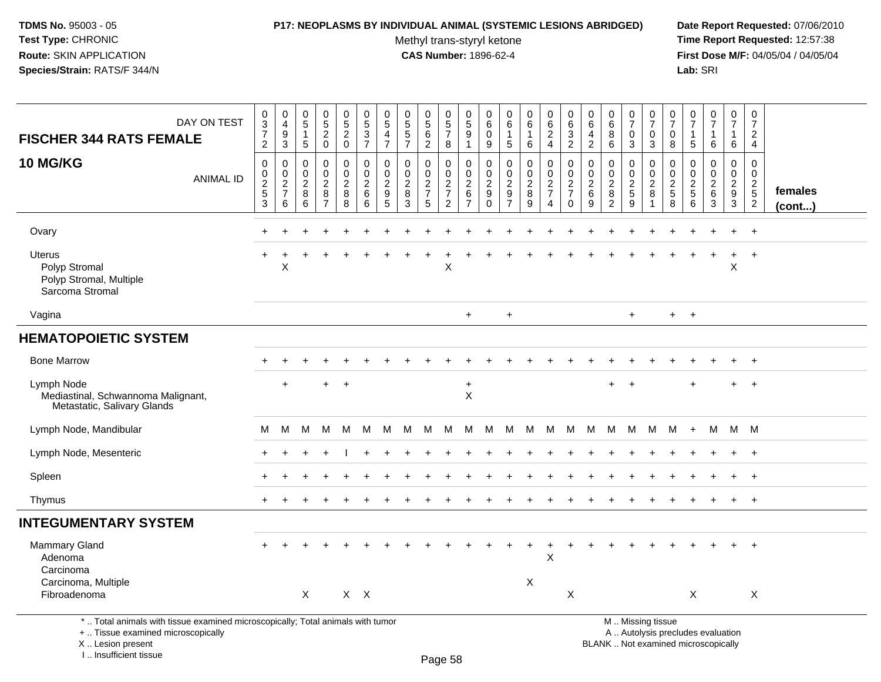I .. Insufficient tissue

### **P17: NEOPLASMS BY INDIVIDUAL ANIMAL (SYSTEMIC LESIONS ABRIDGED) Date Report Requested:** 07/06/2010

Methyl trans-styryl ketone<br>CAS Number: 1896-62-4

 **Time Report Requested:** 12:57:38 **First Dose M/F:** 04/05/04 / 04/05/04<br>Lab: SRI **Lab:** SRI

| DAY ON TEST<br><b>FISCHER 344 RATS FEMALE</b>                                                                                              | 0<br>$\frac{3}{7}$<br>$\overline{2}$           | $\begin{smallmatrix}0\0\4\end{smallmatrix}$<br>$\boldsymbol{9}$<br>$\mathbf{3}$ | 0<br>$\overline{5}$<br>$\overline{1}$<br>$\sqrt{5}$ | 0<br>$\overline{5}$<br>$\sqrt{2}$<br>$\mathbf 0$                    | $\begin{array}{c} 0 \\ 5 \\ 2 \end{array}$<br>$\mathbf 0$ | $\begin{array}{c} 0 \\ 5 \end{array}$<br>$\overline{3}$<br>$\overline{7}$ | $\begin{array}{c} 0 \\ 5 \end{array}$<br>$\overline{4}$<br>$\overline{7}$ | $\pmb{0}$<br>$\sqrt{5}$<br>$\overline{5}$<br>$\overline{7}$ | $\begin{array}{c} 0 \\ 5 \end{array}$<br>6<br>2  | 0<br>$\frac{5}{7}$<br>8                   | 0<br>$\overline{5}$<br>9<br>$\mathbf{1}$                                    | 0<br>$\,6\,$<br>0<br>9                          | 0<br>$\,6\,$<br>$\overline{1}$<br>$\sqrt{5}$                          | 0<br>$6\overline{6}$<br>$\mathbf{1}$<br>6 | 0<br>$\,6\,$<br>$\overline{2}$<br>$\overline{4}$ | $\boldsymbol{0}$<br>6<br>$\frac{3}{2}$                                | 0<br>$\,6\,$<br>4<br>$\overline{2}$                | 0<br>$6\phantom{1}6$<br>8<br>6                                  | 0<br>$\overline{7}$<br>$\mathbf 0$<br>$\mathbf{3}$ | $\frac{0}{7}$<br>$\mathbf 0$<br>$\mathbf{3}$                | $\pmb{0}$<br>$\overline{7}$<br>$\mathbf 0$<br>8           | 0<br>$\overline{7}$<br>-1<br>5                           | $\frac{0}{7}$<br>$\mathbf{1}$<br>$\,6\,$                                 | 0<br>$\overline{7}$<br>$\mathbf{1}$<br>6 | 0<br>$\overline{7}$<br>$\overline{c}$<br>$\overline{4}$     |                   |
|--------------------------------------------------------------------------------------------------------------------------------------------|------------------------------------------------|---------------------------------------------------------------------------------|-----------------------------------------------------|---------------------------------------------------------------------|-----------------------------------------------------------|---------------------------------------------------------------------------|---------------------------------------------------------------------------|-------------------------------------------------------------|--------------------------------------------------|-------------------------------------------|-----------------------------------------------------------------------------|-------------------------------------------------|-----------------------------------------------------------------------|-------------------------------------------|--------------------------------------------------|-----------------------------------------------------------------------|----------------------------------------------------|-----------------------------------------------------------------|----------------------------------------------------|-------------------------------------------------------------|-----------------------------------------------------------|----------------------------------------------------------|--------------------------------------------------------------------------|------------------------------------------|-------------------------------------------------------------|-------------------|
| <b>10 MG/KG</b><br><b>ANIMAL ID</b>                                                                                                        | $\mathbf 0$<br>$\pmb{0}$<br>$\frac{2}{5}$<br>3 | $\mathbf 0$<br>$\begin{array}{c} 0 \\ 2 \\ 7 \end{array}$<br>6                  | $\mathbf 0$<br>$\mathbf 0$<br>$\sqrt{2}$<br>8<br>6  | $\mathbf 0$<br>$\mathbf 0$<br>$\overline{c}$<br>8<br>$\overline{7}$ | 0<br>0<br>$\overline{c}$<br>$\overline{8}$<br>8           | 0<br>$\mathbf 0$<br>$\overline{2}$<br>6<br>6                              | $\mathbf 0$<br>$\pmb{0}$<br>$\sqrt{2}$<br>9<br>5                          | $\mathbf 0$<br>$\mathbf 0$<br>$\sqrt{2}$<br>8<br>3          | $\mathbf 0$<br>$\mathbf 0$<br>$\frac{2}{7}$<br>5 | 0<br>0<br>$\frac{2}{7}$<br>$\overline{2}$ | $\mathbf 0$<br>$\mathsf{O}\xspace$<br>$\overline{c}$<br>6<br>$\overline{7}$ | 0<br>$\mathbf 0$<br>$\sqrt{2}$<br>9<br>$\Omega$ | $\mathbf 0$<br>$\mathbf 0$<br>$\boldsymbol{2}$<br>9<br>$\overline{7}$ | 0<br>$\pmb{0}$<br>$\frac{2}{8}$<br>9      | 0<br>$\mathbf 0$<br>$\frac{2}{7}$<br>4           | $\mathbf 0$<br>$\begin{array}{c} 0 \\ 2 \\ 7 \end{array}$<br>$\Omega$ | $\mathbf 0$<br>$\mathbf 0$<br>$\sqrt{2}$<br>6<br>9 | $\mathbf 0$<br>$\mathbf 0$<br>$\sqrt{2}$<br>8<br>$\overline{c}$ | 0<br>$\mathbf 0$<br>$rac{2}{5}$<br>9               | 0<br>$\pmb{0}$<br>$\overline{2}$<br>$\bf 8$<br>$\mathbf{1}$ | 0<br>$\mathbf 0$<br>$\overline{c}$<br>$\overline{5}$<br>8 | 0<br>$\mathbf 0$<br>$\sqrt{2}$<br>$\,$ 5 $\,$<br>$\,6\,$ | $\mathbf 0$<br>$\mathbf 0$<br>$\sqrt{2}$<br>$\,6\,$<br>$\mathbf{3}$      | 0<br>0<br>$\frac{2}{9}$<br>3             | $\pmb{0}$<br>$\mathbf 0$<br>$\frac{2}{5}$<br>$\overline{2}$ | females<br>(cont) |
| Ovary                                                                                                                                      |                                                |                                                                                 |                                                     |                                                                     |                                                           |                                                                           |                                                                           |                                                             |                                                  |                                           |                                                                             |                                                 |                                                                       |                                           |                                                  |                                                                       |                                                    |                                                                 |                                                    |                                                             |                                                           |                                                          |                                                                          |                                          |                                                             |                   |
| <b>Uterus</b><br>Polyp Stromal<br>Polyp Stromal, Multiple<br>Sarcoma Stromal                                                               | +                                              | $\boldsymbol{\mathsf{X}}$                                                       |                                                     |                                                                     |                                                           |                                                                           |                                                                           |                                                             |                                                  | $\mathsf{X}$                              |                                                                             |                                                 |                                                                       |                                           |                                                  |                                                                       |                                                    |                                                                 |                                                    |                                                             |                                                           |                                                          |                                                                          | X                                        | $\ddot{}$                                                   |                   |
| Vagina                                                                                                                                     |                                                |                                                                                 |                                                     |                                                                     |                                                           |                                                                           |                                                                           |                                                             |                                                  |                                           | $+$                                                                         |                                                 | $\ddot{}$                                                             |                                           |                                                  |                                                                       |                                                    |                                                                 | $\ddot{}$                                          |                                                             | $+$                                                       | $+$                                                      |                                                                          |                                          |                                                             |                   |
| <b>HEMATOPOIETIC SYSTEM</b>                                                                                                                |                                                |                                                                                 |                                                     |                                                                     |                                                           |                                                                           |                                                                           |                                                             |                                                  |                                           |                                                                             |                                                 |                                                                       |                                           |                                                  |                                                                       |                                                    |                                                                 |                                                    |                                                             |                                                           |                                                          |                                                                          |                                          |                                                             |                   |
| <b>Bone Marrow</b>                                                                                                                         |                                                |                                                                                 |                                                     |                                                                     |                                                           |                                                                           |                                                                           |                                                             |                                                  |                                           |                                                                             |                                                 |                                                                       |                                           |                                                  |                                                                       |                                                    |                                                                 |                                                    |                                                             |                                                           |                                                          |                                                                          |                                          | $\overline{+}$                                              |                   |
| Lymph Node<br>Mediastinal, Schwannoma Malignant,<br>Metastatic, Salivary Glands                                                            |                                                | $+$                                                                             |                                                     |                                                                     | $\overline{+}$                                            |                                                                           |                                                                           |                                                             |                                                  |                                           | $\ddot{}$<br>$\boldsymbol{\mathsf{X}}$                                      |                                                 |                                                                       |                                           |                                                  |                                                                       |                                                    |                                                                 | $\overline{+}$                                     |                                                             |                                                           | $\ddot{}$                                                |                                                                          | $\ddot{}$                                | $+$                                                         |                   |
| Lymph Node, Mandibular                                                                                                                     | м                                              | м                                                                               | м                                                   | М                                                                   | M                                                         | M                                                                         | M                                                                         | M                                                           | M                                                | M                                         | M                                                                           | M                                               | M                                                                     | M                                         | M                                                | M                                                                     | M                                                  | M                                                               | M                                                  | M                                                           | M                                                         | $+$                                                      | M                                                                        |                                          | M M                                                         |                   |
| Lymph Node, Mesenteric                                                                                                                     |                                                |                                                                                 |                                                     |                                                                     |                                                           |                                                                           |                                                                           |                                                             |                                                  |                                           |                                                                             |                                                 |                                                                       |                                           |                                                  |                                                                       |                                                    |                                                                 |                                                    |                                                             |                                                           |                                                          |                                                                          |                                          |                                                             |                   |
| Spleen                                                                                                                                     |                                                |                                                                                 |                                                     |                                                                     |                                                           |                                                                           |                                                                           |                                                             |                                                  |                                           |                                                                             |                                                 |                                                                       |                                           |                                                  |                                                                       |                                                    |                                                                 |                                                    |                                                             |                                                           |                                                          |                                                                          |                                          |                                                             |                   |
| Thymus                                                                                                                                     |                                                |                                                                                 |                                                     |                                                                     |                                                           |                                                                           |                                                                           |                                                             |                                                  |                                           |                                                                             |                                                 |                                                                       |                                           |                                                  |                                                                       |                                                    |                                                                 |                                                    |                                                             |                                                           |                                                          |                                                                          | $\ddot{}$                                | $+$                                                         |                   |
| <b>INTEGUMENTARY SYSTEM</b>                                                                                                                |                                                |                                                                                 |                                                     |                                                                     |                                                           |                                                                           |                                                                           |                                                             |                                                  |                                           |                                                                             |                                                 |                                                                       |                                           |                                                  |                                                                       |                                                    |                                                                 |                                                    |                                                             |                                                           |                                                          |                                                                          |                                          |                                                             |                   |
| <b>Mammary Gland</b><br>Adenoma<br>Carcinoma<br>Carcinoma, Multiple                                                                        |                                                |                                                                                 |                                                     |                                                                     |                                                           |                                                                           |                                                                           |                                                             |                                                  |                                           |                                                                             |                                                 |                                                                       | $\ddot{}$<br>X                            | $\ddot{}$<br>X                                   |                                                                       |                                                    |                                                                 |                                                    |                                                             |                                                           |                                                          |                                                                          | $\ddot{}$                                | $+$                                                         |                   |
| Fibroadenoma                                                                                                                               |                                                |                                                                                 | $\mathsf{X}$                                        |                                                                     |                                                           | $X$ $X$                                                                   |                                                                           |                                                             |                                                  |                                           |                                                                             |                                                 |                                                                       |                                           |                                                  | $\times$                                                              |                                                    |                                                                 |                                                    |                                                             |                                                           | X                                                        |                                                                          |                                          | $\sf X$                                                     |                   |
| *  Total animals with tissue examined microscopically; Total animals with tumor<br>+  Tissue examined microscopically<br>X  Lesion present |                                                |                                                                                 |                                                     |                                                                     |                                                           |                                                                           |                                                                           |                                                             |                                                  |                                           |                                                                             |                                                 |                                                                       |                                           |                                                  |                                                                       |                                                    |                                                                 |                                                    | M  Missing tissue                                           |                                                           |                                                          | A  Autolysis precludes evaluation<br>BLANK  Not examined microscopically |                                          |                                                             |                   |

Page 58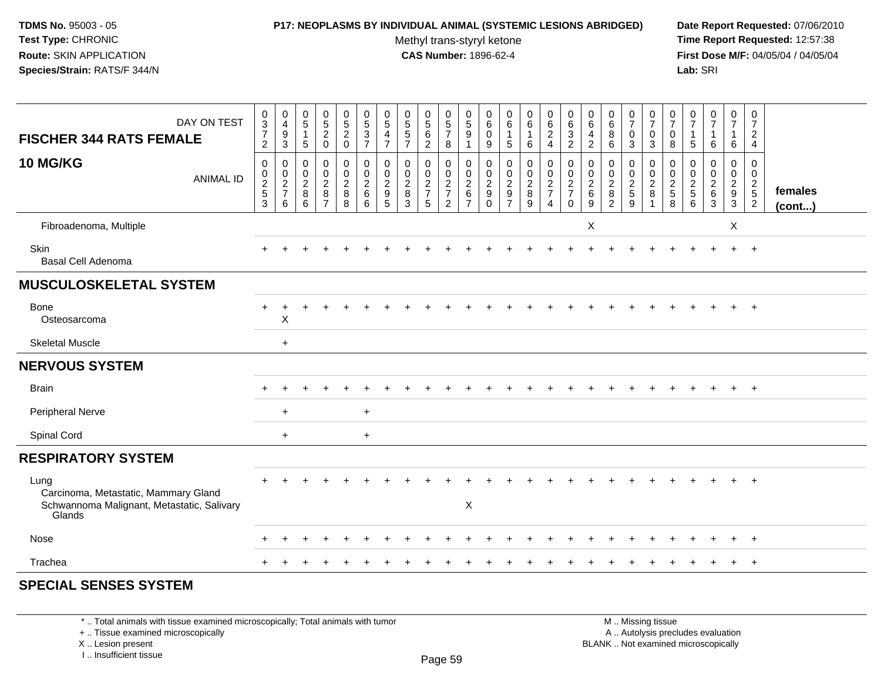### **P17: NEOPLASMS BY INDIVIDUAL ANIMAL (SYSTEMIC LESIONS ABRIDGED) Date Report Requested:** 07/06/2010

Methyl trans-styryl ketone<br>CAS Number: 1896-62-4

 **Time Report Requested:** 12:57:38 **First Dose M/F:** 04/05/04 / 04/05/04<br>**Lab:** SRI **Lab:** SRI

| DAY ON TEST<br><b>FISCHER 344 RATS FEMALE</b>                                                        | $_{3}^{\rm 0}$<br>$\overline{7}$<br>$\overline{2}$                 | $_4^{\rm 0}$<br>9<br>$\mathbf{3}$      | $\begin{smallmatrix} 0\\5 \end{smallmatrix}$<br>$\overline{1}$<br>$\overline{5}$ | $\begin{array}{c} 0 \\ 5 \\ 2 \end{array}$<br>$\mathbf 0$ | $\begin{array}{c} 0 \\ 5 \end{array}$<br>$\overline{c}$<br>$\mathbf 0$ | $\begin{array}{c} 0 \\ 5 \\ 3 \end{array}$<br>$\overline{7}$ | $\begin{matrix} 0 \\ 5 \end{matrix}$<br>$\overline{\mathbf{4}}$<br>$\overline{7}$ | $\begin{array}{c} 0 \\ 5 \\ 5 \end{array}$<br>$\overline{7}$ | $\begin{array}{c} 0 \\ 5 \\ 6 \end{array}$<br>$\overline{2}$ | $\begin{array}{c} 0 \\ 5 \\ 7 \end{array}$<br>8  | $\begin{array}{c} 0 \\ 5 \end{array}$<br>$9\,$<br>1 | $\begin{matrix} 0 \\ 6 \end{matrix}$<br>$\mathbf 0$<br>$\boldsymbol{9}$ | $_{6}^{\rm 0}$<br>$\mathbf{1}$<br>5       | $\begin{array}{c} 0 \\ 6 \end{array}$<br>$\mathbf{1}$<br>6 | $\begin{matrix} 0 \\ 6 \\ 2 \end{matrix}$<br>$\overline{4}$                | 0<br>$\,6\,$<br>$\mathbf{3}$<br>$\overline{2}$           | 0<br>$\,6\,$<br>$\overline{4}$<br>$\overline{c}$         | 0<br>$\overline{6}$<br>8<br>6                | $\frac{0}{7}$<br>$\mathbf 0$<br>3    | $\frac{0}{7}$<br>$\pmb{0}$<br>3                              | 0<br>$\overline{7}$<br>$\mathbf 0$<br>8 | $\frac{0}{7}$<br>$\overline{1}$<br>$\sqrt{5}$                    | $\begin{smallmatrix}0\\7\end{smallmatrix}$<br>$\mathbf{1}$<br>6 | 0<br>$\overline{7}$<br>$\mathbf{1}$<br>6 | 0<br>$\overline{7}$<br>$\overline{c}$<br>$\overline{4}$        |                   |
|------------------------------------------------------------------------------------------------------|--------------------------------------------------------------------|----------------------------------------|----------------------------------------------------------------------------------|-----------------------------------------------------------|------------------------------------------------------------------------|--------------------------------------------------------------|-----------------------------------------------------------------------------------|--------------------------------------------------------------|--------------------------------------------------------------|--------------------------------------------------|-----------------------------------------------------|-------------------------------------------------------------------------|-------------------------------------------|------------------------------------------------------------|----------------------------------------------------------------------------|----------------------------------------------------------|----------------------------------------------------------|----------------------------------------------|--------------------------------------|--------------------------------------------------------------|-----------------------------------------|------------------------------------------------------------------|-----------------------------------------------------------------|------------------------------------------|----------------------------------------------------------------|-------------------|
| <b>10 MG/KG</b><br><b>ANIMAL ID</b>                                                                  | $\mathbf 0$<br>$\boldsymbol{0}$<br>$\frac{2}{5}$<br>$\overline{3}$ | 0<br>$\mathbf 0$<br>$\frac{2}{7}$<br>6 | $\mathbf 0$<br>$\pmb{0}$<br>$\overline{2}$<br>$\,8\,$<br>6                       | 0<br>$\mathbf 0$<br>$\frac{2}{8}$<br>$\overline{7}$       | 0<br>$\mathsf{O}\xspace$<br>$\overline{2}$<br>$\,8\,$<br>8             | 0<br>$\pmb{0}$<br>$\boldsymbol{2}$<br>$\,6\,$<br>6           | 0<br>0<br>$\overline{2}$<br>$\frac{1}{9}$                                         | $\mathbf 0$<br>$\pmb{0}$<br>$\boldsymbol{2}$<br>8<br>3       | $\mathbf 0$<br>$\pmb{0}$<br>$\frac{2}{7}$<br>$\sqrt{5}$      | $\mathbf 0$<br>$\mathbf 0$<br>$\frac{2}{7}$<br>2 | 0<br>0<br>$\sqrt{2}$<br>$\,6\,$<br>$\overline{7}$   | $\,0\,$<br>$\boldsymbol{0}$<br>$\frac{2}{9}$<br>$\Omega$                | 0<br>0<br>$\frac{2}{9}$<br>$\overline{7}$ | $\pmb{0}$<br>$\frac{0}{2}$<br>9                            | $\boldsymbol{0}$<br>$\mathsf{O}\xspace$<br>$\frac{2}{7}$<br>$\overline{4}$ | 0<br>0<br>$\boldsymbol{2}$<br>$\overline{7}$<br>$\Omega$ | $\mathbf 0$<br>$\mathbf 0$<br>$\sqrt{2}$<br>$\,6\,$<br>9 | 0<br>$\mathbf 0$<br>$\overline{2}$<br>8<br>2 | 0<br>$\pmb{0}$<br>$\frac{2}{5}$<br>9 | 0<br>$\boldsymbol{0}$<br>$\overline{c}$<br>8<br>$\mathbf{1}$ | 0<br>$\mathbf 0$<br>$\frac{2}{5}$<br>8  | $\mathbf 0$<br>$\boldsymbol{0}$<br>$\sqrt{2}$<br>$\sqrt{5}$<br>6 | 0<br>$\mathbf 0$<br>$\frac{2}{6}$<br>3                          | 0<br>0<br>$\overline{2}$<br>$9\,$<br>3   | $\mathbf 0$<br>0<br>$\begin{array}{c} 2 \\ 5 \\ 2 \end{array}$ | females<br>(cont) |
| Fibroadenoma, Multiple                                                                               |                                                                    |                                        |                                                                                  |                                                           |                                                                        |                                                              |                                                                                   |                                                              |                                                              |                                                  |                                                     |                                                                         |                                           |                                                            |                                                                            |                                                          | X                                                        |                                              |                                      |                                                              |                                         |                                                                  |                                                                 | $\sf X$                                  |                                                                |                   |
| Skin<br>Basal Cell Adenoma                                                                           |                                                                    |                                        |                                                                                  |                                                           |                                                                        |                                                              |                                                                                   |                                                              |                                                              |                                                  |                                                     |                                                                         |                                           |                                                            |                                                                            |                                                          |                                                          |                                              |                                      |                                                              |                                         |                                                                  |                                                                 |                                          | $\ddot{}$                                                      |                   |
| <b>MUSCULOSKELETAL SYSTEM</b>                                                                        |                                                                    |                                        |                                                                                  |                                                           |                                                                        |                                                              |                                                                                   |                                                              |                                                              |                                                  |                                                     |                                                                         |                                           |                                                            |                                                                            |                                                          |                                                          |                                              |                                      |                                                              |                                         |                                                                  |                                                                 |                                          |                                                                |                   |
| <b>Bone</b><br>Osteosarcoma                                                                          |                                                                    | X                                      |                                                                                  |                                                           |                                                                        |                                                              |                                                                                   |                                                              |                                                              |                                                  |                                                     |                                                                         |                                           |                                                            |                                                                            |                                                          |                                                          |                                              |                                      |                                                              |                                         |                                                                  |                                                                 |                                          | $\div$                                                         |                   |
| <b>Skeletal Muscle</b>                                                                               |                                                                    | $\ddot{}$                              |                                                                                  |                                                           |                                                                        |                                                              |                                                                                   |                                                              |                                                              |                                                  |                                                     |                                                                         |                                           |                                                            |                                                                            |                                                          |                                                          |                                              |                                      |                                                              |                                         |                                                                  |                                                                 |                                          |                                                                |                   |
| <b>NERVOUS SYSTEM</b>                                                                                |                                                                    |                                        |                                                                                  |                                                           |                                                                        |                                                              |                                                                                   |                                                              |                                                              |                                                  |                                                     |                                                                         |                                           |                                                            |                                                                            |                                                          |                                                          |                                              |                                      |                                                              |                                         |                                                                  |                                                                 |                                          |                                                                |                   |
| <b>Brain</b>                                                                                         |                                                                    |                                        |                                                                                  |                                                           |                                                                        |                                                              |                                                                                   |                                                              |                                                              |                                                  |                                                     |                                                                         |                                           |                                                            |                                                                            |                                                          |                                                          |                                              |                                      |                                                              |                                         |                                                                  |                                                                 |                                          | $+$                                                            |                   |
| Peripheral Nerve                                                                                     |                                                                    | $\ddot{}$                              |                                                                                  |                                                           |                                                                        | $\ddot{}$                                                    |                                                                                   |                                                              |                                                              |                                                  |                                                     |                                                                         |                                           |                                                            |                                                                            |                                                          |                                                          |                                              |                                      |                                                              |                                         |                                                                  |                                                                 |                                          |                                                                |                   |
| Spinal Cord                                                                                          |                                                                    | $\ddot{}$                              |                                                                                  |                                                           |                                                                        | $\ddot{}$                                                    |                                                                                   |                                                              |                                                              |                                                  |                                                     |                                                                         |                                           |                                                            |                                                                            |                                                          |                                                          |                                              |                                      |                                                              |                                         |                                                                  |                                                                 |                                          |                                                                |                   |
| <b>RESPIRATORY SYSTEM</b>                                                                            |                                                                    |                                        |                                                                                  |                                                           |                                                                        |                                                              |                                                                                   |                                                              |                                                              |                                                  |                                                     |                                                                         |                                           |                                                            |                                                                            |                                                          |                                                          |                                              |                                      |                                                              |                                         |                                                                  |                                                                 |                                          |                                                                |                   |
| Lung<br>Carcinoma, Metastatic, Mammary Gland<br>Schwannoma Malignant, Metastatic, Salivary<br>Glands |                                                                    |                                        |                                                                                  |                                                           |                                                                        |                                                              |                                                                                   |                                                              |                                                              |                                                  | $\times$                                            |                                                                         |                                           |                                                            |                                                                            |                                                          |                                                          |                                              |                                      |                                                              |                                         |                                                                  |                                                                 |                                          |                                                                |                   |
| Nose                                                                                                 |                                                                    |                                        |                                                                                  |                                                           |                                                                        |                                                              |                                                                                   |                                                              |                                                              |                                                  |                                                     |                                                                         |                                           |                                                            |                                                                            |                                                          |                                                          |                                              |                                      |                                                              |                                         |                                                                  |                                                                 |                                          | $\ddot{}$                                                      |                   |
| Trachea                                                                                              |                                                                    |                                        |                                                                                  |                                                           |                                                                        |                                                              |                                                                                   |                                                              |                                                              |                                                  |                                                     |                                                                         |                                           |                                                            |                                                                            |                                                          |                                                          |                                              |                                      |                                                              |                                         |                                                                  |                                                                 |                                          | $\overline{+}$                                                 |                   |
| COFOIAL OFNOFO OVOTEM                                                                                |                                                                    |                                        |                                                                                  |                                                           |                                                                        |                                                              |                                                                                   |                                                              |                                                              |                                                  |                                                     |                                                                         |                                           |                                                            |                                                                            |                                                          |                                                          |                                              |                                      |                                                              |                                         |                                                                  |                                                                 |                                          |                                                                |                   |

# **SPECIAL SENSES SYSTEM**

\* .. Total animals with tissue examined microscopically; Total animals with tumor

+ .. Tissue examined microscopically

X .. Lesion present

I .. Insufficient tissue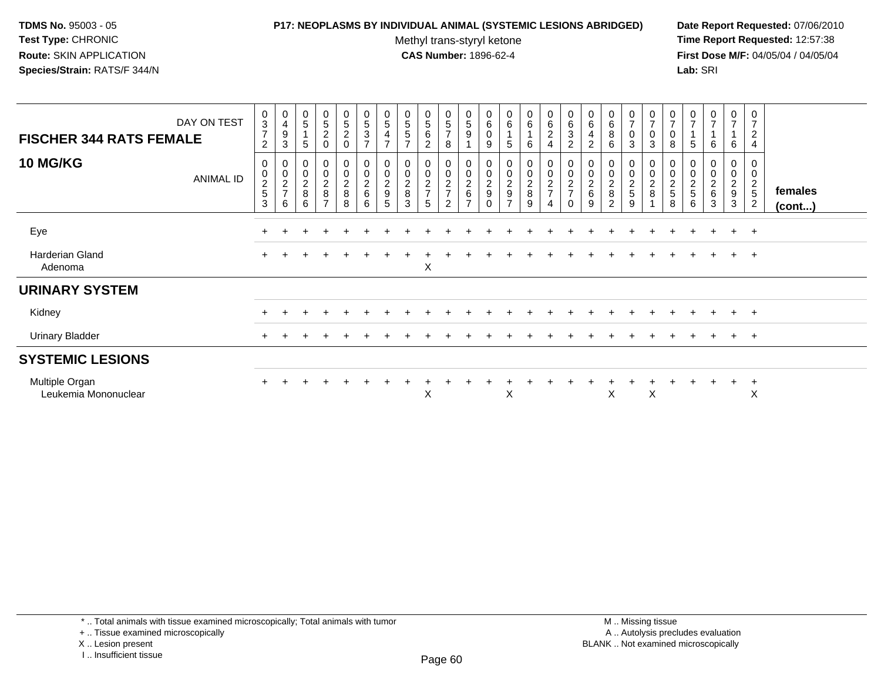## **P17: NEOPLASMS BY INDIVIDUAL ANIMAL (SYSTEMIC LESIONS ABRIDGED) Date Report Requested:** 07/06/2010

Methyl trans-styryl ketone<br>CAS Number: 1896-62-4

| DAY ON TEST<br><b>FISCHER 344 RATS FEMALE</b> | 0<br>$\overline{3}$<br>$\overline{7}$<br>$\overline{c}$ | $\pmb{0}$<br>$\overline{\mathbf{4}}$<br>$\boldsymbol{9}$<br>3 | $\begin{array}{c} 0 \\ 5 \end{array}$<br>5 | 0<br>$\overline{5}$<br>$\overline{c}$<br>0 | 0<br>5<br>$\boldsymbol{2}$<br>$\mathbf 0$      | 0<br>5<br>3<br>$\overline{ }$                           | 0<br>$\sqrt{5}$<br>$\overline{4}$<br>$\overline{7}$ | $\begin{array}{c} 0 \\ 5 \end{array}$<br>$\sqrt{5}$<br>$\overline{ }$ | $\mathbf 0$<br>$\overline{5}$<br>$\,6\,$<br>$\overline{2}$ | $\begin{array}{c} 0 \\ 5 \end{array}$<br>$\overline{7}$<br>8 | 0<br>5<br>9                       | 0<br>6<br>$\,0\,$<br>9                       | $_{6}^{\rm 0}$<br>5                    | 0<br>$6\overline{6}$<br>6                      | $_{\rm 6}^{\rm 0}$<br>$\sqrt{2}$<br>4 | 0<br>6<br>3<br>$\overline{c}$               | 0<br>$6^{\circ}$<br>4<br>$\overline{c}$ | 0<br>$\overline{6}$<br>8<br>6                        | $\frac{0}{7}$<br>$\pmb{0}$<br>3 | $\frac{0}{7}$<br>$\mathbf 0$<br>$\mathbf{3}$ | $\frac{0}{7}$<br>$\mathbf 0$<br>8      | 0<br>$\overline{7}$<br>5        | $\frac{0}{7}$<br>6                     | $\begin{array}{c} 0 \\ 7 \end{array}$<br>6 | 0<br>$\overline{7}$<br>$\overline{2}$<br>$\overline{4}$ |                   |
|-----------------------------------------------|---------------------------------------------------------|---------------------------------------------------------------|--------------------------------------------|--------------------------------------------|------------------------------------------------|---------------------------------------------------------|-----------------------------------------------------|-----------------------------------------------------------------------|------------------------------------------------------------|--------------------------------------------------------------|-----------------------------------|----------------------------------------------|----------------------------------------|------------------------------------------------|---------------------------------------|---------------------------------------------|-----------------------------------------|------------------------------------------------------|---------------------------------|----------------------------------------------|----------------------------------------|---------------------------------|----------------------------------------|--------------------------------------------|---------------------------------------------------------|-------------------|
| <b>10 MG/KG</b><br><b>ANIMAL ID</b>           | 0<br>0<br>$\frac{2}{5}$<br>3                            | 0<br>$\begin{array}{c} 0 \\ 2 \\ 7 \end{array}$<br>6          | $\boldsymbol{0}$<br>$\frac{0}{2}$<br>6     | 0<br>0<br>$\frac{2}{8}$<br>$\overline{ }$  | $\pmb{0}$<br>$\mathbf 0$<br>$\frac{2}{8}$<br>8 | $\pmb{0}$<br>$\begin{array}{c} 2 \\ 6 \end{array}$<br>6 | $\pmb{0}$<br>$\frac{2}{9}$<br>5                     | 0<br>$\pmb{0}$<br>$\frac{2}{8}$<br>3                                  | $_{\rm 0}^{\rm 0}$<br>$\frac{2}{7}$<br>5                   | 00027<br>2                                                   | 0<br>$\mathbf 0$<br>$\frac{2}{6}$ | $\pmb{0}$<br>$\overline{c}$<br>9<br>$\Omega$ | 0<br>$\mathbf 0$<br>$\frac{2}{9}$<br>⇁ | $\mathbf 0$<br>$\pmb{0}$<br>$\frac{2}{8}$<br>9 | 00027<br>4                            | 0<br>$\pmb{0}$<br>$\frac{2}{7}$<br>$\Omega$ | $\pmb{0}$<br>$\frac{2}{6}$<br>9         | 0<br>$\mathsf{O}\xspace$<br>$\overline{c}$<br>8<br>2 | 0<br>0<br>$\frac{2}{5}$<br>9    | $\pmb{0}$<br>$\frac{0}{2}$                   | 0<br>$\mathbf 0$<br>$\frac{2}{5}$<br>8 | $\pmb{0}$<br>$\frac{2}{5}$<br>6 | 0<br>$\mathbf 0$<br>$\frac{2}{6}$<br>3 | 0<br>$\mathsf 0$<br>$\frac{2}{9}$<br>3     | 0<br>$\pmb{0}$<br>$\frac{2}{5}$<br>$\overline{2}$       | females<br>(cont) |
| Eye                                           |                                                         |                                                               |                                            |                                            |                                                |                                                         |                                                     |                                                                       |                                                            |                                                              |                                   |                                              |                                        |                                                |                                       |                                             |                                         |                                                      |                                 |                                              |                                        |                                 | $\div$                                 | $+$                                        | $+$                                                     |                   |
| Harderian Gland<br>Adenoma                    | $\ddot{}$                                               |                                                               |                                            |                                            |                                                |                                                         |                                                     |                                                                       | X                                                          |                                                              |                                   |                                              |                                        |                                                |                                       |                                             |                                         |                                                      |                                 |                                              |                                        |                                 |                                        | $+$                                        | $+$                                                     |                   |
| <b>URINARY SYSTEM</b>                         |                                                         |                                                               |                                            |                                            |                                                |                                                         |                                                     |                                                                       |                                                            |                                                              |                                   |                                              |                                        |                                                |                                       |                                             |                                         |                                                      |                                 |                                              |                                        |                                 |                                        |                                            |                                                         |                   |
| Kidney                                        |                                                         |                                                               |                                            |                                            |                                                |                                                         |                                                     |                                                                       |                                                            |                                                              |                                   |                                              |                                        |                                                |                                       |                                             |                                         |                                                      |                                 |                                              |                                        |                                 | $\pm$                                  | $+$                                        | $+$                                                     |                   |
| <b>Urinary Bladder</b>                        |                                                         |                                                               |                                            |                                            |                                                |                                                         |                                                     |                                                                       |                                                            |                                                              |                                   |                                              |                                        |                                                |                                       |                                             |                                         |                                                      |                                 |                                              |                                        |                                 |                                        | $+$                                        | $+$                                                     |                   |
| <b>SYSTEMIC LESIONS</b>                       |                                                         |                                                               |                                            |                                            |                                                |                                                         |                                                     |                                                                       |                                                            |                                                              |                                   |                                              |                                        |                                                |                                       |                                             |                                         |                                                      |                                 |                                              |                                        |                                 |                                        |                                            |                                                         |                   |
| Multiple Organ<br>Leukemia Mononuclear        | $\pm$                                                   | ÷.                                                            |                                            |                                            |                                                |                                                         |                                                     |                                                                       | X                                                          |                                                              |                                   |                                              | X                                      |                                                |                                       |                                             |                                         | X                                                    |                                 | X                                            |                                        |                                 | $\div$                                 | $\ddot{}$                                  | $_{+}$<br>X                                             |                   |

<sup>\* ..</sup> Total animals with tissue examined microscopically; Total animals with tumor

<sup>+ ..</sup> Tissue examined microscopically

X .. Lesion present

I .. Insufficient tissue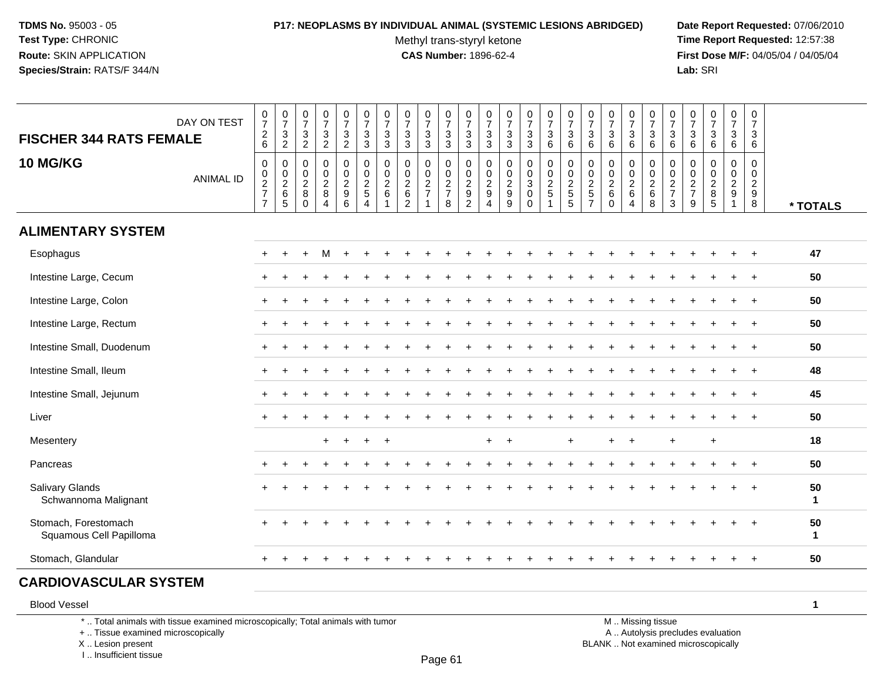# **P17: NEOPLASMS BY INDIVIDUAL ANIMAL (SYSTEMIC LESIONS ABRIDGED) Date Report Requested:** 07/06/2010

Methyl trans-styryl ketone<br>CAS Number: 1896-62-4

 **Time Report Requested:** 12:57:38 **First Dose M/F:** 04/05/04 / 04/05/04<br>**Lab:** SRI **Lab:** SRI

|                                                 | DAY ON TEST      | $\frac{0}{7}$                                                             | $\frac{0}{7}$<br>$\ensuremath{\mathsf{3}}$ | $\begin{smallmatrix}0\\7\end{smallmatrix}$<br>$\mathbf{3}$                                  | $\frac{0}{7}$<br>$\sqrt{3}$                                   | $\frac{0}{7}$<br>3           | $\begin{smallmatrix}0\\7\end{smallmatrix}$<br>$\mathbf{3}$ | $\frac{0}{7}$<br>$\mathsf 3$         | $\frac{0}{7}$<br>$\ensuremath{\mathsf{3}}$           | $\frac{0}{7}$<br>$\ensuremath{\mathsf{3}}$                                | $\frac{0}{7}$<br>$\ensuremath{\mathsf{3}}$ | $\frac{0}{7}$<br>$\mathbf 3$                 | $\frac{0}{7}$<br>$\ensuremath{\mathsf{3}}$        | $\frac{0}{7}$<br>$\mathbf{3}$                              | $\frac{0}{7}$<br>$\ensuremath{\mathsf{3}}$      | $\frac{0}{7}$<br>$\mathbf{3}$ | $\frac{0}{7}$<br>$\sqrt{3}$                                    | $\frac{0}{7}$<br>$\mathbf{3}$                                     | $\frac{0}{7}$<br>$\sqrt{3}$                                                         | $\frac{0}{7}$<br>$\mathbf{3}$                      | $\begin{array}{c} 0 \\ 7 \end{array}$<br>$\sqrt{3}$  | $\begin{array}{c} 0 \\ 7 \end{array}$<br>$\ensuremath{\mathsf{3}}$ | $\frac{0}{7}$<br>$\mathbf{3}$                                      | $\begin{array}{c} 0 \\ 7 \end{array}$<br>$\mathbf 3$ | $\begin{array}{c} 0 \\ 7 \end{array}$<br>$\mathbf{3}$ | $\begin{smallmatrix}0\\7\end{smallmatrix}$<br>$\mathbf{3}$ |                    |
|-------------------------------------------------|------------------|---------------------------------------------------------------------------|--------------------------------------------|---------------------------------------------------------------------------------------------|---------------------------------------------------------------|------------------------------|------------------------------------------------------------|--------------------------------------|------------------------------------------------------|---------------------------------------------------------------------------|--------------------------------------------|----------------------------------------------|---------------------------------------------------|------------------------------------------------------------|-------------------------------------------------|-------------------------------|----------------------------------------------------------------|-------------------------------------------------------------------|-------------------------------------------------------------------------------------|----------------------------------------------------|------------------------------------------------------|--------------------------------------------------------------------|--------------------------------------------------------------------|------------------------------------------------------|-------------------------------------------------------|------------------------------------------------------------|--------------------|
| <b>FISCHER 344 RATS FEMALE</b>                  |                  | $^2$ 6                                                                    | $\sqrt{2}$                                 | $\overline{2}$                                                                              | $\overline{c}$                                                | $\overline{c}$               | $\mathbf{3}$                                               | 3                                    | $\mathbf{3}$                                         | $\mathbf{3}$                                                              | $\mathbf{3}$                               | $\mathbf{3}$                                 | 3                                                 | 3                                                          | 3                                               | 6                             | 6                                                              | 6                                                                 | $\,6\,$                                                                             | 6                                                  | 6                                                    | 6                                                                  | $\,6\,$                                                            | 6                                                    | 6                                                     | $6\phantom{1}6$                                            |                    |
| <b>10 MG/KG</b>                                 | <b>ANIMAL ID</b> | $\pmb{0}$<br>$\begin{array}{c} 0 \\ 2 \\ 7 \end{array}$<br>$\overline{7}$ | 0<br>$\frac{0}{2}$ 6<br>$\sqrt{5}$         | $\boldsymbol{0}$<br>$\begin{smallmatrix} 0\\ 2 \end{smallmatrix}$<br>$\bf 8$<br>$\mathbf 0$ | $\mathbf 0$<br>$\mathbf 0$<br>$\frac{2}{8}$<br>$\overline{4}$ | 0<br>0<br>$\frac{2}{9}$<br>6 | $\pmb{0}$<br>$\frac{0}{2}$<br>5<br>$\overline{4}$          | 0<br>$\frac{0}{2}$<br>$\overline{1}$ | 0<br>$^{\rm 0}_{\rm 2}$<br>$\,6\,$<br>$\overline{2}$ | $\pmb{0}$<br>$\begin{array}{c} 0 \\ 2 \\ 7 \end{array}$<br>$\overline{1}$ | 0<br>$\frac{0}{2}$<br>8                    | $\pmb{0}$<br>$\frac{0}{2}$<br>$\overline{2}$ | 0<br>0<br>$\overline{2}$<br>$\boldsymbol{9}$<br>4 | $\mathbf 0$<br>$^{\rm 0}_{\rm 2}$<br>$\boldsymbol{9}$<br>9 | 0<br>$_{3}^{\rm 0}$<br>$\pmb{0}$<br>$\mathbf 0$ | 0<br>$\frac{0}{2}$            | $\overline{0}$<br>$\begin{array}{c}\n0 \\ 2 \\ 5\n\end{array}$ | 0<br>$\begin{array}{c} 0 \\ 2 \\ 5 \end{array}$<br>$\overline{7}$ | $\mathbf 0$<br>$\begin{smallmatrix} 0\\2 \end{smallmatrix}$<br>$\,6$<br>$\mathbf 0$ | 0<br>0<br>$\frac{2}{6}$<br>$\overline{\mathbf{4}}$ | 0<br>$\begin{array}{c} 0 \\ 2 \\ 6 \end{array}$<br>8 | 0<br>$\begin{array}{c} 0 \\ 2 \\ 7 \end{array}$<br>$\mathbf{3}$    | $\mathbf 0$<br>$\begin{array}{c} 0 \\ 2 \\ 7 \end{array}$<br>$9\,$ | 0<br>$\mathbf 0$<br>$\overline{2}$<br>8<br>5         | 0<br>$\mathbf 0$<br>$rac{2}{9}$<br>$\mathbf{1}$       | 0<br>$\mathbf 0$<br>$\frac{2}{9}$<br>8                     | * TOTALS           |
| <b>ALIMENTARY SYSTEM</b>                        |                  |                                                                           |                                            |                                                                                             |                                                               |                              |                                                            |                                      |                                                      |                                                                           |                                            |                                              |                                                   |                                                            |                                                 |                               |                                                                |                                                                   |                                                                                     |                                                    |                                                      |                                                                    |                                                                    |                                                      |                                                       |                                                            |                    |
| Esophagus                                       |                  | $+$                                                                       | $\ddot{}$                                  | $\pm$                                                                                       | M                                                             |                              |                                                            |                                      |                                                      |                                                                           |                                            |                                              |                                                   |                                                            |                                                 |                               |                                                                |                                                                   |                                                                                     |                                                    |                                                      |                                                                    |                                                                    |                                                      |                                                       |                                                            | 47                 |
| Intestine Large, Cecum                          |                  |                                                                           |                                            |                                                                                             |                                                               |                              |                                                            |                                      |                                                      |                                                                           |                                            |                                              |                                                   |                                                            |                                                 |                               |                                                                |                                                                   |                                                                                     |                                                    |                                                      |                                                                    |                                                                    |                                                      |                                                       |                                                            | 50                 |
| Intestine Large, Colon                          |                  | $\pm$                                                                     |                                            |                                                                                             |                                                               |                              |                                                            |                                      |                                                      |                                                                           |                                            |                                              |                                                   |                                                            |                                                 |                               |                                                                |                                                                   |                                                                                     |                                                    |                                                      |                                                                    |                                                                    |                                                      |                                                       |                                                            | 50                 |
| Intestine Large, Rectum                         |                  | $\pm$                                                                     |                                            |                                                                                             |                                                               |                              |                                                            |                                      |                                                      |                                                                           |                                            |                                              |                                                   |                                                            |                                                 |                               |                                                                |                                                                   |                                                                                     |                                                    |                                                      |                                                                    |                                                                    |                                                      |                                                       |                                                            | 50                 |
| Intestine Small, Duodenum                       |                  | $+$                                                                       |                                            |                                                                                             |                                                               |                              |                                                            |                                      |                                                      |                                                                           |                                            |                                              |                                                   |                                                            |                                                 |                               |                                                                |                                                                   |                                                                                     |                                                    |                                                      |                                                                    |                                                                    |                                                      |                                                       |                                                            | 50                 |
| Intestine Small, Ileum                          |                  |                                                                           |                                            |                                                                                             |                                                               |                              |                                                            |                                      |                                                      |                                                                           |                                            |                                              |                                                   |                                                            |                                                 |                               |                                                                |                                                                   |                                                                                     |                                                    |                                                      |                                                                    |                                                                    |                                                      |                                                       |                                                            | 48                 |
| Intestine Small, Jejunum                        |                  |                                                                           |                                            |                                                                                             |                                                               |                              |                                                            |                                      |                                                      |                                                                           |                                            |                                              |                                                   |                                                            |                                                 |                               |                                                                |                                                                   |                                                                                     |                                                    |                                                      |                                                                    |                                                                    |                                                      |                                                       |                                                            | 45                 |
| Liver                                           |                  |                                                                           |                                            |                                                                                             |                                                               |                              |                                                            |                                      |                                                      |                                                                           |                                            |                                              |                                                   |                                                            |                                                 |                               |                                                                |                                                                   |                                                                                     |                                                    |                                                      |                                                                    |                                                                    |                                                      |                                                       |                                                            | 50                 |
| Mesentery                                       |                  |                                                                           |                                            |                                                                                             | $\ddot{}$                                                     | $+$                          | $+$                                                        | $+$                                  |                                                      |                                                                           |                                            |                                              | $\ddot{}$                                         | $\overline{1}$                                             |                                                 |                               | $\ddot{}$                                                      |                                                                   | $\ddot{}$                                                                           | $\ddot{}$                                          |                                                      | $\ddot{}$                                                          |                                                                    | $\ddot{}$                                            |                                                       |                                                            | 18                 |
| Pancreas                                        |                  | $\ddot{}$                                                                 |                                            |                                                                                             |                                                               |                              |                                                            |                                      |                                                      |                                                                           |                                            |                                              |                                                   |                                                            |                                                 |                               |                                                                |                                                                   |                                                                                     |                                                    |                                                      |                                                                    |                                                                    |                                                      |                                                       |                                                            | 50                 |
| Salivary Glands<br>Schwannoma Malignant         |                  |                                                                           |                                            |                                                                                             |                                                               |                              |                                                            |                                      |                                                      |                                                                           |                                            |                                              |                                                   |                                                            |                                                 |                               |                                                                |                                                                   |                                                                                     |                                                    |                                                      |                                                                    |                                                                    |                                                      |                                                       | $\overline{1}$                                             | 50<br>$\mathbf{1}$ |
| Stomach, Forestomach<br>Squamous Cell Papilloma |                  |                                                                           |                                            |                                                                                             |                                                               |                              |                                                            |                                      |                                                      |                                                                           |                                            |                                              |                                                   |                                                            |                                                 |                               |                                                                |                                                                   |                                                                                     |                                                    |                                                      |                                                                    |                                                                    |                                                      |                                                       |                                                            | 50<br>$\mathbf{1}$ |
| Stomach, Glandular                              |                  | $+$                                                                       |                                            |                                                                                             |                                                               |                              |                                                            |                                      |                                                      |                                                                           |                                            |                                              |                                                   |                                                            |                                                 |                               |                                                                |                                                                   |                                                                                     |                                                    |                                                      |                                                                    |                                                                    |                                                      | $\ddot{}$                                             | $\overline{+}$                                             | 50                 |
| <b>CARDIOVASCULAR SYSTEM</b>                    |                  |                                                                           |                                            |                                                                                             |                                                               |                              |                                                            |                                      |                                                      |                                                                           |                                            |                                              |                                                   |                                                            |                                                 |                               |                                                                |                                                                   |                                                                                     |                                                    |                                                      |                                                                    |                                                                    |                                                      |                                                       |                                                            |                    |

Blood Vessel**1**

\* .. Total animals with tissue examined microscopically; Total animals with tumor

+ .. Tissue examined microscopically

X .. Lesion present

I .. Insufficient tissue

M .. Missing tissue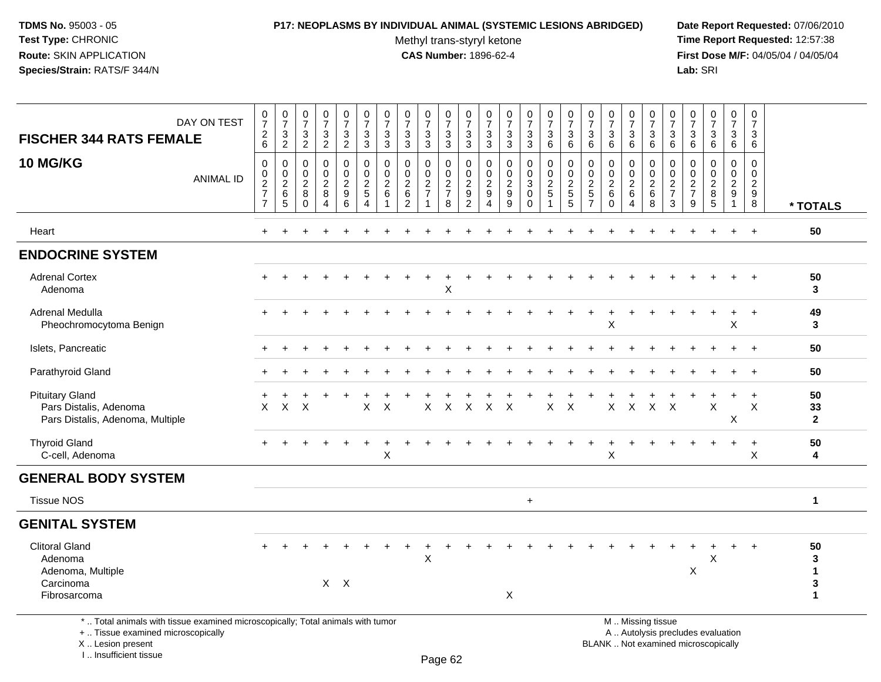### **P17: NEOPLASMS BY INDIVIDUAL ANIMAL (SYSTEMIC LESIONS ABRIDGED) Date Report Requested:** 07/06/2010

Methyl trans-styryl ketone<br>CAS Number: 1896-62-4

 **Time Report Requested:** 12:57:38 **First Dose M/F:** 04/05/04 / 04/05/04<br>Lab: SRI **Lab:** SRI

| DAY ON TEST<br><b>FISCHER 344 RATS FEMALE</b>                                                                                              | $\begin{smallmatrix}0\\7\end{smallmatrix}$<br>$\frac{2}{6}$                           | $\begin{array}{c} 0 \\ 7 \end{array}$<br>$\sqrt{3}$<br>$\overline{c}$ | $\frac{0}{7}$<br>$\ensuremath{\mathsf{3}}$<br>$\sqrt{2}$ | $\frac{0}{7}$<br>$\ensuremath{\mathsf{3}}$<br>$\overline{2}$      | $\frac{0}{7}$<br>3<br>$\overline{2}$                                  | $\frac{0}{7}$<br>$\sqrt{3}$<br>$\overline{3}$                                  | $\begin{array}{c} 0 \\ 7 \end{array}$<br>3<br>$\sqrt{3}$  | $\frac{0}{7}$<br>$\ensuremath{\mathsf{3}}$<br>$\mathbf{3}$          | $\frac{0}{7}$<br>3<br>3                    | $\frac{0}{7}$<br>$\sqrt{3}$<br>$\mathbf{3}$           | $\begin{array}{c} 0 \\ 7 \end{array}$<br>$_3^3$                                | $\,0\,$<br>$\overline{7}$<br>3<br>$\mathsf 3$                        | $\frac{0}{7}$<br>$\ensuremath{\mathsf{3}}$<br>$\mathbf{3}$              | $\frac{0}{7}$<br>3<br>3 | $\frac{0}{7}$<br>$\mathbf{3}$<br>6           | $\frac{0}{7}$<br>$\sqrt{3}$<br>$\,6\,$                                     | $\begin{array}{c} 0 \\ 7 \end{array}$<br>$\mathbf{3}$<br>6               | $\frac{0}{7}$<br>$\ensuremath{\mathsf{3}}$<br>6    | $\frac{0}{7}$<br>3<br>$\,6\,$                   | $\frac{0}{7}$<br>$\ensuremath{\mathsf{3}}$<br>6           | $\begin{array}{c} 0 \\ 7 \end{array}$<br>3<br>$\,6\,$                    | $\,0\,$<br>$\overline{7}$<br>3<br>$\,6\,$       | $\begin{array}{c} 0 \\ 7 \end{array}$<br>$\sqrt{3}$<br>$\,6\,$           | $\frac{0}{7}$<br>3<br>$\,6\,$                     | $\frac{0}{7}$<br>3<br>$6\phantom{1}$     |                                           |
|--------------------------------------------------------------------------------------------------------------------------------------------|---------------------------------------------------------------------------------------|-----------------------------------------------------------------------|----------------------------------------------------------|-------------------------------------------------------------------|-----------------------------------------------------------------------|--------------------------------------------------------------------------------|-----------------------------------------------------------|---------------------------------------------------------------------|--------------------------------------------|-------------------------------------------------------|--------------------------------------------------------------------------------|----------------------------------------------------------------------|-------------------------------------------------------------------------|-------------------------|----------------------------------------------|----------------------------------------------------------------------------|--------------------------------------------------------------------------|----------------------------------------------------|-------------------------------------------------|-----------------------------------------------------------|--------------------------------------------------------------------------|-------------------------------------------------|--------------------------------------------------------------------------|---------------------------------------------------|------------------------------------------|-------------------------------------------|
| <b>10 MG/KG</b><br><b>ANIMAL ID</b>                                                                                                        | $\mathbf 0$<br>$\boldsymbol{0}$<br>$\overline{2}$<br>$\overline{7}$<br>$\overline{7}$ | $\mathbf 0$<br>$\mathbf 0$<br>$\sqrt{2}$<br>$\,6$<br>$\overline{5}$   | $\mathbf 0$<br>0<br>$\sqrt{2}$<br>$\bf 8$<br>$\mathbf 0$ | $\mathbf 0$<br>$\pmb{0}$<br>$\overline{c}$<br>8<br>$\overline{4}$ | 0<br>$\mathbf 0$<br>$\overline{2}$<br>$\boldsymbol{9}$<br>$6^{\circ}$ | $\mathbf 0$<br>$\pmb{0}$<br>$\overline{c}$<br>$\overline{5}$<br>$\overline{4}$ | 0<br>$\mathbf 0$<br>$\boldsymbol{2}$<br>6<br>$\mathbf{1}$ | $\mathbf 0$<br>$\pmb{0}$<br>$\sqrt{2}$<br>$\,6\,$<br>$\overline{c}$ | 0<br>0<br>$\overline{c}$<br>$\overline{7}$ | 0<br>$\mathbf 0$<br>$\sqrt{2}$<br>$\overline{7}$<br>8 | $\mathbf 0$<br>$\mathbf 0$<br>$\sqrt{2}$<br>$\boldsymbol{9}$<br>$\overline{2}$ | 0<br>$\mathbf 0$<br>$\sqrt{2}$<br>$\boldsymbol{9}$<br>$\overline{4}$ | $\mathbf 0$<br>$\mathbf 0$<br>$\boldsymbol{2}$<br>$\boldsymbol{9}$<br>9 | 0<br>0<br>3<br>0<br>0   | 0<br>$\mathbf 0$<br>$\sqrt{2}$<br>$\sqrt{5}$ | $\mathbf 0$<br>$\pmb{0}$<br>$\overline{c}$<br>$\sqrt{5}$<br>$\overline{5}$ | $\mathbf 0$<br>$\mathbf 0$<br>$\sqrt{2}$<br>$\sqrt{5}$<br>$\overline{7}$ | 0<br>$\mathbf 0$<br>$\sqrt{2}$<br>6<br>$\mathbf 0$ | 0<br>0<br>$\overline{c}$<br>6<br>$\overline{4}$ | 0<br>$\mathbf 0$<br>$\sqrt{2}$<br>$\,6$<br>$\overline{8}$ | $\mathbf 0$<br>$\mathbf 0$<br>$\sqrt{2}$<br>$\overline{7}$<br>$\sqrt{3}$ | 0<br>0<br>$\overline{c}$<br>$\overline{7}$<br>9 | $\mathbf 0$<br>0<br>$\overline{2}$<br>8<br>5                             | 0<br>0<br>$\overline{c}$<br>$9\,$<br>$\mathbf{1}$ | $\mathbf 0$<br>0<br>$\sqrt{2}$<br>9<br>8 | * TOTALS                                  |
| Heart                                                                                                                                      | ÷                                                                                     |                                                                       |                                                          |                                                                   |                                                                       |                                                                                |                                                           |                                                                     |                                            |                                                       |                                                                                |                                                                      |                                                                         |                         |                                              |                                                                            |                                                                          |                                                    |                                                 |                                                           |                                                                          |                                                 |                                                                          | $\ddot{}$                                         | $\ddot{}$                                | 50                                        |
| <b>ENDOCRINE SYSTEM</b>                                                                                                                    |                                                                                       |                                                                       |                                                          |                                                                   |                                                                       |                                                                                |                                                           |                                                                     |                                            |                                                       |                                                                                |                                                                      |                                                                         |                         |                                              |                                                                            |                                                                          |                                                    |                                                 |                                                           |                                                                          |                                                 |                                                                          |                                                   |                                          |                                           |
| <b>Adrenal Cortex</b><br>Adenoma                                                                                                           |                                                                                       |                                                                       |                                                          |                                                                   |                                                                       |                                                                                |                                                           |                                                                     |                                            | Χ                                                     |                                                                                |                                                                      |                                                                         |                         |                                              |                                                                            |                                                                          |                                                    |                                                 |                                                           |                                                                          |                                                 |                                                                          |                                                   |                                          | 50<br>3                                   |
| Adrenal Medulla<br>Pheochromocytoma Benign                                                                                                 |                                                                                       |                                                                       |                                                          |                                                                   |                                                                       |                                                                                |                                                           |                                                                     |                                            |                                                       |                                                                                |                                                                      |                                                                         |                         |                                              |                                                                            |                                                                          | Χ                                                  |                                                 |                                                           |                                                                          |                                                 |                                                                          | X                                                 | $\ddot{}$                                | 49<br>3                                   |
| Islets, Pancreatic                                                                                                                         |                                                                                       |                                                                       |                                                          |                                                                   |                                                                       |                                                                                |                                                           |                                                                     |                                            |                                                       |                                                                                |                                                                      |                                                                         |                         |                                              |                                                                            |                                                                          |                                                    |                                                 |                                                           |                                                                          |                                                 |                                                                          |                                                   | $\div$                                   | 50                                        |
| Parathyroid Gland                                                                                                                          |                                                                                       |                                                                       |                                                          |                                                                   |                                                                       |                                                                                |                                                           |                                                                     |                                            |                                                       |                                                                                |                                                                      |                                                                         |                         |                                              |                                                                            |                                                                          |                                                    |                                                 |                                                           |                                                                          |                                                 |                                                                          |                                                   | $\ddot{}$                                | 50                                        |
| <b>Pituitary Gland</b><br>Pars Distalis, Adenoma<br>Pars Distalis, Adenoma, Multiple                                                       | X                                                                                     | X                                                                     | $\times$                                                 |                                                                   |                                                                       | $\boldsymbol{\mathsf{X}}$                                                      | $\times$                                                  |                                                                     | $\mathsf X$                                | X                                                     | X                                                                              | X                                                                    | $\times$                                                                |                         | X                                            | $\times$                                                                   |                                                                          | X                                                  | $\mathsf{X}$                                    | $\boldsymbol{\mathsf{X}}$                                 | $\mathsf{X}$                                                             |                                                 | X                                                                        | X                                                 | $\ddot{}$<br>X                           | 50<br>33<br>$\overline{2}$                |
| <b>Thyroid Gland</b><br>C-cell, Adenoma                                                                                                    |                                                                                       |                                                                       |                                                          |                                                                   |                                                                       |                                                                                | Χ                                                         |                                                                     |                                            |                                                       |                                                                                |                                                                      |                                                                         |                         |                                              |                                                                            |                                                                          | Χ                                                  |                                                 |                                                           |                                                                          |                                                 |                                                                          | $\ddot{}$                                         | $+$<br>X                                 | 50<br>4                                   |
| <b>GENERAL BODY SYSTEM</b>                                                                                                                 |                                                                                       |                                                                       |                                                          |                                                                   |                                                                       |                                                                                |                                                           |                                                                     |                                            |                                                       |                                                                                |                                                                      |                                                                         |                         |                                              |                                                                            |                                                                          |                                                    |                                                 |                                                           |                                                                          |                                                 |                                                                          |                                                   |                                          |                                           |
| <b>Tissue NOS</b>                                                                                                                          |                                                                                       |                                                                       |                                                          |                                                                   |                                                                       |                                                                                |                                                           |                                                                     |                                            |                                                       |                                                                                |                                                                      |                                                                         | $+$                     |                                              |                                                                            |                                                                          |                                                    |                                                 |                                                           |                                                                          |                                                 |                                                                          |                                                   |                                          | 1                                         |
| <b>GENITAL SYSTEM</b>                                                                                                                      |                                                                                       |                                                                       |                                                          |                                                                   |                                                                       |                                                                                |                                                           |                                                                     |                                            |                                                       |                                                                                |                                                                      |                                                                         |                         |                                              |                                                                            |                                                                          |                                                    |                                                 |                                                           |                                                                          |                                                 |                                                                          |                                                   |                                          |                                           |
| <b>Clitoral Gland</b><br>Adenoma<br>Adenoma, Multiple<br>Carcinoma<br>Fibrosarcoma                                                         |                                                                                       |                                                                       |                                                          |                                                                   | $X$ $X$                                                               |                                                                                |                                                           |                                                                     | $\mathsf X$                                |                                                       |                                                                                |                                                                      | $\mathsf{X}$                                                            |                         |                                              |                                                                            |                                                                          |                                                    |                                                 |                                                           |                                                                          | Χ                                               | X                                                                        |                                                   | $\div$                                   | 50<br>3<br>$\blacktriangleleft$<br>3<br>1 |
| *  Total animals with tissue examined microscopically; Total animals with tumor<br>+  Tissue examined microscopically<br>X  Lesion present |                                                                                       |                                                                       |                                                          |                                                                   |                                                                       |                                                                                |                                                           |                                                                     |                                            |                                                       |                                                                                |                                                                      |                                                                         |                         |                                              |                                                                            |                                                                          | M  Missing tissue                                  |                                                 |                                                           |                                                                          |                                                 | A  Autolysis precludes evaluation<br>BLANK  Not examined microscopically |                                                   |                                          |                                           |

I .. Insufficient tissue

Page 62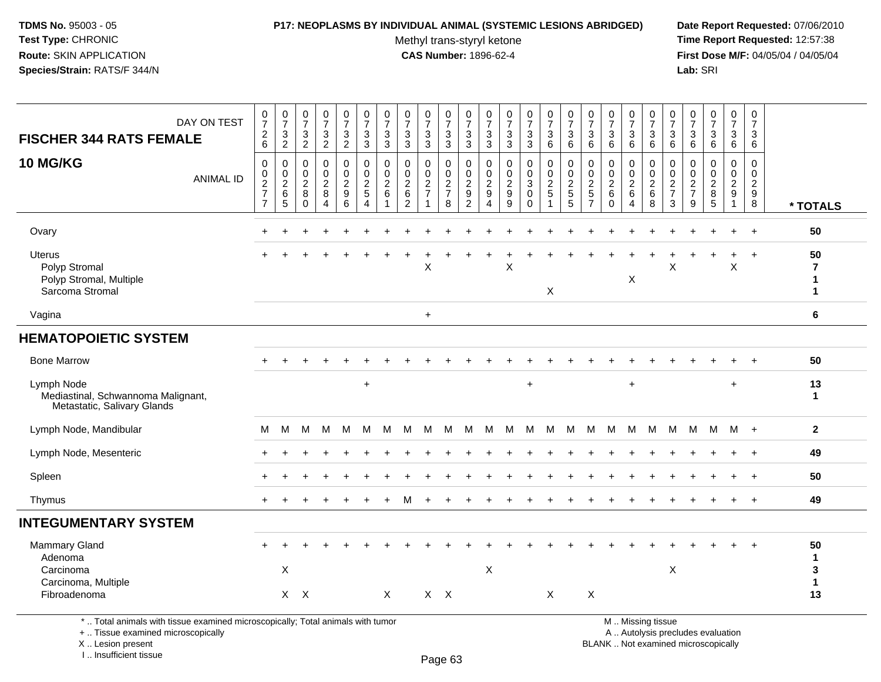### **P17: NEOPLASMS BY INDIVIDUAL ANIMAL (SYSTEMIC LESIONS ABRIDGED) Date Report Requested:** 07/06/2010

Methyl trans-styryl ketone<br>CAS Number: 1896-62-4

 **Time Report Requested:** 12:57:38 **First Dose M/F:** 04/05/04 / 04/05/04<br>Lab: SRI **Lab:** SRI

| DAY ON TEST<br><b>FISCHER 344 RATS FEMALE</b><br>10 MG/KG<br><b>ANIMAL ID</b>   | $\frac{0}{7}$<br>$\frac{2}{6}$<br>0<br>$\pmb{0}$<br>$\overline{\mathbf{c}}$<br>$\overline{7}$<br>$\overline{7}$ | $\frac{0}{7}$<br>$\ensuremath{\mathsf{3}}$<br>$\overline{2}$<br>$\,0\,$<br>$\begin{array}{c} 0 \\ 2 \\ 6 \end{array}$<br>$\sqrt{5}$ | $\begin{smallmatrix}0\\7\end{smallmatrix}$<br>3<br>$\overline{2}$<br>$\mathbf 0$<br>$\boldsymbol{0}$<br>$\overline{c}$<br>$\bf 8$<br>$\mathbf 0$ | $\frac{0}{7}$<br>3<br>$\overline{2}$<br>0<br>0<br>$\overline{c}$<br>$\bf 8$<br>4 | $\frac{0}{7}$<br>3<br>$\overline{2}$<br>0<br>$\mathbf 0$<br>$\overline{c}$<br>9<br>6 | $\frac{0}{7}$<br>3<br>3<br>0<br>$\mathbf 0$<br>$\overline{\mathbf{c}}$<br>5<br>4 | $\frac{0}{7}$<br>$\mathbf{3}$<br>3<br>0<br>0<br>$\overline{c}$<br>6 | $\frac{0}{7}$<br>$\mathbf{3}$<br>$\mathbf{3}$<br>$\mathbf 0$<br>$\mathbf 0$<br>$\frac{2}{6}$<br>$\overline{2}$ | $\frac{0}{7}$<br>3<br>$\mathbf{3}$<br>0<br>$\mathbf 0$<br>$\frac{2}{7}$<br>1 | $\frac{0}{7}$<br>$\sqrt{3}$<br>$\overline{3}$<br>0<br>$\pmb{0}$<br>$\frac{2}{7}$<br>8 | $\begin{smallmatrix}0\\7\end{smallmatrix}$<br>$\sqrt{3}$<br>3<br>0<br>$\mathbf 0$<br>$\overline{\mathbf{c}}$<br>9<br>$\overline{c}$ | $\begin{array}{c} 0 \\ 7 \end{array}$<br>$\mathbf{3}$<br>$\sqrt{3}$<br>0<br>$\mathbf 0$<br>$\overline{c}$<br>9<br>4 | $\frac{0}{7}$<br>$\ensuremath{\mathsf{3}}$<br>$\overline{3}$<br>$\mathbf 0$<br>$\mathbf 0$<br>$\sqrt{2}$<br>9<br>9 | $\frac{0}{7}$<br>3<br>3<br>0<br>0<br>3<br>$\mathbf 0$<br>$\mathbf 0$ | $\frac{0}{7}$<br>$\ensuremath{\mathsf{3}}$<br>$6\phantom{a}$<br>$\mathbf 0$<br>$\frac{0}{2}$<br>1 | $\frac{0}{7}$<br>$\mathbf{3}$<br>6<br>$\mathbf 0$<br>$\pmb{0}$<br>$\frac{2}{5}$<br>$\sqrt{5}$ | $\frac{0}{7}$<br>$\sqrt{3}$<br>$\,6\,$<br>$\mathbf 0$<br>$\pmb{0}$<br>$\frac{2}{5}$<br>$\overline{7}$ | $\frac{0}{7}$<br>$\sqrt{3}$<br>6<br>$\mathbf 0$<br>0<br>$\overline{c}$<br>$\,6\,$<br>$\mathbf{0}$ | $\frac{0}{7}$<br>3<br>6<br>0<br>0<br>$\overline{\mathbf{c}}$<br>6<br>$\overline{4}$ | $\frac{0}{7}$<br>$\mathbf{3}$<br>$\,6\,$<br>0<br>0<br>$\overline{2}$<br>$\,6\,$<br>8 | $\frac{0}{7}$<br>$\mathbf{3}$<br>$\,6\,$<br>0<br>$\pmb{0}$<br>$\frac{2}{7}$<br>3 | $\frac{0}{7}$<br>3<br>$6\phantom{a}$<br>$\mathbf 0$<br>$\mathbf 0$<br>$\overline{c}$<br>$\overline{7}$<br>9 | $\frac{0}{7}$<br>$\sqrt{3}$<br>6<br>$\mathbf 0$<br>0<br>$\overline{c}$<br>$\,8\,$<br>5 | $\frac{0}{7}$<br>3<br>6<br>0<br>0<br>$\overline{c}$<br>9<br>$\mathbf{1}$ | $\begin{smallmatrix}0\\7\end{smallmatrix}$<br>$\mathbf{3}$<br>6<br>0<br>$\mathbf 0$<br>$\overline{c}$<br>$\boldsymbol{9}$<br>8 | * TOTALS                                 |
|---------------------------------------------------------------------------------|-----------------------------------------------------------------------------------------------------------------|-------------------------------------------------------------------------------------------------------------------------------------|--------------------------------------------------------------------------------------------------------------------------------------------------|----------------------------------------------------------------------------------|--------------------------------------------------------------------------------------|----------------------------------------------------------------------------------|---------------------------------------------------------------------|----------------------------------------------------------------------------------------------------------------|------------------------------------------------------------------------------|---------------------------------------------------------------------------------------|-------------------------------------------------------------------------------------------------------------------------------------|---------------------------------------------------------------------------------------------------------------------|--------------------------------------------------------------------------------------------------------------------|----------------------------------------------------------------------|---------------------------------------------------------------------------------------------------|-----------------------------------------------------------------------------------------------|-------------------------------------------------------------------------------------------------------|---------------------------------------------------------------------------------------------------|-------------------------------------------------------------------------------------|--------------------------------------------------------------------------------------|----------------------------------------------------------------------------------|-------------------------------------------------------------------------------------------------------------|----------------------------------------------------------------------------------------|--------------------------------------------------------------------------|--------------------------------------------------------------------------------------------------------------------------------|------------------------------------------|
| Ovary                                                                           | +                                                                                                               |                                                                                                                                     |                                                                                                                                                  |                                                                                  |                                                                                      |                                                                                  |                                                                     |                                                                                                                |                                                                              |                                                                                       |                                                                                                                                     |                                                                                                                     |                                                                                                                    |                                                                      |                                                                                                   |                                                                                               |                                                                                                       |                                                                                                   |                                                                                     |                                                                                      |                                                                                  |                                                                                                             |                                                                                        | +                                                                        | $\ddot{}$                                                                                                                      | 50                                       |
| <b>Uterus</b><br>Polyp Stromal<br>Polyp Stromal, Multiple<br>Sarcoma Stromal    | +                                                                                                               |                                                                                                                                     |                                                                                                                                                  |                                                                                  |                                                                                      |                                                                                  |                                                                     |                                                                                                                | X                                                                            |                                                                                       |                                                                                                                                     |                                                                                                                     | X                                                                                                                  |                                                                      | X                                                                                                 |                                                                                               |                                                                                                       |                                                                                                   | X                                                                                   |                                                                                      | X                                                                                |                                                                                                             |                                                                                        | +<br>X                                                                   | $\ddot{}$                                                                                                                      | 50<br>$\overline{7}$<br>1<br>$\mathbf 1$ |
| Vagina                                                                          |                                                                                                                 |                                                                                                                                     |                                                                                                                                                  |                                                                                  |                                                                                      |                                                                                  |                                                                     |                                                                                                                | $\ddot{}$                                                                    |                                                                                       |                                                                                                                                     |                                                                                                                     |                                                                                                                    |                                                                      |                                                                                                   |                                                                                               |                                                                                                       |                                                                                                   |                                                                                     |                                                                                      |                                                                                  |                                                                                                             |                                                                                        |                                                                          |                                                                                                                                | 6                                        |
| <b>HEMATOPOIETIC SYSTEM</b>                                                     |                                                                                                                 |                                                                                                                                     |                                                                                                                                                  |                                                                                  |                                                                                      |                                                                                  |                                                                     |                                                                                                                |                                                                              |                                                                                       |                                                                                                                                     |                                                                                                                     |                                                                                                                    |                                                                      |                                                                                                   |                                                                                               |                                                                                                       |                                                                                                   |                                                                                     |                                                                                      |                                                                                  |                                                                                                             |                                                                                        |                                                                          |                                                                                                                                |                                          |
| <b>Bone Marrow</b>                                                              |                                                                                                                 |                                                                                                                                     |                                                                                                                                                  |                                                                                  |                                                                                      |                                                                                  |                                                                     |                                                                                                                |                                                                              |                                                                                       |                                                                                                                                     |                                                                                                                     |                                                                                                                    |                                                                      |                                                                                                   |                                                                                               |                                                                                                       |                                                                                                   |                                                                                     |                                                                                      |                                                                                  |                                                                                                             |                                                                                        |                                                                          | $\div$                                                                                                                         | 50                                       |
| Lymph Node<br>Mediastinal, Schwannoma Malignant,<br>Metastatic, Salivary Glands |                                                                                                                 |                                                                                                                                     |                                                                                                                                                  |                                                                                  |                                                                                      | $\ddot{}$                                                                        |                                                                     |                                                                                                                |                                                                              |                                                                                       |                                                                                                                                     |                                                                                                                     |                                                                                                                    | $\ddot{}$                                                            |                                                                                                   |                                                                                               |                                                                                                       |                                                                                                   | $\ddot{}$                                                                           |                                                                                      |                                                                                  |                                                                                                             |                                                                                        | $\ddot{}$                                                                |                                                                                                                                | 13<br>$\mathbf{1}$                       |
| Lymph Node, Mandibular                                                          | м                                                                                                               | M                                                                                                                                   | м                                                                                                                                                | M                                                                                | M                                                                                    | м                                                                                | M                                                                   | м                                                                                                              | м                                                                            | M                                                                                     | M                                                                                                                                   | M                                                                                                                   | м                                                                                                                  | M                                                                    | M                                                                                                 | M                                                                                             | м                                                                                                     | M                                                                                                 | M                                                                                   | M                                                                                    | м                                                                                | M                                                                                                           | м                                                                                      | $M +$                                                                    |                                                                                                                                | $\mathbf{2}$                             |
| Lymph Node, Mesenteric                                                          |                                                                                                                 |                                                                                                                                     |                                                                                                                                                  |                                                                                  |                                                                                      |                                                                                  |                                                                     |                                                                                                                |                                                                              |                                                                                       |                                                                                                                                     |                                                                                                                     |                                                                                                                    |                                                                      |                                                                                                   |                                                                                               |                                                                                                       |                                                                                                   |                                                                                     |                                                                                      |                                                                                  |                                                                                                             |                                                                                        |                                                                          | $\ddot{}$                                                                                                                      | 49                                       |
| Spleen                                                                          | $\ddot{}$                                                                                                       |                                                                                                                                     |                                                                                                                                                  |                                                                                  |                                                                                      |                                                                                  |                                                                     |                                                                                                                |                                                                              |                                                                                       |                                                                                                                                     |                                                                                                                     |                                                                                                                    |                                                                      |                                                                                                   |                                                                                               |                                                                                                       |                                                                                                   |                                                                                     |                                                                                      |                                                                                  |                                                                                                             |                                                                                        |                                                                          | $+$                                                                                                                            | 50                                       |
| Thymus                                                                          | $\pm$                                                                                                           |                                                                                                                                     |                                                                                                                                                  |                                                                                  |                                                                                      |                                                                                  |                                                                     | м                                                                                                              | $\ddot{}$                                                                    |                                                                                       |                                                                                                                                     |                                                                                                                     |                                                                                                                    |                                                                      |                                                                                                   |                                                                                               |                                                                                                       |                                                                                                   |                                                                                     |                                                                                      |                                                                                  |                                                                                                             |                                                                                        |                                                                          | $+$                                                                                                                            | 49                                       |
| <b>INTEGUMENTARY SYSTEM</b>                                                     |                                                                                                                 |                                                                                                                                     |                                                                                                                                                  |                                                                                  |                                                                                      |                                                                                  |                                                                     |                                                                                                                |                                                                              |                                                                                       |                                                                                                                                     |                                                                                                                     |                                                                                                                    |                                                                      |                                                                                                   |                                                                                               |                                                                                                       |                                                                                                   |                                                                                     |                                                                                      |                                                                                  |                                                                                                             |                                                                                        |                                                                          |                                                                                                                                |                                          |
| Mammary Gland<br>Adenoma<br>Carcinoma<br>Carcinoma, Multiple<br>Fibroadenoma    |                                                                                                                 | X                                                                                                                                   | $X$ $X$                                                                                                                                          |                                                                                  |                                                                                      |                                                                                  | X                                                                   |                                                                                                                | $X$ $X$                                                                      |                                                                                       |                                                                                                                                     | $\boldsymbol{\mathsf{X}}$                                                                                           |                                                                                                                    |                                                                      | X                                                                                                 |                                                                                               | $\mathsf X$                                                                                           |                                                                                                   |                                                                                     |                                                                                      | X                                                                                |                                                                                                             |                                                                                        |                                                                          | $\ddot{}$                                                                                                                      | 50<br>1<br>3<br>1<br>13                  |

\* .. Total animals with tissue examined microscopically; Total animals with tumor

+ .. Tissue examined microscopically

X .. Lesion present

I .. Insufficient tissue

M .. Missing tissue

y the contract of the contract of the contract of the contract of the contract of  $\mathsf A$  . Autolysis precludes evaluation

Lesion present BLANK .. Not examined microscopically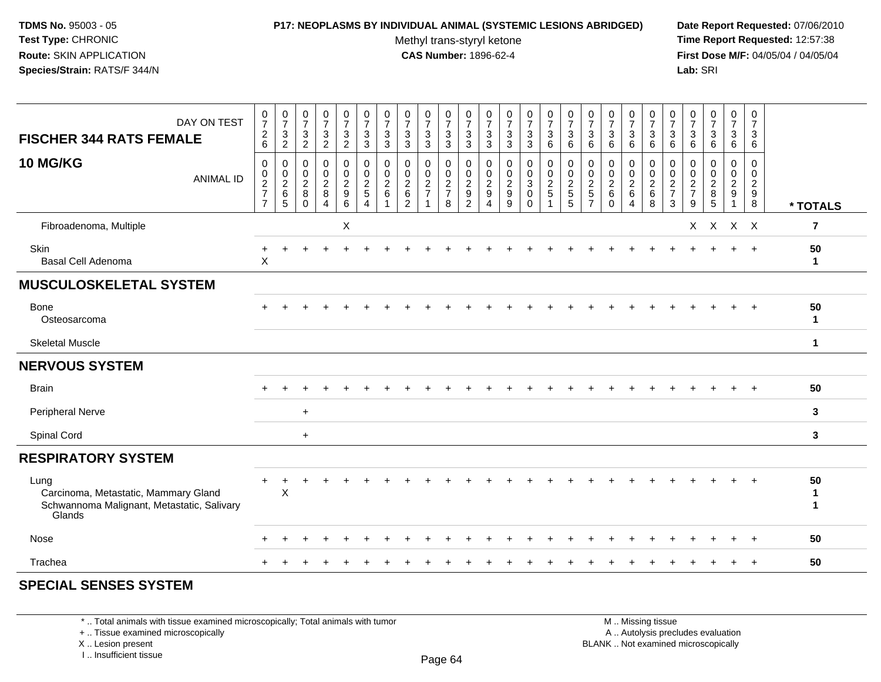### **P17: NEOPLASMS BY INDIVIDUAL ANIMAL (SYSTEMIC LESIONS ABRIDGED) Date Report Requested:** 07/06/2010

Methyl trans-styryl ketone<br>CAS Number: 1896-62-4

 **Time Report Requested:** 12:57:38 **First Dose M/F:** 04/05/04 / 04/05/04<br>**Lab:** SRI **Lab:** SRI

| * TOTALS       |
|----------------|
| $\overline{7}$ |
| 50<br>1        |
|                |
| 50<br>1        |
| $\mathbf 1$    |
|                |
| 50             |
| 3              |
| 3              |
|                |
| 50<br>1<br>1   |
| 50             |
| 50             |
|                |

# **SPECIAL SENSES SYSTEM**

\* .. Total animals with tissue examined microscopically; Total animals with tumor

+ .. Tissue examined microscopically

X .. Lesion present

I .. Insufficient tissue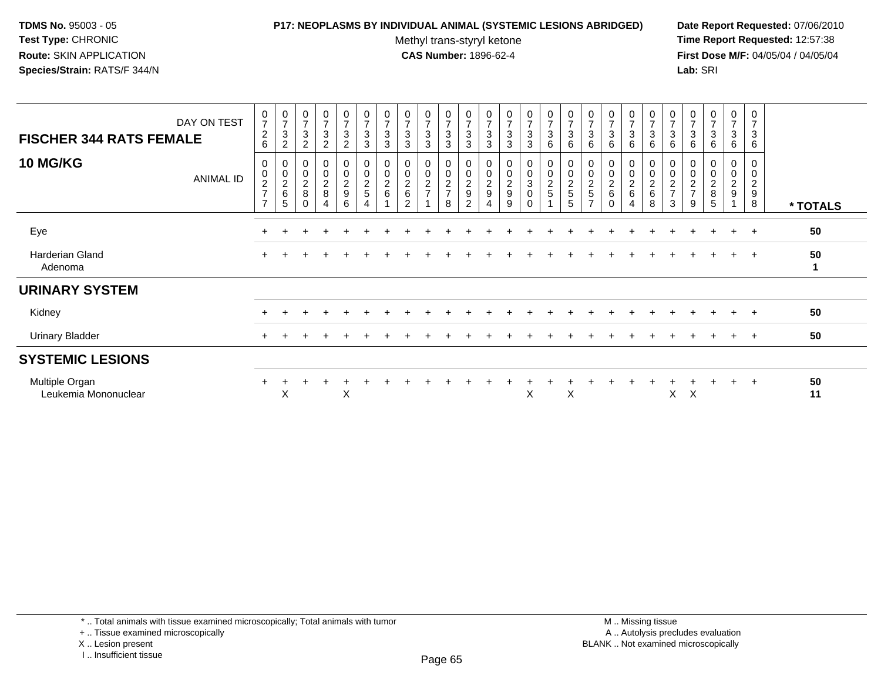## **P17: NEOPLASMS BY INDIVIDUAL ANIMAL (SYSTEMIC LESIONS ABRIDGED) Date Report Requested:** 07/06/2010

Methyl trans-styryl ketone<br>CAS Number: 1896-62-4

| DAY ON TEST<br><b>FISCHER 344 RATS FEMALE</b> | $\frac{0}{7}$<br>$\overline{c}$<br>6                                   | $\frac{0}{7}$<br>$\mathbf 3$<br>$\sqrt{2}$ | $\frac{0}{7}$<br>$\mathbf{3}$<br>$\overline{2}$ | $\overline{0}$<br>$\overline{7}$<br>3<br>2 | $\frac{0}{7}$<br>$\sqrt{3}$<br>$\boldsymbol{2}$   | $\frac{0}{7}$<br>$\sqrt{3}$<br>$\mathbf{3}$ | $\begin{array}{c} 0 \\ 7 \end{array}$<br>$\mathbf{3}$<br>$\mathbf{3}$ | $\frac{0}{7}$<br>$\sqrt{3}$<br>3       | $\frac{0}{7}$<br>$\sqrt{3}$<br>$\mathbf{3}$ | $\begin{array}{c} 0 \\ 7 \end{array}$<br>3<br>$\mathsf 3$        | $\frac{0}{7}$<br>$\ensuremath{\mathsf{3}}$<br>$\sqrt{3}$         | $\frac{0}{7}$<br>$\sqrt{3}$<br>3 | $\frac{0}{7}$<br>$\mathbf{3}$<br>$\mathbf{3}$ | $\begin{smallmatrix}0\\7\end{smallmatrix}$<br>$\sqrt{3}$<br>3  | 0<br>$\overline{7}$<br>3<br>6           | $\frac{0}{7}$<br>$\ensuremath{\mathsf{3}}$<br>6 | $\frac{0}{7}$<br>3<br>6      | $\begin{array}{c} 0 \\ 7 \end{array}$<br>$\sqrt{3}$<br>6 | $\frac{0}{7}$<br>$\ensuremath{\mathsf{3}}$<br>6 | 0<br>$\overline{7}$<br>3<br>6                           | $\frac{0}{7}$<br>3<br>6           | $\pmb{0}$<br>$\overline{7}$<br>3<br>6 | $\frac{0}{7}$<br>$\mathbf{3}$<br>$\,6\,$ | $\begin{array}{c} 0 \\ 7 \end{array}$<br>$\sqrt{3}$<br>6 | 0<br>$\overline{7}$<br>$\mathbf{3}$<br>6                    |          |
|-----------------------------------------------|------------------------------------------------------------------------|--------------------------------------------|-------------------------------------------------|--------------------------------------------|---------------------------------------------------|---------------------------------------------|-----------------------------------------------------------------------|----------------------------------------|---------------------------------------------|------------------------------------------------------------------|------------------------------------------------------------------|----------------------------------|-----------------------------------------------|----------------------------------------------------------------|-----------------------------------------|-------------------------------------------------|------------------------------|----------------------------------------------------------|-------------------------------------------------|---------------------------------------------------------|-----------------------------------|---------------------------------------|------------------------------------------|----------------------------------------------------------|-------------------------------------------------------------|----------|
| <b>10 MG/KG</b><br><b>ANIMAL ID</b>           | 0<br>$\pmb{0}$<br>$\boldsymbol{2}$<br>$\overline{7}$<br>$\overline{ }$ | 00026<br>5                                 | $\pmb{0}$<br>$\pmb{0}$<br>$\frac{2}{8}$         | 0<br>$\pmb{0}$<br>$_{\rm 8}^2$             | 0<br>0<br>$\overline{c}$<br>$\boldsymbol{9}$<br>6 | 0<br>$\pmb{0}$<br>$\frac{2}{5}$             | $_{\rm 0}^{\rm 0}$<br>$\frac{2}{6}$                                   | 0<br>$\mathbf 0$<br>$\frac{2}{6}$<br>2 | 0<br>$\pmb{0}$<br>$\frac{2}{7}$             | $\begin{smallmatrix}0\\0\end{smallmatrix}$<br>$\frac{2}{7}$<br>8 | $\begin{smallmatrix}0\\0\end{smallmatrix}$<br>$\frac{2}{9}$<br>2 | 0<br>0<br>$\frac{2}{9}$<br>4     | $\pmb{0}$<br>$\pmb{0}$<br>$\frac{2}{9}$<br>9  | $\pmb{0}$<br>$\pmb{0}$<br>3<br>$\mathsf{O}\xspace$<br>$\Omega$ | $\mathbf 0$<br>$\pmb{0}$<br>$rac{2}{5}$ | 0<br>$\mathbf 0$<br>$\frac{2}{5}$<br>5          | $\mathbf 0$<br>$\frac{2}{5}$ | 0<br>$\pmb{0}$<br>$\frac{2}{6}$<br>$\Omega$              | 0<br>0<br>$\frac{2}{6}$<br>4                    | $\pmb{0}$<br>$\begin{array}{c} 2 \\ 6 \end{array}$<br>8 | $\mathbf 0$<br>$\frac{2}{7}$<br>3 | $\frac{2}{7}$<br>9                    | 0<br>$\pmb{0}$<br>$\frac{2}{8}$<br>5     | 0<br>0<br>$\frac{2}{9}$                                  | 0<br>$\pmb{0}$<br>$\boldsymbol{2}$<br>$\boldsymbol{9}$<br>8 | * TOTALS |
| Eye                                           |                                                                        |                                            |                                                 |                                            |                                                   |                                             |                                                                       |                                        |                                             |                                                                  |                                                                  |                                  |                                               |                                                                |                                         |                                                 |                              |                                                          |                                                 |                                                         |                                   |                                       |                                          | $+$                                                      | $+$                                                         | 50       |
| Harderian Gland<br>Adenoma                    | $+$                                                                    |                                            |                                                 |                                            |                                                   |                                             |                                                                       |                                        |                                             |                                                                  |                                                                  |                                  |                                               |                                                                |                                         |                                                 |                              |                                                          |                                                 |                                                         |                                   |                                       |                                          | $+$                                                      | $+$                                                         | 50<br>1  |
| <b>URINARY SYSTEM</b>                         |                                                                        |                                            |                                                 |                                            |                                                   |                                             |                                                                       |                                        |                                             |                                                                  |                                                                  |                                  |                                               |                                                                |                                         |                                                 |                              |                                                          |                                                 |                                                         |                                   |                                       |                                          |                                                          |                                                             |          |
| Kidney                                        |                                                                        |                                            |                                                 |                                            |                                                   |                                             |                                                                       |                                        |                                             |                                                                  |                                                                  |                                  |                                               |                                                                |                                         |                                                 |                              |                                                          |                                                 |                                                         |                                   |                                       |                                          | $+$                                                      | $+$                                                         | 50       |
| <b>Urinary Bladder</b>                        |                                                                        |                                            |                                                 |                                            |                                                   |                                             |                                                                       |                                        |                                             |                                                                  |                                                                  |                                  |                                               |                                                                |                                         |                                                 |                              |                                                          |                                                 |                                                         |                                   |                                       |                                          | $\pm$                                                    | $+$                                                         | 50       |
| <b>SYSTEMIC LESIONS</b>                       |                                                                        |                                            |                                                 |                                            |                                                   |                                             |                                                                       |                                        |                                             |                                                                  |                                                                  |                                  |                                               |                                                                |                                         |                                                 |                              |                                                          |                                                 |                                                         |                                   |                                       |                                          |                                                          |                                                             |          |
| Multiple Organ<br>Leukemia Mononuclear        | $\pm$                                                                  | X                                          |                                                 |                                            | X                                                 |                                             |                                                                       |                                        |                                             |                                                                  |                                                                  |                                  |                                               | X                                                              |                                         | X                                               |                              |                                                          |                                                 |                                                         | X                                 | X                                     |                                          | $\pm$                                                    | $+$                                                         | 50<br>11 |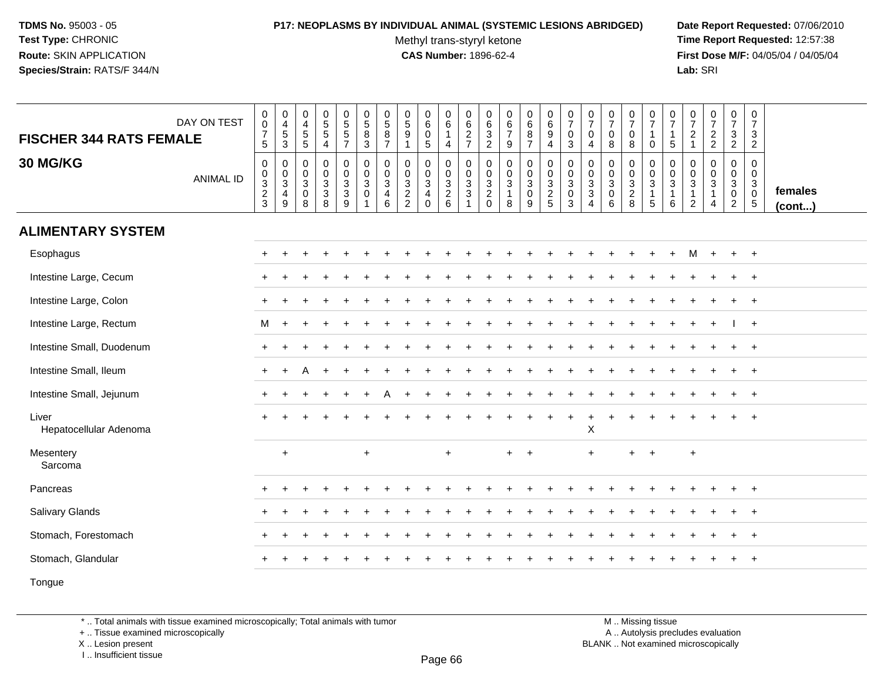# **P17: NEOPLASMS BY INDIVIDUAL ANIMAL (SYSTEMIC LESIONS ABRIDGED) Date Report Requested:** 07/06/2010

Methyl trans-styryl ketone<br>CAS Number: 1896-62-4

 **Time Report Requested:** 12:57:38 **First Dose M/F:** 04/05/04 / 04/05/04<br>Lab: SRI **Lab:** SRI

| <b>FISCHER 344 RATS FEMALE</b>  | DAY ON TEST      | $\begin{array}{c} 0 \\ 0 \\ 7 \\ 5 \end{array}$                | $\begin{array}{c} 0 \\ 4 \\ 5 \end{array}$<br>$\mathbf{3}$                       | 0<br>$\overline{a}$<br>$\sqrt{5}$<br>$\,$ 5 $\,$                       | $\begin{array}{c} 0 \\ 5 \\ 5 \end{array}$<br>$\overline{4}$   | $0$<br>5<br>5<br>5<br>7                                           | $\begin{array}{c} 0 \\ 5 \\ 8 \end{array}$<br>$\mathbf{3}$     | $\begin{array}{c} 0 \\ 5 \\ 8 \end{array}$<br>$\overline{7}$ | $\begin{array}{c} 0 \\ 5 \\ 9 \end{array}$<br>$\mathbf{1}$   | $\begin{smallmatrix}0\0\0\end{smallmatrix}$<br>$\sqrt{5}$                  | $\begin{smallmatrix}0\0\0\end{smallmatrix}$<br>$\mathbf{1}$<br>$\overline{4}$ | 0627                                                 | 0<br>$\overline{6}$<br>$\sqrt{3}$<br>$\overline{c}$ | $\begin{array}{c} 0 \\ 6 \\ 7 \end{array}$<br>$\boldsymbol{9}$ | $\begin{array}{c} 0 \\ 6 \\ 8 \end{array}$<br>$\overline{7}$ | $\begin{matrix} 0 \\ 6 \end{matrix}$<br>9<br>$\overline{4}$ | $\frac{0}{7}$<br>$\pmb{0}$<br>$\sqrt{3}$                                 | $\frac{0}{7}$<br>$\mathbf 0$<br>$\overline{a}$        | $\frac{0}{7}$<br>$\mathbf 0$<br>8                              | $\frac{0}{7}$<br>0<br>$\bf 8$                | $\frac{0}{7}$<br>$\overline{1}$<br>0                                | $\frac{0}{7}$<br>$\mathbf{1}$<br>$\mathbf 5$   | $\frac{0}{7}$<br>$\overline{c}$<br>$\mathbf{1}$                | $\frac{0}{7}$<br>$\frac{2}{2}$                          | $\frac{0}{7}$<br>$\frac{3}{2}$                                  | 0<br>$\overline{7}$<br>3<br>$\overline{2}$                         |                   |
|---------------------------------|------------------|----------------------------------------------------------------|----------------------------------------------------------------------------------|------------------------------------------------------------------------|----------------------------------------------------------------|-------------------------------------------------------------------|----------------------------------------------------------------|--------------------------------------------------------------|--------------------------------------------------------------|----------------------------------------------------------------------------|-------------------------------------------------------------------------------|------------------------------------------------------|-----------------------------------------------------|----------------------------------------------------------------|--------------------------------------------------------------|-------------------------------------------------------------|--------------------------------------------------------------------------|-------------------------------------------------------|----------------------------------------------------------------|----------------------------------------------|---------------------------------------------------------------------|------------------------------------------------|----------------------------------------------------------------|---------------------------------------------------------|-----------------------------------------------------------------|--------------------------------------------------------------------|-------------------|
| 30 MG/KG                        | <b>ANIMAL ID</b> | $\mathsf 0$<br>$\begin{array}{c} 0 \\ 3 \\ 2 \\ 3 \end{array}$ | $\boldsymbol{0}$<br>$\frac{0}{3}$<br>$\overline{\mathbf{4}}$<br>$\boldsymbol{9}$ | $\mathbf 0$<br>$\mathbf 0$<br>$\mathbf{3}$<br>$\mathsf{O}\xspace$<br>8 | $\mathbf 0$<br>$\mathbf 0$<br>$\mathbf 3$<br>$\mathbf{3}$<br>8 | 0<br>$\mathbf 0$<br>$\sqrt{3}$<br>$\mathsf 3$<br>$\boldsymbol{9}$ | $\mathbf 0$<br>$\mathbf 0$<br>3<br>$\mathbf 0$<br>$\mathbf{1}$ | 0<br>$\pmb{0}$<br>3<br>4<br>6                                | 0<br>0<br>$\mathbf{3}$<br>$\boldsymbol{2}$<br>$\overline{2}$ | $\mathbf 0$<br>$\mathbf 0$<br>$\mathsf 3$<br>$\overline{4}$<br>$\mathbf 0$ | 0<br>$\begin{array}{c} 0 \\ 3 \\ 2 \\ 6 \end{array}$                          | $\mathbf 0$<br>$\mathbf 0$<br>$_3^3$<br>$\mathbf{1}$ | 0<br>$\mathbf 0$<br>3<br>$\sqrt{2}$<br>$\mathsf 0$  | 0<br>$_{3}^{\rm 0}$<br>$\mathbf{1}$<br>8                       | 0<br>$\bar{0}$<br>$\mathbf{3}$<br>$\mathsf{O}$<br>9          | 0<br>$\mathbf 0$<br>3<br>$rac{2}{5}$                        | $\begin{smallmatrix}0\\0\\3\end{smallmatrix}$<br>$\pmb{0}$<br>$\sqrt{3}$ | 0<br>$\mathbf 0$<br>3<br>$\sqrt{3}$<br>$\overline{4}$ | $\mathbf 0$<br>$\mathbf 0$<br>$\mathbf{3}$<br>$\mathbf 0$<br>6 | 0<br>$\mathbf 0$<br>3<br>$\overline{c}$<br>8 | 0<br>$\mathbf 0$<br>$\mathbf{3}$<br>$\mathbf{1}$<br>$5\phantom{.0}$ | 0<br>$_{3}^{\rm 0}$<br>$\mathbf{1}$<br>$\,6\,$ | 0<br>$\mathbf 0$<br>$\mathbf{3}$<br>$\mathbf{1}$<br>$\sqrt{2}$ | 0<br>$\mathbf 0$<br>3<br>$\mathbf{1}$<br>$\overline{4}$ | 0<br>$\mathbf 0$<br>$\mathbf{3}$<br>$\pmb{0}$<br>$\overline{2}$ | 0<br>$\mathbf 0$<br>$\mathbf{3}$<br>$\mathbf 0$<br>$5\phantom{.0}$ | females<br>(cont) |
| <b>ALIMENTARY SYSTEM</b>        |                  |                                                                |                                                                                  |                                                                        |                                                                |                                                                   |                                                                |                                                              |                                                              |                                                                            |                                                                               |                                                      |                                                     |                                                                |                                                              |                                                             |                                                                          |                                                       |                                                                |                                              |                                                                     |                                                |                                                                |                                                         |                                                                 |                                                                    |                   |
| Esophagus                       |                  | $+$                                                            |                                                                                  |                                                                        |                                                                |                                                                   |                                                                |                                                              |                                                              |                                                                            |                                                                               |                                                      |                                                     |                                                                |                                                              |                                                             |                                                                          |                                                       |                                                                |                                              |                                                                     |                                                | М                                                              |                                                         | $+$                                                             | $+$                                                                |                   |
| Intestine Large, Cecum          |                  |                                                                |                                                                                  |                                                                        |                                                                |                                                                   |                                                                |                                                              |                                                              |                                                                            |                                                                               |                                                      |                                                     |                                                                |                                                              |                                                             |                                                                          |                                                       |                                                                |                                              |                                                                     |                                                |                                                                |                                                         |                                                                 |                                                                    |                   |
| Intestine Large, Colon          |                  |                                                                |                                                                                  |                                                                        |                                                                |                                                                   |                                                                |                                                              |                                                              |                                                                            |                                                                               |                                                      |                                                     |                                                                |                                                              |                                                             |                                                                          |                                                       |                                                                |                                              |                                                                     |                                                |                                                                |                                                         |                                                                 | $\overline{1}$                                                     |                   |
| Intestine Large, Rectum         |                  | M                                                              | $\ddot{}$                                                                        |                                                                        |                                                                |                                                                   |                                                                |                                                              |                                                              |                                                                            |                                                                               |                                                      |                                                     |                                                                |                                                              |                                                             |                                                                          |                                                       |                                                                |                                              |                                                                     |                                                |                                                                |                                                         |                                                                 | $+$                                                                |                   |
| Intestine Small, Duodenum       |                  | $+$                                                            |                                                                                  |                                                                        |                                                                |                                                                   |                                                                |                                                              |                                                              |                                                                            |                                                                               |                                                      |                                                     |                                                                |                                                              |                                                             |                                                                          |                                                       |                                                                |                                              |                                                                     |                                                |                                                                |                                                         |                                                                 | $+$                                                                |                   |
| Intestine Small, Ileum          |                  | $\ddot{}$                                                      | $\ddot{}$                                                                        |                                                                        |                                                                |                                                                   |                                                                |                                                              |                                                              |                                                                            |                                                                               |                                                      |                                                     |                                                                |                                                              |                                                             |                                                                          |                                                       |                                                                |                                              |                                                                     |                                                |                                                                |                                                         |                                                                 |                                                                    |                   |
| Intestine Small, Jejunum        |                  |                                                                |                                                                                  |                                                                        |                                                                |                                                                   |                                                                |                                                              |                                                              |                                                                            |                                                                               |                                                      |                                                     |                                                                |                                                              |                                                             |                                                                          |                                                       |                                                                |                                              |                                                                     |                                                |                                                                |                                                         |                                                                 |                                                                    |                   |
| Liver<br>Hepatocellular Adenoma |                  | $+$                                                            | $\div$                                                                           |                                                                        |                                                                |                                                                   |                                                                |                                                              |                                                              |                                                                            |                                                                               |                                                      |                                                     |                                                                |                                                              | $\ddot{}$                                                   | $\ddot{}$                                                                | $\ddot{}$<br>X                                        |                                                                | $\div$                                       | $\ddot{}$                                                           | $\ddot{}$                                      |                                                                |                                                         | $+$                                                             | $\overline{1}$                                                     |                   |
| Mesentery<br>Sarcoma            |                  |                                                                | $\ddot{}$                                                                        |                                                                        |                                                                |                                                                   | $\ddot{}$                                                      |                                                              |                                                              |                                                                            | $\ddot{}$                                                                     |                                                      |                                                     | $+$                                                            | $\overline{+}$                                               |                                                             |                                                                          | $\ddot{}$                                             |                                                                | $\pm$                                        | $\ddot{}$                                                           |                                                | $\ddot{}$                                                      |                                                         |                                                                 |                                                                    |                   |
| Pancreas                        |                  | $\pm$                                                          | $\div$                                                                           |                                                                        |                                                                |                                                                   |                                                                |                                                              |                                                              |                                                                            |                                                                               |                                                      |                                                     |                                                                |                                                              |                                                             |                                                                          |                                                       |                                                                |                                              |                                                                     |                                                |                                                                |                                                         |                                                                 | $\overline{ }$                                                     |                   |
| Salivary Glands                 |                  |                                                                |                                                                                  |                                                                        |                                                                |                                                                   |                                                                |                                                              |                                                              |                                                                            |                                                                               |                                                      |                                                     |                                                                |                                                              |                                                             |                                                                          |                                                       |                                                                |                                              |                                                                     |                                                |                                                                |                                                         |                                                                 |                                                                    |                   |
| Stomach, Forestomach            |                  |                                                                |                                                                                  |                                                                        |                                                                |                                                                   |                                                                |                                                              |                                                              |                                                                            |                                                                               |                                                      |                                                     |                                                                |                                                              |                                                             |                                                                          |                                                       |                                                                |                                              |                                                                     |                                                |                                                                |                                                         |                                                                 | $\overline{1}$                                                     |                   |
| Stomach, Glandular              |                  |                                                                |                                                                                  |                                                                        |                                                                |                                                                   |                                                                |                                                              |                                                              |                                                                            |                                                                               |                                                      |                                                     |                                                                |                                                              |                                                             |                                                                          |                                                       |                                                                |                                              |                                                                     |                                                |                                                                |                                                         |                                                                 | $\overline{+}$                                                     |                   |
| Tongue                          |                  |                                                                |                                                                                  |                                                                        |                                                                |                                                                   |                                                                |                                                              |                                                              |                                                                            |                                                                               |                                                      |                                                     |                                                                |                                                              |                                                             |                                                                          |                                                       |                                                                |                                              |                                                                     |                                                |                                                                |                                                         |                                                                 |                                                                    |                   |

\* .. Total animals with tissue examined microscopically; Total animals with tumor

+ .. Tissue examined microscopically

X .. Lesion present

I .. Insufficient tissue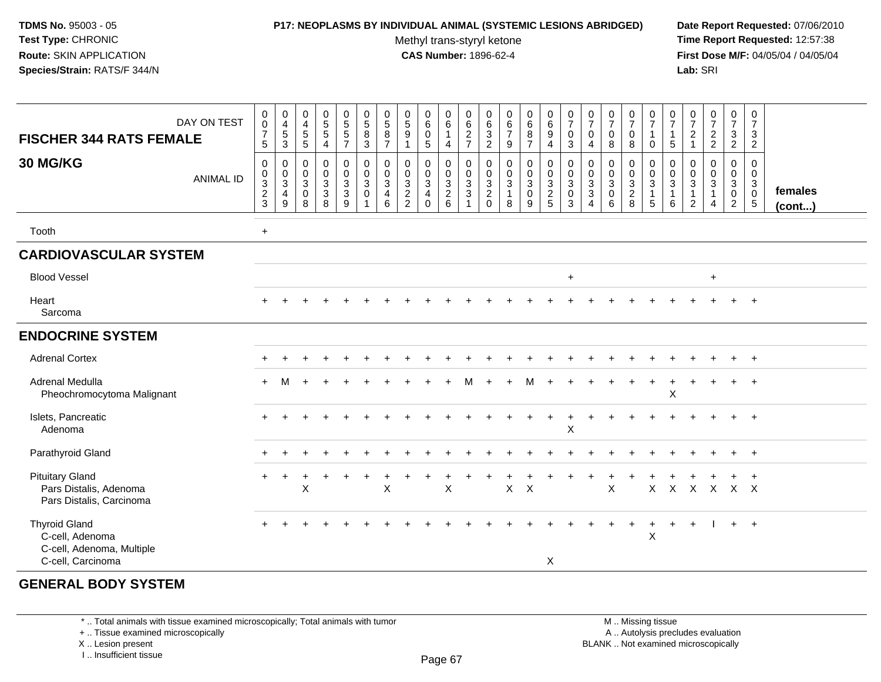### **P17: NEOPLASMS BY INDIVIDUAL ANIMAL (SYSTEMIC LESIONS ABRIDGED) Date Report Requested:** 07/06/2010

Methyl trans-styryl ketone<br>CAS Number: 1896-62-4

 **Time Report Requested:** 12:57:38 **First Dose M/F:** 04/05/04 / 04/05/04<br>**Lab:** SRI **Lab:** SRI

| DAY ON TEST<br><b>FISCHER 344 RATS FEMALE</b><br>30 MG/KG<br><b>ANIMAL ID</b>             | $\mathbf 0$<br>$\ddot{\mathbf{0}}$<br>$\overline{7}$<br>5<br>0<br>$\boldsymbol{0}$<br>$\overline{3}$<br>$\overline{c}$<br>3 | 0<br>$\overline{\mathbf{4}}$<br>$\,$ 5 $\,$<br>$\mathbf{3}$<br>$\mathbf 0$<br>$\mathbf 0$<br>$\sqrt{3}$<br>$\overline{4}$<br>$\boldsymbol{9}$ | $\mathbf 0$<br>$\overline{4}$<br>$\sqrt{5}$<br>5<br>$\mathbf 0$<br>$\mathbf 0$<br>$\mathbf{3}$<br>$\mathbf 0$<br>8 | $\mathbf 0$<br>$\frac{5}{5}$<br>$\overline{4}$<br>$\pmb{0}$<br>$\mathbf 0$<br>$\overline{3}$<br>$\mathbf{3}$<br>8 | $\pmb{0}$<br>5<br>$\sqrt{5}$<br>$\overline{7}$<br>$\mathsf 0$<br>$\mathbf 0$<br>$\overline{3}$<br>$\mathbf{3}$<br>9 | $\begin{smallmatrix} 0\\5 \end{smallmatrix}$<br>$\bf 8$<br>$\mathbf{3}$<br>$\pmb{0}$<br>$\mathsf{O}\xspace$<br>3<br>$\mathbf 0$<br>1 | $\begin{array}{c} 0 \\ 5 \end{array}$<br>8<br>$\overline{7}$<br>0<br>0<br>3<br>$\overline{4}$<br>6 | $\begin{array}{c} 0 \\ 5 \\ 9 \end{array}$<br>-1<br>$\pmb{0}$<br>$\pmb{0}$<br>$\frac{3}{2}$<br>$\overline{2}$ | 0<br>6<br>$\mathbf 0$<br>$\sqrt{5}$<br>0<br>$\pmb{0}$<br>$\overline{3}$<br>$\overline{\mathbf{4}}$<br>$\mathbf 0$ | 0<br>$\,6$<br>$\mathbf{1}$<br>$\overline{4}$<br>$\pmb{0}$<br>$\mathbf 0$<br>$\overline{3}$<br>$\overline{c}$<br>$6\phantom{1}$ | 0<br>$\frac{6}{2}$<br>$\overline{7}$<br>0<br>$\mathsf{O}$<br>$\overline{3}$<br>3<br>$\mathbf{1}$ | 0<br>$\,6\,$<br>$\ensuremath{\mathsf{3}}$<br>$\overline{2}$<br>$\pmb{0}$<br>$\boldsymbol{0}$<br>$\overline{3}$<br>$\overline{c}$<br>$\mathbf 0$ | $\begin{array}{c} 0 \\ 6 \\ 7 \end{array}$<br>9<br>$\mathsf 0$<br>$\mathsf{O}\xspace$<br>$\overline{3}$<br>$\overline{1}$<br>8 | $\begin{array}{c} 0 \\ 6 \end{array}$<br>$\bf 8$<br>$\overline{7}$<br>$\pmb{0}$<br>$\mathbf 0$<br>$\overline{3}$<br>0<br>9 | $\pmb{0}$<br>$\overline{6}$<br>9<br>4<br>$\pmb{0}$<br>$\mathbf 0$<br>$\overline{3}$<br>$\overline{c}$<br>$5\phantom{.0}$ | $\frac{0}{7}$<br>$\mathbf 0$<br>3<br>$\mathbf 0$<br>$\mathsf{O}\xspace$<br>$\mathbf{3}$<br>$\mathbf 0$<br>3 | 0<br>$\overline{7}$<br>$\mathbf 0$<br>$\overline{4}$<br>0<br>$\mathbf 0$<br>$\overline{3}$<br>$\mathbf 3$<br>$\overline{4}$ | $\begin{array}{c} 0 \\ 7 \end{array}$<br>$\mathbf 0$<br>8<br>$\mathbf 0$<br>$\mathsf{O}\xspace$<br>$\overline{3}$<br>$\mathbf 0$<br>6 | 0<br>$\overline{7}$<br>0<br>8<br>0<br>$\mathbf 0$<br>$\overline{3}$<br>$\sqrt{2}$<br>8 | $\pmb{0}$<br>$\overline{7}$<br>$\overline{1}$<br>$\mathbf 0$<br>$\pmb{0}$<br>$\mathbf 0$<br>$\overline{3}$<br>$\mathbf{1}$<br>5 | 0<br>$\overline{7}$<br>$\mathbf{1}$<br>5<br>0<br>$\mathbf 0$<br>3<br>$\mathbf{1}$<br>6 | 0<br>$\overline{7}$<br>$\sqrt{2}$<br>$\mathbf{1}$<br>$\pmb{0}$<br>$\mathsf 0$<br>$\sqrt{3}$<br>$\mathbf{1}$<br>$\overline{2}$ | $\frac{0}{7}$<br>$\overline{c}$<br>$\overline{c}$<br>$\pmb{0}$<br>$\mathsf{O}\xspace$<br>$\mathfrak{Z}$<br>1<br>$\overline{4}$ | $\mathbf 0$<br>$\overline{7}$<br>$\mathbf{3}$<br>$\overline{2}$<br>$\pmb{0}$<br>$\mathbf 0$<br>$\mathbf{3}$<br>$\mathbf 0$<br>$\overline{2}$ | $\pmb{0}$<br>$\overline{7}$<br>$\mathbf{3}$<br>$\overline{2}$<br>0<br>$\mathbf 0$<br>$\mathbf{3}$<br>$\mathbf 0$<br>$\sqrt{5}$ | females<br>(cont) |
|-------------------------------------------------------------------------------------------|-----------------------------------------------------------------------------------------------------------------------------|-----------------------------------------------------------------------------------------------------------------------------------------------|--------------------------------------------------------------------------------------------------------------------|-------------------------------------------------------------------------------------------------------------------|---------------------------------------------------------------------------------------------------------------------|--------------------------------------------------------------------------------------------------------------------------------------|----------------------------------------------------------------------------------------------------|---------------------------------------------------------------------------------------------------------------|-------------------------------------------------------------------------------------------------------------------|--------------------------------------------------------------------------------------------------------------------------------|--------------------------------------------------------------------------------------------------|-------------------------------------------------------------------------------------------------------------------------------------------------|--------------------------------------------------------------------------------------------------------------------------------|----------------------------------------------------------------------------------------------------------------------------|--------------------------------------------------------------------------------------------------------------------------|-------------------------------------------------------------------------------------------------------------|-----------------------------------------------------------------------------------------------------------------------------|---------------------------------------------------------------------------------------------------------------------------------------|----------------------------------------------------------------------------------------|---------------------------------------------------------------------------------------------------------------------------------|----------------------------------------------------------------------------------------|-------------------------------------------------------------------------------------------------------------------------------|--------------------------------------------------------------------------------------------------------------------------------|----------------------------------------------------------------------------------------------------------------------------------------------|--------------------------------------------------------------------------------------------------------------------------------|-------------------|
| Tooth                                                                                     | $\ddot{}$                                                                                                                   |                                                                                                                                               |                                                                                                                    |                                                                                                                   |                                                                                                                     |                                                                                                                                      |                                                                                                    |                                                                                                               |                                                                                                                   |                                                                                                                                |                                                                                                  |                                                                                                                                                 |                                                                                                                                |                                                                                                                            |                                                                                                                          |                                                                                                             |                                                                                                                             |                                                                                                                                       |                                                                                        |                                                                                                                                 |                                                                                        |                                                                                                                               |                                                                                                                                |                                                                                                                                              |                                                                                                                                |                   |
| <b>CARDIOVASCULAR SYSTEM</b>                                                              |                                                                                                                             |                                                                                                                                               |                                                                                                                    |                                                                                                                   |                                                                                                                     |                                                                                                                                      |                                                                                                    |                                                                                                               |                                                                                                                   |                                                                                                                                |                                                                                                  |                                                                                                                                                 |                                                                                                                                |                                                                                                                            |                                                                                                                          |                                                                                                             |                                                                                                                             |                                                                                                                                       |                                                                                        |                                                                                                                                 |                                                                                        |                                                                                                                               |                                                                                                                                |                                                                                                                                              |                                                                                                                                |                   |
| <b>Blood Vessel</b>                                                                       |                                                                                                                             |                                                                                                                                               |                                                                                                                    |                                                                                                                   |                                                                                                                     |                                                                                                                                      |                                                                                                    |                                                                                                               |                                                                                                                   |                                                                                                                                |                                                                                                  |                                                                                                                                                 |                                                                                                                                |                                                                                                                            |                                                                                                                          | $\ddot{}$                                                                                                   |                                                                                                                             |                                                                                                                                       |                                                                                        |                                                                                                                                 |                                                                                        |                                                                                                                               | $+$                                                                                                                            |                                                                                                                                              |                                                                                                                                |                   |
| Heart<br>Sarcoma                                                                          | ÷                                                                                                                           |                                                                                                                                               |                                                                                                                    |                                                                                                                   |                                                                                                                     |                                                                                                                                      |                                                                                                    |                                                                                                               |                                                                                                                   |                                                                                                                                |                                                                                                  |                                                                                                                                                 |                                                                                                                                |                                                                                                                            |                                                                                                                          |                                                                                                             |                                                                                                                             |                                                                                                                                       |                                                                                        |                                                                                                                                 |                                                                                        |                                                                                                                               |                                                                                                                                |                                                                                                                                              | $\overline{ }$                                                                                                                 |                   |
| <b>ENDOCRINE SYSTEM</b>                                                                   |                                                                                                                             |                                                                                                                                               |                                                                                                                    |                                                                                                                   |                                                                                                                     |                                                                                                                                      |                                                                                                    |                                                                                                               |                                                                                                                   |                                                                                                                                |                                                                                                  |                                                                                                                                                 |                                                                                                                                |                                                                                                                            |                                                                                                                          |                                                                                                             |                                                                                                                             |                                                                                                                                       |                                                                                        |                                                                                                                                 |                                                                                        |                                                                                                                               |                                                                                                                                |                                                                                                                                              |                                                                                                                                |                   |
| <b>Adrenal Cortex</b>                                                                     | ÷                                                                                                                           |                                                                                                                                               |                                                                                                                    |                                                                                                                   |                                                                                                                     |                                                                                                                                      |                                                                                                    |                                                                                                               |                                                                                                                   |                                                                                                                                |                                                                                                  |                                                                                                                                                 |                                                                                                                                |                                                                                                                            |                                                                                                                          |                                                                                                             |                                                                                                                             |                                                                                                                                       |                                                                                        |                                                                                                                                 |                                                                                        |                                                                                                                               |                                                                                                                                | $\div$                                                                                                                                       | $+$                                                                                                                            |                   |
| Adrenal Medulla<br>Pheochromocytoma Malignant                                             |                                                                                                                             |                                                                                                                                               |                                                                                                                    |                                                                                                                   |                                                                                                                     |                                                                                                                                      |                                                                                                    |                                                                                                               |                                                                                                                   |                                                                                                                                |                                                                                                  |                                                                                                                                                 |                                                                                                                                | м                                                                                                                          |                                                                                                                          |                                                                                                             |                                                                                                                             |                                                                                                                                       |                                                                                        |                                                                                                                                 | X                                                                                      |                                                                                                                               |                                                                                                                                | $\ddot{}$                                                                                                                                    | $+$                                                                                                                            |                   |
| Islets, Pancreatic<br>Adenoma                                                             | $+$                                                                                                                         |                                                                                                                                               |                                                                                                                    |                                                                                                                   |                                                                                                                     |                                                                                                                                      |                                                                                                    |                                                                                                               |                                                                                                                   |                                                                                                                                |                                                                                                  |                                                                                                                                                 |                                                                                                                                | $\ddot{}$                                                                                                                  | $\ddot{}$                                                                                                                | $\ddot{}$<br>X                                                                                              |                                                                                                                             |                                                                                                                                       |                                                                                        |                                                                                                                                 |                                                                                        |                                                                                                                               |                                                                                                                                |                                                                                                                                              | $+$                                                                                                                            |                   |
| Parathyroid Gland                                                                         |                                                                                                                             |                                                                                                                                               |                                                                                                                    |                                                                                                                   |                                                                                                                     |                                                                                                                                      |                                                                                                    |                                                                                                               |                                                                                                                   |                                                                                                                                |                                                                                                  |                                                                                                                                                 |                                                                                                                                |                                                                                                                            |                                                                                                                          |                                                                                                             |                                                                                                                             |                                                                                                                                       |                                                                                        |                                                                                                                                 |                                                                                        |                                                                                                                               |                                                                                                                                |                                                                                                                                              | $+$                                                                                                                            |                   |
| <b>Pituitary Gland</b><br>Pars Distalis, Adenoma<br>Pars Distalis, Carcinoma              | $+$                                                                                                                         |                                                                                                                                               | X                                                                                                                  |                                                                                                                   |                                                                                                                     |                                                                                                                                      | X                                                                                                  |                                                                                                               |                                                                                                                   | $\times$                                                                                                                       |                                                                                                  |                                                                                                                                                 | $\mathsf{X}$                                                                                                                   | $\times$                                                                                                                   |                                                                                                                          |                                                                                                             |                                                                                                                             | $\pmb{\times}$                                                                                                                        |                                                                                        | $\mathsf{X}$                                                                                                                    | $\mathsf X$                                                                            | $\mathsf{X}$                                                                                                                  | $\mathsf{X}$                                                                                                                   | $X$ $X$                                                                                                                                      |                                                                                                                                |                   |
| <b>Thyroid Gland</b><br>C-cell, Adenoma<br>C-cell, Adenoma, Multiple<br>C-cell, Carcinoma | $\div$                                                                                                                      |                                                                                                                                               |                                                                                                                    |                                                                                                                   |                                                                                                                     |                                                                                                                                      |                                                                                                    |                                                                                                               |                                                                                                                   |                                                                                                                                |                                                                                                  |                                                                                                                                                 |                                                                                                                                |                                                                                                                            | X                                                                                                                        |                                                                                                             |                                                                                                                             |                                                                                                                                       | $\ddot{}$                                                                              | $+$<br>X                                                                                                                        | $+$                                                                                    | $+$                                                                                                                           |                                                                                                                                | $+$ $+$                                                                                                                                      |                                                                                                                                |                   |

# **GENERAL BODY SYSTEM**

\* .. Total animals with tissue examined microscopically; Total animals with tumor

+ .. Tissue examined microscopically

X .. Lesion present

I .. Insufficient tissue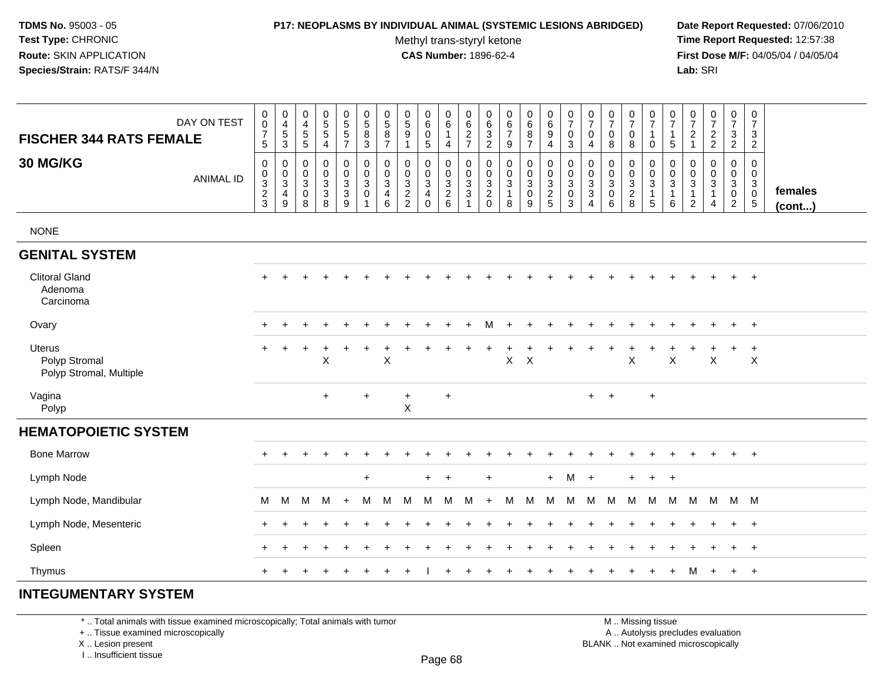### **P17: NEOPLASMS BY INDIVIDUAL ANIMAL (SYSTEMIC LESIONS ABRIDGED) Date Report Requested:** 07/06/2010

Methyl trans-styryl ketone<br>CAS Number: 1896-62-4

 **Time Report Requested:** 12:57:38 **First Dose M/F:** 04/05/04 / 04/05/04<br>Lab: SRI **Lab:** SRI

| <b>FISCHER 344 RATS FEMALE</b>                            | DAY ON TEST      | $\pmb{0}$<br>$\pmb{0}$<br>$\boldsymbol{7}$<br>$\sqrt{5}$ | $\pmb{0}$<br>$\overline{4}$<br>$\frac{5}{3}$          | $\,0\,$<br>$\overline{4}$<br>$\overline{5}$<br>5               | $\begin{array}{c} 0 \\ 5 \end{array}$<br>$\mathbf 5$<br>$\overline{4}$ | $\begin{array}{c} 0 \\ 5 \end{array}$<br>$\sqrt{5}$<br>$\overline{7}$ | $\begin{array}{c} 0 \\ 5 \end{array}$<br>$\,8\,$<br>$\mathfrak{Z}$ | $\pmb{0}$<br>$\,$ 5 $\,$<br>$\,8\,$<br>$\overline{7}$         | 0<br>$\sqrt{5}$<br>$\boldsymbol{9}$<br>$\mathbf{1}$ | $\pmb{0}$<br>$\,6\,$<br>$\pmb{0}$<br>5                              | $_{6}^{\rm 0}$<br>$\mathbf{1}$<br>$\overline{4}$     | $\boldsymbol{0}$<br>$\,6\,$<br>$\frac{2}{7}$ | 0<br>$\,6\,$<br>$\ensuremath{\mathsf{3}}$<br>$\sqrt{2}$ | $\pmb{0}$<br>$\,6\,$<br>$\overline{7}$<br>$9\,$ | $\pmb{0}$<br>$\,6\,$<br>8<br>$\overline{7}$                         | $\begin{array}{c} 0 \\ 6 \end{array}$<br>$\boldsymbol{9}$<br>$\overline{4}$ | $\begin{smallmatrix}0\\7\end{smallmatrix}$<br>$\pmb{0}$<br>$\mathbf{3}$ | $\frac{0}{7}$<br>$\pmb{0}$<br>4                                       | $\frac{0}{7}$<br>$\pmb{0}$<br>$\, 8$                 | $\frac{0}{7}$<br>$\pmb{0}$<br>8           | $\frac{0}{7}$<br>1<br>$\mathsf{O}\xspace$                        | 0<br>$\overline{7}$<br>1<br>5               | $\pmb{0}$<br>$\boldsymbol{7}$<br>$\overline{c}$<br>$\mathbf{1}$ | $\frac{0}{7}$<br>$\frac{2}{2}$                            | $\begin{array}{c} 0 \\ 7 \end{array}$<br>$\ensuremath{\mathsf{3}}$<br>$\overline{2}$ | $\pmb{0}$<br>$\overline{7}$<br>$\mathbf{3}$<br>$\overline{2}$         |                         |
|-----------------------------------------------------------|------------------|----------------------------------------------------------|-------------------------------------------------------|----------------------------------------------------------------|------------------------------------------------------------------------|-----------------------------------------------------------------------|--------------------------------------------------------------------|---------------------------------------------------------------|-----------------------------------------------------|---------------------------------------------------------------------|------------------------------------------------------|----------------------------------------------|---------------------------------------------------------|-------------------------------------------------|---------------------------------------------------------------------|-----------------------------------------------------------------------------|-------------------------------------------------------------------------|-----------------------------------------------------------------------|------------------------------------------------------|-------------------------------------------|------------------------------------------------------------------|---------------------------------------------|-----------------------------------------------------------------|-----------------------------------------------------------|--------------------------------------------------------------------------------------|-----------------------------------------------------------------------|-------------------------|
| 30 MG/KG                                                  | <b>ANIMAL ID</b> | $\pmb{0}$<br>0<br>$\frac{3}{2}$                          | 0<br>$\mathbf 0$<br>$\sqrt{3}$<br>$\overline{4}$<br>9 | $\mathbf 0$<br>$\mathbf 0$<br>$\overline{3}$<br>$\pmb{0}$<br>8 | 0<br>0<br>$\mathbf 3$<br>$\ensuremath{\mathsf{3}}$<br>8                | 0<br>0<br>$\frac{3}{3}$<br>$\boldsymbol{9}$                           | 0<br>$\mathbf 0$<br>$\ensuremath{\mathsf{3}}$<br>$\pmb{0}$         | 0<br>0<br>$\sqrt{3}$<br>$\begin{array}{c} 4 \\ 6 \end{array}$ | 0<br>0<br>$\frac{3}{2}$                             | 0<br>$\mathbf 0$<br>$\overline{3}$<br>$\overline{4}$<br>$\mathbf 0$ | 0<br>$\begin{array}{c} 0 \\ 3 \\ 2 \\ 6 \end{array}$ | 0<br>$\frac{0}{3}$<br>$\mathbf{1}$           | 0<br>$\mathbf 0$<br>$\frac{3}{2}$                       | 0<br>0<br>$\sqrt{3}$<br>$\overline{1}$<br>8     | 0<br>$\mathbf 0$<br>$\overline{3}$<br>$\pmb{0}$<br>$\boldsymbol{9}$ | 0<br>$\pmb{0}$<br>$\frac{3}{2}$<br>5                                        | 0<br>$\mathbf 0$<br>$\mathbf 3$<br>$\boldsymbol{0}$<br>3                | 0<br>0<br>$\mathbf{3}$<br>$\ensuremath{\mathsf{3}}$<br>$\overline{4}$ | 0<br>$\mathbf 0$<br>$\overline{3}$<br>$\pmb{0}$<br>6 | 0<br>0<br>$\overline{3}$<br>$\frac{2}{8}$ | 0<br>$\mathbf 0$<br>$\overline{3}$<br>$\mathbf{1}$<br>$\sqrt{5}$ | 0<br>0<br>$\mathbf{3}$<br>$\mathbf{1}$<br>6 | 0<br>0<br>$\mathbf 3$<br>$\overline{1}$<br>$\overline{c}$       | 0<br>$\mathbf 0$<br>$\overline{3}$<br>1<br>$\overline{4}$ | 0<br>0<br>$\ensuremath{\mathsf{3}}$<br>$\pmb{0}$<br>$\overline{2}$                   | $\mathbf 0$<br>$\mathbf 0$<br>$\mathbf{3}$<br>$\pmb{0}$<br>$\sqrt{5}$ | females<br>$($ cont $)$ |
| <b>NONE</b>                                               |                  |                                                          |                                                       |                                                                |                                                                        |                                                                       |                                                                    |                                                               |                                                     |                                                                     |                                                      |                                              |                                                         |                                                 |                                                                     |                                                                             |                                                                         |                                                                       |                                                      |                                           |                                                                  |                                             |                                                                 |                                                           |                                                                                      |                                                                       |                         |
| <b>GENITAL SYSTEM</b>                                     |                  |                                                          |                                                       |                                                                |                                                                        |                                                                       |                                                                    |                                                               |                                                     |                                                                     |                                                      |                                              |                                                         |                                                 |                                                                     |                                                                             |                                                                         |                                                                       |                                                      |                                           |                                                                  |                                             |                                                                 |                                                           |                                                                                      |                                                                       |                         |
| <b>Clitoral Gland</b><br>Adenoma<br>Carcinoma             |                  |                                                          |                                                       |                                                                |                                                                        |                                                                       |                                                                    |                                                               |                                                     |                                                                     |                                                      |                                              |                                                         |                                                 |                                                                     |                                                                             |                                                                         |                                                                       |                                                      |                                           |                                                                  |                                             |                                                                 |                                                           |                                                                                      | $\ddot{}$                                                             |                         |
| Ovary                                                     |                  | $\pm$                                                    |                                                       |                                                                |                                                                        |                                                                       |                                                                    |                                                               |                                                     |                                                                     |                                                      | $\ddot{}$                                    | м                                                       |                                                 |                                                                     |                                                                             | ÷                                                                       |                                                                       |                                                      |                                           |                                                                  |                                             |                                                                 |                                                           | $+$                                                                                  | $+$                                                                   |                         |
| <b>Uterus</b><br>Polyp Stromal<br>Polyp Stromal, Multiple |                  | $\ddot{}$                                                | ÷                                                     |                                                                | X                                                                      |                                                                       | ٠                                                                  | $\mathsf X$                                                   |                                                     |                                                                     |                                                      |                                              |                                                         | $\mathsf{X}$                                    | $\sf X$                                                             |                                                                             | ÷                                                                       |                                                                       |                                                      | $\sf X$                                   |                                                                  | X                                           |                                                                 | $\times$                                                  | $\ddot{}$                                                                            | $\ddot{}$<br>$\boldsymbol{\mathsf{X}}$                                |                         |
| Vagina<br>Polyp                                           |                  |                                                          |                                                       |                                                                | $\ddot{}$                                                              |                                                                       | $\ddot{}$                                                          |                                                               | $\ddot{}$<br>$\boldsymbol{\mathsf{X}}$              |                                                                     | $+$                                                  |                                              |                                                         |                                                 |                                                                     |                                                                             |                                                                         | $+$ $+$                                                               |                                                      |                                           | $\ddot{}$                                                        |                                             |                                                                 |                                                           |                                                                                      |                                                                       |                         |
| <b>HEMATOPOIETIC SYSTEM</b>                               |                  |                                                          |                                                       |                                                                |                                                                        |                                                                       |                                                                    |                                                               |                                                     |                                                                     |                                                      |                                              |                                                         |                                                 |                                                                     |                                                                             |                                                                         |                                                                       |                                                      |                                           |                                                                  |                                             |                                                                 |                                                           |                                                                                      |                                                                       |                         |
| <b>Bone Marrow</b>                                        |                  |                                                          |                                                       |                                                                |                                                                        |                                                                       |                                                                    |                                                               |                                                     |                                                                     |                                                      |                                              |                                                         |                                                 |                                                                     |                                                                             |                                                                         |                                                                       |                                                      |                                           |                                                                  |                                             |                                                                 |                                                           | $\ddot{}$                                                                            | $+$                                                                   |                         |
| Lymph Node                                                |                  |                                                          |                                                       |                                                                |                                                                        |                                                                       | $\ddot{}$                                                          |                                                               |                                                     | $\ddot{}$                                                           | $^{+}$                                               |                                              | $\ddot{}$                                               |                                                 |                                                                     | $+$                                                                         | M                                                                       | $\ddot{}$                                                             |                                                      | $\ddot{}$                                 | $+$                                                              | $+$                                         |                                                                 |                                                           |                                                                                      |                                                                       |                         |
| Lymph Node, Mandibular                                    |                  | М                                                        | M                                                     | M                                                              | M                                                                      | $+$                                                                   | М                                                                  | M                                                             | м                                                   | M                                                                   | м                                                    | M                                            | $\ddot{}$                                               | М                                               | м                                                                   | M                                                                           | M                                                                       | M                                                                     | м                                                    | M                                         | M                                                                | M                                           | M                                                               | М                                                         | M                                                                                    | M                                                                     |                         |
| Lymph Node, Mesenteric                                    |                  | ٠                                                        |                                                       |                                                                |                                                                        |                                                                       |                                                                    |                                                               |                                                     |                                                                     |                                                      |                                              |                                                         |                                                 |                                                                     |                                                                             |                                                                         |                                                                       |                                                      |                                           |                                                                  |                                             |                                                                 |                                                           | $\ddot{}$                                                                            | $+$                                                                   |                         |
| Spleen                                                    |                  |                                                          |                                                       |                                                                |                                                                        |                                                                       |                                                                    |                                                               |                                                     |                                                                     |                                                      |                                              |                                                         |                                                 |                                                                     |                                                                             |                                                                         |                                                                       |                                                      |                                           |                                                                  |                                             |                                                                 |                                                           |                                                                                      | $+$                                                                   |                         |
| Thymus                                                    |                  |                                                          |                                                       |                                                                | ٠                                                                      |                                                                       |                                                                    |                                                               |                                                     |                                                                     |                                                      |                                              |                                                         |                                                 |                                                                     |                                                                             | ٠                                                                       |                                                                       |                                                      | $\pm$                                     | $\div$                                                           | $\ddot{}$                                   | M                                                               | $\ddot{}$                                                 | $+$                                                                                  | $+$                                                                   |                         |
| <b>INTEGUMENTARY SYSTEM</b>                               |                  |                                                          |                                                       |                                                                |                                                                        |                                                                       |                                                                    |                                                               |                                                     |                                                                     |                                                      |                                              |                                                         |                                                 |                                                                     |                                                                             |                                                                         |                                                                       |                                                      |                                           |                                                                  |                                             |                                                                 |                                                           |                                                                                      |                                                                       |                         |

\* .. Total animals with tissue examined microscopically; Total animals with tumor

+ .. Tissue examined microscopically

X .. Lesion present

I .. Insufficient tissue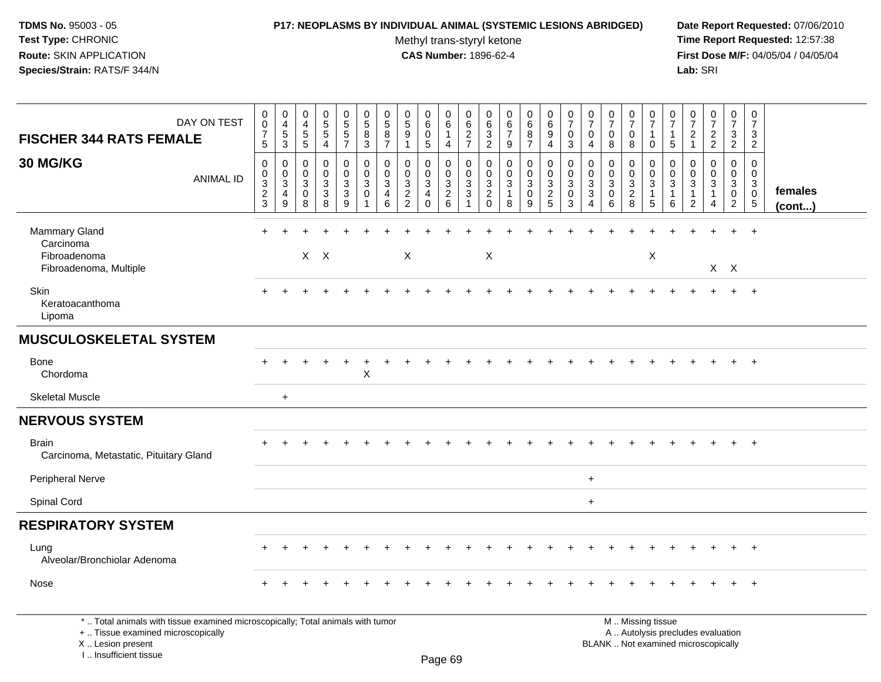### **P17: NEOPLASMS BY INDIVIDUAL ANIMAL (SYSTEMIC LESIONS ABRIDGED) Date Report Requested:** 07/06/2010

Methyl trans-styryl ketone<br>CAS Number: 1896-62-4

| DAY ON TEST<br><b>FISCHER 344 RATS FEMALE</b>                                                                                                                      | $\mathbf 0$<br>$\mathsf{O}\xspace$<br>$\overline{7}$<br>5 | $\pmb{0}$<br>4<br>$\,$ 5 $\,$<br>$\mathbf{3}$           | $\boldsymbol{0}$<br>$\overline{4}$<br>$\overline{5}$<br>$\overline{5}$ | $\pmb{0}$<br>$\sqrt{5}$<br>$\overline{5}$<br>4 | $\mathbf 0$<br>$\overline{5}$<br>$\overline{5}$<br>$\overline{7}$ | 0<br>5<br>8<br>$\mathbf{3}$ | 0<br>$\,$ 5 $\,$<br>$\,8\,$<br>$\overline{7}$                   | $\pmb{0}$<br>$\overline{5}$<br>$\overline{9}$<br>1                     | $\mathbf 0$<br>$\,6\,$<br>$\mathbf 0$<br>$\sqrt{5}$                         | $\mathbf 0$<br>$\,6\,$<br>1<br>$\overline{4}$       | 0<br>6<br>$\boldsymbol{2}$<br>$\overline{7}$       | 0<br>6<br>$\overline{3}$<br>$\overline{2}$                                            | $\pmb{0}$<br>$rac{6}{7}$<br>9              | $\mathbf 0$<br>6<br>8<br>$\overline{7}$   | $\pmb{0}$<br>$\,6\,$<br>$\boldsymbol{9}$<br>$\overline{4}$ | 0<br>$\overline{7}$<br>$\mathbf 0$<br>3                        | 0<br>$\overline{7}$<br>$\mathbf 0$<br>$\overline{4}$                            | 0<br>$\overline{7}$<br>0<br>8                            | $\pmb{0}$<br>$\overline{7}$<br>0<br>8                  | 0<br>$\overline{7}$<br>$\mathbf{1}$<br>$\mathbf 0$  | 0<br>$\overline{7}$<br>$\mathbf{1}$<br>$\sqrt{5}$ | $\pmb{0}$<br>$\overline{7}$<br>$\boldsymbol{2}$<br>$\mathbf{1}$    | $\pmb{0}$<br>$\overline{7}$<br>$\overline{2}$<br>$\overline{2}$ | $\mathbf 0$<br>$\overline{7}$<br>$\mathbf{3}$<br>$\overline{2}$   | $\pmb{0}$<br>$\overline{7}$<br>3<br>$\overline{2}$ |                   |
|--------------------------------------------------------------------------------------------------------------------------------------------------------------------|-----------------------------------------------------------|---------------------------------------------------------|------------------------------------------------------------------------|------------------------------------------------|-------------------------------------------------------------------|-----------------------------|-----------------------------------------------------------------|------------------------------------------------------------------------|-----------------------------------------------------------------------------|-----------------------------------------------------|----------------------------------------------------|---------------------------------------------------------------------------------------|--------------------------------------------|-------------------------------------------|------------------------------------------------------------|----------------------------------------------------------------|---------------------------------------------------------------------------------|----------------------------------------------------------|--------------------------------------------------------|-----------------------------------------------------|---------------------------------------------------|--------------------------------------------------------------------|-----------------------------------------------------------------|-------------------------------------------------------------------|----------------------------------------------------|-------------------|
| 30 MG/KG<br><b>ANIMAL ID</b>                                                                                                                                       | 0<br>0<br>3<br>$\overline{c}$<br>3                        | $\mathbf 0$<br>0<br>$\ensuremath{\mathsf{3}}$<br>4<br>9 | $\mathbf 0$<br>0<br>$\sqrt{3}$<br>$\mathbf 0$<br>8                     | 0<br>0<br>$\mathbf{3}$<br>$\sqrt{3}$<br>8      | $\mathbf 0$<br>$\mathbf 0$<br>$\sqrt{3}$<br>$\mathbf{3}$<br>9     | $\mathbf 0$<br>0<br>3<br>0  | $\mathbf 0$<br>$\mathbf 0$<br>$\sqrt{3}$<br>$\overline{4}$<br>6 | 0<br>$\mathbf 0$<br>$\ensuremath{\mathsf{3}}$<br>$\boldsymbol{2}$<br>2 | 0<br>$\mathbf 0$<br>$\ensuremath{\mathsf{3}}$<br>$\overline{4}$<br>$\Omega$ | 0<br>$\mathbf 0$<br>$\mathbf{3}$<br>$\sqrt{2}$<br>6 | 0<br>$\mathbf 0$<br>$\ensuremath{\mathsf{3}}$<br>3 | $\mathbf 0$<br>$\mathbf 0$<br>$\ensuremath{\mathsf{3}}$<br>$\overline{c}$<br>$\Omega$ | 0<br>$\mathbf 0$<br>3<br>$\mathbf{1}$<br>8 | 0<br>$\mathbf 0$<br>3<br>$\mathbf 0$<br>9 | $\pmb{0}$<br>$\mathbf 0$<br>$\frac{3}{2}$                  | $\mathbf 0$<br>$\mathbf 0$<br>$\mathbf{3}$<br>$\mathbf 0$<br>3 | 0<br>$\mathbf 0$<br>$\ensuremath{\mathsf{3}}$<br>$\mathbf{3}$<br>$\overline{4}$ | 0<br>0<br>3<br>$\mathbf 0$<br>6                          | 0<br>0<br>$\ensuremath{\mathsf{3}}$<br>$\sqrt{2}$<br>8 | 0<br>$\mathbf 0$<br>$\sqrt{3}$<br>$\mathbf{1}$<br>5 | 0<br>0<br>3<br>-1<br>6                            | 0<br>$\mathbf 0$<br>$\sqrt{3}$<br>$\overline{1}$<br>$\overline{2}$ | 0<br>0<br>3<br>1<br>4                                           | 0<br>$\mathbf 0$<br>$\mathbf{3}$<br>$\mathbf 0$<br>$\overline{2}$ | 0<br>0<br>3<br>$\pmb{0}$<br>$\sqrt{5}$             | females<br>(cont) |
| <b>Mammary Gland</b><br>Carcinoma<br>Fibroadenoma<br>Fibroadenoma, Multiple                                                                                        | $\ddot{}$                                                 |                                                         |                                                                        | $X$ $X$                                        |                                                                   |                             |                                                                 | X                                                                      |                                                                             |                                                     |                                                    | X                                                                                     |                                            |                                           |                                                            |                                                                |                                                                                 |                                                          |                                                        | X                                                   |                                                   |                                                                    | $X$ $X$                                                         |                                                                   | $\overline{+}$                                     |                   |
| Skin<br>Keratoacanthoma<br>Lipoma                                                                                                                                  | ÷                                                         |                                                         |                                                                        |                                                |                                                                   |                             |                                                                 |                                                                        |                                                                             |                                                     |                                                    |                                                                                       |                                            |                                           |                                                            |                                                                |                                                                                 |                                                          |                                                        |                                                     |                                                   |                                                                    |                                                                 | $+$                                                               | $+$                                                |                   |
| <b>MUSCULOSKELETAL SYSTEM</b>                                                                                                                                      |                                                           |                                                         |                                                                        |                                                |                                                                   |                             |                                                                 |                                                                        |                                                                             |                                                     |                                                    |                                                                                       |                                            |                                           |                                                            |                                                                |                                                                                 |                                                          |                                                        |                                                     |                                                   |                                                                    |                                                                 |                                                                   |                                                    |                   |
| <b>Bone</b><br>Chordoma                                                                                                                                            |                                                           |                                                         |                                                                        |                                                |                                                                   | X                           |                                                                 |                                                                        |                                                                             |                                                     |                                                    |                                                                                       |                                            |                                           |                                                            |                                                                |                                                                                 |                                                          |                                                        |                                                     |                                                   |                                                                    |                                                                 | $+$                                                               | $+$                                                |                   |
| <b>Skeletal Muscle</b>                                                                                                                                             |                                                           | $\ddot{}$                                               |                                                                        |                                                |                                                                   |                             |                                                                 |                                                                        |                                                                             |                                                     |                                                    |                                                                                       |                                            |                                           |                                                            |                                                                |                                                                                 |                                                          |                                                        |                                                     |                                                   |                                                                    |                                                                 |                                                                   |                                                    |                   |
| <b>NERVOUS SYSTEM</b>                                                                                                                                              |                                                           |                                                         |                                                                        |                                                |                                                                   |                             |                                                                 |                                                                        |                                                                             |                                                     |                                                    |                                                                                       |                                            |                                           |                                                            |                                                                |                                                                                 |                                                          |                                                        |                                                     |                                                   |                                                                    |                                                                 |                                                                   |                                                    |                   |
| <b>Brain</b><br>Carcinoma, Metastatic, Pituitary Gland                                                                                                             |                                                           |                                                         |                                                                        |                                                |                                                                   |                             |                                                                 |                                                                        |                                                                             |                                                     |                                                    |                                                                                       |                                            |                                           |                                                            |                                                                |                                                                                 |                                                          |                                                        |                                                     |                                                   |                                                                    |                                                                 |                                                                   | $+$                                                |                   |
| <b>Peripheral Nerve</b>                                                                                                                                            |                                                           |                                                         |                                                                        |                                                |                                                                   |                             |                                                                 |                                                                        |                                                                             |                                                     |                                                    |                                                                                       |                                            |                                           |                                                            |                                                                | $\ddot{}$                                                                       |                                                          |                                                        |                                                     |                                                   |                                                                    |                                                                 |                                                                   |                                                    |                   |
| Spinal Cord                                                                                                                                                        |                                                           |                                                         |                                                                        |                                                |                                                                   |                             |                                                                 |                                                                        |                                                                             |                                                     |                                                    |                                                                                       |                                            |                                           |                                                            |                                                                | $\ddot{}$                                                                       |                                                          |                                                        |                                                     |                                                   |                                                                    |                                                                 |                                                                   |                                                    |                   |
| <b>RESPIRATORY SYSTEM</b>                                                                                                                                          |                                                           |                                                         |                                                                        |                                                |                                                                   |                             |                                                                 |                                                                        |                                                                             |                                                     |                                                    |                                                                                       |                                            |                                           |                                                            |                                                                |                                                                                 |                                                          |                                                        |                                                     |                                                   |                                                                    |                                                                 |                                                                   |                                                    |                   |
| Lung<br>Alveolar/Bronchiolar Adenoma                                                                                                                               |                                                           |                                                         |                                                                        |                                                |                                                                   |                             |                                                                 |                                                                        |                                                                             |                                                     |                                                    |                                                                                       |                                            |                                           |                                                            |                                                                |                                                                                 |                                                          |                                                        |                                                     |                                                   |                                                                    |                                                                 |                                                                   | $\ddot{}$                                          |                   |
| Nose                                                                                                                                                               |                                                           |                                                         |                                                                        |                                                |                                                                   |                             |                                                                 |                                                                        |                                                                             |                                                     |                                                    |                                                                                       |                                            |                                           |                                                            |                                                                |                                                                                 |                                                          |                                                        |                                                     |                                                   |                                                                    |                                                                 | $+$                                                               | $+$                                                |                   |
| *  Total animals with tissue examined microscopically; Total animals with tumor<br>+  Tissue examined microscopically<br>X Lesion present<br>I Insufficient tissue |                                                           |                                                         |                                                                        |                                                |                                                                   |                             |                                                                 |                                                                        |                                                                             | $D_{200}$ $60$                                      |                                                    |                                                                                       |                                            |                                           |                                                            |                                                                |                                                                                 | M  Missing tissue<br>BLANK  Not examined microscopically |                                                        | A  Autolysis precludes evaluation                   |                                                   |                                                                    |                                                                 |                                                                   |                                                    |                   |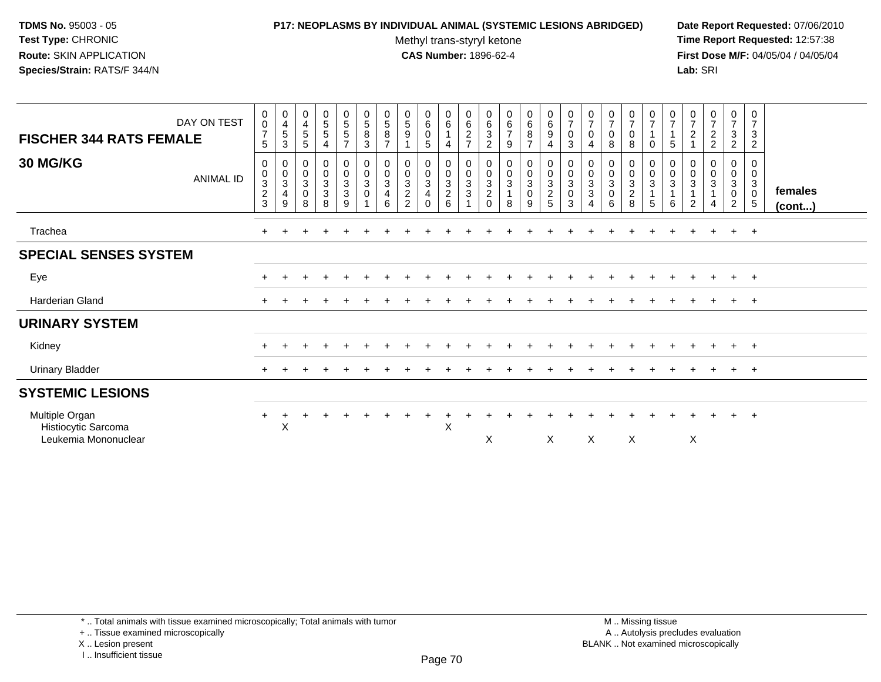## **P17: NEOPLASMS BY INDIVIDUAL ANIMAL (SYSTEMIC LESIONS ABRIDGED) Date Report Requested:** 07/06/2010

Methyl trans-styryl ketone<br>CAS Number: 1896-62-4

 **Time Report Requested:** 12:57:38 **First Dose M/F:** 04/05/04 / 04/05/04<br>Lab: SRI **Lab:** SRI

| DAY ON TEST<br><b>FISCHER 344 RATS FEMALE</b>                 | $\begin{array}{c} 0 \\ 0 \\ 7 \end{array}$<br>5                              | $\begin{array}{c} 0 \\ 4 \\ 5 \end{array}$<br>$\ensuremath{\mathsf{3}}$ | 0<br>$\begin{array}{c} 4 \\ 5 \end{array}$<br>$5\phantom{.0}$ | $\begin{array}{c} 0 \\ 5 \end{array}$<br>$\sqrt{5}$<br>$\overline{4}$ | $\begin{array}{c} 0 \\ 5 \\ 5 \end{array}$<br>$\overline{7}$           | $\begin{array}{c} 0 \\ 5 \end{array}$<br>$\bf 8$<br>$\mathbf{3}$ | $0$<br>58<br>7                | 0<br>$\frac{5}{9}$                                     | $\begin{smallmatrix}0\0\0\end{smallmatrix}$<br>$\sqrt{5}$                                  | $\begin{matrix} 0 \\ 6 \\ 1 \end{matrix}$<br>$\overline{4}$ | $\begin{array}{c} 0 \\ 6 \\ 2 \\ 7 \end{array}$                               | 0<br>$\,6\,$<br>$\mathbf 3$<br>$\boldsymbol{2}$     | $\begin{array}{c} 0 \\ 6 \\ 7 \end{array}$<br>9    | $\begin{array}{c} 0 \\ 6 \\ 8 \\ 7 \end{array}$      | $\begin{matrix}0\0\0\9\end{matrix}$<br>4 | $\frac{0}{7}$<br>$_{3}^{\rm 0}$                                | $\frac{0}{7}$<br>$\pmb{0}$<br>$\overline{4}$                                    | $\pmb{0}$<br>$\overline{7}$<br>$\pmb{0}$<br>8            | $\frac{0}{7}$<br>0<br>8                                        | $\begin{array}{c} 0 \\ 7 \end{array}$<br>$\overline{A}$<br>0 | $\frac{0}{7}$<br>$\overline{A}$<br>5                                         | $\frac{0}{7}$<br>$\sqrt{2}$       | $\frac{0}{7}$<br>2<br>2               | $\begin{array}{c} 0 \\ 7 \\ 3 \end{array}$<br>$\overline{c}$  | 0<br>$\overline{7}$<br>$\mathbf{3}$<br>$\overline{c}$              |                   |
|---------------------------------------------------------------|------------------------------------------------------------------------------|-------------------------------------------------------------------------|---------------------------------------------------------------|-----------------------------------------------------------------------|------------------------------------------------------------------------|------------------------------------------------------------------|-------------------------------|--------------------------------------------------------|--------------------------------------------------------------------------------------------|-------------------------------------------------------------|-------------------------------------------------------------------------------|-----------------------------------------------------|----------------------------------------------------|------------------------------------------------------|------------------------------------------|----------------------------------------------------------------|---------------------------------------------------------------------------------|----------------------------------------------------------|----------------------------------------------------------------|--------------------------------------------------------------|------------------------------------------------------------------------------|-----------------------------------|---------------------------------------|---------------------------------------------------------------|--------------------------------------------------------------------|-------------------|
| <b>30 MG/KG</b><br>ANIMAL ID                                  | $\pmb{0}$<br>$\pmb{0}$<br>$\ensuremath{\mathsf{3}}$<br>$\boldsymbol{2}$<br>3 | $\begin{smallmatrix}0\\0\\3\end{smallmatrix}$<br>$\overline{4}$<br>9    | 0<br>$\pmb{0}$<br>$\sqrt{3}$<br>$\pmb{0}$<br>8                | $\begin{array}{c} 0 \\ 0 \\ 3 \\ 3 \end{array}$<br>8                  | $\begin{smallmatrix} 0\\0\\3 \end{smallmatrix}$<br>$\overline{3}$<br>9 | 0<br>$\pmb{0}$<br>$\mathbf{3}$<br>$\mathbf 0$<br>$\overline{1}$  | 0<br>$\pmb{0}$<br>3<br>4<br>6 | 0<br>$\frac{0}{3}$<br>$\overline{2}$<br>$\overline{2}$ | $\begin{smallmatrix} 0\\0\\3 \end{smallmatrix}$<br>$\overline{\mathbf{4}}$<br>$\mathbf{0}$ | $0003$<br>$26$                                              | $\begin{smallmatrix} 0\\0\\3 \end{smallmatrix}$<br>$\sqrt{3}$<br>$\mathbf{1}$ | 0<br>$\pmb{0}$<br>3<br>$\boldsymbol{2}$<br>$\Omega$ | $\begin{smallmatrix}0\\0\\3\end{smallmatrix}$<br>8 | $\begin{smallmatrix}0\0\0\3\0\end{smallmatrix}$<br>9 | 0<br>0<br>3<br>2<br>5                    | $\begin{matrix} 0 \\ 0 \\ 3 \\ 0 \end{matrix}$<br>$\mathbf{3}$ | $\begin{smallmatrix}0\\0\\3\end{smallmatrix}$<br>$\ensuremath{\mathsf{3}}$<br>4 | $\pmb{0}$<br>$\pmb{0}$<br>$\sqrt{3}$<br>$\mathbf 0$<br>6 | 0<br>$\pmb{0}$<br>$\mathbf{3}$<br>$\overline{\mathbf{c}}$<br>8 | 0<br>$\frac{0}{3}$<br>5                                      | $\begin{smallmatrix}0\\0\end{smallmatrix}$<br>$\ensuremath{\mathsf{3}}$<br>6 | 0<br>$\pmb{0}$<br>$\sqrt{3}$<br>2 | 0<br>$\mathbf 0$<br>$\mathbf{3}$<br>4 | 0<br>$\pmb{0}$<br>$\mathbf{3}$<br>$\pmb{0}$<br>$\overline{2}$ | 0<br>$\mathbf 0$<br>$\mathbf{3}$<br>$\mathbf 0$<br>$5\phantom{.0}$ | females<br>(cont) |
| Trachea                                                       |                                                                              |                                                                         |                                                               |                                                                       |                                                                        |                                                                  |                               |                                                        |                                                                                            |                                                             |                                                                               |                                                     |                                                    |                                                      |                                          |                                                                |                                                                                 |                                                          |                                                                |                                                              |                                                                              |                                   |                                       |                                                               | $+$ $+$                                                            |                   |
| <b>SPECIAL SENSES SYSTEM</b>                                  |                                                                              |                                                                         |                                                               |                                                                       |                                                                        |                                                                  |                               |                                                        |                                                                                            |                                                             |                                                                               |                                                     |                                                    |                                                      |                                          |                                                                |                                                                                 |                                                          |                                                                |                                                              |                                                                              |                                   |                                       |                                                               |                                                                    |                   |
| Eye                                                           |                                                                              |                                                                         |                                                               |                                                                       |                                                                        |                                                                  |                               |                                                        |                                                                                            |                                                             |                                                                               |                                                     |                                                    |                                                      |                                          |                                                                |                                                                                 |                                                          |                                                                |                                                              |                                                                              |                                   |                                       | $\pm$                                                         | $^{+}$                                                             |                   |
| Harderian Gland                                               | $\pm$                                                                        |                                                                         |                                                               |                                                                       |                                                                        |                                                                  |                               |                                                        |                                                                                            |                                                             |                                                                               |                                                     |                                                    |                                                      |                                          |                                                                |                                                                                 |                                                          |                                                                |                                                              |                                                                              |                                   |                                       | $+$                                                           | $+$                                                                |                   |
| <b>URINARY SYSTEM</b>                                         |                                                                              |                                                                         |                                                               |                                                                       |                                                                        |                                                                  |                               |                                                        |                                                                                            |                                                             |                                                                               |                                                     |                                                    |                                                      |                                          |                                                                |                                                                                 |                                                          |                                                                |                                                              |                                                                              |                                   |                                       |                                                               |                                                                    |                   |
| Kidney                                                        |                                                                              |                                                                         |                                                               |                                                                       |                                                                        |                                                                  |                               |                                                        |                                                                                            |                                                             |                                                                               |                                                     |                                                    |                                                      |                                          |                                                                |                                                                                 |                                                          |                                                                |                                                              |                                                                              |                                   |                                       | $\ddot{}$                                                     | $+$                                                                |                   |
| <b>Urinary Bladder</b>                                        | $\pm$                                                                        |                                                                         |                                                               |                                                                       |                                                                        |                                                                  |                               |                                                        |                                                                                            |                                                             |                                                                               |                                                     |                                                    |                                                      |                                          |                                                                |                                                                                 |                                                          |                                                                |                                                              |                                                                              |                                   |                                       | $\pm$                                                         | $+$                                                                |                   |
| <b>SYSTEMIC LESIONS</b>                                       |                                                                              |                                                                         |                                                               |                                                                       |                                                                        |                                                                  |                               |                                                        |                                                                                            |                                                             |                                                                               |                                                     |                                                    |                                                      |                                          |                                                                |                                                                                 |                                                          |                                                                |                                                              |                                                                              |                                   |                                       |                                                               |                                                                    |                   |
| Multiple Organ<br>Histiocytic Sarcoma<br>Leukemia Mononuclear | $+$                                                                          | $\div$<br>X                                                             |                                                               |                                                                       |                                                                        |                                                                  |                               |                                                        |                                                                                            | X                                                           |                                                                               | X                                                   |                                                    |                                                      | X                                        |                                                                | X                                                                               |                                                          | X                                                              |                                                              |                                                                              | X                                 |                                       | $\ddot{}$                                                     | $+$                                                                |                   |

\* .. Total animals with tissue examined microscopically; Total animals with tumor

+ .. Tissue examined microscopically

X .. Lesion present

I .. Insufficient tissue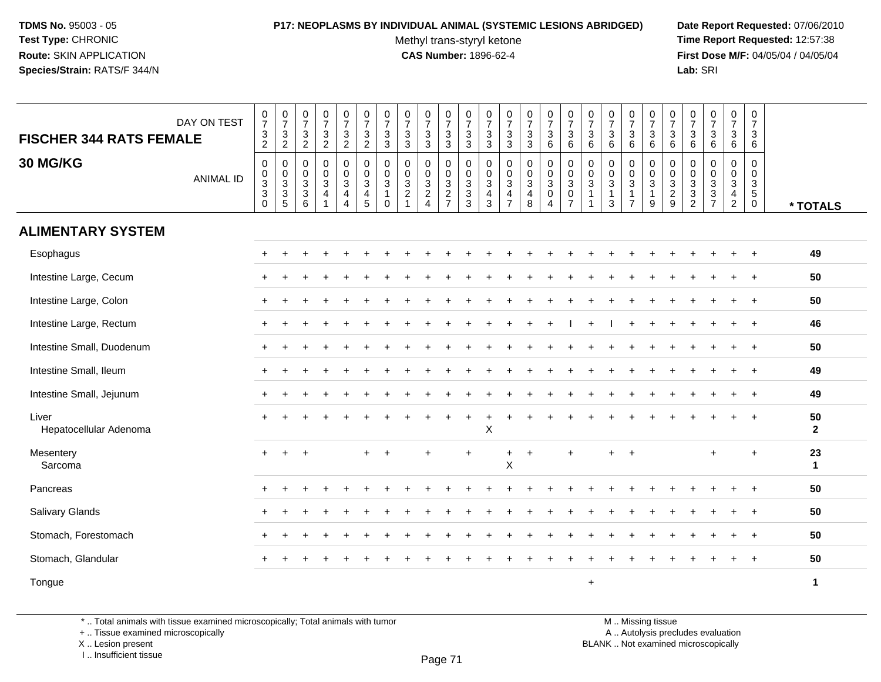# **P17: NEOPLASMS BY INDIVIDUAL ANIMAL (SYSTEMIC LESIONS ABRIDGED) Date Report Requested:** 07/06/2010

Methyl trans-styryl ketone<br>CAS Number: 1896-62-4

 **Time Report Requested:** 12:57:38 **First Dose M/F:** 04/05/04 / 04/05/04<br>Lab: SRI **Lab:** SRI

| <b>FISCHER 344 RATS FEMALE</b>  | DAY ON TEST      | $\begin{array}{c} 0 \\ 7 \end{array}$<br>$\frac{3}{2}$  | $\frac{0}{7}$<br>$\ensuremath{\mathsf{3}}$<br>$\overline{2}$ | $\frac{0}{7}$<br>$\frac{3}{2}$                        | $\frac{0}{7}$<br>$\ensuremath{\mathsf{3}}$<br>$\overline{2}$    | $\begin{array}{c} 0 \\ 7 \end{array}$<br>$\ensuremath{\mathsf{3}}$<br>$\overline{2}$ | $\frac{0}{7}$<br>$\sqrt{3}$<br>$\overline{2}$                              | $\frac{0}{7}$<br>$\ensuremath{\mathsf{3}}$<br>3              | $\frac{0}{7}$<br>$\ensuremath{\mathsf{3}}$<br>3                   | $\frac{0}{7}$<br>$\mathbf{3}$<br>3        | $\frac{0}{7}$<br>$\ensuremath{\mathsf{3}}$<br>3          | $\frac{0}{7}$<br>$\frac{3}{3}$     | $\frac{0}{7}$<br>$\ensuremath{\mathsf{3}}$<br>3       | $\frac{0}{7}$<br>3<br>3                                         | $\frac{0}{7}$<br>$\sqrt{3}$<br>3            | $\frac{0}{7}$<br>$\mathbf{3}$<br>6                           | $\begin{array}{c} 0 \\ 7 \end{array}$<br>$\sqrt{3}$<br>6    | $\frac{0}{7}$<br>$\ensuremath{\mathsf{3}}$<br>6 | $\frac{0}{7}$<br>$\sqrt{3}$<br>6                      | $\frac{0}{7}$<br>$\mathbf{3}$<br>6       | $\begin{array}{c} 0 \\ 7 \end{array}$<br>3<br>6 | $\begin{array}{c} 0 \\ 7 \end{array}$<br>$\ensuremath{\mathsf{3}}$<br>6 | $\frac{0}{7}$<br>$\frac{3}{6}$         | $\begin{array}{c} 0 \\ 7 \end{array}$<br>$\sqrt{3}$<br>6      | $\frac{0}{7}$<br>3<br>6                                      | $\frac{0}{7}$<br>3<br>6                |                      |
|---------------------------------|------------------|---------------------------------------------------------|--------------------------------------------------------------|-------------------------------------------------------|-----------------------------------------------------------------|--------------------------------------------------------------------------------------|----------------------------------------------------------------------------|--------------------------------------------------------------|-------------------------------------------------------------------|-------------------------------------------|----------------------------------------------------------|------------------------------------|-------------------------------------------------------|-----------------------------------------------------------------|---------------------------------------------|--------------------------------------------------------------|-------------------------------------------------------------|-------------------------------------------------|-------------------------------------------------------|------------------------------------------|-------------------------------------------------|-------------------------------------------------------------------------|----------------------------------------|---------------------------------------------------------------|--------------------------------------------------------------|----------------------------------------|----------------------|
| <b>30 MG/KG</b>                 | <b>ANIMAL ID</b> | $\mathbf 0$<br>$_{3}^{\rm 0}$<br>$\sqrt{3}$<br>$\Omega$ | 0<br>0<br>$\overline{3}$<br>3<br>5                           | $\pmb{0}$<br>$_3^0$<br>$\ensuremath{\mathsf{3}}$<br>6 | $\pmb{0}$<br>$_{3}^{\rm 0}$<br>$\overline{4}$<br>$\overline{ }$ | $\mathbf 0$<br>$\frac{0}{3}$<br>4<br>$\overline{4}$                                  | $\pmb{0}$<br>$\mathbf 0$<br>$\overline{3}$<br>$\overline{4}$<br>$\sqrt{5}$ | $\mathbf 0$<br>0<br>$\mathbf{3}$<br>$\mathbf{1}$<br>$\Omega$ | $\mathbf 0$<br>$_{3}^{\rm 0}$<br>$\boldsymbol{2}$<br>$\mathbf{1}$ | 0<br>0<br>$\frac{3}{2}$<br>$\overline{4}$ | 0<br>$\frac{0}{3}$<br>$\boldsymbol{2}$<br>$\overline{7}$ | 0<br>$\frac{0}{3}$<br>$\mathbf{3}$ | 0<br>$\mathbf 0$<br>$\sqrt{3}$<br>$\overline{4}$<br>3 | $\mathbf 0$<br>$\mathbf 0$<br>$\sqrt{3}$<br>4<br>$\overline{7}$ | 0<br>$_3^0$<br>$\overline{\mathbf{4}}$<br>8 | $\pmb{0}$<br>$_{3}^{\rm 0}$<br>$\mathbf 0$<br>$\overline{4}$ | $\mathbf 0$<br>$\frac{0}{3}$<br>$\pmb{0}$<br>$\overline{7}$ | 0<br>0<br>3<br>-1                               | $\mathbf 0$<br>0<br>$\mathbf{3}$<br>$\mathbf{1}$<br>3 | 0<br>0<br>$\overline{3}$<br>$\mathbf{1}$ | 0<br>$_{3}^{\rm 0}$<br>$\mathbf{1}$<br>9        | 0<br>$\begin{array}{c} 0 \\ 3 \\ 2 \end{array}$<br>$9\,$                | 0<br>$\boldsymbol{0}$<br>$\frac{3}{2}$ | $\mathbf 0$<br>$\mathbf 0$<br>$\frac{3}{3}$<br>$\overline{7}$ | 0<br>0<br>$\overline{3}$<br>$\overline{4}$<br>$\overline{2}$ | 0<br>0<br>$\frac{3}{5}$<br>$\mathbf 0$ | * TOTALS             |
| <b>ALIMENTARY SYSTEM</b>        |                  |                                                         |                                                              |                                                       |                                                                 |                                                                                      |                                                                            |                                                              |                                                                   |                                           |                                                          |                                    |                                                       |                                                                 |                                             |                                                              |                                                             |                                                 |                                                       |                                          |                                                 |                                                                         |                                        |                                                               |                                                              |                                        |                      |
| Esophagus                       |                  |                                                         |                                                              |                                                       |                                                                 |                                                                                      |                                                                            |                                                              |                                                                   |                                           |                                                          |                                    |                                                       |                                                                 |                                             |                                                              |                                                             |                                                 |                                                       |                                          |                                                 |                                                                         |                                        |                                                               |                                                              |                                        | 49                   |
| Intestine Large, Cecum          |                  |                                                         |                                                              |                                                       |                                                                 |                                                                                      |                                                                            |                                                              |                                                                   |                                           |                                                          |                                    |                                                       |                                                                 |                                             |                                                              |                                                             |                                                 |                                                       |                                          |                                                 |                                                                         |                                        |                                                               |                                                              | $\ddot{}$                              | 50                   |
| Intestine Large, Colon          |                  |                                                         |                                                              |                                                       |                                                                 |                                                                                      |                                                                            |                                                              |                                                                   |                                           |                                                          |                                    |                                                       |                                                                 |                                             |                                                              |                                                             |                                                 |                                                       |                                          |                                                 |                                                                         |                                        |                                                               |                                                              |                                        | 50                   |
| Intestine Large, Rectum         |                  | $+$                                                     |                                                              |                                                       |                                                                 |                                                                                      |                                                                            |                                                              |                                                                   |                                           |                                                          |                                    |                                                       |                                                                 |                                             |                                                              |                                                             |                                                 |                                                       |                                          |                                                 |                                                                         |                                        |                                                               |                                                              | $\div$                                 | 46                   |
| Intestine Small, Duodenum       |                  | $\div$                                                  |                                                              |                                                       |                                                                 |                                                                                      |                                                                            |                                                              |                                                                   |                                           |                                                          |                                    |                                                       |                                                                 |                                             |                                                              |                                                             |                                                 |                                                       |                                          |                                                 |                                                                         |                                        |                                                               |                                                              |                                        | 50                   |
| Intestine Small, Ileum          |                  |                                                         |                                                              |                                                       |                                                                 |                                                                                      |                                                                            |                                                              |                                                                   |                                           |                                                          |                                    |                                                       |                                                                 |                                             |                                                              |                                                             |                                                 |                                                       |                                          |                                                 |                                                                         |                                        |                                                               |                                                              | $\ddot{}$                              | 49                   |
| Intestine Small, Jejunum        |                  |                                                         |                                                              |                                                       |                                                                 |                                                                                      |                                                                            |                                                              |                                                                   |                                           |                                                          |                                    |                                                       |                                                                 |                                             |                                                              |                                                             |                                                 |                                                       |                                          |                                                 |                                                                         |                                        |                                                               |                                                              | $\ddot{}$                              | 49                   |
| Liver<br>Hepatocellular Adenoma |                  |                                                         |                                                              |                                                       |                                                                 |                                                                                      |                                                                            |                                                              |                                                                   |                                           |                                                          |                                    | Χ                                                     |                                                                 |                                             |                                                              |                                                             |                                                 |                                                       |                                          |                                                 |                                                                         |                                        |                                                               |                                                              |                                        | 50<br>$\overline{2}$ |
| Mesentery<br>Sarcoma            |                  | $\ddot{}$                                               | ÷                                                            |                                                       |                                                                 |                                                                                      |                                                                            |                                                              |                                                                   | $\ddot{}$                                 |                                                          |                                    |                                                       | ÷<br>X                                                          | $\ddot{}$                                   |                                                              |                                                             |                                                 |                                                       | $\overline{1}$                           |                                                 |                                                                         |                                        | $\ddot{}$                                                     |                                                              | $\ddot{}$                              | 23<br>$\mathbf{1}$   |
| Pancreas                        |                  |                                                         |                                                              |                                                       |                                                                 |                                                                                      |                                                                            |                                                              |                                                                   |                                           |                                                          |                                    |                                                       |                                                                 |                                             |                                                              |                                                             |                                                 |                                                       |                                          |                                                 |                                                                         |                                        |                                                               |                                                              |                                        | 50                   |
| Salivary Glands                 |                  |                                                         |                                                              |                                                       |                                                                 |                                                                                      |                                                                            |                                                              |                                                                   |                                           |                                                          |                                    |                                                       |                                                                 |                                             |                                                              |                                                             |                                                 |                                                       |                                          |                                                 |                                                                         |                                        |                                                               |                                                              | $\ddot{}$                              | 50                   |
| Stomach, Forestomach            |                  |                                                         |                                                              |                                                       |                                                                 |                                                                                      |                                                                            |                                                              |                                                                   |                                           |                                                          |                                    |                                                       |                                                                 |                                             |                                                              |                                                             |                                                 |                                                       |                                          |                                                 |                                                                         |                                        |                                                               |                                                              | $\ddot{}$                              | 50                   |
| Stomach, Glandular              |                  |                                                         |                                                              |                                                       |                                                                 |                                                                                      |                                                                            |                                                              |                                                                   |                                           |                                                          |                                    |                                                       |                                                                 |                                             |                                                              |                                                             |                                                 |                                                       |                                          |                                                 |                                                                         |                                        |                                                               |                                                              |                                        | 50                   |
| Tongue                          |                  |                                                         |                                                              |                                                       |                                                                 |                                                                                      |                                                                            |                                                              |                                                                   |                                           |                                                          |                                    |                                                       |                                                                 |                                             |                                                              |                                                             | $+$                                             |                                                       |                                          |                                                 |                                                                         |                                        |                                                               |                                                              |                                        | $\mathbf{1}$         |

\* .. Total animals with tissue examined microscopically; Total animals with tumor

+ .. Tissue examined microscopically

X .. Lesion present

I .. Insufficient tissue

M .. Missing tissue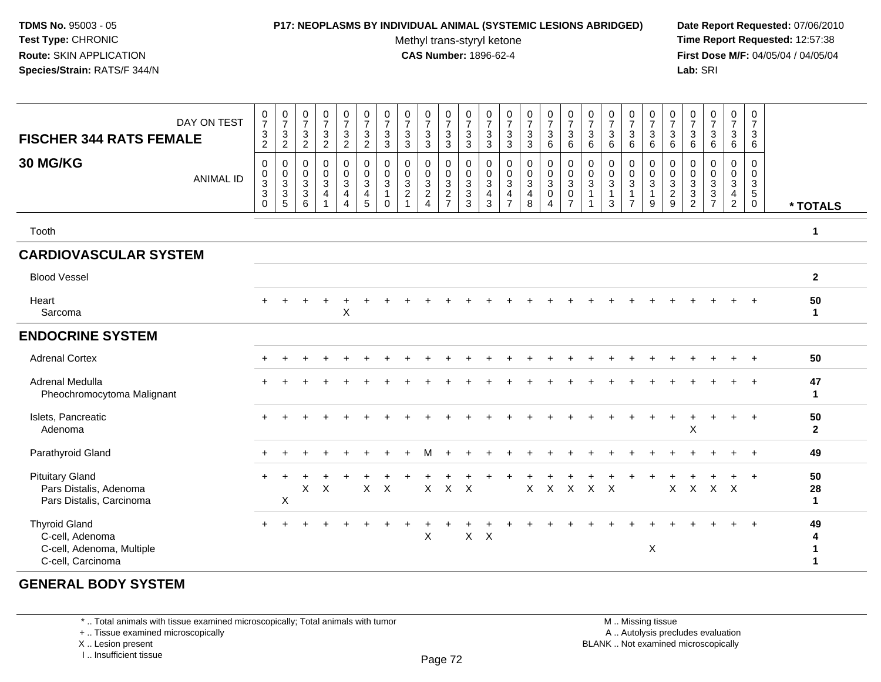## **P17: NEOPLASMS BY INDIVIDUAL ANIMAL (SYSTEMIC LESIONS ABRIDGED) Date Report Requested:** 07/06/2010

Methyl trans-styryl ketone<br>CAS Number: 1896-62-4

 **Time Report Requested:** 12:57:38 **First Dose M/F:** 04/05/04 / 04/05/04<br>**Lab:** SRI **Lab:** SRI

| <b>FISCHER 344 RATS FEMALE</b><br>30 MG/KG                                                | DAY ON TEST<br><b>ANIMAL ID</b> | $\pmb{0}$<br>$\boldsymbol{7}$<br>$\ensuremath{\mathsf{3}}$<br>$\overline{2}$<br>$\mathbf 0$<br>$\pmb{0}$<br>$\frac{3}{3}$<br>$\Omega$ | $\begin{array}{c} 0 \\ 7 \end{array}$<br>$\frac{3}{2}$<br>$\boldsymbol{0}$<br>$\begin{array}{c} 0 \\ 3 \\ 5 \end{array}$ | $\begin{array}{c} 0 \\ 7 \end{array}$<br>$\sqrt{3}$<br>$\overline{2}$<br>$\pmb{0}$<br>$\mathbf 0$<br>$\overline{3}$<br>$\ensuremath{\mathsf{3}}$<br>$6\phantom{1}$ | $\frac{0}{7}$<br>$\mathbf{3}$<br>$\overline{c}$<br>0<br>$\mathbf 0$<br>$\overline{3}$<br>4<br>$\mathbf 1$ | $\frac{0}{7}$<br>$\frac{3}{2}$<br>$\pmb{0}$<br>$\mathsf{O}\xspace$<br>$\overline{3}$<br>$\overline{4}$<br>$\overline{4}$ | $\begin{array}{c} 0 \\ 7 \end{array}$<br>$\mathbf{3}$<br>$\overline{2}$<br>$\pmb{0}$<br>$\pmb{0}$<br>$\overline{3}$<br>4<br>$\sqrt{5}$ | 0<br>$\boldsymbol{7}$<br>$\mathbf{3}$<br>3<br>0<br>$\mathbf 0$<br>$\mathbf{3}$<br>$\Omega$ | $\frac{0}{7}$<br>$\ensuremath{\mathsf{3}}$<br>$\mathbf{3}$<br>$\mathbf 0$<br>$\mathbf 0$<br>$\ensuremath{\mathsf{3}}$<br>$\overline{c}$<br>$\overline{ }$ | $\frac{0}{7}$<br>$\sqrt{3}$<br>$\sqrt{3}$<br>0<br>$\mathbf 0$<br>$\overline{3}$<br>$\frac{2}{4}$ | $\frac{0}{7}$<br>$\mathbf{3}$<br>3<br>0<br>$\mathbf 0$<br>$\overline{3}$<br>$\frac{2}{7}$ | 0<br>$\boldsymbol{7}$<br>$\ensuremath{\mathsf{3}}$<br>3<br>0<br>0<br>$\ensuremath{\mathsf{3}}$<br>$\sqrt{3}$<br>3 | $\frac{0}{7}$<br>$\frac{3}{3}$<br>$\pmb{0}$<br>0<br>$\overline{3}$<br>$\overline{4}$<br>$\mathbf{3}$ | $\frac{0}{7}$<br>$\frac{3}{3}$<br>$\pmb{0}$<br>$\pmb{0}$<br>$\overline{3}$<br>$\overline{\mathbf{4}}$<br>$\overline{7}$ | $\frac{0}{7}$<br>$\sqrt{3}$<br>$\ensuremath{\mathsf{3}}$<br>$\mathbf 0$<br>$\pmb{0}$<br>$\overline{3}$<br>$\frac{4}{8}$ | $\frac{0}{7}$<br>$\mathbf{3}$<br>6<br>$\pmb{0}$<br>$\mathbf 0$<br>$\overline{3}$<br>$\pmb{0}$<br>$\overline{4}$ | $\frac{0}{7}$<br>$\mathbf{3}$<br>6<br>0<br>$\mathbf 0$<br>$\mathbf{3}$<br>0<br>$\overline{7}$ | $\frac{0}{7}$<br>$\mathbf{3}$<br>6<br>0<br>$\mathbf 0$<br>$\mathbf 3$<br>$\overline{1}$<br>$\overline{\mathbf{1}}$ | $\frac{0}{7}$<br>$\ensuremath{\mathsf{3}}$<br>$\,6$<br>$\pmb{0}$<br>$\pmb{0}$<br>$\overline{3}$<br>1<br>3 | 0<br>$\boldsymbol{7}$<br>$\mathbf{3}$<br>6<br>$\mathbf 0$<br>$\mathbf 0$<br>$\mathbf{3}$<br>$\mathbf{1}$<br>$\overline{7}$ | $\pmb{0}$<br>$\boldsymbol{7}$<br>$\ensuremath{\mathsf{3}}$<br>$\,6\,$<br>0<br>$\mathbf 0$<br>$\overline{3}$<br>$\mathbf{1}$<br>9 | $\mathbf 0$<br>$\overline{7}$<br>$\mathbf{3}$<br>$6\phantom{1}6$<br>$\mathbf 0$<br>$\mathbf 0$<br>$\sqrt{3}$<br>$\overline{c}$<br>9 | $\frac{0}{7}$<br>$\mathfrak{S}$<br>6<br>0<br>$\mathbf 0$<br>$\ensuremath{\mathsf{3}}$<br>$\ensuremath{\mathsf{3}}$<br>$\overline{2}$ | $\frac{0}{7}$<br>3<br>6<br>0<br>$\mathsf{O}$<br>$\frac{3}{3}$<br>$\overline{7}$ | $\frac{0}{7}$<br>$\mathbf{3}$<br>6<br>0<br>$\mathbf 0$<br>$\overline{3}$<br>$\overline{4}$<br>$\overline{2}$ | 0<br>$\overline{7}$<br>3<br>$\,6$<br>0<br>$\mathbf 0$<br>$\ensuremath{\mathsf{3}}$<br>$\overline{5}$<br>$\mathbf 0$ | * TOTALS                |
|-------------------------------------------------------------------------------------------|---------------------------------|---------------------------------------------------------------------------------------------------------------------------------------|--------------------------------------------------------------------------------------------------------------------------|--------------------------------------------------------------------------------------------------------------------------------------------------------------------|-----------------------------------------------------------------------------------------------------------|--------------------------------------------------------------------------------------------------------------------------|----------------------------------------------------------------------------------------------------------------------------------------|--------------------------------------------------------------------------------------------|-----------------------------------------------------------------------------------------------------------------------------------------------------------|--------------------------------------------------------------------------------------------------|-------------------------------------------------------------------------------------------|-------------------------------------------------------------------------------------------------------------------|------------------------------------------------------------------------------------------------------|-------------------------------------------------------------------------------------------------------------------------|-------------------------------------------------------------------------------------------------------------------------|-----------------------------------------------------------------------------------------------------------------|-----------------------------------------------------------------------------------------------|--------------------------------------------------------------------------------------------------------------------|-----------------------------------------------------------------------------------------------------------|----------------------------------------------------------------------------------------------------------------------------|----------------------------------------------------------------------------------------------------------------------------------|-------------------------------------------------------------------------------------------------------------------------------------|--------------------------------------------------------------------------------------------------------------------------------------|---------------------------------------------------------------------------------|--------------------------------------------------------------------------------------------------------------|---------------------------------------------------------------------------------------------------------------------|-------------------------|
| Tooth                                                                                     |                                 |                                                                                                                                       |                                                                                                                          |                                                                                                                                                                    |                                                                                                           |                                                                                                                          |                                                                                                                                        |                                                                                            |                                                                                                                                                           |                                                                                                  |                                                                                           |                                                                                                                   |                                                                                                      |                                                                                                                         |                                                                                                                         |                                                                                                                 |                                                                                               |                                                                                                                    |                                                                                                           |                                                                                                                            |                                                                                                                                  |                                                                                                                                     |                                                                                                                                      |                                                                                 |                                                                                                              |                                                                                                                     | 1                       |
| <b>CARDIOVASCULAR SYSTEM</b>                                                              |                                 |                                                                                                                                       |                                                                                                                          |                                                                                                                                                                    |                                                                                                           |                                                                                                                          |                                                                                                                                        |                                                                                            |                                                                                                                                                           |                                                                                                  |                                                                                           |                                                                                                                   |                                                                                                      |                                                                                                                         |                                                                                                                         |                                                                                                                 |                                                                                               |                                                                                                                    |                                                                                                           |                                                                                                                            |                                                                                                                                  |                                                                                                                                     |                                                                                                                                      |                                                                                 |                                                                                                              |                                                                                                                     |                         |
| <b>Blood Vessel</b>                                                                       |                                 |                                                                                                                                       |                                                                                                                          |                                                                                                                                                                    |                                                                                                           |                                                                                                                          |                                                                                                                                        |                                                                                            |                                                                                                                                                           |                                                                                                  |                                                                                           |                                                                                                                   |                                                                                                      |                                                                                                                         |                                                                                                                         |                                                                                                                 |                                                                                               |                                                                                                                    |                                                                                                           |                                                                                                                            |                                                                                                                                  |                                                                                                                                     |                                                                                                                                      |                                                                                 |                                                                                                              |                                                                                                                     | $\mathbf{2}$            |
| Heart<br>Sarcoma                                                                          |                                 | $+$                                                                                                                                   |                                                                                                                          |                                                                                                                                                                    | $\ddot{}$                                                                                                 | $\div$<br>$\sf X$                                                                                                        |                                                                                                                                        |                                                                                            |                                                                                                                                                           |                                                                                                  |                                                                                           |                                                                                                                   |                                                                                                      |                                                                                                                         |                                                                                                                         |                                                                                                                 |                                                                                               |                                                                                                                    |                                                                                                           |                                                                                                                            |                                                                                                                                  |                                                                                                                                     |                                                                                                                                      |                                                                                 |                                                                                                              |                                                                                                                     | 50<br>$\mathbf{1}$      |
| <b>ENDOCRINE SYSTEM</b>                                                                   |                                 |                                                                                                                                       |                                                                                                                          |                                                                                                                                                                    |                                                                                                           |                                                                                                                          |                                                                                                                                        |                                                                                            |                                                                                                                                                           |                                                                                                  |                                                                                           |                                                                                                                   |                                                                                                      |                                                                                                                         |                                                                                                                         |                                                                                                                 |                                                                                               |                                                                                                                    |                                                                                                           |                                                                                                                            |                                                                                                                                  |                                                                                                                                     |                                                                                                                                      |                                                                                 |                                                                                                              |                                                                                                                     |                         |
| <b>Adrenal Cortex</b>                                                                     |                                 |                                                                                                                                       |                                                                                                                          |                                                                                                                                                                    |                                                                                                           |                                                                                                                          |                                                                                                                                        |                                                                                            |                                                                                                                                                           |                                                                                                  |                                                                                           |                                                                                                                   |                                                                                                      |                                                                                                                         |                                                                                                                         |                                                                                                                 |                                                                                               |                                                                                                                    |                                                                                                           |                                                                                                                            |                                                                                                                                  |                                                                                                                                     |                                                                                                                                      |                                                                                 |                                                                                                              |                                                                                                                     | 50                      |
| Adrenal Medulla<br>Pheochromocytoma Malignant                                             |                                 |                                                                                                                                       |                                                                                                                          |                                                                                                                                                                    |                                                                                                           |                                                                                                                          |                                                                                                                                        |                                                                                            |                                                                                                                                                           |                                                                                                  |                                                                                           |                                                                                                                   |                                                                                                      |                                                                                                                         |                                                                                                                         |                                                                                                                 |                                                                                               |                                                                                                                    |                                                                                                           |                                                                                                                            |                                                                                                                                  |                                                                                                                                     |                                                                                                                                      |                                                                                 |                                                                                                              | $\overline{1}$                                                                                                      | 47<br>$\mathbf 1$       |
| Islets, Pancreatic<br>Adenoma                                                             |                                 |                                                                                                                                       |                                                                                                                          |                                                                                                                                                                    |                                                                                                           |                                                                                                                          |                                                                                                                                        |                                                                                            |                                                                                                                                                           |                                                                                                  |                                                                                           |                                                                                                                   |                                                                                                      |                                                                                                                         |                                                                                                                         |                                                                                                                 |                                                                                               |                                                                                                                    |                                                                                                           |                                                                                                                            |                                                                                                                                  |                                                                                                                                     | X                                                                                                                                    |                                                                                 | $\pm$                                                                                                        | $\overline{1}$                                                                                                      | 50<br>$\overline{2}$    |
| Parathyroid Gland                                                                         |                                 |                                                                                                                                       |                                                                                                                          |                                                                                                                                                                    |                                                                                                           |                                                                                                                          |                                                                                                                                        |                                                                                            |                                                                                                                                                           | м                                                                                                |                                                                                           |                                                                                                                   |                                                                                                      |                                                                                                                         |                                                                                                                         |                                                                                                                 |                                                                                               |                                                                                                                    |                                                                                                           |                                                                                                                            |                                                                                                                                  |                                                                                                                                     |                                                                                                                                      |                                                                                 |                                                                                                              | $\overline{1}$                                                                                                      | 49                      |
| <b>Pituitary Gland</b><br>Pars Distalis, Adenoma<br>Pars Distalis, Carcinoma              |                                 | $\ddot{}$                                                                                                                             | X                                                                                                                        | X                                                                                                                                                                  | X                                                                                                         |                                                                                                                          | $\mathsf{X}$                                                                                                                           | $\sf X$                                                                                    |                                                                                                                                                           | $\mathsf{X}$                                                                                     | $\mathsf{X}$                                                                              | $\mathsf{X}$                                                                                                      |                                                                                                      |                                                                                                                         | $\mathsf{X}$                                                                                                            | $\mathsf{X}$                                                                                                    | $\mathsf{X}$                                                                                  | $X$ $X$                                                                                                            |                                                                                                           |                                                                                                                            |                                                                                                                                  | $\mathsf{X}$                                                                                                                        | $\mathsf{X}$                                                                                                                         | $X$ $X$                                                                         | $\ddot{}$                                                                                                    | $+$                                                                                                                 | 50<br>28<br>$\mathbf 1$ |
| <b>Thyroid Gland</b><br>C-cell, Adenoma<br>C-cell, Adenoma, Multiple<br>C-cell, Carcinoma |                                 |                                                                                                                                       |                                                                                                                          |                                                                                                                                                                    |                                                                                                           |                                                                                                                          |                                                                                                                                        |                                                                                            |                                                                                                                                                           | X                                                                                                |                                                                                           | X                                                                                                                 | $\boldsymbol{\mathsf{X}}$                                                                            |                                                                                                                         |                                                                                                                         |                                                                                                                 |                                                                                               |                                                                                                                    |                                                                                                           |                                                                                                                            | $\mathsf X$                                                                                                                      |                                                                                                                                     |                                                                                                                                      |                                                                                 |                                                                                                              |                                                                                                                     | 49<br>4<br>1<br>1       |

# **GENERAL BODY SYSTEM**

\* .. Total animals with tissue examined microscopically; Total animals with tumor

+ .. Tissue examined microscopically

X .. Lesion present

I .. Insufficient tissue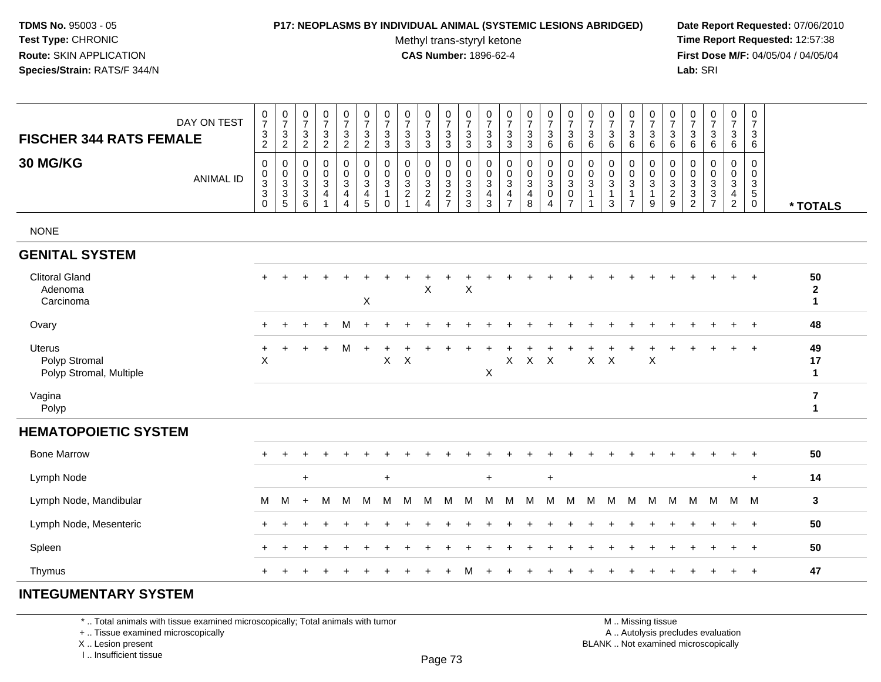#### **P17: NEOPLASMS BY INDIVIDUAL ANIMAL (SYSTEMIC LESIONS ABRIDGED) Date Report Requested:** 07/06/2010

Methyl trans-styryl ketone<br>CAS Number: 1896-62-4

 **Time Report Requested:** 12:57:38 **First Dose M/F:** 04/05/04 / 04/05/04<br>**Lab:** SRI **Lab:** SRI

| DAY ON TEST<br><b>FISCHER 344 RATS FEMALE</b>             | $\frac{0}{7}$<br>$\frac{3}{2}$            | $\begin{smallmatrix} 0\\7 \end{smallmatrix}$<br>$\frac{3}{2}$ | $\frac{0}{7}$<br>3<br>$\sqrt{2}$                    | $\begin{array}{c} 0 \\ 7 \end{array}$<br>$\frac{3}{2}$ | $\frac{0}{7}$<br>$\mathbf{3}$<br>$\overline{2}$                                 | $\frac{0}{7}$<br>$\frac{3}{2}$                                                  | $\frac{0}{7}$<br>$\frac{3}{3}$                               | $\begin{array}{c} 0 \\ 7 \end{array}$<br>$\sqrt{3}$<br>$\mathbf{3}$ | $\frac{0}{7}$<br>$_3^3$                        | $\frac{0}{7}$<br>$\sqrt{3}$<br>$\overline{3}$       | $\frac{0}{7}$<br>$\frac{3}{3}$    | 0<br>$\overline{7}$<br>$\mathbf{3}$<br>3                       | $\frac{0}{7}$<br>$\frac{3}{3}$                                                        | $\frac{0}{7}$<br>$\frac{3}{3}$                                             | $\begin{array}{c} 0 \\ 7 \end{array}$<br>$\begin{array}{c} 3 \\ 6 \end{array}$ | $\begin{array}{c} 0 \\ 7 \end{array}$<br>$\sqrt{3}$<br>$\,6\,$ | 0<br>$\overline{7}$<br>3<br>6        | $\frac{0}{7}$<br>$\sqrt{3}$<br>$\,6\,$              | $\frac{0}{7}$<br>$\sqrt{3}$<br>$\,6\,$                                       | $\begin{array}{c} 0 \\ 7 \end{array}$<br>$^3$ 6                 | $\frac{0}{7}$<br>$\sqrt{3}$<br>$\,6\,$          | $\frac{0}{7}$<br>$\mathbf{3}$<br>6                              | $\begin{array}{c} 0 \\ 7 \end{array}$<br>$\frac{3}{6}$ | $\frac{0}{7}$<br>$\mathbf{3}$<br>$6\phantom{a}$                                         | $\begin{smallmatrix}0\\7\end{smallmatrix}$<br>$\mathbf{3}$<br>6 |                                         |
|-----------------------------------------------------------|-------------------------------------------|---------------------------------------------------------------|-----------------------------------------------------|--------------------------------------------------------|---------------------------------------------------------------------------------|---------------------------------------------------------------------------------|--------------------------------------------------------------|---------------------------------------------------------------------|------------------------------------------------|-----------------------------------------------------|-----------------------------------|----------------------------------------------------------------|---------------------------------------------------------------------------------------|----------------------------------------------------------------------------|--------------------------------------------------------------------------------|----------------------------------------------------------------|--------------------------------------|-----------------------------------------------------|------------------------------------------------------------------------------|-----------------------------------------------------------------|-------------------------------------------------|-----------------------------------------------------------------|--------------------------------------------------------|-----------------------------------------------------------------------------------------|-----------------------------------------------------------------|-----------------------------------------|
| 30 MG/KG<br><b>ANIMAL ID</b>                              | $\pmb{0}$<br>$\frac{0}{3}$<br>$\mathbf 0$ | 0<br>$\mathsf{O}\xspace$<br>$\frac{3}{3}$<br>5                | $\mathbf 0$<br>0<br>$\mathbf{3}$<br>$\sqrt{3}$<br>6 | $\mathbf 0$<br>$\frac{0}{3}$<br>$\overline{4}$         | 0<br>$\mathbf 0$<br>$\overline{3}$<br>$\overline{\mathbf{4}}$<br>$\overline{4}$ | 0<br>$\mathsf{O}\xspace$<br>$\overline{3}$<br>$\overline{4}$<br>$5\phantom{.0}$ | 0<br>$\mathsf{O}\xspace$<br>3<br>$\mathbf{1}$<br>$\mathbf 0$ | $\mathbf 0$<br>0<br>$\sqrt{3}$<br>$\overline{c}$<br>$\overline{1}$  | $\mathbf 0$<br>$\frac{0}{3}$<br>$\overline{4}$ | 0<br>$\mathbf 0$<br>$\frac{3}{2}$<br>$\overline{7}$ | $\mathbf 0$<br>$\frac{0}{3}$<br>3 | 0<br>$\pmb{0}$<br>$\mathbf{3}$<br>$\overline{\mathbf{r}}$<br>3 | $\mathbf 0$<br>$\pmb{0}$<br>$\mathbf{3}$<br>$\overline{\mathbf{4}}$<br>$\overline{7}$ | $\mathbf 0$<br>$\pmb{0}$<br>$\overline{3}$<br>$\overline{\mathbf{4}}$<br>8 | 0<br>$\mathbf 0$<br>$\overline{3}$<br>$\pmb{0}$<br>$\overline{4}$              | $\mathbf 0$<br>$\frac{0}{3}$<br>$\pmb{0}$<br>$\overline{7}$    | $\mathbf 0$<br>$\mathbf 0$<br>3<br>1 | $\mathbf 0$<br>0<br>$\sqrt{3}$<br>$\mathbf{1}$<br>3 | $\mathbf 0$<br>$\pmb{0}$<br>$\overline{3}$<br>$\mathbf{1}$<br>$\overline{7}$ | 0<br>$\mathsf{O}\xspace$<br>$\overline{3}$<br>$\mathbf{1}$<br>9 | 0<br>$\boldsymbol{0}$<br>$\frac{3}{2}$<br>$9\,$ | $\mathbf 0$<br>0<br>$\mathbf 3$<br>$\sqrt{3}$<br>$\overline{2}$ | $\mathbf 0$<br>$\pmb{0}$<br>$\frac{3}{3}$<br>7         | $\mathsf 0$<br>$\pmb{0}$<br>$\overline{3}$<br>$\overline{\mathbf{4}}$<br>$\overline{c}$ | 0<br>$\mathbf 0$<br>$\frac{3}{5}$<br>$\mathbf 0$                | * TOTALS                                |
| <b>NONE</b>                                               |                                           |                                                               |                                                     |                                                        |                                                                                 |                                                                                 |                                                              |                                                                     |                                                |                                                     |                                   |                                                                |                                                                                       |                                                                            |                                                                                |                                                                |                                      |                                                     |                                                                              |                                                                 |                                                 |                                                                 |                                                        |                                                                                         |                                                                 |                                         |
| <b>GENITAL SYSTEM</b>                                     |                                           |                                                               |                                                     |                                                        |                                                                                 |                                                                                 |                                                              |                                                                     |                                                |                                                     |                                   |                                                                |                                                                                       |                                                                            |                                                                                |                                                                |                                      |                                                     |                                                                              |                                                                 |                                                 |                                                                 |                                                        |                                                                                         |                                                                 |                                         |
| <b>Clitoral Gland</b><br>Adenoma<br>Carcinoma             | $+$                                       |                                                               |                                                     |                                                        |                                                                                 | X                                                                               |                                                              |                                                                     | X                                              |                                                     | X                                 |                                                                |                                                                                       |                                                                            |                                                                                |                                                                |                                      |                                                     |                                                                              |                                                                 |                                                 |                                                                 |                                                        | $\ddot{}$                                                                               | $+$                                                             | 50<br>$\mathbf{2}$<br>$\mathbf{1}$      |
| Ovary                                                     |                                           |                                                               |                                                     |                                                        | м                                                                               |                                                                                 |                                                              |                                                                     |                                                |                                                     |                                   |                                                                |                                                                                       |                                                                            |                                                                                |                                                                |                                      |                                                     |                                                                              |                                                                 |                                                 |                                                                 |                                                        |                                                                                         | $\overline{1}$                                                  | 48                                      |
| <b>Uterus</b><br>Polyp Stromal<br>Polyp Stromal, Multiple | $\ddot{}$<br>X                            | $\ddot{}$                                                     | +                                                   | $\ddot{}$                                              | M                                                                               | $+$                                                                             | $\sf X$                                                      | $\boldsymbol{\mathsf{X}}$                                           |                                                |                                                     |                                   | X                                                              | X                                                                                     | X                                                                          | $\times$                                                                       |                                                                | X                                    | $\pmb{\times}$                                      |                                                                              | $\mathsf X$                                                     |                                                 |                                                                 |                                                        |                                                                                         | $\overline{1}$                                                  | 49<br>17<br>$\mathbf{1}$                |
| Vagina<br>Polyp                                           |                                           |                                                               |                                                     |                                                        |                                                                                 |                                                                                 |                                                              |                                                                     |                                                |                                                     |                                   |                                                                |                                                                                       |                                                                            |                                                                                |                                                                |                                      |                                                     |                                                                              |                                                                 |                                                 |                                                                 |                                                        |                                                                                         |                                                                 | $\overline{\mathbf{r}}$<br>$\mathbf{1}$ |
| <b>HEMATOPOIETIC SYSTEM</b>                               |                                           |                                                               |                                                     |                                                        |                                                                                 |                                                                                 |                                                              |                                                                     |                                                |                                                     |                                   |                                                                |                                                                                       |                                                                            |                                                                                |                                                                |                                      |                                                     |                                                                              |                                                                 |                                                 |                                                                 |                                                        |                                                                                         |                                                                 |                                         |
| <b>Bone Marrow</b>                                        |                                           | $\div$                                                        |                                                     |                                                        |                                                                                 |                                                                                 |                                                              |                                                                     |                                                |                                                     |                                   |                                                                |                                                                                       |                                                                            |                                                                                |                                                                |                                      |                                                     |                                                                              |                                                                 |                                                 |                                                                 |                                                        | $\ddot{}$                                                                               | $\ddot{}$                                                       | 50                                      |
| Lymph Node                                                |                                           |                                                               | $\ddot{}$                                           |                                                        |                                                                                 |                                                                                 | $\ddot{}$                                                    |                                                                     |                                                |                                                     |                                   | $\ddot{}$                                                      |                                                                                       |                                                                            | $\ddot{}$                                                                      |                                                                |                                      |                                                     |                                                                              |                                                                 |                                                 |                                                                 |                                                        |                                                                                         | $\ddot{}$                                                       | 14                                      |
| Lymph Node, Mandibular                                    | M                                         | м                                                             | $+$                                                 | M                                                      | M                                                                               | M                                                                               | м                                                            | м                                                                   | M                                              | M                                                   | М                                 | м                                                              | м                                                                                     | M                                                                          | м                                                                              | м                                                              | M                                    | м                                                   | M                                                                            | м                                                               | M                                               | M                                                               | м                                                      | M                                                                                       | M                                                               | 3                                       |
| Lymph Node, Mesenteric                                    | $\pm$                                     | ÷                                                             |                                                     |                                                        |                                                                                 |                                                                                 |                                                              |                                                                     |                                                |                                                     |                                   |                                                                |                                                                                       |                                                                            |                                                                                |                                                                |                                      |                                                     |                                                                              |                                                                 |                                                 |                                                                 |                                                        | $\ddot{}$                                                                               | $+$                                                             | 50                                      |
| Spleen                                                    |                                           | $\ddot{}$                                                     |                                                     |                                                        |                                                                                 |                                                                                 |                                                              |                                                                     |                                                |                                                     |                                   |                                                                |                                                                                       |                                                                            |                                                                                |                                                                |                                      |                                                     |                                                                              |                                                                 |                                                 |                                                                 |                                                        | $\ddot{}$                                                                               | $+$                                                             | 50                                      |
| Thymus                                                    |                                           |                                                               |                                                     |                                                        |                                                                                 |                                                                                 |                                                              |                                                                     |                                                |                                                     | M                                 |                                                                |                                                                                       |                                                                            |                                                                                |                                                                |                                      |                                                     |                                                                              |                                                                 |                                                 |                                                                 |                                                        | $\ddot{}$                                                                               | $+$                                                             | 47                                      |

# **INTEGUMENTARY SYSTEM**

\* .. Total animals with tissue examined microscopically; Total animals with tumor

+ .. Tissue examined microscopically

X .. Lesion present

I .. Insufficient tissue

 M .. Missing tissuey the contract of the contract of the contract of the contract of the contract of  $\mathsf A$  . Autolysis precludes evaluation Lesion present BLANK .. Not examined microscopically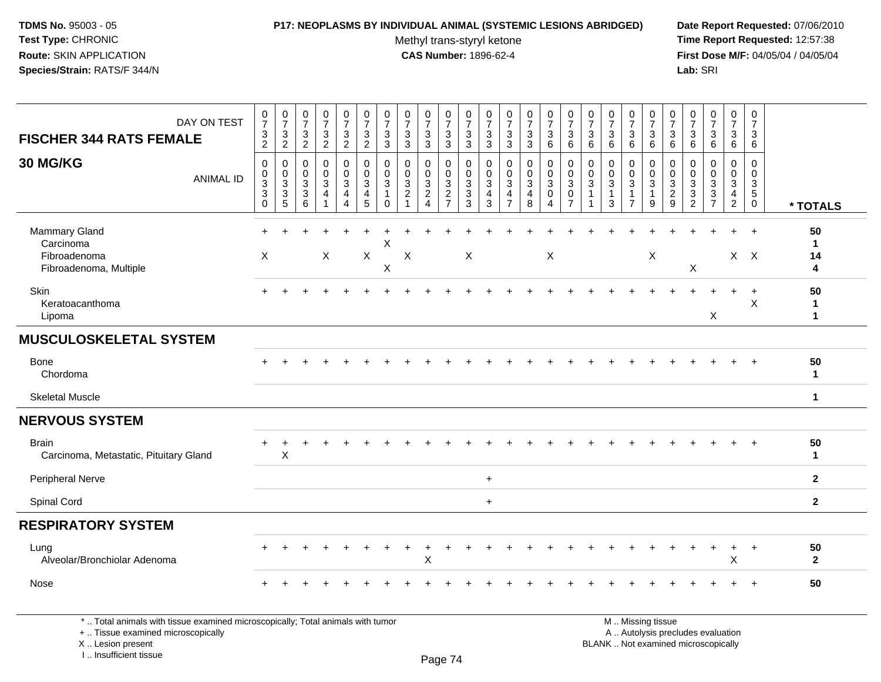#### **P17: NEOPLASMS BY INDIVIDUAL ANIMAL (SYSTEMIC LESIONS ABRIDGED) Date Report Requested:** 07/06/2010

Methyl trans-styryl ketone<br>CAS Number: 1896-62-4

 **Time Report Requested:** 12:57:38 **First Dose M/F:** 04/05/04 / 04/05/04<br>Lab: SRI **Lab:** SRI

| DAY ON TEST<br><b>FISCHER 344 RATS FEMALE</b>                                                                         | $\frac{0}{7}$<br>$\frac{3}{2}$                                          | $\frac{0}{7}$<br>$\mathsf 3$<br>$\overline{2}$    | $\frac{0}{7}$<br>$\frac{3}{2}$           | $\frac{0}{7}$<br>$\ensuremath{\mathsf{3}}$<br>$\overline{2}$      | $\frac{0}{7}$<br>3<br>$\overline{2}$                  | $\frac{0}{7}$<br>$\frac{3}{2}$                                                        | $\begin{array}{c} 0 \\ 7 \end{array}$<br>$\ensuremath{\mathsf{3}}$<br>3 | $\begin{array}{c} 0 \\ 7 \end{array}$<br>$\sqrt{3}$<br>$\overline{3}$ | $\frac{0}{7}$<br>$\frac{3}{3}$                                 | $\frac{0}{7}$<br>$\frac{3}{3}$                            | $\frac{0}{7}$<br>$\ensuremath{\mathsf{3}}$<br>$\mathfrak{S}$ | $\frac{0}{7}$<br>$\frac{3}{3}$                                                              | $\frac{0}{7}$<br>3<br>$\overline{3}$ | $\frac{0}{7}$<br>$\ensuremath{\mathsf{3}}$<br>$\overline{3}$                  | $\frac{0}{7}$<br>$\sqrt{3}$<br>6                                      | $\frac{0}{7}$<br>$\sqrt{3}$<br>$\,6\,$                          | $\frac{0}{7}$<br>$\sqrt{3}$<br>6                                  | $\frac{0}{7}$<br>3<br>6          | $\frac{0}{7}$<br>$\ensuremath{\mathsf{3}}$<br>$6\overline{6}$                | $\frac{0}{7}$<br>$\ensuremath{\mathsf{3}}$<br>6        | $\begin{array}{c} 0 \\ 7 \end{array}$<br>$\ensuremath{\mathsf{3}}$<br>6 | $\frac{0}{7}$<br>$\sqrt{3}$<br>6                          | $\begin{smallmatrix}0\\7\end{smallmatrix}$<br>$\ensuremath{\mathsf{3}}$<br>6 | $\begin{smallmatrix}0\\7\end{smallmatrix}$<br>$\sqrt{3}$<br>6        | $\mathbf 0$<br>$\overline{7}$<br>3<br>6                             |                         |
|-----------------------------------------------------------------------------------------------------------------------|-------------------------------------------------------------------------|---------------------------------------------------|------------------------------------------|-------------------------------------------------------------------|-------------------------------------------------------|---------------------------------------------------------------------------------------|-------------------------------------------------------------------------|-----------------------------------------------------------------------|----------------------------------------------------------------|-----------------------------------------------------------|--------------------------------------------------------------|---------------------------------------------------------------------------------------------|--------------------------------------|-------------------------------------------------------------------------------|-----------------------------------------------------------------------|-----------------------------------------------------------------|-------------------------------------------------------------------|----------------------------------|------------------------------------------------------------------------------|--------------------------------------------------------|-------------------------------------------------------------------------|-----------------------------------------------------------|------------------------------------------------------------------------------|----------------------------------------------------------------------|---------------------------------------------------------------------|-------------------------|
| 30 MG/KG<br><b>ANIMAL ID</b>                                                                                          | 0<br>$\begin{smallmatrix}0\3\3\end{smallmatrix}$<br>$\ddot{\mathbf{0}}$ | $\mathbf 0$<br>0<br>$\mathbf{3}$<br>$\frac{3}{5}$ | $\mathbf 0$<br>0<br>$\sqrt{3}$<br>3<br>6 | 0<br>$\mathsf 0$<br>$\mathsf 3$<br>$\overline{4}$<br>$\mathbf{1}$ | $\mathbf 0$<br>0<br>$\sqrt{3}$<br>4<br>$\overline{4}$ | $\mathbf 0$<br>$\pmb{0}$<br>$\mathbf{3}$<br>$\overline{\mathbf{4}}$<br>$\overline{5}$ | 0<br>$\mathbf 0$<br>3<br>$\mathbf{1}$<br>$\mathbf{0}$                   | $\mathbf 0$<br>0<br>$\sqrt{3}$<br>$\overline{2}$<br>$\overline{1}$    | 0<br>$\mathbf 0$<br>$\ensuremath{\mathsf{3}}$<br>$\frac{2}{4}$ | $\mathbf 0$<br>$\mathbf 0$<br>$\sqrt{3}$<br>$\frac{2}{7}$ | 0<br>0<br>$\ensuremath{\mathsf{3}}$<br>3<br>$\overline{3}$   | $\mathbf 0$<br>$\boldsymbol{0}$<br>$\mathsf 3$<br>$\overline{\mathbf{4}}$<br>$\overline{3}$ | 0<br>0<br>3<br>4<br>$\overline{7}$   | $\mathbf 0$<br>$\mathsf{O}\xspace$<br>$\sqrt{3}$<br>$\overline{4}$<br>$\,8\,$ | $\mathbf 0$<br>$\pmb{0}$<br>$\sqrt{3}$<br>$\pmb{0}$<br>$\overline{4}$ | $\mathbf 0$<br>$\mathbf 0$<br>$\sqrt{3}$<br>0<br>$\overline{7}$ | $\mathbf 0$<br>$\mathbf 0$<br>3<br>$\mathbf{1}$<br>$\overline{1}$ | 0<br>0<br>3<br>$\mathbf{1}$<br>3 | $\mathbf 0$<br>$\mathbf 0$<br>$\mathbf{3}$<br>$\mathbf{1}$<br>$\overline{7}$ | $\pmb{0}$<br>0<br>$\mathbf{3}$<br>$\mathbf{1}$<br>9    | $\mathbf 0$<br>0<br>$\mathsf 3$<br>$\overline{2}$<br>$\overline{9}$     | $\mathbf 0$<br>$\mathbf 0$<br>$\sqrt{3}$<br>$\frac{3}{2}$ | 0<br>0<br>$\ensuremath{\mathsf{3}}$<br>$\frac{3}{7}$                         | $\mathbf 0$<br>0<br>$\mathbf{3}$<br>$\overline{4}$<br>$\overline{2}$ | 0<br>$\mathbf 0$<br>$\sqrt{3}$<br>$5\phantom{.0}$<br>$\overline{0}$ | * TOTALS                |
| Mammary Gland<br>Carcinoma<br>Fibroadenoma<br>Fibroadenoma, Multiple                                                  | $\boldsymbol{\mathsf{X}}$                                               |                                                   |                                          | X                                                                 |                                                       | $\boldsymbol{X}$                                                                      | Х<br>Χ                                                                  | X                                                                     |                                                                |                                                           | $\boldsymbol{\mathsf{X}}$                                    |                                                                                             |                                      |                                                                               | X                                                                     |                                                                 |                                                                   |                                  |                                                                              | $\boldsymbol{\mathsf{X}}$                              |                                                                         | $\boldsymbol{\mathsf{X}}$                                 |                                                                              | $X$ $X$                                                              |                                                                     | 50<br>1<br>14<br>4      |
| Skin<br>Keratoacanthoma<br>Lipoma                                                                                     |                                                                         |                                                   |                                          |                                                                   |                                                       |                                                                                       |                                                                         |                                                                       |                                                                |                                                           |                                                              |                                                                                             |                                      |                                                                               |                                                                       |                                                                 |                                                                   |                                  |                                                                              |                                                        |                                                                         |                                                           | X                                                                            |                                                                      | $\ddot{}$<br>$\boldsymbol{\mathsf{X}}$                              | 50<br>-1<br>$\mathbf 1$ |
| <b>MUSCULOSKELETAL SYSTEM</b>                                                                                         |                                                                         |                                                   |                                          |                                                                   |                                                       |                                                                                       |                                                                         |                                                                       |                                                                |                                                           |                                                              |                                                                                             |                                      |                                                                               |                                                                       |                                                                 |                                                                   |                                  |                                                                              |                                                        |                                                                         |                                                           |                                                                              |                                                                      |                                                                     |                         |
| <b>Bone</b><br>Chordoma                                                                                               |                                                                         |                                                   |                                          |                                                                   |                                                       |                                                                                       |                                                                         |                                                                       |                                                                |                                                           |                                                              |                                                                                             |                                      |                                                                               |                                                                       |                                                                 |                                                                   |                                  |                                                                              |                                                        |                                                                         |                                                           |                                                                              |                                                                      |                                                                     | 50<br>$\mathbf{1}$      |
| <b>Skeletal Muscle</b>                                                                                                |                                                                         |                                                   |                                          |                                                                   |                                                       |                                                                                       |                                                                         |                                                                       |                                                                |                                                           |                                                              |                                                                                             |                                      |                                                                               |                                                                       |                                                                 |                                                                   |                                  |                                                                              |                                                        |                                                                         |                                                           |                                                                              |                                                                      |                                                                     | $\mathbf{1}$            |
| <b>NERVOUS SYSTEM</b>                                                                                                 |                                                                         |                                                   |                                          |                                                                   |                                                       |                                                                                       |                                                                         |                                                                       |                                                                |                                                           |                                                              |                                                                                             |                                      |                                                                               |                                                                       |                                                                 |                                                                   |                                  |                                                                              |                                                        |                                                                         |                                                           |                                                                              |                                                                      |                                                                     |                         |
| <b>Brain</b><br>Carcinoma, Metastatic, Pituitary Gland                                                                | $\ddot{}$                                                               | $\ddot{}$<br>X                                    |                                          |                                                                   |                                                       |                                                                                       |                                                                         |                                                                       |                                                                |                                                           |                                                              |                                                                                             |                                      |                                                                               |                                                                       |                                                                 |                                                                   |                                  |                                                                              |                                                        |                                                                         |                                                           |                                                                              |                                                                      |                                                                     | 50<br>$\mathbf{1}$      |
| Peripheral Nerve                                                                                                      |                                                                         |                                                   |                                          |                                                                   |                                                       |                                                                                       |                                                                         |                                                                       |                                                                |                                                           |                                                              | $\ddot{}$                                                                                   |                                      |                                                                               |                                                                       |                                                                 |                                                                   |                                  |                                                                              |                                                        |                                                                         |                                                           |                                                                              |                                                                      |                                                                     | $\mathbf 2$             |
| Spinal Cord                                                                                                           |                                                                         |                                                   |                                          |                                                                   |                                                       |                                                                                       |                                                                         |                                                                       |                                                                |                                                           |                                                              | $\ddot{}$                                                                                   |                                      |                                                                               |                                                                       |                                                                 |                                                                   |                                  |                                                                              |                                                        |                                                                         |                                                           |                                                                              |                                                                      |                                                                     | $\mathbf 2$             |
| <b>RESPIRATORY SYSTEM</b>                                                                                             |                                                                         |                                                   |                                          |                                                                   |                                                       |                                                                                       |                                                                         |                                                                       |                                                                |                                                           |                                                              |                                                                                             |                                      |                                                                               |                                                                       |                                                                 |                                                                   |                                  |                                                                              |                                                        |                                                                         |                                                           |                                                                              |                                                                      |                                                                     |                         |
| Lung<br>Alveolar/Bronchiolar Adenoma                                                                                  |                                                                         |                                                   |                                          |                                                                   |                                                       |                                                                                       |                                                                         |                                                                       | $\pmb{\times}$                                                 |                                                           |                                                              |                                                                                             |                                      |                                                                               |                                                                       |                                                                 |                                                                   |                                  |                                                                              |                                                        |                                                                         |                                                           |                                                                              | X                                                                    | $\div$                                                              | 50<br>$\mathbf{2}$      |
| Nose                                                                                                                  |                                                                         |                                                   |                                          |                                                                   |                                                       |                                                                                       |                                                                         |                                                                       |                                                                |                                                           |                                                              |                                                                                             |                                      |                                                                               |                                                                       |                                                                 |                                                                   |                                  |                                                                              |                                                        |                                                                         |                                                           |                                                                              |                                                                      |                                                                     | 50                      |
| *  Total animals with tissue examined microscopically; Total animals with tumor<br>+  Tissue examined microscopically |                                                                         |                                                   |                                          |                                                                   |                                                       |                                                                                       |                                                                         |                                                                       |                                                                |                                                           |                                                              |                                                                                             |                                      |                                                                               |                                                                       |                                                                 |                                                                   |                                  |                                                                              | M  Missing tissue<br>A  Autolysis precludes evaluation |                                                                         |                                                           |                                                                              |                                                                      |                                                                     |                         |

X .. Lesion present

I .. Insufficient tissue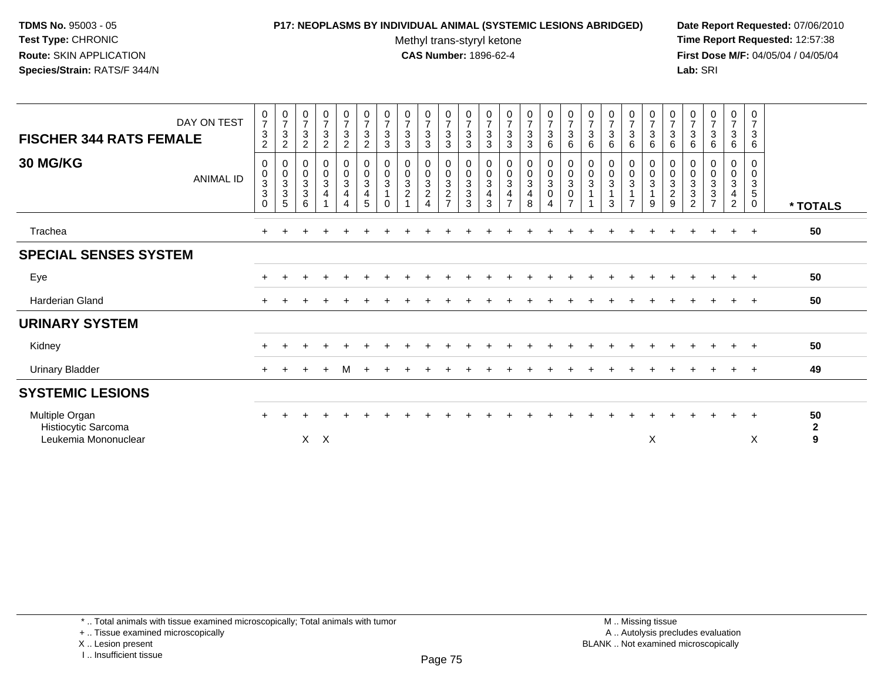## **P17: NEOPLASMS BY INDIVIDUAL ANIMAL (SYSTEMIC LESIONS ABRIDGED) Date Report Requested:** 07/06/2010

Methyl trans-styryl ketone<br>CAS Number: 1896-62-4

 **Time Report Requested:** 12:57:38 **First Dose M/F:** 04/05/04 / 04/05/04<br>Lab: SRI **Lab:** SRI

| DAY ON TEST<br><b>FISCHER 344 RATS FEMALE</b> | $\frac{0}{7}$<br>$\sqrt{3}$<br>$\overline{c}$             | $\frac{0}{7}$<br>$\mathbf{3}$<br>$\overline{2}$                | $\frac{0}{7}$<br>$\mathbf{3}$<br>2                      | $\frac{0}{7}$<br>$\sqrt{3}$<br>$\overline{c}$                      | $\frac{0}{7}$<br>$\sqrt{3}$<br>$\overline{2}$           | $\frac{0}{7}$<br>$\ensuremath{\mathsf{3}}$<br>$\overline{c}$             | $\frac{0}{7}$<br>$\mathbf{3}$<br>3 | $\frac{0}{7}$<br>$\mathbf{3}$<br>3                 | $\frac{0}{7}$<br>$\sqrt{3}$<br>3                          | $\begin{array}{c} 0 \\ 7 \end{array}$<br>$\sqrt{3}$<br>3             | $\frac{0}{7}$<br>$\sqrt{3}$<br>3        | $\frac{0}{7}$<br>$\sqrt{3}$<br>3 | $\frac{0}{7}$<br>$\sqrt{3}$<br>$\mathbf{3}$                     | $\frac{0}{7}$<br>$\sqrt{3}$<br>3                                         | $\begin{array}{c} 0 \\ 7 \end{array}$<br>$\sqrt{3}$<br>6                      | $\frac{0}{7}$<br>$\ensuremath{\mathsf{3}}$<br>6                 | $\frac{0}{7}$<br>$\mathbf{3}$<br>6 | $\frac{0}{7}$<br>$\mathbf{3}$<br>6  | $\frac{0}{7}$<br>$\mathfrak{Z}$<br>6         | $\begin{array}{c} 0 \\ 7 \end{array}$<br>$\sqrt{3}$<br>6 | $\frac{0}{7}$<br>3<br>6                                       | $\frac{0}{7}$<br>3<br>6                     | $\frac{0}{7}$<br>$\mathbf{3}$<br>6                                         | $\frac{0}{7}$<br>$\sqrt{3}$<br>$\,6\,$                 | $\frac{0}{7}$<br>$\mathbf{3}$<br>6                      |                        |
|-----------------------------------------------|-----------------------------------------------------------|----------------------------------------------------------------|---------------------------------------------------------|--------------------------------------------------------------------|---------------------------------------------------------|--------------------------------------------------------------------------|------------------------------------|----------------------------------------------------|-----------------------------------------------------------|----------------------------------------------------------------------|-----------------------------------------|----------------------------------|-----------------------------------------------------------------|--------------------------------------------------------------------------|-------------------------------------------------------------------------------|-----------------------------------------------------------------|------------------------------------|-------------------------------------|----------------------------------------------|----------------------------------------------------------|---------------------------------------------------------------|---------------------------------------------|----------------------------------------------------------------------------|--------------------------------------------------------|---------------------------------------------------------|------------------------|
| <b>30 MG/KG</b><br><b>ANIMAL ID</b>           | 0<br>$\mathbf 0$<br>$\sqrt{3}$<br>$\mathbf 3$<br>$\Omega$ | 0<br>$\pmb{0}$<br>$\sqrt{3}$<br>$\ensuremath{\mathsf{3}}$<br>5 | 0<br>$\pmb{0}$<br>$\overline{3}$<br>$\overline{3}$<br>6 | 0<br>$\pmb{0}$<br>$\mathbf{3}$<br>$\overline{4}$<br>$\overline{ }$ | 0<br>$\mathbf 0$<br>$\mathbf{3}$<br>$\overline{4}$<br>4 | 0<br>$\mathsf{O}\xspace$<br>$\mathbf{3}$<br>$\overline{\mathbf{4}}$<br>5 | 0<br>0<br>3<br>$\Omega$            | 0<br>$\mathbf 0$<br>$\mathbf{3}$<br>$\overline{2}$ | 0<br>$\mathbf 0$<br>3<br>$\overline{c}$<br>$\overline{4}$ | 0<br>$\mathbf 0$<br>$\mathbf{3}$<br>$\overline{2}$<br>$\overline{7}$ | 0<br>$\mathsf{O}\xspace$<br>3<br>3<br>3 | 0<br>0<br>3<br>4<br>3            | 0<br>$\frac{0}{3}$<br>$\overline{\mathbf{4}}$<br>$\overline{z}$ | 0<br>$\mathsf{O}\xspace$<br>$\mathbf{3}$<br>$\overline{\mathbf{4}}$<br>8 | 0<br>$\mathbf 0$<br>$\mathbf{3}$<br>$\overline{0}$<br>$\overline{\mathbf{4}}$ | 0<br>$\pmb{0}$<br>$\mathbf{3}$<br>$\mathbf 0$<br>$\overline{z}$ | 0<br>0<br>3                        | 0<br>$\mathbf 0$<br>$\sqrt{3}$<br>3 | 0<br>$\mathbf 0$<br>3<br>1<br>$\overline{ }$ | 0<br>$\mathbf 0$<br>$\mathbf{3}$<br>$\mathbf{1}$<br>9    | 0<br>$\mathsf{O}\xspace$<br>$\sqrt{3}$<br>$\overline{c}$<br>9 | 0<br>0<br>3<br>$\sqrt{3}$<br>$\overline{2}$ | 0<br>$\pmb{0}$<br>$\mathbf{3}$<br>$\mathbf{3}$<br>$\overline{\phantom{a}}$ | 0<br>$\mathbf 0$<br>3<br>$\overline{4}$<br>$2^{\circ}$ | 0<br>0<br>$\ensuremath{\mathsf{3}}$<br>5<br>$\mathbf 0$ | * TOTALS               |
| Trachea                                       | $\pm$                                                     |                                                                |                                                         |                                                                    |                                                         |                                                                          |                                    |                                                    |                                                           |                                                                      |                                         |                                  |                                                                 |                                                                          |                                                                               |                                                                 |                                    |                                     |                                              |                                                          |                                                               |                                             |                                                                            | $\ddot{}$                                              | $+$                                                     | 50                     |
| <b>SPECIAL SENSES SYSTEM</b>                  |                                                           |                                                                |                                                         |                                                                    |                                                         |                                                                          |                                    |                                                    |                                                           |                                                                      |                                         |                                  |                                                                 |                                                                          |                                                                               |                                                                 |                                    |                                     |                                              |                                                          |                                                               |                                             |                                                                            |                                                        |                                                         |                        |
| Eye                                           |                                                           |                                                                |                                                         |                                                                    |                                                         |                                                                          |                                    |                                                    |                                                           |                                                                      |                                         |                                  |                                                                 |                                                                          |                                                                               |                                                                 |                                    |                                     |                                              |                                                          |                                                               |                                             |                                                                            |                                                        |                                                         | 50                     |
| Harderian Gland                               |                                                           |                                                                |                                                         |                                                                    |                                                         |                                                                          |                                    |                                                    |                                                           |                                                                      |                                         |                                  |                                                                 |                                                                          |                                                                               |                                                                 |                                    |                                     |                                              |                                                          |                                                               |                                             |                                                                            |                                                        |                                                         | 50                     |
| <b>URINARY SYSTEM</b>                         |                                                           |                                                                |                                                         |                                                                    |                                                         |                                                                          |                                    |                                                    |                                                           |                                                                      |                                         |                                  |                                                                 |                                                                          |                                                                               |                                                                 |                                    |                                     |                                              |                                                          |                                                               |                                             |                                                                            |                                                        |                                                         |                        |
| Kidney                                        |                                                           |                                                                |                                                         |                                                                    |                                                         |                                                                          |                                    |                                                    |                                                           |                                                                      |                                         |                                  |                                                                 |                                                                          |                                                                               |                                                                 |                                    |                                     |                                              |                                                          |                                                               |                                             |                                                                            |                                                        |                                                         | 50                     |
| <b>Urinary Bladder</b>                        | $\pm$                                                     |                                                                |                                                         |                                                                    | м                                                       |                                                                          |                                    |                                                    |                                                           |                                                                      |                                         |                                  |                                                                 |                                                                          |                                                                               |                                                                 |                                    |                                     |                                              |                                                          |                                                               |                                             |                                                                            |                                                        |                                                         | 49                     |
| <b>SYSTEMIC LESIONS</b>                       |                                                           |                                                                |                                                         |                                                                    |                                                         |                                                                          |                                    |                                                    |                                                           |                                                                      |                                         |                                  |                                                                 |                                                                          |                                                                               |                                                                 |                                    |                                     |                                              |                                                          |                                                               |                                             |                                                                            |                                                        |                                                         |                        |
| Multiple Organ<br>Histiocytic Sarcoma         | $\ddot{}$                                                 |                                                                |                                                         |                                                                    |                                                         |                                                                          |                                    |                                                    |                                                           |                                                                      |                                         |                                  |                                                                 |                                                                          |                                                                               |                                                                 |                                    |                                     |                                              |                                                          |                                                               |                                             |                                                                            | $\ddot{}$                                              | $\overline{+}$                                          | 50<br>$\boldsymbol{2}$ |
| Leukemia Mononuclear                          |                                                           |                                                                | $\mathsf{X}$                                            | $\times$                                                           |                                                         |                                                                          |                                    |                                                    |                                                           |                                                                      |                                         |                                  |                                                                 |                                                                          |                                                                               |                                                                 |                                    |                                     |                                              | X                                                        |                                                               |                                             |                                                                            |                                                        | X                                                       | $\overline{9}$         |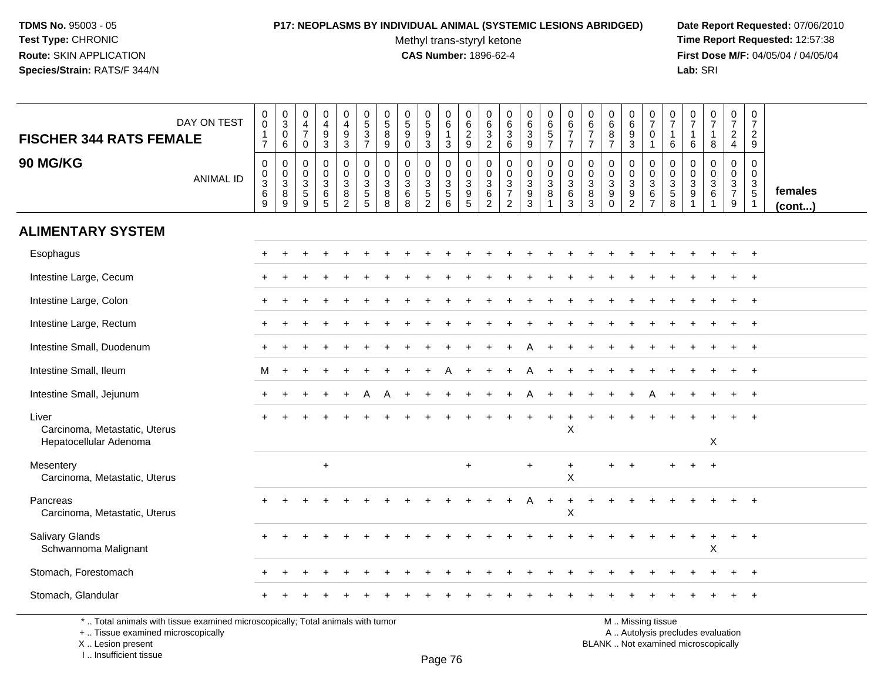#### **P17: NEOPLASMS BY INDIVIDUAL ANIMAL (SYSTEMIC LESIONS ABRIDGED) Date Report Requested:** 07/06/2010

Methyl trans-styryl ketone<br>CAS Number: 1896-62-4

 **Time Report Requested:** 12:57:38 **First Dose M/F:** 04/05/04 / 04/05/04<br>**Lab:** SRI **Lab:** SRI

| DAY ON TEST<br><b>FISCHER 344 RATS FEMALE</b>                    | $\pmb{0}$<br>$\mathbf 0$<br>$\frac{1}{7}$              | $_{3}^{\rm 0}$<br>$\mathbf 0$<br>6                      | $\begin{array}{c} 0 \\ 4 \\ 7 \end{array}$<br>$\mathbf 0$ | $\begin{smallmatrix}0\0\4\end{smallmatrix}$<br>$\frac{9}{3}$ | 0<br>$\frac{4}{9}$                                 | $0$<br>5<br>3<br>7                     | $\begin{array}{c} 0 \\ 5 \end{array}$<br>8<br>9         | $\mathbf 0$<br>$\overline{5}$<br>9<br>$\mathbf 0$       | $\begin{array}{c} 0 \\ 5 \\ 9 \end{array}$<br>$\overline{3}$          | $\begin{array}{c} 0 \\ 6 \end{array}$<br>$\mathbf{1}$<br>3 | $\begin{array}{c} 0 \\ 6 \end{array}$<br>$\frac{2}{9}$ | $\begin{array}{c} 0 \\ 6 \\ 3 \\ 2 \end{array}$     | $\begin{matrix} 0 \\ 6 \\ 3 \end{matrix}$<br>6                       | $\begin{smallmatrix}0\0\0\end{smallmatrix}$<br>$\mathbf{3}$<br>$\overline{9}$ | 0<br>6<br>5<br>7                                                | $\begin{array}{c} 0 \\ 6 \\ 7 \end{array}$<br>$\overline{7}$  | $\pmb{0}$<br>$6\phantom{1}$<br>$\overline{7}$<br>$\overline{7}$ | $\begin{array}{c} 0 \\ 6 \end{array}$<br>8<br>$\overline{7}$   | $\begin{array}{c} 0 \\ 6 \end{array}$<br>9<br>$\mathbf{3}$            | $\frac{0}{7}$<br>$\mathbf 0$<br>$\overline{1}$            | $\frac{0}{7}$<br>$\mathbf{1}$<br>6       | 0<br>$\overline{7}$<br>$\overline{1}$<br>6                           | $\begin{array}{c} 0 \\ 7 \end{array}$<br>8                             | $\begin{smallmatrix} 0\\7 \end{smallmatrix}$<br>$\frac{2}{4}$ | $\frac{0}{7}$<br>$\frac{2}{9}$                              |                         |
|------------------------------------------------------------------|--------------------------------------------------------|---------------------------------------------------------|-----------------------------------------------------------|--------------------------------------------------------------|----------------------------------------------------|----------------------------------------|---------------------------------------------------------|---------------------------------------------------------|-----------------------------------------------------------------------|------------------------------------------------------------|--------------------------------------------------------|-----------------------------------------------------|----------------------------------------------------------------------|-------------------------------------------------------------------------------|-----------------------------------------------------------------|---------------------------------------------------------------|-----------------------------------------------------------------|----------------------------------------------------------------|-----------------------------------------------------------------------|-----------------------------------------------------------|------------------------------------------|----------------------------------------------------------------------|------------------------------------------------------------------------|---------------------------------------------------------------|-------------------------------------------------------------|-------------------------|
| <b>90 MG/KG</b><br><b>ANIMAL ID</b>                              | $\mathbf 0$<br>$\mathbf 0$<br>$\sqrt{3}$<br>$\,6$<br>9 | $\mathbf 0$<br>$\mathbf 0$<br>$\sqrt{3}$<br>$\, 8$<br>9 | 0<br>$\mathbf 0$<br>$\mathbf 3$<br>$\sqrt{5}$<br>9        | 0<br>$\mathsf 0$<br>$\mathbf{3}$<br>$\,6$<br>5               | 0<br>$\mathbf 0$<br>3<br>$\bf 8$<br>$\overline{2}$ | 0<br>$\mathbf 0$<br>$\frac{3}{5}$<br>5 | $\mathbf 0$<br>$\Omega$<br>$\mathbf{3}$<br>$\bf 8$<br>8 | $\mathbf 0$<br>$\Omega$<br>$\mathbf{3}$<br>$\,6\,$<br>8 | $\mathbf{0}$<br>0<br>$\mathbf{3}$<br>$\overline{5}$<br>$\overline{2}$ | 0<br>$\mathbf 0$<br>$\sqrt{3}$<br>$\sqrt{5}$<br>6          | 0<br>$\pmb{0}$<br>$\sqrt{3}$<br>$\boldsymbol{9}$<br>5  | 0<br>$\mathbf 0$<br>$\frac{3}{6}$<br>$\overline{2}$ | $\mathbf 0$<br>0<br>$\sqrt{3}$<br>$\boldsymbol{7}$<br>$\overline{2}$ | 0<br>$\mathbf 0$<br>3<br>$\boldsymbol{9}$<br>3                                | 0<br>$\ddot{\mathbf{0}}$<br>$\mathbf{3}$<br>8<br>$\overline{1}$ | 0<br>$\mathbf 0$<br>$\ensuremath{\mathsf{3}}$<br>$\,6\,$<br>3 | 0<br>$\mathbf 0$<br>$\mathbf{3}$<br>8<br>3                      | 0<br>$\mathbf 0$<br>$\sqrt{3}$<br>$\boldsymbol{9}$<br>$\Omega$ | 0<br>$\mathbf 0$<br>$\mathbf 3$<br>$\boldsymbol{9}$<br>$\overline{2}$ | 0<br>$\mathbf 0$<br>$\sqrt{3}$<br>$\,6$<br>$\overline{7}$ | 0<br>0<br>$\sqrt{3}$<br>$\,$ 5 $\,$<br>8 | $\mathbf 0$<br>0<br>$\mathbf{3}$<br>$\boldsymbol{9}$<br>$\mathbf{1}$ | 0<br>$\pmb{0}$<br>$\ensuremath{\mathsf{3}}$<br>$\,6\,$<br>$\mathbf{1}$ | 0<br>$\mathsf{O}\xspace$<br>$\frac{3}{7}$<br>9                | $\mathbf 0$<br>$\mathbf 0$<br>$\frac{3}{5}$<br>$\mathbf{1}$ | females<br>$($ cont $)$ |
| <b>ALIMENTARY SYSTEM</b>                                         |                                                        |                                                         |                                                           |                                                              |                                                    |                                        |                                                         |                                                         |                                                                       |                                                            |                                                        |                                                     |                                                                      |                                                                               |                                                                 |                                                               |                                                                 |                                                                |                                                                       |                                                           |                                          |                                                                      |                                                                        |                                                               |                                                             |                         |
| Esophagus                                                        |                                                        |                                                         |                                                           |                                                              |                                                    |                                        |                                                         |                                                         |                                                                       |                                                            |                                                        |                                                     |                                                                      |                                                                               |                                                                 |                                                               |                                                                 |                                                                |                                                                       |                                                           |                                          |                                                                      |                                                                        |                                                               |                                                             |                         |
| Intestine Large, Cecum                                           |                                                        |                                                         |                                                           |                                                              |                                                    |                                        |                                                         |                                                         |                                                                       |                                                            |                                                        |                                                     |                                                                      |                                                                               |                                                                 |                                                               |                                                                 |                                                                |                                                                       |                                                           |                                          |                                                                      |                                                                        |                                                               |                                                             |                         |
| Intestine Large, Colon                                           |                                                        |                                                         |                                                           |                                                              |                                                    |                                        |                                                         |                                                         |                                                                       |                                                            |                                                        |                                                     |                                                                      |                                                                               |                                                                 |                                                               |                                                                 |                                                                |                                                                       |                                                           |                                          |                                                                      |                                                                        |                                                               |                                                             |                         |
| Intestine Large, Rectum                                          |                                                        |                                                         |                                                           |                                                              |                                                    |                                        |                                                         |                                                         |                                                                       |                                                            |                                                        |                                                     |                                                                      |                                                                               |                                                                 |                                                               |                                                                 |                                                                |                                                                       |                                                           |                                          |                                                                      |                                                                        |                                                               | $\overline{+}$                                              |                         |
| Intestine Small, Duodenum                                        |                                                        |                                                         |                                                           |                                                              |                                                    |                                        |                                                         |                                                         |                                                                       |                                                            |                                                        |                                                     |                                                                      |                                                                               |                                                                 |                                                               |                                                                 |                                                                |                                                                       |                                                           |                                          |                                                                      |                                                                        |                                                               | $+$                                                         |                         |
| Intestine Small, Ileum                                           | м                                                      | $\ddot{}$                                               |                                                           |                                                              |                                                    |                                        |                                                         |                                                         |                                                                       |                                                            |                                                        |                                                     |                                                                      |                                                                               |                                                                 |                                                               |                                                                 |                                                                |                                                                       |                                                           |                                          |                                                                      |                                                                        |                                                               |                                                             |                         |
| Intestine Small, Jejunum                                         |                                                        |                                                         |                                                           |                                                              | $\ddot{}$                                          | A                                      | A                                                       |                                                         |                                                                       |                                                            |                                                        |                                                     |                                                                      | Α                                                                             |                                                                 |                                                               |                                                                 |                                                                |                                                                       |                                                           |                                          |                                                                      |                                                                        | $+$                                                           | $+$                                                         |                         |
| Liver<br>Carcinoma, Metastatic, Uterus<br>Hepatocellular Adenoma |                                                        |                                                         |                                                           |                                                              |                                                    |                                        |                                                         |                                                         |                                                                       |                                                            |                                                        |                                                     |                                                                      |                                                                               |                                                                 | $\pmb{\times}$                                                |                                                                 |                                                                |                                                                       |                                                           |                                          |                                                                      |                                                                        |                                                               |                                                             |                         |
|                                                                  |                                                        |                                                         |                                                           |                                                              |                                                    |                                        |                                                         |                                                         |                                                                       |                                                            |                                                        |                                                     |                                                                      |                                                                               |                                                                 |                                                               |                                                                 |                                                                |                                                                       |                                                           |                                          |                                                                      | X                                                                      |                                                               |                                                             |                         |
| Mesentery<br>Carcinoma, Metastatic, Uterus                       |                                                        |                                                         |                                                           | $+$                                                          |                                                    |                                        |                                                         |                                                         |                                                                       |                                                            | $+$                                                    |                                                     |                                                                      | $\div$                                                                        |                                                                 | $\ddot{}$<br>$\pmb{\times}$                                   |                                                                 |                                                                | $\ddot{}$                                                             |                                                           |                                          |                                                                      | $\ddot{}$                                                              |                                                               |                                                             |                         |
| Pancreas<br>Carcinoma, Metastatic, Uterus                        |                                                        |                                                         |                                                           |                                                              |                                                    |                                        |                                                         |                                                         |                                                                       |                                                            |                                                        |                                                     |                                                                      |                                                                               |                                                                 | $\pmb{\times}$                                                |                                                                 |                                                                |                                                                       |                                                           |                                          |                                                                      |                                                                        |                                                               |                                                             |                         |
| <b>Salivary Glands</b><br>Schwannoma Malignant                   |                                                        |                                                         |                                                           |                                                              |                                                    |                                        |                                                         |                                                         |                                                                       |                                                            |                                                        |                                                     |                                                                      |                                                                               |                                                                 |                                                               |                                                                 |                                                                |                                                                       |                                                           |                                          |                                                                      | X                                                                      | ÷.                                                            | $\overline{+}$                                              |                         |
| Stomach, Forestomach                                             |                                                        |                                                         |                                                           |                                                              |                                                    |                                        |                                                         |                                                         |                                                                       |                                                            |                                                        |                                                     |                                                                      |                                                                               |                                                                 |                                                               |                                                                 |                                                                |                                                                       |                                                           |                                          |                                                                      |                                                                        |                                                               | $\overline{+}$                                              |                         |
| Stomach, Glandular                                               |                                                        |                                                         |                                                           |                                                              |                                                    |                                        |                                                         |                                                         |                                                                       |                                                            |                                                        |                                                     |                                                                      |                                                                               |                                                                 |                                                               |                                                                 |                                                                |                                                                       |                                                           |                                          |                                                                      |                                                                        |                                                               |                                                             |                         |

\* .. Total animals with tissue examined microscopically; Total animals with tumor

+ .. Tissue examined microscopically

X .. Lesion present

I .. Insufficient tissue

M .. Missing tissue

y the contract of the contract of the contract of the contract of the contract of  $\mathsf A$  . Autolysis precludes evaluation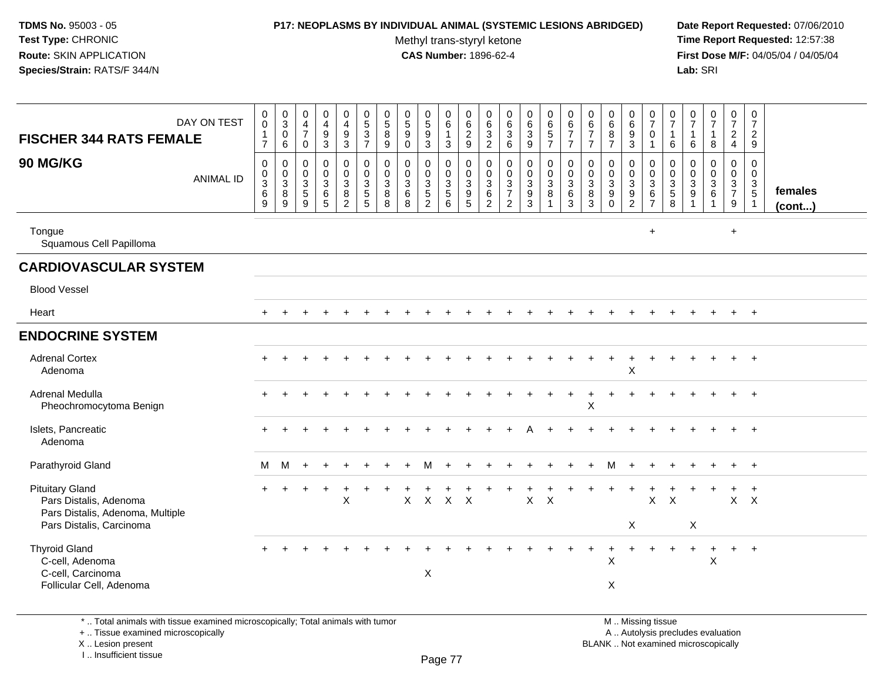#### **P17: NEOPLASMS BY INDIVIDUAL ANIMAL (SYSTEMIC LESIONS ABRIDGED) Date Report Requested:** 07/06/2010

Methyl trans-styryl ketone<br>CAS Number: 1896-62-4

 **Time Report Requested:** 12:57:38 **First Dose M/F:** 04/05/04 / 04/05/04<br>Lab: SRI **Lab:** SRI

| <b>FISCHER 344 RATS FEMALE</b>                                                       | DAY ON TEST      | $\pmb{0}$<br>$\mathsf{O}\xspace$<br>1<br>$\overline{7}$                    | $_{3}^{\rm 0}$<br>0<br>6                    | $\pmb{0}$<br>$\overline{4}$<br>$\overline{7}$<br>$\mathsf 0$ | $\mathbf 0$<br>$\overline{4}$<br>$\overline{9}$<br>$\overline{3}$     | $\pmb{0}$<br>$\overline{4}$<br>$\boldsymbol{9}$<br>$\overline{3}$     | $\pmb{0}$<br>$\frac{5}{3}$<br>$\overline{7}$                  | $\begin{array}{c} 0 \\ 5 \\ 8 \end{array}$<br>$\boldsymbol{9}$ | $\begin{array}{c} 0 \\ 5 \\ 9 \end{array}$<br>$\mathbf 0$ | $\begin{array}{c} 0 \\ 5 \\ 9 \\ 3 \end{array}$      | $\mathsf 0$<br>$\,6\,$<br>$\mathbf{1}$<br>$\sqrt{3}$ | 0<br>$\begin{array}{c} 6 \\ 2 \\ 9 \end{array}$                       | $\,0\,$<br>$6\phantom{1}6$<br>$\overline{3}$<br>$\overline{2}$         | $\pmb{0}$<br>$\,6\,$<br>$\overline{3}$<br>6                          | $_{6}^{\rm 0}$<br>$\sqrt{3}$<br>$\overline{9}$                           | $\pmb{0}$<br>$\frac{6}{5}$<br>$\overline{7}$                      | $\mathbf 0$<br>6<br>$\overline{7}$<br>$\overline{7}$       | $\pmb{0}$<br>6<br>$\overline{7}$<br>$\overline{7}$   | $\begin{array}{c} 0 \\ 6 \\ 8 \end{array}$<br>$\overline{7}$          | $\pmb{0}$<br>$6\phantom{1}$<br>$\boldsymbol{9}$<br>$\overline{3}$                  | 0<br>$\overline{7}$<br>0<br>$\mathbf{1}$                  | 0<br>$\overline{7}$<br>$\mathbf{1}$<br>6 | $\begin{smallmatrix} 0\\7 \end{smallmatrix}$<br>$\mathbf 1$<br>$\,6\,$ | $\frac{0}{7}$<br>$\mathbf{1}$<br>8                                               | $\frac{0}{7}$<br>$\frac{2}{4}$                        | $\pmb{0}$<br>$\overline{7}$<br>$\overline{2}$<br>9 |                   |
|--------------------------------------------------------------------------------------|------------------|----------------------------------------------------------------------------|---------------------------------------------|--------------------------------------------------------------|-----------------------------------------------------------------------|-----------------------------------------------------------------------|---------------------------------------------------------------|----------------------------------------------------------------|-----------------------------------------------------------|------------------------------------------------------|------------------------------------------------------|-----------------------------------------------------------------------|------------------------------------------------------------------------|----------------------------------------------------------------------|--------------------------------------------------------------------------|-------------------------------------------------------------------|------------------------------------------------------------|------------------------------------------------------|-----------------------------------------------------------------------|------------------------------------------------------------------------------------|-----------------------------------------------------------|------------------------------------------|------------------------------------------------------------------------|----------------------------------------------------------------------------------|-------------------------------------------------------|----------------------------------------------------|-------------------|
| <b>90 MG/KG</b>                                                                      | <b>ANIMAL ID</b> | $\mathsf{O}\xspace$<br>$\pmb{0}$<br>$\overline{3}$<br>$\,6\,$<br>9         | $\pmb{0}$<br>$_{3}^{\rm 0}$<br>$\bf 8$<br>9 | $\mathbf 0$<br>0<br>$\sqrt{3}$<br>$\,$ 5 $\,$<br>9           | $\mathbf 0$<br>$\mathbf 0$<br>$\sqrt{3}$<br>$\,6\,$<br>$\overline{5}$ | $\mathbf 0$<br>$\mathbf 0$<br>$\sqrt{3}$<br>$\bf 8$<br>$\overline{2}$ | $\mathbf 0$<br>$\mathbf 0$<br>$\mathbf{3}$<br>$\sqrt{5}$<br>5 | $\mathbf 0$<br>$\mathbf 0$<br>$\overline{3}$<br>$\bf8$<br>8    | $\mathbf 0$<br>$\mathbf 0$<br>3<br>$\,6\,$<br>8           | 0<br>$\begin{array}{c} 0 \\ 3 \\ 5 \\ 2 \end{array}$ | $\mathbf 0$<br>$\mathsf 0$<br>$\frac{3}{5}$          | $\mathbf 0$<br>$\mathbf 0$<br>$\mathbf{3}$<br>$9\,$<br>$\overline{5}$ | $\mathbf 0$<br>$\mathbf 0$<br>$\mathsf 3$<br>$\,6\,$<br>$\overline{2}$ | 0<br>$\mathbf 0$<br>$\mathbf{3}$<br>$\overline{7}$<br>$\overline{2}$ | 0<br>$\mathbf 0$<br>$\overline{3}$<br>$\boldsymbol{9}$<br>$\overline{3}$ | $\mathbf 0$<br>$_{3}^{\rm 0}$<br>$\overline{8}$<br>$\overline{1}$ | $\mathbf 0$<br>$\mathbf 0$<br>$\mathbf{3}$<br>$\,6\,$<br>3 | $\mathbf 0$<br>$\mathbf 0$<br>$\mathbf{3}$<br>8<br>3 | 0<br>$\mathbf 0$<br>$\overline{3}$<br>$\boldsymbol{9}$<br>$\mathbf 0$ | $\mathbf 0$<br>$\mathbf 0$<br>$\overline{3}$<br>$\boldsymbol{9}$<br>$\overline{2}$ | $\mathbf 0$<br>0<br>$\overline{3}$<br>6<br>$\overline{7}$ | 0<br>$\boldsymbol{0}$<br>$\frac{3}{8}$   | $\mathbf 0$<br>$\mathbf 0$<br>$\overline{3}$<br>$\boldsymbol{9}$       | $\mathbf 0$<br>$\mathbf 0$<br>$\overline{3}$<br>$6\phantom{a}$<br>$\overline{1}$ | $\mathbf 0$<br>$\boldsymbol{0}$<br>$\frac{3}{7}$<br>9 | $\mathbf 0$<br>$\mathbf 0$<br>3<br>$\overline{5}$  | females<br>(cont) |
| Tongue<br>Squamous Cell Papilloma                                                    |                  |                                                                            |                                             |                                                              |                                                                       |                                                                       |                                                               |                                                                |                                                           |                                                      |                                                      |                                                                       |                                                                        |                                                                      |                                                                          |                                                                   |                                                            |                                                      |                                                                       |                                                                                    | $\ddot{}$                                                 |                                          |                                                                        |                                                                                  | $\ddot{}$                                             |                                                    |                   |
| <b>CARDIOVASCULAR SYSTEM</b>                                                         |                  |                                                                            |                                             |                                                              |                                                                       |                                                                       |                                                               |                                                                |                                                           |                                                      |                                                      |                                                                       |                                                                        |                                                                      |                                                                          |                                                                   |                                                            |                                                      |                                                                       |                                                                                    |                                                           |                                          |                                                                        |                                                                                  |                                                       |                                                    |                   |
| <b>Blood Vessel</b>                                                                  |                  |                                                                            |                                             |                                                              |                                                                       |                                                                       |                                                               |                                                                |                                                           |                                                      |                                                      |                                                                       |                                                                        |                                                                      |                                                                          |                                                                   |                                                            |                                                      |                                                                       |                                                                                    |                                                           |                                          |                                                                        |                                                                                  |                                                       |                                                    |                   |
| Heart                                                                                |                  |                                                                            |                                             |                                                              |                                                                       |                                                                       |                                                               |                                                                |                                                           |                                                      |                                                      |                                                                       |                                                                        |                                                                      |                                                                          |                                                                   |                                                            |                                                      |                                                                       |                                                                                    |                                                           |                                          |                                                                        |                                                                                  |                                                       | $+$                                                |                   |
| <b>ENDOCRINE SYSTEM</b>                                                              |                  |                                                                            |                                             |                                                              |                                                                       |                                                                       |                                                               |                                                                |                                                           |                                                      |                                                      |                                                                       |                                                                        |                                                                      |                                                                          |                                                                   |                                                            |                                                      |                                                                       |                                                                                    |                                                           |                                          |                                                                        |                                                                                  |                                                       |                                                    |                   |
| <b>Adrenal Cortex</b><br>Adenoma                                                     |                  | +<br>$\boldsymbol{\mathsf{X}}$<br>$\ddot{}$<br>$\ddot{}$<br>$\ddot{}$<br>X |                                             |                                                              |                                                                       |                                                                       |                                                               |                                                                |                                                           |                                                      |                                                      |                                                                       |                                                                        |                                                                      |                                                                          |                                                                   |                                                            | $\ddot{}$                                            |                                                                       |                                                                                    |                                                           |                                          |                                                                        |                                                                                  |                                                       |                                                    |                   |
| Adrenal Medulla<br>Pheochromocytoma Benign                                           |                  |                                                                            |                                             |                                                              |                                                                       |                                                                       |                                                               |                                                                |                                                           |                                                      |                                                      |                                                                       |                                                                        |                                                                      |                                                                          |                                                                   |                                                            |                                                      |                                                                       |                                                                                    |                                                           |                                          |                                                                        |                                                                                  |                                                       | $^{+}$                                             |                   |
| Islets, Pancreatic<br>Adenoma                                                        |                  | $+$                                                                        | $\ddot{}$                                   | $\overline{ }$                                               | $\ddot{}$                                                             |                                                                       |                                                               |                                                                |                                                           |                                                      |                                                      |                                                                       |                                                                        |                                                                      |                                                                          |                                                                   |                                                            |                                                      |                                                                       |                                                                                    |                                                           |                                          |                                                                        |                                                                                  | $\ddot{}$                                             | $+$                                                |                   |
| Parathyroid Gland                                                                    |                  | M                                                                          | M                                           | $\overline{ }$                                               |                                                                       |                                                                       |                                                               |                                                                |                                                           | м                                                    | $\ddot{}$                                            |                                                                       |                                                                        |                                                                      |                                                                          |                                                                   |                                                            |                                                      | M                                                                     | $\ddot{}$                                                                          |                                                           |                                          |                                                                        |                                                                                  | $\ddot{}$                                             | $+$                                                |                   |
| <b>Pituitary Gland</b><br>Pars Distalis, Adenoma<br>Pars Distalis, Adenoma, Multiple |                  | $\ddot{}$                                                                  | $\div$                                      | $\cdot$                                                      | $\ddot{}$                                                             | $\ddot{}$<br>$\times$                                                 |                                                               |                                                                | $\sf X$                                                   | $\mathsf X$                                          | $\mathsf{X}$                                         | $\mathsf{X}$                                                          |                                                                        | $\ddot{}$                                                            | $\mathsf X$                                                              | $\boldsymbol{\mathsf{X}}$                                         |                                                            |                                                      | $\ddot{}$                                                             | $\ddot{}$                                                                          | X                                                         | $\boldsymbol{\mathsf{X}}$                |                                                                        | +                                                                                | $\ddot{}$<br>$\mathsf X$                              | $+$<br>$\mathsf{X}$                                |                   |
| Pars Distalis, Carcinoma                                                             |                  |                                                                            |                                             |                                                              |                                                                       |                                                                       |                                                               |                                                                |                                                           |                                                      |                                                      |                                                                       |                                                                        |                                                                      |                                                                          |                                                                   |                                                            |                                                      |                                                                       | X                                                                                  |                                                           |                                          | X                                                                      |                                                                                  |                                                       |                                                    |                   |
| <b>Thyroid Gland</b><br>C-cell, Adenoma<br>C-cell, Carcinoma                         |                  |                                                                            |                                             |                                                              |                                                                       |                                                                       |                                                               |                                                                |                                                           | X                                                    |                                                      |                                                                       |                                                                        |                                                                      |                                                                          |                                                                   |                                                            |                                                      | $\ddot{}$<br>Χ                                                        |                                                                                    |                                                           |                                          | $\ddot{}$                                                              | $\ddot{}$<br>$\boldsymbol{\mathsf{X}}$                                           | $+$                                                   | $+$                                                |                   |
| Follicular Cell, Adenoma                                                             |                  |                                                                            |                                             |                                                              |                                                                       |                                                                       |                                                               |                                                                |                                                           |                                                      |                                                      |                                                                       |                                                                        |                                                                      |                                                                          |                                                                   |                                                            |                                                      | X                                                                     |                                                                                    |                                                           |                                          |                                                                        |                                                                                  |                                                       |                                                    |                   |
| *  Total animals with tissue examined microscopically; Total animals with tumor      |                  |                                                                            |                                             |                                                              |                                                                       |                                                                       |                                                               |                                                                |                                                           |                                                      |                                                      |                                                                       |                                                                        |                                                                      |                                                                          |                                                                   |                                                            |                                                      |                                                                       |                                                                                    | M  Missing tissue                                         |                                          |                                                                        |                                                                                  |                                                       |                                                    |                   |

+ .. Tissue examined microscopically

 Lesion present BLANK .. Not examined microscopicallyX .. Lesion present

I .. Insufficient tissue

Page 77

M .. Missing tissue

y the contract of the contract of the contract of the contract of the contract of  $\mathsf A$  . Autolysis precludes evaluation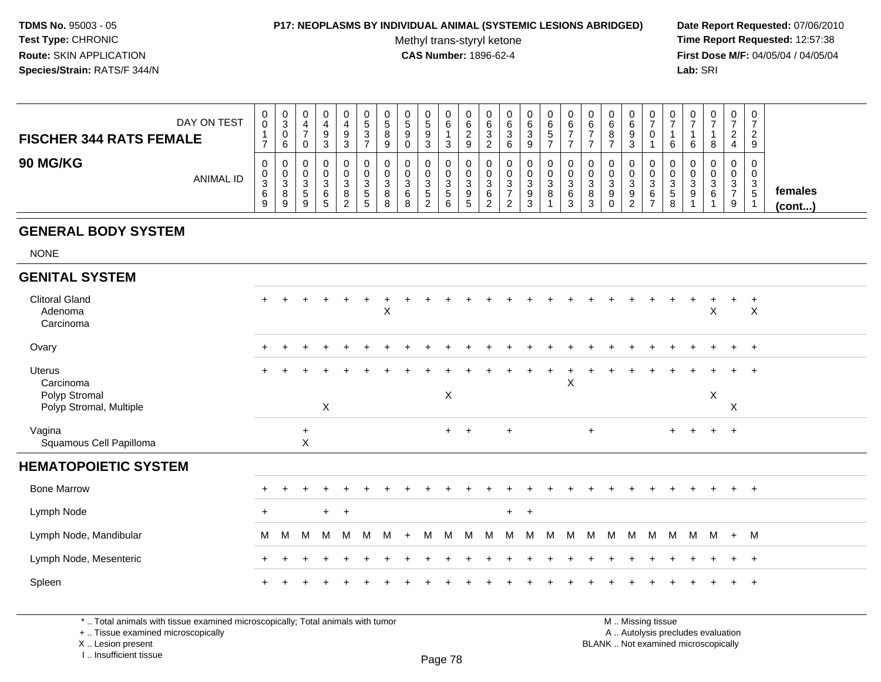#### **P17: NEOPLASMS BY INDIVIDUAL ANIMAL (SYSTEMIC LESIONS ABRIDGED) Date Report Requested:** 07/06/2010

Methyl trans-styryl ketone<br>CAS Number: 1896-62-4

 **Time Report Requested:** 12:57:38 **First Dose M/F:** 04/05/04 / 04/05/04<br>**Lab:** SRI **Lab:** SRI

| DAY ON TEST<br><b>FISCHER 344 RATS FEMALE</b> | 0<br>0                                          | 0<br>3<br>0<br>6      |             | 3   | 0<br>9<br>3                | U<br>٠b<br>ັບ           | U<br>৾৾<br>8<br>9          | 0<br>∽<br>◡<br>9<br>0                 | .5<br>3 | υ<br>6<br>د                | U<br>6<br><u>_</u><br>9 | ◡<br>6<br>3  | 0<br>$\sim$<br>6<br>ົ<br>ັ<br>6  | 0<br>6<br>ు        | 0<br>6<br>∽<br>ັ | U<br>6                | U<br>-6<br>-           | 0<br>6<br>8                | 6<br>9<br>ັ | v      | υ<br>6                                      | -6        | U<br>8                 | $\Omega$<br>ົ<br>ᅭ | v<br><u>_</u><br>9 |                         |
|-----------------------------------------------|-------------------------------------------------|-----------------------|-------------|-----|----------------------------|-------------------------|----------------------------|---------------------------------------|---------|----------------------------|-------------------------|--------------|----------------------------------|--------------------|------------------|-----------------------|------------------------|----------------------------|-------------|--------|---------------------------------------------|-----------|------------------------|--------------------|--------------------|-------------------------|
| <b>90 MG/KG</b><br><b>ANIMAL ID</b>           | $\mathbf 0$<br>$\mathbf{0}$<br>ົ<br>ు<br>6<br>9 | 0<br>0<br>3<br>8<br>9 | ັ<br>ັ<br>9 | - 3 | 0<br>0<br>3<br>8<br>◠<br>▃ | -c<br><sub>5</sub><br>5 | U<br>◡<br>3<br>8<br>я<br>U | 0<br>υ<br><sup>o</sup><br>ٮ<br>6<br>8 | .5<br>▃ | υ<br>ν<br>◠<br>د<br>5<br>6 | ົ<br>J<br>9<br>h        | ັບ<br>ა<br>6 | 0<br>0<br><sup>o</sup><br>ັ<br>n | 0<br>0<br>- 0<br>9 | 0<br>0<br>3<br>8 | U<br>◠<br>6<br>ົ<br>J | 0<br>0<br>-3<br>8<br>3 | 0<br>0<br>ົ<br>◡<br>9<br>0 | 3<br>9      | 6<br>- | U<br>U<br>ົ<br><sub>5</sub><br>$\circ$<br>◡ | - 0<br>-9 | ν<br>◡<br>ົ<br>ັບ<br>6 | 3<br>9             | J                  | females<br>$($ cont $)$ |

# **GENERAL BODY SYSTEM**

NONE

| <b>GENITAL SYSTEM</b>                                           |           |   |                |       |     |   |   |     |   |     |     |   |           |           |     |                                        |       |        |       |                         |     |             |             |                     |  |
|-----------------------------------------------------------------|-----------|---|----------------|-------|-----|---|---|-----|---|-----|-----|---|-----------|-----------|-----|----------------------------------------|-------|--------|-------|-------------------------|-----|-------------|-------------|---------------------|--|
| <b>Clitoral Gland</b><br>Adenoma<br>Carcinoma                   | $+$       |   |                |       |     |   | X |     |   |     |     |   |           |           |     |                                        |       |        |       |                         |     | X           | $\ddot{}$   | $+$<br>$\mathsf{X}$ |  |
| Ovary                                                           | $\ddot{}$ |   | $\ddot{}$      | $\pm$ |     |   |   |     |   |     |     |   |           |           |     |                                        |       |        |       |                         |     | $\div$      |             | $+$ $+$             |  |
| Uterus<br>Carcinoma<br>Polyp Stromal<br>Polyp Stromal, Multiple | $+$       |   |                | X     |     |   |   |     | ÷ | X   |     |   | $\ddot{}$ | $\ddot{}$ | $+$ | $\ddot{}$<br>$\boldsymbol{\mathsf{X}}$ | $\pm$ | $\div$ | $\pm$ |                         |     | $\div$<br>X | $\mathsf X$ | $+$ $+$             |  |
| Vagina<br>Squamous Cell Papilloma                               |           |   | $\ddot{}$<br>X |       |     |   |   |     |   | $+$ | $+$ |   | $+$       |           |     |                                        | $+$   |        |       | $+$                     | $+$ | $+$ $+$     |             |                     |  |
| <b>HEMATOPOIETIC SYSTEM</b>                                     |           |   |                |       |     |   |   |     |   |     |     |   |           |           |     |                                        |       |        |       |                         |     |             |             |                     |  |
| <b>Bone Marrow</b>                                              | $\ddot{}$ |   |                |       |     |   |   |     |   |     |     |   |           |           |     |                                        |       |        |       |                         |     |             |             | $+$                 |  |
| Lymph Node                                                      | $+$       |   |                | $+$   | $+$ |   |   |     |   |     |     |   | $+$       | $+$       |     |                                        |       |        |       |                         |     |             |             |                     |  |
| Lymph Node, Mandibular                                          | M         | M | M              | M     | M   | M | M | $+$ | M | M   | M   | M | M         | M         | M   | M                                      | M     | M M    |       | $M$ $M$ $M$ $M$ $+$ $M$ |     |             |             |                     |  |
| Lymph Node, Mesenteric                                          | $\ddot{}$ |   |                |       |     |   |   |     |   |     |     |   |           |           |     |                                        |       |        |       |                         |     |             | $+$         | $+$                 |  |
| Spleen                                                          | $+$       |   |                |       |     |   |   |     |   |     |     |   |           |           |     |                                        |       |        |       |                         |     |             |             | $+$ $+$             |  |

\* .. Total animals with tissue examined microscopically; Total animals with tumor

+ .. Tissue examined microscopically

X .. Lesion present

I .. Insufficient tissue

 M .. Missing tissuey the contract of the contract of the contract of the contract of the contract of  $\mathsf A$  . Autolysis precludes evaluation Lesion present BLANK .. Not examined microscopically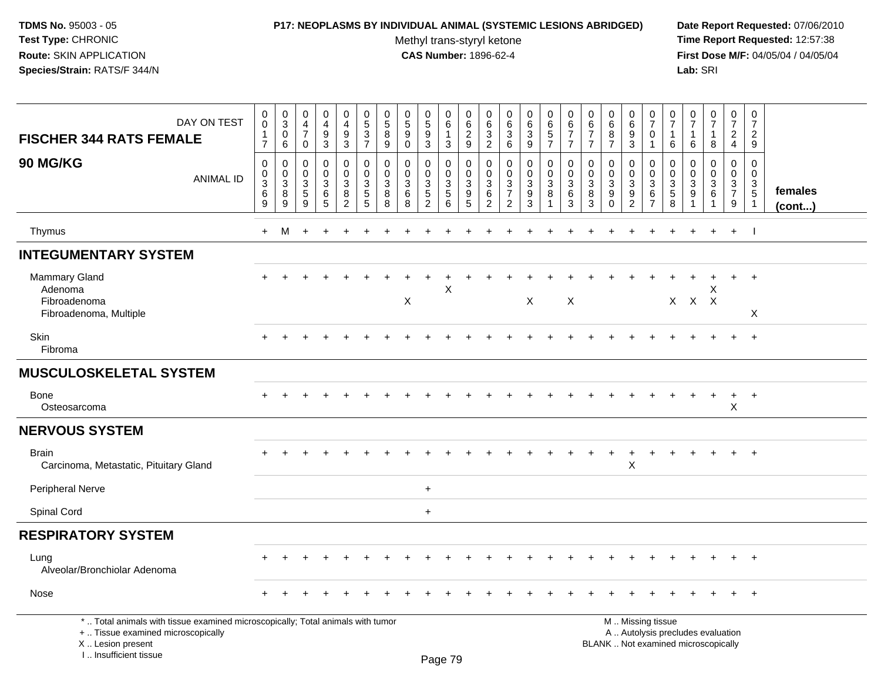#### **P17: NEOPLASMS BY INDIVIDUAL ANIMAL (SYSTEMIC LESIONS ABRIDGED) Date Report Requested:** 07/06/2010

Methyl trans-styryl ketone<br>CAS Number: 1896-62-4

 **Time Report Requested:** 12:57:38 **First Dose M/F:** 04/05/04 / 04/05/04<br>Lab: SRI **Lab:** SRI

| DAY ON TEST<br><b>FISCHER 344 RATS FEMALE</b>                                                                                                                       | 0<br>0<br>$\frac{1}{7}$                   | $_{3}^{\rm 0}$<br>$\pmb{0}$<br>$6\phantom{1}$                            | 0<br>$\overline{4}$<br>$\overline{7}$<br>$\mathbf 0$        | $\boldsymbol{0}$<br>$\overline{4}$<br>$9\,$<br>$\overline{3}$ | 0<br>$\overline{4}$<br>$\boldsymbol{9}$<br>$\mathsf 3$            | 0<br>$\sqrt{5}$<br>$\frac{3}{7}$                              | $\frac{0}{5}$<br>8<br>$\boldsymbol{9}$ | 0<br>$\sqrt{5}$<br>$9\,$<br>$\mathbf 0$ | $\begin{smallmatrix}0\0\5\end{smallmatrix}$<br>$\boldsymbol{9}$<br>$\overline{3}$ | 0<br>$\,6\,$<br>$\overline{1}$<br>$\mathbf{3}$                       | 0<br>$\,6\,$<br>$\frac{2}{9}$                                                     | 0<br>6<br>$\sqrt{3}$<br>$\sqrt{2}$                         | 0<br>$\,6\,$<br>$\sqrt{3}$<br>$\,6\,$                                        | 0<br>$\,6$<br>$\mathbf{3}$<br>$\boldsymbol{9}$        | 0<br>$\,6\,$<br>$\frac{5}{7}$                | 0<br>$\frac{6}{7}$<br>$\overline{7}$                                         | 0<br>$\,6\,$<br>$\overline{7}$<br>$\overline{7}$ | $\boldsymbol{0}$<br>$\,6\,$<br>$\bf 8$<br>$\overline{7}$       | 0<br>$\,6\,$<br>$\boldsymbol{9}$<br>$\mathbf{3}$                         | 0<br>$\overline{7}$<br>$\mathbf 0$<br>$\mathbf{1}$                            | 0<br>$\overline{7}$<br>1<br>6   | $\frac{0}{7}$<br>$\mathbf{1}$<br>6                              | 0<br>$\overline{7}$<br>$\mathbf{1}$<br>8                                 | 0<br>$\overline{7}$<br>$\frac{2}{4}$                   | 0<br>$\overline{7}$<br>$\overline{c}$<br>9                  |                         |
|---------------------------------------------------------------------------------------------------------------------------------------------------------------------|-------------------------------------------|--------------------------------------------------------------------------|-------------------------------------------------------------|---------------------------------------------------------------|-------------------------------------------------------------------|---------------------------------------------------------------|----------------------------------------|-----------------------------------------|-----------------------------------------------------------------------------------|----------------------------------------------------------------------|-----------------------------------------------------------------------------------|------------------------------------------------------------|------------------------------------------------------------------------------|-------------------------------------------------------|----------------------------------------------|------------------------------------------------------------------------------|--------------------------------------------------|----------------------------------------------------------------|--------------------------------------------------------------------------|-------------------------------------------------------------------------------|---------------------------------|-----------------------------------------------------------------|--------------------------------------------------------------------------|--------------------------------------------------------|-------------------------------------------------------------|-------------------------|
| 90 MG/KG<br><b>ANIMAL ID</b>                                                                                                                                        | $\mathbf 0$<br>0<br>$\mathbf 3$<br>6<br>9 | $\pmb{0}$<br>$\boldsymbol{0}$<br>$\overline{3}$<br>8<br>$\boldsymbol{9}$ | $\mathbf 0$<br>$\mathbf 0$<br>$\sqrt{3}$<br>$\sqrt{5}$<br>9 | $\mathbf 0$<br>$\mathbf 0$<br>3<br>$\,6$<br>$\sqrt{5}$        | $\mathbf 0$<br>$\mathbf 0$<br>$\mathbf{3}$<br>8<br>$\overline{2}$ | $\mathbf 0$<br>$\mathbf 0$<br>$\mathbf{3}$<br>5<br>$\sqrt{5}$ | $\pmb{0}$<br>0<br>3<br>8<br>8          | $\Omega$<br>$\mathbf 0$<br>3<br>6<br>8  | $\mathbf 0$<br>0<br>$\sqrt{3}$<br>$\mathbf 5$<br>$\overline{2}$                   | $\mathbf 0$<br>$\mathsf{O}$<br>$\mathbf{3}$<br>$\sqrt{5}$<br>$\,6\,$ | $\mathbf 0$<br>$\mathbf 0$<br>$\sqrt{3}$<br>$\begin{array}{c} 9 \\ 5 \end{array}$ | $\mathbf 0$<br>$\mathbf 0$<br>3<br>$\,6$<br>$\overline{2}$ | $\mathbf 0$<br>$\mathbf 0$<br>$\sqrt{3}$<br>$\overline{7}$<br>$\overline{2}$ | 0<br>$\mathbf 0$<br>$\mathbf{3}$<br>9<br>$\mathbf{3}$ | 0<br>$\mathbf 0$<br>$\mathfrak{Z}$<br>8<br>1 | $\pmb{0}$<br>$\pmb{0}$<br>$\ensuremath{\mathsf{3}}$<br>$\,6$<br>$\mathbf{3}$ | $\mathbf 0$<br>0<br>3<br>8<br>$\mathbf{3}$       | $\mathbf 0$<br>$\mathbf 0$<br>$\mathbf{3}$<br>9<br>$\mathbf 0$ | 0<br>$\mathbf 0$<br>$\ensuremath{\mathsf{3}}$<br>$9\,$<br>$\overline{2}$ | $\mathbf 0$<br>$\mathbf 0$<br>$\sqrt{3}$<br>$6\phantom{1}6$<br>$\overline{7}$ | 0<br>$\mathbf 0$<br>3<br>5<br>8 | $\mathbf 0$<br>$\mathbf 0$<br>$\sqrt{3}$<br>9<br>$\overline{1}$ | $\mathbf 0$<br>$\mathbf 0$<br>$\mathbf{3}$<br>6<br>$\mathbf 1$           | $\mathbf 0$<br>$\mathbf 0$<br>3<br>$\overline{7}$<br>9 | $\mathbf 0$<br>$\mathbf 0$<br>$\frac{3}{5}$<br>$\mathbf{1}$ | females<br>$($ cont $)$ |
| Thymus                                                                                                                                                              | $+$                                       | M                                                                        | $\ddot{}$                                                   |                                                               |                                                                   |                                                               |                                        |                                         |                                                                                   |                                                                      |                                                                                   |                                                            |                                                                              |                                                       |                                              |                                                                              |                                                  |                                                                |                                                                          |                                                                               |                                 |                                                                 | $\ddot{}$                                                                | $+$                                                    | $\mathbf{I}$                                                |                         |
| <b>INTEGUMENTARY SYSTEM</b>                                                                                                                                         |                                           |                                                                          |                                                             |                                                               |                                                                   |                                                               |                                        |                                         |                                                                                   |                                                                      |                                                                                   |                                                            |                                                                              |                                                       |                                              |                                                                              |                                                  |                                                                |                                                                          |                                                                               |                                 |                                                                 |                                                                          |                                                        |                                                             |                         |
| Mammary Gland<br>Adenoma<br>Fibroadenoma<br>Fibroadenoma, Multiple                                                                                                  |                                           |                                                                          |                                                             |                                                               |                                                                   |                                                               |                                        | X                                       |                                                                                   | X                                                                    |                                                                                   |                                                            |                                                                              | $\times$                                              |                                              | $\boldsymbol{X}$                                                             |                                                  |                                                                |                                                                          |                                                                               |                                 |                                                                 | Х<br>$X$ $X$ $X$                                                         | $+$                                                    | $+$<br>X                                                    |                         |
| Skin<br>Fibroma                                                                                                                                                     |                                           |                                                                          |                                                             |                                                               |                                                                   |                                                               |                                        |                                         |                                                                                   |                                                                      |                                                                                   |                                                            |                                                                              |                                                       |                                              |                                                                              |                                                  |                                                                |                                                                          |                                                                               |                                 |                                                                 |                                                                          |                                                        | $+$                                                         |                         |
| <b>MUSCULOSKELETAL SYSTEM</b>                                                                                                                                       |                                           |                                                                          |                                                             |                                                               |                                                                   |                                                               |                                        |                                         |                                                                                   |                                                                      |                                                                                   |                                                            |                                                                              |                                                       |                                              |                                                                              |                                                  |                                                                |                                                                          |                                                                               |                                 |                                                                 |                                                                          |                                                        |                                                             |                         |
| Bone<br>Osteosarcoma                                                                                                                                                |                                           |                                                                          |                                                             |                                                               |                                                                   |                                                               |                                        |                                         |                                                                                   |                                                                      |                                                                                   |                                                            |                                                                              |                                                       |                                              |                                                                              |                                                  |                                                                |                                                                          |                                                                               |                                 |                                                                 | $\ddot{}$                                                                | $\ddot{}$<br>X                                         | $+$                                                         |                         |
| <b>NERVOUS SYSTEM</b>                                                                                                                                               |                                           |                                                                          |                                                             |                                                               |                                                                   |                                                               |                                        |                                         |                                                                                   |                                                                      |                                                                                   |                                                            |                                                                              |                                                       |                                              |                                                                              |                                                  |                                                                |                                                                          |                                                                               |                                 |                                                                 |                                                                          |                                                        |                                                             |                         |
| Brain<br>Carcinoma, Metastatic, Pituitary Gland                                                                                                                     |                                           |                                                                          |                                                             |                                                               |                                                                   |                                                               |                                        |                                         |                                                                                   |                                                                      |                                                                                   |                                                            |                                                                              |                                                       |                                              |                                                                              |                                                  |                                                                | $\ddot{}$<br>X                                                           |                                                                               |                                 |                                                                 |                                                                          |                                                        | $+$                                                         |                         |
| Peripheral Nerve                                                                                                                                                    |                                           |                                                                          |                                                             |                                                               |                                                                   |                                                               |                                        |                                         | $\ddot{}$                                                                         |                                                                      |                                                                                   |                                                            |                                                                              |                                                       |                                              |                                                                              |                                                  |                                                                |                                                                          |                                                                               |                                 |                                                                 |                                                                          |                                                        |                                                             |                         |
| Spinal Cord                                                                                                                                                         |                                           |                                                                          |                                                             |                                                               |                                                                   |                                                               |                                        |                                         | $+$                                                                               |                                                                      |                                                                                   |                                                            |                                                                              |                                                       |                                              |                                                                              |                                                  |                                                                |                                                                          |                                                                               |                                 |                                                                 |                                                                          |                                                        |                                                             |                         |
| <b>RESPIRATORY SYSTEM</b>                                                                                                                                           |                                           |                                                                          |                                                             |                                                               |                                                                   |                                                               |                                        |                                         |                                                                                   |                                                                      |                                                                                   |                                                            |                                                                              |                                                       |                                              |                                                                              |                                                  |                                                                |                                                                          |                                                                               |                                 |                                                                 |                                                                          |                                                        |                                                             |                         |
| Lung<br>Alveolar/Bronchiolar Adenoma                                                                                                                                |                                           |                                                                          |                                                             |                                                               |                                                                   |                                                               |                                        |                                         |                                                                                   |                                                                      |                                                                                   |                                                            |                                                                              |                                                       |                                              |                                                                              |                                                  |                                                                |                                                                          |                                                                               |                                 |                                                                 |                                                                          |                                                        |                                                             |                         |
| Nose                                                                                                                                                                |                                           |                                                                          |                                                             |                                                               |                                                                   |                                                               |                                        |                                         |                                                                                   |                                                                      |                                                                                   |                                                            |                                                                              |                                                       |                                              |                                                                              |                                                  |                                                                |                                                                          |                                                                               |                                 |                                                                 |                                                                          |                                                        |                                                             |                         |
| *  Total animals with tissue examined microscopically; Total animals with tumor<br>+  Tissue examined microscopically<br>X  Lesion present<br>I Insufficient tissue |                                           |                                                                          |                                                             |                                                               |                                                                   |                                                               |                                        |                                         |                                                                                   | <b>Dogo</b> 70                                                       |                                                                                   |                                                            |                                                                              |                                                       |                                              |                                                                              |                                                  |                                                                |                                                                          | M  Missing tissue                                                             |                                 |                                                                 | A  Autolysis precludes evaluation<br>BLANK  Not examined microscopically |                                                        |                                                             |                         |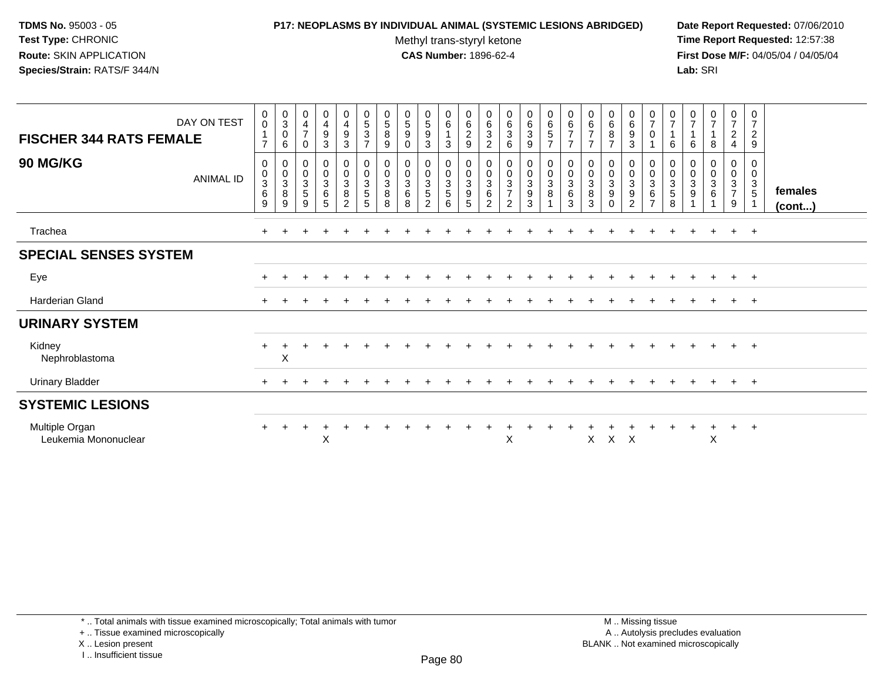#### **P17: NEOPLASMS BY INDIVIDUAL ANIMAL (SYSTEMIC LESIONS ABRIDGED) Date Report Requested:** 07/06/2010

Methyl trans-styryl ketone<br>CAS Number: 1896-62-4

 **Time Report Requested:** 12:57:38 **First Dose M/F:** 04/05/04 / 04/05/04<br>Lab: SRI **Lab:** SRI

| <b>FISCHER 344 RATS FEMALE</b>         | DAY ON TEST      | $_{\rm 0}^{\rm 0}$<br>$\overline{1}$<br>$\overline{ }$      | $\begin{smallmatrix}0\\3\\0\end{smallmatrix}$<br>6                           | 0<br>$\overline{\mathbf{4}}$<br>$\overline{7}$<br>0 | $\begin{smallmatrix}0\0\4\end{smallmatrix}$<br>$\boldsymbol{9}$<br>$\mathbf{3}$ | 0<br>$\frac{4}{9}$<br>3                      | $\mathbf 0$<br>$\frac{5}{3}$<br>$\overline{7}$                                    | $\begin{array}{c} 0 \\ 5 \\ 8 \end{array}$<br>$\boldsymbol{9}$ | 0<br>$\sqrt{5}$<br>$\boldsymbol{9}$<br>$\pmb{0}$ | $\begin{array}{c} 0 \\ 5 \\ 9 \end{array}$<br>3                             | $\begin{matrix} 0 \\ 6 \\ 1 \end{matrix}$<br>3      | $\begin{matrix} 0 \\ 6 \\ 2 \end{matrix}$<br>$\boldsymbol{9}$ | $\mathbf 0$<br>$\frac{6}{3}$<br>$\overline{c}$                               | 0<br>$\frac{6}{3}$<br>6                               | 0<br>$\frac{6}{3}$<br>9                             | 0657                                      | $\begin{array}{c} 0 \\ 6 \\ 7 \end{array}$<br>$\overline{7}$               | $\begin{array}{c} 0 \\ 6 \\ 7 \end{array}$<br>$\overline{7}$             | $\begin{matrix} 0 \\ 6 \\ 8 \end{matrix}$<br>$\overline{7}$                   | $\mathbf 0$<br>$6\phantom{a}$<br>9<br>3                              | $\begin{array}{c} 0 \\ 7 \\ 0 \end{array}$                       | $\frac{0}{7}$<br>$\mathbf{1}$<br>6                                 | 0<br>$\overline{7}$<br>6 | $\frac{0}{7}$<br>1<br>8                                    | $\mathbf 0$<br>$\overline{7}$<br>$\overline{c}$<br>4 | 0<br>$\overline{7}$<br>$\boldsymbol{2}$<br>$9\,$ |                         |
|----------------------------------------|------------------|-------------------------------------------------------------|------------------------------------------------------------------------------|-----------------------------------------------------|---------------------------------------------------------------------------------|----------------------------------------------|-----------------------------------------------------------------------------------|----------------------------------------------------------------|--------------------------------------------------|-----------------------------------------------------------------------------|-----------------------------------------------------|---------------------------------------------------------------|------------------------------------------------------------------------------|-------------------------------------------------------|-----------------------------------------------------|-------------------------------------------|----------------------------------------------------------------------------|--------------------------------------------------------------------------|-------------------------------------------------------------------------------|----------------------------------------------------------------------|------------------------------------------------------------------|--------------------------------------------------------------------|--------------------------|------------------------------------------------------------|------------------------------------------------------|--------------------------------------------------|-------------------------|
| <b>90 MG/KG</b>                        | <b>ANIMAL ID</b> | 0<br>$\pmb{0}$<br>$\mathbf{3}$<br>$\,6$<br>$\boldsymbol{9}$ | $\begin{smallmatrix}0\\0\\3\end{smallmatrix}$<br>$\bf 8$<br>$\boldsymbol{9}$ | 0<br>$\pmb{0}$<br>$\sqrt{3}$<br>5<br>9              | $\begin{smallmatrix}0\\0\\3\end{smallmatrix}$<br>$\,6\,$<br>$\sqrt{5}$          | $_0^0$<br>$\mathbf 3$<br>8<br>$\overline{2}$ | $\begin{smallmatrix}0\\0\end{smallmatrix}$<br>$\ensuremath{\mathsf{3}}$<br>5<br>5 | $_{\rm 0}^{\rm 0}$<br>$\mathfrak{Z}$<br>8<br>8                 | $_{\rm 0}^{\rm 0}$<br>$\sqrt{3}$<br>6<br>8       | 0<br>$\pmb{0}$<br>$\ensuremath{\mathsf{3}}$<br>$\sqrt{5}$<br>$\overline{2}$ | $\boldsymbol{0}$<br>$\pmb{0}$<br>$\frac{3}{5}$<br>6 | 0<br>$\frac{0}{3}$<br>$\boldsymbol{9}$<br>5                   | $\begin{smallmatrix} 0\\0 \end{smallmatrix}$<br>$\mathbf{3}$<br>$\,6\,$<br>2 | $_{\rm 0}^{\rm 0}$<br>$\frac{3}{7}$<br>$\overline{2}$ | $\begin{matrix} 0 \\ 0 \\ 3 \end{matrix}$<br>9<br>3 | $_{\rm 0}^{\rm 0}$<br>$\overline{3}$<br>8 | $\begin{smallmatrix} 0\\0\\3 \end{smallmatrix}$<br>$\,6\,$<br>$\mathbf{3}$ | $\begin{smallmatrix}0\\0\\3\end{smallmatrix}$<br>$\bf 8$<br>$\mathbf{3}$ | $\begin{smallmatrix}0\\0\\3\end{smallmatrix}$<br>$\boldsymbol{9}$<br>$\Omega$ | 0<br>$\pmb{0}$<br>$\mathbf{3}$<br>$\boldsymbol{9}$<br>$\overline{2}$ | $\begin{matrix} 0 \\ 0 \\ 3 \\ 6 \end{matrix}$<br>$\overline{7}$ | $_{\rm 0}^{\rm 0}$<br>$\ensuremath{\mathsf{3}}$<br>$\sqrt{5}$<br>8 | 0<br>0<br>3<br>9         | $\begin{smallmatrix} 0\\0\\3 \end{smallmatrix}$<br>$\,6\,$ | 0<br>$\pmb{0}$<br>$\frac{3}{7}$<br>9                 | 0<br>$\mathsf{O}\xspace$<br>$\mathbf{3}$<br>5    | females<br>$($ cont $)$ |
| Trachea                                |                  |                                                             |                                                                              |                                                     |                                                                                 |                                              |                                                                                   |                                                                |                                                  |                                                                             |                                                     |                                                               |                                                                              |                                                       |                                                     |                                           |                                                                            |                                                                          |                                                                               |                                                                      |                                                                  |                                                                    |                          |                                                            | $\ddot{}$                                            | $+$                                              |                         |
| <b>SPECIAL SENSES SYSTEM</b>           |                  |                                                             |                                                                              |                                                     |                                                                                 |                                              |                                                                                   |                                                                |                                                  |                                                                             |                                                     |                                                               |                                                                              |                                                       |                                                     |                                           |                                                                            |                                                                          |                                                                               |                                                                      |                                                                  |                                                                    |                          |                                                            |                                                      |                                                  |                         |
| Eye                                    |                  |                                                             |                                                                              |                                                     |                                                                                 |                                              |                                                                                   |                                                                |                                                  |                                                                             |                                                     |                                                               |                                                                              |                                                       |                                                     |                                           |                                                                            |                                                                          |                                                                               |                                                                      |                                                                  |                                                                    |                          |                                                            | $+$                                                  | $+$                                              |                         |
| Harderian Gland                        |                  |                                                             |                                                                              |                                                     |                                                                                 |                                              |                                                                                   |                                                                |                                                  |                                                                             |                                                     |                                                               |                                                                              |                                                       |                                                     |                                           |                                                                            |                                                                          |                                                                               |                                                                      |                                                                  |                                                                    |                          |                                                            | $+$                                                  | $+$                                              |                         |
| <b>URINARY SYSTEM</b>                  |                  |                                                             |                                                                              |                                                     |                                                                                 |                                              |                                                                                   |                                                                |                                                  |                                                                             |                                                     |                                                               |                                                                              |                                                       |                                                     |                                           |                                                                            |                                                                          |                                                                               |                                                                      |                                                                  |                                                                    |                          |                                                            |                                                      |                                                  |                         |
| Kidney<br>Nephroblastoma               |                  |                                                             | X                                                                            |                                                     |                                                                                 |                                              |                                                                                   |                                                                |                                                  |                                                                             |                                                     |                                                               |                                                                              |                                                       |                                                     |                                           |                                                                            |                                                                          |                                                                               |                                                                      |                                                                  |                                                                    |                          |                                                            | $+$                                                  | $+$                                              |                         |
| <b>Urinary Bladder</b>                 |                  |                                                             |                                                                              |                                                     |                                                                                 |                                              |                                                                                   |                                                                |                                                  |                                                                             |                                                     |                                                               |                                                                              |                                                       |                                                     |                                           |                                                                            |                                                                          |                                                                               |                                                                      |                                                                  |                                                                    |                          |                                                            | $+$                                                  | $+$                                              |                         |
| <b>SYSTEMIC LESIONS</b>                |                  |                                                             |                                                                              |                                                     |                                                                                 |                                              |                                                                                   |                                                                |                                                  |                                                                             |                                                     |                                                               |                                                                              |                                                       |                                                     |                                           |                                                                            |                                                                          |                                                                               |                                                                      |                                                                  |                                                                    |                          |                                                            |                                                      |                                                  |                         |
| Multiple Organ<br>Leukemia Mononuclear |                  |                                                             |                                                                              |                                                     | X                                                                               |                                              |                                                                                   |                                                                |                                                  |                                                                             |                                                     |                                                               |                                                                              | X                                                     |                                                     |                                           |                                                                            | X                                                                        | $\times$                                                                      | $\mathsf{X}$                                                         |                                                                  |                                                                    |                          | X                                                          | $\ddot{}$                                            | $+$                                              |                         |

\* .. Total animals with tissue examined microscopically; Total animals with tumor

+ .. Tissue examined microscopically

X .. Lesion present

I .. Insufficient tissue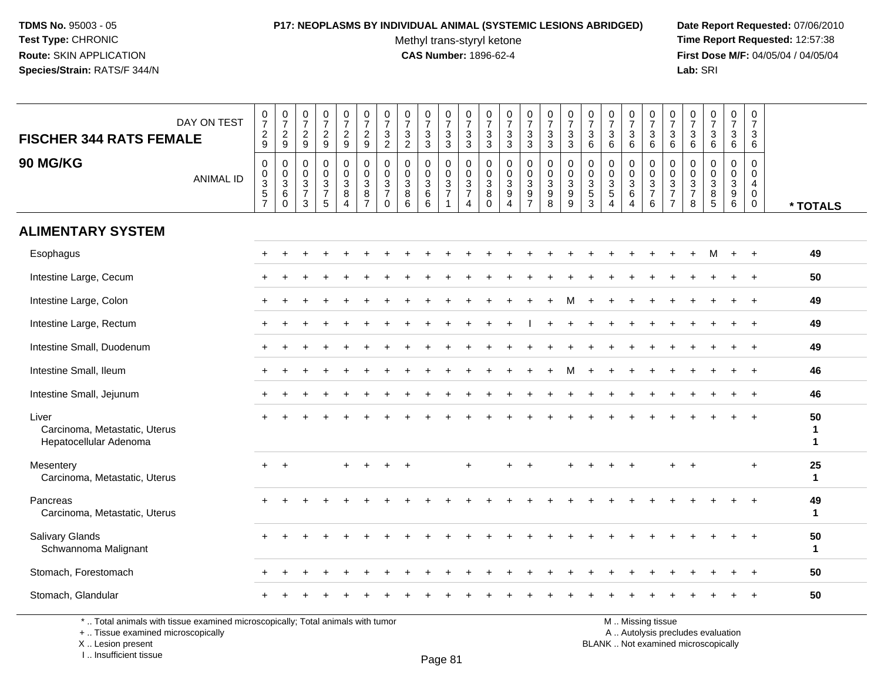## **P17: NEOPLASMS BY INDIVIDUAL ANIMAL (SYSTEMIC LESIONS ABRIDGED) Date Report Requested:** 07/06/2010

Methyl trans-styryl ketone<br>CAS Number: 1896-62-4

 **Time Report Requested:** 12:57:38 **First Dose M/F:** 04/05/04 / 04/05/04<br>Lab: SRI **Lab:** SRI

| <b>FISCHER 344 RATS FEMALE</b>                                   | DAY ON TEST      | $\frac{0}{7}$<br>$\frac{2}{9}$                       | $\frac{0}{7}$<br>$\frac{2}{9}$  | $\begin{array}{c} 0 \\ 7 \end{array}$<br>$\frac{2}{9}$      | $\begin{smallmatrix}0\\7\end{smallmatrix}$<br>$\frac{2}{9}$         | $\frac{0}{7}$<br>$\frac{2}{9}$ | $\frac{0}{7}$<br>$\frac{2}{9}$                                         | $\begin{array}{c} 0 \\ 7 \end{array}$<br>$\frac{3}{2}$     | $\frac{0}{7}$<br>3<br>$\overline{c}$                                           | $\begin{array}{c} 0 \\ 7 \end{array}$<br>$\frac{3}{3}$     | $\frac{0}{7}$<br>3<br>3                                | $\begin{array}{c} 0 \\ 7 \end{array}$<br>$_3^3$                              | $\frac{0}{7}$<br>$\frac{3}{3}$                               | $\frac{0}{7}$<br>$\frac{3}{3}$                                                    | $\frac{0}{7}$<br>$\frac{3}{3}$            | $\begin{array}{c} 0 \\ 7 \end{array}$<br>$\frac{3}{3}$            | $\frac{0}{7}$<br>$\frac{3}{3}$                                                   | $\begin{array}{c} 0 \\ 7 \end{array}$<br>3<br>6 | $\frac{0}{7}$<br>$\frac{3}{6}$                                        | $\frac{0}{7}$<br>3<br>6                                                | $\frac{0}{7}$<br>$\ensuremath{\mathsf{3}}$<br>6                    | $\frac{0}{7}$<br>$\frac{3}{6}$                                               | $\frac{0}{7}$<br>3<br>6                                            | $\frac{0}{7}$<br>3<br>6                              | $\frac{0}{7}$<br>3<br>$6^{\circ}$                           | $\pmb{0}$<br>$\overline{7}$<br>$\mathbf{3}$<br>6                         |                                    |
|------------------------------------------------------------------|------------------|------------------------------------------------------|---------------------------------|-------------------------------------------------------------|---------------------------------------------------------------------|--------------------------------|------------------------------------------------------------------------|------------------------------------------------------------|--------------------------------------------------------------------------------|------------------------------------------------------------|--------------------------------------------------------|------------------------------------------------------------------------------|--------------------------------------------------------------|-----------------------------------------------------------------------------------|-------------------------------------------|-------------------------------------------------------------------|----------------------------------------------------------------------------------|-------------------------------------------------|-----------------------------------------------------------------------|------------------------------------------------------------------------|--------------------------------------------------------------------|------------------------------------------------------------------------------|--------------------------------------------------------------------|------------------------------------------------------|-------------------------------------------------------------|--------------------------------------------------------------------------|------------------------------------|
| 90 MG/KG                                                         | <b>ANIMAL ID</b> | 0<br>$\begin{array}{c} 0 \\ 3 \\ 5 \\ 7 \end{array}$ | 0<br>$\frac{0}{3}$<br>$\pmb{0}$ | $\mathbf 0$<br>$\mathbf 0$<br>$\frac{3}{7}$<br>$\mathbf{3}$ | $\mathbf 0$<br>$\mathbf 0$<br>$\overline{3}$<br>$\overline{7}$<br>5 | 0<br>0<br>3<br>8<br>4          | $\mathbf 0$<br>$\overline{0}$<br>$\overline{3}$<br>8<br>$\overline{7}$ | $\mathbf 0$<br>$\mathbf 0$<br>$\frac{3}{7}$<br>$\mathbf 0$ | $\mathbf 0$<br>$\mathbf 0$<br>$\mathbf{3}$<br>$\overline{8}$<br>$6\phantom{a}$ | $\mathbf 0$<br>$\mathbf 0$<br>$\mathbf{3}$<br>$\,6\,$<br>6 | 0<br>$\mathbf 0$<br>$\mathsf 3$<br>$\overline{7}$<br>1 | $\mathbf 0$<br>$\mathbf 0$<br>$\sqrt{3}$<br>$\overline{7}$<br>$\overline{4}$ | $\mathbf 0$<br>0<br>$\sqrt{3}$<br>$\overline{8}$<br>$\Omega$ | $\mathbf 0$<br>0<br>$\ensuremath{\mathsf{3}}$<br>$\overline{9}$<br>$\overline{4}$ | $\mathbf 0$<br>$\pmb{0}$<br>$\frac{3}{9}$ | $\mathbf 0$<br>$\pmb{0}$<br>$\overline{3}$<br>9<br>$\overline{8}$ | $\mathbf 0$<br>$\mathbf 0$<br>$\overline{3}$<br>$\overline{9}$<br>$\overline{9}$ | 0<br>$\mathbf 0$<br>3<br>$\overline{5}$<br>3    | $\mathbf 0$<br>$\mathsf{O}\xspace$<br>$\frac{3}{5}$<br>$\overline{4}$ | 0<br>$\mathbf 0$<br>$\overline{3}$<br>$6\phantom{a}$<br>$\overline{4}$ | 0<br>$\mathbf 0$<br>$\sqrt{3}$<br>$\overline{7}$<br>$6\phantom{1}$ | $\mathbf 0$<br>$\mathbf 0$<br>$\sqrt{3}$<br>$\overline{7}$<br>$\overline{7}$ | $\mathbf 0$<br>$\mathbf{0}$<br>$\mathbf{3}$<br>$\overline{7}$<br>8 | $\mathbf 0$<br>$\mathbf 0$<br>$\mathbf{3}$<br>8<br>5 | 0<br>0<br>$\mathbf{3}$<br>$\overline{9}$<br>$6\overline{6}$ | $\mathbf 0$<br>$\mathbf 0$<br>4<br>$\mathsf{O}\xspace$<br>$\overline{0}$ | * TOTALS                           |
| <b>ALIMENTARY SYSTEM</b>                                         |                  |                                                      |                                 |                                                             |                                                                     |                                |                                                                        |                                                            |                                                                                |                                                            |                                                        |                                                                              |                                                              |                                                                                   |                                           |                                                                   |                                                                                  |                                                 |                                                                       |                                                                        |                                                                    |                                                                              |                                                                    |                                                      |                                                             |                                                                          |                                    |
| Esophagus                                                        |                  |                                                      |                                 |                                                             |                                                                     |                                |                                                                        |                                                            |                                                                                |                                                            |                                                        |                                                                              |                                                              |                                                                                   |                                           |                                                                   |                                                                                  |                                                 |                                                                       |                                                                        |                                                                    |                                                                              |                                                                    | м                                                    | $+$                                                         | $+$                                                                      | 49                                 |
| Intestine Large, Cecum                                           |                  |                                                      |                                 |                                                             |                                                                     |                                |                                                                        |                                                            |                                                                                |                                                            |                                                        |                                                                              |                                                              |                                                                                   |                                           |                                                                   |                                                                                  |                                                 |                                                                       |                                                                        |                                                                    |                                                                              |                                                                    |                                                      |                                                             |                                                                          | 50                                 |
| Intestine Large, Colon                                           |                  |                                                      |                                 |                                                             |                                                                     |                                |                                                                        |                                                            |                                                                                |                                                            |                                                        |                                                                              |                                                              |                                                                                   |                                           |                                                                   | м                                                                                |                                                 |                                                                       |                                                                        |                                                                    |                                                                              |                                                                    |                                                      |                                                             |                                                                          | 49                                 |
| Intestine Large, Rectum                                          |                  |                                                      |                                 |                                                             |                                                                     |                                |                                                                        |                                                            |                                                                                |                                                            |                                                        |                                                                              |                                                              |                                                                                   |                                           |                                                                   |                                                                                  |                                                 |                                                                       |                                                                        |                                                                    |                                                                              |                                                                    |                                                      |                                                             |                                                                          | 49                                 |
| Intestine Small, Duodenum                                        |                  |                                                      |                                 |                                                             |                                                                     |                                |                                                                        |                                                            |                                                                                |                                                            |                                                        |                                                                              |                                                              |                                                                                   |                                           |                                                                   |                                                                                  |                                                 |                                                                       |                                                                        |                                                                    |                                                                              |                                                                    |                                                      |                                                             |                                                                          | 49                                 |
| Intestine Small, Ileum                                           |                  | $+$                                                  |                                 |                                                             |                                                                     |                                |                                                                        |                                                            |                                                                                |                                                            |                                                        |                                                                              |                                                              |                                                                                   |                                           |                                                                   | M                                                                                |                                                 |                                                                       |                                                                        |                                                                    |                                                                              |                                                                    |                                                      |                                                             |                                                                          | 46                                 |
| Intestine Small, Jejunum                                         |                  |                                                      |                                 |                                                             |                                                                     |                                |                                                                        |                                                            |                                                                                |                                                            |                                                        |                                                                              |                                                              |                                                                                   |                                           |                                                                   |                                                                                  |                                                 |                                                                       |                                                                        |                                                                    |                                                                              |                                                                    |                                                      |                                                             |                                                                          | 46                                 |
| Liver<br>Carcinoma, Metastatic, Uterus<br>Hepatocellular Adenoma |                  |                                                      |                                 |                                                             |                                                                     |                                |                                                                        |                                                            |                                                                                |                                                            |                                                        |                                                                              |                                                              |                                                                                   |                                           |                                                                   |                                                                                  |                                                 |                                                                       |                                                                        |                                                                    |                                                                              |                                                                    |                                                      |                                                             |                                                                          | 50<br>$\mathbf{1}$<br>$\mathbf{1}$ |
| Mesentery<br>Carcinoma, Metastatic, Uterus                       |                  | $+$                                                  | $+$                             |                                                             |                                                                     |                                |                                                                        |                                                            |                                                                                |                                                            |                                                        |                                                                              |                                                              |                                                                                   |                                           |                                                                   |                                                                                  |                                                 |                                                                       |                                                                        |                                                                    |                                                                              |                                                                    |                                                      |                                                             | $\ddot{}$                                                                | 25<br>$\mathbf{1}$                 |
| Pancreas<br>Carcinoma, Metastatic, Uterus                        |                  |                                                      |                                 |                                                             |                                                                     |                                |                                                                        |                                                            |                                                                                |                                                            |                                                        |                                                                              |                                                              |                                                                                   |                                           |                                                                   |                                                                                  |                                                 |                                                                       |                                                                        |                                                                    |                                                                              |                                                                    |                                                      |                                                             |                                                                          | 49<br>$\mathbf{1}$                 |
| Salivary Glands<br>Schwannoma Malignant                          |                  |                                                      |                                 |                                                             |                                                                     |                                |                                                                        |                                                            |                                                                                |                                                            |                                                        |                                                                              |                                                              |                                                                                   |                                           |                                                                   |                                                                                  |                                                 |                                                                       |                                                                        |                                                                    |                                                                              |                                                                    |                                                      |                                                             |                                                                          | 50<br>$\mathbf{1}$                 |
| Stomach, Forestomach                                             |                  |                                                      |                                 |                                                             |                                                                     |                                |                                                                        |                                                            |                                                                                |                                                            |                                                        |                                                                              |                                                              |                                                                                   |                                           |                                                                   |                                                                                  |                                                 |                                                                       |                                                                        |                                                                    |                                                                              |                                                                    |                                                      |                                                             |                                                                          | 50                                 |
| Stomach, Glandular                                               |                  |                                                      |                                 |                                                             |                                                                     |                                |                                                                        |                                                            |                                                                                |                                                            |                                                        |                                                                              |                                                              |                                                                                   |                                           |                                                                   |                                                                                  |                                                 |                                                                       |                                                                        |                                                                    |                                                                              |                                                                    |                                                      |                                                             |                                                                          | 50                                 |

\* .. Total animals with tissue examined microscopically; Total animals with tumor

+ .. Tissue examined microscopically

X .. Lesion present

I .. Insufficient tissue

M .. Missing tissue

y the contract of the contract of the contract of the contract of the contract of  $\mathsf A$  . Autolysis precludes evaluation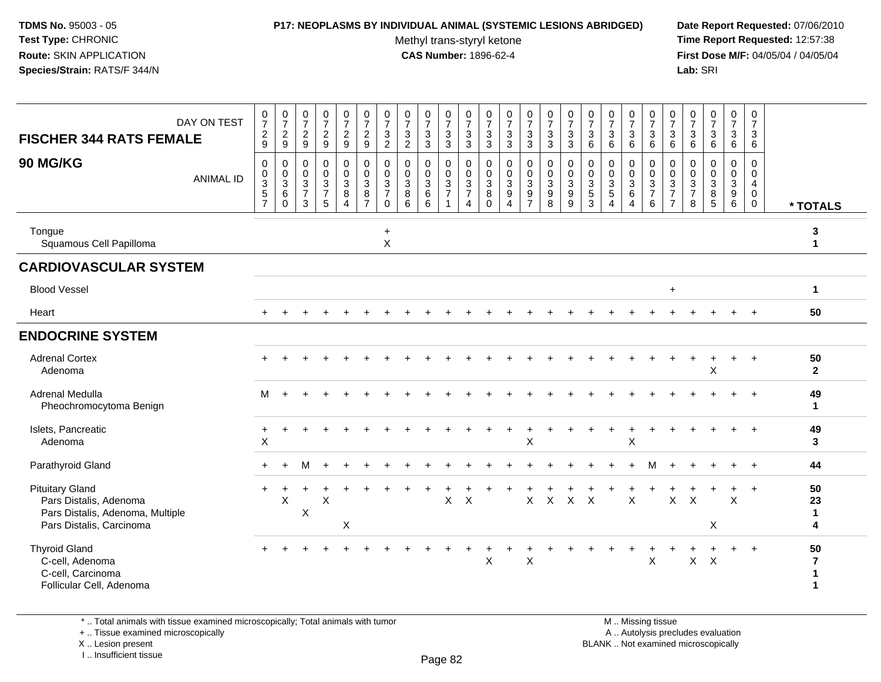#### **P17: NEOPLASMS BY INDIVIDUAL ANIMAL (SYSTEMIC LESIONS ABRIDGED) Date Report Requested:** 07/06/2010

Methyl trans-styryl ketone<br>CAS Number: 1896-62-4

 **Time Report Requested:** 12:57:38 **First Dose M/F:** 04/05/04 / 04/05/04<br>Lab: SRI **Lab:** SRI

| DAY ON TEST<br><b>FISCHER 344 RATS FEMALE</b><br><b>90 MG/KG</b><br><b>ANIMAL ID</b>                             | $\begin{array}{c} 0 \\ 7 \end{array}$<br>$\frac{2}{9}$<br>0<br>$\pmb{0}$<br>$\frac{3}{5}$<br>$\overline{7}$ | $\frac{0}{7}$<br>$\frac{2}{9}$<br>0<br>$\begin{array}{c} 0 \\ 3 \\ 6 \end{array}$<br>$\Omega$ | $\frac{0}{7}$<br>$\boldsymbol{2}$<br>9<br>$\mathbf 0$<br>$\mathbf 0$<br>$\overline{3}$<br>$\overline{7}$ | $\begin{array}{c} 0 \\ 7 \end{array}$<br>$\overline{a}$<br>$\boldsymbol{9}$<br>0<br>$\mathbf 0$<br>$\frac{3}{7}$<br>5 | $\frac{0}{7}$<br>$\frac{2}{9}$<br>0<br>$\frac{0}{3}$<br>8<br>$\overline{4}$ | $\begin{smallmatrix}0\\7\end{smallmatrix}$<br>$\frac{2}{9}$<br>0<br>$\mathsf 0$<br>$\overline{3}$<br>8<br>$\overline{7}$ | $\pmb{0}$<br>$\overline{7}$<br>$\ensuremath{\mathsf{3}}$<br>$\boldsymbol{2}$<br>$\mathbf 0$<br>0<br>$\mathbf{3}$<br>$\overline{7}$ | $\begin{array}{c} 0 \\ 7 \end{array}$<br>$\mathsf 3$<br>$\overline{2}$<br>$\mathbf 0$<br>$\mathbf 0$<br>$\overline{3}$<br>$\bf 8$<br>6 | $\frac{0}{7}$<br>$\mathbf 3$<br>$\mathbf{3}$<br>0<br>$\mathbf 0$<br>$\overline{3}$<br>6 | $\begin{array}{c} 0 \\ 7 \end{array}$<br>$\mathbf{3}$<br>$\mathbf{3}$<br>$\mathbf 0$<br>$\frac{0}{3}$<br>$\mathbf{1}$ | $\frac{0}{7}$<br>3<br>3<br>$\mathbf{0}$<br>$\mathbf 0$<br>3<br>$\overline{7}$<br>4 | $\frac{0}{7}$<br>$\ensuremath{\mathsf{3}}$<br>3<br>0<br>$\pmb{0}$<br>$\overline{3}$<br>8<br>$\Omega$ | $\frac{0}{7}$<br>$\mathbf 3$<br>3<br>0<br>$_3^0$<br>$\overline{9}$<br>$\overline{4}$ | $\begin{smallmatrix}0\\7\end{smallmatrix}$<br>$\mathbf{3}$<br>3<br>0<br>$\overline{0}$<br>$\overline{3}$<br>$\frac{9}{7}$ | $\frac{0}{7}$<br>$\sqrt{3}$<br>$\mathbf{3}$<br>0<br>$\frac{0}{3}$ | $\begin{array}{c} 0 \\ 7 \end{array}$<br>$\sqrt{3}$<br>$\mathbf{3}$<br>0<br>$\mathbf 0$<br>$\mathbf{3}$<br>9<br>9 | $\frac{0}{7}$<br>$\sqrt{3}$<br>6<br>$\mathbf 0$<br>0<br>$\mathbf{3}$<br>$\overline{5}$<br>3 | $\frac{0}{7}$<br>3<br>6<br>0<br>0<br>$\frac{3}{5}$<br>$\overline{4}$ | $\frac{0}{7}$<br>3<br>6<br>0<br>$\mathbf 0$<br>$\overline{3}$<br>6<br>$\overline{4}$ | $\begin{array}{c} 0 \\ 7 \end{array}$<br>$\ensuremath{\mathsf{3}}$<br>6<br>0<br>$\begin{array}{c} 0 \\ 3 \\ 7 \end{array}$ | $\begin{array}{c} 0 \\ 7 \end{array}$<br>$\sqrt{3}$<br>$\,6\,$<br>$\mathbf 0$<br>$\mathbf 0$<br>3<br>$\overline{7}$<br>$\overline{7}$ | $\frac{0}{7}$<br>$\sqrt{3}$<br>6<br>$\mathbf 0$<br>0<br>$\overline{3}$<br>$\overline{7}$ | $\begin{array}{c} 0 \\ 7 \end{array}$<br>$\mathbf{3}$<br>$6\phantom{1}6$<br>$\mathbf 0$<br>$\mathbf 0$<br>$\frac{3}{8}$ | $\pmb{0}$<br>$\overline{7}$<br>3<br>6<br>$\mathbf 0$<br>$\mathbf 0$<br>$\overline{3}$<br>9 | 0<br>$\overline{7}$<br>3<br>6<br>$\Omega$<br>$\mathbf 0$<br>4<br>0 |                               |
|------------------------------------------------------------------------------------------------------------------|-------------------------------------------------------------------------------------------------------------|-----------------------------------------------------------------------------------------------|----------------------------------------------------------------------------------------------------------|-----------------------------------------------------------------------------------------------------------------------|-----------------------------------------------------------------------------|--------------------------------------------------------------------------------------------------------------------------|------------------------------------------------------------------------------------------------------------------------------------|----------------------------------------------------------------------------------------------------------------------------------------|-----------------------------------------------------------------------------------------|-----------------------------------------------------------------------------------------------------------------------|------------------------------------------------------------------------------------|------------------------------------------------------------------------------------------------------|--------------------------------------------------------------------------------------|---------------------------------------------------------------------------------------------------------------------------|-------------------------------------------------------------------|-------------------------------------------------------------------------------------------------------------------|---------------------------------------------------------------------------------------------|----------------------------------------------------------------------|--------------------------------------------------------------------------------------|----------------------------------------------------------------------------------------------------------------------------|---------------------------------------------------------------------------------------------------------------------------------------|------------------------------------------------------------------------------------------|-------------------------------------------------------------------------------------------------------------------------|--------------------------------------------------------------------------------------------|--------------------------------------------------------------------|-------------------------------|
| Tongue<br>Squamous Cell Papilloma                                                                                |                                                                                                             |                                                                                               | 3                                                                                                        |                                                                                                                       |                                                                             |                                                                                                                          | $\mathbf 0$<br>$\ddot{}$<br>X                                                                                                      |                                                                                                                                        | 6                                                                                       |                                                                                                                       |                                                                                    |                                                                                                      |                                                                                      |                                                                                                                           | 8                                                                 |                                                                                                                   |                                                                                             |                                                                      |                                                                                      | $\,6$                                                                                                                      |                                                                                                                                       | 8                                                                                        |                                                                                                                         | 6                                                                                          | 0                                                                  | * TOTALS<br>3<br>$\mathbf{1}$ |
| <b>CARDIOVASCULAR SYSTEM</b>                                                                                     |                                                                                                             |                                                                                               |                                                                                                          |                                                                                                                       |                                                                             |                                                                                                                          |                                                                                                                                    |                                                                                                                                        |                                                                                         |                                                                                                                       |                                                                                    |                                                                                                      |                                                                                      |                                                                                                                           |                                                                   |                                                                                                                   |                                                                                             |                                                                      |                                                                                      |                                                                                                                            |                                                                                                                                       |                                                                                          |                                                                                                                         |                                                                                            |                                                                    |                               |
| <b>Blood Vessel</b>                                                                                              |                                                                                                             |                                                                                               |                                                                                                          |                                                                                                                       |                                                                             |                                                                                                                          |                                                                                                                                    |                                                                                                                                        |                                                                                         |                                                                                                                       |                                                                                    |                                                                                                      |                                                                                      |                                                                                                                           |                                                                   |                                                                                                                   |                                                                                             |                                                                      |                                                                                      |                                                                                                                            | $\ddot{}$                                                                                                                             |                                                                                          |                                                                                                                         |                                                                                            |                                                                    | $\blacktriangleleft$          |
| Heart                                                                                                            |                                                                                                             |                                                                                               |                                                                                                          |                                                                                                                       |                                                                             |                                                                                                                          |                                                                                                                                    |                                                                                                                                        |                                                                                         |                                                                                                                       |                                                                                    |                                                                                                      |                                                                                      |                                                                                                                           |                                                                   |                                                                                                                   |                                                                                             |                                                                      |                                                                                      |                                                                                                                            |                                                                                                                                       |                                                                                          |                                                                                                                         |                                                                                            |                                                                    | 50                            |
| <b>ENDOCRINE SYSTEM</b>                                                                                          |                                                                                                             |                                                                                               |                                                                                                          |                                                                                                                       |                                                                             |                                                                                                                          |                                                                                                                                    |                                                                                                                                        |                                                                                         |                                                                                                                       |                                                                                    |                                                                                                      |                                                                                      |                                                                                                                           |                                                                   |                                                                                                                   |                                                                                             |                                                                      |                                                                                      |                                                                                                                            |                                                                                                                                       |                                                                                          |                                                                                                                         |                                                                                            |                                                                    |                               |
| <b>Adrenal Cortex</b><br>Adenoma                                                                                 |                                                                                                             |                                                                                               |                                                                                                          |                                                                                                                       |                                                                             |                                                                                                                          |                                                                                                                                    |                                                                                                                                        |                                                                                         |                                                                                                                       |                                                                                    |                                                                                                      |                                                                                      |                                                                                                                           |                                                                   |                                                                                                                   |                                                                                             |                                                                      |                                                                                      |                                                                                                                            |                                                                                                                                       |                                                                                          | X                                                                                                                       |                                                                                            |                                                                    | 50<br>$\mathbf{2}$            |
| Adrenal Medulla<br>Pheochromocytoma Benign                                                                       | м                                                                                                           |                                                                                               |                                                                                                          |                                                                                                                       |                                                                             |                                                                                                                          |                                                                                                                                    |                                                                                                                                        |                                                                                         |                                                                                                                       |                                                                                    |                                                                                                      |                                                                                      |                                                                                                                           |                                                                   |                                                                                                                   |                                                                                             |                                                                      |                                                                                      |                                                                                                                            |                                                                                                                                       |                                                                                          |                                                                                                                         |                                                                                            |                                                                    | 49<br>1                       |
| Islets, Pancreatic<br>Adenoma                                                                                    | $\ddot{}$<br>$\mathsf X$                                                                                    |                                                                                               |                                                                                                          |                                                                                                                       |                                                                             |                                                                                                                          |                                                                                                                                    |                                                                                                                                        |                                                                                         |                                                                                                                       |                                                                                    |                                                                                                      |                                                                                      | X                                                                                                                         |                                                                   |                                                                                                                   |                                                                                             |                                                                      | $\ddot{}$<br>X                                                                       |                                                                                                                            |                                                                                                                                       |                                                                                          |                                                                                                                         |                                                                                            |                                                                    | 49<br>3                       |
| Parathyroid Gland                                                                                                | $\ddot{}$                                                                                                   | ÷                                                                                             | М                                                                                                        |                                                                                                                       |                                                                             |                                                                                                                          |                                                                                                                                    |                                                                                                                                        |                                                                                         |                                                                                                                       |                                                                                    |                                                                                                      |                                                                                      |                                                                                                                           |                                                                   |                                                                                                                   |                                                                                             |                                                                      |                                                                                      | м                                                                                                                          |                                                                                                                                       |                                                                                          |                                                                                                                         |                                                                                            | $\ddot{}$                                                          | 44                            |
| <b>Pituitary Gland</b><br>Pars Distalis, Adenoma<br>Pars Distalis, Adenoma, Multiple<br>Pars Distalis, Carcinoma |                                                                                                             | X                                                                                             | $\boldsymbol{\mathsf{X}}$                                                                                | Χ                                                                                                                     | X                                                                           |                                                                                                                          |                                                                                                                                    |                                                                                                                                        |                                                                                         | X                                                                                                                     | $\boldsymbol{\mathsf{X}}$                                                          |                                                                                                      |                                                                                      | $\mathsf{X}$                                                                                                              | $\mathsf{X}$                                                      | $\mathsf{X}$                                                                                                      | $\times$                                                                                    |                                                                      | X                                                                                    |                                                                                                                            | $\mathsf{X}$                                                                                                                          | $\times$                                                                                 | X                                                                                                                       | $\boldsymbol{\mathsf{X}}$                                                                  |                                                                    | 50<br>23<br>$\mathbf 1$<br>4  |
| <b>Thyroid Gland</b><br>C-cell, Adenoma<br>C-cell, Carcinoma<br>Follicular Cell, Adenoma                         |                                                                                                             |                                                                                               |                                                                                                          |                                                                                                                       |                                                                             |                                                                                                                          |                                                                                                                                    |                                                                                                                                        |                                                                                         |                                                                                                                       |                                                                                    | X                                                                                                    |                                                                                      | X                                                                                                                         |                                                                   |                                                                                                                   |                                                                                             |                                                                      | ÷                                                                                    | X                                                                                                                          |                                                                                                                                       | $\mathsf{X}$                                                                             | $\times$                                                                                                                |                                                                                            | $\overline{+}$                                                     | 50<br>$\overline{7}$          |

\* .. Total animals with tissue examined microscopically; Total animals with tumor

+ .. Tissue examined microscopically

X .. Lesion present

I .. Insufficient tissue

M .. Missing tissue y the contract of the contract of the contract of the contract of the contract of  $\mathsf A$  . Autolysis precludes evaluation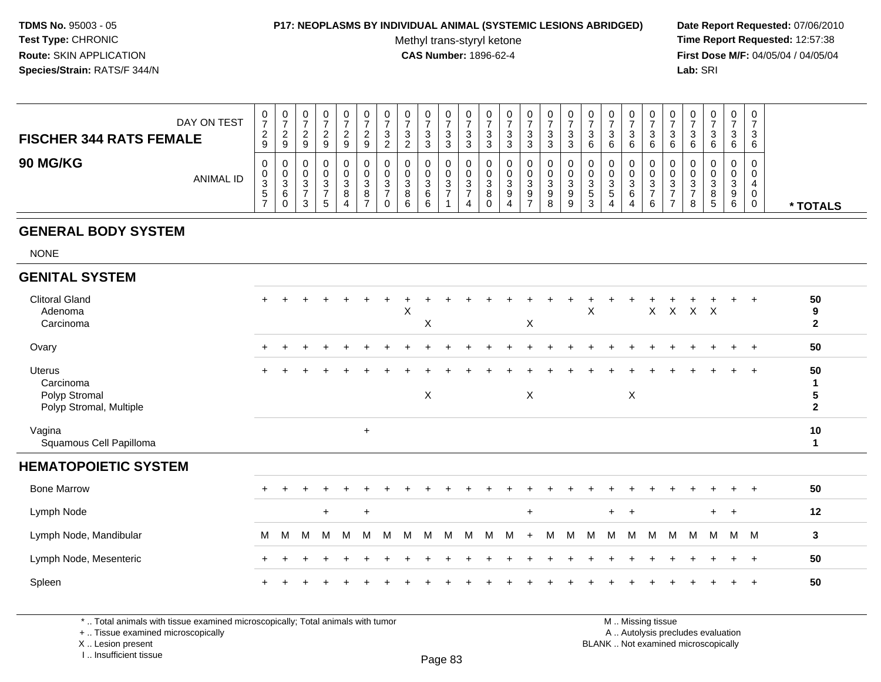#### **P17: NEOPLASMS BY INDIVIDUAL ANIMAL (SYSTEMIC LESIONS ABRIDGED) Date Report Requested:** 07/06/2010

Methyl trans-styryl ketone<br>CAS Number: 1896-62-4

 **Time Report Requested:** 12:57:38 **First Dose M/F:** 04/05/04 / 04/05/04 Lab: SRI **Lab:** SRI

| DAY ON TEST<br><b>FISCHER 344 RATS FEMALE</b> | ◡<br>⇁<br>$\sim$<br>$\epsilon$ | U<br>$\sim$<br>9  | <b>U</b><br>-9    | υ<br><sup>o</sup><br>9           | n<br>9             | 0<br>ົ<br><u>.</u><br>9 | U<br>ົ<br>ັ<br><u>.</u> | U<br>3<br>ົ<br><u>_</u> | 0<br>ົ<br>ັ<br>ົ<br>ບ           | ົ<br>۰J | 0<br>3<br>◠<br>د | Ü<br>ັບ<br>◠ | υ<br>3<br>3      | ັ      | J        | 0<br>3<br>3            | U<br>ົ<br>J.<br>6             | υ<br>ົ<br>◡<br>6                   | ັ<br>ت<br>ົ | ັບ<br>J<br>6      | 0<br>3<br>6      | 0<br>ົ<br>ັ<br>b           | ັບ       | 0<br>J.<br>⌒<br>b           | 0<br>ົ<br>J<br>-6 |          |
|-----------------------------------------------|--------------------------------|-------------------|-------------------|----------------------------------|--------------------|-------------------------|-------------------------|-------------------------|---------------------------------|---------|------------------|--------------|------------------|--------|----------|------------------------|-------------------------------|------------------------------------|-------------|-------------------|------------------|----------------------------|----------|-----------------------------|-------------------|----------|
| <b>90 MG/KG</b><br>ANIMAL ID                  | ◡<br>U<br>$\sim$<br>J.<br>C.   | v<br>U<br>ັບ<br>6 | U<br>U<br>ు<br>-3 | U<br>U<br><sup>o</sup><br>ັ<br>G | $\sim$<br>- 0<br>4 | 0<br>0<br>3<br>8        | v<br>v<br>ົ<br>ັ        | U<br>U<br>3<br>8<br>-6  | 0<br>0<br>$\sim$<br>ັ<br>6<br>6 | 0<br>3  | U<br>0<br>3<br>4 | ັບ<br>O      | v<br>υ<br>3<br>9 | J<br>9 | $\Omega$ | O.<br>ີ<br>ັ<br>9<br>9 | ົ<br>ັບ<br><sub>5</sub><br>د. | υ<br>U<br>$\Omega$<br>ు<br>.5<br>4 | ر           | v<br>J<br>ັບ<br>6 | 0<br>U<br>ີ<br>ు | U<br>U<br>$\sim$<br>ັ<br>8 | ັບ<br>ີວ | 0<br>U<br>⌒<br>۰J<br>9<br>b | 0<br>0            | * TOTALS |

# **GENERAL BODY SYSTEM**

NONE

#### **GENITAL SYSTEM**Clitoral Gland $\alpha$  + <sup>+</sup> <sup>+</sup> <sup>+</sup> <sup>+</sup> <sup>+</sup> <sup>+</sup> <sup>+</sup> <sup>+</sup> <sup>+</sup> <sup>+</sup> <sup>+</sup> <sup>+</sup> <sup>+</sup> <sup>+</sup> <sup>+</sup> <sup>+</sup> <sup>+</sup> <sup>+</sup> <sup>+</sup> <sup>+</sup> <sup>+</sup> <sup>+</sup> <sup>+</sup> <sup>+</sup> **<sup>50</sup>** Adenomaa  $\lambda$  <sup>X</sup> <sup>X</sup> <sup>X</sup> <sup>X</sup> <sup>X</sup> **<sup>9</sup>** Carcinoma $\alpha$  <sup>X</sup> **<sup>2</sup> Ovary**  $\mathsf y$  <sup>+</sup> <sup>+</sup> <sup>+</sup> <sup>+</sup> <sup>+</sup> <sup>+</sup> <sup>+</sup> <sup>+</sup> <sup>+</sup> <sup>+</sup> <sup>+</sup> <sup>+</sup> <sup>+</sup> <sup>+</sup> <sup>+</sup> <sup>+</sup> <sup>+</sup> <sup>+</sup> <sup>+</sup> <sup>+</sup> <sup>+</sup> <sup>+</sup> <sup>+</sup> <sup>+</sup> **<sup>50</sup>** Uterus <sup>+</sup> <sup>+</sup> <sup>+</sup> <sup>+</sup> <sup>+</sup> <sup>+</sup> <sup>+</sup> <sup>+</sup> <sup>+</sup> <sup>+</sup> <sup>+</sup> <sup>+</sup> <sup>+</sup> <sup>+</sup> <sup>+</sup> <sup>+</sup> <sup>+</sup> <sup>+</sup> <sup>+</sup> <sup>+</sup> <sup>+</sup> <sup>+</sup> <sup>+</sup> <sup>+</sup> <sup>+</sup> **<sup>50</sup>** Carcinoma **<sup>1</sup>** Polyp Stromal $\mathsf{X}$  <sup>X</sup> <sup>X</sup> **<sup>5</sup>** Polyp Stromal, Multiple **<sup>2</sup>** Vaginagına<br>Squamous Cell Papilloma **<sup>10</sup> <sup>1</sup> HEMATOPOIETIC SYSTEM**Bone Marrow <sup>+</sup> <sup>+</sup> <sup>+</sup> <sup>+</sup> <sup>+</sup> <sup>+</sup> <sup>+</sup> <sup>+</sup> <sup>+</sup> <sup>+</sup> <sup>+</sup> <sup>+</sup> <sup>+</sup> <sup>+</sup> <sup>+</sup> <sup>+</sup> <sup>+</sup> <sup>+</sup> <sup>+</sup> <sup>+</sup> <sup>+</sup> <sup>+</sup> <sup>+</sup> <sup>+</sup> <sup>+</sup> **<sup>50</sup>** Lymph Node $e$  + <sup>+</sup> <sup>+</sup> <sup>+</sup> <sup>+</sup> <sup>+</sup> <sup>+</sup> **<sup>12</sup>** Lymph Node, Mandibularr M <sup>M</sup> <sup>M</sup> <sup>M</sup> <sup>M</sup> <sup>M</sup> <sup>M</sup> <sup>M</sup> <sup>M</sup> <sup>M</sup> <sup>M</sup> <sup>M</sup> <sup>M</sup> <sup>+</sup> <sup>M</sup> <sup>M</sup> <sup>M</sup> <sup>M</sup> <sup>M</sup> <sup>M</sup> <sup>M</sup> <sup>M</sup> <sup>M</sup> <sup>M</sup> <sup>M</sup> **<sup>3</sup>** Lymph Node, Mesenteric $\overline{c}$  + <sup>+</sup> <sup>+</sup> <sup>+</sup> <sup>+</sup> <sup>+</sup> <sup>+</sup> <sup>+</sup> <sup>+</sup> <sup>+</sup> <sup>+</sup> <sup>+</sup> <sup>+</sup> <sup>+</sup> <sup>+</sup> <sup>+</sup> <sup>+</sup> <sup>+</sup> <sup>+</sup> <sup>+</sup> <sup>+</sup> <sup>+</sup> <sup>+</sup> <sup>+</sup> <sup>+</sup> **<sup>50</sup>** Spleenn  $+$ <sup>+</sup> <sup>+</sup> <sup>+</sup> <sup>+</sup> <sup>+</sup> <sup>+</sup> <sup>+</sup> <sup>+</sup> <sup>+</sup> <sup>+</sup> <sup>+</sup> <sup>+</sup> <sup>+</sup> <sup>+</sup> <sup>+</sup> <sup>+</sup> <sup>+</sup> <sup>+</sup> <sup>+</sup> <sup>+</sup> <sup>+</sup> <sup>+</sup> <sup>+</sup> <sup>+</sup> **<sup>50</sup>**

\* .. Total animals with tissue examined microscopically; Total animals with tumor

+ .. Tissue examined microscopically

X .. Lesion present

I .. Insufficient tissue

 M .. Missing tissuey the contract of the contract of the contract of the contract of the contract of  $\mathsf A$  . Autolysis precludes evaluation Lesion present BLANK .. Not examined microscopically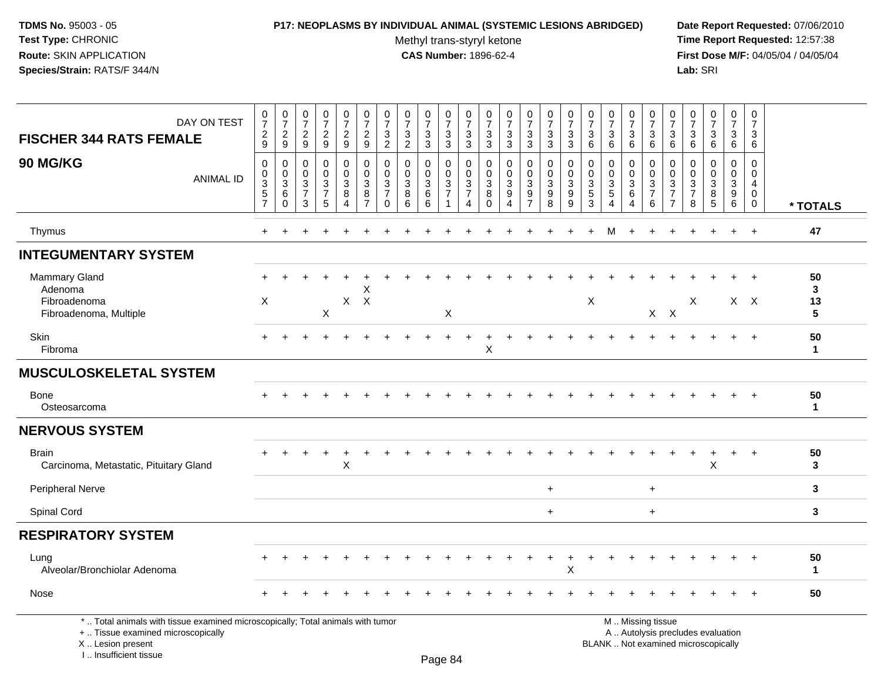### **P17: NEOPLASMS BY INDIVIDUAL ANIMAL (SYSTEMIC LESIONS ABRIDGED) Date Report Requested:** 07/06/2010

Methyl trans-styryl ketone<br>CAS Number: 1896-62-4

 **Time Report Requested:** 12:57:38 **First Dose M/F:** 04/05/04 / 04/05/04<br>Lab: SRI **Lab:** SRI

| DAY ON TEST<br><b>FISCHER 344 RATS FEMALE</b>                                   | $\frac{0}{7}$<br>$\frac{2}{9}$                                       | $\frac{0}{7}$<br>$\frac{2}{9}$                   | $\frac{0}{7}$<br>$\frac{2}{9}$                   | $\frac{0}{7}$<br>$\boldsymbol{2}$<br>$\overline{9}$              | $\frac{0}{7}$<br>$\frac{2}{9}$        | $\frac{0}{7}$<br>$\frac{2}{9}$                                                        | $\frac{0}{7}$<br>$\mathbf{3}$<br>$\overline{2}$                  | $\frac{0}{7}$<br>$\frac{3}{2}$                                   | $\frac{0}{7}$<br>$\frac{3}{3}$                                  | $\frac{0}{7}$<br>$\frac{3}{3}$                      | $\frac{0}{7}$<br>$\mathbf{3}$<br>$\overline{3}$                                | $\frac{0}{7}$<br>3<br>3                                             | $\frac{0}{7}$<br>$\frac{3}{3}$                                               | $\frac{0}{7}$<br>3<br>3                                     | $\frac{0}{7}$<br>$\mathbf{3}$<br>$\overline{3}$                   | $\frac{0}{7}$<br>$\frac{3}{3}$                                  | $\frac{0}{7}$<br>3<br>6                                | $\frac{0}{7}$<br>$\mathbf{3}$<br>6                                             | $\frac{0}{7}$<br>$\mathbf{3}$<br>6                                   | $\frac{0}{7}$<br>$\sqrt{3}$<br>$\overline{6}$ | $\frac{0}{7}$<br>3<br>6                                             | $\frac{0}{7}$<br>$\sqrt{3}$<br>6                                     | $\begin{array}{c} 0 \\ 7 \end{array}$<br>$\sqrt{3}$<br>6          | $\frac{0}{7}$<br>$\sqrt{3}$<br>$6\phantom{1}$           | 0<br>$\overline{7}$<br>3<br>6                                              |                    |
|---------------------------------------------------------------------------------|----------------------------------------------------------------------|--------------------------------------------------|--------------------------------------------------|------------------------------------------------------------------|---------------------------------------|---------------------------------------------------------------------------------------|------------------------------------------------------------------|------------------------------------------------------------------|-----------------------------------------------------------------|-----------------------------------------------------|--------------------------------------------------------------------------------|---------------------------------------------------------------------|------------------------------------------------------------------------------|-------------------------------------------------------------|-------------------------------------------------------------------|-----------------------------------------------------------------|--------------------------------------------------------|--------------------------------------------------------------------------------|----------------------------------------------------------------------|-----------------------------------------------|---------------------------------------------------------------------|----------------------------------------------------------------------|-------------------------------------------------------------------|---------------------------------------------------------|----------------------------------------------------------------------------|--------------------|
| <b>90 MG/KG</b><br><b>ANIMAL ID</b>                                             | $\mathbf 0$<br>$\begin{matrix}0\\3\\5\end{matrix}$<br>$\overline{7}$ | 0<br>$\mathbf 0$<br>$\frac{3}{6}$<br>$\mathbf 0$ | $\mathbf 0$<br>$\mathbf 0$<br>$\frac{3}{7}$<br>3 | $\mathbf 0$<br>$\mathbf 0$<br>$\mathbf 3$<br>$\overline{7}$<br>5 | 0<br>$\mathbf 0$<br>3<br>$\bf 8$<br>4 | $\boldsymbol{0}$<br>$\mathbf 0$<br>$\overline{3}$<br>$\overline{8}$<br>$\overline{7}$ | $\mathbf 0$<br>$\mathbf 0$<br>3<br>$\overline{7}$<br>$\mathbf 0$ | $\mathbf 0$<br>$\mathbf 0$<br>$\mathbf 3$<br>$\overline{8}$<br>6 | $\mathbf 0$<br>$\mathbf 0$<br>$\sqrt{3}$<br>$6\phantom{a}$<br>6 | 0<br>$\mathbf 0$<br>$\frac{3}{7}$<br>$\overline{1}$ | $\mathbf 0$<br>$\mathbf 0$<br>$\mathbf{3}$<br>$\overline{7}$<br>$\overline{4}$ | $\mathbf 0$<br>$\mathbf 0$<br>$\mathbf{3}$<br>$\, 8$<br>$\mathbf 0$ | $\mathbf 0$<br>$\mathbf 0$<br>$\sqrt{3}$<br>$\overline{9}$<br>$\overline{4}$ | $\mathbf 0$<br>0<br>3<br>$\boldsymbol{9}$<br>$\overline{7}$ | 0<br>$\mathsf{O}\xspace$<br>$\overline{3}$<br>$\overline{9}$<br>8 | $\pmb{0}$<br>$\pmb{0}$<br>$\overline{3}$<br>$\overline{9}$<br>9 | $\mathbf 0$<br>$\mathbf 0$<br>3<br>$\overline{5}$<br>3 | $\mathbf 0$<br>$\mathbf 0$<br>$\mathbf{3}$<br>$\overline{5}$<br>$\overline{4}$ | 0<br>$\mathbf 0$<br>$\mathbf{3}$<br>$6\phantom{a}$<br>$\overline{4}$ | 0<br>$\mathbf 0$<br>$\frac{3}{7}$<br>6        | $\mathbf 0$<br>$\mathbf 0$<br>3<br>$\overline{7}$<br>$\overline{7}$ | 0<br>$\mathbf 0$<br>$\ensuremath{\mathsf{3}}$<br>$\overline{7}$<br>8 | $\mathbf 0$<br>$\pmb{0}$<br>$\overline{3}$<br>$\overline{8}$<br>5 | 0<br>$\mathbf 0$<br>$\mathbf{3}$<br>$\overline{9}$<br>6 | $\mathbf 0$<br>$\mathbf 0$<br>$\overline{4}$<br>$\mathbf 0$<br>$\mathbf 0$ | * TOTALS           |
| Thymus                                                                          | $+$                                                                  | $\div$                                           | ÷                                                | $\ddot{}$                                                        | $+$                                   |                                                                                       | $\div$                                                           |                                                                  |                                                                 |                                                     |                                                                                |                                                                     |                                                                              | $\div$                                                      |                                                                   | $\overline{+}$                                                  | $+$                                                    | м                                                                              | $\ddot{}$                                                            | $\ddot{}$                                     | $+$                                                                 | ÷                                                                    | $\overline{+}$                                                    | $+$                                                     | $+$                                                                        | 47                 |
| <b>INTEGUMENTARY SYSTEM</b>                                                     |                                                                      |                                                  |                                                  |                                                                  |                                       |                                                                                       |                                                                  |                                                                  |                                                                 |                                                     |                                                                                |                                                                     |                                                                              |                                                             |                                                                   |                                                                 |                                                        |                                                                                |                                                                      |                                               |                                                                     |                                                                      |                                                                   |                                                         |                                                                            |                    |
| <b>Mammary Gland</b><br>Adenoma<br>Fibroadenoma<br>Fibroadenoma, Multiple       | $+$<br>X                                                             |                                                  |                                                  | $\mathsf{X}$                                                     |                                       | X<br>$X$ $X$                                                                          |                                                                  |                                                                  |                                                                 | X                                                   |                                                                                |                                                                     |                                                                              |                                                             |                                                                   |                                                                 | $\boldsymbol{\mathsf{X}}$                              |                                                                                |                                                                      |                                               | $X$ $X$                                                             | X                                                                    |                                                                   | $\ddot{}$                                               | $X$ $X$                                                                    | 50<br>3<br>13<br>5 |
| Skin<br>Fibroma                                                                 |                                                                      |                                                  |                                                  |                                                                  |                                       |                                                                                       |                                                                  |                                                                  |                                                                 |                                                     |                                                                                | Χ                                                                   |                                                                              |                                                             |                                                                   |                                                                 |                                                        |                                                                                |                                                                      |                                               |                                                                     |                                                                      |                                                                   | $\div$                                                  | $+$                                                                        | 50<br>$\mathbf{1}$ |
| <b>MUSCULOSKELETAL SYSTEM</b>                                                   |                                                                      |                                                  |                                                  |                                                                  |                                       |                                                                                       |                                                                  |                                                                  |                                                                 |                                                     |                                                                                |                                                                     |                                                                              |                                                             |                                                                   |                                                                 |                                                        |                                                                                |                                                                      |                                               |                                                                     |                                                                      |                                                                   |                                                         |                                                                            |                    |
| <b>Bone</b><br>Osteosarcoma                                                     |                                                                      |                                                  |                                                  |                                                                  |                                       |                                                                                       |                                                                  |                                                                  |                                                                 |                                                     |                                                                                |                                                                     |                                                                              |                                                             |                                                                   |                                                                 |                                                        |                                                                                |                                                                      |                                               |                                                                     |                                                                      |                                                                   |                                                         |                                                                            | 50<br>$\mathbf{1}$ |
| <b>NERVOUS SYSTEM</b>                                                           |                                                                      |                                                  |                                                  |                                                                  |                                       |                                                                                       |                                                                  |                                                                  |                                                                 |                                                     |                                                                                |                                                                     |                                                                              |                                                             |                                                                   |                                                                 |                                                        |                                                                                |                                                                      |                                               |                                                                     |                                                                      |                                                                   |                                                         |                                                                            |                    |
| <b>Brain</b><br>Carcinoma, Metastatic, Pituitary Gland                          |                                                                      |                                                  |                                                  |                                                                  | $\pmb{\times}$                        |                                                                                       |                                                                  |                                                                  |                                                                 |                                                     |                                                                                |                                                                     |                                                                              |                                                             |                                                                   |                                                                 |                                                        |                                                                                |                                                                      |                                               |                                                                     |                                                                      | $\mathsf X$                                                       | $\ddot{}$                                               | $+$                                                                        | 50<br>3            |
| <b>Peripheral Nerve</b>                                                         |                                                                      |                                                  |                                                  |                                                                  |                                       |                                                                                       |                                                                  |                                                                  |                                                                 |                                                     |                                                                                |                                                                     |                                                                              |                                                             | $+$                                                               |                                                                 |                                                        |                                                                                |                                                                      | $\ddot{}$                                     |                                                                     |                                                                      |                                                                   |                                                         |                                                                            | $\mathbf{3}$       |
| Spinal Cord                                                                     |                                                                      |                                                  |                                                  |                                                                  |                                       |                                                                                       |                                                                  |                                                                  |                                                                 |                                                     |                                                                                |                                                                     |                                                                              |                                                             | $+$                                                               |                                                                 |                                                        |                                                                                |                                                                      | $+$                                           |                                                                     |                                                                      |                                                                   |                                                         |                                                                            | 3                  |
| <b>RESPIRATORY SYSTEM</b>                                                       |                                                                      |                                                  |                                                  |                                                                  |                                       |                                                                                       |                                                                  |                                                                  |                                                                 |                                                     |                                                                                |                                                                     |                                                                              |                                                             |                                                                   |                                                                 |                                                        |                                                                                |                                                                      |                                               |                                                                     |                                                                      |                                                                   |                                                         |                                                                            |                    |
| Lung<br>Alveolar/Bronchiolar Adenoma                                            |                                                                      |                                                  |                                                  |                                                                  |                                       |                                                                                       |                                                                  |                                                                  |                                                                 |                                                     |                                                                                |                                                                     |                                                                              |                                                             |                                                                   | X                                                               |                                                        |                                                                                |                                                                      |                                               |                                                                     |                                                                      |                                                                   |                                                         |                                                                            | 50<br>$\mathbf 1$  |
| Nose                                                                            |                                                                      |                                                  |                                                  |                                                                  |                                       |                                                                                       |                                                                  |                                                                  |                                                                 |                                                     |                                                                                |                                                                     |                                                                              |                                                             |                                                                   |                                                                 |                                                        |                                                                                |                                                                      |                                               |                                                                     |                                                                      |                                                                   |                                                         |                                                                            | 50                 |
| *  Total animals with tissue examined microscopically; Total animals with tumor |                                                                      |                                                  |                                                  |                                                                  |                                       |                                                                                       |                                                                  |                                                                  |                                                                 |                                                     |                                                                                |                                                                     |                                                                              |                                                             |                                                                   |                                                                 |                                                        |                                                                                | M  Missing tissue                                                    |                                               |                                                                     |                                                                      |                                                                   |                                                         |                                                                            |                    |

+ .. Tissue examined microscopically

X .. Lesion present

I .. Insufficient tissue

Page 84

y the contract of the contract of the contract of the contract of the contract of  $\mathsf A$  . Autolysis precludes evaluation